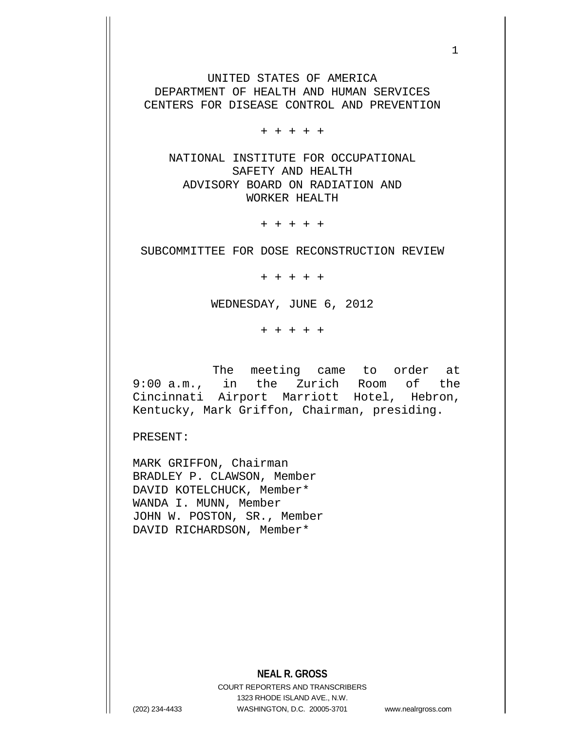UNITED STATES OF AMERICA DEPARTMENT OF HEALTH AND HUMAN SERVICES CENTERS FOR DISEASE CONTROL AND PREVENTION

+ + + + +

NATIONAL INSTITUTE FOR OCCUPATIONAL SAFETY AND HEALTH ADVISORY BOARD ON RADIATION AND WORKER HEALTH

+ + + + +

SUBCOMMITTEE FOR DOSE RECONSTRUCTION REVIEW

+ + + + +

WEDNESDAY, JUNE 6, 2012

+ + + + +

The meeting came to order at 9:00 a.m., in the Zurich Room of the Cincinnati Airport Marriott Hotel, Hebron, Kentucky, Mark Griffon, Chairman, presiding.

PRESENT:

MARK GRIFFON, Chairman BRADLEY P. CLAWSON, Member DAVID KOTELCHUCK, Member\* WANDA I. MUNN, Member JOHN W. POSTON, SR., Member DAVID RICHARDSON, Member\*

**NEAL R. GROSS**

COURT REPORTERS AND TRANSCRIBERS 1323 RHODE ISLAND AVE., N.W. (202) 234-4433 WASHINGTON, D.C. 20005-3701 www.nealrgross.com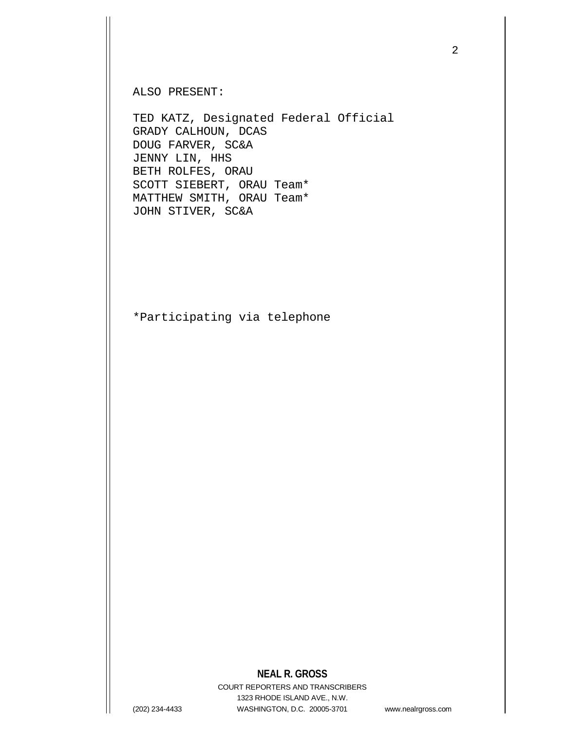ALSO PRESENT:

TED KATZ, Designated Federal Official GRADY CALHOUN, DCAS DOUG FARVER, SC&A JENNY LIN, HHS BETH ROLFES, ORAU SCOTT SIEBERT, ORAU Team\* MATTHEW SMITH, ORAU Team\* JOHN STIVER, SC&A

\*Participating via telephone

## **NEAL R. GROSS**

COURT REPORTERS AND TRANSCRIBERS 1323 RHODE ISLAND AVE., N.W. (202) 234-4433 WASHINGTON, D.C. 20005-3701 www.nealrgross.com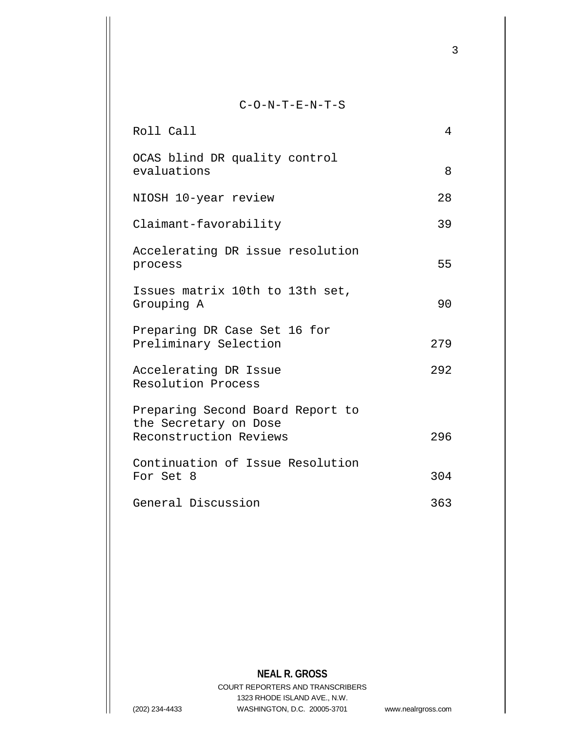## C-O-N-T-E-N-T-S

| Roll Call                                                                           | 4   |
|-------------------------------------------------------------------------------------|-----|
| OCAS blind DR quality control<br>evaluations                                        | 8   |
| NIOSH 10-year review                                                                | 28  |
| Claimant-favorability                                                               | 39  |
| Accelerating DR issue resolution<br>process                                         | 55  |
| Issues matrix 10th to 13th set,<br>Grouping A                                       | 90  |
| Preparing DR Case Set 16 for<br>Preliminary Selection                               | 279 |
| Accelerating DR Issue<br>Resolution Process                                         | 292 |
| Preparing Second Board Report to<br>the Secretary on Dose<br>Reconstruction Reviews | 296 |
| Continuation of Issue Resolution<br>For Set 8                                       | 304 |
| General Discussion                                                                  | 363 |

**NEAL R. GROSS**

COURT REPORTERS AND TRANSCRIBERS 1323 RHODE ISLAND AVE., N.W. (202) 234-4433 WASHINGTON, D.C. 20005-3701 www.nealrgross.com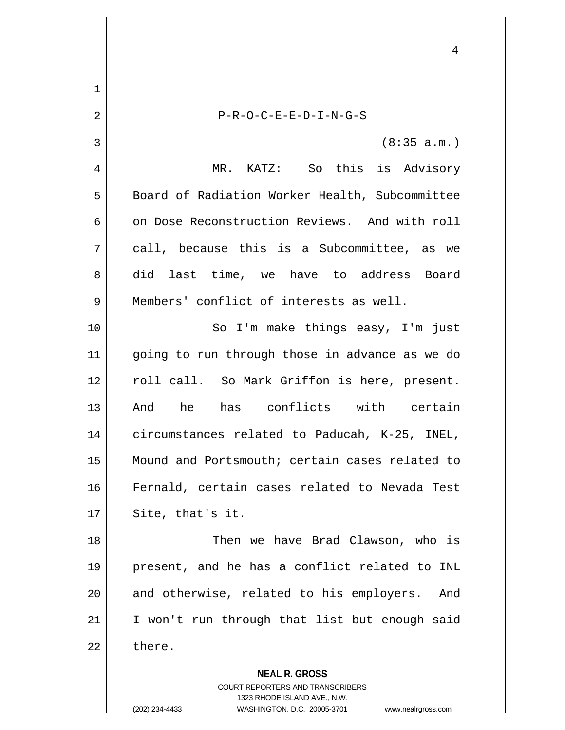**NEAL R. GROSS** COURT REPORTERS AND TRANSCRIBERS 4 1 2 || P-R-O-C-E-E-D-I-N-G-S  $3 \parallel$  (8:35 a.m.) 4 MR. KATZ: So this is Advisory 5 Board of Radiation Worker Health, Subcommittee 6 on Dose Reconstruction Reviews. And with roll  $7 \parallel$  call, because this is a Subcommittee, as we 8 did last time, we have to address Board 9 **Members'** conflict of interests as well. 10 || So I'm make things easy, I'm just 11 || going to run through those in advance as we do 12 || roll call. So Mark Griffon is here, present. 13 And he has conflicts with certain 14 circumstances related to Paducah, K-25, INEL, 15 Mound and Portsmouth; certain cases related to 16 Fernald, certain cases related to Nevada Test  $17 \parallel$  Site, that's it. 18 Then we have Brad Clawson, who is 19 present, and he has a conflict related to INL 20 || and otherwise, related to his employers. And 21 || I won't run through that list but enough said  $22 \parallel$  there.

1323 RHODE ISLAND AVE., N.W.

(202) 234-4433 WASHINGTON, D.C. 20005-3701 www.nealrgross.com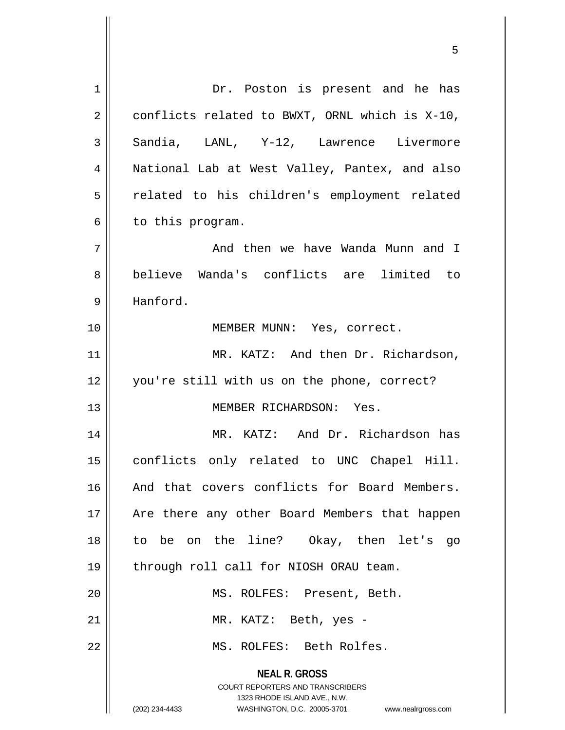**NEAL R. GROSS** COURT REPORTERS AND TRANSCRIBERS 1323 RHODE ISLAND AVE., N.W. (202) 234-4433 WASHINGTON, D.C. 20005-3701 www.nealrgross.com 1 || Dr. Poston is present and he has  $2 \parallel$  conflicts related to BWXT, ORNL which is X-10, 3 || Sandia, LANL, Y-12, Lawrence Livermore 4 National Lab at West Valley, Pantex, and also 5 || related to his children's employment related  $6 \parallel$  to this program. 7 And then we have Wanda Munn and I 8 believe Wanda's conflicts are limited to 9 Hanford. 10 || **MEMBER MUNN:** Yes, correct. 11 || MR. KATZ: And then Dr. Richardson, 12 you're still with us on the phone, correct? 13 MEMBER RICHARDSON: Yes. 14 MR. KATZ: And Dr. Richardson has 15 conflicts only related to UNC Chapel Hill. 16 || And that covers conflicts for Board Members. 17 || Are there any other Board Members that happen 18 to be on the line? Okay, then let's go 19 || through roll call for NIOSH ORAU team. 20 MS. ROLFES: Present, Beth. 21 || MR. KATZ: Beth, yes -22 MS. ROLFES: Beth Rolfes.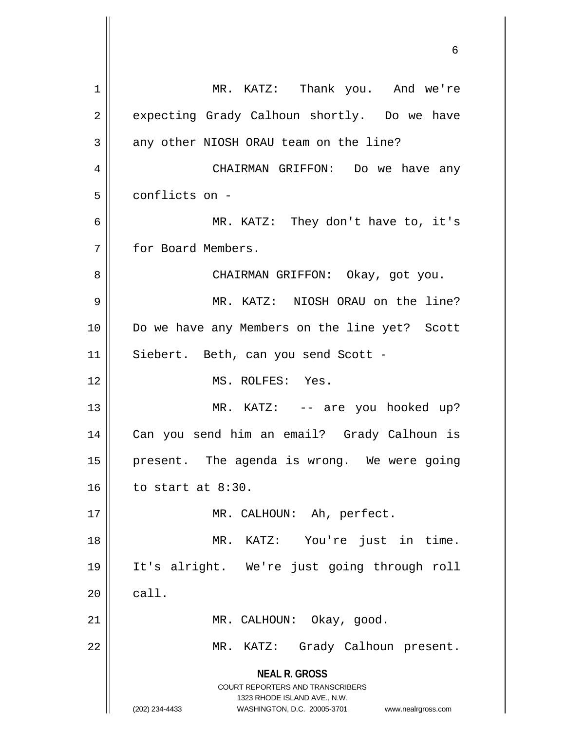**NEAL R. GROSS** COURT REPORTERS AND TRANSCRIBERS 1323 RHODE ISLAND AVE., N.W. (202) 234-4433 WASHINGTON, D.C. 20005-3701 www.nealrgross.com 1 | MR. KATZ: Thank you. And we're 2 expecting Grady Calhoun shortly. Do we have  $3 \parallel$  any other NIOSH ORAU team on the line? 4 CHAIRMAN GRIFFON: Do we have any 5 | conflicts on -6 MR. KATZ: They don't have to, it's 7 for Board Members. 8 || CHAIRMAN GRIFFON: Okay, got you. 9 MR. KATZ: NIOSH ORAU on the line? 10 Do we have any Members on the line yet? Scott 11 || Siebert. Beth, can you send Scott -12 MS. ROLFES: Yes. 13 || MR. KATZ: -- are you hooked up? 14 Can you send him an email? Grady Calhoun is 15 || present. The agenda is wrong. We were going  $16$  | to start at 8:30. 17 || MR. CALHOUN: Ah, perfect. 18 || MR. KATZ: You're just in time. 19 It's alright. We're just going through roll  $20$   $\parallel$  call. 21 || MR. CALHOUN: Okay, qood. 22 || MR. KATZ: Grady Calhoun present.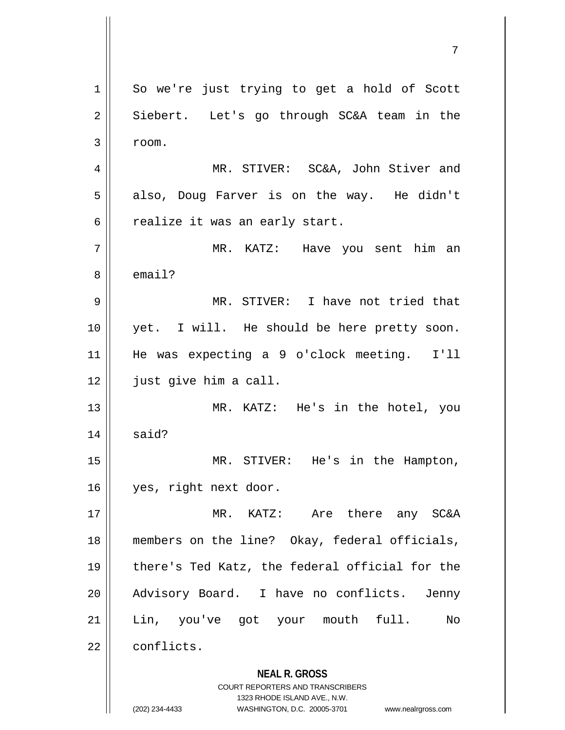**NEAL R. GROSS** COURT REPORTERS AND TRANSCRIBERS 1323 RHODE ISLAND AVE., N.W. 1 || So we're just trying to get a hold of Scott 2 || Siebert. Let's go through SC&A team in the  $3 \parallel$  room. 4 || MR. STIVER: SC&A, John Stiver and  $5 \parallel$  also, Doug Farver is on the way. He didn't  $6 \parallel$  realize it was an early start. 7 MR. KATZ: Have you sent him an 8 email? 9 MR. STIVER: I have not tried that 10 yet. I will. He should be here pretty soon. 11 He was expecting a 9 o'clock meeting. I'll 12 | just give him a call. 13 MR. KATZ: He's in the hotel, you  $14$  said? 15 MR. STIVER: He's in the Hampton, 16 yes, right next door. 17 MR. KATZ: Are there any SC&A 18 members on the line? Okay, federal officials, 19 || there's Ted Katz, the federal official for the 20 Advisory Board. I have no conflicts. Jenny 21 Lin, you've got your mouth full. No 22 conflicts.

(202) 234-4433 WASHINGTON, D.C. 20005-3701 www.nealrgross.com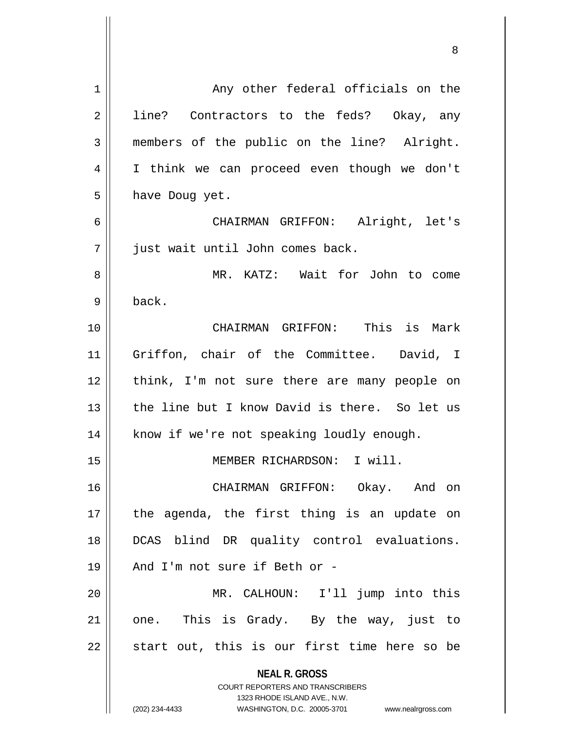| $\mathbf 1$ | Any other federal officials on the                                            |
|-------------|-------------------------------------------------------------------------------|
| 2           | line? Contractors to the feds? Okay, any                                      |
| 3           | members of the public on the line? Alright.                                   |
| 4           | I think we can proceed even though we don't                                   |
| 5           | have Doug yet.                                                                |
| 6           | CHAIRMAN GRIFFON: Alright, let's                                              |
| 7           | just wait until John comes back.                                              |
| 8           | MR. KATZ: Wait for John to come                                               |
| 9           | back.                                                                         |
| 10          | CHAIRMAN GRIFFON: This is Mark                                                |
| 11          | Griffon, chair of the Committee. David, I                                     |
| 12          | think, I'm not sure there are many people on                                  |
| 13          | the line but I know David is there. So let us                                 |
| 14          | know if we're not speaking loudly enough.                                     |
| 15          | MEMBER RICHARDSON: I will.                                                    |
| 16          | CHAIRMAN GRIFFON: Okay. And on                                                |
| 17          | the agenda, the first thing is an update on                                   |
| 18          | DCAS blind DR quality control evaluations.                                    |
| 19          | And I'm not sure if Beth or -                                                 |
| 20          | MR. CALHOUN: I'll jump into this                                              |
| 21          | one. This is Grady. By the way, just to                                       |
| 22          | start out, this is our first time here so be                                  |
|             | <b>NEAL R. GROSS</b>                                                          |
|             | <b>COURT REPORTERS AND TRANSCRIBERS</b>                                       |
|             | 1323 RHODE ISLAND AVE., N.W.<br>(202) 234-4433<br>WASHINGTON, D.C. 20005-3701 |
|             | www.nealrgross.com                                                            |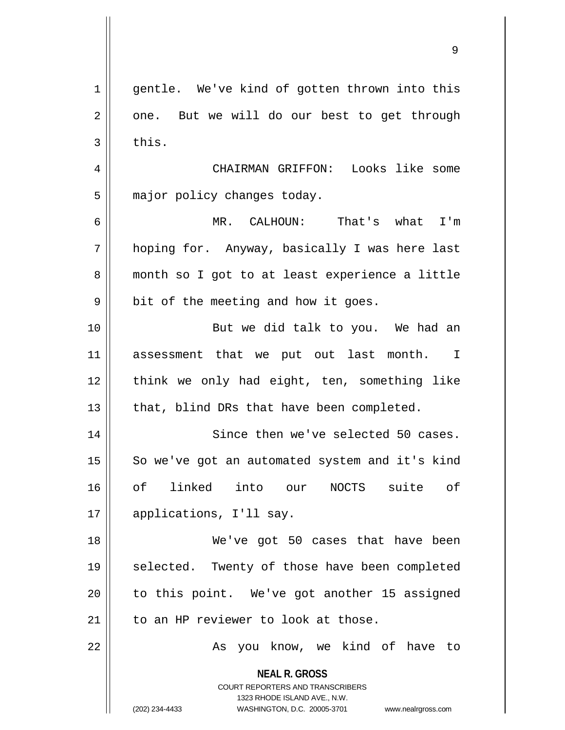|             | 9                                                                                                   |
|-------------|-----------------------------------------------------------------------------------------------------|
| $\mathbf 1$ | gentle. We've kind of gotten thrown into this                                                       |
| 2           | one. But we will do our best to get through                                                         |
| 3           | this.                                                                                               |
| 4           | CHAIRMAN GRIFFON: Looks like some                                                                   |
| 5           | major policy changes today.                                                                         |
| 6           | MR. CALHOUN: That's what I'm                                                                        |
| 7           | hoping for. Anyway, basically I was here last                                                       |
| 8           | month so I got to at least experience a little                                                      |
| 9           | bit of the meeting and how it goes.                                                                 |
| 10          | But we did talk to you. We had an                                                                   |
| 11          | assessment that we put out last month. I                                                            |
| 12          | think we only had eight, ten, something like                                                        |
| 13          | that, blind DRs that have been completed.                                                           |
| 14          | Since then we've selected 50 cases.                                                                 |
| 15          | So we've got an automated system and it's kind                                                      |
| 16          | оf<br>linked<br>into our<br>NOCTS suite<br>оf                                                       |
| 17          | applications, I'll say.                                                                             |
| 18          | We've got 50 cases that have been                                                                   |
| 19          | selected. Twenty of those have been completed                                                       |
| 20          | to this point. We've got another 15 assigned                                                        |
| 21          | to an HP reviewer to look at those.                                                                 |
| 22          | As you know, we kind of have to                                                                     |
|             | <b>NEAL R. GROSS</b><br><b>COURT REPORTERS AND TRANSCRIBERS</b>                                     |
|             | 1323 RHODE ISLAND AVE., N.W.<br>(202) 234-4433<br>WASHINGTON, D.C. 20005-3701<br>www.nealrgross.com |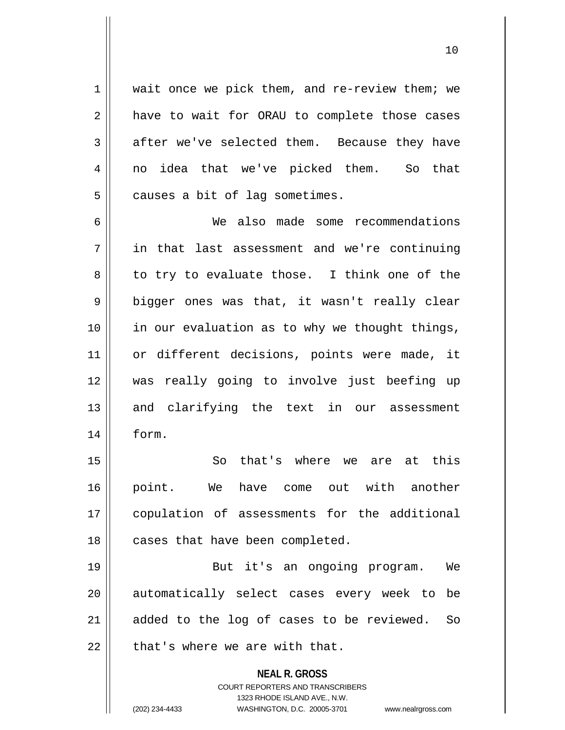1 wait once we pick them, and re-review them; we  $2 \parallel$  have to wait for ORAU to complete those cases 3 after we've selected them. Because they have 4 no idea that we've picked them. So that  $5$  | causes a bit of lag sometimes.

6 We also made some recommendations 7 in that last assessment and we're continuing  $8 \parallel$  to try to evaluate those. I think one of the  $9 \parallel$  bigger ones was that, it wasn't really clear 10 in our evaluation as to why we thought things, 11 || or different decisions, points were made, it 12 was really going to involve just beefing up 13 and clarifying the text in our assessment 14 form.

15 || So that's where we are at this 16 point. We have come out with another 17 copulation of assessments for the additional 18 || cases that have been completed.

19 But it's an ongoing program. We 20 || automatically select cases every week to be 21 || added to the log of cases to be reviewed. So  $22$  | that's where we are with that.

> **NEAL R. GROSS** COURT REPORTERS AND TRANSCRIBERS 1323 RHODE ISLAND AVE., N.W. (202) 234-4433 WASHINGTON, D.C. 20005-3701 www.nealrgross.com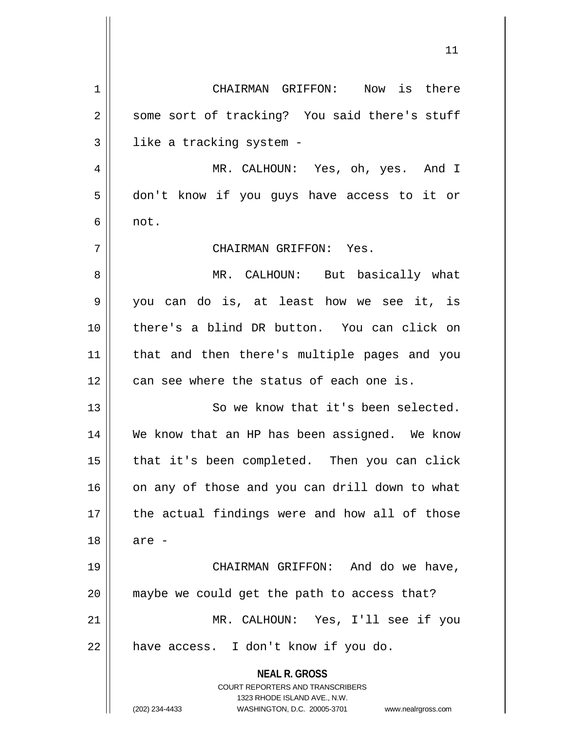**NEAL R. GROSS** COURT REPORTERS AND TRANSCRIBERS 1323 RHODE ISLAND AVE., N.W. (202) 234-4433 WASHINGTON, D.C. 20005-3701 www.nealrgross.com 1 CHAIRMAN GRIFFON: Now is there 2 || some sort of tracking? You said there's stuff  $3$  | like a tracking system -4 MR. CALHOUN: Yes, oh, yes. And I 5 don't know if you guys have access to it or  $6 \parallel \text{not.}$ 7 CHAIRMAN GRIFFON: Yes. 8 MR. CALHOUN: But basically what 9 you can do is, at least how we see it, is 10 there's a blind DR button. You can click on 11 that and then there's multiple pages and you  $12$  | can see where the status of each one is. 13 || So we know that it's been selected. 14 We know that an HP has been assigned. We know 15 || that it's been completed. Then you can click 16 || on any of those and you can drill down to what 17 || the actual findings were and how all of those 18 are - 19 CHAIRMAN GRIFFON: And do we have, 20 || maybe we could get the path to access that? 21 MR. CALHOUN: Yes, I'll see if you  $22$  | have access. I don't know if you do.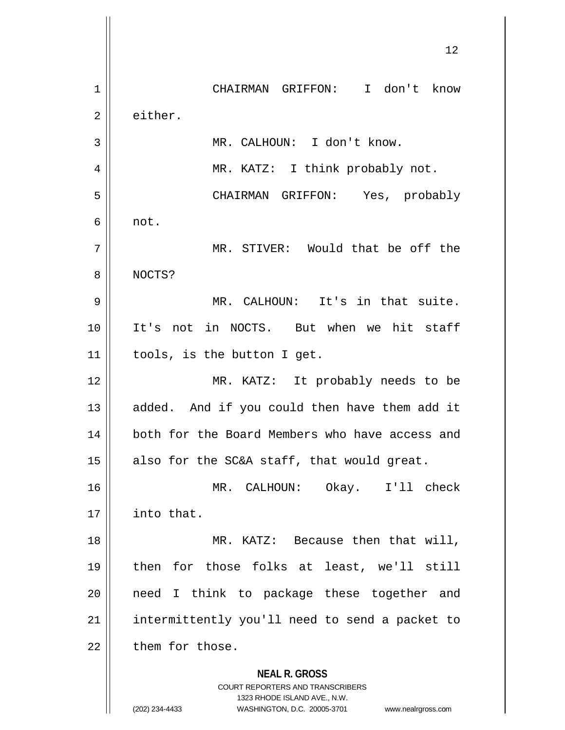**NEAL R. GROSS** COURT REPORTERS AND TRANSCRIBERS 1323 RHODE ISLAND AVE., N.W. (202) 234-4433 WASHINGTON, D.C. 20005-3701 www.nealrgross.com 12 1 || CHAIRMAN GRIFFON: I don't know 2 either. 3 || MR. CALHOUN: I don't know. 4 || MR. KATZ: I think probably not. 5 CHAIRMAN GRIFFON: Yes, probably  $6 \parallel \text{not}.$ 7 MR. STIVER: Would that be off the 8 NOCTS? 9 MR. CALHOUN: It's in that suite. 10 It's not in NOCTS. But when we hit staff 11 tools, is the button I get. 12 MR. KATZ: It probably needs to be 13 || added. And if you could then have them add it 14 || both for the Board Members who have access and 15  $\parallel$  also for the SC&A staff, that would great. 16 MR. CALHOUN: Okay. I'll check 17 | into that. 18 || MR. KATZ: Because then that will, 19 then for those folks at least, we'll still 20 || need I think to package these together and 21 | intermittently you'll need to send a packet to  $22$   $\parallel$  them for those.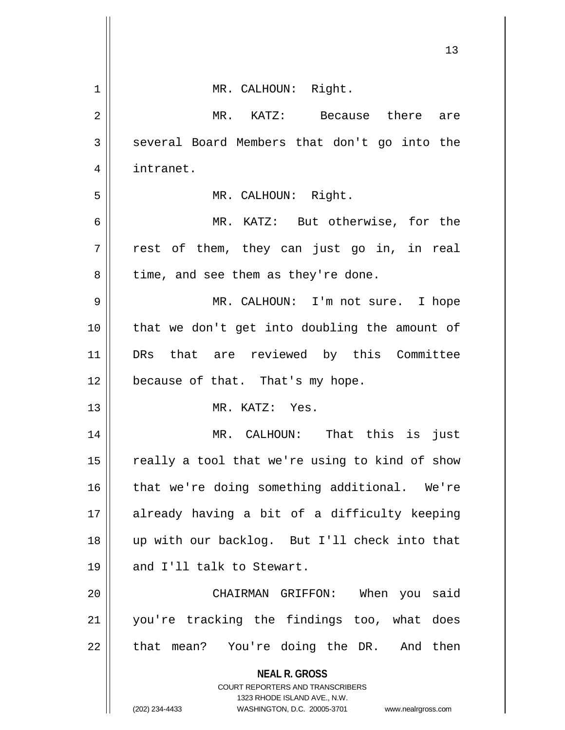|    | ᅩ                                                                                                |
|----|--------------------------------------------------------------------------------------------------|
| 1  | MR. CALHOUN: Right.                                                                              |
| 2  | MR. KATZ: Because there<br>are                                                                   |
| 3  | several Board Members that don't go into the                                                     |
| 4  | intranet.                                                                                        |
| 5  | MR. CALHOUN: Right.                                                                              |
| 6  | MR. KATZ: But otherwise, for the                                                                 |
| 7  | rest of them, they can just go in, in real                                                       |
| 8  | time, and see them as they're done.                                                              |
| 9  | MR. CALHOUN: I'm not sure. I hope                                                                |
| 10 | that we don't get into doubling the amount of                                                    |
| 11 | DRs that are reviewed by this Committee                                                          |
| 12 | because of that. That's my hope.                                                                 |
| 13 | MR. KATZ: Yes.                                                                                   |
| 14 | MR. CALHOUN: That this is<br>just                                                                |
| 15 | really a tool that we're using to kind of show                                                   |
| 16 | that we're doing something additional. We're                                                     |
| 17 | already having a bit of a difficulty keeping                                                     |
| 18 | up with our backlog. But I'll check into that                                                    |
| 19 | and I'll talk to Stewart.                                                                        |
| 20 | CHAIRMAN GRIFFON: When you said                                                                  |
| 21 | you're tracking the findings too, what does                                                      |
| 22 | that mean? You're doing the DR. And then                                                         |
|    | <b>NEAL R. GROSS</b>                                                                             |
|    | <b>COURT REPORTERS AND TRANSCRIBERS</b>                                                          |
|    | 1323 RHODE ISLAND AVE., N.W.<br>(202) 234-4433<br>WASHINGTON, D.C. 20005-3701 www.nealrgross.com |

 $\mathbf{\mathcal{H}}$ 

 $1<sub>2</sub>$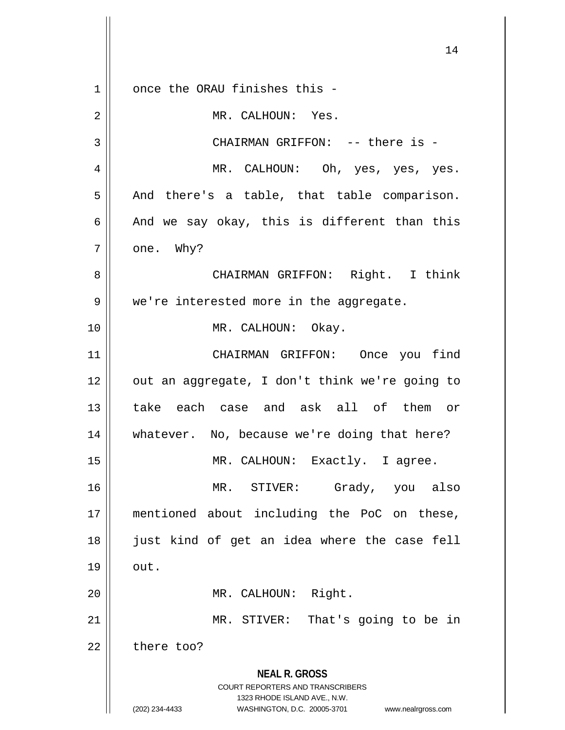**NEAL R. GROSS** COURT REPORTERS AND TRANSCRIBERS 1323 RHODE ISLAND AVE., N.W. (202) 234-4433 WASHINGTON, D.C. 20005-3701 www.nealrgross.com 1 || once the ORAU finishes this -2 || MR. CALHOUN: Yes. 3 CHAIRMAN GRIFFON: -- there is - 4 MR. CALHOUN: Oh, yes, yes, yes.  $5 \parallel$  And there's a table, that table comparison. 6  $\parallel$  And we say okay, this is different than this  $7 \parallel \quad$  one. Why? 8 CHAIRMAN GRIFFON: Right. I think 9 || we're interested more in the aggregate. 10 || MR. CALHOUN: Okay. 11 CHAIRMAN GRIFFON: Once you find  $12$  | out an aggregate, I don't think we're going to 13 take each case and ask all of them or 14 || whatever. No, because we're doing that here? 15 || MR. CALHOUN: Exactly. I agree. 16 MR. STIVER: Grady, you also 17 mentioned about including the PoC on these, 18 just kind of get an idea where the case fell  $19 \parallel \quad \text{out.}$ 20 || MR. CALHOUN: Right. 21 || MR. STIVER: That's going to be in  $22$  | there too?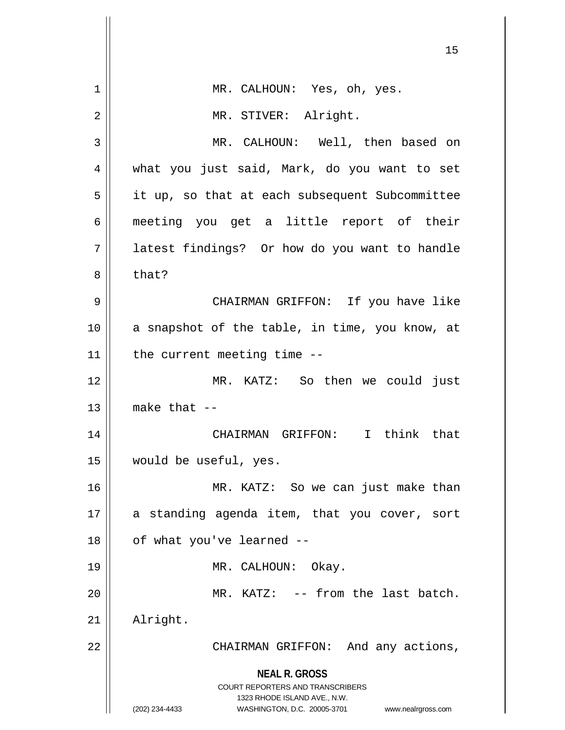|    | 15                                                                                                                                                                     |
|----|------------------------------------------------------------------------------------------------------------------------------------------------------------------------|
| 1  | MR. CALHOUN: Yes, oh, yes.                                                                                                                                             |
| 2  | MR. STIVER: Alright.                                                                                                                                                   |
| 3  | MR. CALHOUN: Well, then based on                                                                                                                                       |
| 4  | what you just said, Mark, do you want to set                                                                                                                           |
| 5  | it up, so that at each subsequent Subcommittee                                                                                                                         |
| 6  | meeting you get a little report of their                                                                                                                               |
| 7  | latest findings? Or how do you want to handle                                                                                                                          |
| 8  | that?                                                                                                                                                                  |
| 9  | CHAIRMAN GRIFFON: If you have like                                                                                                                                     |
| 10 | a snapshot of the table, in time, you know, at                                                                                                                         |
| 11 | the current meeting time --                                                                                                                                            |
| 12 | MR. KATZ: So then we could just                                                                                                                                        |
| 13 | make that $--$                                                                                                                                                         |
| 14 | I think that<br>CHAIRMAN GRIFFON:                                                                                                                                      |
| 15 | would be useful, yes.                                                                                                                                                  |
| 16 | MR. KATZ: So we can just make than                                                                                                                                     |
| 17 | a standing agenda item, that you cover, sort                                                                                                                           |
| 18 | of what you've learned --                                                                                                                                              |
| 19 | MR. CALHOUN: Okay.                                                                                                                                                     |
| 20 | MR. KATZ: -- from the last batch.                                                                                                                                      |
| 21 | Alright.                                                                                                                                                               |
| 22 | CHAIRMAN GRIFFON: And any actions,                                                                                                                                     |
|    | <b>NEAL R. GROSS</b><br><b>COURT REPORTERS AND TRANSCRIBERS</b><br>1323 RHODE ISLAND AVE., N.W.<br>(202) 234-4433<br>WASHINGTON, D.C. 20005-3701<br>www.nealrgross.com |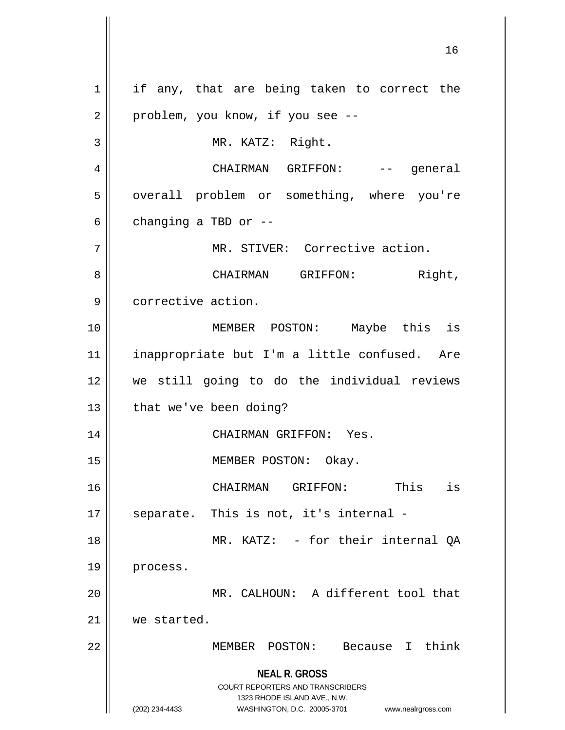**NEAL R. GROSS** COURT REPORTERS AND TRANSCRIBERS 1323 RHODE ISLAND AVE., N.W. (202) 234-4433 WASHINGTON, D.C. 20005-3701 www.nealrgross.com 1 || if any, that are being taken to correct the  $2 \parallel$  problem, you know, if you see --3 MR. KATZ: Right. 4 CHAIRMAN GRIFFON: -- general 5 | overall problem or something, where you're  $6 \parallel$  changing a TBD or --7 || MR. STIVER: Corrective action. 8 CHAIRMAN GRIFFON: Right, 9 | corrective action. 10 MEMBER POSTON: Maybe this is 11 inappropriate but I'm a little confused. Are 12 we still going to do the individual reviews 13 | that we've been doing? 14 CHAIRMAN GRIFFON: Yes. 15 || MEMBER POSTON: Okay. 16 CHAIRMAN GRIFFON: This is  $17$  || separate. This is not, it's internal -18 MR. KATZ: - for their internal QA 19 | process. 20 || MR. CALHOUN: A different tool that 21 we started. 22 MEMBER POSTON: Because I think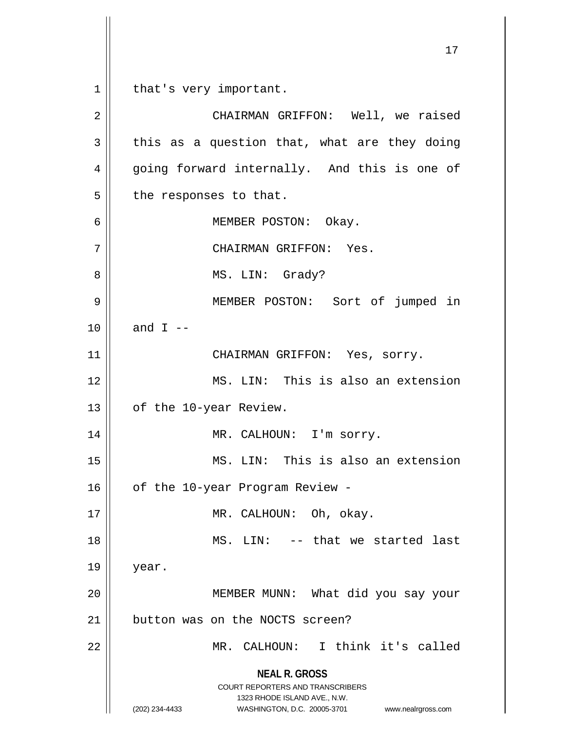1 | that's very important.

**NEAL R. GROSS** COURT REPORTERS AND TRANSCRIBERS 1323 RHODE ISLAND AVE., N.W. (202) 234-4433 WASHINGTON, D.C. 20005-3701 www.nealrgross.com 2 CHAIRMAN GRIFFON: Well, we raised  $3 \parallel$  this as a question that, what are they doing 4 || going forward internally. And this is one of  $5$  | the responses to that. 6 MEMBER POSTON: Okay. 7 | CHAIRMAN GRIFFON: Yes. 8 || MS. LIN: Grady? 9 MEMBER POSTON: Sort of jumped in 10  $\parallel$  and I --11 || CHAIRMAN GRIFFON: Yes, sorry. 12 MS. LIN: This is also an extension 13 | of the 10-year Review. 14 || MR. CALHOUN: I'm sorry. 15 MS. LIN: This is also an extension 16 | of the 10-year Program Review -17 || MR. CALHOUN: Oh, okay. 18 MS. LIN: -- that we started last 19 year. 20 || MEMBER MUNN: What did you say your  $21$  button was on the NOCTS screen? 22 || MR. CALHOUN: I think it's called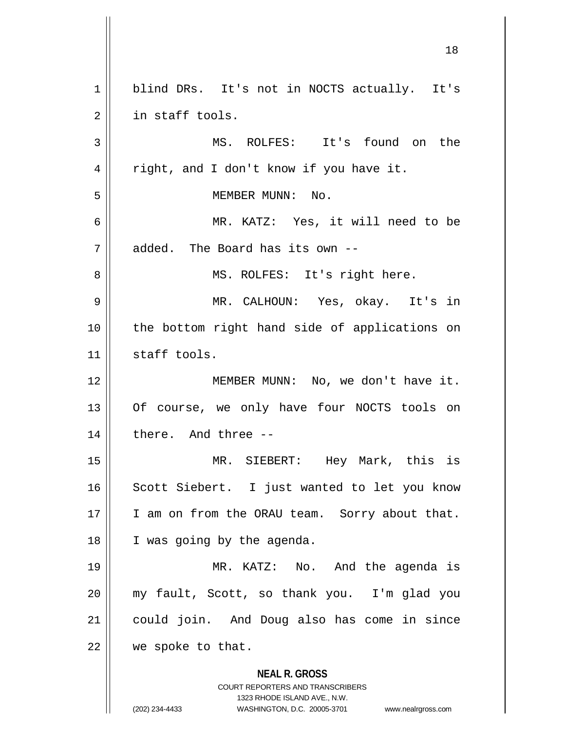**NEAL R. GROSS** COURT REPORTERS AND TRANSCRIBERS 1323 RHODE ISLAND AVE., N.W. (202) 234-4433 WASHINGTON, D.C. 20005-3701 www.nealrgross.com 1 || blind DRs. It's not in NOCTS actually. It's 2 || in staff tools. 3 MS. ROLFES: It's found on the 4 || right, and I don't know if you have it. 5 MEMBER MUNN: No. 6 MR. KATZ: Yes, it will need to be  $7 \parallel$  added. The Board has its own --8 || MS. ROLFES: It's right here. 9 MR. CALHOUN: Yes, okay. It's in 10 || the bottom right hand side of applications on 11 | staff tools. 12 MEMBER MUNN: No, we don't have it. 13 || Of course, we only have four NOCTS tools on  $14$  | there. And three  $-$ 15 MR. SIEBERT: Hey Mark, this is 16 || Scott Siebert. I just wanted to let you know 17 || I am on from the ORAU team. Sorry about that. 18 | I was going by the agenda. 19 MR. KATZ: No. And the agenda is 20 my fault, Scott, so thank you. I'm glad you 21 could join. And Doug also has come in since 22 | we spoke to that.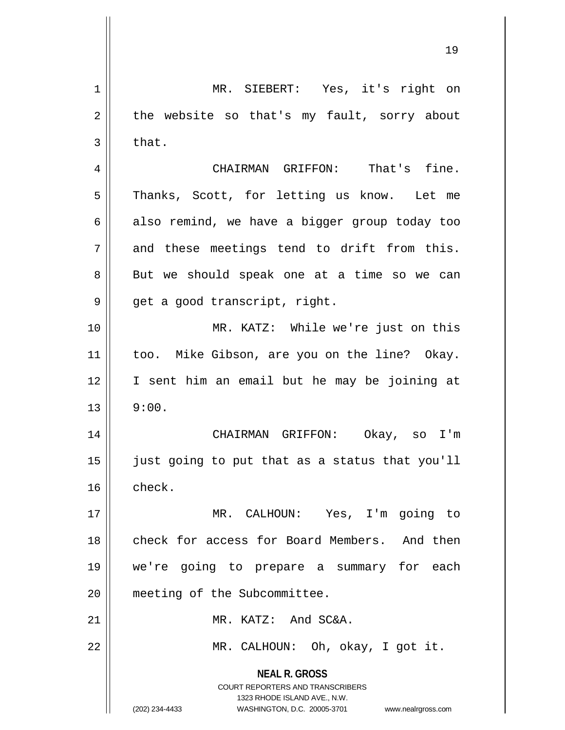**NEAL R. GROSS** COURT REPORTERS AND TRANSCRIBERS 1323 RHODE ISLAND AVE., N.W. (202) 234-4433 WASHINGTON, D.C. 20005-3701 www.nealrgross.com 1 MR. SIEBERT: Yes, it's right on  $2 \parallel$  the website so that's my fault, sorry about  $3 \parallel$  that. 4 CHAIRMAN GRIFFON: That's fine. 5 || Thanks, Scott, for letting us know. Let me  $6 \parallel$  also remind, we have a bigger group today too  $7 \parallel$  and these meetings tend to drift from this. 8 || But we should speak one at a time so we can 9 || get a good transcript, right. 10 MR. KATZ: While we're just on this 11 || too. Mike Gibson, are you on the line? Okay. 12 I sent him an email but he may be joining at  $13 \parallel 9:00.$ 14 CHAIRMAN GRIFFON: Okay, so I'm 15 just going to put that as a status that you'll  $16 \parallel$  check. 17 MR. CALHOUN: Yes, I'm going to 18 || check for access for Board Members. And then 19 we're going to prepare a summary for each 20 meeting of the Subcommittee. 21 MR. KATZ: And SC&A. 22 MR. CALHOUN: Oh, okay, I got it.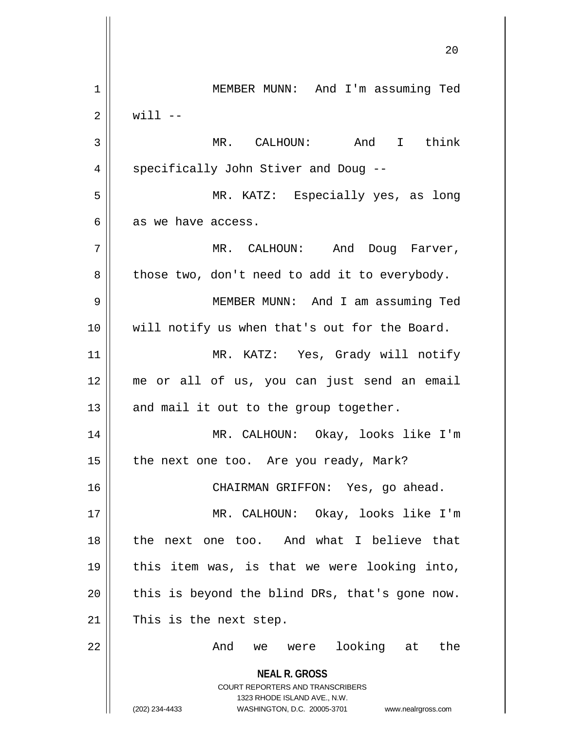**NEAL R. GROSS** COURT REPORTERS AND TRANSCRIBERS 1323 RHODE ISLAND AVE., N.W. (202) 234-4433 WASHINGTON, D.C. 20005-3701 www.nealrgross.com 20 1 | MEMBER MUNN: And I'm assuming Ted  $2 \parallel$  will  $-$ 3 MR. CALHOUN: And I think 4 | specifically John Stiver and Doug --5 MR. KATZ: Especially yes, as long  $6 \parallel$  as we have access. 7 MR. CALHOUN: And Doug Farver,  $8 \parallel$  those two, don't need to add it to everybody. 9 MEMBER MUNN: And I am assuming Ted 10 || will notify us when that's out for the Board. 11 || MR. KATZ: Yes, Grady will notify 12 me or all of us, you can just send an email  $13$  || and mail it out to the group together. 14 MR. CALHOUN: Okay, looks like I'm 15  $\parallel$  the next one too. Are you ready, Mark? 16 CHAIRMAN GRIFFON: Yes, go ahead. 17 MR. CALHOUN: Okay, looks like I'm 18 the next one too. And what I believe that 19 this item was, is that we were looking into,  $20$  | this is beyond the blind DRs, that's gone now.  $21$  | This is the next step. 22 And we were looking at the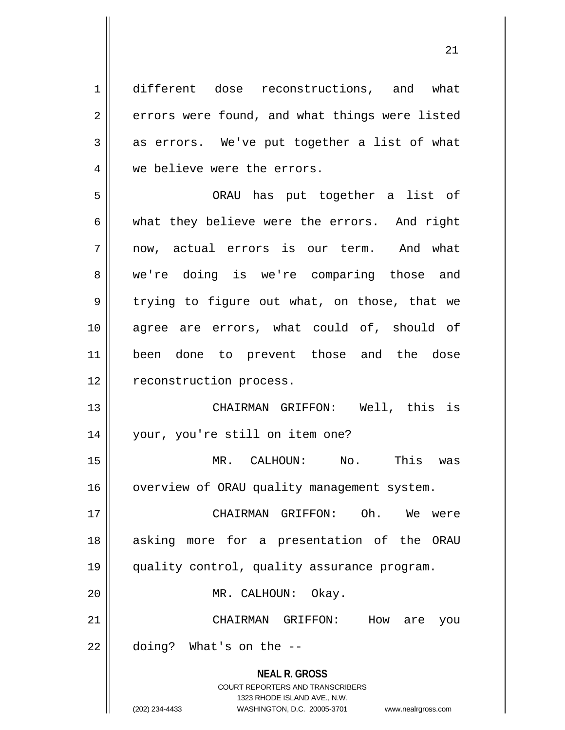**NEAL R. GROSS** COURT REPORTERS AND TRANSCRIBERS 1323 RHODE ISLAND AVE., N.W. 1 different dose reconstructions, and what 2 | errors were found, and what things were listed  $3 \parallel$  as errors. We've put together a list of what 4 || we believe were the errors. 5 ORAU has put together a list of  $6 \parallel$  what they believe were the errors. And right 7 || now, actual errors is our term. And what 8 we're doing is we're comparing those and  $9 \parallel$  trying to figure out what, on those, that we 10 agree are errors, what could of, should of 11 been done to prevent those and the dose 12 | reconstruction process. 13 CHAIRMAN GRIFFON: Well, this is 14 your, you're still on item one? 15 MR. CALHOUN: No. This was 16 | overview of ORAU quality management system. 17 CHAIRMAN GRIFFON: Oh. We were 18 || asking more for a presentation of the ORAU 19 quality control, quality assurance program. 20 MR. CALHOUN: Okay. 21 CHAIRMAN GRIFFON: How are you  $22$  || doing? What's on the  $-$ 

(202) 234-4433 WASHINGTON, D.C. 20005-3701 www.nealrgross.com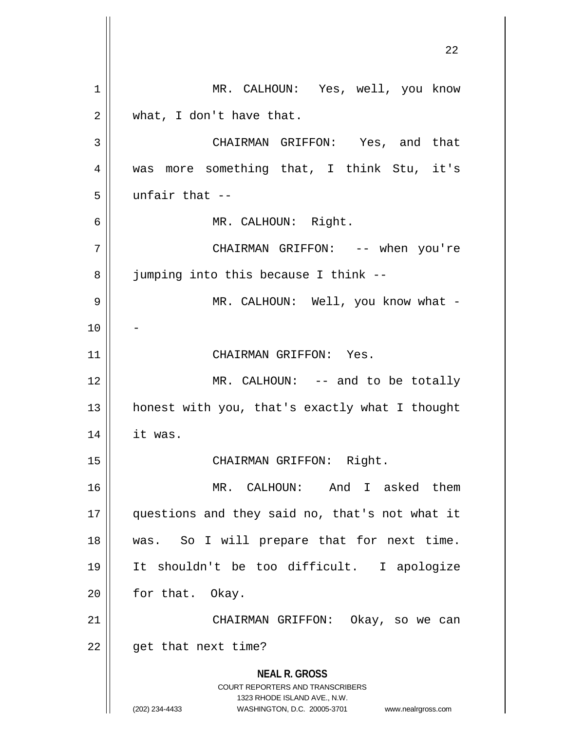**NEAL R. GROSS** COURT REPORTERS AND TRANSCRIBERS 1323 RHODE ISLAND AVE., N.W. (202) 234-4433 WASHINGTON, D.C. 20005-3701 www.nealrgross.com MR. CALHOUN: Yes, well, you know  $2 \parallel$  what, I don't have that. CHAIRMAN GRIFFON: Yes, and that was more something that, I think Stu, it's || unfair that  $-$  MR. CALHOUN: Right. CHAIRMAN GRIFFON: -- when you're 8 | jumping into this because I think -- MR. CALHOUN: Well, you know what - 11 || CHAIRMAN GRIFFON: Yes. 12 || MR. CALHOUN: -- and to be totally honest with you, that's exactly what I thought it was. 15 || CHAIRMAN GRIFFON: Right. MR. CALHOUN: And I asked them questions and they said no, that's not what it was. So I will prepare that for next time. It shouldn't be too difficult. I apologize || for that. Okay. 21 || CHAIRMAN GRIFFON: Okay, so we can | get that next time?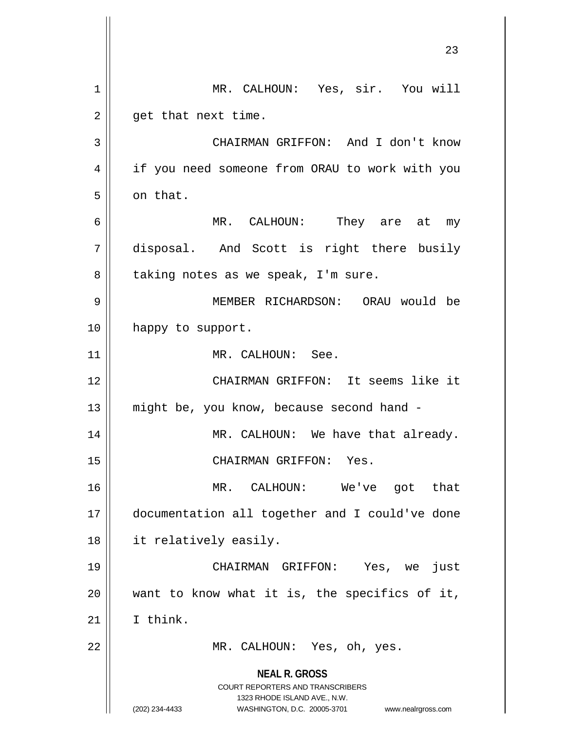|    | 23                                                                                                                                                                     |
|----|------------------------------------------------------------------------------------------------------------------------------------------------------------------------|
| 1  | MR. CALHOUN: Yes, sir. You will                                                                                                                                        |
| 2  | get that next time.                                                                                                                                                    |
| 3  | CHAIRMAN GRIFFON: And I don't know                                                                                                                                     |
| 4  | if you need someone from ORAU to work with you                                                                                                                         |
| 5  | on that.                                                                                                                                                               |
| 6  | MR. CALHOUN: They are at my                                                                                                                                            |
| 7  | disposal. And Scott is right there busily                                                                                                                              |
| 8  | taking notes as we speak, I'm sure.                                                                                                                                    |
| 9  | MEMBER RICHARDSON: ORAU would be                                                                                                                                       |
| 10 | happy to support.                                                                                                                                                      |
| 11 | MR. CALHOUN: See.                                                                                                                                                      |
| 12 | CHAIRMAN GRIFFON: It seems like it                                                                                                                                     |
| 13 | might be, you know, because second hand -                                                                                                                              |
| 14 | MR. CALHOUN: We have that already.                                                                                                                                     |
| 15 | CHAIRMAN GRIFFON: Yes.                                                                                                                                                 |
| 16 | MR. CALHOUN: We've got that                                                                                                                                            |
| 17 | documentation all together and I could've done                                                                                                                         |
| 18 | it relatively easily.                                                                                                                                                  |
| 19 | CHAIRMAN GRIFFON: Yes, we<br>just                                                                                                                                      |
| 20 | want to know what it is, the specifics of it,                                                                                                                          |
| 21 | I think.                                                                                                                                                               |
| 22 | MR. CALHOUN: Yes, oh, yes.                                                                                                                                             |
|    | <b>NEAL R. GROSS</b><br><b>COURT REPORTERS AND TRANSCRIBERS</b><br>1323 RHODE ISLAND AVE., N.W.<br>(202) 234-4433<br>WASHINGTON, D.C. 20005-3701<br>www.nealrgross.com |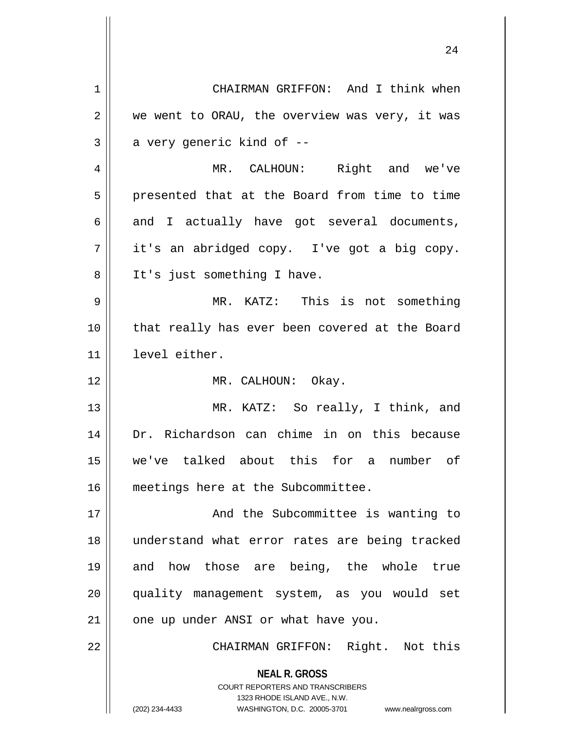**NEAL R. GROSS** COURT REPORTERS AND TRANSCRIBERS 1323 RHODE ISLAND AVE., N.W. (202) 234-4433 WASHINGTON, D.C. 20005-3701 www.nealrgross.com 1 | CHAIRMAN GRIFFON: And I think when  $2 \parallel$  we went to ORAU, the overview was very, it was  $3 \parallel$  a very generic kind of  $-$ 4 || MR. CALHOUN: Right and we've  $5 \parallel$  presented that at the Board from time to time  $6 \parallel$  and I actually have got several documents,  $7 \parallel$  it's an abridged copy. I've got a big copy. 8 || It's just something I have. 9 MR. KATZ: This is not something 10 that really has ever been covered at the Board 11 level either. 12 || MR. CALHOUN: Okay. 13 || MR. KATZ: So really, I think, and 14 Dr. Richardson can chime in on this because 15 we've talked about this for a number of 16 | meetings here at the Subcommittee. 17 || **And the Subcommittee is wanting to** 18 understand what error rates are being tracked 19 and how those are being, the whole true 20 quality management system, as you would set  $21$  | one up under ANSI or what have you. 22 CHAIRMAN GRIFFON: Right. Not this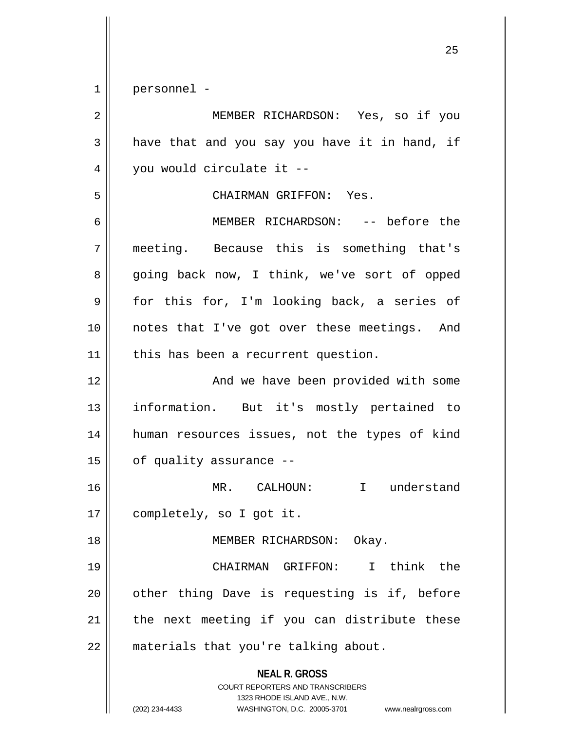1 personnel -

**NEAL R. GROSS** COURT REPORTERS AND TRANSCRIBERS 1323 RHODE ISLAND AVE., N.W. (202) 234-4433 WASHINGTON, D.C. 20005-3701 www.nealrgross.com 2 MEMBER RICHARDSON: Yes, so if you  $3 \parallel$  have that and you say you have it in hand, if  $4 \parallel$  you would circulate it --5 CHAIRMAN GRIFFON: Yes. 6 MEMBER RICHARDSON: -- before the 7 meeting. Because this is something that's 8 going back now, I think, we've sort of opped  $9 \parallel$  for this for, I'm looking back, a series of 10 notes that I've got over these meetings. And 11 || this has been a recurrent question. 12 || And we have been provided with some 13 information. But it's mostly pertained to 14 human resources issues, not the types of kind  $15$  | of quality assurance  $-$ 16 MR. CALHOUN: I understand 17 | completely, so I got it. 18 || MEMBER RICHARDSON: Okay. 19 CHAIRMAN GRIFFON: I think the 20 || other thing Dave is requesting is if, before  $21$  | the next meeting if you can distribute these 22 | materials that you're talking about.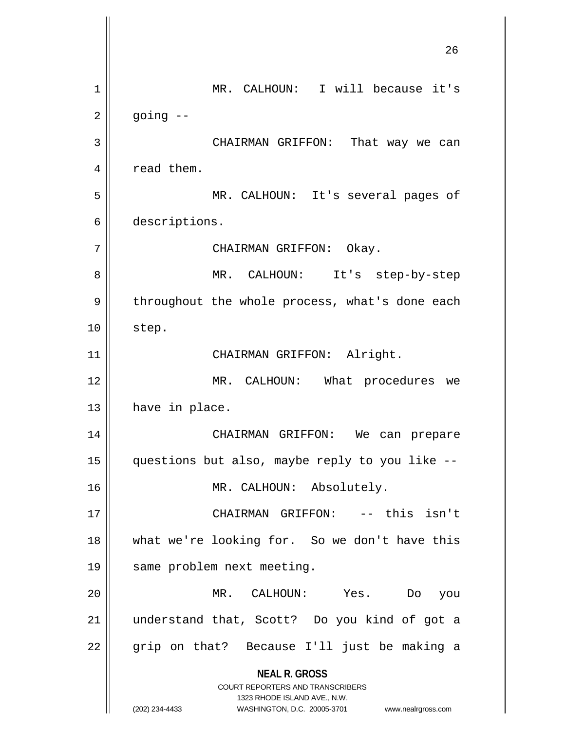**NEAL R. GROSS** COURT REPORTERS AND TRANSCRIBERS 1323 RHODE ISLAND AVE., N.W. (202) 234-4433 WASHINGTON, D.C. 20005-3701 www.nealrgross.com MR. CALHOUN: I will because it's  $2 \parallel$  going  $-$  CHAIRMAN GRIFFON: That way we can  $4 \parallel$  read them. MR. CALHOUN: It's several pages of descriptions. CHAIRMAN GRIFFON: Okay. MR. CALHOUN: It's step-by-step 9 | throughout the whole process, what's done each | step. 11 || CHAIRMAN GRIFFON: Alright. MR. CALHOUN: What procedures we | have in place. CHAIRMAN GRIFFON: We can prepare questions but also, maybe reply to you like -- MR. CALHOUN: Absolutely. CHAIRMAN GRIFFON: -- this isn't 18 || what we're looking for. So we don't have this 19 | same problem next meeting. MR. CALHOUN: Yes. Do you understand that, Scott? Do you kind of got a || grip on that? Because I'll just be making a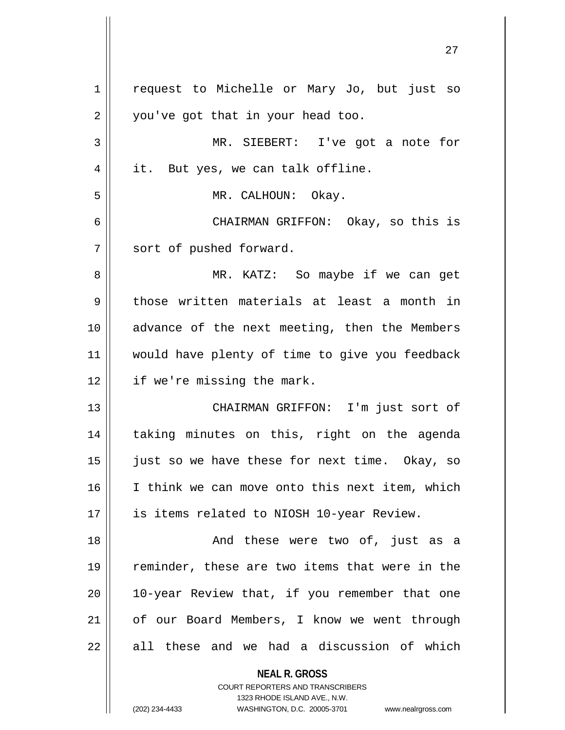| $\mathbf 1$ | request to Michelle or Mary Jo, but just so                                                         |
|-------------|-----------------------------------------------------------------------------------------------------|
| 2           | you've got that in your head too.                                                                   |
| 3           | MR. SIEBERT: I've got a note for                                                                    |
| 4           | it. But yes, we can talk offline.                                                                   |
| 5           | MR. CALHOUN: Okay.                                                                                  |
| 6           | CHAIRMAN GRIFFON: Okay, so this is                                                                  |
| 7           | sort of pushed forward.                                                                             |
| 8           | MR. KATZ: So maybe if we can get                                                                    |
| 9           | those written materials at least a month in                                                         |
| 10          | advance of the next meeting, then the Members                                                       |
| 11          | would have plenty of time to give you feedback                                                      |
| 12          | if we're missing the mark.                                                                          |
| 13          | CHAIRMAN GRIFFON: I'm just sort of                                                                  |
| 14          | taking minutes on this, right on the agenda                                                         |
| 15          | just so we have these for next time. Okay, so                                                       |
| 16          | I think we can move onto this next item, which                                                      |
| 17          | is items related to NIOSH 10-year Review.                                                           |
| 18          | And these were two of, just as a                                                                    |
| 19          | reminder, these are two items that were in the                                                      |
| 20          | 10-year Review that, if you remember that one                                                       |
| 21          | of our Board Members, I know we went through                                                        |
| 22          | all these and we had a discussion of which                                                          |
|             | <b>NEAL R. GROSS</b>                                                                                |
|             | <b>COURT REPORTERS AND TRANSCRIBERS</b>                                                             |
|             | 1323 RHODE ISLAND AVE., N.W.<br>(202) 234-4433<br>WASHINGTON, D.C. 20005-3701<br>www.nealrgross.com |
|             |                                                                                                     |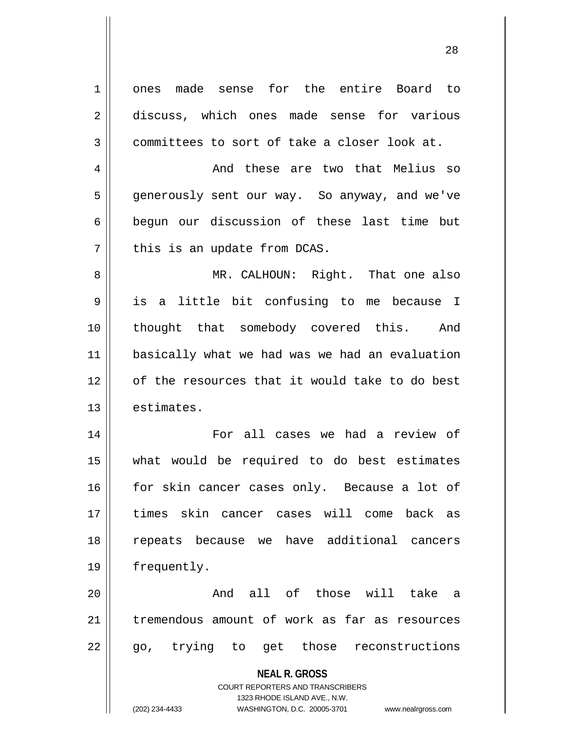| $\mathbf 1$    | ones made sense for the entire Board to                             |
|----------------|---------------------------------------------------------------------|
| $\mathbf 2$    | discuss, which ones made sense for various                          |
| 3              | committees to sort of take a closer look at.                        |
| $\overline{4}$ | And these are two that Melius so                                    |
| 5              | generously sent our way. So anyway, and we've                       |
| 6              | begun our discussion of these last time but                         |
| 7              | this is an update from DCAS.                                        |
| 8              | MR. CALHOUN: Right. That one also                                   |
| 9              | is a little bit confusing to me because I                           |
| 10             | thought that somebody covered this. And                             |
| 11             | basically what we had was we had an evaluation                      |
| 12             | of the resources that it would take to do best                      |
| 13             | estimates.                                                          |
| 14             | For all cases we had a review of                                    |
| 15             | what would be required to do best estimates                         |
| 16             | for skin cancer cases only. Because a lot of                        |
| 17             | times skin cancer cases will come back as                           |
| 18             | repeats because we have additional cancers                          |
| 19             | frequently.                                                         |
| 20             | And all of those will take a                                        |
| 21             | tremendous amount of work as far as resources                       |
| 22             | go, trying to get those reconstructions                             |
|                | <b>NEAL R. GROSS</b>                                                |
|                | <b>COURT REPORTERS AND TRANSCRIBERS</b>                             |
|                | 1323 RHODE ISLAND AVE., N.W.                                        |
|                | (202) 234-4433<br>WASHINGTON, D.C. 20005-3701<br>www.nealrgross.com |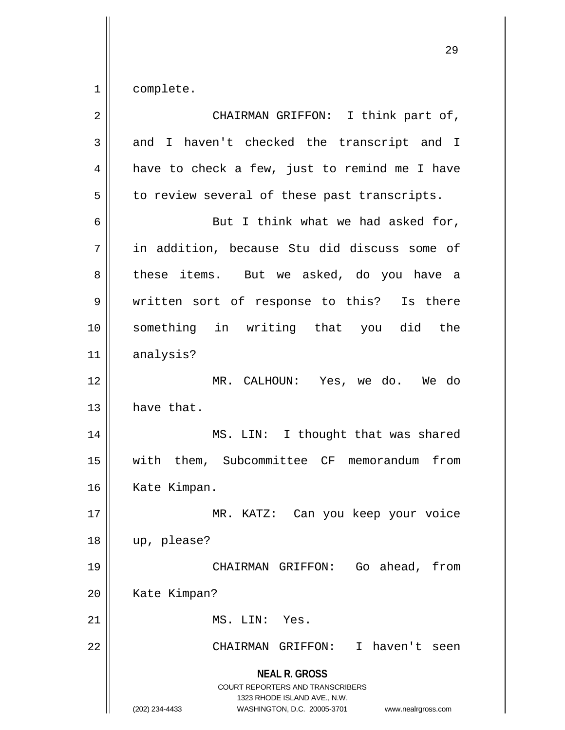$1 \parallel$  complete.

| $\overline{2}$ | CHAIRMAN GRIFFON: I think part of,                                                                                                                                     |
|----------------|------------------------------------------------------------------------------------------------------------------------------------------------------------------------|
| 3              | and I haven't checked the transcript and I                                                                                                                             |
| 4              | have to check a few, just to remind me I have                                                                                                                          |
| 5              | to review several of these past transcripts.                                                                                                                           |
| 6              | But I think what we had asked for,                                                                                                                                     |
| 7              | in addition, because Stu did discuss some of                                                                                                                           |
| 8              | these items. But we asked, do you have a                                                                                                                               |
| 9              | written sort of response to this?<br>Is there                                                                                                                          |
| 10             | something in writing that you did the                                                                                                                                  |
| 11             | analysis?                                                                                                                                                              |
| 12             | MR. CALHOUN: Yes, we do. We do                                                                                                                                         |
| 13             | have that.                                                                                                                                                             |
| 14             | MS. LIN: I thought that was shared                                                                                                                                     |
| 15             | with them, Subcommittee CF memorandum<br>from                                                                                                                          |
| 16             | Kate Kimpan.                                                                                                                                                           |
| 17             | Can you keep your voice<br>MR.<br>KATZ:                                                                                                                                |
| 18             | up, please?                                                                                                                                                            |
| 19             | Go ahead, from<br>CHAIRMAN GRIFFON:                                                                                                                                    |
| 20             | Kate Kimpan?                                                                                                                                                           |
| 21             | MS. LIN: Yes.                                                                                                                                                          |
| 22             | I haven't seen<br>CHAIRMAN GRIFFON:                                                                                                                                    |
|                | <b>NEAL R. GROSS</b><br><b>COURT REPORTERS AND TRANSCRIBERS</b><br>1323 RHODE ISLAND AVE., N.W.<br>(202) 234-4433<br>WASHINGTON, D.C. 20005-3701<br>www.nealrgross.com |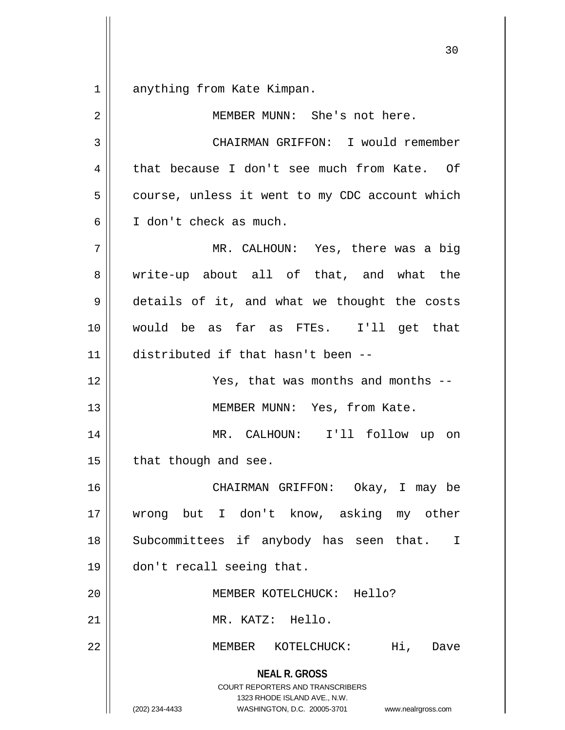1 anything from Kate Kimpan.

| $\overline{2}$ | MEMBER MUNN: She's not here.                                                                                                                                           |
|----------------|------------------------------------------------------------------------------------------------------------------------------------------------------------------------|
| 3              | CHAIRMAN GRIFFON: I would remember                                                                                                                                     |
| 4              | that because I don't see much from Kate. Of                                                                                                                            |
| 5              | course, unless it went to my CDC account which                                                                                                                         |
| 6              | I don't check as much.                                                                                                                                                 |
| 7              | MR. CALHOUN: Yes, there was a big                                                                                                                                      |
| 8              | write-up about all of that, and what the                                                                                                                               |
| 9              | details of it, and what we thought the costs                                                                                                                           |
| 10             | would be as far as FTEs. I'll get that                                                                                                                                 |
| 11             | distributed if that hasn't been --                                                                                                                                     |
| 12             | Yes, that was months and months --                                                                                                                                     |
| 13             | MEMBER MUNN: Yes, from Kate.                                                                                                                                           |
| 14             | MR. CALHOUN: I'll follow up on                                                                                                                                         |
| 15             | that though and see.                                                                                                                                                   |
| 16             | CHAIRMAN GRIFFON: Okay, I may be                                                                                                                                       |
| 17             | wrong but I don't know, asking my other                                                                                                                                |
| 18             | Subcommittees if anybody has seen that.<br>I.                                                                                                                          |
| 19             | don't recall seeing that.                                                                                                                                              |
| 20             | MEMBER KOTELCHUCK: Hello?                                                                                                                                              |
| 21             | MR. KATZ: Hello.                                                                                                                                                       |
| 22             | Hi,<br>MEMBER KOTELCHUCK:<br>Dave                                                                                                                                      |
|                | <b>NEAL R. GROSS</b><br><b>COURT REPORTERS AND TRANSCRIBERS</b><br>1323 RHODE ISLAND AVE., N.W.<br>(202) 234-4433<br>WASHINGTON, D.C. 20005-3701<br>www.nealrgross.com |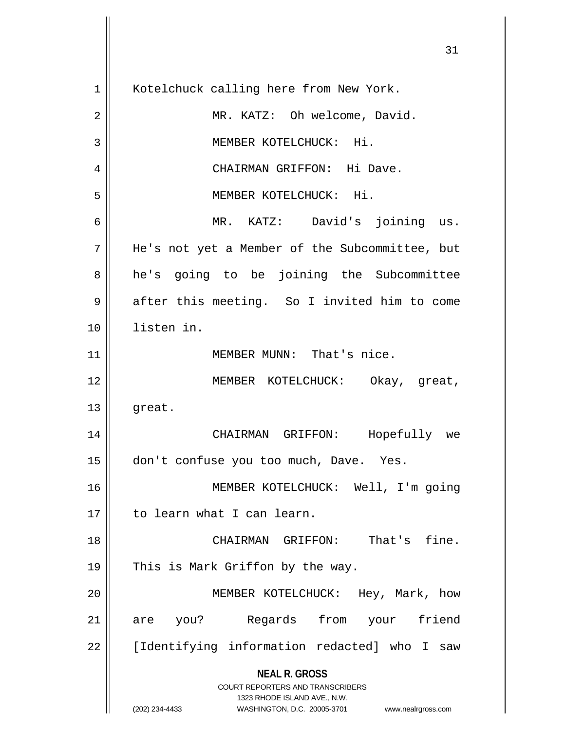**NEAL R. GROSS** COURT REPORTERS AND TRANSCRIBERS 1323 RHODE ISLAND AVE., N.W. (202) 234-4433 WASHINGTON, D.C. 20005-3701 www.nealrgross.com 1 | Kotelchuck calling here from New York. 2 || MR. KATZ: Oh welcome, David. 3 || MEMBER KOTELCHUCK: Hi. 4 CHAIRMAN GRIFFON: Hi Dave. 5 MEMBER KOTELCHUCK: Hi. 6 MR. KATZ: David's joining us. 7 He's not yet a Member of the Subcommittee, but 8 || he's going to be joining the Subcommittee 9 after this meeting. So I invited him to come 10 listen in. 11 || **MEMBER MUNN:** That's nice. 12 MEMBER KOTELCHUCK: Okay, great,  $13 \parallel$  great. 14 CHAIRMAN GRIFFON: Hopefully we 15 don't confuse you too much, Dave. Yes. 16 MEMBER KOTELCHUCK: Well, I'm going 17 to learn what I can learn. 18 CHAIRMAN GRIFFON: That's fine. 19 || This is Mark Griffon by the way. 20 MEMBER KOTELCHUCK: Hey, Mark, how 21 are you? Regards from your friend 22 [Identifying information redacted] who I saw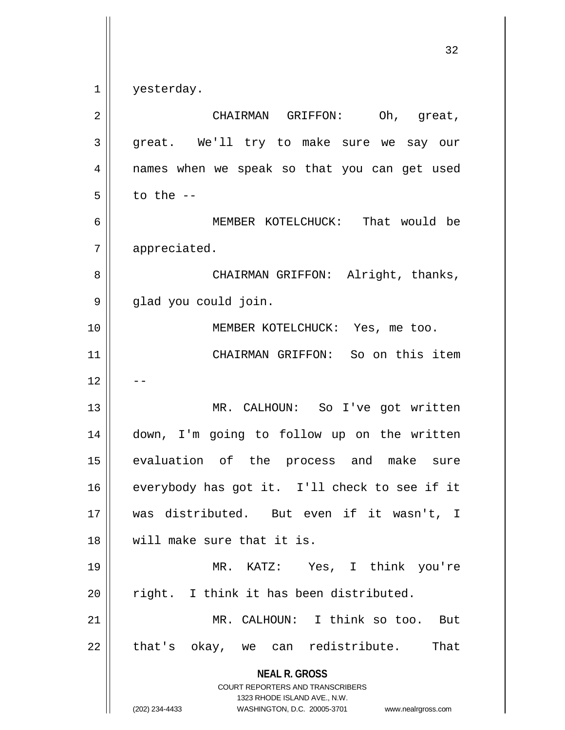$1 \parallel$  yesterday.

| $\overline{2}$ | CHAIRMAN GRIFFON:<br>Oh, great,                                                                                                                                        |
|----------------|------------------------------------------------------------------------------------------------------------------------------------------------------------------------|
| 3              | great. We'll try to make sure we say our                                                                                                                               |
| 4              | names when we speak so that you can get used                                                                                                                           |
| 5              | to the $-$                                                                                                                                                             |
| 6              | MEMBER KOTELCHUCK: That would be                                                                                                                                       |
| 7              | appreciated.                                                                                                                                                           |
| 8              | CHAIRMAN GRIFFON: Alright, thanks,                                                                                                                                     |
| 9              | glad you could join.                                                                                                                                                   |
| 10             | MEMBER KOTELCHUCK: Yes, me too.                                                                                                                                        |
| 11             | CHAIRMAN GRIFFON: So on this item                                                                                                                                      |
| 12             |                                                                                                                                                                        |
| 13             | MR. CALHOUN: So I've got written                                                                                                                                       |
| 14             | down, I'm going to follow up on the written                                                                                                                            |
| 15             | evaluation of the process and make sure                                                                                                                                |
| 16             | everybody has got it. I'll check to see if it                                                                                                                          |
| 17             | was distributed. But even if it wasn't, I                                                                                                                              |
| 18             | will make sure that it is.                                                                                                                                             |
| 19             | MR. KATZ: Yes, I think you're                                                                                                                                          |
| 20             | right. I think it has been distributed.                                                                                                                                |
| 21             | MR. CALHOUN: I think so too.<br>But                                                                                                                                    |
| 22             | that's okay, we can redistribute.<br>That                                                                                                                              |
|                | <b>NEAL R. GROSS</b><br><b>COURT REPORTERS AND TRANSCRIBERS</b><br>1323 RHODE ISLAND AVE., N.W.<br>(202) 234-4433<br>WASHINGTON, D.C. 20005-3701<br>www.nealrgross.com |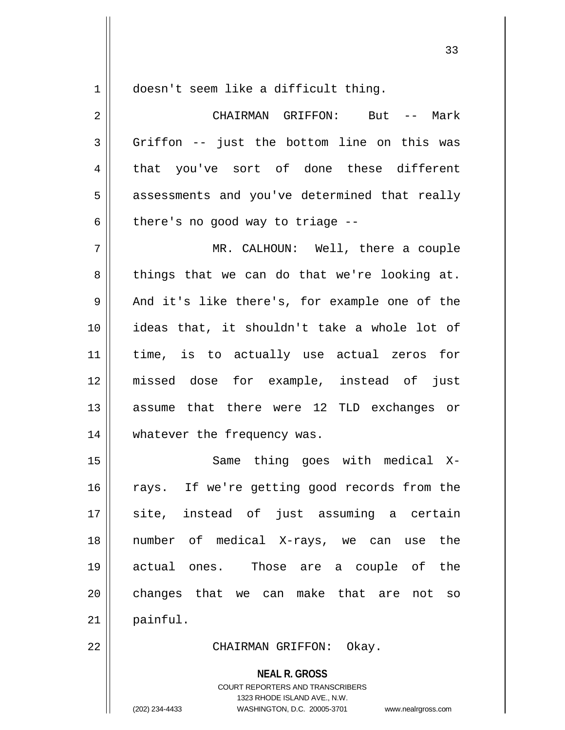1 doesn't seem like a difficult thing.

2 CHAIRMAN GRIFFON: But -- Mark  $3 \parallel$  Griffon -- just the bottom line on this was 4 || that you've sort of done these different 5 || assessments and you've determined that really  $6 \parallel$  there's no good way to triage --7 MR. CALHOUN: Well, there a couple  $8 \parallel$  things that we can do that we're looking at.  $9 \parallel$  And it's like there's, for example one of the 10 ideas that, it shouldn't take a whole lot of 11 time, is to actually use actual zeros for 12 missed dose for example, instead of just 13 assume that there were 12 TLD exchanges or 14 whatever the frequency was. 15 || Same thing goes with medical X-16 || rays. If we're getting good records from the 17 site, instead of just assuming a certain 18 number of medical X-rays, we can use the 19 actual ones. Those are a couple of the 20 || changes that we can make that are not so  $21$  painful. 22 CHAIRMAN GRIFFON: Okay.

> **NEAL R. GROSS** COURT REPORTERS AND TRANSCRIBERS 1323 RHODE ISLAND AVE., N.W. (202) 234-4433 WASHINGTON, D.C. 20005-3701 www.nealrgross.com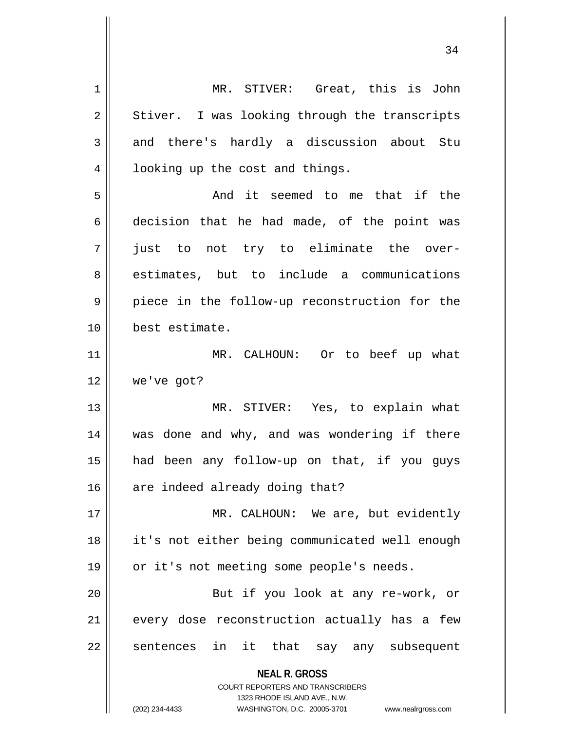**NEAL R. GROSS** COURT REPORTERS AND TRANSCRIBERS 1323 RHODE ISLAND AVE., N.W. (202) 234-4433 WASHINGTON, D.C. 20005-3701 www.nealrgross.com 1 MR. STIVER: Great, this is John  $2 \parallel$  Stiver. I was looking through the transcripts  $3 \parallel$  and there's hardly a discussion about Stu 4 || looking up the cost and things. 5 And it seemed to me that if the  $6 \parallel$  decision that he had made, of the point was 7 just to not try to eliminate the over-8 estimates, but to include a communications 9 || piece in the follow-up reconstruction for the 10 best estimate. 11 || MR. CALHOUN: Or to beef up what 12 we've got? 13 || MR. STIVER: Yes, to explain what 14 || was done and why, and was wondering if there 15 had been any follow-up on that, if you guys  $16$  are indeed already doing that? 17 || MR. CALHOUN: We are, but evidently 18 || it's not either being communicated well enough 19 || or it's not meeting some people's needs. 20 || But if you look at any re-work, or 21 || every dose reconstruction actually has a few 22 || sentences in it that say any subsequent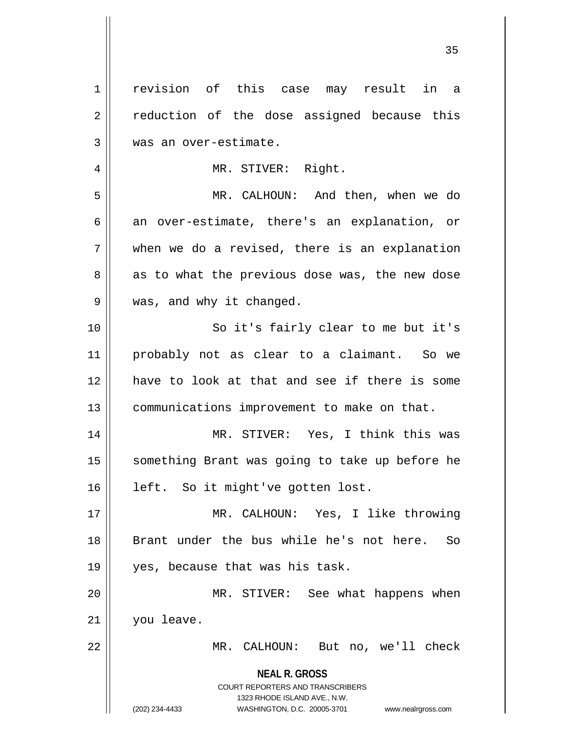| 1  | revision of this case may result in a                               |
|----|---------------------------------------------------------------------|
| 2  | reduction of the dose assigned because this                         |
| 3  | was an over-estimate.                                               |
| 4  | MR. STIVER: Right.                                                  |
| 5  | MR. CALHOUN: And then, when we do                                   |
| 6  | an over-estimate, there's an explanation, or                        |
| 7  | when we do a revised, there is an explanation                       |
| 8  | as to what the previous dose was, the new dose                      |
| 9  | was, and why it changed.                                            |
| 10 | So it's fairly clear to me but it's                                 |
| 11 | probably not as clear to a claimant. So we                          |
| 12 | have to look at that and see if there is some                       |
| 13 | communications improvement to make on that.                         |
| 14 | MR. STIVER: Yes, I think this was                                   |
| 15 | something Brant was going to take up before he                      |
| 16 | left. So it might've gotten lost.                                   |
| 17 | MR. CALHOUN: Yes, I like throwing                                   |
|    | Brant under the bus while he's not here.                            |
| 18 | So                                                                  |
| 19 | yes, because that was his task.                                     |
| 20 | MR. STIVER: See what happens when                                   |
| 21 | you leave.                                                          |
| 22 | MR. CALHOUN: But no, we'll check                                    |
|    | <b>NEAL R. GROSS</b>                                                |
|    | <b>COURT REPORTERS AND TRANSCRIBERS</b>                             |
|    | 1323 RHODE ISLAND AVE., N.W.                                        |
|    | (202) 234-4433<br>WASHINGTON, D.C. 20005-3701<br>www.nealrgross.com |

 $\overline{\mathsf{I}}$ 

 $\mathsf{I}$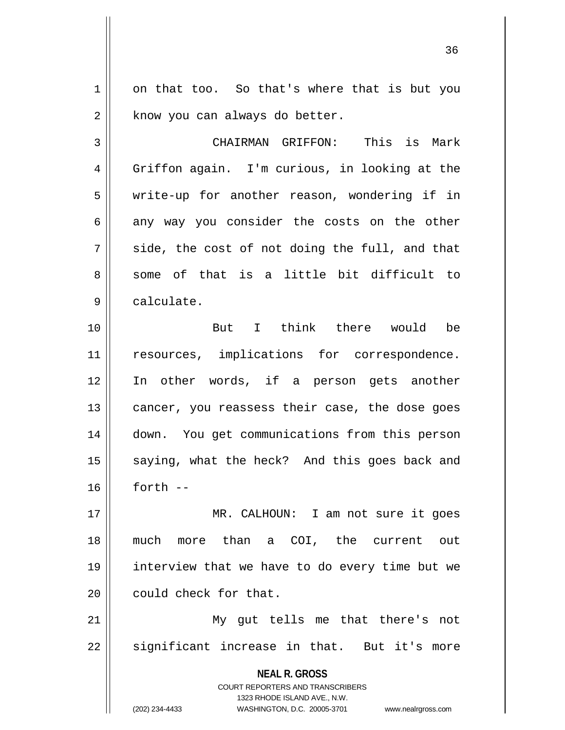1 on that too. So that's where that is but you  $2 \parallel$  know you can always do better.

3 CHAIRMAN GRIFFON: This is Mark 4 Griffon again. I'm curious, in looking at the 5 write-up for another reason, wondering if in  $6 \parallel$  any way you consider the costs on the other  $7 \parallel$  side, the cost of not doing the full, and that  $8 \parallel$  some of that is a little bit difficult to 9 | calculate.

10 But I think there would be 11 || resources, implications for correspondence. 12 In other words, if a person gets another  $13$  cancer, you reassess their case, the dose goes 14 | down. You get communications from this person 15  $\parallel$  saying, what the heck? And this goes back and  $16$  forth  $-$ 

 MR. CALHOUN: I am not sure it goes much more than a COI, the current out interview that we have to do every time but we **could** check for that.

21 My gut tells me that there's not 22 || significant increase in that. But it's more

> **NEAL R. GROSS** COURT REPORTERS AND TRANSCRIBERS 1323 RHODE ISLAND AVE., N.W.

(202) 234-4433 WASHINGTON, D.C. 20005-3701 www.nealrgross.com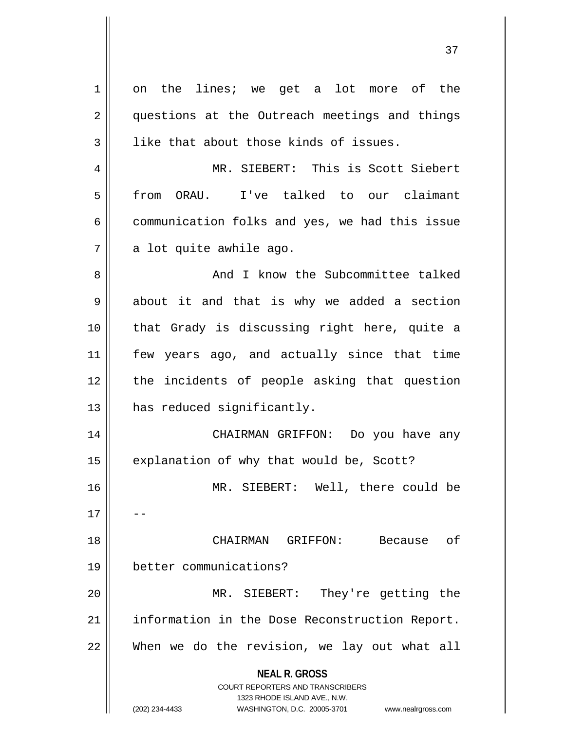| 1  | on the lines; we get a lot more of the                                                              |
|----|-----------------------------------------------------------------------------------------------------|
| 2  | questions at the Outreach meetings and things                                                       |
| 3  | like that about those kinds of issues.                                                              |
| 4  | MR. SIEBERT: This is Scott Siebert                                                                  |
| 5  | I've talked to our claimant<br>from<br>ORAU.                                                        |
| 6  | communication folks and yes, we had this issue                                                      |
| 7  | a lot quite awhile ago.                                                                             |
| 8  | And I know the Subcommittee talked                                                                  |
| 9  | about it and that is why we added a section                                                         |
| 10 | that Grady is discussing right here, quite a                                                        |
| 11 | few years ago, and actually since that time                                                         |
| 12 | the incidents of people asking that question                                                        |
| 13 | has reduced significantly.                                                                          |
| 14 | CHAIRMAN GRIFFON: Do you have any                                                                   |
| 15 | explanation of why that would be, Scott?                                                            |
| 16 | MR. SIEBERT:<br>Well, there could be                                                                |
| 17 |                                                                                                     |
| 18 | CHAIRMAN<br>оf<br>GRIFFON:<br>Because                                                               |
| 19 | better communications?                                                                              |
| 20 | MR. SIEBERT:<br>They're getting the                                                                 |
| 21 | information in the Dose Reconstruction Report.                                                      |
| 22 | When we do the revision, we lay out what all                                                        |
|    |                                                                                                     |
|    | <b>NEAL R. GROSS</b>                                                                                |
|    | <b>COURT REPORTERS AND TRANSCRIBERS</b>                                                             |
|    | 1323 RHODE ISLAND AVE., N.W.<br>(202) 234-4433<br>WASHINGTON, D.C. 20005-3701<br>www.nealrgross.com |
|    |                                                                                                     |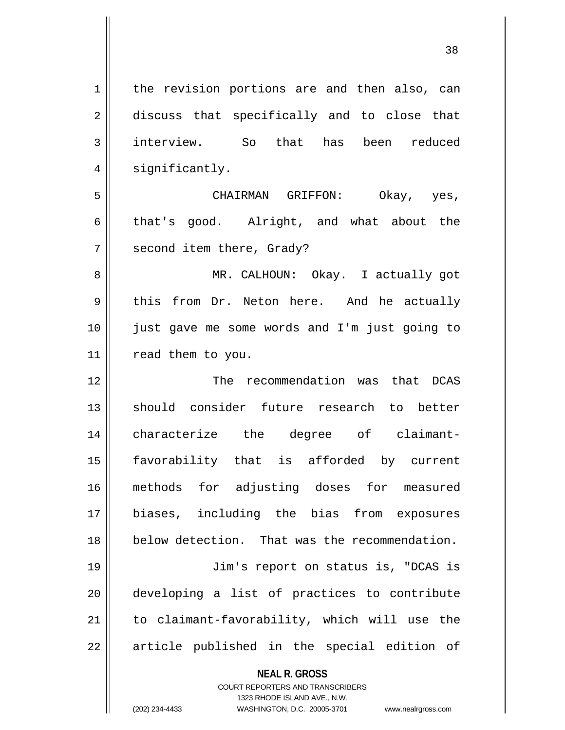1 || the revision portions are and then also, can 2 discuss that specifically and to close that interview. So that has been reduced 4 | significantly. CHAIRMAN GRIFFON: Okay, yes,  $6 \parallel$  that's good. Alright, and what about the 7 | second item there, Grady? MR. CALHOUN: Okay. I actually got 9 this from Dr. Neton here. And he actually just gave me some words and I'm just going to 11 | read them to you. The recommendation was that DCAS 13 Should consider future research to better characterize the degree of claimant- favorability that is afforded by current methods for adjusting doses for measured biases, including the bias from exposures below detection. That was the recommendation. Jim's report on status is, "DCAS is developing a list of practices to contribute to claimant-favorability, which will use the || article published in the special edition of

> **NEAL R. GROSS** COURT REPORTERS AND TRANSCRIBERS 1323 RHODE ISLAND AVE., N.W.

(202) 234-4433 WASHINGTON, D.C. 20005-3701 www.nealrgross.com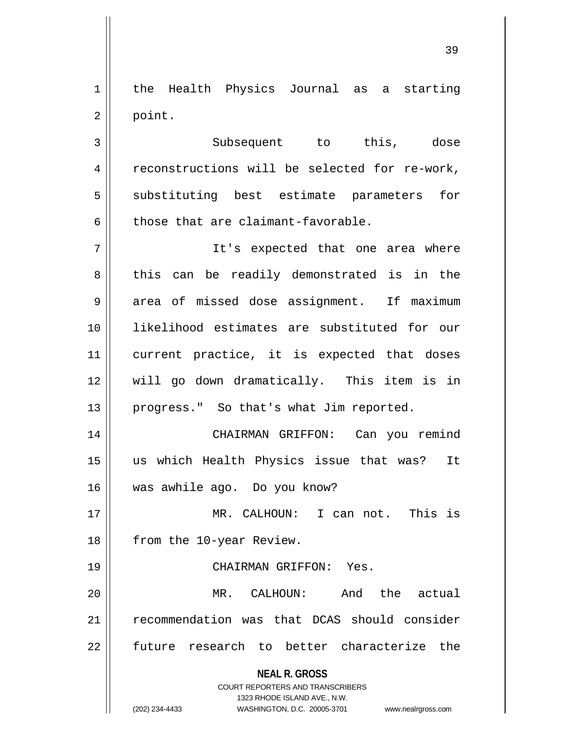1 || the Health Physics Journal as a starting  $2 \parallel$  point.

3 || Subsequent to this, dose 4 | reconstructions will be selected for re-work, 5 || substituting best estimate parameters for  $6 \parallel$  those that are claimant-favorable.

7 It's expected that one area where 8 || this can be readily demonstrated is in the 9 area of missed dose assignment. If maximum 10 likelihood estimates are substituted for our 11 current practice, it is expected that doses 12 will go down dramatically. This item is in 13 || progress." So that's what Jim reported.

14 CHAIRMAN GRIFFON: Can you remind 15 us which Health Physics issue that was? It 16 was awhile ago. Do you know?

17 MR. CALHOUN: I can not. This is 18 | from the 10-year Review.

19 CHAIRMAN GRIFFON: Yes.

20 MR. CALHOUN: And the actual 21 | recommendation was that DCAS should consider 22 || future research to better characterize the

**NEAL R. GROSS**

COURT REPORTERS AND TRANSCRIBERS 1323 RHODE ISLAND AVE., N.W. (202) 234-4433 WASHINGTON, D.C. 20005-3701 www.nealrgross.com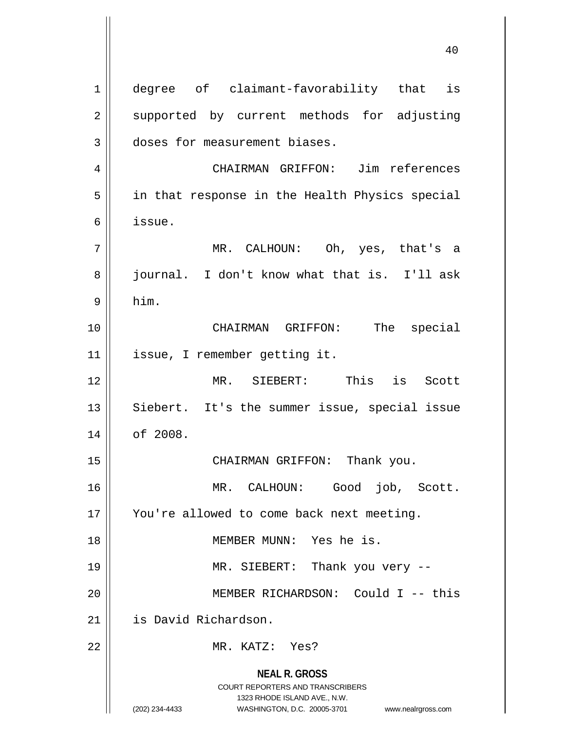**NEAL R. GROSS** COURT REPORTERS AND TRANSCRIBERS 1323 RHODE ISLAND AVE., N.W. (202) 234-4433 WASHINGTON, D.C. 20005-3701 www.nealrgross.com 1 || degree of claimant-favorability that is 2 supported by current methods for adjusting 3 doses for measurement biases. 4 CHAIRMAN GRIFFON: Jim references 5 || in that response in the Health Physics special 6 issue. 7 MR. CALHOUN: Oh, yes, that's a 8 || journal. I don't know what that is. I'll ask  $9 \parallel$  him. 10 CHAIRMAN GRIFFON: The special 11 issue, I remember getting it. 12 MR. SIEBERT: This is Scott  $13$  || Siebert. It's the summer issue, special issue 14 | of 2008. 15 || CHAIRMAN GRIFFON: Thank you. 16 MR. CALHOUN: Good job, Scott. 17 || You're allowed to come back next meeting. 18 || MEMBER MUNN: Yes he is. 19 MR. SIEBERT: Thank you very -- 20 MEMBER RICHARDSON: Could I -- this 21 | is David Richardson. 22 MR. KATZ: Yes?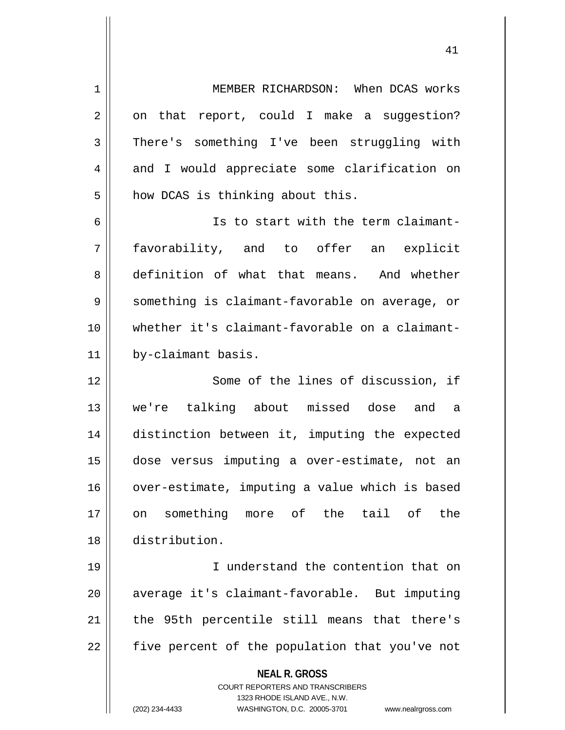**NEAL R. GROSS** COURT REPORTERS AND TRANSCRIBERS 1323 RHODE ISLAND AVE., N.W. (202) 234-4433 WASHINGTON, D.C. 20005-3701 www.nealrgross.com 1 MEMBER RICHARDSON: When DCAS works  $2 \parallel$  on that report, could I make a suggestion? 3 There's something I've been struggling with 4 and I would appreciate some clarification on  $5$  how DCAS is thinking about this. 6 || Is to start with the term claimant-7 favorability, and to offer an explicit 8 definition of what that means. And whether 9 || something is claimant-favorable on average, or 10 whether it's claimant-favorable on a claimant-11 by-claimant basis. 12 || Some of the lines of discussion, if 13 we're talking about missed dose and a 14 distinction between it, imputing the expected 15 dose versus imputing a over-estimate, not an 16 | over-estimate, imputing a value which is based 17 on something more of the tail of the 18 distribution. 19 I understand the contention that on 20 average it's claimant-favorable. But imputing  $21$  | the 95th percentile still means that there's  $22$  | five percent of the population that you've not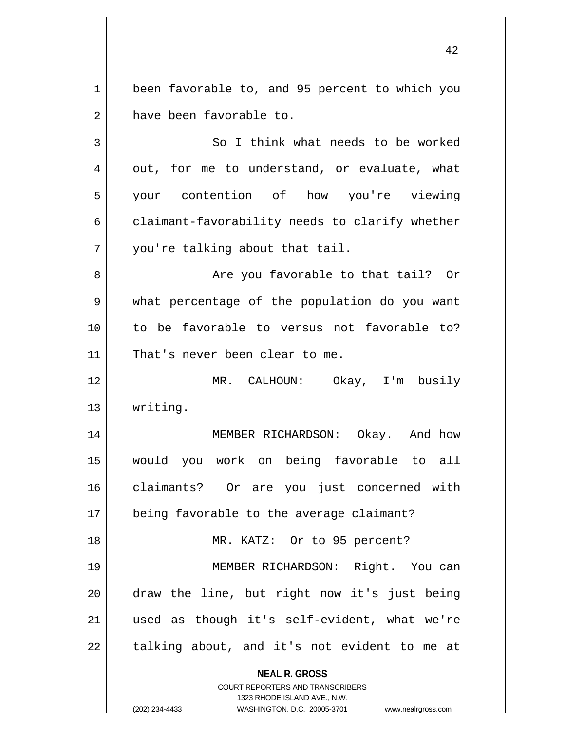**NEAL R. GROSS** COURT REPORTERS AND TRANSCRIBERS 1323 RHODE ISLAND AVE., N.W. (202) 234-4433 WASHINGTON, D.C. 20005-3701 www.nealrgross.com 1 | been favorable to, and 95 percent to which you 2 have been favorable to. 3 || So I think what needs to be worked  $4 \parallel$  out, for me to understand, or evaluate, what 5 your contention of how you're viewing  $6 \parallel$  claimant-favorability needs to clarify whether  $7$  | you're talking about that tail. 8 Are you favorable to that tail? Or 9 what percentage of the population do you want 10 to be favorable to versus not favorable to? 11 || That's never been clear to me. 12 MR. CALHOUN: Okay, I'm busily 13 writing. 14 || MEMBER RICHARDSON: Okay. And how 15 would you work on being favorable to all 16 claimants? Or are you just concerned with 17 || being favorable to the average claimant? 18 || MR. KATZ: Or to 95 percent? 19 MEMBER RICHARDSON: Right. You can 20 draw the line, but right now it's just being 21 used as though it's self-evident, what we're  $22$  || talking about, and it's not evident to me at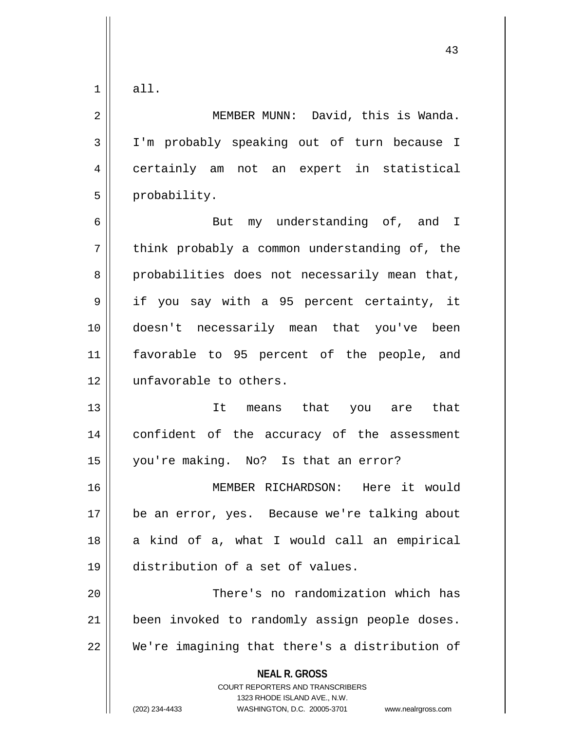$1 \parallel$  all.

**NEAL R. GROSS** COURT REPORTERS AND TRANSCRIBERS 1323 RHODE ISLAND AVE., N.W. 2 MEMBER MUNN: David, this is Wanda. 3 I'm probably speaking out of turn because I 4 certainly am not an expert in statistical  $5 \parallel$  probability. 6 But my understanding of, and I  $7 \parallel$  think probably a common understanding of, the  $8 \parallel$  probabilities does not necessarily mean that, 9 || if you say with a 95 percent certainty, it 10 doesn't necessarily mean that you've been 11 favorable to 95 percent of the people, and 12 unfavorable to others. 13 It means that you are that 14 confident of the accuracy of the assessment 15 you're making. No? Is that an error? 16 MEMBER RICHARDSON: Here it would 17 || be an error, yes. Because we're talking about  $18$  a kind of a, what I would call an empirical 19 distribution of a set of values. 20 There's no randomization which has 21 | been invoked to randomly assign people doses. 22 || We're imagining that there's a distribution of

(202) 234-4433 WASHINGTON, D.C. 20005-3701 www.nealrgross.com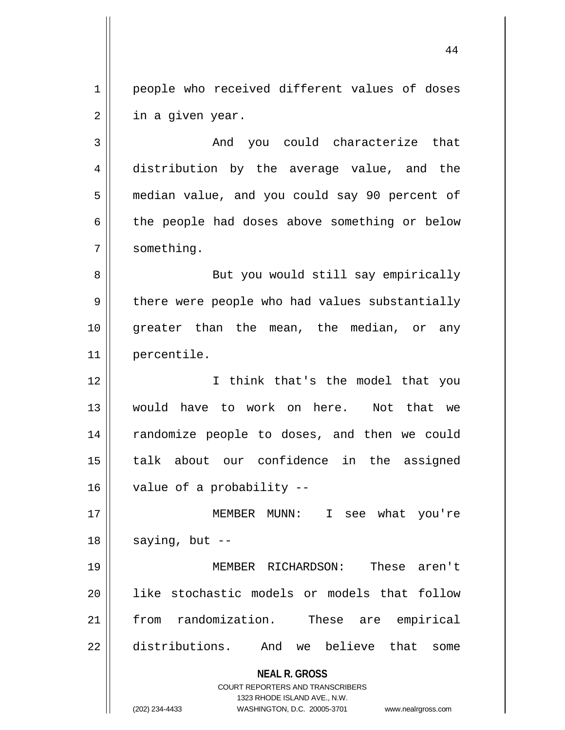1 || people who received different values of doses  $2 \parallel$  in a given year.

3 || The Mondal you could characterize that 4 distribution by the average value, and the 5 median value, and you could say 90 percent of  $6 \parallel$  the people had doses above something or below 7 | something.

8 || But you would still say empirically  $9 \parallel$  there were people who had values substantially 10 || greater than the mean, the median, or any 11 percentile.

 I think that's the model that you would have to work on here. Not that we 14 || randomize people to doses, and then we could talk about our confidence in the assigned | value of a probability --

17 MEMBER MUNN: I see what you're  $18$  | saying, but  $-$ 

 MEMBER RICHARDSON: These aren't like stochastic models or models that follow from randomization. These are empirical 22 distributions. And we believe that some

> **NEAL R. GROSS** COURT REPORTERS AND TRANSCRIBERS 1323 RHODE ISLAND AVE., N.W.

(202) 234-4433 WASHINGTON, D.C. 20005-3701 www.nealrgross.com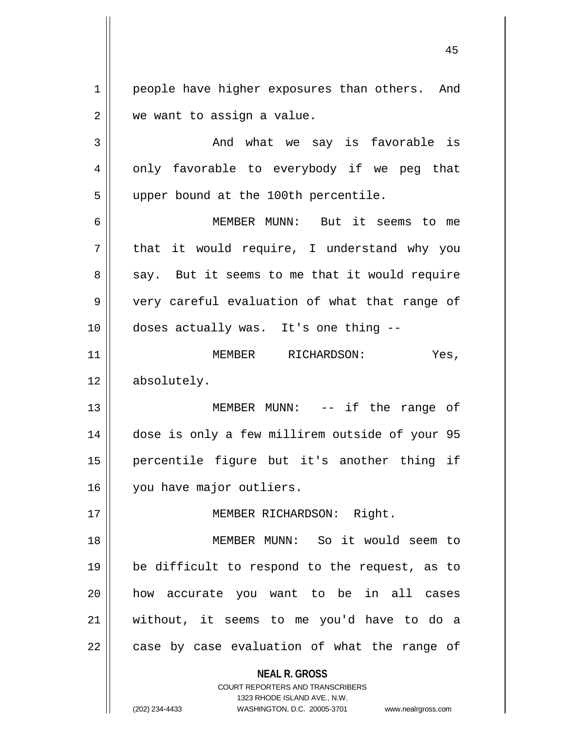1 | people have higher exposures than others. And  $2 \parallel$  we want to assign a value.

 $3 \parallel$  and what we say is favorable is 4 || only favorable to everybody if we peg that 5 || upper bound at the 100th percentile.

6 MEMBER MUNN: But it seems to me  $7 \parallel$  that it would require, I understand why you  $8 \parallel$  say. But it seems to me that it would require 9 || very careful evaluation of what that range of 10 doses actually was. It's one thing --

11 MEMBER RICHARDSON: Yes, 12 | absolutely.

 MEMBER MUNN: -- if the range of dose is only a few millirem outside of your 95 percentile figure but it's another thing if 16 | vou have major outliers.

17 || MEMBER RICHARDSON: Right.

 MEMBER MUNN: So it would seem to be difficult to respond to the request, as to 20 || how accurate you want to be in all cases without, it seems to me you'd have to do a || case by case evaluation of what the range of

**NEAL R. GROSS**

COURT REPORTERS AND TRANSCRIBERS 1323 RHODE ISLAND AVE., N.W. (202) 234-4433 WASHINGTON, D.C. 20005-3701 www.nealrgross.com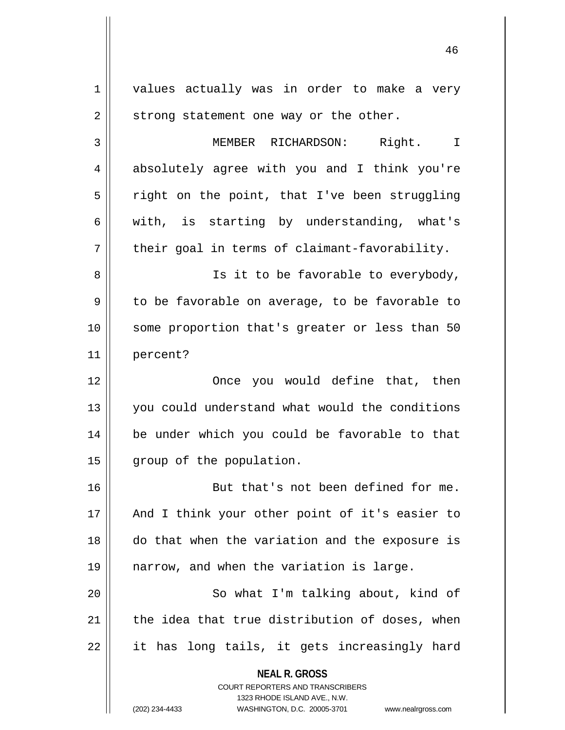**NEAL R. GROSS** COURT REPORTERS AND TRANSCRIBERS 1323 RHODE ISLAND AVE., N.W. 1 | values actually was in order to make a very  $2 \parallel$  strong statement one way or the other. 3 MEMBER RICHARDSON: Right. I 4 absolutely agree with you and I think you're  $5 \parallel$  right on the point, that I've been struggling  $6 \parallel$  with, is starting by understanding, what's  $7 \parallel$  their goal in terms of claimant-favorability. 8 || Is it to be favorable to everybody,  $9 \parallel$  to be favorable on average, to be favorable to 10 some proportion that's greater or less than 50 11 percent? 12 Once you would define that, then 13 || you could understand what would the conditions 14 be under which you could be favorable to that 15 | group of the population. 16 But that's not been defined for me. 17 || And I think your other point of it's easier to 18 do that when the variation and the exposure is 19 narrow, and when the variation is large. 20 || So what I'm talking about, kind of  $21$  | the idea that true distribution of doses, when  $22 \parallel$  it has long tails, it gets increasingly hard

(202) 234-4433 WASHINGTON, D.C. 20005-3701 www.nealrgross.com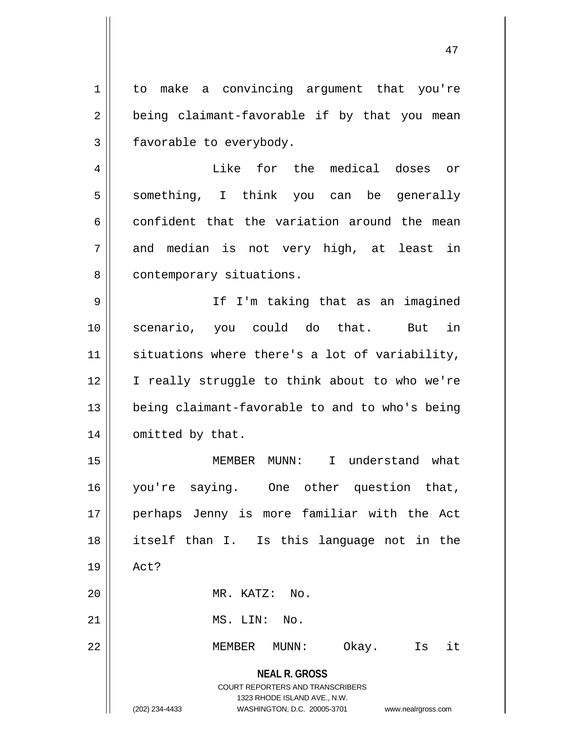**NEAL R. GROSS** COURT REPORTERS AND TRANSCRIBERS 1323 RHODE ISLAND AVE., N.W. (202) 234-4433 WASHINGTON, D.C. 20005-3701 www.nealrgross.com 1 | to make a convincing argument that you're  $2 \parallel$  being claimant-favorable if by that you mean  $3 \parallel$  favorable to everybody. 4 Like for the medical doses or 5 || something, I think you can be generally  $6 \parallel$  confident that the variation around the mean  $7$  and median is not very high, at least in 8 | contemporary situations. 9 If I'm taking that as an imagined 10 scenario, you could do that. But in 11 || situations where there's a lot of variability, 12 || I really struggle to think about to who we're 13 || being claimant-favorable to and to who's being 14 | omitted by that. 15 MEMBER MUNN: I understand what 16 || you're saying. One other question that, 17 perhaps Jenny is more familiar with the Act 18 itself than I. Is this language not in the 19 Act? 20 MR. KATZ: No.  $21$   $\parallel$   $MS.$   $LIN:$   $NO.$ 22 MEMBER MUNN: Okay. Is it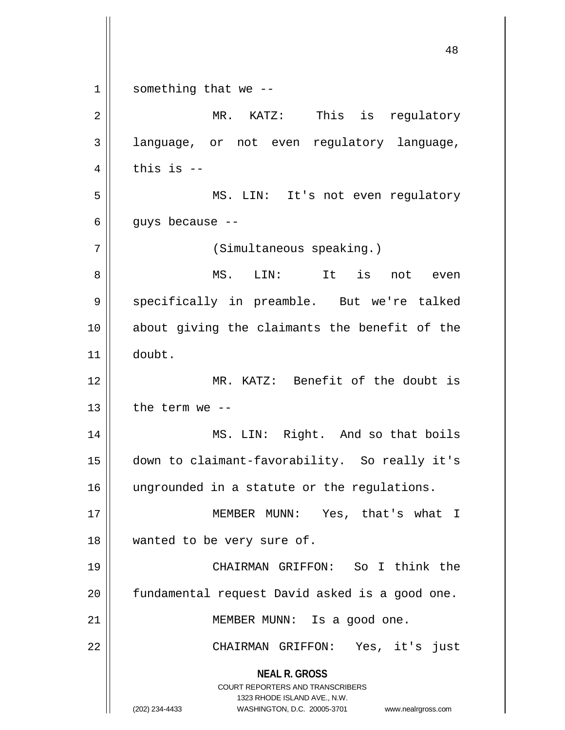**NEAL R. GROSS** COURT REPORTERS AND TRANSCRIBERS 1323 RHODE ISLAND AVE., N.W. (202) 234-4433 WASHINGTON, D.C. 20005-3701 www.nealrgross.com  $1 \parallel$  something that we --2 MR. KATZ: This is regulatory 3 || language, or not even regulatory language,  $4 \parallel$  this is --5 MS. LIN: It's not even regulatory  $6 \parallel$  guys because --7 || (Simultaneous speaking.) 8 MS. LIN: It is not even 9 || specifically in preamble. But we're talked 10 about giving the claimants the benefit of the 11 doubt. 12 MR. KATZ: Benefit of the doubt is  $13$  | the term we --14 || MS. LIN: Right. And so that boils 15 down to claimant-favorability. So really it's 16 || ungrounded in a statute or the regulations. 17 || MEMBER MUNN: Yes, that's what I 18 || wanted to be very sure of. 19 CHAIRMAN GRIFFON: So I think the 20 | fundamental request David asked is a good one. 21 | MEMBER MUNN: Is a good one. 22 || CHAIRMAN GRIFFON: Yes, it's just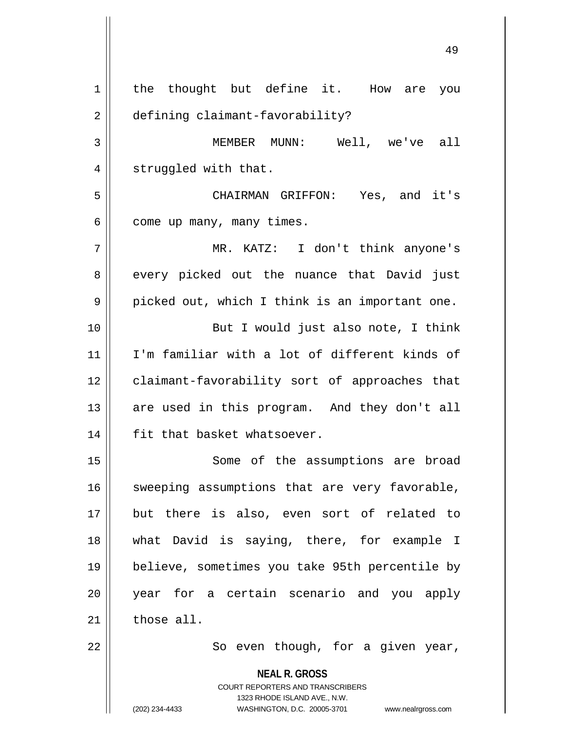**NEAL R. GROSS** COURT REPORTERS AND TRANSCRIBERS 1323 RHODE ISLAND AVE., N.W. 1 | the thought but define it. How are you 2 defining claimant-favorability? 3 MEMBER MUNN: Well, we've all 4 || struggled with that. 5 CHAIRMAN GRIFFON: Yes, and it's  $6 \parallel$  come up many, many times. 7 MR. KATZ: I don't think anyone's 8 every picked out the nuance that David just  $9 \parallel$  picked out, which I think is an important one. 10 || But I would just also note, I think 11 I'm familiar with a lot of different kinds of 12 claimant-favorability sort of approaches that 13 || are used in this program. And they don't all 14 || fit that basket whatsoever. 15 || Some of the assumptions are broad  $16$  sweeping assumptions that are very favorable, 17 but there is also, even sort of related to 18 what David is saying, there, for example I 19 believe, sometimes you take 95th percentile by 20 year for a certain scenario and you apply  $21$  those all.  $22$  ||  $\sim$  So even though, for a given year,

(202) 234-4433 WASHINGTON, D.C. 20005-3701 www.nealrgross.com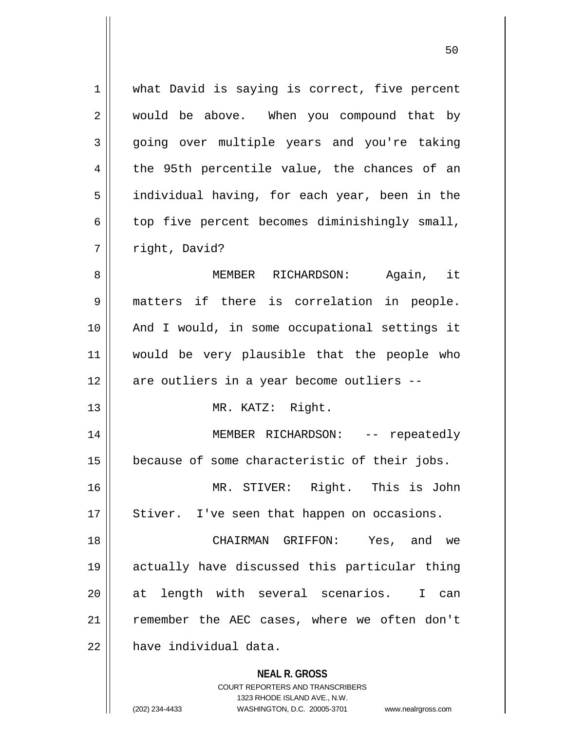| 1  | what David is saying is correct, five percent                                                       |
|----|-----------------------------------------------------------------------------------------------------|
| 2  | would be above. When you compound that by                                                           |
| 3  | going over multiple years and you're taking                                                         |
| 4  | the 95th percentile value, the chances of an                                                        |
| 5  | individual having, for each year, been in the                                                       |
| 6  | top five percent becomes diminishingly small,                                                       |
| 7  | right, David?                                                                                       |
| 8  | MEMBER RICHARDSON: Again, it                                                                        |
| 9  | matters if there is correlation in people.                                                          |
| 10 | And I would, in some occupational settings it                                                       |
| 11 | would be very plausible that the people who                                                         |
| 12 | are outliers in a year become outliers --                                                           |
| 13 | MR. KATZ: Right.                                                                                    |
| 14 | MEMBER RICHARDSON: -- repeatedly                                                                    |
| 15 | because of some characteristic of their jobs.                                                       |
| 16 | MR. STIVER: Right. This is John                                                                     |
| 17 | Stiver. I've seen that happen on occasions.                                                         |
| 18 | CHAIRMAN GRIFFON: Yes, and we                                                                       |
| 19 | actually have discussed this particular thing                                                       |
| 20 | at length with several scenarios. I can                                                             |
| 21 | remember the AEC cases, where we often don't                                                        |
| 22 | have individual data.                                                                               |
|    | <b>NEAL R. GROSS</b>                                                                                |
|    | <b>COURT REPORTERS AND TRANSCRIBERS</b>                                                             |
|    | 1323 RHODE ISLAND AVE., N.W.<br>(202) 234-4433<br>WASHINGTON, D.C. 20005-3701<br>www.nealrgross.com |
|    |                                                                                                     |

<sup>(202) 234-4433</sup> WASHINGTON, D.C. 20005-3701 www.nealrgross.com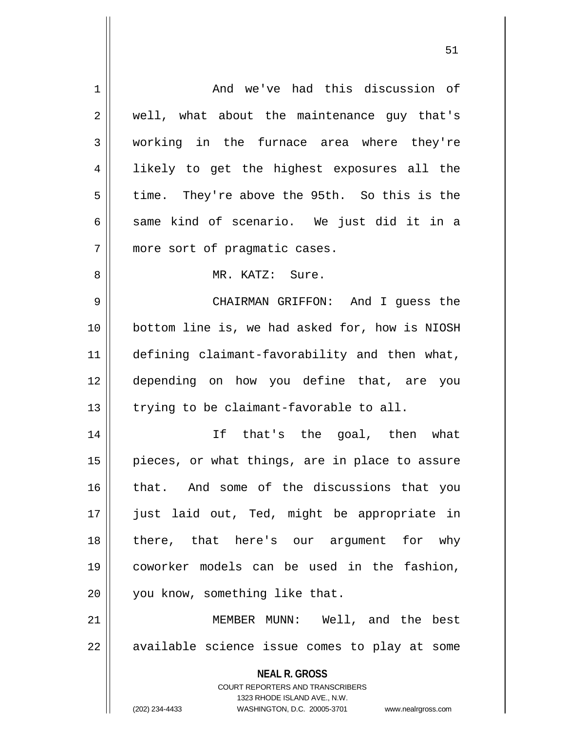| $\mathbf 1$ | And we've had this discussion of                                                                    |
|-------------|-----------------------------------------------------------------------------------------------------|
| 2           | well, what about the maintenance guy that's                                                         |
| 3           | working in the furnace area where they're                                                           |
| 4           | likely to get the highest exposures all the                                                         |
| 5           | time. They're above the 95th. So this is the                                                        |
| 6           | same kind of scenario. We just did it in a                                                          |
| 7           | more sort of pragmatic cases.                                                                       |
| 8           | MR. KATZ: Sure.                                                                                     |
| 9           | CHAIRMAN GRIFFON: And I quess the                                                                   |
| 10          | bottom line is, we had asked for, how is NIOSH                                                      |
| 11          | defining claimant-favorability and then what,                                                       |
| 12          | depending on how you define that, are you                                                           |
| 13          | trying to be claimant-favorable to all.                                                             |
| 14          | If that's the goal, then what                                                                       |
| 15          | pieces, or what things, are in place to assure                                                      |
| 16          | that. And some of the discussions that you                                                          |
| 17          | just laid out, Ted, might be appropriate in                                                         |
| 18          | there, that here's our argument for why                                                             |
| 19          | coworker models can be used in the fashion,                                                         |
| 20          | you know, something like that.                                                                      |
| 21          | MEMBER MUNN: Well, and the best                                                                     |
| 22          | available science issue comes to play at some                                                       |
|             | <b>NEAL R. GROSS</b>                                                                                |
|             | <b>COURT REPORTERS AND TRANSCRIBERS</b>                                                             |
|             | 1323 RHODE ISLAND AVE., N.W.<br>(202) 234-4433<br>WASHINGTON, D.C. 20005-3701<br>www.nealrgross.com |
|             |                                                                                                     |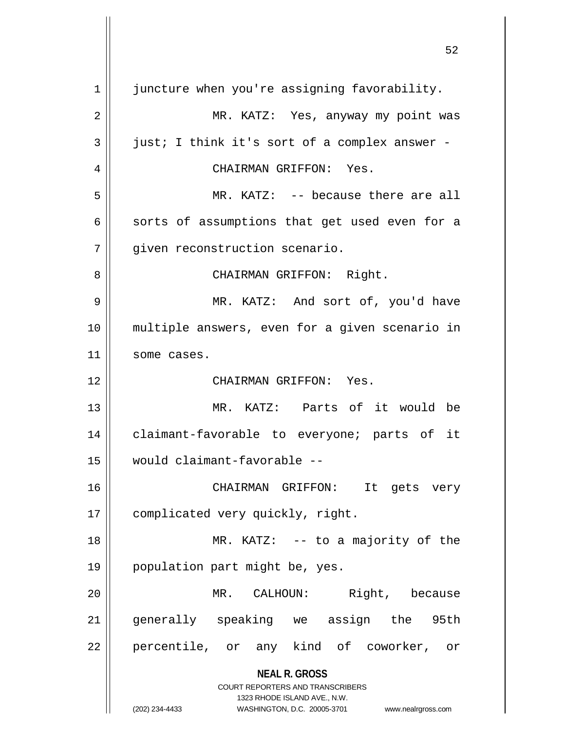**NEAL R. GROSS** COURT REPORTERS AND TRANSCRIBERS 1323 RHODE ISLAND AVE., N.W. (202) 234-4433 WASHINGTON, D.C. 20005-3701 www.nealrgross.com 52 1 juncture when you're assigning favorability. 2 MR. KATZ: Yes, anyway my point was  $3 \parallel$  just; I think it's sort of a complex answer -4 CHAIRMAN GRIFFON: Yes. 5 MR. KATZ: -- because there are all  $6 \parallel$  sorts of assumptions that get used even for a 7 | | qiven reconstruction scenario. 8 CHAIRMAN GRIFFON: Right. 9 MR. KATZ: And sort of, you'd have 10 multiple answers, even for a given scenario in 11 | some cases. 12 CHAIRMAN GRIFFON: Yes. 13 MR. KATZ: Parts of it would be 14 || claimant-favorable to everyone; parts of it 15 would claimant-favorable -- 16 CHAIRMAN GRIFFON: It gets very 17 | complicated very quickly, right. 18 || MR. KATZ: -- to a majority of the 19 || population part might be, yes. 20 MR. CALHOUN: Right, because 21 generally speaking we assign the 95th 22 || percentile, or any kind of coworker, or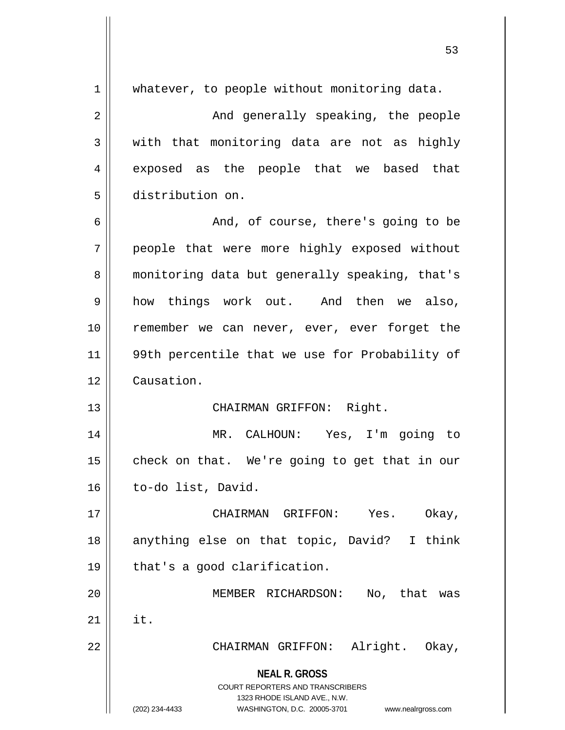|    | 53                                                                                                                                                              |
|----|-----------------------------------------------------------------------------------------------------------------------------------------------------------------|
| 1  | whatever, to people without monitoring data.                                                                                                                    |
| 2  | And generally speaking, the people                                                                                                                              |
| 3  | with that monitoring data are not as highly                                                                                                                     |
| 4  | exposed as the people that we based that                                                                                                                        |
| 5  | distribution on.                                                                                                                                                |
| 6  | And, of course, there's going to be                                                                                                                             |
| 7  | people that were more highly exposed without                                                                                                                    |
| 8  | monitoring data but generally speaking, that's                                                                                                                  |
| 9  | how things work out. And then we also,                                                                                                                          |
| 10 | remember we can never, ever, ever forget the                                                                                                                    |
| 11 | 99th percentile that we use for Probability of                                                                                                                  |
| 12 | Causation.                                                                                                                                                      |
| 13 | CHAIRMAN GRIFFON: Right.                                                                                                                                        |
| 14 | MR. CALHOUN: Yes, I'm going to                                                                                                                                  |
| 15 | check on that. We're going to get that in our                                                                                                                   |
| 16 | to-do list, David.                                                                                                                                              |
| 17 | CHAIRMAN GRIFFON: Yes.<br>Okay,                                                                                                                                 |
| 18 | anything else on that topic, David? I think                                                                                                                     |
| 19 | that's a good clarification.                                                                                                                                    |
| 20 | MEMBER RICHARDSON:<br>No, that was                                                                                                                              |
| 21 | it.                                                                                                                                                             |
| 22 | Alright. Okay,<br>CHAIRMAN GRIFFON:                                                                                                                             |
|    | <b>NEAL R. GROSS</b><br>COURT REPORTERS AND TRANSCRIBERS<br>1323 RHODE ISLAND AVE., N.W.<br>(202) 234-4433<br>WASHINGTON, D.C. 20005-3701<br>www.nealrgross.com |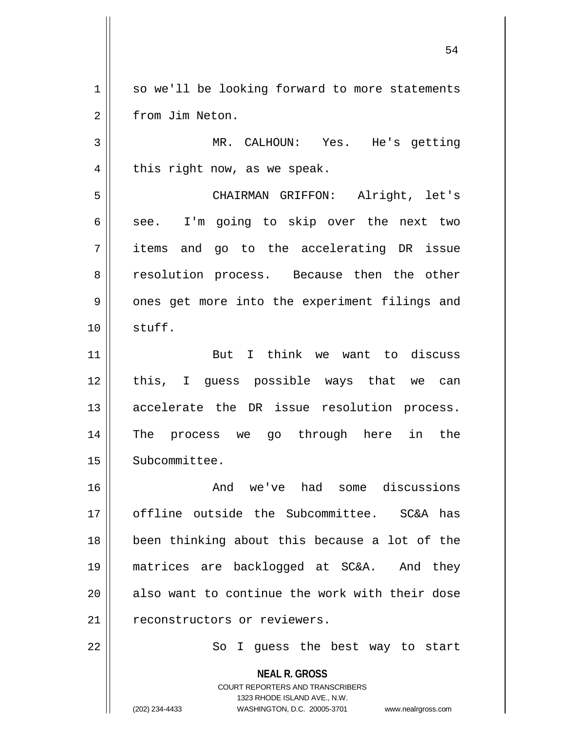1 || so we'll be looking forward to more statements 2 | from Jim Neton.

3 MR. CALHOUN: Yes. He's getting  $4 \parallel$  this right now, as we speak.

5 CHAIRMAN GRIFFON: Alright, let's  $6 \parallel$  see. I'm going to skip over the next two 7 items and go to the accelerating DR issue 8 || resolution process. Because then the other 9 || ones get more into the experiment filings and 10 stuff.

11 || But I think we want to discuss 12 || this, I guess possible ways that we can 13 || accelerate the DR issue resolution process. 14 The process we go through here in the 15 | Subcommittee.

16 and we've had some discussions 17 || offline outside the Subcommittee. SC&A has 18 || been thinking about this because a lot of the 19 matrices are backlogged at SC&A. And they  $20$  || also want to continue the work with their dose 21 || reconstructors or reviewers.

22 || So I guess the best way to start

**NEAL R. GROSS** COURT REPORTERS AND TRANSCRIBERS 1323 RHODE ISLAND AVE., N.W. (202) 234-4433 WASHINGTON, D.C. 20005-3701 www.nealrgross.com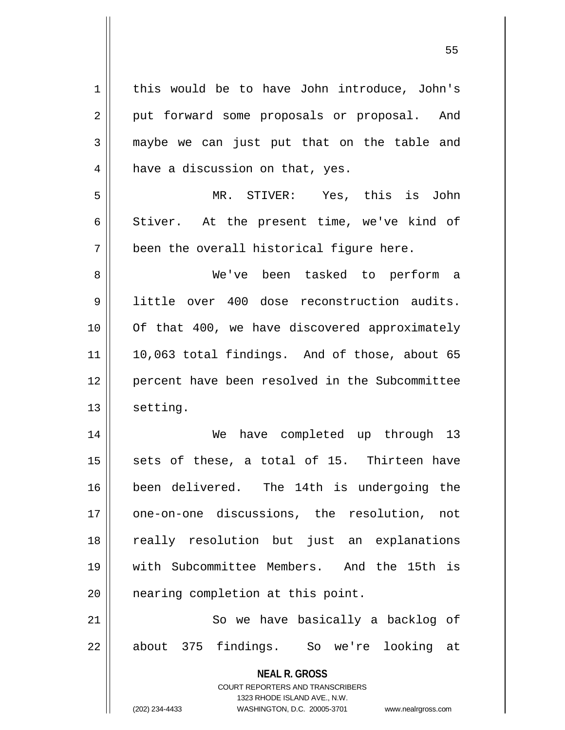| $\mathbf 1$    | this would be to have John introduce, John's                            |
|----------------|-------------------------------------------------------------------------|
| $\overline{2}$ | put forward some proposals or proposal. And                             |
| $\mathfrak{Z}$ | maybe we can just put that on the table and                             |
| 4              | have a discussion on that, yes.                                         |
| 5              | MR. STIVER: Yes, this is John                                           |
| $\epsilon$     | Stiver. At the present time, we've kind of                              |
| 7              | been the overall historical figure here.                                |
| 8              | We've been tasked to perform a                                          |
| 9              | little over 400 dose reconstruction audits.                             |
| 10             | Of that 400, we have discovered approximately                           |
| 11             | 10,063 total findings. And of those, about 65                           |
| 12             | percent have been resolved in the Subcommittee                          |
| 13             | setting.                                                                |
| 14             | have completed up through 13<br>We                                      |
| 15             | sets of these, a total of 15. Thirteen have                             |
| 16             | been delivered. The 14th is undergoing the                              |
| 17             | one-on-one discussions, the resolution,<br>not                          |
| 18             | really resolution but just an explanations                              |
| 19             | with Subcommittee Members. And the 15th is                              |
| 20             | nearing completion at this point.                                       |
| 21             | So we have basically a backlog of                                       |
| 22             | about 375 findings. So we're looking at                                 |
|                | <b>NEAL R. GROSS</b>                                                    |
|                | <b>COURT REPORTERS AND TRANSCRIBERS</b><br>1323 RHODE ISLAND AVE., N.W. |
|                | (202) 234-4433<br>WASHINGTON, D.C. 20005-3701<br>www.nealrgross.com     |

 $\overline{1}$ 

 $\mathsf{I}$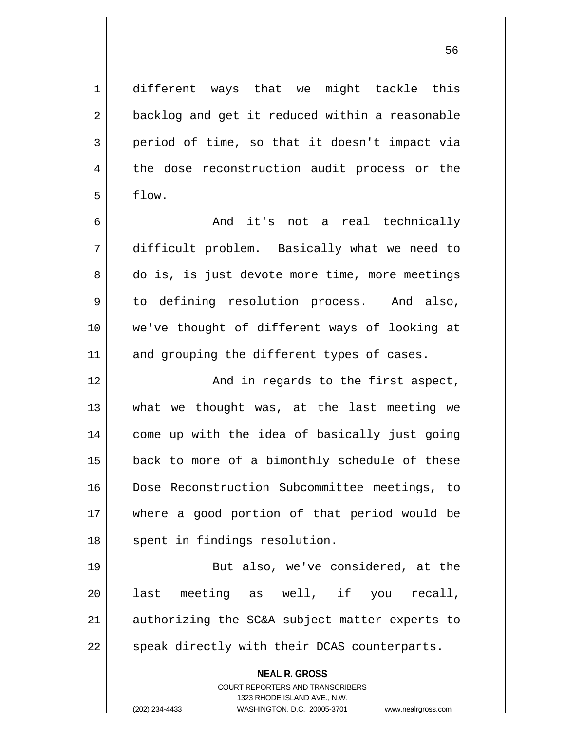**NEAL R. GROSS** COURT REPORTERS AND TRANSCRIBERS 1323 RHODE ISLAND AVE., N.W. 1 different ways that we might tackle this 2 | backlog and get it reduced within a reasonable  $3 \parallel$  period of time, so that it doesn't impact via 4 the dose reconstruction audit process or the  $5 \parallel$  flow. 6 And it's not a real technically 7 difficult problem. Basically what we need to 8 do is, is just devote more time, more meetings 9 to defining resolution process. And also, 10 we've thought of different ways of looking at  $11$  and grouping the different types of cases. 12 || The South Mand in regards to the first aspect, 13 what we thought was, at the last meeting we 14 come up with the idea of basically just going 15 || back to more of a bimonthly schedule of these 16 Dose Reconstruction Subcommittee meetings, to 17 where a good portion of that period would be 18 || spent in findings resolution. 19 || But also, we've considered, at the 20 last meeting as well, if you recall,  $21$  authorizing the SC&A subject matter experts to 22 || speak directly with their DCAS counterparts.

(202) 234-4433 WASHINGTON, D.C. 20005-3701 www.nealrgross.com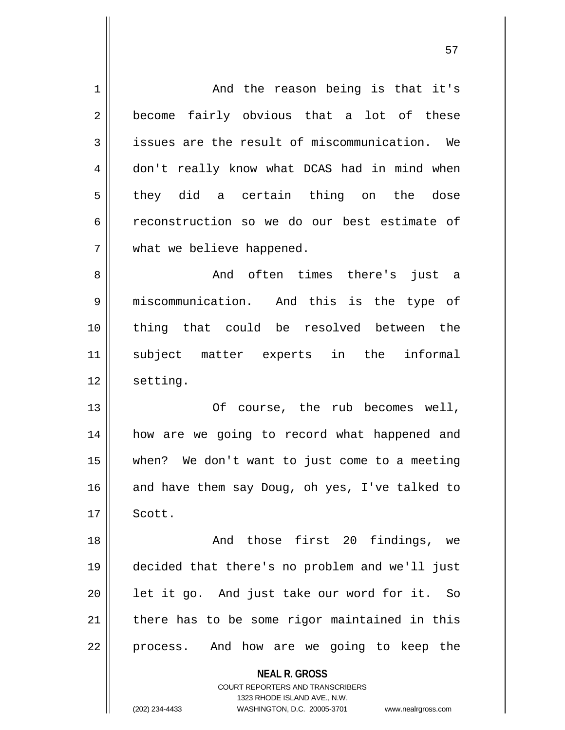| $\mathbf 1$    | And the reason being is that it's                        |
|----------------|----------------------------------------------------------|
| $\overline{2}$ | become fairly obvious that a lot of these                |
| 3              | issues are the result of miscommunication. We            |
| 4              | don't really know what DCAS had in mind when             |
| 5              | they did a certain thing on the dose                     |
| 6              | reconstruction so we do our best estimate of             |
| 7              | what we believe happened.                                |
| 8              | And often times there's just a                           |
| 9              | miscommunication. And this is the type of                |
| 10             | thing that could be resolved between the                 |
| 11             | subject matter experts in the informal                   |
| 12             | setting.                                                 |
| 13             | Of course, the rub becomes well,                         |
| 14             | how are we going to record what happened and             |
| 15             | when? We don't want to just come to a meeting            |
| 16             | and have them say Doug, oh yes, I've talked to           |
| 17             | Scott.                                                   |
| 18             | And those first 20 findings, we                          |
| 19             | decided that there's no problem and we'll just           |
| 20             | let it go. And just take our word for it. So             |
| 21             | there has to be some rigor maintained in this            |
| 22             | process. And how are we going to keep the                |
|                | <b>NEAL R. GROSS</b><br>COURT REPORTERS AND TRANSCRIBERS |

1323 RHODE ISLAND AVE., N.W.

 $\mathbf{\mathcal{L}}$ 

(202) 234-4433 WASHINGTON, D.C. 20005-3701 www.nealrgross.com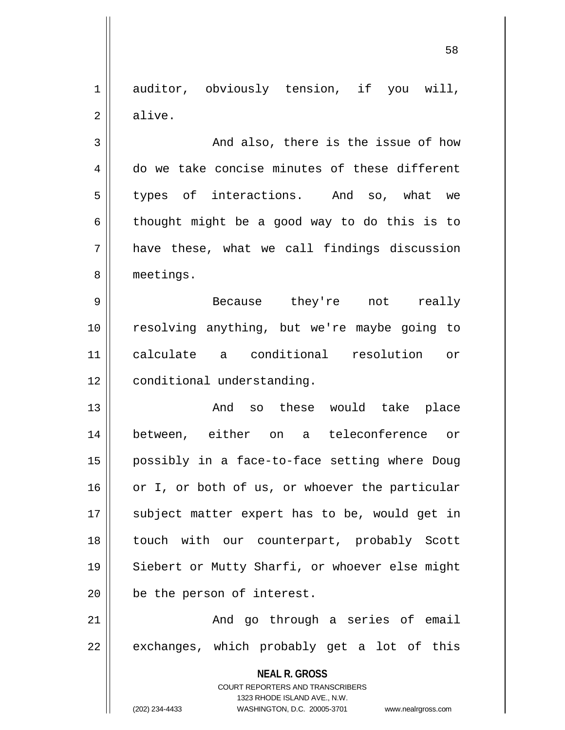1 auditor, obviously tension, if you will, 2 | alive.

3 And also, there is the issue of how 4 do we take concise minutes of these different 5 types of interactions. And so, what we  $6 \parallel$  thought might be a good way to do this is to  $7 \parallel$  have these, what we call findings discussion 8 meetings.

 Because they're not really resolving anything, but we're maybe going to calculate a conditional resolution or 12 | conditional understanding.

 And so these would take place between, either on a teleconference or possibly in a face-to-face setting where Doug or I, or both of us, or whoever the particular 17 || subject matter expert has to be, would get in touch with our counterpart, probably Scott 19 || Siebert or Mutty Sharfi, or whoever else might **be** the person of interest.

 $21$   $\parallel$  and go through a series of email  $22 \parallel$  exchanges, which probably get a lot of this

> **NEAL R. GROSS** COURT REPORTERS AND TRANSCRIBERS 1323 RHODE ISLAND AVE., N.W. (202) 234-4433 WASHINGTON, D.C. 20005-3701 www.nealrgross.com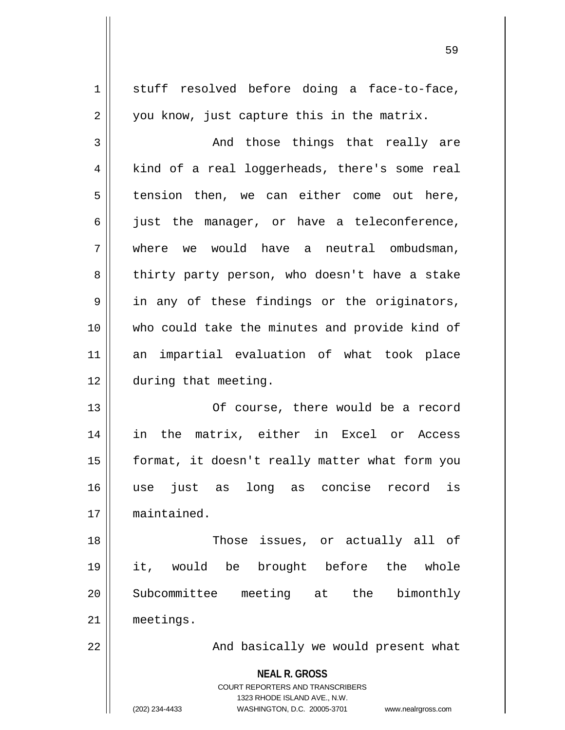| $\mathbf 1$    | stuff resolved before doing a face-to-face,                                                                                                                     |
|----------------|-----------------------------------------------------------------------------------------------------------------------------------------------------------------|
| $\sqrt{2}$     | you know, just capture this in the matrix.                                                                                                                      |
| 3              | And those things that really are                                                                                                                                |
| $\overline{4}$ | kind of a real loggerheads, there's some real                                                                                                                   |
| 5              | tension then, we can either come out here,                                                                                                                      |
| 6              | just the manager, or have a teleconference,                                                                                                                     |
| 7              | we would have a neutral ombudsman,<br>where                                                                                                                     |
| 8              | thirty party person, who doesn't have a stake                                                                                                                   |
| 9              | in any of these findings or the originators,                                                                                                                    |
| 10             | who could take the minutes and provide kind of                                                                                                                  |
| 11             | an impartial evaluation of what took place                                                                                                                      |
| 12             | during that meeting.                                                                                                                                            |
| 13             | Of course, there would be a record                                                                                                                              |
| 14             | in the matrix, either in Excel or Access                                                                                                                        |
| 15             | format, it doesn't really matter what form you                                                                                                                  |
| 16             | long<br>just<br>concise<br>use<br>as<br>record<br>as<br>ıs                                                                                                      |
| 17             | maintained.                                                                                                                                                     |
| 18             | Those issues, or actually all of                                                                                                                                |
| 19             | brought before<br>the<br>it, would be<br>whole                                                                                                                  |
| 20             | Subcommittee meeting at<br>bimonthly<br>the                                                                                                                     |
| 21             | meetings.                                                                                                                                                       |
| 22             | And basically we would present what                                                                                                                             |
|                | <b>NEAL R. GROSS</b><br>COURT REPORTERS AND TRANSCRIBERS<br>1323 RHODE ISLAND AVE., N.W.<br>(202) 234-4433<br>WASHINGTON, D.C. 20005-3701<br>www.nealrgross.com |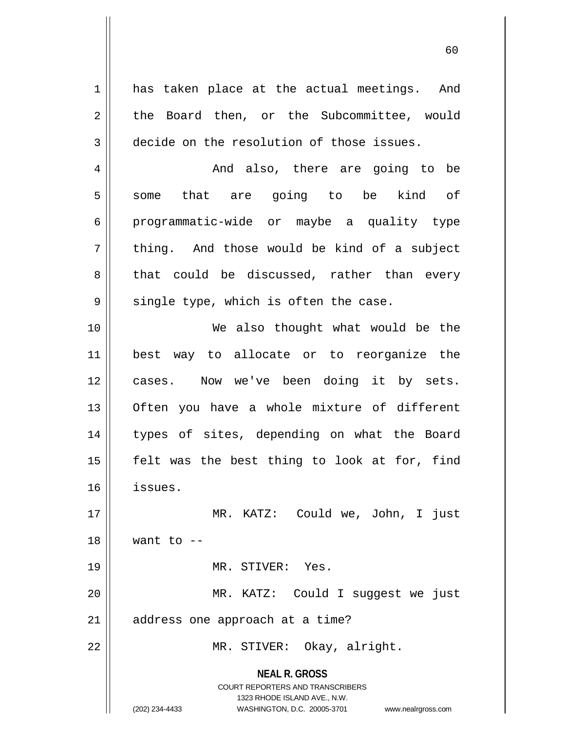**NEAL R. GROSS** COURT REPORTERS AND TRANSCRIBERS 1323 RHODE ISLAND AVE., N.W. 1 || has taken place at the actual meetings. And 2 || the Board then, or the Subcommittee, would 3 decide on the resolution of those issues. 4 And also, there are going to be 5 some that are going to be kind of 6 programmatic-wide or maybe a quality type  $7 \parallel$  thing. And those would be kind of a subject 8 || that could be discussed, rather than every  $9 \parallel$  single type, which is often the case. 10 We also thought what would be the 11 best way to allocate or to reorganize the 12 cases. Now we've been doing it by sets. 13 || Often you have a whole mixture of different 14 || types of sites, depending on what the Board  $15$  || felt was the best thing to look at for, find 16 issues. 17 MR. KATZ: Could we, John, I just  $18$  Want to  $-$ 19 MR. STIVER: Yes. 20 MR. KATZ: Could I suggest we just  $21$  | address one approach at a time? 22 MR. STIVER: Okay, alright.

(202) 234-4433 WASHINGTON, D.C. 20005-3701 www.nealrgross.com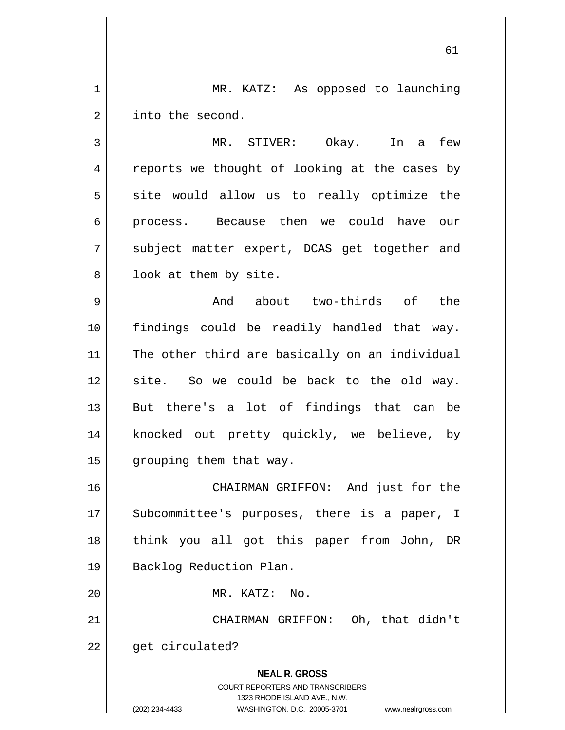1 | MR. KATZ: As opposed to launching 2 | into the second.

3 MR. STIVER: Okay. In a few 4 || reports we thought of looking at the cases by  $5 \parallel$  site would allow us to really optimize the 6 || process. Because then we could have our 7 || subject matter expert, DCAS get together and  $8 \parallel$  look at them by site.

9 And about two-thirds of the 10 findings could be readily handled that way. 11 || The other third are basically on an individual 12 || site. So we could be back to the old way. 13 But there's a lot of findings that can be 14 || knocked out pretty quickly, we believe, by 15 | grouping them that way.

 CHAIRMAN GRIFFON: And just for the 17 || Subcommittee's purposes, there is a paper, I think you all got this paper from John, DR Backlog Reduction Plan.

20 MR. KATZ: No.

**NEAL R. GROSS** 21 || CHAIRMAN GRIFFON: Oh, that didn't  $22$  |  $\phantom{1}$  qet circulated?

COURT REPORTERS AND TRANSCRIBERS

1323 RHODE ISLAND AVE., N.W. (202) 234-4433 WASHINGTON, D.C. 20005-3701 www.nealrgross.com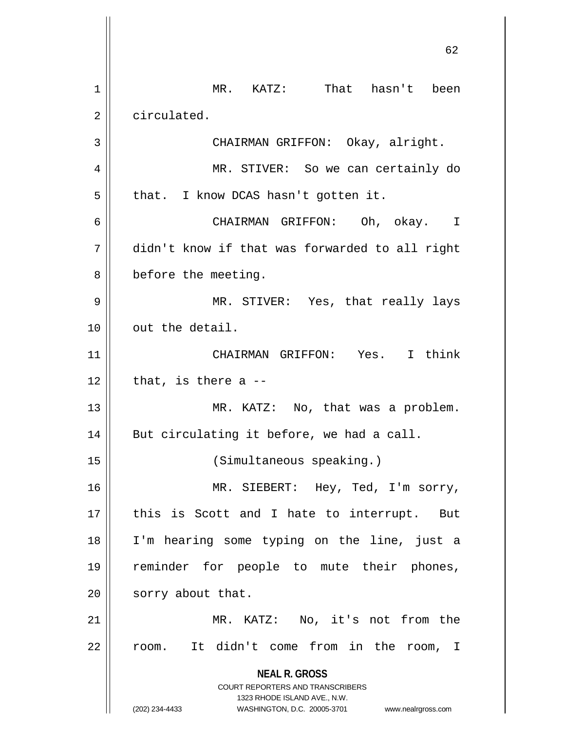**NEAL R. GROSS** COURT REPORTERS AND TRANSCRIBERS 1323 RHODE ISLAND AVE., N.W. (202) 234-4433 WASHINGTON, D.C. 20005-3701 www.nealrgross.com 62 1 MR. KATZ: That hasn't been 2 | circulated. 3 | CHAIRMAN GRIFFON: Okay, alright. 4 MR. STIVER: So we can certainly do  $5 \parallel$  that. I know DCAS hasn't gotten it. 6 CHAIRMAN GRIFFON: Oh, okay. I 7 didn't know if that was forwarded to all right 8 | before the meeting. 9 MR. STIVER: Yes, that really lays 10 || out the detail. 11 CHAIRMAN GRIFFON: Yes. I think  $12$  | that, is there a  $-$ 13 || MR. KATZ: No, that was a problem.  $14$  | But circulating it before, we had a call. 15 (Simultaneous speaking.) 16 || MR. SIEBERT: Hey, Ted, I'm sorry, 17 || this is Scott and I hate to interrupt. But 18 I'm hearing some typing on the line, just a 19 reminder for people to mute their phones, 20 | sorry about that. 21 || MR. KATZ: No, it's not from the 22 || room. It didn't come from in the room, I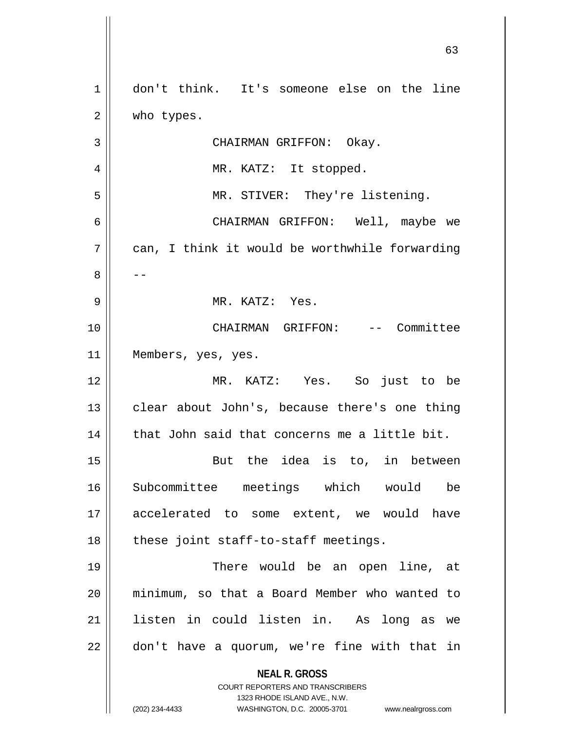| 1  | don't think. It's someone else on the line                                                       |
|----|--------------------------------------------------------------------------------------------------|
| 2  | who types.                                                                                       |
| 3  | CHAIRMAN GRIFFON: Okay.                                                                          |
| 4  | MR. KATZ: It stopped.                                                                            |
| 5  | MR. STIVER: They're listening.                                                                   |
| 6  | CHAIRMAN GRIFFON: Well, maybe we                                                                 |
| 7  | can, I think it would be worthwhile forwarding                                                   |
| 8  |                                                                                                  |
| 9  | MR. KATZ: Yes.                                                                                   |
| 10 | CHAIRMAN GRIFFON: -- Committee                                                                   |
| 11 | Members, yes, yes.                                                                               |
| 12 | MR. KATZ: Yes. So just to be                                                                     |
| 13 | clear about John's, because there's one thing                                                    |
| 14 | that John said that concerns me a little bit.                                                    |
| 15 | But the idea is to, in between                                                                   |
| 16 | Subcommittee meetings which would be                                                             |
| 17 | accelerated to some extent, we would have                                                        |
| 18 | these joint staff-to-staff meetings.                                                             |
| 19 | There would be an open line, at                                                                  |
| 20 | minimum, so that a Board Member who wanted to                                                    |
| 21 | listen in could listen in. As long as we                                                         |
| 22 | don't have a quorum, we're fine with that in                                                     |
|    | <b>NEAL R. GROSS</b>                                                                             |
|    | COURT REPORTERS AND TRANSCRIBERS                                                                 |
|    | 1323 RHODE ISLAND AVE., N.W.<br>(202) 234-4433<br>WASHINGTON, D.C. 20005-3701 www.nealrgross.com |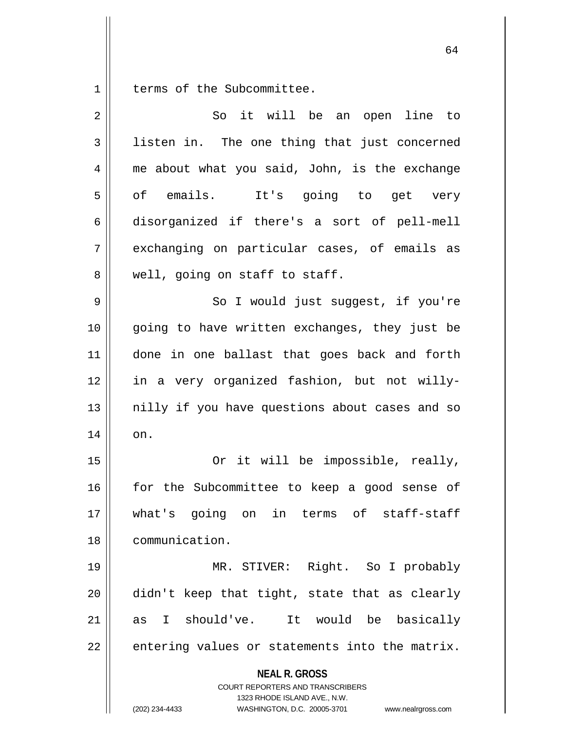1 | terms of the Subcommittee.

| $\overline{2}$ | So it will be an open line to                                                                                                                                          |
|----------------|------------------------------------------------------------------------------------------------------------------------------------------------------------------------|
| 3              | listen in. The one thing that just concerned                                                                                                                           |
| 4              | me about what you said, John, is the exchange                                                                                                                          |
| 5              | of emails. It's going to get very                                                                                                                                      |
| 6              | disorganized if there's a sort of pell-mell                                                                                                                            |
| 7              | exchanging on particular cases, of emails as                                                                                                                           |
| 8              | well, going on staff to staff.                                                                                                                                         |
| 9              | So I would just suggest, if you're                                                                                                                                     |
| 10             | going to have written exchanges, they just be                                                                                                                          |
| 11             | done in one ballast that goes back and forth                                                                                                                           |
| 12             | in a very organized fashion, but not willy-                                                                                                                            |
| 13             | nilly if you have questions about cases and so                                                                                                                         |
| 14             | on.                                                                                                                                                                    |
| 15             | Or it will be impossible, really,                                                                                                                                      |
| 16             | for the Subcommittee to keep a good sense of                                                                                                                           |
| 17             | what's going on in terms of staff-staff                                                                                                                                |
| 18             | communication.                                                                                                                                                         |
| 19             | MR. STIVER: Right. So I probably                                                                                                                                       |
| 20             | didn't keep that tight, state that as clearly                                                                                                                          |
| 21             | as I should've. It would be basically                                                                                                                                  |
| 22             | entering values or statements into the matrix.                                                                                                                         |
|                | <b>NEAL R. GROSS</b><br><b>COURT REPORTERS AND TRANSCRIBERS</b><br>1323 RHODE ISLAND AVE., N.W.<br>(202) 234-4433<br>WASHINGTON, D.C. 20005-3701<br>www.nealrgross.com |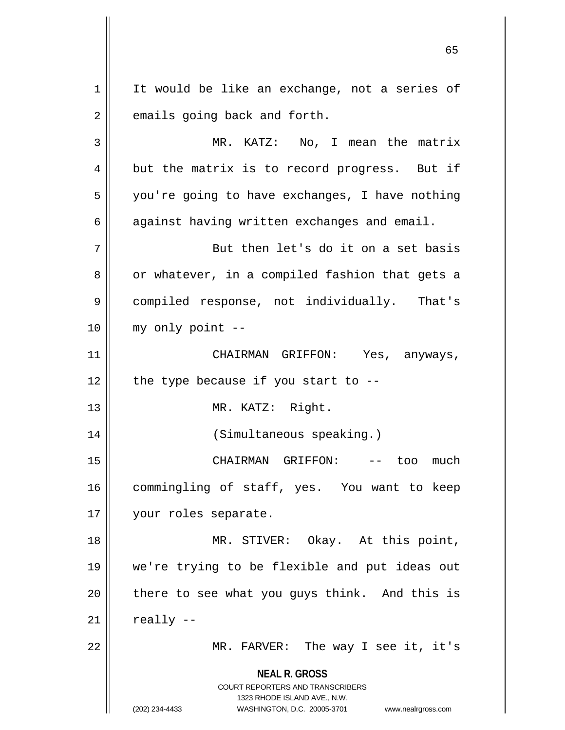**NEAL R. GROSS** COURT REPORTERS AND TRANSCRIBERS 1323 RHODE ISLAND AVE., N.W. (202) 234-4433 WASHINGTON, D.C. 20005-3701 www.nealrgross.com  $1 \parallel$  It would be like an exchange, not a series of  $2 \parallel$  emails going back and forth. 3 MR. KATZ: No, I mean the matrix  $4 \parallel$  but the matrix is to record progress. But if 5 | you're going to have exchanges, I have nothing 6  $\parallel$  against having written exchanges and email. 7 || But then let's do it on a set basis 8 || or whatever, in a compiled fashion that gets a 9 compiled response, not individually. That's 10 my only point -- 11 CHAIRMAN GRIFFON: Yes, anyways,  $12$  | the type because if you start to --13 || MR. KATZ: Right. 14 (Simultaneous speaking.) 15 CHAIRMAN GRIFFON: -- too much 16 || commingling of staff, yes. You want to keep 17 || your roles separate. 18 MR. STIVER: Okay. At this point, 19 we're trying to be flexible and put ideas out  $20$  | there to see what you guys think. And this is  $21$  really  $-$ 22 MR. FARVER: The way I see it, it's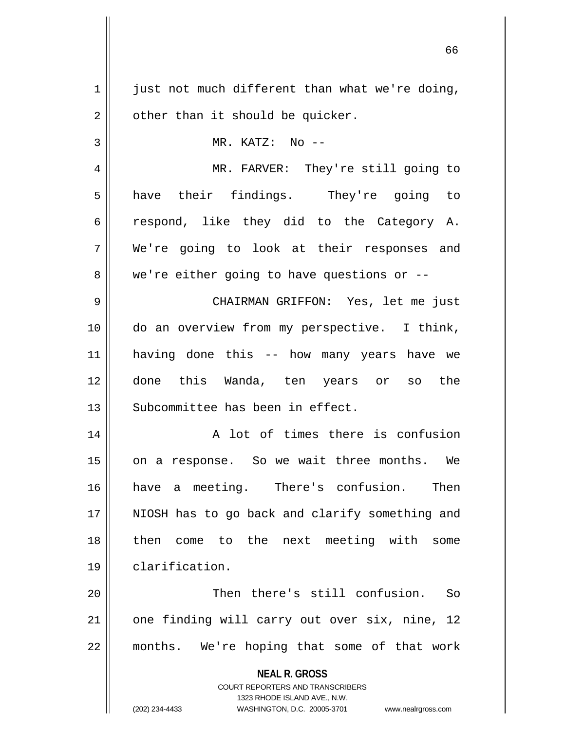**NEAL R. GROSS** COURT REPORTERS AND TRANSCRIBERS 1323 RHODE ISLAND AVE., N.W. (202) 234-4433 WASHINGTON, D.C. 20005-3701 www.nealrgross.com  $1 \parallel$  just not much different than what we're doing,  $2 \parallel$  other than it should be quicker. 3 || MR. KATZ: No --4 MR. FARVER: They're still going to 5 || have their findings. They're going to 6 respond, like they did to the Category A. 7 We're going to look at their responses and  $8 \parallel$  we're either going to have questions or  $-$ 9 CHAIRMAN GRIFFON: Yes, let me just 10 do an overview from my perspective. I think, 11 having done this -- how many years have we 12 done this Wanda, ten years or so the 13 || Subcommittee has been in effect. 14 || A lot of times there is confusion 15 || on a response. So we wait three months. We 16 have a meeting. There's confusion. Then 17 || NIOSH has to go back and clarify something and 18 then come to the next meeting with some 19 clarification. 20 Then there's still confusion. So 21 || one finding will carry out over six, nine, 12 22 || months. We're hoping that some of that work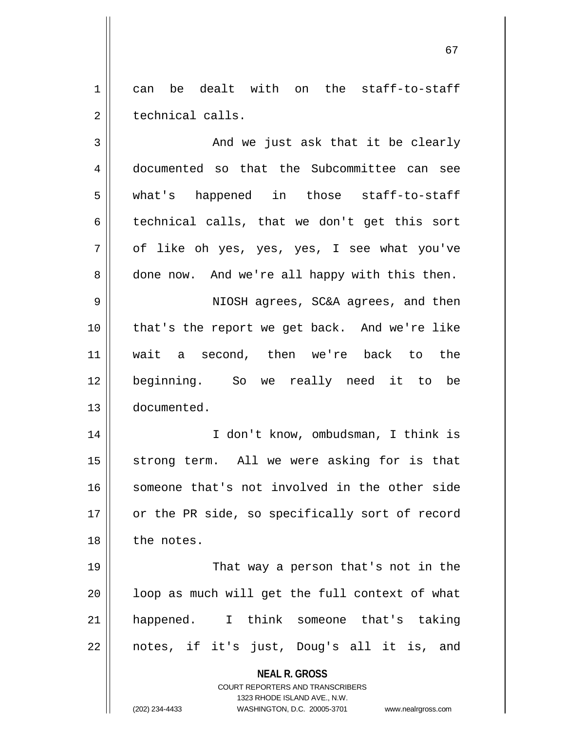1 can be dealt with on the staff-to-staff 2 || technical calls.

 $3 \parallel$  and we just ask that it be clearly 4 documented so that the Subcommittee can see 5 what's happened in those staff-to-staff  $6 \parallel$  technical calls, that we don't get this sort 7 of like oh yes, yes, yes, I see what you've 8 done now. And we're all happy with this then. 9 NIOSH agrees, SC&A agrees, and then 10 that's the report we get back. And we're like 11 wait a second, then we're back to the 12 beginning. So we really need it to be 13 documented. 14 I don't know, ombudsman, I think is 15 || strong term. All we were asking for is that 16 || someone that's not involved in the other side 17 || or the PR side, so specifically sort of record 18 || the notes. 19 || That way a person that's not in the  $20$  ||  $\equiv$  loop as much will get the full context of what 21 happened. I think someone that's taking

 $22 \parallel$  notes, if it's just, Doug's all it is, and

**NEAL R. GROSS**

COURT REPORTERS AND TRANSCRIBERS 1323 RHODE ISLAND AVE., N.W. (202) 234-4433 WASHINGTON, D.C. 20005-3701 www.nealrgross.com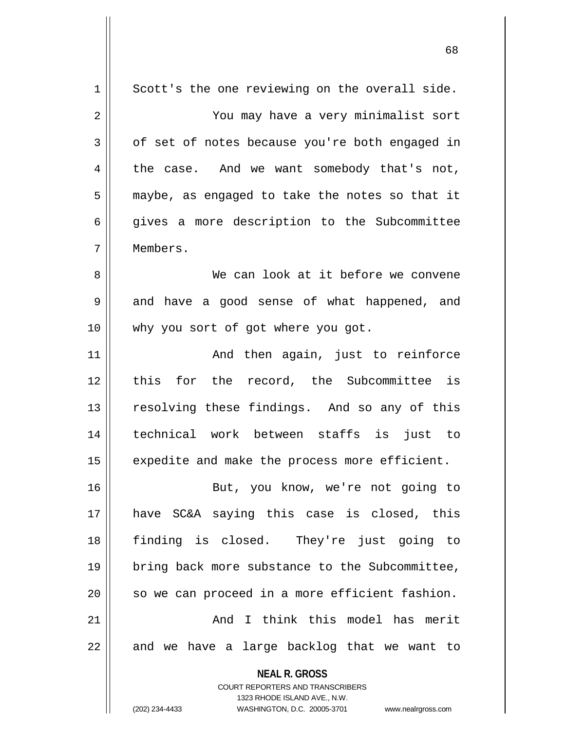| $\mathbf 1$ | Scott's the one reviewing on the overall side.                      |
|-------------|---------------------------------------------------------------------|
| 2           | You may have a very minimalist sort                                 |
| 3           | of set of notes because you're both engaged in                      |
| 4           | the case. And we want somebody that's not,                          |
| 5           | maybe, as engaged to take the notes so that it                      |
| 6           | gives a more description to the Subcommittee                        |
| 7           | Members.                                                            |
| 8           | We can look at it before we convene                                 |
| 9           | and have a good sense of what happened, and                         |
| 10          | why you sort of got where you got.                                  |
| 11          | And then again, just to reinforce                                   |
| 12          | this for the record, the Subcommittee is                            |
| 13          | resolving these findings. And so any of this                        |
| 14          | technical work between staffs is just to                            |
| 15          | expedite and make the process more efficient.                       |
| 16          | But, you know, we're not going to                                   |
| 17          | have SC&A saying this case is closed, this                          |
| 18          | finding is closed. They're just going to                            |
| 19          | bring back more substance to the Subcommittee,                      |
| 20          | so we can proceed in a more efficient fashion.                      |
| 21          | And I think this model has merit                                    |
| 22          | and we have a large backlog that we want to                         |
|             | <b>NEAL R. GROSS</b>                                                |
|             | COURT REPORTERS AND TRANSCRIBERS                                    |
|             | 1323 RHODE ISLAND AVE., N.W.                                        |
|             | (202) 234-4433<br>WASHINGTON, D.C. 20005-3701<br>www.nealrgross.com |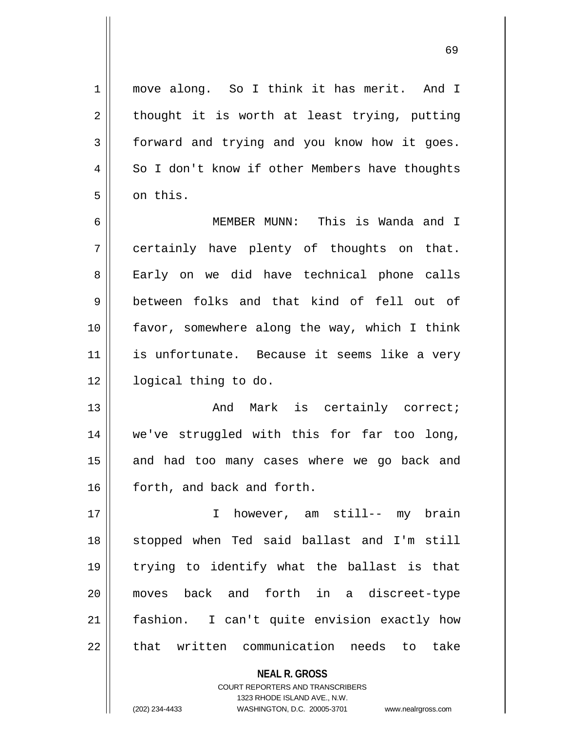1 || move along. So I think it has merit. And I  $2 \parallel$  thought it is worth at least trying, putting 3 | forward and trying and you know how it goes. 4 | So I don't know if other Members have thoughts 5 | on this.

6 MEMBER MUNN: This is Wanda and I 7 certainly have plenty of thoughts on that. 8 || Early on we did have technical phone calls 9 between folks and that kind of fell out of 10 favor, somewhere along the way, which I think 11 || is unfortunate. Because it seems like a very 12 | logical thing to do.

13 And Mark is certainly correct; 14 we've struggled with this for far too long, 15 || and had too many cases where we go back and 16 | forth, and back and forth.

 I however, am still-- my brain stopped when Ted said ballast and I'm still trying to identify what the ballast is that moves back and forth in a discreet-type fashion. I can't quite envision exactly how 22 || that written communication needs to take

> **NEAL R. GROSS** COURT REPORTERS AND TRANSCRIBERS 1323 RHODE ISLAND AVE., N.W. (202) 234-4433 WASHINGTON, D.C. 20005-3701 www.nealrgross.com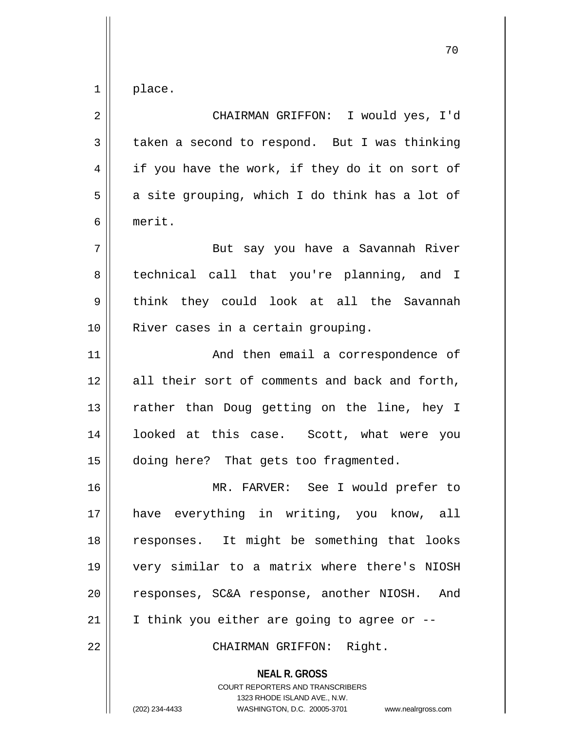$1 \parallel$  place.

| $\overline{2}$ | CHAIRMAN GRIFFON: I would yes, I'd                       |
|----------------|----------------------------------------------------------|
| $\mathfrak{Z}$ | taken a second to respond. But I was thinking            |
| 4              | if you have the work, if they do it on sort of           |
| 5              | a site grouping, which I do think has a lot of           |
| 6              | merit.                                                   |
| 7              | But say you have a Savannah River                        |
| 8              | technical call that you're planning, and I               |
| 9              | think they could look at all the Savannah                |
| 10             | River cases in a certain grouping.                       |
| 11             | And then email a correspondence of                       |
| 12             | all their sort of comments and back and forth,           |
| 13             | rather than Doug getting on the line, hey I              |
| 14             | looked at this case. Scott, what were you                |
| 15             | doing here? That gets too fragmented.                    |
| 16             | MR. FARVER: See I would prefer to                        |
| 17             | have everything in writing, you know, all                |
| 18             | responses. It might be something that looks              |
| 19             | very similar to a matrix where there's NIOSH             |
| 20             | responses, SC&A response, another NIOSH. And             |
| 21             | I think you either are going to agree or --              |
| 22             | CHAIRMAN GRIFFON: Right.                                 |
|                | <b>NEAL R. GROSS</b><br>COURT REPORTERS AND TRANSCRIBERS |

1323 RHODE ISLAND AVE., N.W.

 $\mathop{\text{||}}$ 

(202) 234-4433 WASHINGTON, D.C. 20005-3701 www.nealrgross.com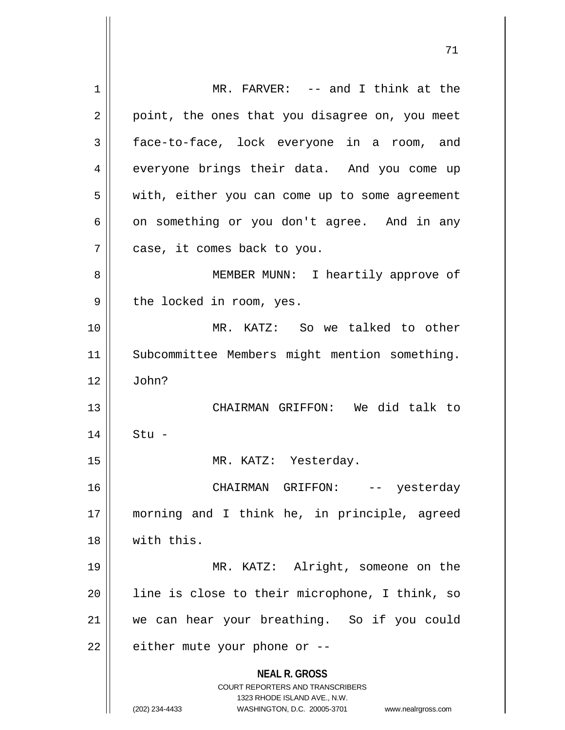**NEAL R. GROSS** COURT REPORTERS AND TRANSCRIBERS 1323 RHODE ISLAND AVE., N.W. (202) 234-4433 WASHINGTON, D.C. 20005-3701 www.nealrgross.com 1 || MR. FARVER: -- and I think at the  $2 \parallel$  point, the ones that you disagree on, you meet 3 face-to-face, lock everyone in a room, and 4 || everyone brings their data. And you come up 5 || with, either you can come up to some agreement  $6 \parallel$  on something or you don't agree. And in any 7 || case, it comes back to you. 8 || MEMBER MUNN: I heartily approve of  $9 \parallel$  the locked in room, yes. 10 MR. KATZ: So we talked to other 11 || Subcommittee Members might mention something.  $12 \parallel$  John? 13 || CHAIRMAN GRIFFON: We did talk to 14 Stu - 15 || MR. KATZ: Yesterday. 16 CHAIRMAN GRIFFON: -- yesterday 17 morning and I think he, in principle, agreed 18 with this. 19 MR. KATZ: Alright, someone on the  $20$  || line is close to their microphone, I think, so 21 we can hear your breathing. So if you could  $22$  | either mute your phone or  $-$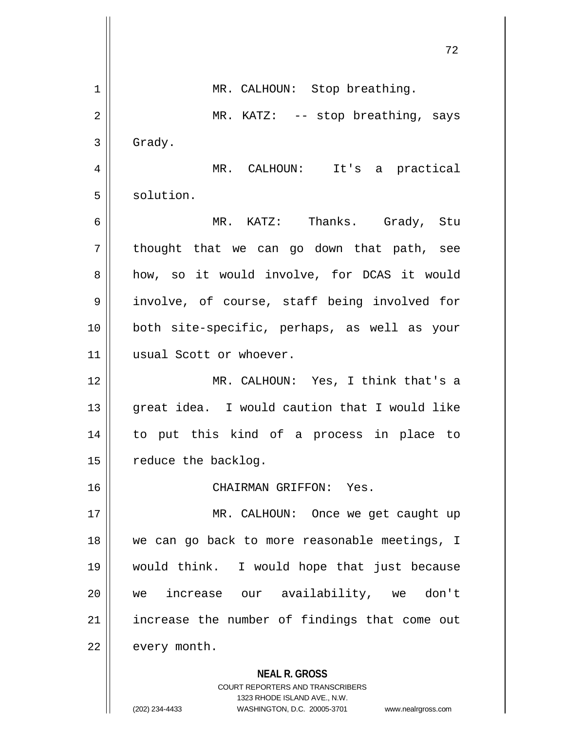**NEAL R. GROSS** COURT REPORTERS AND TRANSCRIBERS 72 1 || MR. CALHOUN: Stop breathing. 2 || MR. KATZ: -- stop breathing, says  $3 \parallel$  Grady. 4 MR. CALHOUN: It's a practical 5 | solution. 6 MR. KATZ: Thanks. Grady, Stu  $7 \parallel$  thought that we can go down that path, see 8 how, so it would involve, for DCAS it would 9 || involve, of course, staff being involved for 10 both site-specific, perhaps, as well as your 11 || usual Scott or whoever. 12 || MR. CALHOUN: Yes, I think that's a 13 || great idea. I would caution that I would like 14 to put this kind of a process in place to  $15$  | reduce the backlog. 16 CHAIRMAN GRIFFON: Yes. 17 || MR. CALHOUN: Once we get caught up 18 we can go back to more reasonable meetings, I 19 would think. I would hope that just because 20 we increase our availability, we don't  $21$  | increase the number of findings that come out 22 every month.

1323 RHODE ISLAND AVE., N.W.

(202) 234-4433 WASHINGTON, D.C. 20005-3701 www.nealrgross.com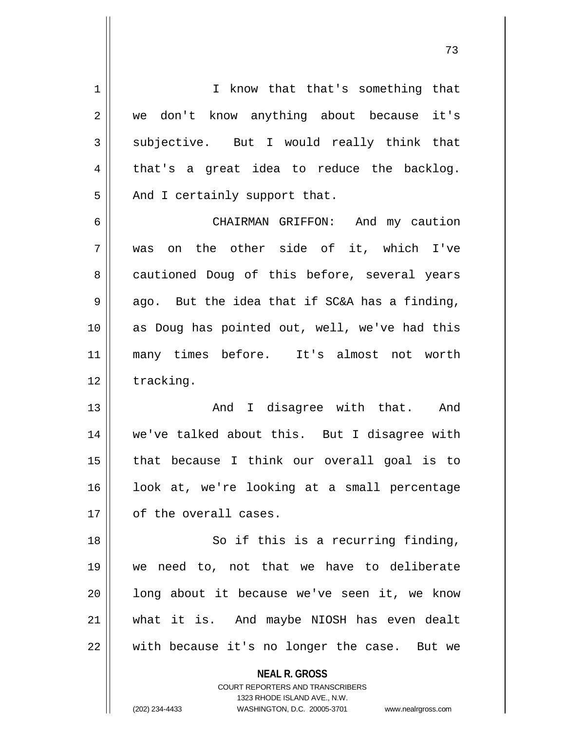| 1  | I know that that's something that                                                                   |
|----|-----------------------------------------------------------------------------------------------------|
| 2  | we don't know anything about because it's                                                           |
| 3  | subjective. But I would really think that                                                           |
| 4  | that's a great idea to reduce the backlog.                                                          |
| 5  | And I certainly support that.                                                                       |
| 6  | CHAIRMAN GRIFFON: And my caution                                                                    |
| 7  | the other side of it, which I've<br>on<br>was                                                       |
| 8  | cautioned Doug of this before, several years                                                        |
| 9  | ago. But the idea that if SC&A has a finding,                                                       |
| 10 | as Doug has pointed out, well, we've had this                                                       |
| 11 | many times before. It's almost not worth                                                            |
| 12 | tracking.                                                                                           |
| 13 | And I disagree with that. And                                                                       |
| 14 | we've talked about this. But I disagree with                                                        |
| 15 | that because I think our overall goal is to                                                         |
| 16 | look at, we're looking at a small percentage                                                        |
| 17 | of the overall cases.                                                                               |
| 18 | So if this is a recurring finding,                                                                  |
| 19 | we need to, not that we have to deliberate                                                          |
| 20 | long about it because we've seen it, we know                                                        |
| 21 | what it is. And maybe NIOSH has even dealt                                                          |
| 22 | with because it's no longer the case. But we                                                        |
|    | <b>NEAL R. GROSS</b>                                                                                |
|    | <b>COURT REPORTERS AND TRANSCRIBERS</b>                                                             |
|    | 1323 RHODE ISLAND AVE., N.W.<br>(202) 234-4433<br>WASHINGTON, D.C. 20005-3701<br>www.nealrgross.com |
|    |                                                                                                     |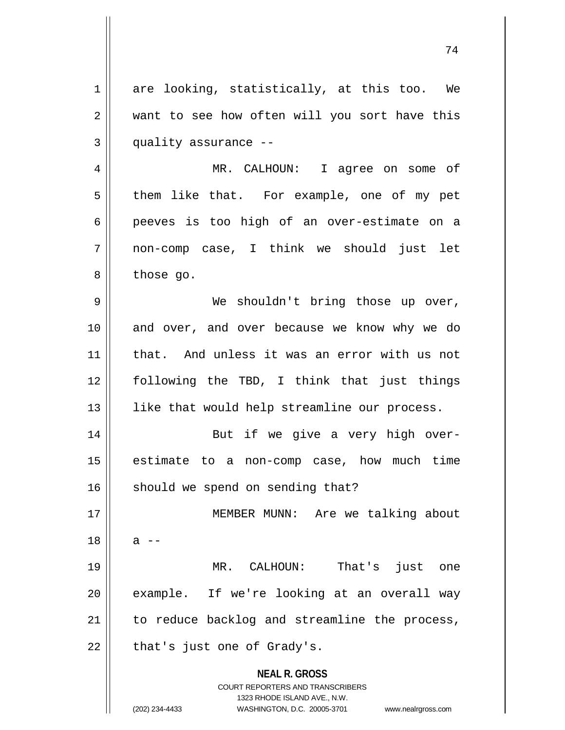$1$  are looking, statistically, at this too. We 2 want to see how often will you sort have this  $3$  | quality assurance  $-$ 

4 MR. CALHOUN: I agree on some of  $5 \parallel$  them like that. For example, one of my pet 6 peeves is too high of an over-estimate on a 7 non-comp case, I think we should just let  $8 \parallel$  those go.

9 We shouldn't bring those up over, 10 and over, and over because we know why we do 11 || that. And unless it was an error with us not 12 following the TBD, I think that just things 13 || like that would help streamline our process.

14 || But if we give a very high over-15 estimate to a non-comp case, how much time  $16$  should we spend on sending that?

 MEMBER MUNN: Are we talking about  $18 \parallel$  a  $-$  MR. CALHOUN: That's just one 20 || example. If we're looking at an overall way to reduce backlog and streamline the process, || that's just one of Grady's.

> **NEAL R. GROSS** COURT REPORTERS AND TRANSCRIBERS 1323 RHODE ISLAND AVE., N.W.

(202) 234-4433 WASHINGTON, D.C. 20005-3701 www.nealrgross.com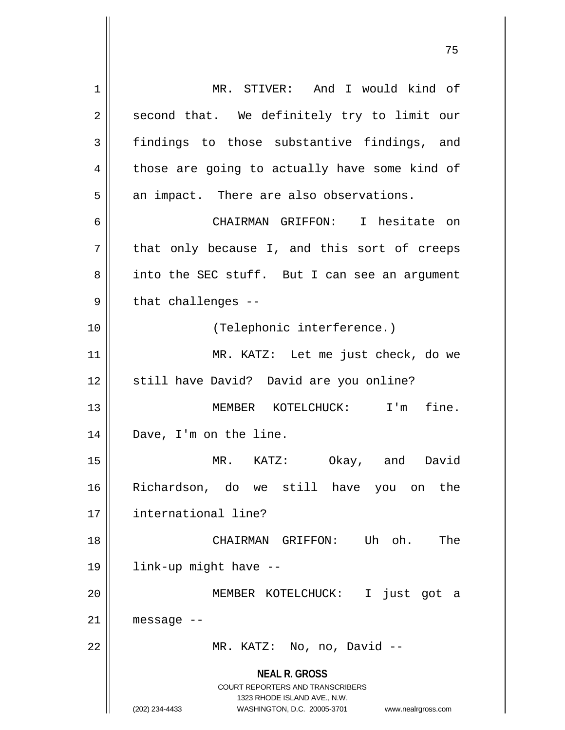**NEAL R. GROSS** COURT REPORTERS AND TRANSCRIBERS 1323 RHODE ISLAND AVE., N.W. (202) 234-4433 WASHINGTON, D.C. 20005-3701 www.nealrgross.com 1 | MR. STIVER: And I would kind of  $2 \parallel$  second that. We definitely try to limit our 3 findings to those substantive findings, and  $4 \parallel$  those are going to actually have some kind of  $5$  || an impact. There are also observations. 6 CHAIRMAN GRIFFON: I hesitate on  $7$  that only because I, and this sort of creeps 8 || into the SEC stuff. But I can see an argument  $9$  || that challenges --10 || (Telephonic interference.) 11 MR. KATZ: Let me just check, do we 12 || still have David? David are you online? 13 || **MEMBER KOTELCHUCK:** I'm fine. 14 || Dave, I'm on the line. 15 MR. KATZ: Okay, and David 16 Richardson, do we still have you on the 17 international line? 18 CHAIRMAN GRIFFON: Uh oh. The 19 link-up might have -- 20 MEMBER KOTELCHUCK: I just got a  $21$  | message  $-$ 22 || MR. KATZ: No, no, David --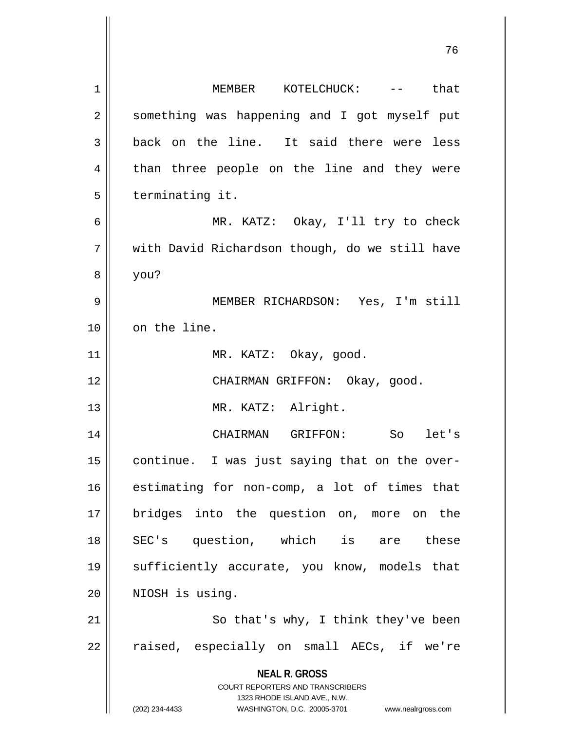| 1  | MEMBER KOTELCHUCK: -- that                                                                                                                                             |
|----|------------------------------------------------------------------------------------------------------------------------------------------------------------------------|
| 2  | something was happening and I got myself put                                                                                                                           |
| 3  | back on the line. It said there were less                                                                                                                              |
| 4  | than three people on the line and they were                                                                                                                            |
| 5  | terminating it.                                                                                                                                                        |
| 6  | MR. KATZ: Okay, I'll try to check                                                                                                                                      |
| 7  | with David Richardson though, do we still have                                                                                                                         |
| 8  | you?                                                                                                                                                                   |
| 9  | MEMBER RICHARDSON: Yes, I'm still                                                                                                                                      |
| 10 | on the line.                                                                                                                                                           |
| 11 | MR. KATZ: Okay, good.                                                                                                                                                  |
| 12 | CHAIRMAN GRIFFON: Okay, good.                                                                                                                                          |
| 13 | MR. KATZ: Alright.                                                                                                                                                     |
| 14 | CHAIRMAN GRIFFON: So let's                                                                                                                                             |
| 15 | continue. I was just saying that on the over-                                                                                                                          |
| 16 | estimating for non-comp, a lot of times that                                                                                                                           |
| 17 | bridges into the question on, more on the                                                                                                                              |
| 18 | SEC's question, which is are these                                                                                                                                     |
| 19 | sufficiently accurate, you know, models that                                                                                                                           |
| 20 | NIOSH is using.                                                                                                                                                        |
| 21 | So that's why, I think they've been                                                                                                                                    |
| 22 | raised, especially on small AECs, if we're                                                                                                                             |
|    | <b>NEAL R. GROSS</b><br><b>COURT REPORTERS AND TRANSCRIBERS</b><br>1323 RHODE ISLAND AVE., N.W.<br>WASHINGTON, D.C. 20005-3701<br>(202) 234-4433<br>www.nealrgross.com |

 $\overline{\mathsf{I}}$ 

 $\mathsf{I}$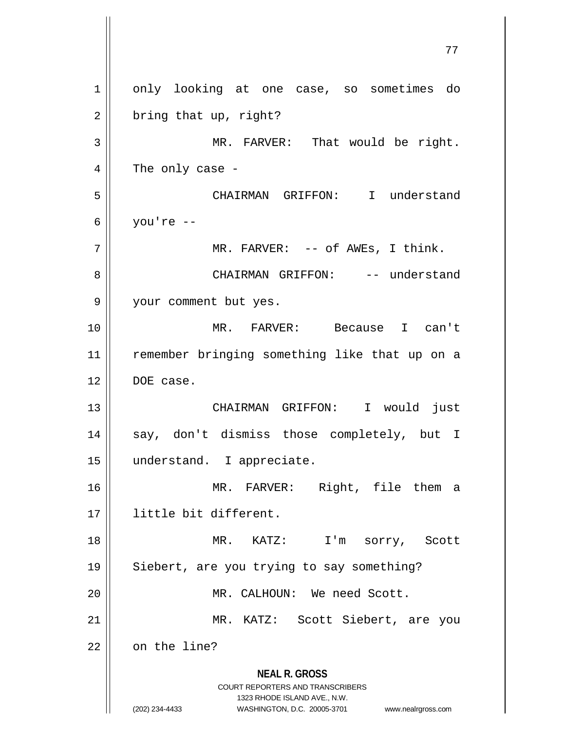**NEAL R. GROSS** COURT REPORTERS AND TRANSCRIBERS 1323 RHODE ISLAND AVE., N.W. (202) 234-4433 WASHINGTON, D.C. 20005-3701 www.nealrgross.com 77 1 || only looking at one case, so sometimes do  $2 \parallel$  bring that up, right? 3 || MR. FARVER: That would be right.  $4 \parallel$  The only case -5 CHAIRMAN GRIFFON: I understand 6 |  $you're - 7 \parallel$  MR. FARVER: -- of AWES, I think. 8 CHAIRMAN GRIFFON: -- understand 9 your comment but yes. 10 MR. FARVER: Because I can't 11 || remember bringing something like that up on a 12 DOE case. 13 CHAIRMAN GRIFFON: I would just 14 || say, don't dismiss those completely, but I 15 understand. I appreciate. 16 MR. FARVER: Right, file them a 17 little bit different. 18 MR. KATZ: I'm sorry, Scott 19 || Siebert, are you trying to say something? 20 MR. CALHOUN: We need Scott. 21 || MR. KATZ: Scott Siebert, are you 22 | on the line?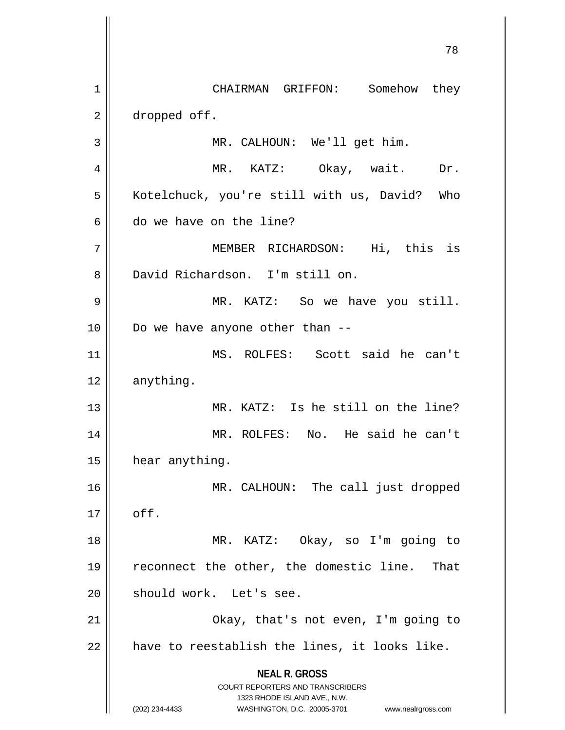**NEAL R. GROSS** COURT REPORTERS AND TRANSCRIBERS 1323 RHODE ISLAND AVE., N.W. (202) 234-4433 WASHINGTON, D.C. 20005-3701 www.nealrgross.com 1 | CHAIRMAN GRIFFON: Somehow they 2 | dropped off. 3 MR. CALHOUN: We'll get him. 4 MR. KATZ: Okay, wait. Dr. 5 | Kotelchuck, you're still with us, David? Who 6 do we have on the line? 7 MEMBER RICHARDSON: Hi, this is 8 David Richardson. I'm still on. 9 MR. KATZ: So we have you still.  $10$  | Do we have anyone other than  $-$ 11 MS. ROLFES: Scott said he can't 12 anything. 13 MR. KATZ: Is he still on the line? 14 MR. ROLFES: No. He said he can't 15 | hear anything. 16 || MR. CALHOUN: The call just dropped  $17 \parallel$  off. 18 MR. KATZ: Okay, so I'm going to 19 reconnect the other, the domestic line. That 20 || should work. Let's see. 21 || Ckay, that's not even, I'm going to  $22$  | have to reestablish the lines, it looks like.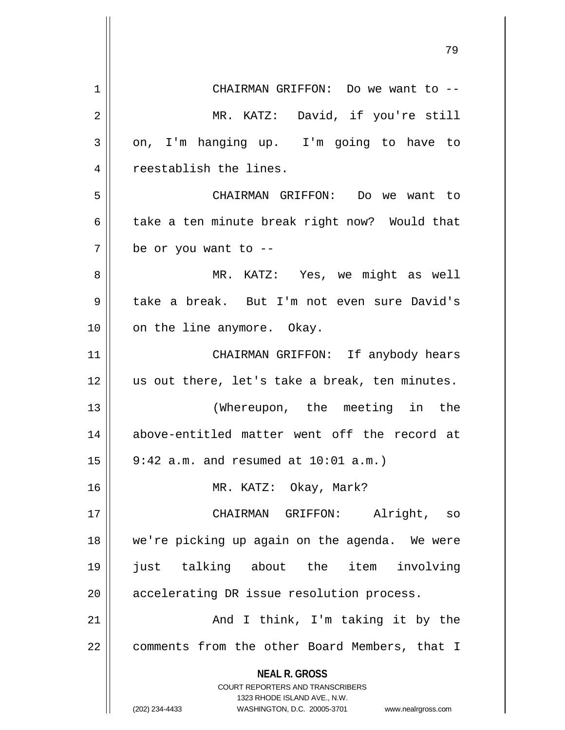| 1  | CHAIRMAN GRIFFON: Do we want to --                                      |
|----|-------------------------------------------------------------------------|
| 2  | MR. KATZ: David, if you're still                                        |
| 3  | on, I'm hanging up. I'm going to have to                                |
| 4  | reestablish the lines.                                                  |
| 5  | CHAIRMAN GRIFFON: Do we want to                                         |
| 6  | take a ten minute break right now? Would that                           |
| 7  | be or you want to --                                                    |
| 8  | MR. KATZ: Yes, we might as well                                         |
| 9  | take a break. But I'm not even sure David's                             |
| 10 | on the line anymore. Okay.                                              |
| 11 | CHAIRMAN GRIFFON: If anybody hears                                      |
| 12 | us out there, let's take a break, ten minutes.                          |
| 13 | (Whereupon, the meeting in the                                          |
| 14 | above-entitled matter went off the record at                            |
| 15 | $9:42$ a.m. and resumed at $10:01$ a.m.)                                |
| 16 | MR. KATZ: Okay, Mark?                                                   |
| 17 | CHAIRMAN GRIFFON: Alright, so                                           |
| 18 | we're picking up again on the agenda. We were                           |
| 19 | just talking about the item involving                                   |
| 20 | accelerating DR issue resolution process.                               |
| 21 | And I think, I'm taking it by the                                       |
| 22 | comments from the other Board Members, that I                           |
|    | <b>NEAL R. GROSS</b>                                                    |
|    | <b>COURT REPORTERS AND TRANSCRIBERS</b><br>1323 RHODE ISLAND AVE., N.W. |
|    | (202) 234-4433<br>WASHINGTON, D.C. 20005-3701<br>www.nealrgross.com     |

 $\left| \right|$ 

 $\mathop{\text{||}}$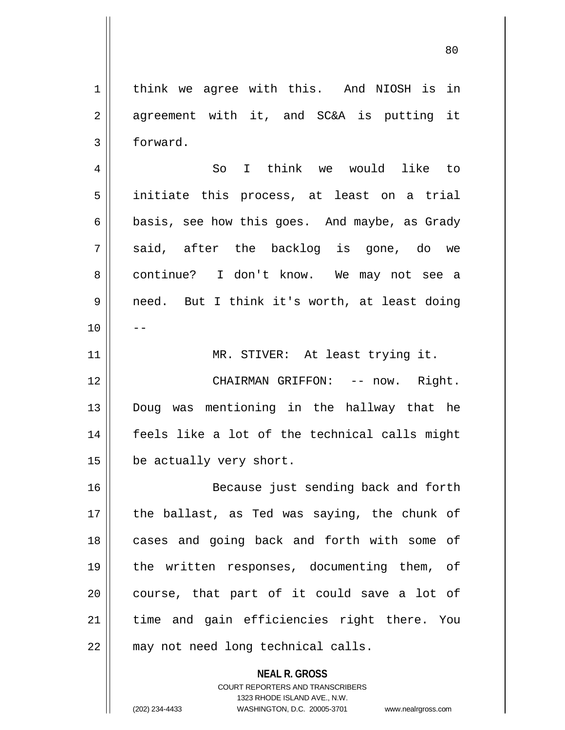1 | think we agree with this. And NIOSH is in  $2 \parallel$  agreement with it, and SC&A is putting it 3 forward. 4 So I think we would like to 5 initiate this process, at least on a trial  $6 \parallel$  basis, see how this goes. And maybe, as Grady  $7 \parallel$  said, after the backlog is gone, do we 8 continue? I don't know. We may not see a 9 || need. But I think it's worth, at least doing  $10$  ||  $-$ 11 || MR. STIVER: At least trying it. 12 CHAIRMAN GRIFFON: -- now. Right. 13 Doug was mentioning in the hallway that he 14 feels like a lot of the technical calls might 15 | be actually very short. 16 Because just sending back and forth 17  $\parallel$  the ballast, as Ted was saying, the chunk of 18 || cases and going back and forth with some of 19 || the written responses, documenting them, of  $20$  course, that part of it could save a lot of 21 || time and gain efficiencies right there. You 22 || may not need long technical calls.

> **NEAL R. GROSS** COURT REPORTERS AND TRANSCRIBERS 1323 RHODE ISLAND AVE., N.W.

(202) 234-4433 WASHINGTON, D.C. 20005-3701 www.nealrgross.com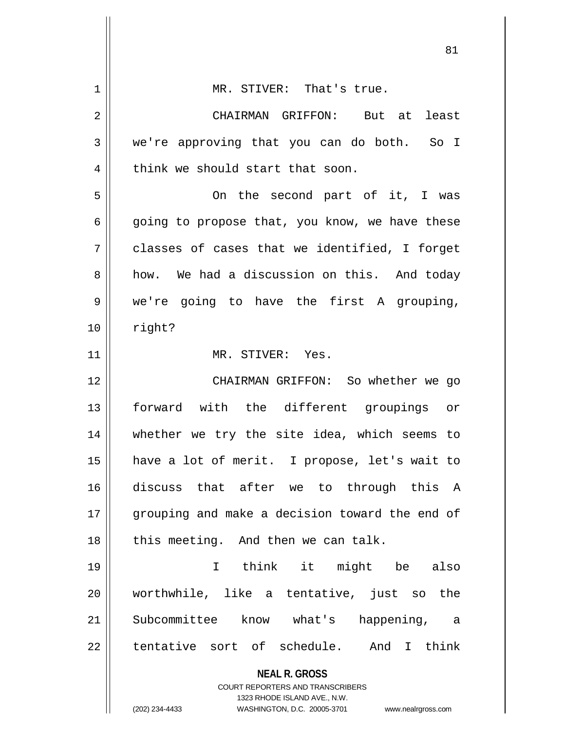| $\mathbf 1$ | MR. STIVER: That's true.                                         |
|-------------|------------------------------------------------------------------|
| 2           | CHAIRMAN GRIFFON: But at least                                   |
| 3           | we're approving that you can do both. So I                       |
| 4           | think we should start that soon.                                 |
| 5           | On the second part of it, I was                                  |
| 6           | going to propose that, you know, we have these                   |
| 7           | classes of cases that we identified, I forget                    |
| 8           | how. We had a discussion on this. And today                      |
| 9           | we're going to have the first A grouping,                        |
| 10          | right?                                                           |
| 11          | MR. STIVER: Yes.                                                 |
| 12          | CHAIRMAN GRIFFON: So whether we go                               |
| 13          | forward with the different groupings or                          |
| 14          | whether we try the site idea, which seems to                     |
| 15          | have a lot of merit. I propose, let's wait to                    |
| 16          | discuss that after we to through this A                          |
| 17          | grouping and make a decision toward the end of                   |
| 18          | this meeting. And then we can talk.                              |
| 19          | I think it might be also                                         |
| 20          | worthwhile, like a tentative, just so the                        |
| 21          | Subcommittee know what's<br>happening, a                         |
| 22          | tentative sort of schedule. And I think                          |
|             | <b>NEAL R. GROSS</b>                                             |
|             | <b>COURT REPORTERS AND TRANSCRIBERS</b>                          |
|             | 1323 RHODE ISLAND AVE., N.W.                                     |
|             | (202) 234-4433<br>WASHINGTON, D.C. 20005-3701 www.nealrgross.com |

 $\mathsf{I}$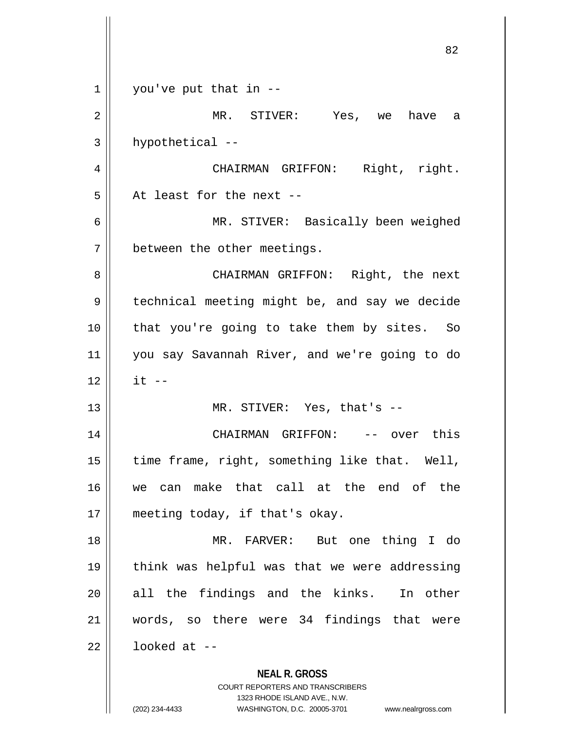| 1  | you've put that in --                                                                               |
|----|-----------------------------------------------------------------------------------------------------|
| 2  | MR. STIVER: Yes, we have a                                                                          |
| 3  | hypothetical --                                                                                     |
| 4  | CHAIRMAN GRIFFON: Right, right.                                                                     |
| 5  | At least for the next --                                                                            |
| 6  | MR. STIVER: Basically been weighed                                                                  |
| 7  | between the other meetings.                                                                         |
| 8  | CHAIRMAN GRIFFON: Right, the next                                                                   |
| 9  | technical meeting might be, and say we decide                                                       |
| 10 | that you're going to take them by sites. So                                                         |
| 11 | you say Savannah River, and we're going to do                                                       |
| 12 | $it$ $-$                                                                                            |
| 13 | MR. STIVER: Yes, that's --                                                                          |
| 14 | CHAIRMAN GRIFFON: -- over this                                                                      |
| 15 | time frame, right, something like that. Well,                                                       |
| 16 | can make that call at the end of the<br>we                                                          |
| 17 | meeting today, if that's okay.                                                                      |
| 18 | MR. FARVER: But one thing I do                                                                      |
| 19 | think was helpful was that we were addressing                                                       |
| 20 | all the findings and the kinks. In other                                                            |
| 21 | words, so there were 34 findings that were                                                          |
| 22 | looked at $-$                                                                                       |
|    | <b>NEAL R. GROSS</b>                                                                                |
|    | <b>COURT REPORTERS AND TRANSCRIBERS</b>                                                             |
|    | 1323 RHODE ISLAND AVE., N.W.<br>(202) 234-4433<br>WASHINGTON, D.C. 20005-3701<br>www.nealrgross.com |

 $\overline{\phantom{a}}$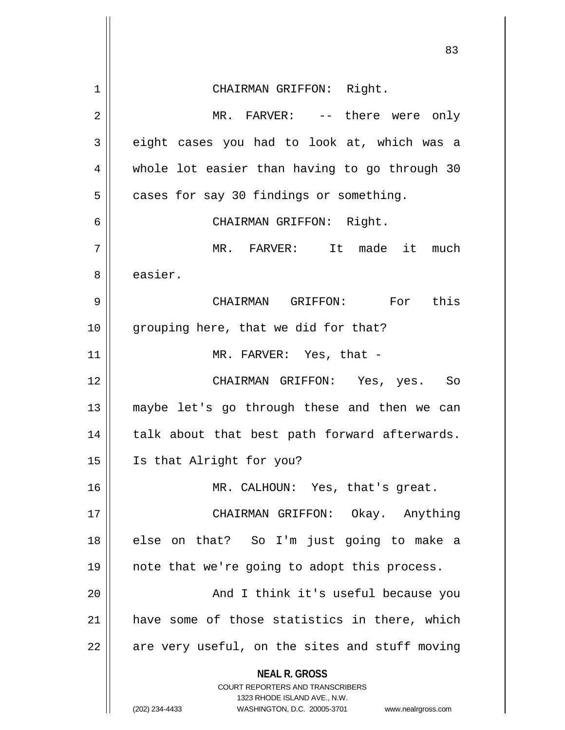|                | ັບ                                                                                                                                                                     |
|----------------|------------------------------------------------------------------------------------------------------------------------------------------------------------------------|
| $\mathbf 1$    | CHAIRMAN GRIFFON: Right.                                                                                                                                               |
| $\overline{2}$ | MR. FARVER: -- there were only                                                                                                                                         |
| 3              | eight cases you had to look at, which was a                                                                                                                            |
| 4              | whole lot easier than having to go through 30                                                                                                                          |
| 5              | cases for say 30 findings or something.                                                                                                                                |
| 6              | CHAIRMAN GRIFFON: Right.                                                                                                                                               |
| 7              | It made<br>it<br>MR. FARVER:<br>much                                                                                                                                   |
| 8              | easier.                                                                                                                                                                |
| 9              | CHAIRMAN GRIFFON: For this                                                                                                                                             |
| 10             | grouping here, that we did for that?                                                                                                                                   |
| 11             | MR. FARVER: Yes, that -                                                                                                                                                |
| 12             | CHAIRMAN GRIFFON: Yes, yes. So                                                                                                                                         |
| 13             | maybe let's go through these and then we can                                                                                                                           |
| 14             | talk about that best path forward afterwards.                                                                                                                          |
| 15             | Is that Alright for you?                                                                                                                                               |
| 16             | MR. CALHOUN: Yes, that's great.                                                                                                                                        |
| 17             | CHAIRMAN GRIFFON: Okay. Anything                                                                                                                                       |
| 18             | else on that? So I'm just going to make a                                                                                                                              |
| 19             | note that we're going to adopt this process.                                                                                                                           |
| 20             | And I think it's useful because you                                                                                                                                    |
| 21             | have some of those statistics in there, which                                                                                                                          |
| 22             | are very useful, on the sites and stuff moving                                                                                                                         |
|                | <b>NEAL R. GROSS</b><br><b>COURT REPORTERS AND TRANSCRIBERS</b><br>1323 RHODE ISLAND AVE., N.W.<br>(202) 234-4433<br>WASHINGTON, D.C. 20005-3701<br>www.nealrgross.com |

Ħ

 $\mathop{\text{||}}$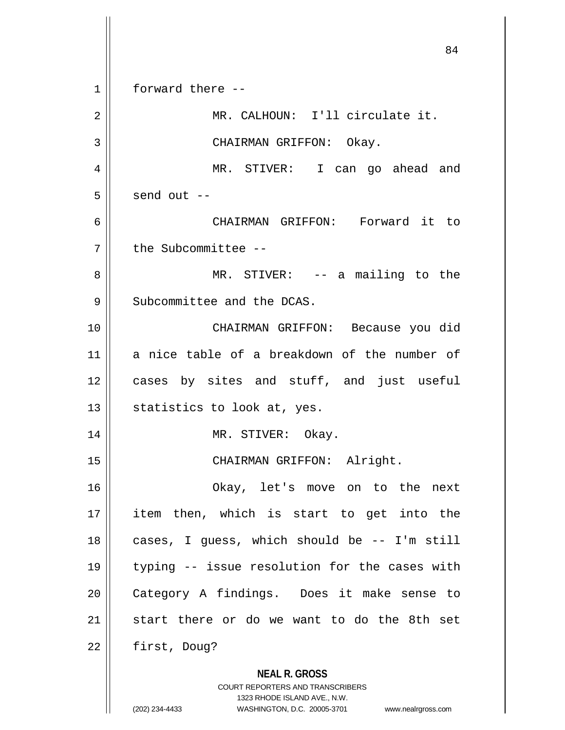**NEAL R. GROSS** COURT REPORTERS AND TRANSCRIBERS 1323 RHODE ISLAND AVE., N.W. 84 1 forward there -- 2 || MR. CALHOUN: I'll circulate it. 3 || CHAIRMAN GRIFFON: Okay. 4 MR. STIVER: I can go ahead and  $5 \parallel$  send out  $-$ 6 CHAIRMAN GRIFFON: Forward it to 7 | the Subcommittee --8 || MR. STIVER: -- a mailing to the 9 Subcommittee and the DCAS. 10 CHAIRMAN GRIFFON: Because you did 11 a nice table of a breakdown of the number of 12 cases by sites and stuff, and just useful 13  $\parallel$  statistics to look at, yes. 14 MR. STIVER: Okay. 15 || CHAIRMAN GRIFFON: Alright. 16 Okay, let's move on to the next 17 item then, which is start to get into the  $18$  || cases, I guess, which should be  $-$  I'm still 19 typing -- issue resolution for the cases with 20 || Category A findings. Does it make sense to 21  $\parallel$  start there or do we want to do the 8th set  $22$  | first, Doug?

<sup>(202) 234-4433</sup> WASHINGTON, D.C. 20005-3701 www.nealrgross.com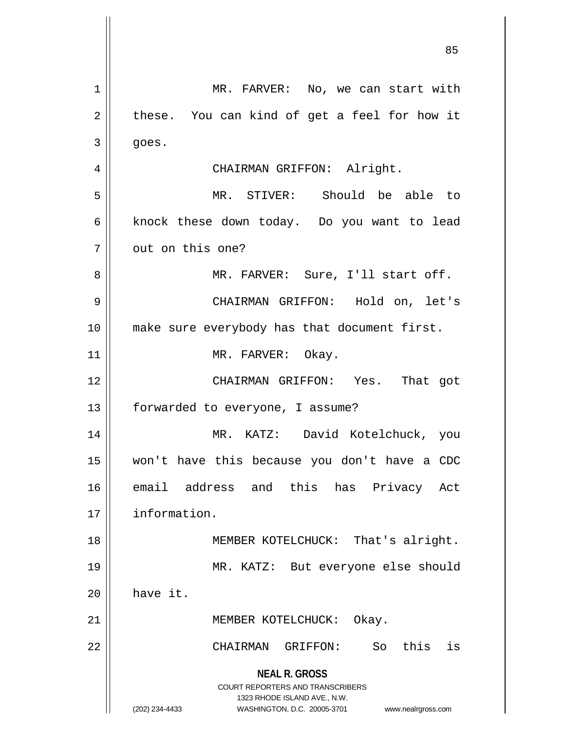**NEAL R. GROSS** COURT REPORTERS AND TRANSCRIBERS 1323 RHODE ISLAND AVE., N.W. (202) 234-4433 WASHINGTON, D.C. 20005-3701 www.nealrgross.com 1 | MR. FARVER: No, we can start with  $2 \parallel$  these. You can kind of get a feel for how it  $3 \parallel$  goes. 4 || CHAIRMAN GRIFFON: Alright. 5 MR. STIVER: Should be able to 6 | knock these down today. Do you want to lead 7 || out on this one? 8 MR. FARVER: Sure, I'll start off. 9 CHAIRMAN GRIFFON: Hold on, let's 10 make sure everybody has that document first. 11 || MR. FARVER: Okay. 12 CHAIRMAN GRIFFON: Yes. That got 13 | forwarded to everyone, I assume? 14 MR. KATZ: David Kotelchuck, you 15 won't have this because you don't have a CDC 16 email address and this has Privacy Act 17 information. 18 || MEMBER KOTELCHUCK: That's alright. 19 MR. KATZ: But everyone else should 20 have it. 21 || MEMBER KOTELCHUCK: Okay. 22 CHAIRMAN GRIFFON: So this is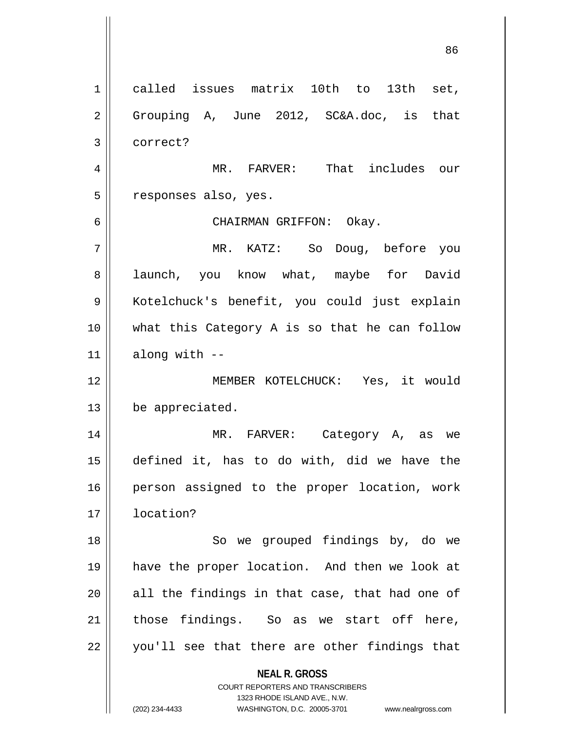**NEAL R. GROSS** COURT REPORTERS AND TRANSCRIBERS 1323 RHODE ISLAND AVE., N.W. (202) 234-4433 WASHINGTON, D.C. 20005-3701 www.nealrgross.com 1 called issues matrix 10th to 13th set, 2 || Grouping A, June 2012, SC&A.doc, is that 3 correct? 4 MR. FARVER: That includes our 5 || responses also, yes. 6 CHAIRMAN GRIFFON: Okay. 7 MR. KATZ: So Doug, before you 8 all launch, you know what, maybe for David 9 || Kotelchuck's benefit, you could just explain 10 what this Category A is so that he can follow  $11$  | along with  $-$ 12 MEMBER KOTELCHUCK: Yes, it would 13 be appreciated. 14 MR. FARVER: Category A, as we 15 defined it, has to do with, did we have the 16 || person assigned to the proper location, work 17 location? 18 || So we grouped findings by, do we 19 have the proper location. And then we look at  $20$  all the findings in that case, that had one of  $21$  those findings. So as we start off here, 22 || you'll see that there are other findings that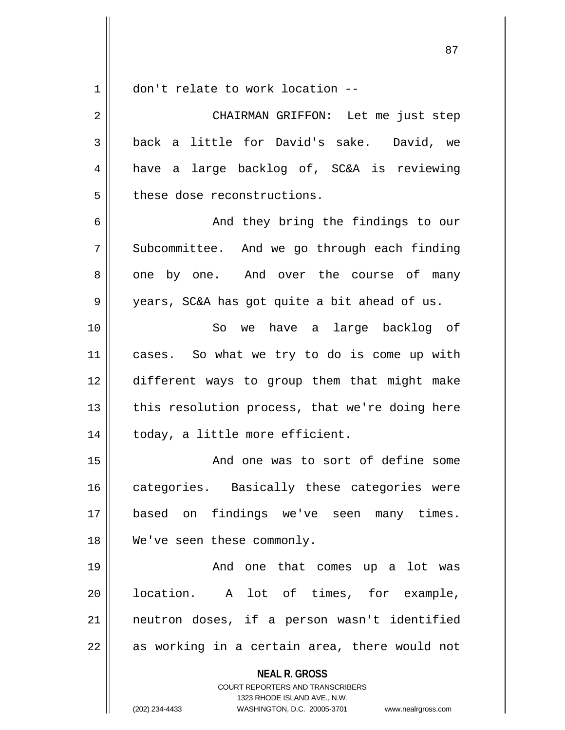$1 \parallel$  don't relate to work location --

| 2  | CHAIRMAN GRIFFON: Let me just step                       |
|----|----------------------------------------------------------|
| 3  | back a little for David's sake. David, we                |
| 4  | have a large backlog of, SC&A is reviewing               |
| 5  | these dose reconstructions.                              |
| 6  | And they bring the findings to our                       |
| 7  | Subcommittee. And we go through each finding             |
| 8  | one by one. And over the course of many                  |
| 9  | years, SC&A has got quite a bit ahead of us.             |
| 10 | So we have a large backlog of                            |
| 11 | cases. So what we try to do is come up with              |
| 12 | different ways to group them that might make             |
| 13 | this resolution process, that we're doing here           |
| 14 | today, a little more efficient.                          |
| 15 | And one was to sort of define some                       |
| 16 | categories. Basically these categories were              |
| 17 | based on findings we've seen many times.                 |
| 18 | We've seen these commonly.                               |
| 19 | And one that comes up a lot was                          |
| 20 | location. A lot of times, for example,                   |
| 21 | neutron doses, if a person wasn't identified             |
| 22 | as working in a certain area, there would not            |
|    | <b>NEAL R. GROSS</b><br>COURT REPORTERS AND TRANSCRIBERS |

1323 RHODE ISLAND AVE., N.W.

(202) 234-4433 WASHINGTON, D.C. 20005-3701 www.nealrgross.com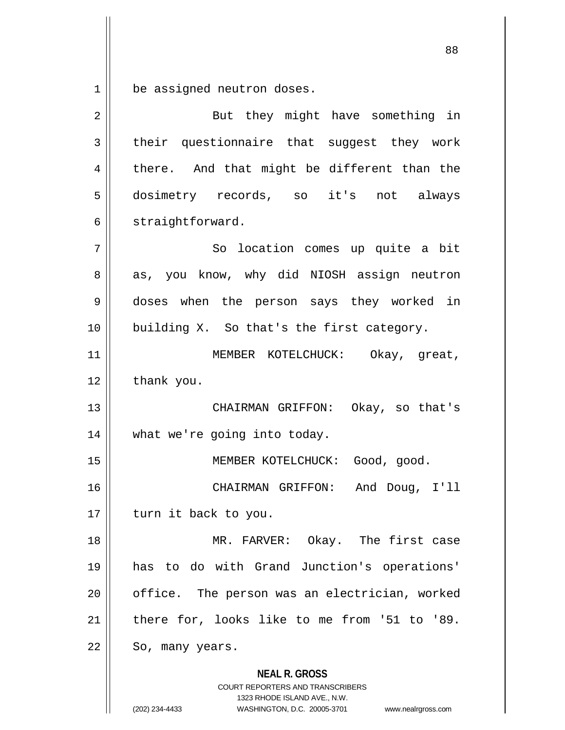be assigned neutron doses.

| $\overline{2}$ | But they might have something in                                                                                                                                       |
|----------------|------------------------------------------------------------------------------------------------------------------------------------------------------------------------|
| 3              | their questionnaire that suggest they work                                                                                                                             |
| 4              | there. And that might be different than the                                                                                                                            |
| 5              | dosimetry records, so it's not always                                                                                                                                  |
| 6              | straightforward.                                                                                                                                                       |
| 7              | So location comes up quite a bit                                                                                                                                       |
| 8              | as, you know, why did NIOSH assign neutron                                                                                                                             |
| 9              | doses when the person says they worked in                                                                                                                              |
| 10             | building X. So that's the first category.                                                                                                                              |
| 11             | MEMBER KOTELCHUCK: Okay, great,                                                                                                                                        |
| 12             | thank you.                                                                                                                                                             |
| 13             | CHAIRMAN GRIFFON: Okay, so that's                                                                                                                                      |
| 14             | what we're going into today.                                                                                                                                           |
| 15             | MEMBER KOTELCHUCK: Good, good.                                                                                                                                         |
| 16             | CHAIRMAN GRIFFON:<br>And Doug, I'll                                                                                                                                    |
| 17             | turn it back to you.                                                                                                                                                   |
| 18             | MR. FARVER: Okay. The first case                                                                                                                                       |
| 19             | has to do with Grand Junction's operations'                                                                                                                            |
| 20             | office. The person was an electrician, worked                                                                                                                          |
| 21             | there for, looks like to me from '51 to '89.                                                                                                                           |
| 22             | So, many years.                                                                                                                                                        |
|                | <b>NEAL R. GROSS</b><br><b>COURT REPORTERS AND TRANSCRIBERS</b><br>1323 RHODE ISLAND AVE., N.W.<br>(202) 234-4433<br>WASHINGTON, D.C. 20005-3701<br>www.nealrgross.com |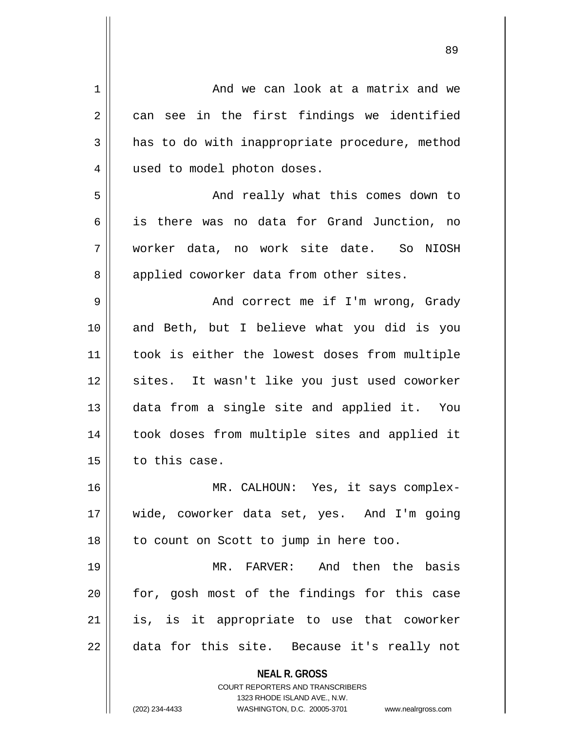| $\mathbf{1}$   | And we can look at a matrix and we                                      |
|----------------|-------------------------------------------------------------------------|
| $\overline{2}$ | can see in the first findings we identified                             |
| 3              | has to do with inappropriate procedure, method                          |
| $\overline{4}$ | used to model photon doses.                                             |
| 5              | And really what this comes down to                                      |
| 6              | is there was no data for Grand Junction, no                             |
| 7              | worker data, no work site date. So NIOSH                                |
| 8              | applied coworker data from other sites.                                 |
| 9              | And correct me if I'm wrong, Grady                                      |
| 10             | and Beth, but I believe what you did is you                             |
| 11             | took is either the lowest doses from multiple                           |
| 12             | sites. It wasn't like you just used coworker                            |
| 13             | data from a single site and applied it. You                             |
| 14             | took doses from multiple sites and applied it                           |
| 15             | to this case.                                                           |
| 16             | MR. CALHOUN: Yes, it says complex-                                      |
| 17             | wide, coworker data set, yes. And I'm going                             |
| 18             | to count on Scott to jump in here too.                                  |
| 19             | FARVER: And then the basis<br>MR.                                       |
| 20             | for, gosh most of the findings for this case                            |
| 21             | is, is it appropriate to use that coworker                              |
| 22             | data for this site. Because it's really not                             |
|                |                                                                         |
|                | <b>NEAL R. GROSS</b>                                                    |
|                | <b>COURT REPORTERS AND TRANSCRIBERS</b><br>1323 RHODE ISLAND AVE., N.W. |
|                | (202) 234-4433<br>WASHINGTON, D.C. 20005-3701 www.nealrgross.com        |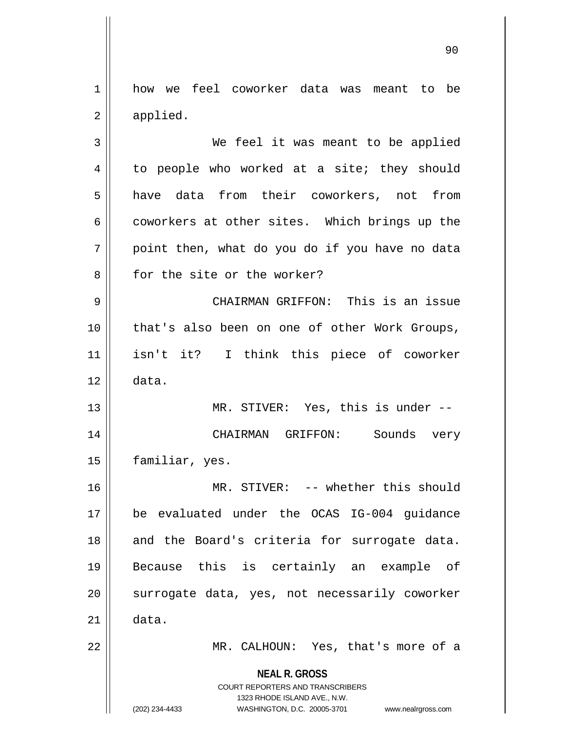1 | how we feel coworker data was meant to be 2 | applied.

3 We feel it was meant to be applied  $4 \parallel$  to people who worked at a site; they should 5 || have data from their coworkers, not from 6 coworkers at other sites. Which brings up the  $7$  | point then, what do you do if you have no data 8 || for the site or the worker? 9 CHAIRMAN GRIFFON: This is an issue 10 that's also been on one of other Work Groups,

11 isn't it? I think this piece of coworker  $12 \parallel$  data.

13 || MR. STIVER: Yes, this is under --14 CHAIRMAN GRIFFON: Sounds very 15 | familiar, yes.

16 || MR. STIVER: -- whether this should 17 be evaluated under the OCAS IG-004 guidance 18 || and the Board's criteria for surrogate data. 19 Because this is certainly an example of 20 || surrogate data, yes, not necessarily coworker  $21 \parallel$  data.

22 MR. CALHOUN: Yes, that's more of a

**NEAL R. GROSS** COURT REPORTERS AND TRANSCRIBERS

1323 RHODE ISLAND AVE., N.W.

(202) 234-4433 WASHINGTON, D.C. 20005-3701 www.nealrgross.com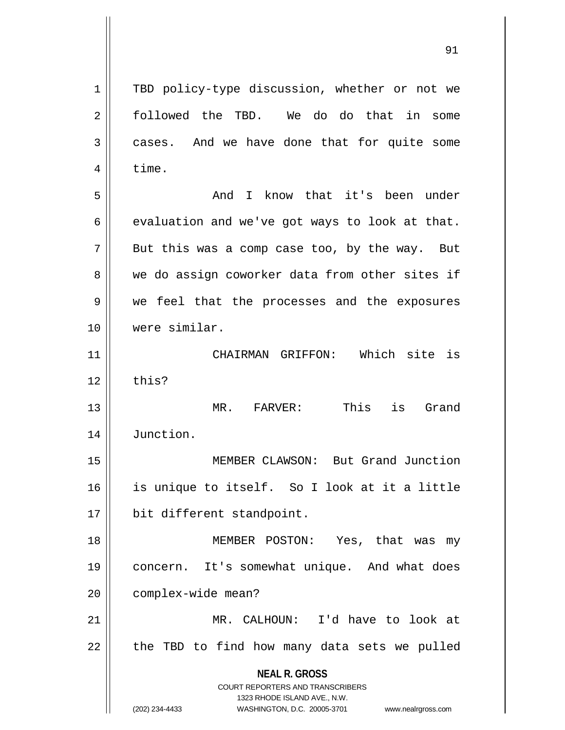**NEAL R. GROSS** COURT REPORTERS AND TRANSCRIBERS 1323 RHODE ISLAND AVE., N.W. 1 || TBD policy-type discussion, whether or not we 2 followed the TBD. We do do that in some 3 cases. And we have done that for quite some  $4 \parallel$  time. 5 And I know that it's been under  $6 \parallel$  evaluation and we've got ways to look at that.  $7 \parallel$  But this was a comp case too, by the way. But 8 we do assign coworker data from other sites if 9 we feel that the processes and the exposures 10 were similar. 11 CHAIRMAN GRIFFON: Which site is  $12$  | this? 13 MR. FARVER: This is Grand 14 Junction. 15 MEMBER CLAWSON: But Grand Junction 16 is unique to itself. So I look at it a little 17 | bit different standpoint. 18 MEMBER POSTON: Yes, that was my 19 concern. It's somewhat unique. And what does 20 | complex-wide mean? 21 MR. CALHOUN: I'd have to look at  $22$  | the TBD to find how many data sets we pulled

<sup>(202) 234-4433</sup> WASHINGTON, D.C. 20005-3701 www.nealrgross.com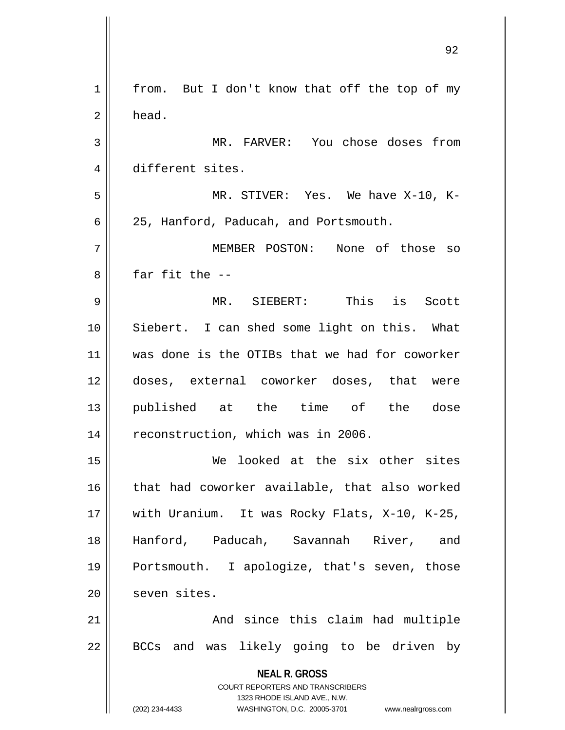| 1  | from. But I don't know that off the top of my                                                       |
|----|-----------------------------------------------------------------------------------------------------|
| 2  | head.                                                                                               |
| 3  | MR. FARVER: You chose doses from                                                                    |
| 4  | different sites.                                                                                    |
| 5  | MR. STIVER: Yes. We have X-10, K-                                                                   |
| 6  | 25, Hanford, Paducah, and Portsmouth.                                                               |
| 7  | MEMBER POSTON: None of those so                                                                     |
| 8  | far fit the $-$                                                                                     |
| 9  | MR. SIEBERT: This is Scott                                                                          |
| 10 | Siebert. I can shed some light on this. What                                                        |
| 11 | was done is the OTIBs that we had for coworker                                                      |
| 12 | doses, external coworker doses, that were                                                           |
| 13 | published at the time of the dose                                                                   |
| 14 | reconstruction, which was in 2006.                                                                  |
| 15 | We looked at the six other sites                                                                    |
| 16 | that had coworker available, that also worked                                                       |
| 17 | with Uranium. It was Rocky Flats, X-10, K-25,                                                       |
| 18 | Hanford, Paducah, Savannah River, and                                                               |
| 19 | Portsmouth. I apologize, that's seven, those                                                        |
| 20 | seven sites.                                                                                        |
| 21 | And since this claim had multiple                                                                   |
| 22 | BCCs and was likely going to be driven by                                                           |
|    | <b>NEAL R. GROSS</b>                                                                                |
|    | <b>COURT REPORTERS AND TRANSCRIBERS</b>                                                             |
|    | 1323 RHODE ISLAND AVE., N.W.<br>(202) 234-4433<br>WASHINGTON, D.C. 20005-3701<br>www.nealrgross.com |

 $\mathbf{I}$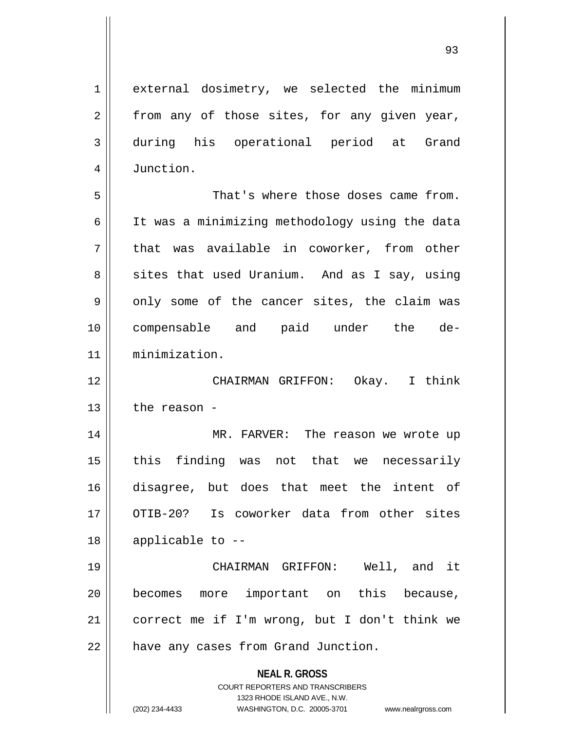**NEAL R. GROSS** COURT REPORTERS AND TRANSCRIBERS 1323 RHODE ISLAND AVE., N.W. 1 || external dosimetry, we selected the minimum  $2 \parallel$  from any of those sites, for any given year, 3 during his operational period at Grand 4 | Junction. 5 That's where those doses came from. 6 | It was a minimizing methodology using the data  $7 \parallel$  that was available in coworker, from other  $8 \parallel$  sites that used Uranium. And as I say, using  $9 \parallel$  only some of the cancer sites, the claim was 10 compensable and paid under the de-11 minimization. 12 CHAIRMAN GRIFFON: Okay. I think  $13$  the reason -14 || MR. FARVER: The reason we wrote up  $15$  this finding was not that we necessarily 16 disagree, but does that meet the intent of 17 || OTIB-20? Is coworker data from other sites  $18$  || applicable to  $-$ -19 CHAIRMAN GRIFFON: Well, and it 20 || becomes more important on this because, 21 correct me if I'm wrong, but I don't think we 22 | have any cases from Grand Junction.

(202) 234-4433 WASHINGTON, D.C. 20005-3701 www.nealrgross.com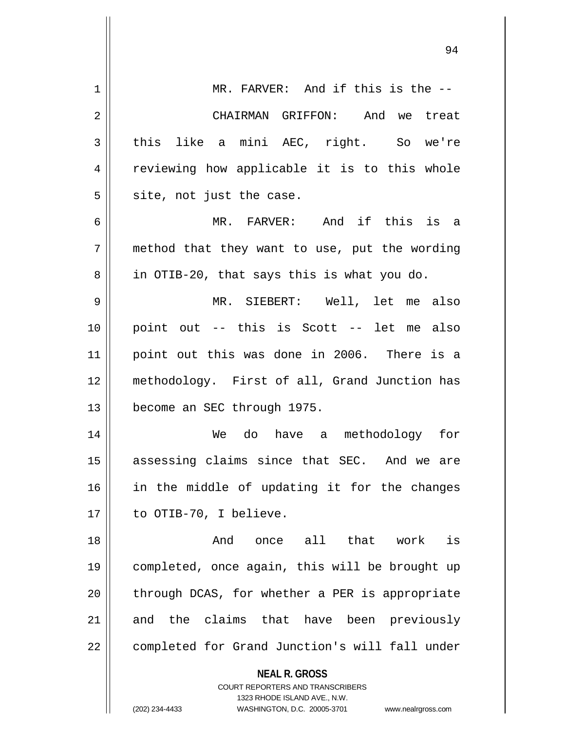| 1  | MR. FARVER: And if this is the --                                   |
|----|---------------------------------------------------------------------|
| 2  | CHAIRMAN GRIFFON: And we treat                                      |
| 3  | this like a mini AEC, right. So we're                               |
| 4  | reviewing how applicable it is to this whole                        |
| 5  | site, not just the case.                                            |
| 6  | MR. FARVER: And if this is a                                        |
| 7  | method that they want to use, put the wording                       |
| 8  | in OTIB-20, that says this is what you do.                          |
| 9  | MR. SIEBERT: Well, let me also                                      |
| 10 | point out -- this is Scott -- let me also                           |
| 11 | point out this was done in 2006. There is a                         |
| 12 | methodology. First of all, Grand Junction has                       |
| 13 | become an SEC through 1975.                                         |
| 14 | We do have a methodology for                                        |
| 15 | assessing claims since that SEC. And we are                         |
| 16 | in the middle of updating it for the changes                        |
| 17 | to OTIB-70, I believe.                                              |
| 18 | And once all that work<br>is                                        |
| 19 | completed, once again, this will be brought up                      |
| 20 | through DCAS, for whether a PER is appropriate                      |
| 21 | and the claims that have been previously                            |
| 22 | completed for Grand Junction's will fall under                      |
|    | <b>NEAL R. GROSS</b>                                                |
|    | COURT REPORTERS AND TRANSCRIBERS                                    |
|    | 1323 RHODE ISLAND AVE., N.W.                                        |
|    | (202) 234-4433<br>WASHINGTON, D.C. 20005-3701<br>www.nealrgross.com |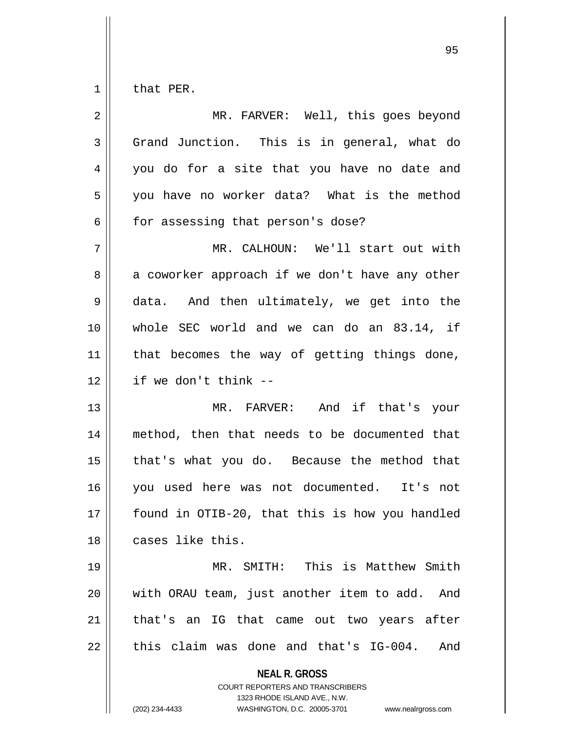$1 \parallel$  that PER.

| 2  | MR. FARVER: Well, this goes beyond                                                                                                                                     |
|----|------------------------------------------------------------------------------------------------------------------------------------------------------------------------|
| 3  | Grand Junction. This is in general, what do                                                                                                                            |
| 4  | you do for a site that you have no date and                                                                                                                            |
| 5  | you have no worker data? What is the method                                                                                                                            |
| 6  | for assessing that person's dose?                                                                                                                                      |
| 7  | MR. CALHOUN: We'll start out with                                                                                                                                      |
| 8  | a coworker approach if we don't have any other                                                                                                                         |
| 9  | data. And then ultimately, we get into the                                                                                                                             |
| 10 | whole SEC world and we can do an 83.14, if                                                                                                                             |
| 11 | that becomes the way of getting things done,                                                                                                                           |
| 12 | if we don't think --                                                                                                                                                   |
| 13 | MR. FARVER: And if that's your                                                                                                                                         |
| 14 | method, then that needs to be documented that                                                                                                                          |
| 15 | that's what you do. Because the method that                                                                                                                            |
| 16 | you used here was not documented. It's not                                                                                                                             |
| 17 | found in OTIB-20, that this is how you handled                                                                                                                         |
| 18 | cases like this.                                                                                                                                                       |
| 19 | MR. SMITH: This is Matthew Smith                                                                                                                                       |
| 20 | with ORAU team, just another item to add.<br>And                                                                                                                       |
| 21 | that's an IG that came out two years after                                                                                                                             |
| 22 | this claim was done and that's IG-004.<br>And                                                                                                                          |
|    | <b>NEAL R. GROSS</b><br><b>COURT REPORTERS AND TRANSCRIBERS</b><br>1323 RHODE ISLAND AVE., N.W.<br>(202) 234-4433<br>WASHINGTON, D.C. 20005-3701<br>www.nealrgross.com |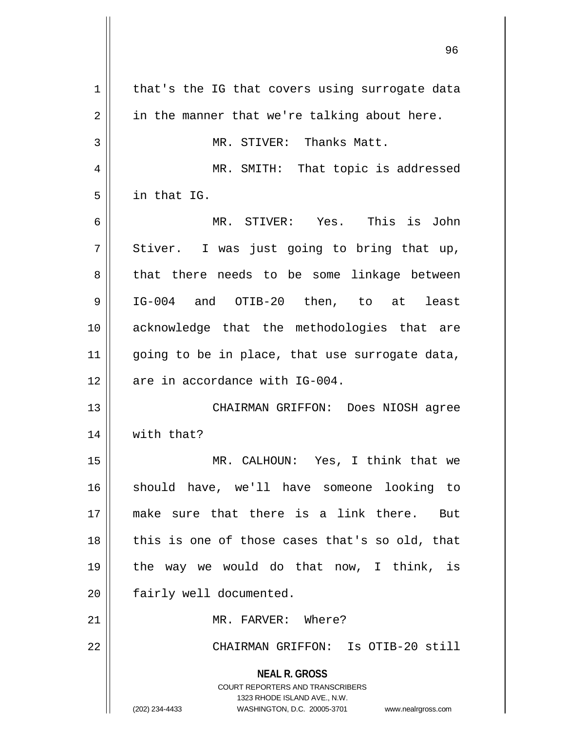**NEAL R. GROSS** COURT REPORTERS AND TRANSCRIBERS 1323 RHODE ISLAND AVE., N.W. (202) 234-4433 WASHINGTON, D.C. 20005-3701 www.nealrgross.com  $1 \parallel$  that's the IG that covers using surrogate data  $2 \parallel$  in the manner that we're talking about here. 3 || MR. STIVER: Thanks Matt. 4 MR. SMITH: That topic is addressed 5 in that IG. 6 MR. STIVER: Yes. This is John  $7 \parallel$  Stiver. I was just going to bring that up, 8 that there needs to be some linkage between 9 || IG-004 and OTIB-20 then, to at least 10 acknowledge that the methodologies that are 11  $\parallel$  going to be in place, that use surrogate data,  $12$  | are in accordance with IG-004. 13 CHAIRMAN GRIFFON: Does NIOSH agree 14 | with that? 15 MR. CALHOUN: Yes, I think that we 16 should have, we'll have someone looking to 17 make sure that there is a link there. But 18 || this is one of those cases that's so old, that 19 the way we would do that now, I think, is 20 | fairly well documented. 21 | MR. FARVER: Where? 22 CHAIRMAN GRIFFON: Is OTIB-20 still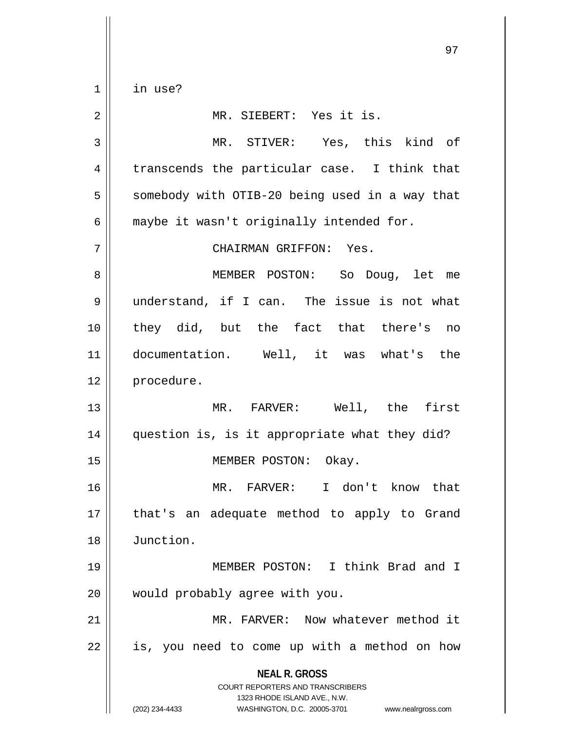1 in use?

**NEAL R. GROSS** COURT REPORTERS AND TRANSCRIBERS 1323 RHODE ISLAND AVE., N.W. (202) 234-4433 WASHINGTON, D.C. 20005-3701 www.nealrgross.com 2 || MR. SIEBERT: Yes it is. 3 MR. STIVER: Yes, this kind of  $4 \parallel$  transcends the particular case. I think that  $5 \parallel$  somebody with OTIB-20 being used in a way that  $6 \parallel$  maybe it wasn't originally intended for. 7 CHAIRMAN GRIFFON: Yes. 8 MEMBER POSTON: So Doug, let me 9 understand, if I can. The issue is not what 10 they did, but the fact that there's no 11 documentation. Well, it was what's the 12 procedure. 13 MR. FARVER: Well, the first 14 question is, is it appropriate what they did? 15 || MEMBER POSTON: Okay. 16 MR. FARVER: I don't know that 17 || that's an adequate method to apply to Grand 18 Junction. 19 MEMBER POSTON: I think Brad and I 20 || would probably agree with you. 21 MR. FARVER: Now whatever method it  $22$  || is, you need to come up with a method on how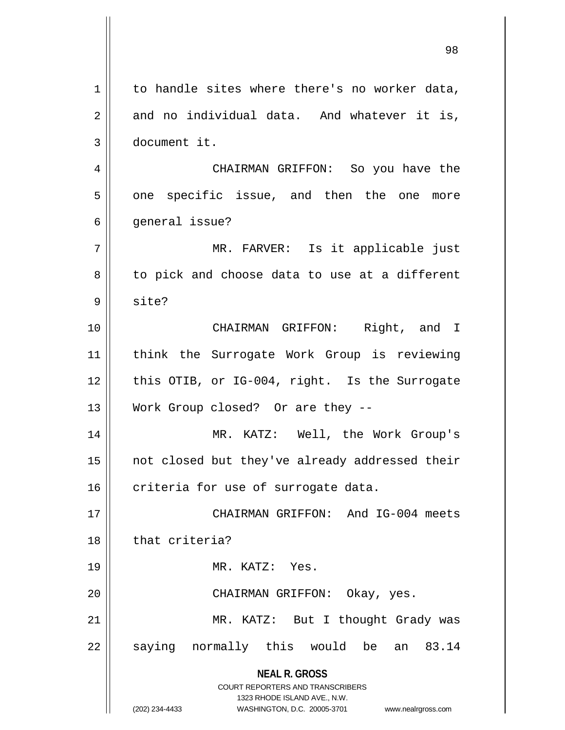**NEAL R. GROSS** COURT REPORTERS AND TRANSCRIBERS 1323 RHODE ISLAND AVE., N.W. (202) 234-4433 WASHINGTON, D.C. 20005-3701 www.nealrgross.com  $1 \parallel$  to handle sites where there's no worker data,  $2 \parallel$  and no individual data. And whatever it is, 3 document it. 4 CHAIRMAN GRIFFON: So you have the 5 | one specific issue, and then the one more 6 | qeneral issue? 7 MR. FARVER: Is it applicable just  $8 \parallel$  to pick and choose data to use at a different  $9 \parallel$  site? 10 CHAIRMAN GRIFFON: Right, and I 11 think the Surrogate Work Group is reviewing 12 || this OTIB, or IG-004, right. Is the Surrogate 13 Work Group closed? Or are they --14 MR. KATZ: Well, the Work Group's 15 || not closed but they've already addressed their 16 criteria for use of surrogate data. 17 CHAIRMAN GRIFFON: And IG-004 meets 18 that criteria? 19 MR. KATZ: Yes. 20 CHAIRMAN GRIFFON: Okay, yes. 21 || MR. KATZ: But I thought Grady was  $22$  saying normally this would be an 83.14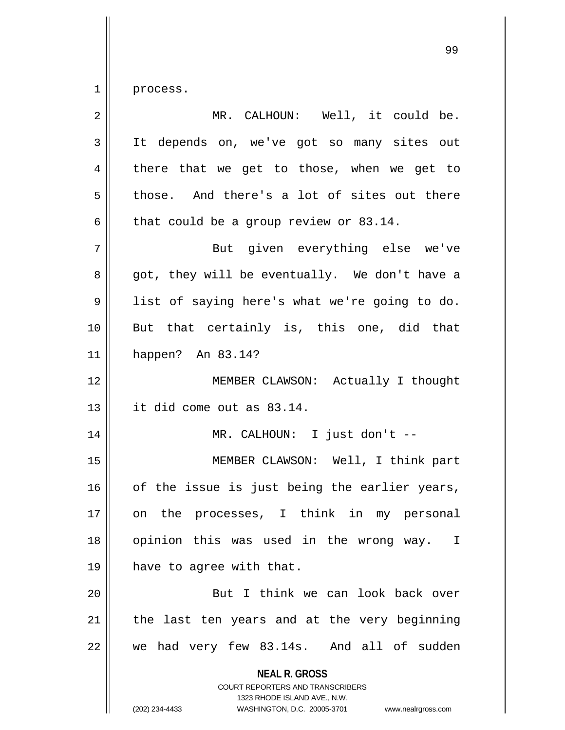1 process.

| $\overline{2}$ | MR. CALHOUN: Well, it could be.                                                                                                                                        |
|----------------|------------------------------------------------------------------------------------------------------------------------------------------------------------------------|
| 3              | It depends on, we've got so many sites out                                                                                                                             |
| $\overline{4}$ | there that we get to those, when we get to                                                                                                                             |
| 5              | those. And there's a lot of sites out there                                                                                                                            |
| 6              | that could be a group review or 83.14.                                                                                                                                 |
| 7              | But given everything else we've                                                                                                                                        |
| 8              | got, they will be eventually. We don't have a                                                                                                                          |
| 9              | list of saying here's what we're going to do.                                                                                                                          |
| 10             | But that certainly is, this one, did that                                                                                                                              |
| 11             | happen? An 83.14?                                                                                                                                                      |
| 12             | MEMBER CLAWSON: Actually I thought                                                                                                                                     |
| 13             | it did come out as 83.14.                                                                                                                                              |
| 14             | MR. CALHOUN: I just don't --                                                                                                                                           |
| 15             | MEMBER CLAWSON: Well, I think part                                                                                                                                     |
| 16             | of the issue is just being the earlier years,                                                                                                                          |
| 17             | on the processes, I think in my personal                                                                                                                               |
| 18             | opinion this was used in the wrong way.<br>$\mathbf{I}$                                                                                                                |
| 19             | have to agree with that.                                                                                                                                               |
| 20             | But I think we can look back over                                                                                                                                      |
| 21             | the last ten years and at the very beginning                                                                                                                           |
| 22             | we had very few 83.14s. And all of sudden                                                                                                                              |
|                | <b>NEAL R. GROSS</b><br><b>COURT REPORTERS AND TRANSCRIBERS</b><br>1323 RHODE ISLAND AVE., N.W.<br>(202) 234-4433<br>WASHINGTON, D.C. 20005-3701<br>www.nealrgross.com |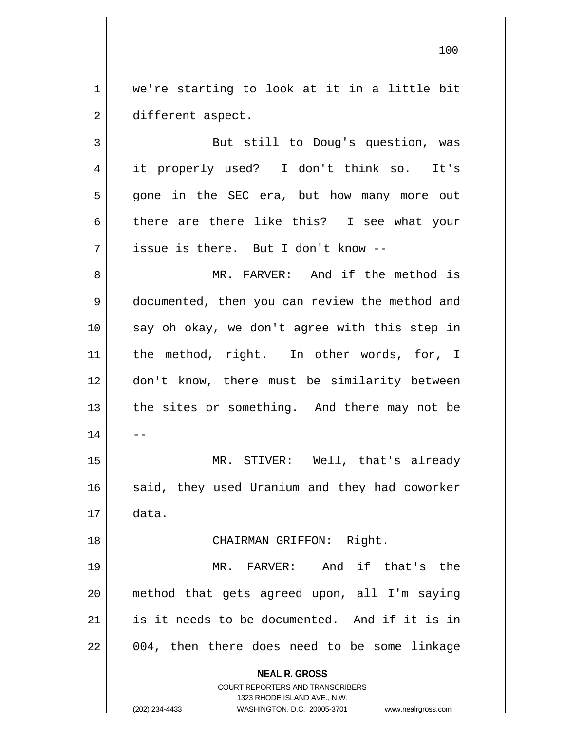1 || we're starting to look at it in a little bit 2 different aspect.

3 But still to Doug's question, was 4 it properly used? I don't think so. It's 5 gone in the SEC era, but how many more out 6 there are there like this? I see what your  $7 \parallel$  issue is there. But I don't know --

8 MR. FARVER: And if the method is 9 | documented, then you can review the method and 10 || say oh okay, we don't agree with this step in 11 || the method, right. In other words, for, I 12 don't know, there must be similarity between  $13$  | the sites or something. And there may not be  $14$   $\parallel$   $-$ 15 MR. STIVER: Well, that's already 16 said, they used Uranium and they had coworker  $17 \parallel$  data. 18 || CHAIRMAN GRIFFON: Right. 19 MR. FARVER: And if that's the

20 method that gets agreed upon, all I'm saying 21 is it needs to be documented. And if it is in  $22 \parallel 004$ , then there does need to be some linkage

**NEAL R. GROSS**

COURT REPORTERS AND TRANSCRIBERS 1323 RHODE ISLAND AVE., N.W. (202) 234-4433 WASHINGTON, D.C. 20005-3701 www.nealrgross.com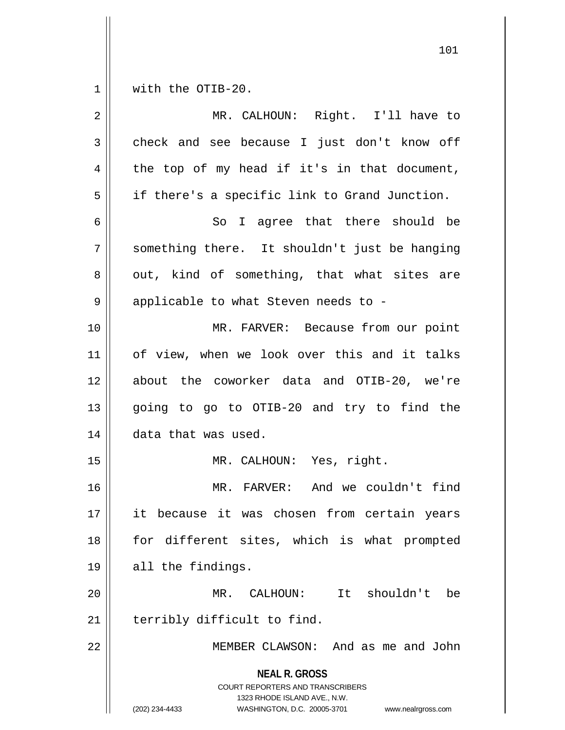$1 \parallel$  with the OTIB-20.

| $\overline{2}$ | MR. CALHOUN: Right. I'll have to                                                                                                                                       |
|----------------|------------------------------------------------------------------------------------------------------------------------------------------------------------------------|
| 3              | check and see because I just don't know off                                                                                                                            |
| 4              | the top of my head if it's in that document,                                                                                                                           |
| 5              | if there's a specific link to Grand Junction.                                                                                                                          |
| 6              | So I agree that there should be                                                                                                                                        |
| 7              | something there. It shouldn't just be hanging                                                                                                                          |
| 8              | out, kind of something, that what sites are                                                                                                                            |
| 9              | applicable to what Steven needs to -                                                                                                                                   |
| 10             | MR. FARVER: Because from our point                                                                                                                                     |
| 11             | of view, when we look over this and it talks                                                                                                                           |
| 12             | about the coworker data and OTIB-20, we're                                                                                                                             |
| 13             | going to go to OTIB-20 and try to find the                                                                                                                             |
| 14             | data that was used.                                                                                                                                                    |
| 15             | MR. CALHOUN: Yes, right.                                                                                                                                               |
| 16             | MR. FARVER: And we couldn't find                                                                                                                                       |
| 17             | it because it was chosen from certain years                                                                                                                            |
| 18             | for different sites, which is what prompted                                                                                                                            |
| 19             | all the findings.                                                                                                                                                      |
| 20             | MR. CALHOUN: It shouldn't<br>be                                                                                                                                        |
| 21             | terribly difficult to find.                                                                                                                                            |
| 22             | MEMBER CLAWSON: And as me and John                                                                                                                                     |
|                | <b>NEAL R. GROSS</b><br><b>COURT REPORTERS AND TRANSCRIBERS</b><br>1323 RHODE ISLAND AVE., N.W.<br>(202) 234-4433<br>WASHINGTON, D.C. 20005-3701<br>www.nealrgross.com |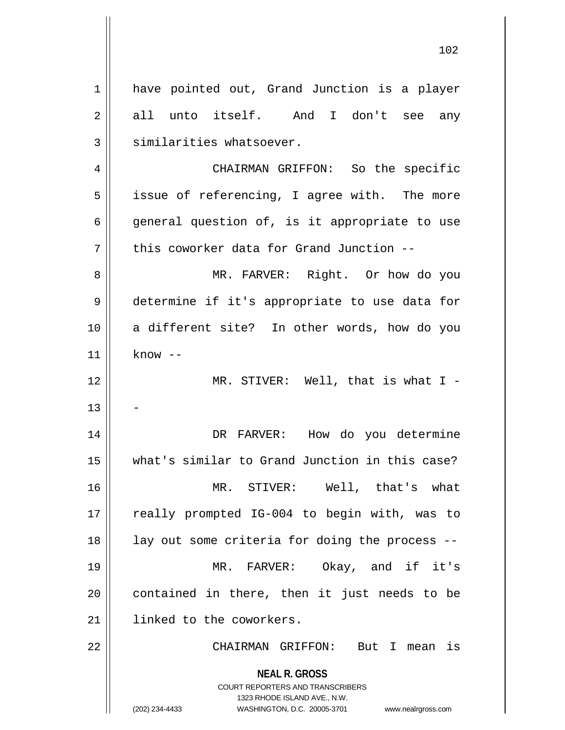**NEAL R. GROSS** COURT REPORTERS AND TRANSCRIBERS 1323 RHODE ISLAND AVE., N.W. (202) 234-4433 WASHINGTON, D.C. 20005-3701 www.nealrgross.com 1 || have pointed out, Grand Junction is a player 2 || all unto itself. And I don't see any  $3$   $\parallel$  similarities whatsoever. 4 | CHAIRMAN GRIFFON: So the specific 5 || issue of referencing, I agree with. The more 6 || general question of, is it appropriate to use  $7$  || this coworker data for Grand Junction --8 MR. FARVER: Right. Or how do you 9 determine if it's appropriate to use data for 10 a different site? In other words, how do you  $11$  | know  $-$ 12 MR. STIVER: Well, that is what I - 13 14 DR FARVER: How do you determine 15 what's similar to Grand Junction in this case? 16 MR. STIVER: Well, that's what 17 || really prompted IG-004 to begin with, was to 18 || lay out some criteria for doing the process --19 MR. FARVER: Okay, and if it's  $20$  || contained in there, then it just needs to be 21 | linked to the coworkers. 22 CHAIRMAN GRIFFON: But I mean is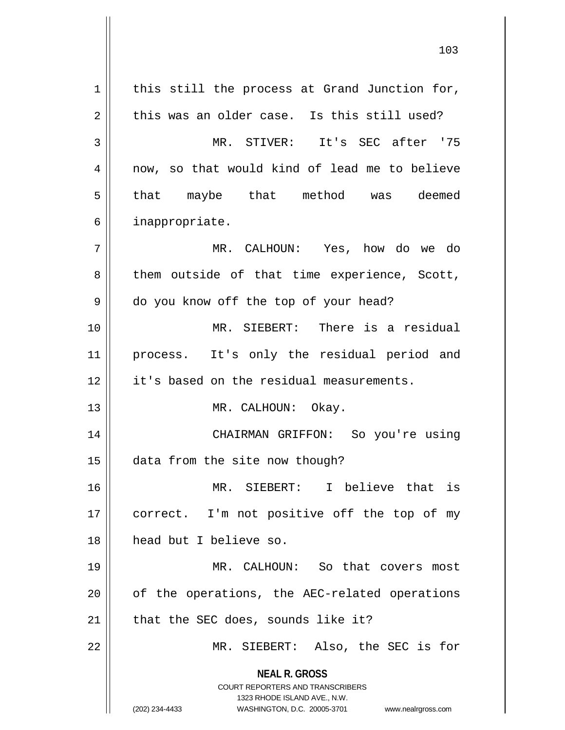**NEAL R. GROSS** COURT REPORTERS AND TRANSCRIBERS 1323 RHODE ISLAND AVE., N.W. (202) 234-4433 WASHINGTON, D.C. 20005-3701 www.nealrgross.com  $1$  this still the process at Grand Junction for,  $2 \parallel$  this was an older case. Is this still used? 3 MR. STIVER: It's SEC after '75 4 || now, so that would kind of lead me to believe 5 that maybe that method was deemed 6 | inappropriate. 7 MR. CALHOUN: Yes, how do we do  $8 \parallel$  them outside of that time experience, Scott, 9 do you know off the top of your head? 10 MR. SIEBERT: There is a residual 11 process. It's only the residual period and 12 || it's based on the residual measurements. 13 || MR. CALHOUN: Okay. 14 CHAIRMAN GRIFFON: So you're using 15 data from the site now though? 16 MR. SIEBERT: I believe that is 17 || correct. I'm not positive off the top of my 18 head but I believe so. 19 MR. CALHOUN: So that covers most  $20$  || of the operations, the AEC-related operations 21 || that the SEC does, sounds like it? 22 || MR. SIEBERT: Also, the SEC is for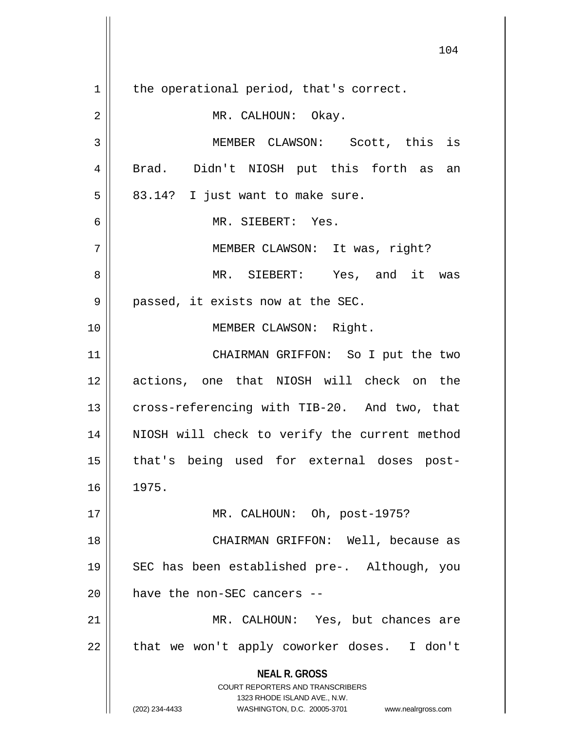**NEAL R. GROSS** COURT REPORTERS AND TRANSCRIBERS 1323 RHODE ISLAND AVE., N.W. (202) 234-4433 WASHINGTON, D.C. 20005-3701 www.nealrgross.com  $1 \parallel$  the operational period, that's correct. 2 | MR. CALHOUN: Okay. 3 MEMBER CLAWSON: Scott, this is 4 || Brad. Didn't NIOSH put this forth as an  $5 \parallel 83.14$ ? I just want to make sure. 6 MR. SIEBERT: Yes. 7 || MEMBER CLAWSON: It was, right? 8 MR. SIEBERT: Yes, and it was 9 || passed, it exists now at the SEC. 10 || **MEMBER CLAWSON:** Right. 11 CHAIRMAN GRIFFON: So I put the two 12 actions, one that NIOSH will check on the 13 || cross-referencing with TIB-20. And two, that 14 || NIOSH will check to verify the current method 15 that's being used for external doses post-16 1975. 17 MR. CALHOUN: Oh, post-1975? 18 CHAIRMAN GRIFFON: Well, because as 19 SEC has been established pre-. Although, you 20 | have the non-SEC cancers --21 || MR. CALHOUN: Yes, but chances are 22 || that we won't apply coworker doses. I don't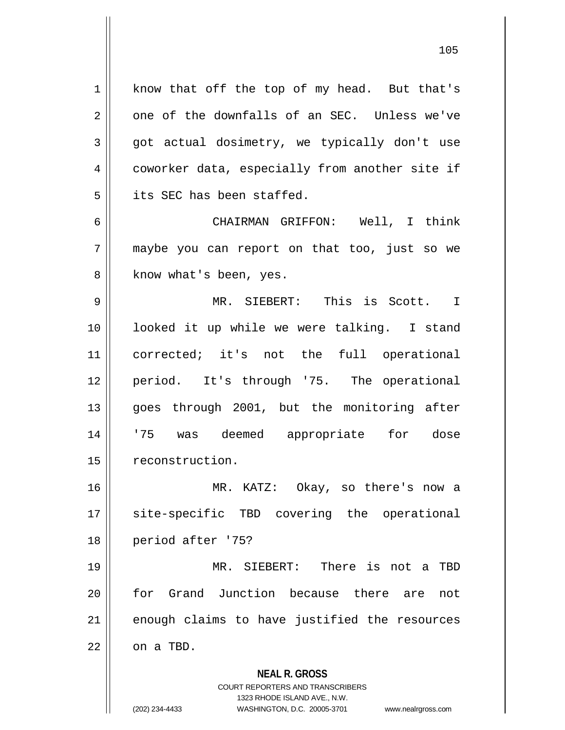1 | know that off the top of my head. But that's  $2 \parallel$  one of the downfalls of an SEC. Unless we've  $3 \parallel$  got actual dosimetry, we typically don't use 4 coworker data, especially from another site if 5 **i** its SEC has been staffed. 6 CHAIRMAN GRIFFON: Well, I think 7 maybe you can report on that too, just so we 8 | know what's been, yes. 9 MR. SIEBERT: This is Scott. I 10 looked it up while we were talking. I stand 11 corrected; it's not the full operational 12 period. It's through '75. The operational 13 || goes through 2001, but the monitoring after 14 '75 was deemed appropriate for dose 15 | reconstruction. 16 MR. KATZ: Okay, so there's now a 17 || site-specific TBD covering the operational 18 period after '75? 19 MR. SIEBERT: There is not a TBD

20 || for Grand Junction because there are not  $21$  enough claims to have justified the resources  $22$  |  $\circ$ n a TBD.

> **NEAL R. GROSS** COURT REPORTERS AND TRANSCRIBERS 1323 RHODE ISLAND AVE., N.W. (202) 234-4433 WASHINGTON, D.C. 20005-3701 www.nealrgross.com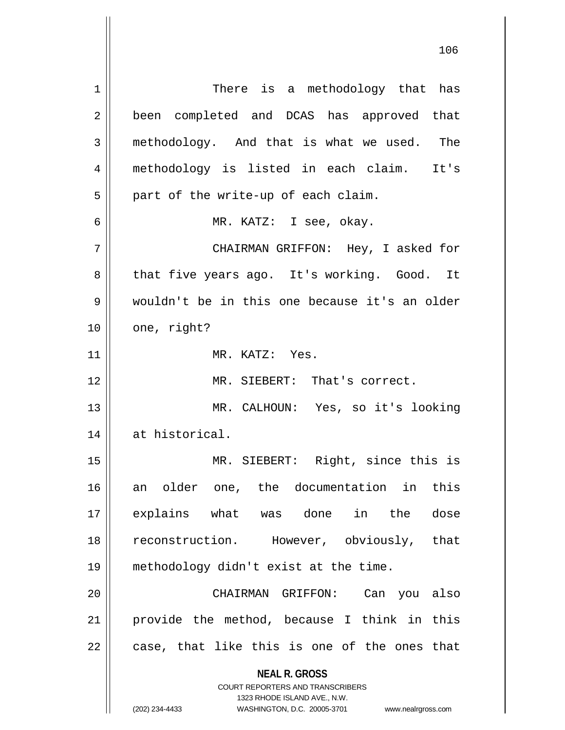**NEAL R. GROSS** COURT REPORTERS AND TRANSCRIBERS 1323 RHODE ISLAND AVE., N.W. 1 || There is a methodology that has 2 || been completed and DCAS has approved that  $3 \parallel$  methodology. And that is what we used. The 4 methodology is listed in each claim. It's  $5 \parallel$  part of the write-up of each claim. 6 MR. KATZ: I see, okay. 7 CHAIRMAN GRIFFON: Hey, I asked for 8 || that five years ago. It's working. Good. It 9 wouldn't be in this one because it's an older  $10$  | one, right? 11 MR. KATZ: Yes. 12 MR. SIEBERT: That's correct. 13 MR. CALHOUN: Yes, so it's looking 14 at historical. 15 MR. SIEBERT: Right, since this is 16 an older one, the documentation in this 17 explains what was done in the dose 18 || reconstruction. However, obviously, that 19 methodology didn't exist at the time. 20 CHAIRMAN GRIFFON: Can you also 21 provide the method, because I think in this  $22 \parallel$  case, that like this is one of the ones that

(202) 234-4433 WASHINGTON, D.C. 20005-3701 www.nealrgross.com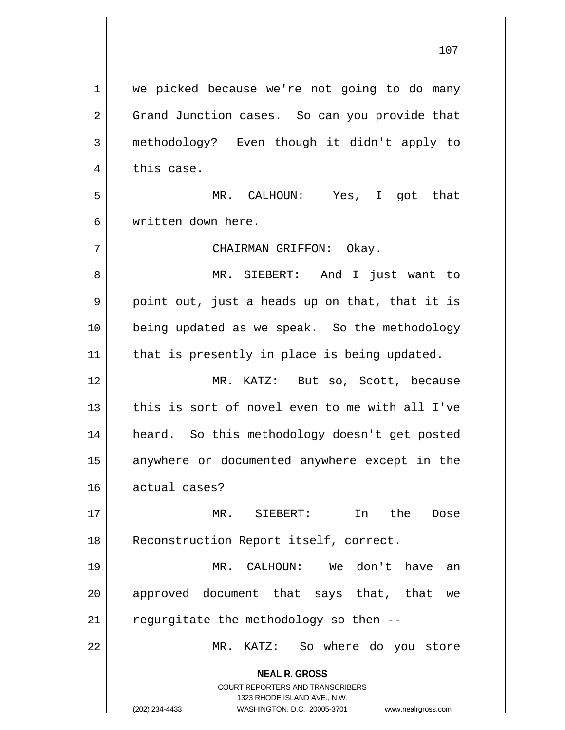**NEAL R. GROSS** COURT REPORTERS AND TRANSCRIBERS 1323 RHODE ISLAND AVE., N.W. (202) 234-4433 WASHINGTON, D.C. 20005-3701 www.nealrgross.com 1 | we picked because we're not going to do many 2 | Grand Junction cases. So can you provide that 3 methodology? Even though it didn't apply to  $4 \parallel$  this case. 5 MR. CALHOUN: Yes, I got that 6 written down here. 7 CHAIRMAN GRIFFON: Okay. 8 MR. SIEBERT: And I just want to  $9 \parallel$  point out, just a heads up on that, that it is 10 || being updated as we speak. So the methodology  $11$  | that is presently in place is being updated. 12 MR. KATZ: But so, Scott, because 13 d this is sort of novel even to me with all I've 14 || heard. So this methodology doesn't get posted 15 || anywhere or documented anywhere except in the 16 actual cases? 17 MR. SIEBERT: In the Dose 18 || Reconstruction Report itself, correct. 19 MR. CALHOUN: We don't have an 20 || approved document that says that, that we  $21$  | regurgitate the methodology so then --22 MR. KATZ: So where do you store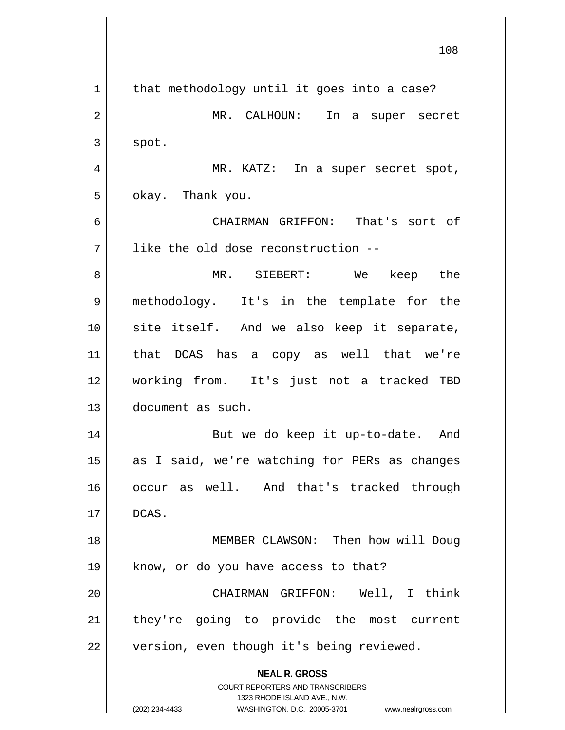**NEAL R. GROSS** COURT REPORTERS AND TRANSCRIBERS 1323 RHODE ISLAND AVE., N.W. (202) 234-4433 WASHINGTON, D.C. 20005-3701 www.nealrgross.com  $1 \parallel$  that methodology until it goes into a case? 2 || MR. CALHOUN: In a super secret  $3 \parallel$  spot. 4 MR. KATZ: In a super secret spot,  $5 \parallel$  okay. Thank you. 6 CHAIRMAN GRIFFON: That's sort of  $7$  ||  $\,$  like the old dose reconstruction --8 MR. SIEBERT: We keep the 9 methodology. It's in the template for the 10 site itself. And we also keep it separate, 11 that DCAS has a copy as well that we're 12 working from. It's just not a tracked TBD 13 document as such. 14 || But we do keep it up-to-date. And 15 || as I said, we're watching for PERs as changes 16 occur as well. And that's tracked through  $17 \parallel$  DCAS. 18 || MEMBER CLAWSON: Then how will Doug  $19$  || know, or do you have access to that? 20 CHAIRMAN GRIFFON: Well, I think 21 || they're going to provide the most current 22 | version, even though it's being reviewed.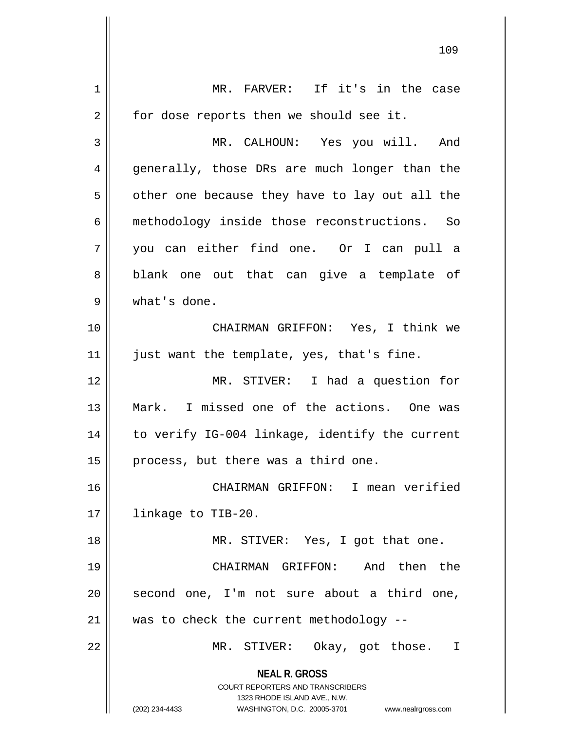**NEAL R. GROSS** COURT REPORTERS AND TRANSCRIBERS 1323 RHODE ISLAND AVE., N.W. (202) 234-4433 WASHINGTON, D.C. 20005-3701 www.nealrgross.com 1 || MR. FARVER: If it's in the case  $2 \parallel$  for dose reports then we should see it. 3 MR. CALHOUN: Yes you will. And 4 || generally, those DRs are much longer than the  $5 \parallel$  other one because they have to lay out all the 6 methodology inside those reconstructions. So 7 you can either find one. Or I can pull a 8 || blank one out that can give a template of 9 what's done. 10 CHAIRMAN GRIFFON: Yes, I think we 11 || just want the template, yes, that's fine. 12 MR. STIVER: I had a question for 13 Mark. I missed one of the actions. One was 14 || to verify IG-004 linkage, identify the current 15  $\parallel$  process, but there was a third one. 16 CHAIRMAN GRIFFON: I mean verified 17 | linkage to TIB-20. 18 || MR. STIVER: Yes, I got that one. 19 CHAIRMAN GRIFFON: And then the  $20$  second one, I'm not sure about a third one, 21 was to check the current methodology -- 22 || MR. STIVER: Okay, got those. I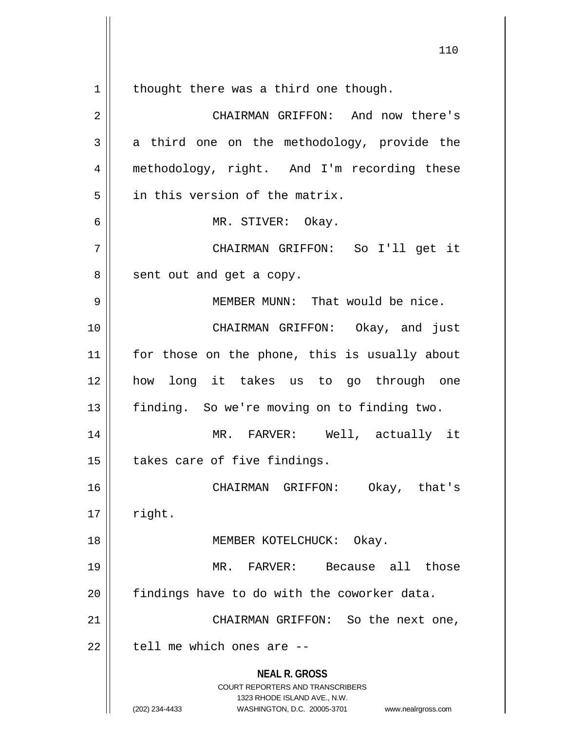thought there was a third one though.

| $\overline{a}$ | CHAIRMAN GRIFFON: And now there's                                                                                                                                      |
|----------------|------------------------------------------------------------------------------------------------------------------------------------------------------------------------|
| 3              | a third one on the methodology, provide the                                                                                                                            |
| 4              | methodology, right. And I'm recording these                                                                                                                            |
| 5              | in this version of the matrix.                                                                                                                                         |
| 6              | MR. STIVER: Okay.                                                                                                                                                      |
| 7              | CHAIRMAN GRIFFON: So I'll get it                                                                                                                                       |
| 8              | sent out and get a copy.                                                                                                                                               |
| 9              | MEMBER MUNN: That would be nice.                                                                                                                                       |
| 10             | CHAIRMAN GRIFFON: Okay, and just                                                                                                                                       |
| 11             | for those on the phone, this is usually about                                                                                                                          |
| 12             | how long it takes us to go through one                                                                                                                                 |
| 13             | finding. So we're moving on to finding two.                                                                                                                            |
| 14             | MR. FARVER: Well, actually it                                                                                                                                          |
| 15             | takes care of five findings.                                                                                                                                           |
| 16             | CHAIRMAN GRIFFON: Okay, that's                                                                                                                                         |
| 17             | right.                                                                                                                                                                 |
| 18             | MEMBER KOTELCHUCK: Okay.                                                                                                                                               |
| 19             | FARVER: Because all those<br>$MR$ .                                                                                                                                    |
| 20             | findings have to do with the coworker data.                                                                                                                            |
| 21             | CHAIRMAN GRIFFON: So the next one,                                                                                                                                     |
| 22             | tell me which ones are --                                                                                                                                              |
|                | <b>NEAL R. GROSS</b><br><b>COURT REPORTERS AND TRANSCRIBERS</b><br>1323 RHODE ISLAND AVE., N.W.<br>(202) 234-4433<br>WASHINGTON, D.C. 20005-3701<br>www.nealrgross.com |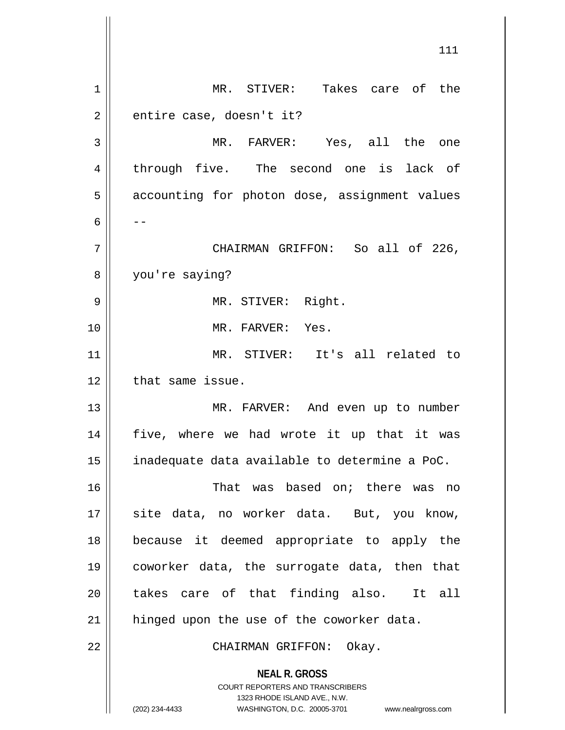**NEAL R. GROSS** COURT REPORTERS AND TRANSCRIBERS 1323 RHODE ISLAND AVE., N.W. (202) 234-4433 WASHINGTON, D.C. 20005-3701 www.nealrgross.com 111 1 MR. STIVER: Takes care of the  $2 \parallel$  entire case, doesn't it? 3 MR. FARVER: Yes, all the one 4 through five. The second one is lack of 5 | accounting for photon dose, assignment values 6  $|$  --7 CHAIRMAN GRIFFON: So all of 226, 8 you're saying? 9 MR. STIVER: Right. 10 MR. FARVER: Yes. 11 MR. STIVER: It's all related to 12 | that same issue. 13 || MR. FARVER: And even up to number 14 five, where we had wrote it up that it was 15  $\parallel$  inadequate data available to determine a PoC. 16 That was based on; there was no 17 || site data, no worker data. But, you know, 18 because it deemed appropriate to apply the 19 coworker data, the surrogate data, then that 20 || takes care of that finding also. It all 21 | hinged upon the use of the coworker data. 22 || CHAIRMAN GRIFFON: Okay.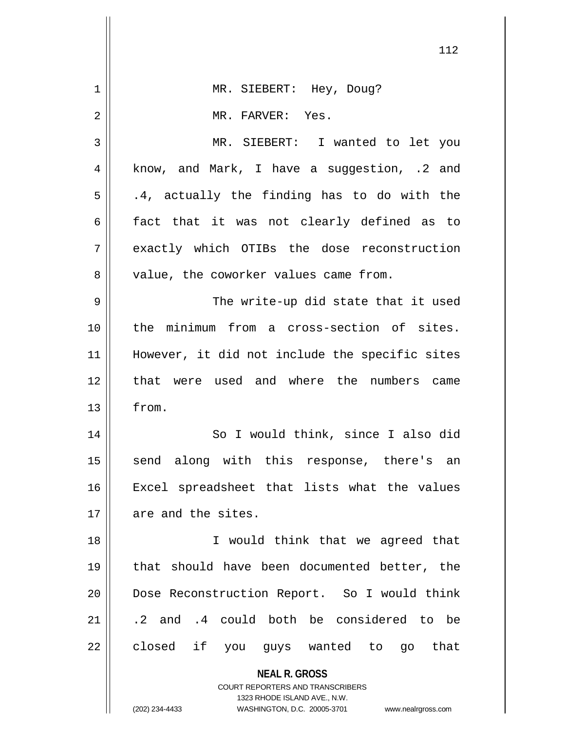|    | 112                                                                                                 |
|----|-----------------------------------------------------------------------------------------------------|
| 1  | MR. SIEBERT: Hey, Doug?                                                                             |
| 2  | MR. FARVER: Yes.                                                                                    |
|    |                                                                                                     |
| 3  | MR. SIEBERT: I wanted to let you                                                                    |
| 4  | know, and Mark, I have a suggestion, .2 and                                                         |
| 5  | .4, actually the finding has to do with the                                                         |
| 6  | fact that it was not clearly defined as to                                                          |
| 7  | exactly which OTIBs the dose reconstruction                                                         |
| 8  | value, the coworker values came from.                                                               |
| 9  | The write-up did state that it used                                                                 |
| 10 | the minimum from a cross-section of sites.                                                          |
| 11 | However, it did not include the specific sites                                                      |
| 12 | that were used and where the numbers came                                                           |
| 13 | from.                                                                                               |
| 14 | So I would think, since I also did                                                                  |
| 15 | send along with this response, there's an                                                           |
| 16 | Excel spreadsheet that lists what the values                                                        |
| 17 | are and the sites.                                                                                  |
| 18 | I would think that we agreed that                                                                   |
| 19 | that should have been documented better, the                                                        |
| 20 | Dose Reconstruction Report. So I would think                                                        |
| 21 | .2 and .4 could both be considered to be                                                            |
| 22 | closed if you guys wanted to go that                                                                |
|    | <b>NEAL R. GROSS</b>                                                                                |
|    | <b>COURT REPORTERS AND TRANSCRIBERS</b>                                                             |
|    | 1323 RHODE ISLAND AVE., N.W.<br>(202) 234-4433<br>WASHINGTON, D.C. 20005-3701<br>www.nealrgross.com |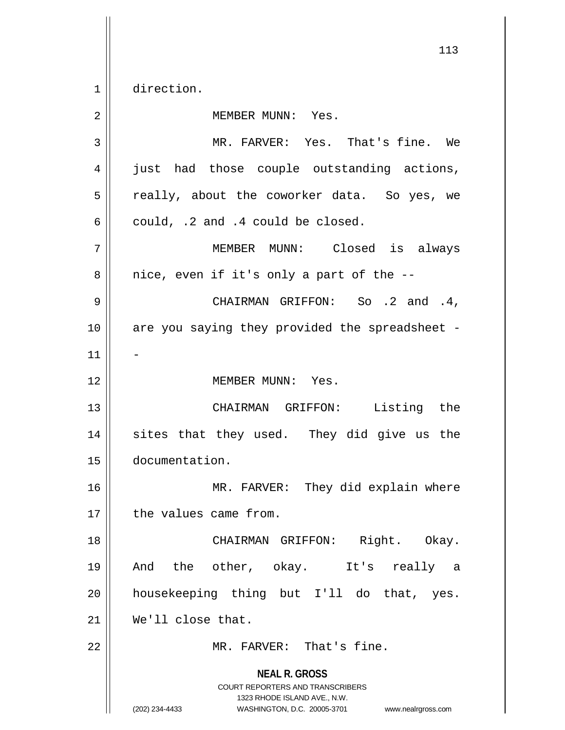1 direction.

| $\overline{2}$ | MEMBER MUNN: Yes.                                                                                                                                               |
|----------------|-----------------------------------------------------------------------------------------------------------------------------------------------------------------|
| 3              | MR. FARVER: Yes. That's fine. We                                                                                                                                |
| 4              | just had those couple outstanding actions,                                                                                                                      |
| 5              | really, about the coworker data. So yes, we                                                                                                                     |
| 6              | could, .2 and .4 could be closed.                                                                                                                               |
| 7              | MEMBER MUNN: Closed is always                                                                                                                                   |
| 8              | nice, even if it's only a part of the --                                                                                                                        |
| 9              | CHAIRMAN GRIFFON: So .2 and .4,                                                                                                                                 |
| 10             | are you saying they provided the spreadsheet -                                                                                                                  |
| 11             |                                                                                                                                                                 |
| 12             | MEMBER MUNN: Yes.                                                                                                                                               |
| 13             | CHAIRMAN GRIFFON: Listing the                                                                                                                                   |
| 14             | sites that they used. They did give us the                                                                                                                      |
| 15             | documentation.                                                                                                                                                  |
| 16             | MR. FARVER: They did explain where                                                                                                                              |
| 17             | the values came from.                                                                                                                                           |
| 18             | CHAIRMAN GRIFFON: Right. Okay.                                                                                                                                  |
| 19             | And the other, okay. It's<br>really a                                                                                                                           |
| 20             | housekeeping thing but I'll do that, yes.                                                                                                                       |
| 21             | We'll close that.                                                                                                                                               |
| 22             | MR. FARVER: That's fine.                                                                                                                                        |
|                | <b>NEAL R. GROSS</b><br>COURT REPORTERS AND TRANSCRIBERS<br>1323 RHODE ISLAND AVE., N.W.<br>(202) 234-4433<br>WASHINGTON, D.C. 20005-3701<br>www.nealrgross.com |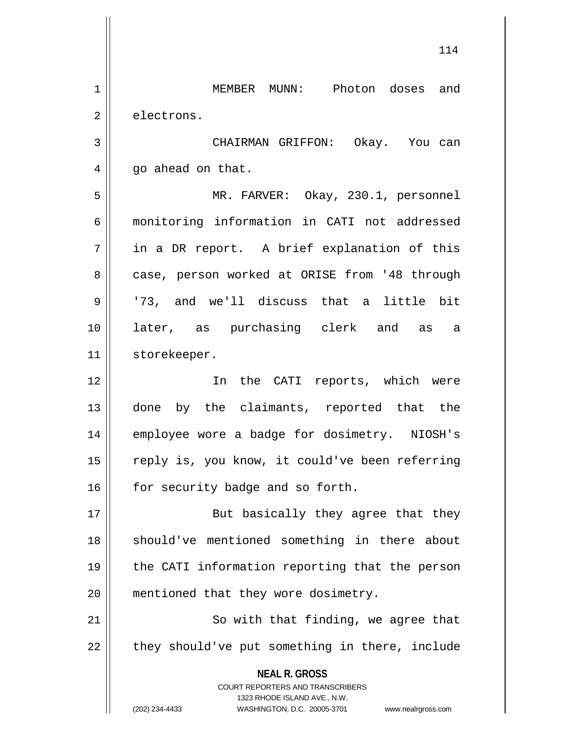**NEAL R. GROSS** COURT REPORTERS AND TRANSCRIBERS 1323 RHODE ISLAND AVE., N.W. (202) 234-4433 WASHINGTON, D.C. 20005-3701 www.nealrgross.com 1 MEMBER MUNN: Photon doses and 2 electrons. 3 CHAIRMAN GRIFFON: Okay. You can  $4 \parallel$  go ahead on that. 5 MR. FARVER: Okay, 230.1, personnel 6 monitoring information in CATI not addressed  $7 \parallel$  in a DR report. A brief explanation of this 8 || case, person worked at ORISE from '48 through 9 '73, and we'll discuss that a little bit 10 later, as purchasing clerk and as a 11 | storekeeper. 12 In the CATI reports, which were 13 done by the claimants, reported that the 14 || employee wore a badge for dosimetry. NIOSH's 15 || reply is, you know, it could've been referring 16 | for security badge and so forth. 17 || But basically they agree that they 18 || should've mentioned something in there about 19 || the CATI information reporting that the person 20 || mentioned that they wore dosimetry. 21 || So with that finding, we agree that  $22$   $\parallel$  they should've put something in there, include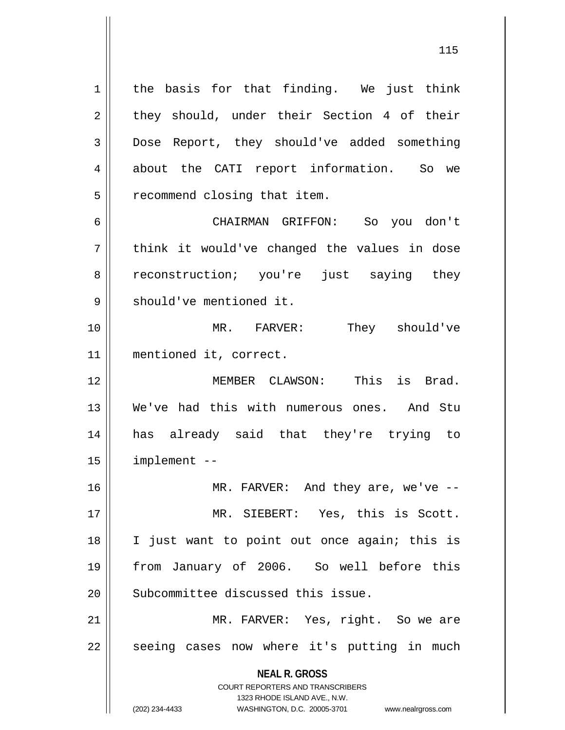$1 \parallel$  the basis for that finding. We just think  $2 \parallel$  they should, under their Section 4 of their 3 Dose Report, they should've added something 4 about the CATI report information. So we 5 | recommend closing that item. 6 CHAIRMAN GRIFFON: So you don't

 $7 \parallel$  think it would've changed the values in dose 8 || reconstruction; you're just saying they 9 Should've mentioned it.

10 MR. FARVER: They should've 11 mentioned it, correct.

 MEMBER CLAWSON: This is Brad. We've had this with numerous ones. And Stu has already said that they're trying to implement --

 MR. FARVER: And they are, we've -- MR. SIEBERT: Yes, this is Scott. I just want to point out once again; this is from January of 2006. So well before this 20 Subcommittee discussed this issue.

21 || MR. FARVER: Yes, right. So we are  $22 \parallel$  seeing cases now where it's putting in much

**NEAL R. GROSS**

COURT REPORTERS AND TRANSCRIBERS 1323 RHODE ISLAND AVE., N.W. (202) 234-4433 WASHINGTON, D.C. 20005-3701 www.nealrgross.com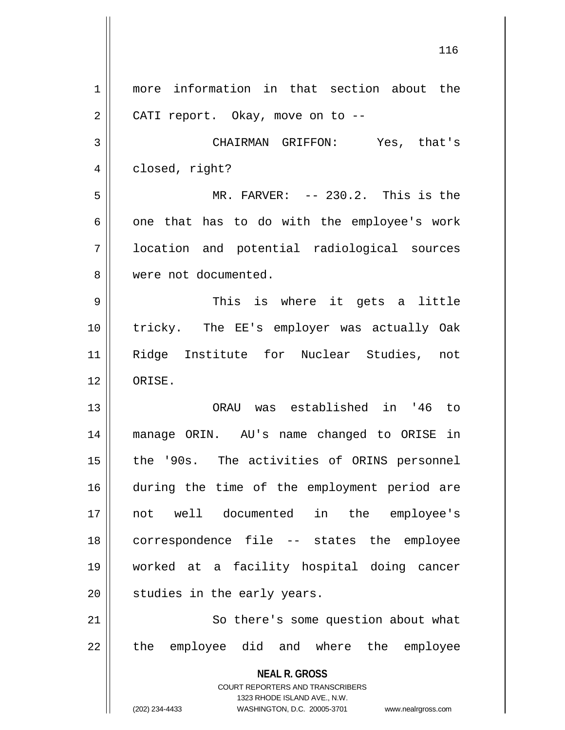**NEAL R. GROSS** COURT REPORTERS AND TRANSCRIBERS 1323 RHODE ISLAND AVE., N.W. (202) 234-4433 WASHINGTON, D.C. 20005-3701 www.nealrgross.com 1 more information in that section about the  $2 \parallel$  CATI report. Okay, move on to --3 CHAIRMAN GRIFFON: Yes, that's 4 | closed, right? 5 MR. FARVER: -- 230.2. This is the  $6 \parallel$  one that has to do with the employee's work 7 || location and potential radiological sources 8 were not documented. 9 This is where it gets a little 10 tricky. The EE's employer was actually Oak 11 Ridge Institute for Nuclear Studies, not 12 ORISE. 13 ORAU was established in '46 to 14 manage ORIN. AU's name changed to ORISE in 15 || the '90s. The activities of ORINS personnel 16 during the time of the employment period are 17 not well documented in the employee's 18 correspondence file -- states the employee 19 worked at a facility hospital doing cancer  $20$  | studies in the early years. 21 || So there's some question about what 22 || the employee did and where the employee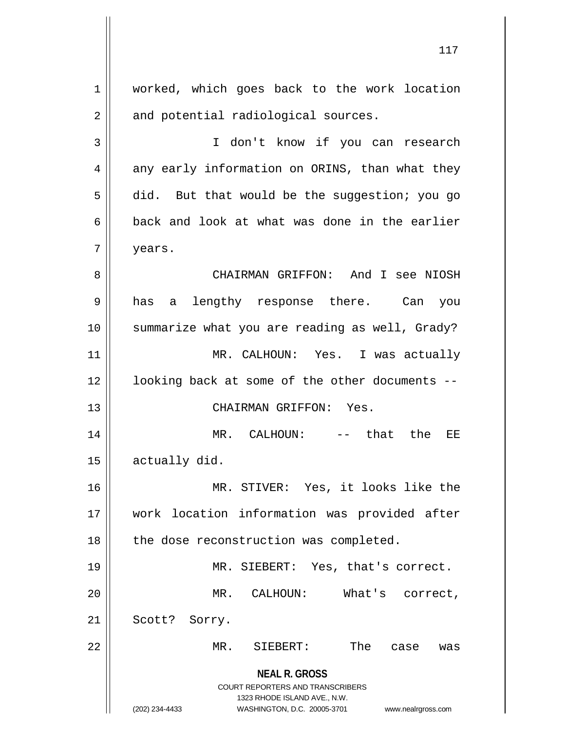**NEAL R. GROSS** COURT REPORTERS AND TRANSCRIBERS 1323 RHODE ISLAND AVE., N.W. (202) 234-4433 WASHINGTON, D.C. 20005-3701 www.nealrgross.com 1 | worked, which goes back to the work location  $2 \parallel$  and potential radiological sources. 3 || I don't know if you can research  $4 \parallel$  any early information on ORINS, than what they  $5 \parallel$  did. But that would be the suggestion; you go  $6 \parallel$  back and look at what was done in the earlier 7 years. 8 CHAIRMAN GRIFFON: And I see NIOSH 9 has a lengthy response there. Can you 10 summarize what you are reading as well, Grady? 11 MR. CALHOUN: Yes. I was actually 12 || looking back at some of the other documents --13 || CHAIRMAN GRIFFON: Yes. 14 MR. CALHOUN: -- that the EE  $15$  | actually did. 16 MR. STIVER: Yes, it looks like the 17 work location information was provided after 18 || the dose reconstruction was completed. 19 || MR. SIEBERT: Yes, that's correct. 20 MR. CALHOUN: What's correct, 21 | Scott? Sorry. 22 MR. SIEBERT: The case was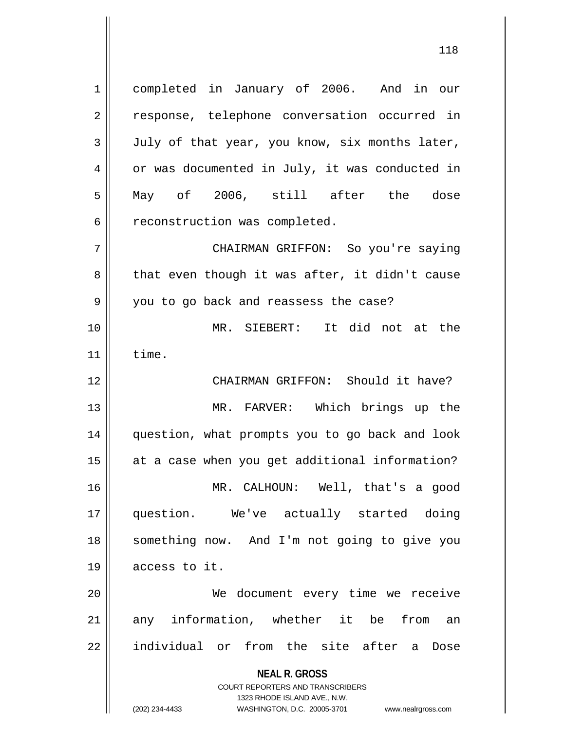**NEAL R. GROSS** COURT REPORTERS AND TRANSCRIBERS 1323 RHODE ISLAND AVE., N.W. 1 completed in January of 2006. And in our 2 || response, telephone conversation occurred in  $3 \parallel$  July of that year, you know, six months later, 4 | or was documented in July, it was conducted in 5 May of 2006, still after the dose 6 | reconstruction was completed. 7 CHAIRMAN GRIFFON: So you're saying  $8 \parallel$  that even though it was after, it didn't cause 9 || you to go back and reassess the case? 10 MR. SIEBERT: It did not at the  $11$   $\textrm{time.}$ 12 || CHAIRMAN GRIFFON: Should it have? 13 MR. FARVER: Which brings up the 14 question, what prompts you to go back and look 15 || at a case when you get additional information? 16 MR. CALHOUN: Well, that's a good 17 question. We've actually started doing 18 something now. And I'm not going to give you 19 access to it. 20 We document every time we receive 21 any information, whether it be from an 22 || individual or from the site after a Dose

(202) 234-4433 WASHINGTON, D.C. 20005-3701 www.nealrgross.com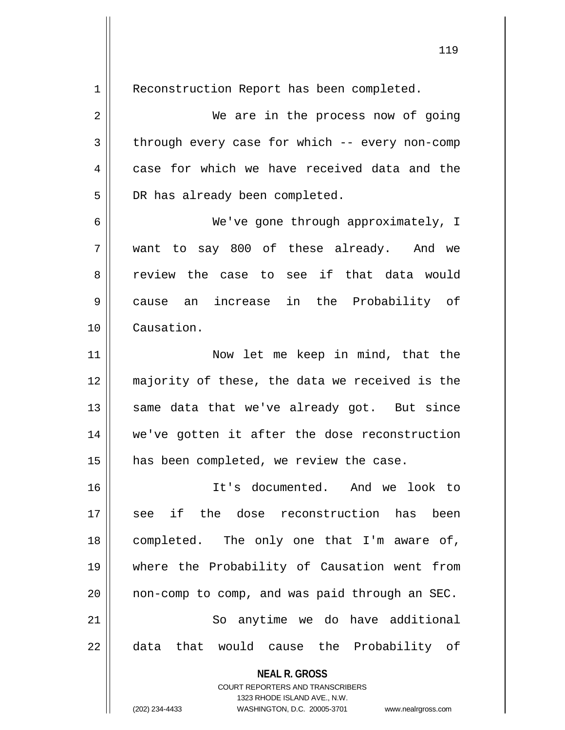**NEAL R. GROSS** COURT REPORTERS AND TRANSCRIBERS 1 | Reconstruction Report has been completed. 2 We are in the process now of going  $3 \parallel$  through every case for which -- every non-comp  $4 \parallel$  case for which we have received data and the 5 DR has already been completed. 6 We've gone through approximately, I 7 want to say 800 of these already. And we 8 and review the case to see if that data would 9 cause an increase in the Probability of 10 Causation. 11 || Now let me keep in mind, that the 12 majority of these, the data we received is the  $13$  same data that we've already got. But since 14 we've gotten it after the dose reconstruction 15 | has been completed, we review the case. 16 It's documented. And we look to 17 see if the dose reconstruction has been 18 completed. The only one that I'm aware of, 19 where the Probability of Causation went from 20  $\parallel$  non-comp to comp, and was paid through an SEC. 21 || So anytime we do have additional 22 || data that would cause the Probability of

1323 RHODE ISLAND AVE., N.W.

(202) 234-4433 WASHINGTON, D.C. 20005-3701 www.nealrgross.com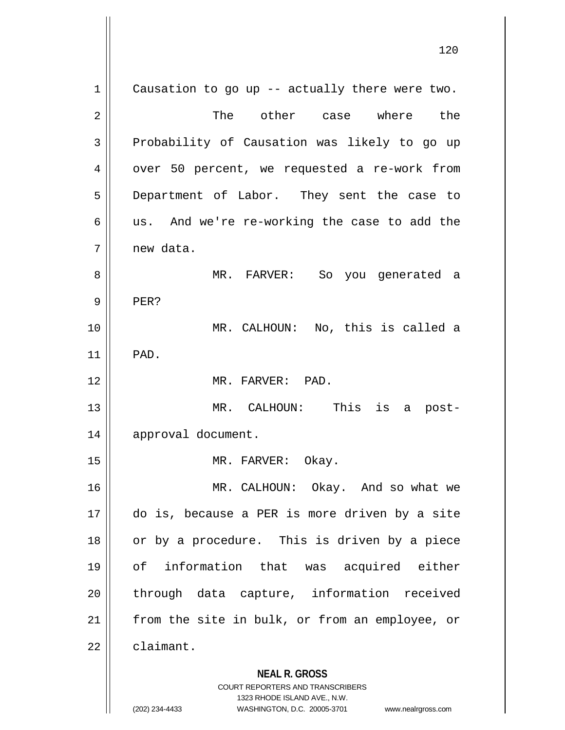**NEAL R. GROSS** COURT REPORTERS AND TRANSCRIBERS 1323 RHODE ISLAND AVE., N.W.  $1 \parallel$  Causation to go up -- actually there were two. 2 The other case where the  $3$  Probability of Causation was likely to go up 4 | over 50 percent, we requested a re-work from 5 Department of Labor. They sent the case to  $6 \parallel$  us. And we're re-working the case to add the 7 new data. 8 MR. FARVER: So you generated a  $9 \parallel$  PER? 10 MR. CALHOUN: No, this is called a 11 PAD. 12 MR. FARVER: PAD. 13 MR. CALHOUN: This is a post-14 approval document. 15 || MR. FARVER: Okay. 16 MR. CALHOUN: Okay. And so what we 17 do is, because a PER is more driven by a site 18 || or by a procedure. This is driven by a piece 19 of information that was acquired either 20 || through data capture, information received 21 || from the site in bulk, or from an employee, or  $22$   $\parallel$  claimant.

(202) 234-4433 WASHINGTON, D.C. 20005-3701 www.nealrgross.com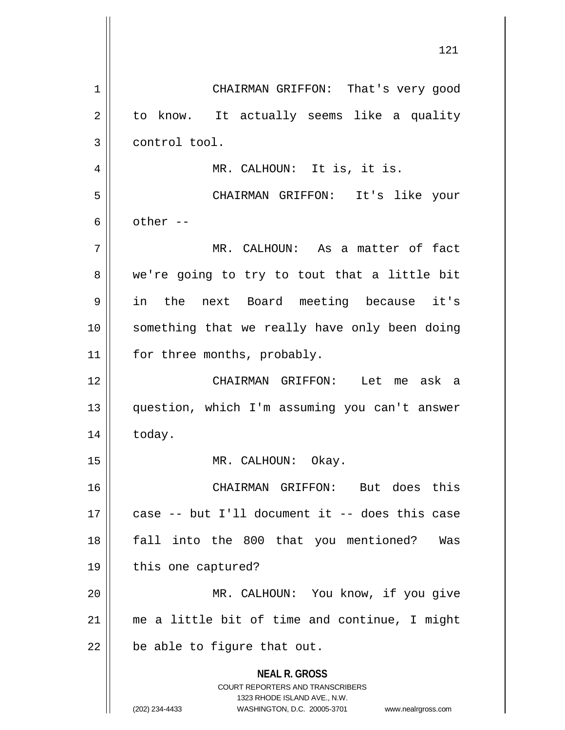**NEAL R. GROSS** COURT REPORTERS AND TRANSCRIBERS 1323 RHODE ISLAND AVE., N.W. (202) 234-4433 WASHINGTON, D.C. 20005-3701 www.nealrgross.com 1 | CHAIRMAN GRIFFON: That's very good  $2 \parallel$  to know. It actually seems like a quality 3 | control tool. 4 || MR. CALHOUN: It is, it is. 5 CHAIRMAN GRIFFON: It's like your 6  $\parallel$  other --7 MR. CALHOUN: As a matter of fact  $8 \parallel$  we're going to try to tout that a little bit 9 in the next Board meeting because it's 10 || something that we really have only been doing 11 | for three months, probably. 12 CHAIRMAN GRIFFON: Let me ask a 13 question, which I'm assuming you can't answer 14 | today. 15 || MR. CALHOUN: Okay. 16 CHAIRMAN GRIFFON: But does this 17 case -- but I'll document it -- does this case 18 fall into the 800 that you mentioned? Was 19 || this one captured? 20 MR. CALHOUN: You know, if you give 21 me a little bit of time and continue, I might  $22$  | be able to figure that out.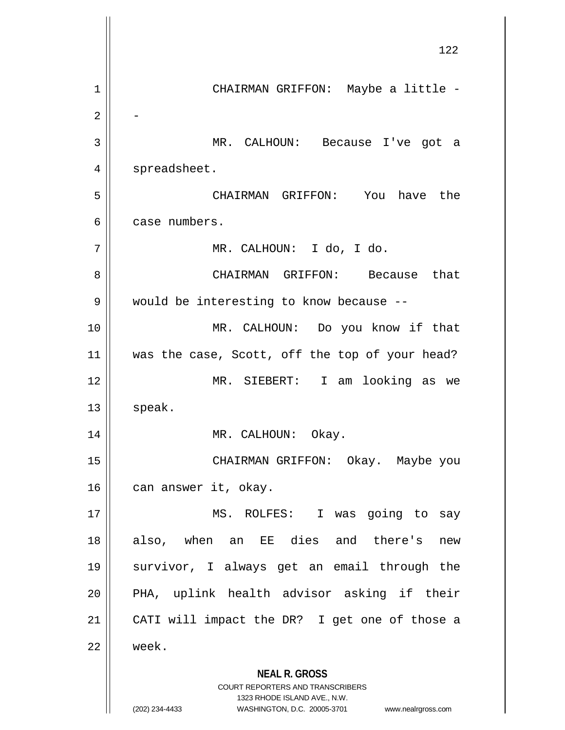**NEAL R. GROSS** COURT REPORTERS AND TRANSCRIBERS 1323 RHODE ISLAND AVE., N.W. (202) 234-4433 WASHINGTON, D.C. 20005-3701 www.nealrgross.com 122 1 CHAIRMAN GRIFFON: Maybe a little - 2 - 3 MR. CALHOUN: Because I've got a 4 | spreadsheet. 5 CHAIRMAN GRIFFON: You have the 6 case numbers. 7 MR. CALHOUN: I do, I do. 8 CHAIRMAN GRIFFON: Because that 9 | would be interesting to know because --10 MR. CALHOUN: Do you know if that 11 || was the case, Scott, off the top of your head? 12 MR. SIEBERT: I am looking as we  $13$  speak. 14 || MR. CALHOUN: Okay. 15 CHAIRMAN GRIFFON: Okay. Maybe you 16 || can answer it, okay. 17 || MS. ROLFES: I was going to say 18 || also, when an EE dies and there's new 19 survivor, I always get an email through the 20 || PHA, uplink health advisor asking if their 21 || CATI will impact the DR? I get one of those a 22 week.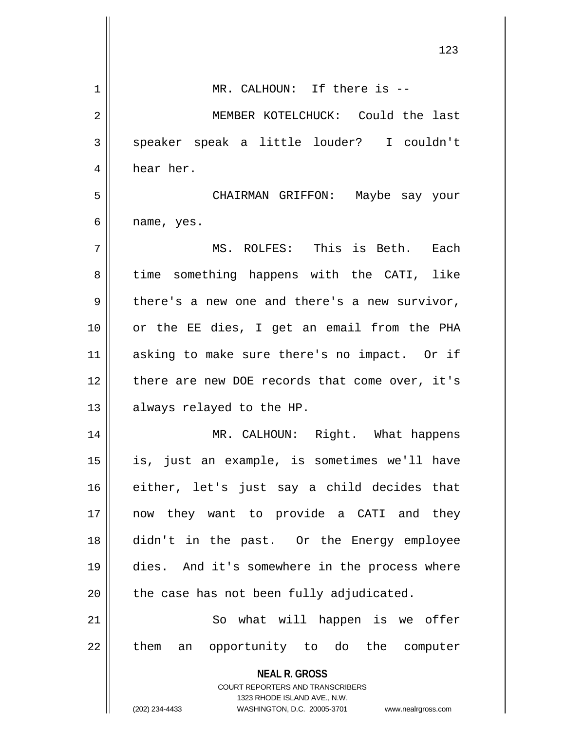|             | 123                                                                                              |
|-------------|--------------------------------------------------------------------------------------------------|
|             |                                                                                                  |
| $\mathbf 1$ | MR. CALHOUN: If there is --                                                                      |
| 2           | MEMBER KOTELCHUCK: Could the last                                                                |
| 3           | speaker speak a little louder? I couldn't                                                        |
| 4           | hear her.                                                                                        |
| 5           | CHAIRMAN GRIFFON: Maybe say your                                                                 |
| 6           | name, yes.                                                                                       |
| 7           | MS. ROLFES: This is Beth. Each                                                                   |
| 8           | time something happens with the CATI, like                                                       |
| 9           | there's a new one and there's a new survivor,                                                    |
| 10          | or the EE dies, I get an email from the PHA                                                      |
| 11          | asking to make sure there's no impact. Or if                                                     |
| 12          | there are new DOE records that come over, it's                                                   |
| 13          | always relayed to the HP.                                                                        |
| 14          | MR. CALHOUN: Right. What happens                                                                 |
| 15          | is, just an example, is sometimes we'll have                                                     |
| 16          | either, let's just say a child decides that                                                      |
| 17          | now they want to provide a CATI and they                                                         |
| 18          | didn't in the past. Or the Energy employee                                                       |
| 19          | dies. And it's somewhere in the process where                                                    |
| 20          | the case has not been fully adjudicated.                                                         |
| 21          | So what will happen is we offer                                                                  |
| 22          | them<br>an opportunity to do the computer                                                        |
|             | <b>NEAL R. GROSS</b>                                                                             |
|             | <b>COURT REPORTERS AND TRANSCRIBERS</b>                                                          |
|             | 1323 RHODE ISLAND AVE., N.W.<br>(202) 234-4433<br>WASHINGTON, D.C. 20005-3701 www.nealrgross.com |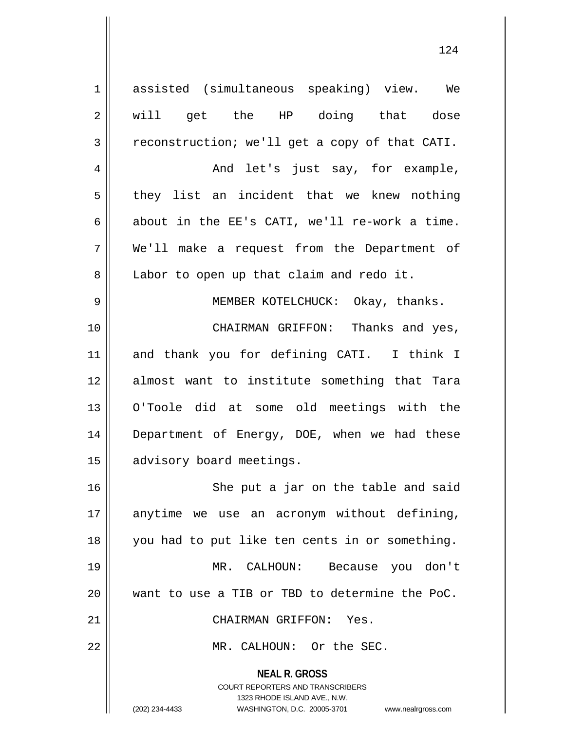**NEAL R. GROSS** COURT REPORTERS AND TRANSCRIBERS 1323 RHODE ISLAND AVE., N.W. 1 assisted (simultaneous speaking) view. We 2 will get the HP doing that dose  $3 \parallel$  reconstruction; we'll get a copy of that CATI. 4 And let's just say, for example,  $5 \parallel$  they list an incident that we knew nothing  $6$  || about in the EE's CATI, we'll re-work a time. 7 We'll make a request from the Department of 8 || Labor to open up that claim and redo it. 9 MEMBER KOTELCHUCK: Okay, thanks. 10 CHAIRMAN GRIFFON: Thanks and yes, 11 and thank you for defining CATI. I think I 12 almost want to institute something that Tara 13 O'Toole did at some old meetings with the 14 Department of Energy, DOE, when we had these 15 | advisory board meetings. 16 || She put a jar on the table and said 17 anytime we use an acronym without defining, 18 you had to put like ten cents in or something. 19 MR. CALHOUN: Because you don't 20 want to use a TIB or TBD to determine the PoC. 21 CHAIRMAN GRIFFON: Yes. 22 || MR. CALHOUN: Or the SEC.

<sup>(202) 234-4433</sup> WASHINGTON, D.C. 20005-3701 www.nealrgross.com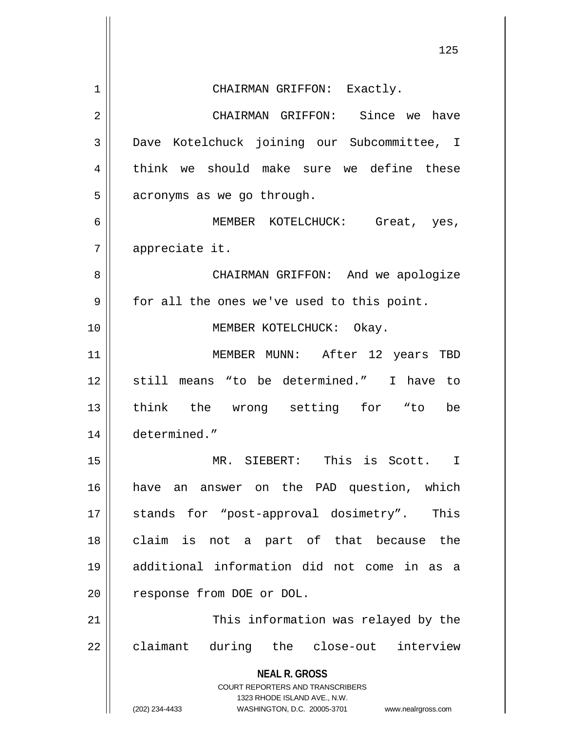|    | 125                                                                                      |
|----|------------------------------------------------------------------------------------------|
| 1  | CHAIRMAN GRIFFON: Exactly.                                                               |
| 2  | CHAIRMAN GRIFFON: Since we have                                                          |
| 3  | Dave Kotelchuck joining our Subcommittee, I                                              |
| 4  | think we should make sure we define these                                                |
| 5  | acronyms as we go through.                                                               |
| 6  | MEMBER KOTELCHUCK: Great, yes,                                                           |
| 7  | appreciate it.                                                                           |
| 8  | CHAIRMAN GRIFFON: And we apologize                                                       |
| 9  | for all the ones we've used to this point.                                               |
| 10 | MEMBER KOTELCHUCK: Okay.                                                                 |
| 11 | MEMBER MUNN: After 12 years TBD                                                          |
| 12 | still means "to be determined." I have to                                                |
| 13 | think the wrong setting for "to<br>be                                                    |
| 14 | determined."                                                                             |
| 15 | MR. SIEBERT:<br>This is Scott.<br>$\mathbf I$                                            |
| 16 | have an answer on the PAD question, which                                                |
| 17 | stands for "post-approval dosimetry". This                                               |
| 18 | claim is not a part of that because the                                                  |
| 19 | additional information did not come in as a                                              |
| 20 | response from DOE or DOL.                                                                |
| 21 | This information was relayed by the                                                      |
| 22 | claimant during the close-out interview                                                  |
|    | <b>NEAL R. GROSS</b><br>COURT REPORTERS AND TRANSCRIBERS<br>1323 RHODE ISLAND AVE., N.W. |
|    | (202) 234-4433<br>WASHINGTON, D.C. 20005-3701<br>www.nealrgross.com                      |

 $\mathsf{I}$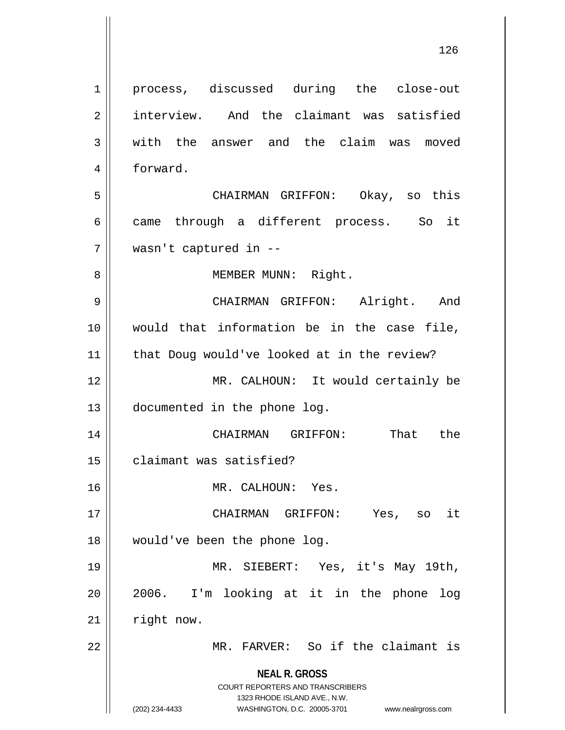**NEAL R. GROSS** COURT REPORTERS AND TRANSCRIBERS 1323 RHODE ISLAND AVE., N.W. (202) 234-4433 WASHINGTON, D.C. 20005-3701 www.nealrgross.com 1 || process, discussed during the close-out 2 interview. And the claimant was satisfied 3 with the answer and the claim was moved 4 forward. 5 CHAIRMAN GRIFFON: Okay, so this 6 came through a different process. So it 7 wasn't captured in -- 8 || MEMBER MUNN: Right. 9 CHAIRMAN GRIFFON: Alright. And 10 would that information be in the case file, 11 || that Doug would've looked at in the review? 12 || MR. CALHOUN: It would certainly be 13 documented in the phone log. 14 CHAIRMAN GRIFFON: That the 15 claimant was satisfied? 16 || MR. CALHOUN: Yes. 17 CHAIRMAN GRIFFON: Yes, so it 18 would've been the phone log. 19 MR. SIEBERT: Yes, it's May 19th, 20 2006. I'm looking at it in the phone log  $21$  | right now. 22 || MR. FARVER: So if the claimant is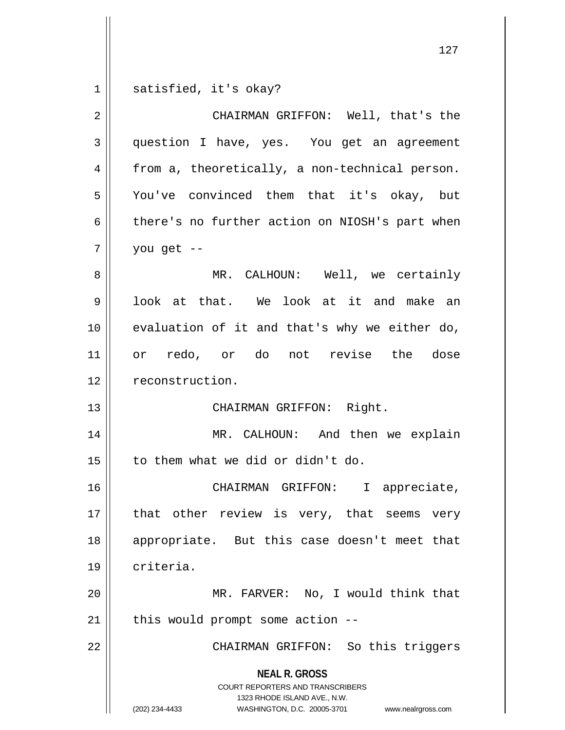$1 \parallel$  satisfied, it's okay?

| $\overline{2}$ | CHAIRMAN GRIFFON: Well, that's the                                                                                                                                     |
|----------------|------------------------------------------------------------------------------------------------------------------------------------------------------------------------|
| $\mathbf{3}$   | question I have, yes. You get an agreement                                                                                                                             |
| 4              | from a, theoretically, a non-technical person.                                                                                                                         |
| 5              | You've convinced them that it's okay, but                                                                                                                              |
| 6              | there's no further action on NIOSH's part when                                                                                                                         |
| 7              | you get --                                                                                                                                                             |
| 8              | MR. CALHOUN: Well, we certainly                                                                                                                                        |
| 9              | look at that. We look at it and make an                                                                                                                                |
| 10             | evaluation of it and that's why we either do,                                                                                                                          |
| 11             | or redo, or do not revise the dose                                                                                                                                     |
| 12             | reconstruction.                                                                                                                                                        |
| 13             | CHAIRMAN GRIFFON: Right.                                                                                                                                               |
| 14             | MR. CALHOUN: And then we explain                                                                                                                                       |
| 15             | to them what we did or didn't do.                                                                                                                                      |
| 16             | CHAIRMAN GRIFFON: I appreciate,                                                                                                                                        |
| 17             | that other review is very, that seems very                                                                                                                             |
| 18             | appropriate. But this case doesn't meet that                                                                                                                           |
| 19             | criteria.                                                                                                                                                              |
| 20             | MR. FARVER: No, I would think that                                                                                                                                     |
| 21             | this would prompt some action --                                                                                                                                       |
| 22             | CHAIRMAN GRIFFON: So this triggers                                                                                                                                     |
|                | <b>NEAL R. GROSS</b><br><b>COURT REPORTERS AND TRANSCRIBERS</b><br>1323 RHODE ISLAND AVE., N.W.<br>(202) 234-4433<br>WASHINGTON, D.C. 20005-3701<br>www.nealrgross.com |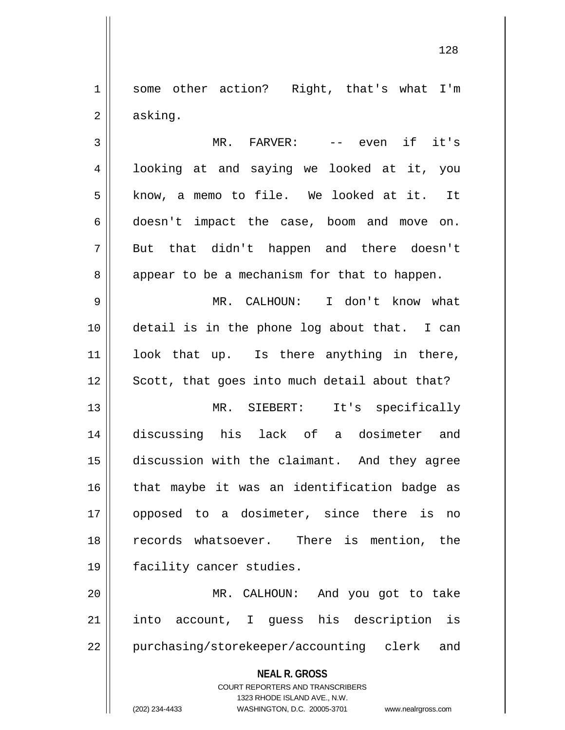1 || some other action? Right, that's what I'm  $2 \parallel$  asking.

3 MR. FARVER: -- even if it's 4 || looking at and saying we looked at it, you 5 || know, a memo to file. We looked at it. It 6 doesn't impact the case, boom and move on. 7 But that didn't happen and there doesn't  $8 \parallel$  appear to be a mechanism for that to happen.

 MR. CALHOUN: I don't know what detail is in the phone log about that. I can look that up. Is there anything in there, Scott, that goes into much detail about that?

 MR. SIEBERT: It's specifically discussing his lack of a dosimeter and discussion with the claimant. And they agree that maybe it was an identification badge as opposed to a dosimeter, since there is no 18 || records whatsoever. There is mention, the facility cancer studies.

20 MR. CALHOUN: And you got to take 21 || into account, I quess his description is 22 || purchasing/storekeeper/accounting clerk and

**NEAL R. GROSS**

COURT REPORTERS AND TRANSCRIBERS 1323 RHODE ISLAND AVE., N.W. (202) 234-4433 WASHINGTON, D.C. 20005-3701 www.nealrgross.com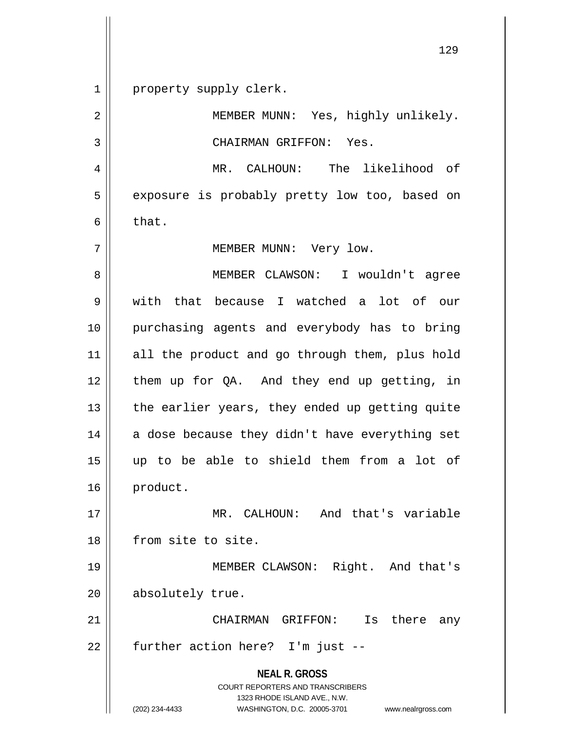1 || property supply clerk.

2 || MEMBER MUNN: Yes, highly unlikely. 3 || CHAIRMAN GRIFFON: Yes. 4 MR. CALHOUN: The likelihood of 5 | exposure is probably pretty low too, based on  $6 \parallel$  that. 7 MEMBER MUNN: Very low.

 MEMBER CLAWSON: I wouldn't agree with that because I watched a lot of our purchasing agents and everybody has to bring 11 || all the product and go through them, plus hold them up for QA. And they end up getting, in || the earlier years, they ended up getting quite a dose because they didn't have everything set up to be able to shield them from a lot of 16 product.

17 MR. CALHOUN: And that's variable 18 || from site to site.

19 || MEMBER CLAWSON: Right. And that's 20 | absolutely true.

21 CHAIRMAN GRIFFON: Is there any  $22$  | further action here? I'm just --

> **NEAL R. GROSS** COURT REPORTERS AND TRANSCRIBERS 1323 RHODE ISLAND AVE., N.W. (202) 234-4433 WASHINGTON, D.C. 20005-3701 www.nealrgross.com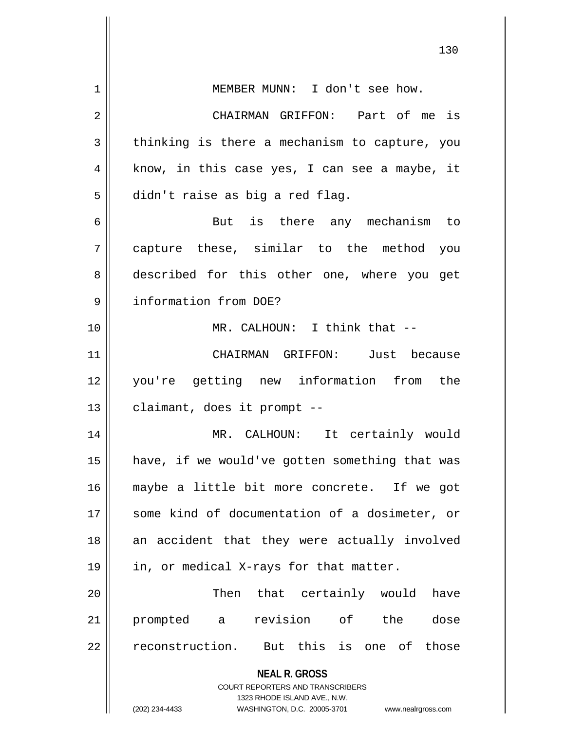|                | 130                                                                 |
|----------------|---------------------------------------------------------------------|
| $\mathbf 1$    | MEMBER MUNN: I don't see how.                                       |
| $\overline{2}$ | CHAIRMAN GRIFFON: Part of me is                                     |
| 3              | thinking is there a mechanism to capture, you                       |
| 4              | know, in this case yes, I can see a maybe, it                       |
| 5              | didn't raise as big a red flag.                                     |
| 6              | But is there any mechanism to                                       |
| 7              | capture these, similar to the method you                            |
| 8              | described for this other one, where you get                         |
| 9              | information from DOE?                                               |
| 10             | MR. CALHOUN: I think that --                                        |
| 11             | CHAIRMAN GRIFFON: Just because                                      |
| 12             | you're getting new information from the                             |
| 13             | claimant, does it prompt --                                         |
| 14             | MR. CALHOUN: It certainly would                                     |
| 15             | have, if we would've gotten something that was                      |
| 16             | maybe a little bit more concrete. If we got                         |
| 17             | some kind of documentation of a dosimeter, or                       |
| 18             | an accident that they were actually involved                        |
| 19             | in, or medical X-rays for that matter.                              |
| 20             | Then that certainly would<br>have                                   |
| 21             | prompted a revision of the<br>dose                                  |
| 22             | reconstruction. But this is one of those                            |
|                | <b>NEAL R. GROSS</b>                                                |
|                | COURT REPORTERS AND TRANSCRIBERS<br>1323 RHODE ISLAND AVE., N.W.    |
|                | (202) 234-4433<br>WASHINGTON, D.C. 20005-3701<br>www.nealrgross.com |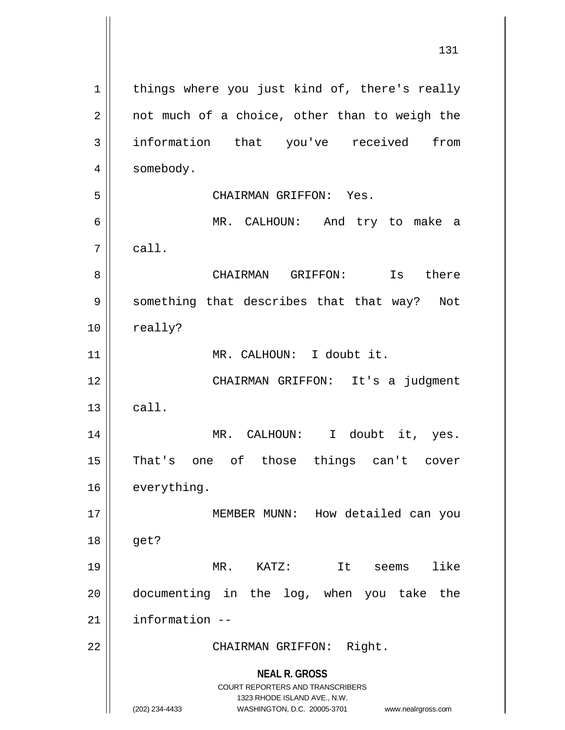**NEAL R. GROSS** COURT REPORTERS AND TRANSCRIBERS 1323 RHODE ISLAND AVE., N.W. (202) 234-4433 WASHINGTON, D.C. 20005-3701 www.nealrgross.com  $1 \parallel$  things where you just kind of, there's really  $2 \parallel$  not much of a choice, other than to weigh the 3 || information that you've received from 4 | somebody. 5 CHAIRMAN GRIFFON: Yes. 6 MR. CALHOUN: And try to make a  $7 \parallel$  call. 8 CHAIRMAN GRIFFON: Is there 9 || something that describes that that way? Not 10 | really? 11 || MR. CALHOUN: I doubt it. 12 || CHAIRMAN GRIFFON: It's a judgment  $13 \parallel$  call. 14 || MR. CALHOUN: I doubt it, yes. 15 That's one of those things can't cover 16 everything. 17 || MEMBER MUNN: How detailed can you 18 get? 19 MR. KATZ: It seems like 20 documenting in the log, when you take the  $21$  | information  $-$ 22 || CHAIRMAN GRIFFON: Right.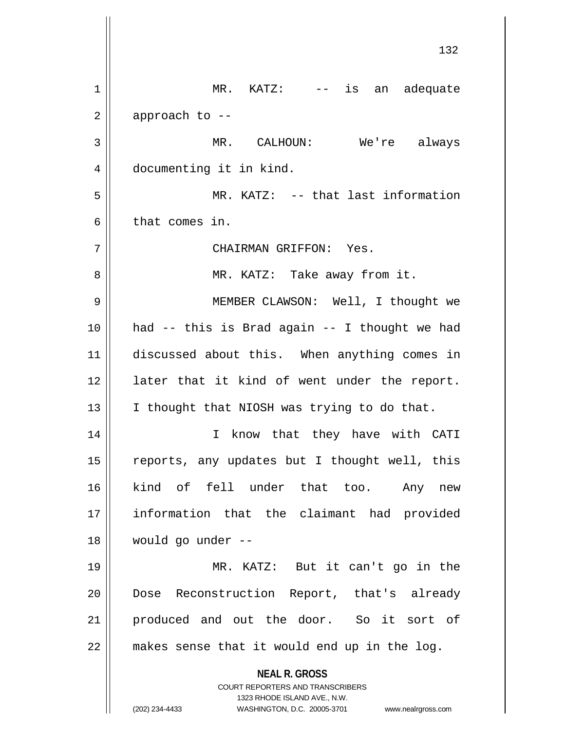**NEAL R. GROSS** COURT REPORTERS AND TRANSCRIBERS 1323 RHODE ISLAND AVE., N.W. (202) 234-4433 WASHINGTON, D.C. 20005-3701 www.nealrgross.com 132 1 MR. KATZ: -- is an adequate  $2 \parallel$  approach to --3 MR. CALHOUN: We're always 4 documenting it in kind. 5 MR. KATZ: -- that last information 6 l that comes in. 7 CHAIRMAN GRIFFON: Yes. 8 MR. KATZ: Take away from it. 9 || MEMBER CLAWSON: Well, I thought we  $10$  || had -- this is Brad again -- I thought we had 11 discussed about this. When anything comes in 12 || later that it kind of went under the report. 13  $\parallel$  I thought that NIOSH was trying to do that. 14 || I know that they have with CATI 15  $\parallel$  reports, any updates but I thought well, this 16 kind of fell under that too. Any new 17 information that the claimant had provided 18 would go under -- 19 MR. KATZ: But it can't go in the 20 || Dose Reconstruction Report, that's already 21 || produced and out the door. So it sort of 22 makes sense that it would end up in the log.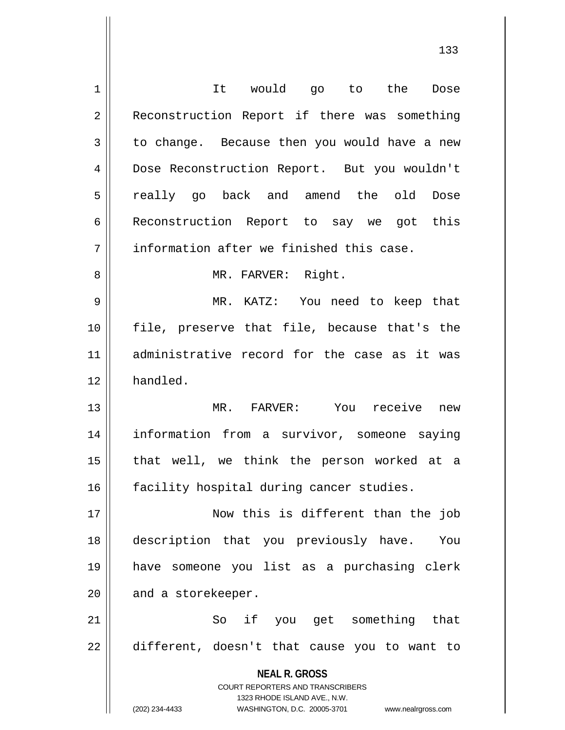| 1  | It would go to the<br>Dose                                          |
|----|---------------------------------------------------------------------|
| 2  | Reconstruction Report if there was something                        |
| 3  | to change. Because then you would have a new                        |
| 4  | Dose Reconstruction Report. But you wouldn't                        |
| 5  | really go back and amend the old Dose                               |
| 6  | Reconstruction Report to say we got this                            |
| 7  | information after we finished this case.                            |
| 8  | MR. FARVER: Right.                                                  |
| 9  | MR. KATZ: You need to keep that                                     |
| 10 | file, preserve that file, because that's the                        |
| 11 | administrative record for the case as it was                        |
| 12 | handled.                                                            |
| 13 | MR. FARVER: You receive new                                         |
| 14 | information from a survivor, someone saying                         |
| 15 | that well, we think the person worked at a                          |
| 16 | facility hospital during cancer studies.                            |
| 17 | Now this is different than the job                                  |
| 18 | description that you previously have.<br>You                        |
| 19 | have someone you list as a purchasing clerk                         |
| 20 | and a storekeeper.                                                  |
| 21 | So if you get something that                                        |
| 22 | different, doesn't that cause you to want to                        |
|    |                                                                     |
|    | <b>NEAL R. GROSS</b><br>COURT REPORTERS AND TRANSCRIBERS            |
|    | 1323 RHODE ISLAND AVE., N.W.                                        |
|    | (202) 234-4433<br>WASHINGTON, D.C. 20005-3701<br>www.nealrgross.com |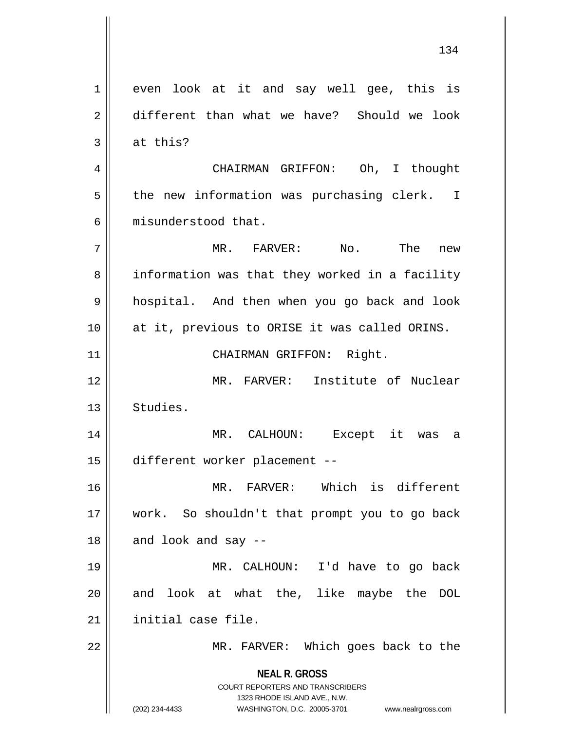**NEAL R. GROSS** COURT REPORTERS AND TRANSCRIBERS 1323 RHODE ISLAND AVE., N.W. (202) 234-4433 WASHINGTON, D.C. 20005-3701 www.nealrgross.com 1 even look at it and say well gee, this is 2 different than what we have? Should we look  $3 \parallel$  at this? 4 CHAIRMAN GRIFFON: Oh, I thought  $5 \parallel$  the new information was purchasing clerk. I 6 misunderstood that. 7 MR. FARVER: No. The new 8 | information was that they worked in a facility 9 || hospital. And then when you go back and look 10 at it, previous to ORISE it was called ORINS. 11 || CHAIRMAN GRIFFON: Right. 12 MR. FARVER: Institute of Nuclear 13 Studies. 14 MR. CALHOUN: Except it was a 15 different worker placement -- 16 MR. FARVER: Which is different 17 work. So shouldn't that prompt you to go back  $18$  || and look and say --19 MR. CALHOUN: I'd have to go back 20 || and look at what the, like maybe the DOL 21 | initial case file. 22 || MR. FARVER: Which goes back to the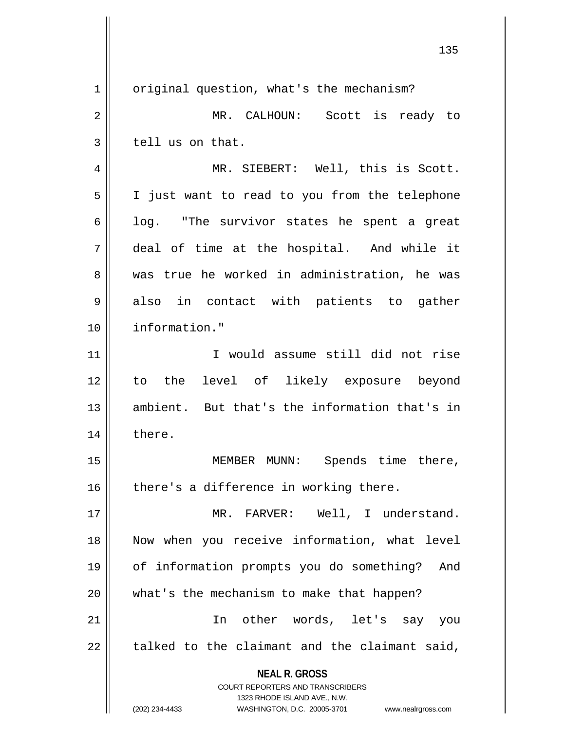**NEAL R. GROSS** COURT REPORTERS AND TRANSCRIBERS 1323 RHODE ISLAND AVE., N.W. (202) 234-4433 WASHINGTON, D.C. 20005-3701 www.nealrgross.com 1 | original question, what's the mechanism? 2 MR. CALHOUN: Scott is ready to  $3 \parallel$  tell us on that. 4 || MR. SIEBERT: Well, this is Scott. 5 I just want to read to you from the telephone  $6 \parallel$  log. "The survivor states he spent a great 7 deal of time at the hospital. And while it 8 was true he worked in administration, he was  $9 \parallel$  also in contact with patients to gather 10 information." 11 I would assume still did not rise 12 to the level of likely exposure beyond 13 || ambient. But that's the information that's in 14 || there. 15 || MEMBER MUNN: Spends time there,  $16$  | there's a difference in working there. 17 || MR. FARVER: Well, I understand. 18 Now when you receive information, what level 19 of information prompts you do something? And 20 || what's the mechanism to make that happen? 21 In other words, let's say you  $22$  | talked to the claimant and the claimant said,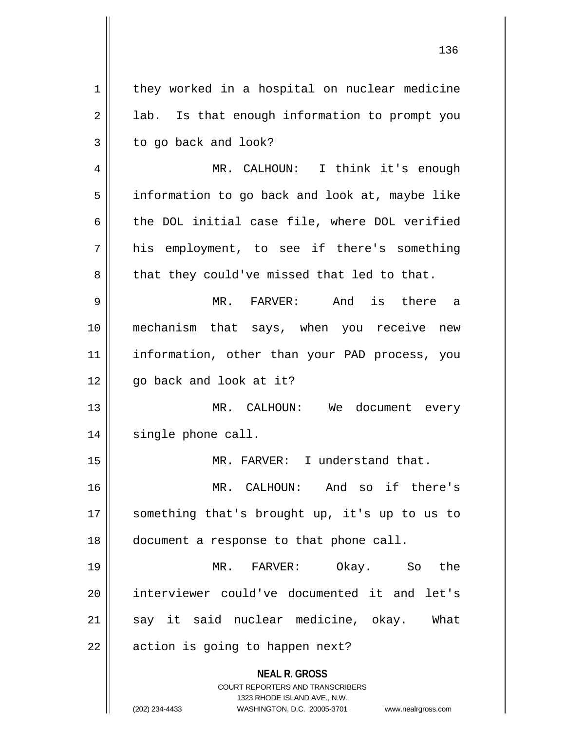**NEAL R. GROSS** COURT REPORTERS AND TRANSCRIBERS 1323 RHODE ISLAND AVE., N.W.  $1 \parallel$  they worked in a hospital on nuclear medicine  $2 \parallel$  lab. Is that enough information to prompt you  $3 \parallel$  to go back and look? 4 || MR. CALHOUN: I think it's enough 5 | information to go back and look at, maybe like 6 the DOL initial case file, where DOL verified 7 his employment, to see if there's something  $8 \parallel$  that they could've missed that led to that. 9 MR. FARVER: And is there a 10 mechanism that says, when you receive new 11 || information, other than your PAD process, you  $12$  | qo back and look at it? 13 || MR. CALHOUN: We document every 14 || single phone call. 15 || MR. FARVER: I understand that. 16 MR. CALHOUN: And so if there's 17 || something that's brought up, it's up to us to 18 | document a response to that phone call. 19 MR. FARVER: Okay. So the 20 interviewer could've documented it and let's  $21$  say it said nuclear medicine, okay. What  $22 \parallel$  action is going to happen next?

(202) 234-4433 WASHINGTON, D.C. 20005-3701 www.nealrgross.com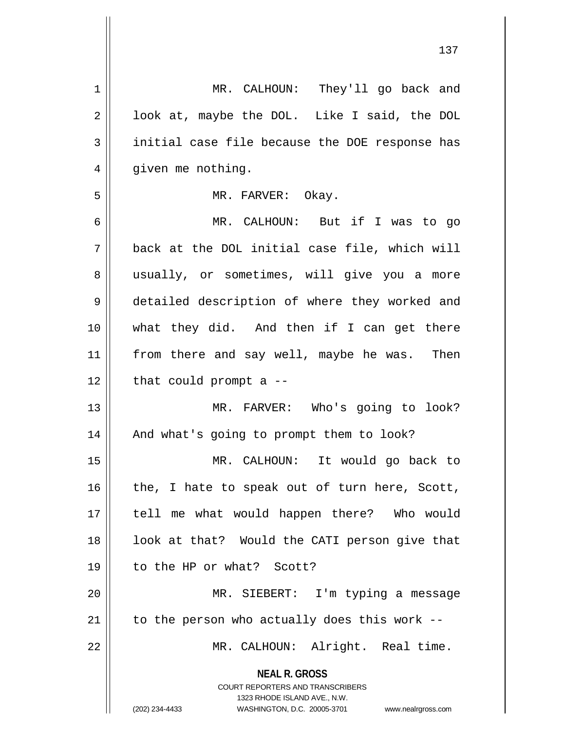| 1  | MR. CALHOUN: They'll go back and                                 |
|----|------------------------------------------------------------------|
| 2  | look at, maybe the DOL. Like I said, the DOL                     |
| 3  | initial case file because the DOE response has                   |
| 4  | given me nothing.                                                |
| 5  | MR. FARVER: Okay.                                                |
| 6  | MR. CALHOUN: But if I was to go                                  |
| 7  | back at the DOL initial case file, which will                    |
| 8  | usually, or sometimes, will give you a more                      |
| 9  | detailed description of where they worked and                    |
| 10 | what they did. And then if I can get there                       |
| 11 | from there and say well, maybe he was. Then                      |
| 12 | that could prompt a $-$                                          |
| 13 | MR. FARVER: Who's going to look?                                 |
| 14 | And what's going to prompt them to look?                         |
| 15 | MR. CALHOUN:<br>It would go back to                              |
| 16 | the, I hate to speak out of turn here, Scott,                    |
| 17 | tell me what would happen there? Who would                       |
| 18 | look at that? Would the CATI person give that                    |
| 19 | to the HP or what? Scott?                                        |
| 20 | MR. SIEBERT: I'm typing a message                                |
| 21 | to the person who actually does this work --                     |
|    |                                                                  |
| 22 | MR. CALHOUN: Alright. Real time.                                 |
|    | <b>NEAL R. GROSS</b>                                             |
|    | COURT REPORTERS AND TRANSCRIBERS<br>1323 RHODE ISLAND AVE., N.W. |
|    | (202) 234-4433<br>WASHINGTON, D.C. 20005-3701 www.nealrgross.com |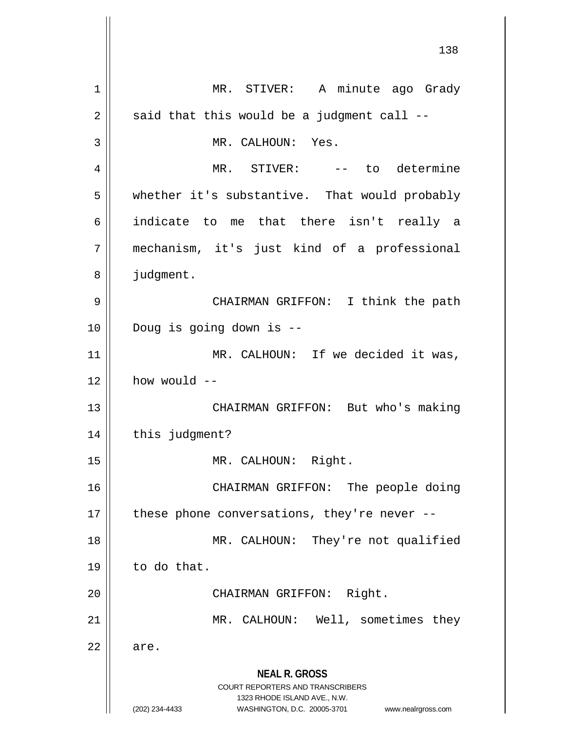**NEAL R. GROSS** COURT REPORTERS AND TRANSCRIBERS 1323 RHODE ISLAND AVE., N.W. (202) 234-4433 WASHINGTON, D.C. 20005-3701 www.nealrgross.com 138 1 || MR. STIVER: A minute ago Grady  $2 \parallel$  said that this would be a judgment call --3 || MR. CALHOUN: Yes. 4 MR. STIVER: -- to determine 5 whether it's substantive. That would probably 6 indicate to me that there isn't really a 7 mechanism, it's just kind of a professional 8 | judgment. 9 CHAIRMAN GRIFFON: I think the path 10 Doug is going down is -- 11 || MR. CALHOUN: If we decided it was,  $12$  | how would  $-$ 13 || CHAIRMAN GRIFFON: But who's making 14 | this judgment? 15 || MR. CALHOUN: Right. 16 || CHAIRMAN GRIFFON: The people doing 17  $\parallel$  these phone conversations, they're never --18 || MR. CALHOUN: They're not qualified  $19 \parallel$  to do that. 20 || CHAIRMAN GRIFFON: Right. 21 || MR. CALHOUN: Well, sometimes they  $22 \parallel$  are.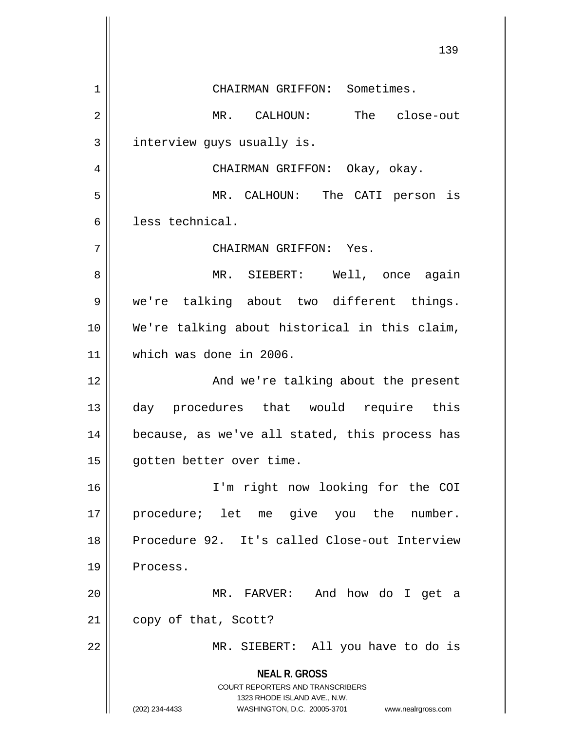**NEAL R. GROSS** COURT REPORTERS AND TRANSCRIBERS 1323 RHODE ISLAND AVE., N.W. (202) 234-4433 WASHINGTON, D.C. 20005-3701 www.nealrgross.com 139 1 || CHAIRMAN GRIFFON: Sometimes. 2 MR. CALHOUN: The close-out  $3$  interview quys usually is. 4 CHAIRMAN GRIFFON: Okay, okay. 5 MR. CALHOUN: The CATI person is 6 less technical. 7 CHAIRMAN GRIFFON: Yes. 8 MR. SIEBERT: Well, once again 9 we're talking about two different things. 10 We're talking about historical in this claim, 11 which was done in 2006. 12 And we're talking about the present 13 day procedures that would require this 14 || because, as we've all stated, this process has 15 gotten better over time. 16 I'm right now looking for the COI 17 || procedure; let me give you the number. 18 Procedure 92. It's called Close-out Interview 19 | Process. 20 MR. FARVER: And how do I get a 21 | copy of that, Scott? 22 || MR. SIEBERT: All you have to do is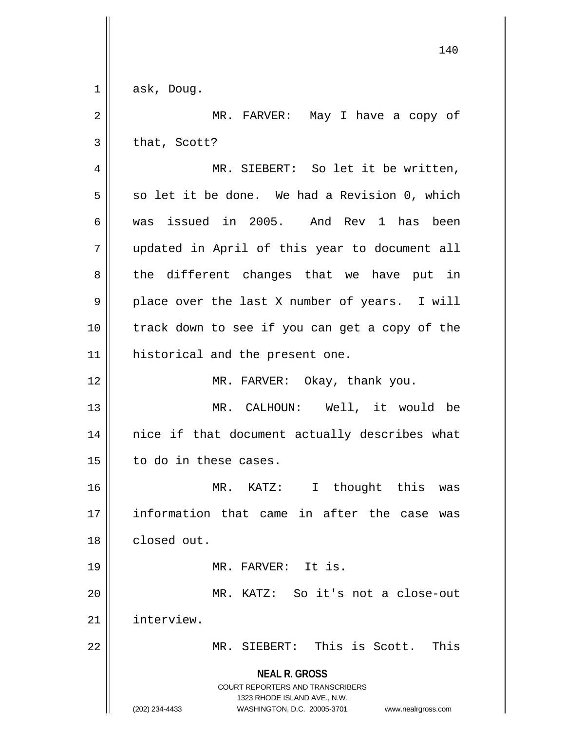**NEAL R. GROSS** COURT REPORTERS AND TRANSCRIBERS 1323 RHODE ISLAND AVE., N.W. (202) 234-4433 WASHINGTON, D.C. 20005-3701 www.nealrgross.com  $1 \parallel$  ask, Doug. 2 MR. FARVER: May I have a copy of  $3 \parallel$  that, Scott? 4 || MR. SIEBERT: So let it be written,  $5 \parallel$  so let it be done. We had a Revision 0, which 6 was issued in 2005. And Rev 1 has been 7 updated in April of this year to document all  $8 \parallel$  the different changes that we have put in  $9 \parallel$  place over the last X number of years. I will 10 || track down to see if you can get a copy of the 11 || historical and the present one. 12 || MR. FARVER: Okay, thank you. 13 MR. CALHOUN: Well, it would be 14 || nice if that document actually describes what  $15$  | to do in these cases. 16 MR. KATZ: I thought this was 17 information that came in after the case was 18 closed out. 19 MR. FARVER: It is. 20 MR. KATZ: So it's not a close-out 21 interview. 22 MR. SIEBERT: This is Scott. This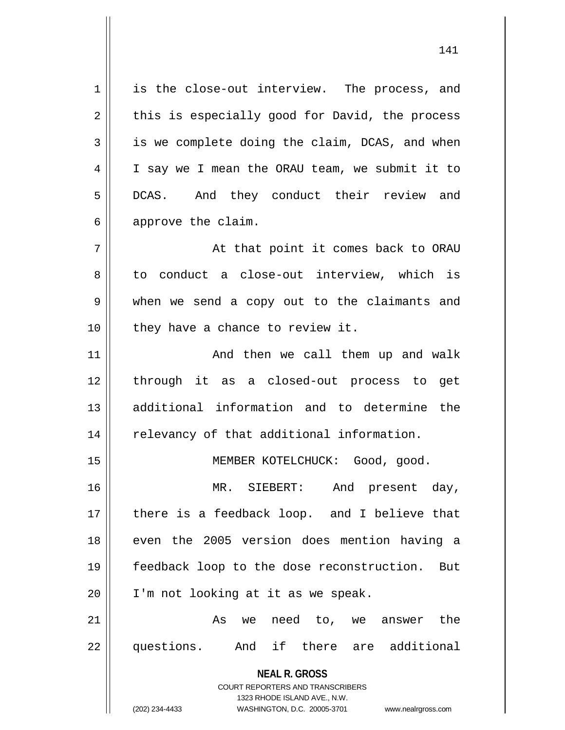1 || is the close-out interview. The process, and  $2 \parallel$  this is especially good for David, the process  $3 \parallel$  is we complete doing the claim, DCAS, and when 4 | I say we I mean the ORAU team, we submit it to 5 DCAS. And they conduct their review and  $6 \parallel$  approve the claim. 7 || At that point it comes back to ORAU

8 to conduct a close-out interview, which is 9 when we send a copy out to the claimants and  $10$  | they have a chance to review it.

 And then we call them up and walk through it as a closed-out process to get additional information and to determine the 14 || relevancy of that additional information.

15 || MEMBER KOTELCHUCK: Good, good.

16 MR. SIEBERT: And present day, 17 || there is a feedback loop. and I believe that 18 || even the 2005 version does mention having a 19 feedback loop to the dose reconstruction. But 20 | I'm not looking at it as we speak.

21 As we need to, we answer the 22 questions. And if there are additional

> **NEAL R. GROSS** COURT REPORTERS AND TRANSCRIBERS 1323 RHODE ISLAND AVE., N.W. (202) 234-4433 WASHINGTON, D.C. 20005-3701 www.nealrgross.com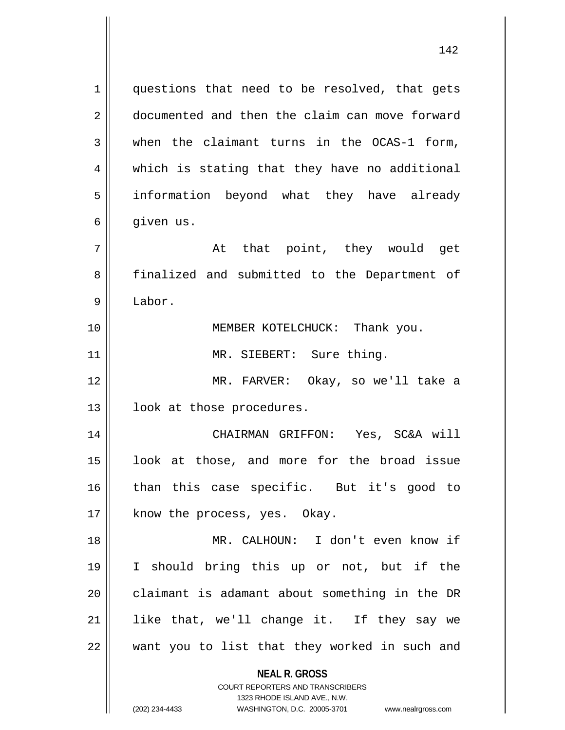**NEAL R. GROSS**  $1 \parallel$  questions that need to be resolved, that gets 2 documented and then the claim can move forward  $3 \parallel$  when the claimant turns in the OCAS-1 form, 4 || which is stating that they have no additional 5 || information beyond what they have already  $6 \parallel$  given us.  $7 \parallel$  at that point, they would get 8 || finalized and submitted to the Department of 9 Labor. 10 MEMBER KOTELCHUCK: Thank you. 11 || MR. SIEBERT: Sure thing. 12 MR. FARVER: Okay, so we'll take a 13 | look at those procedures. 14 CHAIRMAN GRIFFON: Yes, SC&A will 15 || look at those, and more for the broad issue 16 than this case specific. But it's good to 17 || know the process, yes. Okay. 18 MR. CALHOUN: I don't even know if 19 I should bring this up or not, but if the 20 || claimant is adamant about something in the DR 21 || like that, we'll change it. If they say we 22 || want you to list that they worked in such and

> COURT REPORTERS AND TRANSCRIBERS 1323 RHODE ISLAND AVE., N.W.

(202) 234-4433 WASHINGTON, D.C. 20005-3701 www.nealrgross.com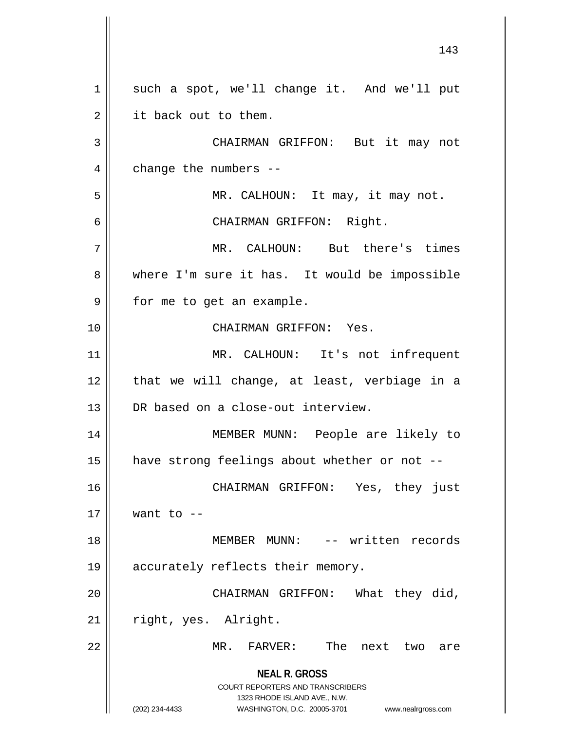**NEAL R. GROSS** COURT REPORTERS AND TRANSCRIBERS 1323 RHODE ISLAND AVE., N.W. (202) 234-4433 WASHINGTON, D.C. 20005-3701 www.nealrgross.com 1 || such a spot, we'll change it. And we'll put  $2 \parallel$  it back out to them. 3 CHAIRMAN GRIFFON: But it may not  $4 \parallel$  change the numbers --5 || MR. CALHOUN: It may, it may not. 6 CHAIRMAN GRIFFON: Right. 7 MR. CALHOUN: But there's times 8 where I'm sure it has. It would be impossible 9 || for me to get an example. 10 CHAIRMAN GRIFFON: Yes. 11 || MR. CALHOUN: It's not infrequent  $12$  | that we will change, at least, verbiage in a 13 DR based on a close-out interview. 14 MEMBER MUNN: People are likely to 15 | have strong feelings about whether or not --16 CHAIRMAN GRIFFON: Yes, they just  $17 \parallel$  want to  $-$ 18 MEMBER MUNN: -- written records 19 || accurately reflects their memory. 20 CHAIRMAN GRIFFON: What they did, 21 | right, yes. Alright. 22 MR. FARVER: The next two are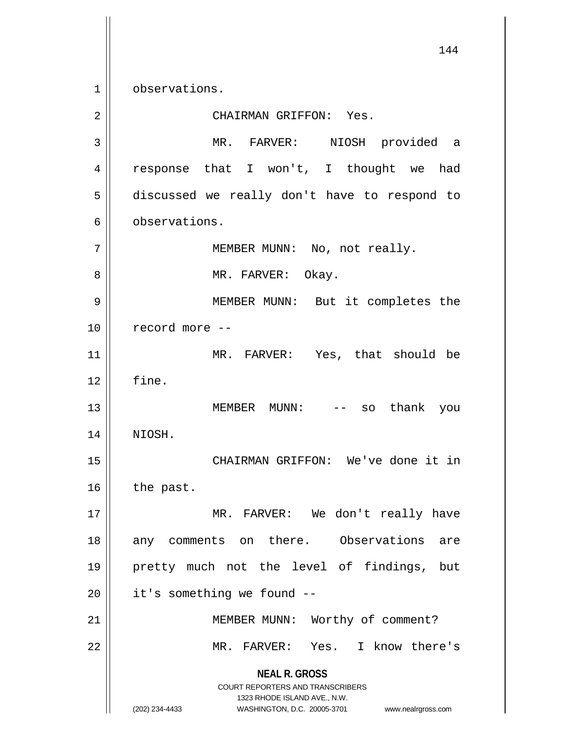1 | observations.

**NEAL R. GROSS** COURT REPORTERS AND TRANSCRIBERS 1323 RHODE ISLAND AVE., N.W. (202) 234-4433 WASHINGTON, D.C. 20005-3701 www.nealrgross.com 2 CHAIRMAN GRIFFON: Yes. 3 MR. FARVER: NIOSH provided a 4 || response that I won't, I thought we had 5 discussed we really don't have to respond to 6 **b**servations. 7 || MEMBER MUNN: No, not really. 8 MR. FARVER: Okay. 9 MEMBER MUNN: But it completes the 10 || record more --11 MR. FARVER: Yes, that should be  $12 \parallel$  fine. 13 MEMBER MUNN: -- so thank you 14 NIOSH. 15 CHAIRMAN GRIFFON: We've done it in  $16$  the past. 17 || MR. FARVER: We don't really have 18 || any comments on there. Observations are 19 pretty much not the level of findings, but  $20$  | it's something we found  $-$ 21 || MEMBER MUNN: Worthy of comment? 22 MR. FARVER: Yes. I know there's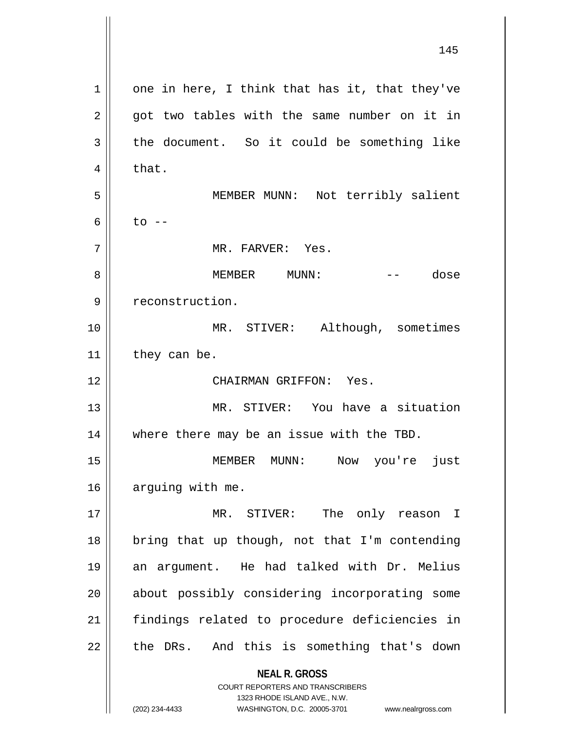**NEAL R. GROSS** COURT REPORTERS AND TRANSCRIBERS 145  $1 \parallel$  one in here, I think that has it, that they've  $2 \parallel$  got two tables with the same number on it in  $3 \parallel$  the document. So it could be something like  $4 \parallel$  that. 5 MEMBER MUNN: Not terribly salient 6  $\vert$  to  $-$ 7 MR. FARVER: Yes. 8 MEMBER MUNN: -- dose 9 | reconstruction. 10 || MR. STIVER: Although, sometimes  $11$  they can be. 12 CHAIRMAN GRIFFON: Yes. 13 MR. STIVER: You have a situation 14 || where there may be an issue with the TBD. 15 MEMBER MUNN: Now you're just 16 | arguing with me. 17 MR. STIVER: The only reason I  $18$  | bring that up though, not that I'm contending 19 an argument. He had talked with Dr. Melius 20 || about possibly considering incorporating some 21 findings related to procedure deficiencies in  $22$  || the DRs. And this is something that's down

1323 RHODE ISLAND AVE., N.W.

(202) 234-4433 WASHINGTON, D.C. 20005-3701 www.nealrgross.com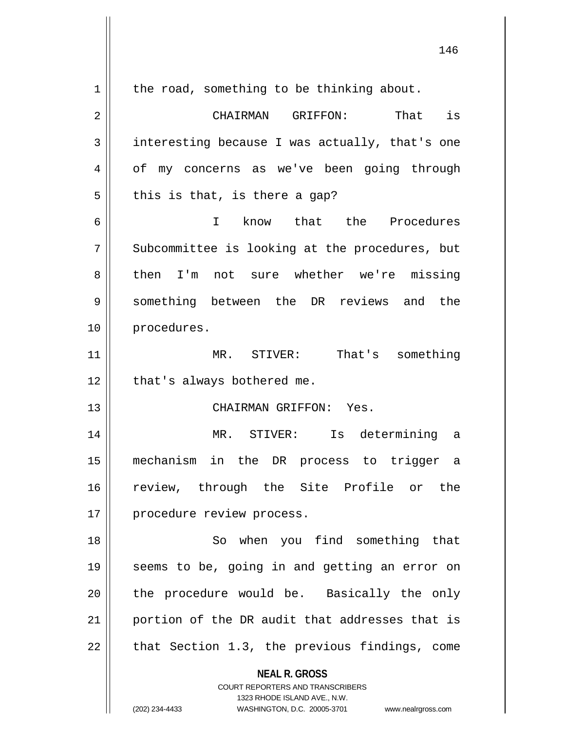| 1  | the road, something to be thinking about.                                                                                                                              |
|----|------------------------------------------------------------------------------------------------------------------------------------------------------------------------|
| 2  | CHAIRMAN GRIFFON: That is                                                                                                                                              |
| 3  | interesting because I was actually, that's one                                                                                                                         |
| 4  | of my concerns as we've been going through                                                                                                                             |
| 5  | this is that, is there a gap?                                                                                                                                          |
| 6  | know that the Procedures<br>$\mathsf{T}$                                                                                                                               |
| 7  | Subcommittee is looking at the procedures, but                                                                                                                         |
| 8  | then I'm not sure whether we're missing                                                                                                                                |
| 9  | something between the DR reviews and the                                                                                                                               |
| 10 | procedures.                                                                                                                                                            |
| 11 | MR. STIVER: That's something                                                                                                                                           |
| 12 | that's always bothered me.                                                                                                                                             |
| 13 | CHAIRMAN GRIFFON: Yes.                                                                                                                                                 |
| 14 | MR. STIVER: Is determining a                                                                                                                                           |
| 15 | mechanism in the DR process to trigger a                                                                                                                               |
| 16 | review, through the Site Profile or the                                                                                                                                |
| 17 | procedure review process.                                                                                                                                              |
| 18 | So when you find something that                                                                                                                                        |
| 19 | seems to be, going in and getting an error on                                                                                                                          |
| 20 | the procedure would be. Basically the only                                                                                                                             |
| 21 | portion of the DR audit that addresses that is                                                                                                                         |
| 22 | that Section 1.3, the previous findings, come                                                                                                                          |
|    | <b>NEAL R. GROSS</b><br><b>COURT REPORTERS AND TRANSCRIBERS</b><br>1323 RHODE ISLAND AVE., N.W.<br>WASHINGTON, D.C. 20005-3701<br>(202) 234-4433<br>www.nealrgross.com |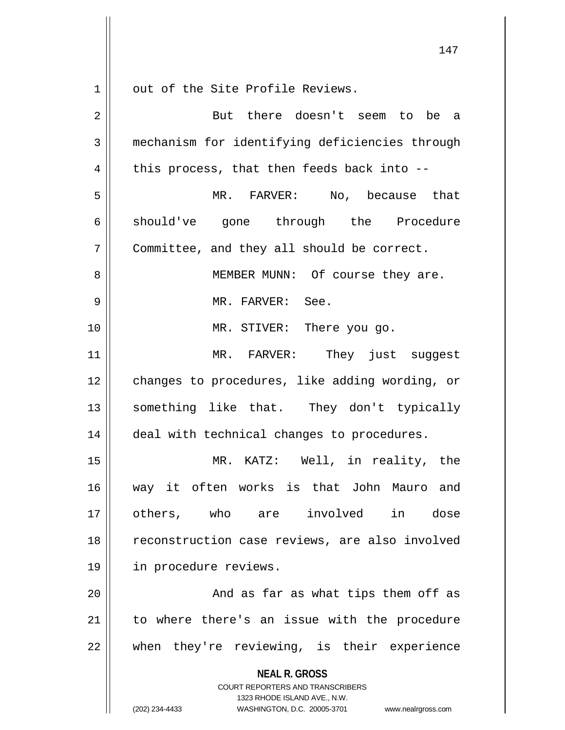$1 \parallel$  out of the Site Profile Reviews.

| $\overline{2}$ | But there doesn't seem to be a                                                                                                                                  |
|----------------|-----------------------------------------------------------------------------------------------------------------------------------------------------------------|
| 3              | mechanism for identifying deficiencies through                                                                                                                  |
| 4              | this process, that then feeds back into --                                                                                                                      |
| 5              | MR. FARVER: No, because that                                                                                                                                    |
| 6              | should've gone through the Procedure                                                                                                                            |
| 7              | Committee, and they all should be correct.                                                                                                                      |
| 8              | MEMBER MUNN: Of course they are.                                                                                                                                |
| 9              | MR. FARVER: See.                                                                                                                                                |
| 10             | MR. STIVER: There you go.                                                                                                                                       |
| 11             | MR. FARVER: They just suggest                                                                                                                                   |
| 12             | changes to procedures, like adding wording, or                                                                                                                  |
| 13             | something like that. They don't typically                                                                                                                       |
| 14             | deal with technical changes to procedures.                                                                                                                      |
| 15             | MR. KATZ: Well, in reality, the                                                                                                                                 |
| 16             | way it often works is that John Mauro and                                                                                                                       |
| 17             | others, who are involved in dose                                                                                                                                |
| 18             | reconstruction case reviews, are also involved                                                                                                                  |
| 19             | in procedure reviews.                                                                                                                                           |
| 20             | And as far as what tips them off as                                                                                                                             |
| 21             | to where there's an issue with the procedure                                                                                                                    |
| 22             | when they're reviewing, is their experience                                                                                                                     |
|                | <b>NEAL R. GROSS</b><br>COURT REPORTERS AND TRANSCRIBERS<br>1323 RHODE ISLAND AVE., N.W.<br>(202) 234-4433<br>WASHINGTON, D.C. 20005-3701<br>www.nealrgross.com |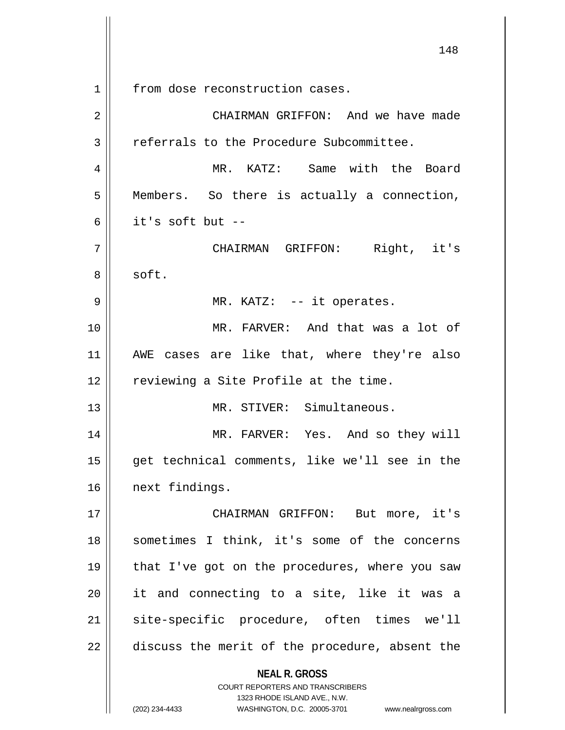**NEAL R. GROSS** COURT REPORTERS AND TRANSCRIBERS 1323 RHODE ISLAND AVE., N.W. (202) 234-4433 WASHINGTON, D.C. 20005-3701 www.nealrgross.com 148 1 | from dose reconstruction cases. 2 CHAIRMAN GRIFFON: And we have made 3 | referrals to the Procedure Subcommittee. 4 MR. KATZ: Same with the Board 5 Members. So there is actually a connection, 6 it's soft but -- 7 || CHAIRMAN GRIFFON: Right, it's 8 | soft. 9 || MR. KATZ: -- it operates. 10 MR. FARVER: And that was a lot of 11 AWE cases are like that, where they're also 12 || reviewing a Site Profile at the time. 13 MR. STIVER: Simultaneous. 14 MR. FARVER: Yes. And so they will 15 get technical comments, like we'll see in the 16 | next findings. 17 || CHAIRMAN GRIFFON: But more, it's 18 || sometimes I think, it's some of the concerns 19 || that I've got on the procedures, where you saw 20 it and connecting to a site, like it was a 21 || site-specific procedure, often times we'll  $22$  || discuss the merit of the procedure, absent the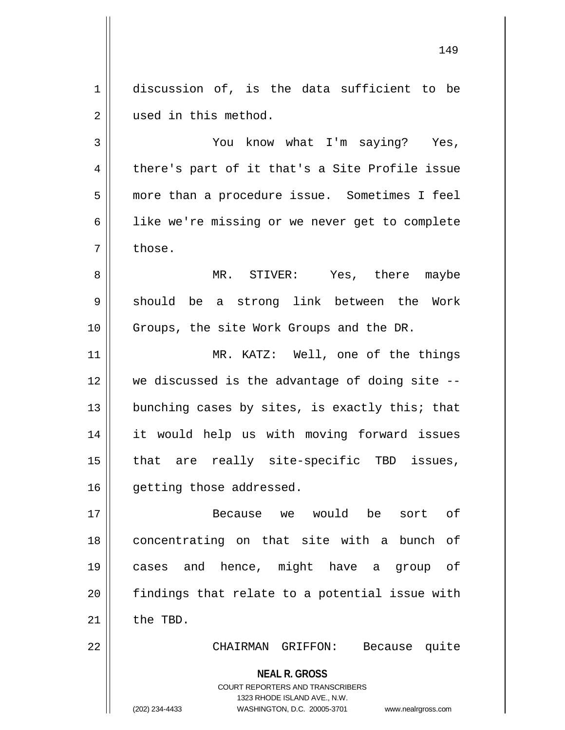1 discussion of, is the data sufficient to be 2 | used in this method.

3 You know what I'm saying? Yes,  $4 \parallel$  there's part of it that's a Site Profile issue 5 more than a procedure issue. Sometimes I feel 6 | like we're missing or we never get to complete  $7 \parallel$  those.

8 MR. STIVER: Yes, there maybe 9 || should be a strong link between the Work 10 || Groups, the site Work Groups and the DR.

11 || MR. KATZ: Well, one of the things 12 we discussed is the advantage of doing site -- 13  $\parallel$  bunching cases by sites, is exactly this; that 14 it would help us with moving forward issues 15 || that are really site-specific TBD issues, 16 | qetting those addressed.

 Because we would be sort of 18 || concentrating on that site with a bunch of cases and hence, might have a group of || findings that relate to a potential issue with  $\parallel$  the TBD.

22 CHAIRMAN GRIFFON: Because quite

**NEAL R. GROSS** COURT REPORTERS AND TRANSCRIBERS 1323 RHODE ISLAND AVE., N.W. (202) 234-4433 WASHINGTON, D.C. 20005-3701 www.nealrgross.com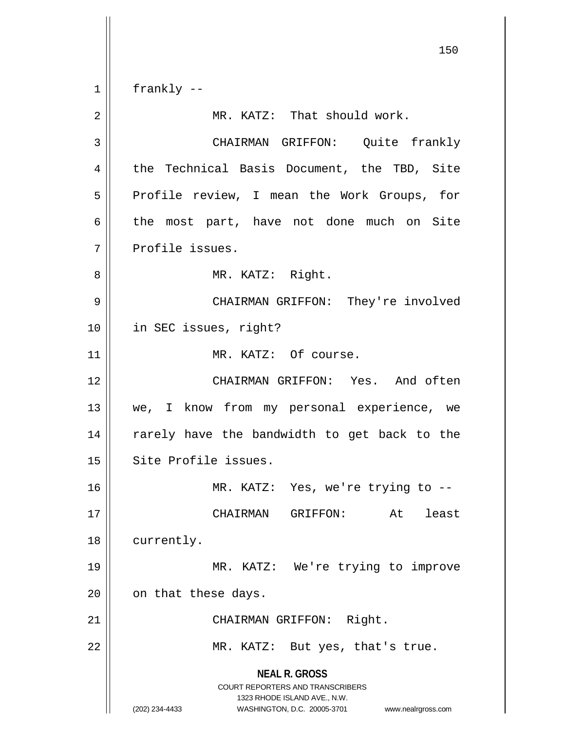**NEAL R. GROSS** COURT REPORTERS AND TRANSCRIBERS 1323 RHODE ISLAND AVE., N.W. (202) 234-4433 WASHINGTON, D.C. 20005-3701 www.nealrgross.com 150  $1 \parallel$  frankly --2 || MR. KATZ: That should work. 3 CHAIRMAN GRIFFON: Quite frankly 4 || the Technical Basis Document, the TBD, Site 5 || Profile review, I mean the Work Groups, for  $6 \parallel$  the most part, have not done much on Site 7 || Profile issues. 8 || MR. KATZ: Right. 9 CHAIRMAN GRIFFON: They're involved 10 | in SEC issues, right? 11 || MR. KATZ: Of course. 12 CHAIRMAN GRIFFON: Yes. And often 13 || we, I know from my personal experience, we 14 || rarely have the bandwidth to get back to the 15 | Site Profile issues. 16 || MR. KATZ: Yes, we're trying to --17 CHAIRMAN GRIFFON: At least 18 | currently. 19 MR. KATZ: We're trying to improve  $20$  | on that these days. 21 || CHAIRMAN GRIFFON: Right. 22 || MR. KATZ: But yes, that's true.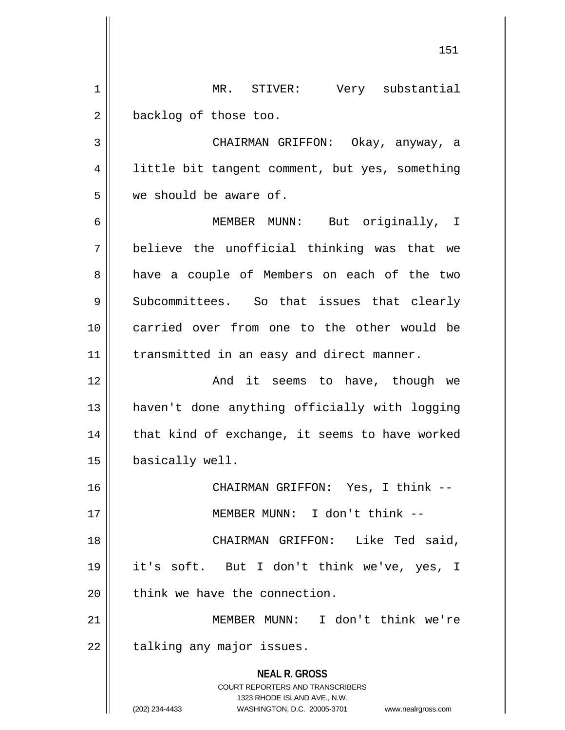**NEAL R. GROSS** COURT REPORTERS AND TRANSCRIBERS 1323 RHODE ISLAND AVE., N.W. (202) 234-4433 WASHINGTON, D.C. 20005-3701 www.nealrgross.com MR. STIVER: Very substantial 2 | backlog of those too. CHAIRMAN GRIFFON: Okay, anyway, a 4 | little bit tangent comment, but yes, something we should be aware of. MEMBER MUNN: But originally, I believe the unofficial thinking was that we 8 a have a couple of Members on each of the two 9 Subcommittees. So that issues that clearly carried over from one to the other would be 11 | transmitted in an easy and direct manner. 12 || The Monduit seems to have, though we haven't done anything officially with logging | that kind of exchange, it seems to have worked basically well. CHAIRMAN GRIFFON: Yes, I think -- MEMBER MUNN: I don't think -- CHAIRMAN GRIFFON: Like Ted said, it's soft. But I don't think we've, yes, I  $\parallel$  think we have the connection. MEMBER MUNN: I don't think we're | talking any major issues.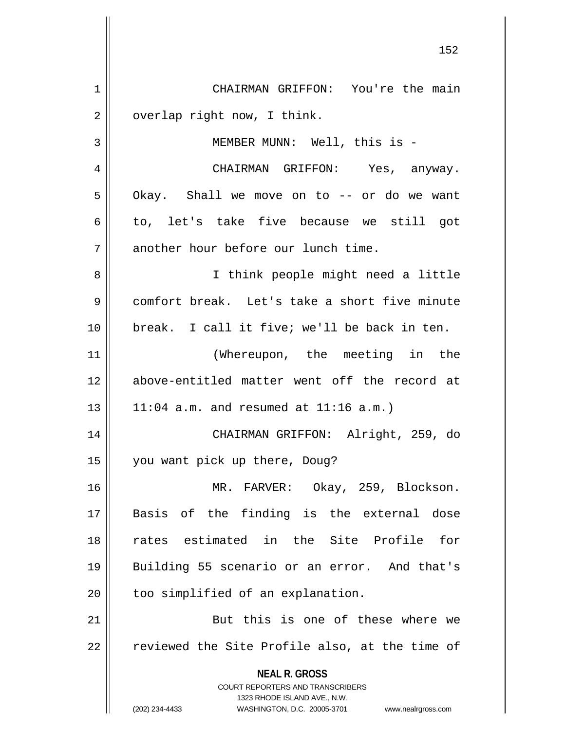**NEAL R. GROSS** COURT REPORTERS AND TRANSCRIBERS 1323 RHODE ISLAND AVE., N.W. (202) 234-4433 WASHINGTON, D.C. 20005-3701 www.nealrgross.com 1 | CHAIRMAN GRIFFON: You're the main  $2 \parallel$  overlap right now, I think. 3 || MEMBER MUNN: Well, this is -4 CHAIRMAN GRIFFON: Yes, anyway.  $5 \parallel$  Okay. Shall we move on to -- or do we want  $6 \parallel$  to, let's take five because we still got 7 | another hour before our lunch time. 8 || I think people might need a little 9 comfort break. Let's take a short five minute 10 break. I call it five; we'll be back in ten. 11 (Whereupon, the meeting in the 12 above-entitled matter went off the record at  $13$  || 11:04 a.m. and resumed at 11:16 a.m.) 14 CHAIRMAN GRIFFON: Alright, 259, do 15 you want pick up there, Doug? 16 MR. FARVER: Okay, 259, Blockson. 17 Basis of the finding is the external dose 18 rates estimated in the Site Profile for 19 Building 55 scenario or an error. And that's 20 | too simplified of an explanation. 21 || But this is one of these where we  $22$  || reviewed the Site Profile also, at the time of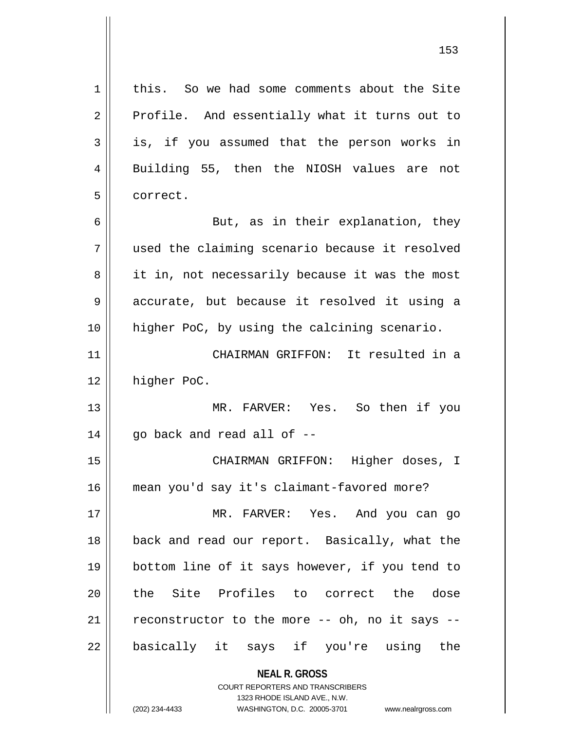1 | this. So we had some comments about the Site  $2 \parallel$  Profile. And essentially what it turns out to  $3 \parallel$  is, if you assumed that the person works in 4 || Building 55, then the NIOSH values are not 5 l correct. 6 || But, as in their explanation, they 7 used the claiming scenario because it resolved 8 || it in, not necessarily because it was the most 9 accurate, but because it resolved it using a 10 higher PoC, by using the calcining scenario. 11 CHAIRMAN GRIFFON: It resulted in a 12 | higher PoC. 13 MR. FARVER: Yes. So then if you  $14$  || go back and read all of  $-$ 15 CHAIRMAN GRIFFON: Higher doses, I 16 mean you'd say it's claimant-favored more? 17 MR. FARVER: Yes. And you can go 18 back and read our report. Basically, what the 19 bottom line of it says however, if you tend to 20 the Site Profiles to correct the dose 21  $\parallel$  reconstructor to the more -- oh, no it says --22 || basically it says if you're using the

> **NEAL R. GROSS** COURT REPORTERS AND TRANSCRIBERS 1323 RHODE ISLAND AVE., N.W. (202) 234-4433 WASHINGTON, D.C. 20005-3701 www.nealrgross.com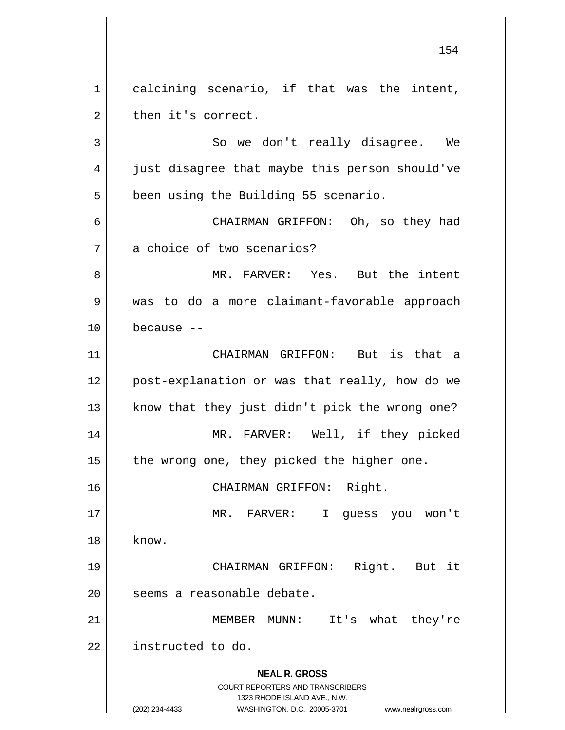$1 \parallel$  calcining scenario, if that was the intent,  $2 \parallel$  then it's correct.

3 || So we don't really disagree. We 4 || just disagree that maybe this person should've 5 | been using the Building 55 scenario.

6 CHAIRMAN GRIFFON: Oh, so they had 7 a choice of two scenarios?

8 MR. FARVER: Yes. But the intent 9 was to do a more claimant-favorable approach 10 because --

 CHAIRMAN GRIFFON: But is that a 12 || post-explanation or was that really, how do we | know that they just didn't pick the wrong one? MR. FARVER: Well, if they picked | the wrong one, they picked the higher one.

16 CHAIRMAN GRIFFON: Right.

17 MR. FARVER: I guess you won't  $18 \parallel$  know. 19 CHAIRMAN GRIFFON: Right. But it 20 | seems a reasonable debate.

21 MEMBER MUNN: It's what they're 22 | instructed to do.

> **NEAL R. GROSS** COURT REPORTERS AND TRANSCRIBERS 1323 RHODE ISLAND AVE., N.W. (202) 234-4433 WASHINGTON, D.C. 20005-3701 www.nealrgross.com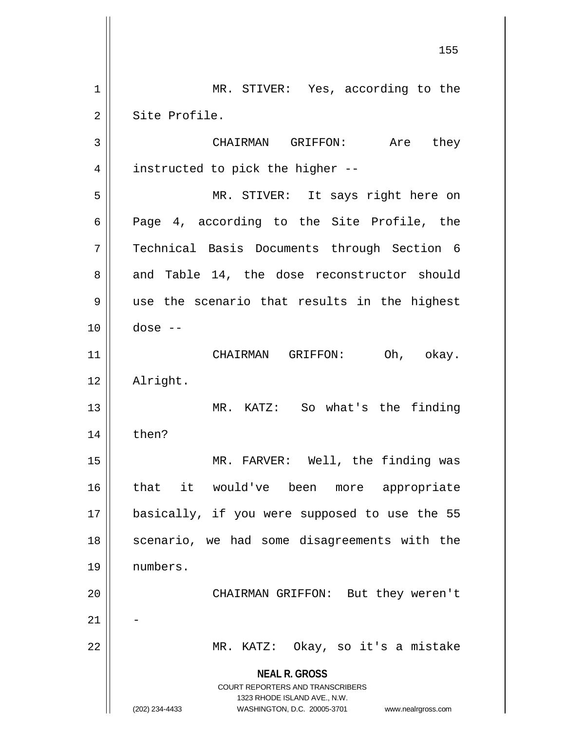**NEAL R. GROSS** COURT REPORTERS AND TRANSCRIBERS 1323 RHODE ISLAND AVE., N.W. (202) 234-4433 WASHINGTON, D.C. 20005-3701 www.nealrgross.com 155 1 || MR. STIVER: Yes, according to the 2 Site Profile. 3 CHAIRMAN GRIFFON: Are they  $4 \parallel$  instructed to pick the higher --5 MR. STIVER: It says right here on  $6 \parallel$  Page 4, according to the Site Profile, the 7 Technical Basis Documents through Section 6 8 and Table 14, the dose reconstructor should  $9 \parallel$  use the scenario that results in the highest 10 dose -- 11 || CHAIRMAN GRIFFON: Oh, okay. 12 Alright. 13 MR. KATZ: So what's the finding  $14$  | then? 15 MR. FARVER: Well, the finding was 16 that it would've been more appropriate 17 basically, if you were supposed to use the 55 18 || scenario, we had some disagreements with the 19 numbers. 20 || CHAIRMAN GRIFFON: But they weren't  $21$ 22 MR. KATZ: Okay, so it's a mistake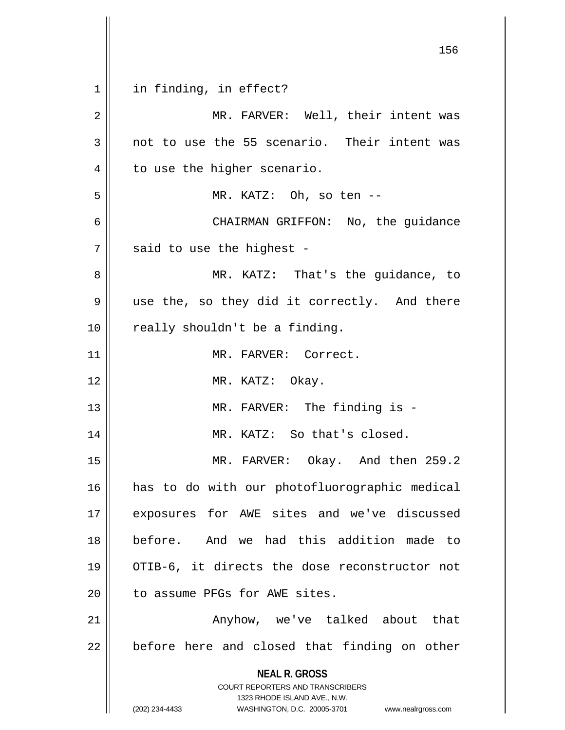**NEAL R. GROSS** COURT REPORTERS AND TRANSCRIBERS 1323 RHODE ISLAND AVE., N.W. (202) 234-4433 WASHINGTON, D.C. 20005-3701 www.nealrgross.com 1 || in finding, in effect? 2 MR. FARVER: Well, their intent was  $3 \parallel$  not to use the 55 scenario. Their intent was  $4 \parallel$  to use the higher scenario. 5 MR. KATZ: Oh, so ten -- 6 CHAIRMAN GRIFFON: No, the guidance  $7$  | said to use the highest -8 MR. KATZ: That's the guidance, to 9 || use the, so they did it correctly. And there  $10$  | really shouldn't be a finding. 11 MR. FARVER: Correct. 12 || MR. KATZ: Okay. 13 || MR. FARVER: The finding is -14 || MR. KATZ: So that's closed. 15 MR. FARVER: Okay. And then 259.2 16 has to do with our photofluorographic medical 17 exposures for AWE sites and we've discussed 18 before. And we had this addition made to 19 OTIB-6, it directs the dose reconstructor not 20 | to assume PFGs for AWE sites. 21 Anyhow, we've talked about that  $22$  | before here and closed that finding on other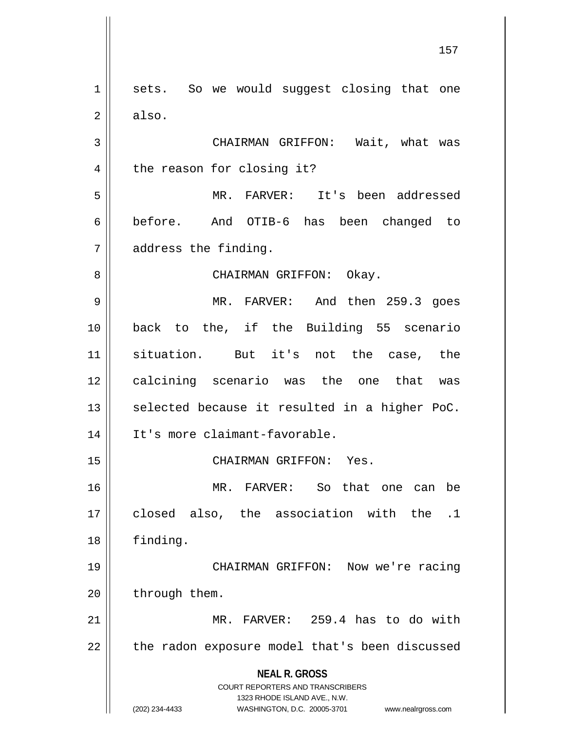**NEAL R. GROSS** COURT REPORTERS AND TRANSCRIBERS 1323 RHODE ISLAND AVE., N.W. (202) 234-4433 WASHINGTON, D.C. 20005-3701 www.nealrgross.com 1 || sets. So we would suggest closing that one  $2 \parallel$  also. 3 CHAIRMAN GRIFFON: Wait, what was 4 || the reason for closing it? 5 MR. FARVER: It's been addressed 6 before. And OTIB-6 has been changed to 7 address the finding. 8 CHAIRMAN GRIFFON: Okay. 9 MR. FARVER: And then 259.3 goes 10 back to the, if the Building 55 scenario 11 situation. But it's not the case, the 12 calcining scenario was the one that was  $13$  selected because it resulted in a higher PoC. 14 It's more claimant-favorable. 15 || CHAIRMAN GRIFFON: Yes. 16 MR. FARVER: So that one can be 17 closed also, the association with the .1 18 | finding. 19 CHAIRMAN GRIFFON: Now we're racing  $20$  | through them. 21 MR. FARVER: 259.4 has to do with  $22$  | the radon exposure model that's been discussed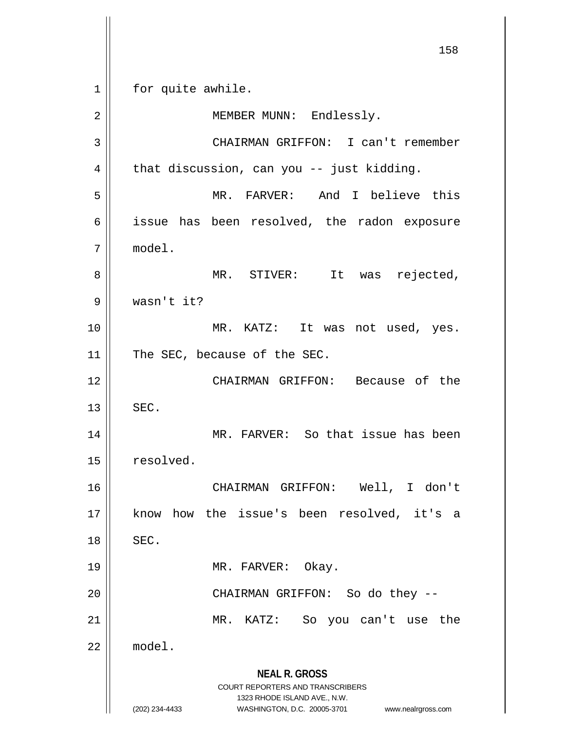**NEAL R. GROSS** COURT REPORTERS AND TRANSCRIBERS 1323 RHODE ISLAND AVE., N.W. (202) 234-4433 WASHINGTON, D.C. 20005-3701 www.nealrgross.com 1 || for quite awhile. 2 || MEMBER MUNN: Endlessly. 3 CHAIRMAN GRIFFON: I can't remember  $4 \parallel$  that discussion, can you -- just kidding. 5 MR. FARVER: And I believe this 6 | issue has been resolved, the radon exposure 7 model. 8 || MR. STIVER: It was rejected, 9 wasn't it? 10 || MR. KATZ: It was not used, yes. 11 | The SEC, because of the SEC. 12 CHAIRMAN GRIFFON: Because of the  $13$   $\parallel$  SEC. 14 MR. FARVER: So that issue has been 15 resolved. 16 CHAIRMAN GRIFFON: Well, I don't 17 know how the issue's been resolved, it's a  $18$   $\parallel$  SEC. 19 MR. FARVER: Okay. 20 CHAIRMAN GRIFFON: So do they -- 21 MR. KATZ: So you can't use the 22 model.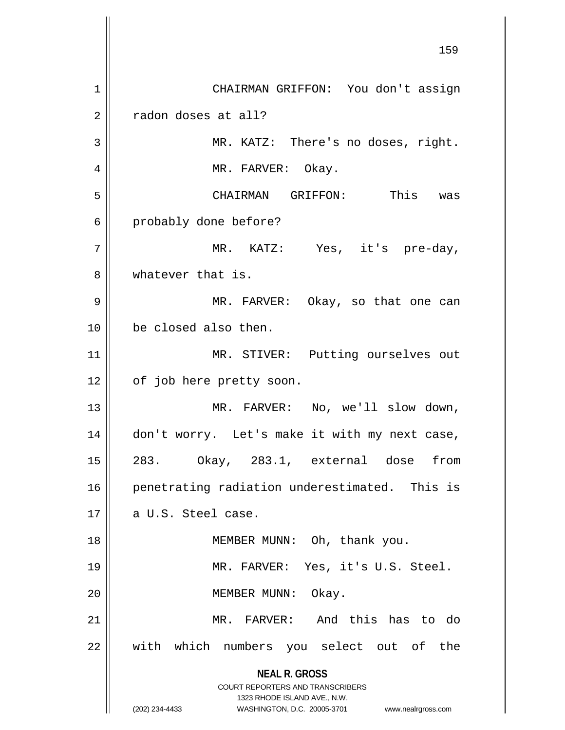**NEAL R. GROSS** COURT REPORTERS AND TRANSCRIBERS 1323 RHODE ISLAND AVE., N.W. (202) 234-4433 WASHINGTON, D.C. 20005-3701 www.nealrgross.com 159 1 | CHAIRMAN GRIFFON: You don't assign 2 | radon doses at all? 3 || MR. KATZ: There's no doses, right. 4 || MR. FARVER: Okay. 5 CHAIRMAN GRIFFON: This was 6 probably done before? 7 MR. KATZ: Yes, it's pre-day, 8 whatever that is. 9 MR. FARVER: Okay, so that one can 10 be closed also then. 11 || MR. STIVER: Putting ourselves out 12 | of job here pretty soon. 13 || MR. FARVER: No, we'll slow down, 14 don't worry. Let's make it with my next case, 15 283. Okay, 283.1, external dose from 16 || penetrating radiation underestimated. This is  $17 \parallel$  a U.S. Steel case. 18 || MEMBER MUNN: Oh, thank you. 19 MR. FARVER: Yes, it's U.S. Steel. 20 MEMBER MUNN: Okay. 21 MR. FARVER: And this has to do 22 || with which numbers you select out of the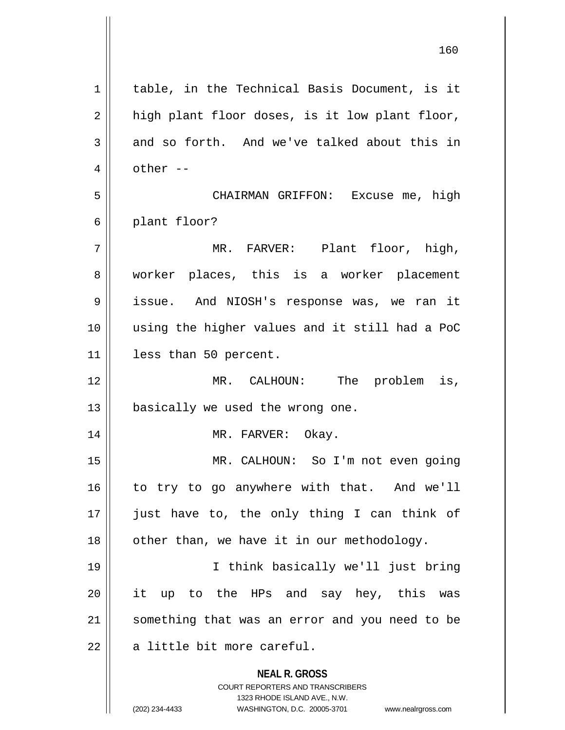| $\mathbf 1$    | table, in the Technical Basis Document, is it                                                                                                                          |
|----------------|------------------------------------------------------------------------------------------------------------------------------------------------------------------------|
| $\overline{2}$ | high plant floor doses, is it low plant floor,                                                                                                                         |
| 3              | and so forth. And we've talked about this in                                                                                                                           |
| 4              | other --                                                                                                                                                               |
| 5              | CHAIRMAN GRIFFON: Excuse me, high                                                                                                                                      |
| 6              | plant floor?                                                                                                                                                           |
| 7              | MR. FARVER: Plant floor, high,                                                                                                                                         |
| 8              | worker places, this is a worker placement                                                                                                                              |
| 9              | issue. And NIOSH's response was, we ran it                                                                                                                             |
| 10             | using the higher values and it still had a PoC                                                                                                                         |
| 11             | less than 50 percent.                                                                                                                                                  |
| 12             | MR. CALHOUN: The problem is,                                                                                                                                           |
| 13             | basically we used the wrong one.                                                                                                                                       |
| 14             | MR. FARVER: Okay.                                                                                                                                                      |
| 15             | MR. CALHOUN: So I'm not even going                                                                                                                                     |
| 16             | to try to go anywhere with that. And we'll                                                                                                                             |
| 17             | just have to, the only thing I can think of                                                                                                                            |
| 18             | other than, we have it in our methodology.                                                                                                                             |
| 19             | I think basically we'll just bring                                                                                                                                     |
| 20             | it up to the HPs and say hey, this was                                                                                                                                 |
| 21             | something that was an error and you need to be                                                                                                                         |
| 22             | a little bit more careful.                                                                                                                                             |
|                | <b>NEAL R. GROSS</b><br><b>COURT REPORTERS AND TRANSCRIBERS</b><br>1323 RHODE ISLAND AVE., N.W.<br>(202) 234-4433<br>WASHINGTON, D.C. 20005-3701<br>www.nealrgross.com |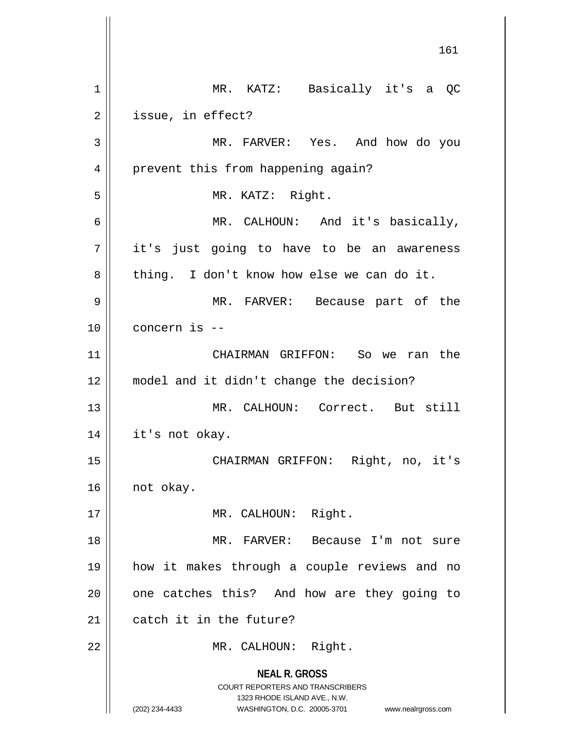**NEAL R. GROSS** COURT REPORTERS AND TRANSCRIBERS 1323 RHODE ISLAND AVE., N.W. (202) 234-4433 WASHINGTON, D.C. 20005-3701 www.nealrgross.com 1 MR. KATZ: Basically it's a QC 2 | issue, in effect? 3 MR. FARVER: Yes. And how do you 4 || prevent this from happening again? 5 || MR. KATZ: Right. 6 MR. CALHOUN: And it's basically, 7 || it's just going to have to be an awareness  $8 \parallel$  thing. I don't know how else we can do it. 9 MR. FARVER: Because part of the 10 concern is -- 11 CHAIRMAN GRIFFON: So we ran the 12 model and it didn't change the decision? 13 MR. CALHOUN: Correct. But still 14 it's not okay. 15 CHAIRMAN GRIFFON: Right, no, it's 16 | not okay. 17 || MR. CALHOUN: Right. 18 MR. FARVER: Because I'm not sure 19 how it makes through a couple reviews and no  $20$  | one catches this? And how are they going to 21  $\parallel$  catch it in the future? 22 || MR. CALHOUN: Right.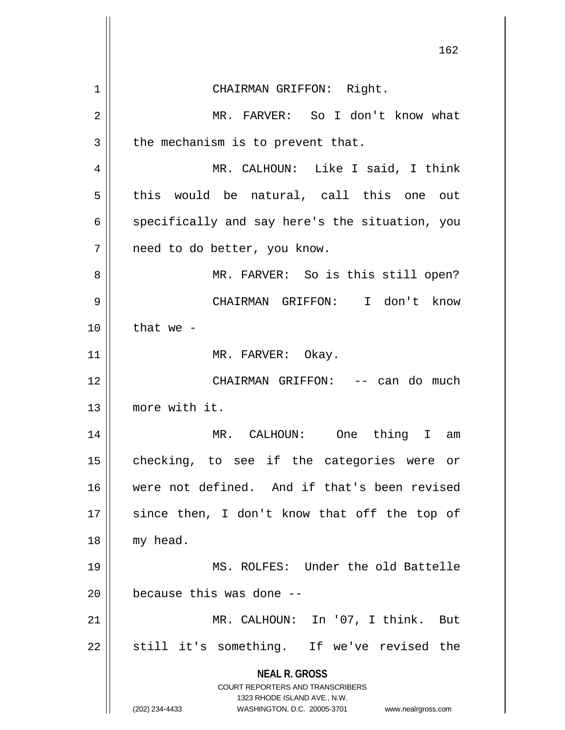|    | 162                                                                 |
|----|---------------------------------------------------------------------|
| 1  | CHAIRMAN GRIFFON: Right.                                            |
| 2  | MR. FARVER: So I don't know what                                    |
| 3  | the mechanism is to prevent that.                                   |
| 4  | MR. CALHOUN: Like I said, I think                                   |
| 5  | this would be natural, call this one out                            |
| 6  | specifically and say here's the situation, you                      |
| 7  | need to do better, you know.                                        |
| 8  | MR. FARVER: So is this still open?                                  |
| 9  | CHAIRMAN GRIFFON: I don't know                                      |
| 10 | that we $-$                                                         |
| 11 | MR. FARVER: Okay.                                                   |
| 12 | CHAIRMAN GRIFFON: -- can do much                                    |
| 13 | more with it.                                                       |
| 14 | thing<br>MR. CALHOUN: One<br>I.<br>am                               |
| 15 | checking, to see if the categories were or                          |
| 16 | were not defined. And if that's been revised                        |
| 17 | since then, I don't know that off the top of                        |
| 18 | my head.                                                            |
| 19 | MS. ROLFES: Under the old Battelle                                  |
| 20 | because this was done --                                            |
| 21 | MR. CALHOUN: In '07, I think. But                                   |
| 22 | still it's something. If we've revised the                          |
|    | <b>NEAL R. GROSS</b><br>COURT REPORTERS AND TRANSCRIBERS            |
|    | 1323 RHODE ISLAND AVE., N.W.                                        |
|    | (202) 234-4433<br>WASHINGTON, D.C. 20005-3701<br>www.nealrgross.com |

 $\mathbb{I}$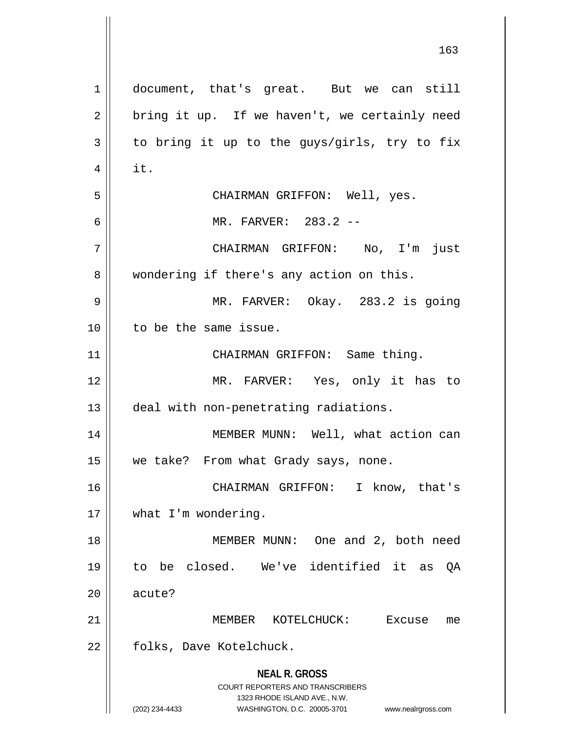**NEAL R. GROSS** COURT REPORTERS AND TRANSCRIBERS 1323 RHODE ISLAND AVE., N.W. (202) 234-4433 WASHINGTON, D.C. 20005-3701 www.nealrgross.com 1 document, that's great. But we can still  $2 \parallel$  bring it up. If we haven't, we certainly need  $3 \parallel$  to bring it up to the guys/girls, try to fix  $4 \parallel$  it. 5 CHAIRMAN GRIFFON: Well, yes. 6 MR. FARVER: 283.2 -- 7 CHAIRMAN GRIFFON: No, I'm just 8 | wondering if there's any action on this. 9 MR. FARVER: Okay. 283.2 is going 10 to be the same issue. 11 || CHAIRMAN GRIFFON: Same thing. 12 || MR. FARVER: Yes, only it has to 13 | deal with non-penetrating radiations. 14 MEMBER MUNN: Well, what action can 15 | we take? From what Grady says, none. 16 CHAIRMAN GRIFFON: I know, that's 17 || what I'm wondering. 18 || MEMBER MUNN: One and 2, both need 19 to be closed. We've identified it as QA 20 || acute? 21 MEMBER KOTELCHUCK: Excuse me 22 | folks, Dave Kotelchuck.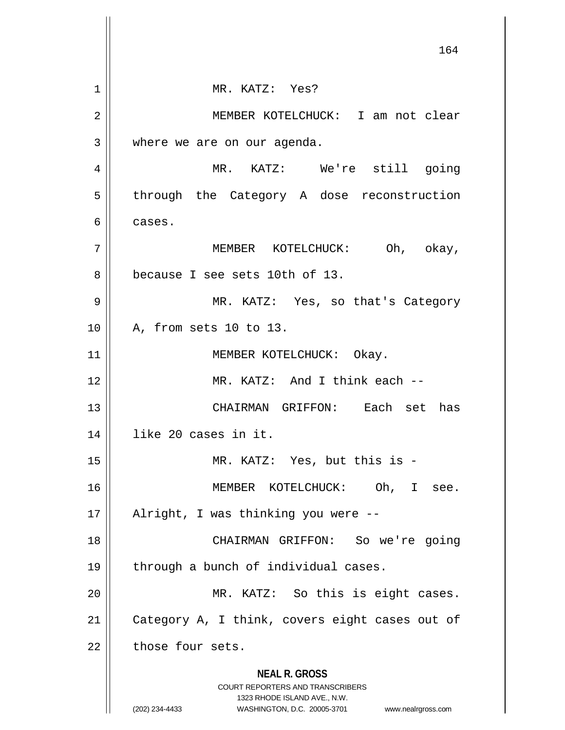**NEAL R. GROSS** COURT REPORTERS AND TRANSCRIBERS 1323 RHODE ISLAND AVE., N.W. (202) 234-4433 WASHINGTON, D.C. 20005-3701 www.nealrgross.com MR. KATZ: Yes? MEMBER KOTELCHUCK: I am not clear 3 where we are on our agenda. MR. KATZ: We're still going  $5 \parallel$  through the Category A dose reconstruction cases. MEMBER KOTELCHUCK: Oh, okay, 8 because I see sets 10th of 13. MR. KATZ: Yes, so that's Category A, from sets 10 to 13. 11 || MEMBER KOTELCHUCK: Okay. MR. KATZ: And I think each -- CHAIRMAN GRIFFON: Each set has like 20 cases in it. MR. KATZ: Yes, but this is - MEMBER KOTELCHUCK: Oh, I see. Alright, I was thinking you were -- CHAIRMAN GRIFFON: So we're going || through a bunch of individual cases. MR. KATZ: So this is eight cases. 21 | Category A, I think, covers eight cases out of | those four sets.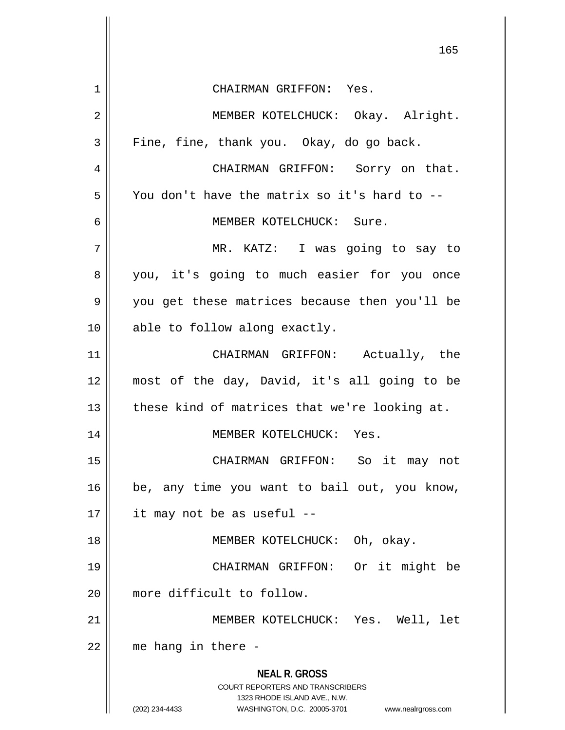|                | 165                                                                                                                                                                    |
|----------------|------------------------------------------------------------------------------------------------------------------------------------------------------------------------|
| 1              | CHAIRMAN GRIFFON: Yes.                                                                                                                                                 |
| $\overline{2}$ | MEMBER KOTELCHUCK: Okay. Alright.                                                                                                                                      |
| 3              | Fine, fine, thank you. Okay, do go back.                                                                                                                               |
| 4              | CHAIRMAN GRIFFON: Sorry on that.                                                                                                                                       |
| 5              | You don't have the matrix so it's hard to --                                                                                                                           |
| 6              | MEMBER KOTELCHUCK: Sure.                                                                                                                                               |
| 7              | MR. KATZ: I was going to say to                                                                                                                                        |
| 8              | you, it's going to much easier for you once                                                                                                                            |
| 9              | you get these matrices because then you'll be                                                                                                                          |
| 10             | able to follow along exactly.                                                                                                                                          |
| 11             | CHAIRMAN GRIFFON: Actually, the                                                                                                                                        |
| 12             | most of the day, David, it's all going to be                                                                                                                           |
| 13             | these kind of matrices that we're looking at.                                                                                                                          |
| 14             | MEMBER KOTELCHUCK: Yes.                                                                                                                                                |
| 15             | CHAIRMAN GRIFFON: So it may not                                                                                                                                        |
| 16             | be, any time you want to bail out, you know,                                                                                                                           |
| 17             | it may not be as useful --                                                                                                                                             |
| 18             | MEMBER KOTELCHUCK: Oh, okay.                                                                                                                                           |
| 19             | Or it might be<br>CHAIRMAN GRIFFON:                                                                                                                                    |
| 20             | more difficult to follow.                                                                                                                                              |
| 21             | MEMBER KOTELCHUCK: Yes. Well, let                                                                                                                                      |
| 22             | me hang in there -                                                                                                                                                     |
|                | <b>NEAL R. GROSS</b><br><b>COURT REPORTERS AND TRANSCRIBERS</b><br>1323 RHODE ISLAND AVE., N.W.<br>(202) 234-4433<br>WASHINGTON, D.C. 20005-3701<br>www.nealrgross.com |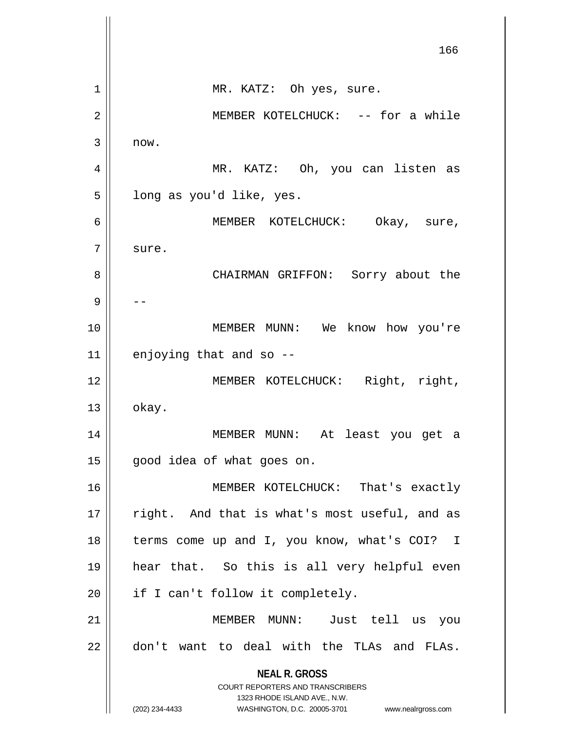**NEAL R. GROSS** COURT REPORTERS AND TRANSCRIBERS 1323 RHODE ISLAND AVE., N.W. (202) 234-4433 WASHINGTON, D.C. 20005-3701 www.nealrgross.com 166 1 || MR. KATZ: Oh yes, sure. 2 MEMBER KOTELCHUCK: -- for a while  $3 \parallel$  now. 4 MR. KATZ: Oh, you can listen as  $5 \parallel$  long as you'd like, yes. 6 MEMBER KOTELCHUCK: Okay, sure, 7 | sure. 8 CHAIRMAN GRIFFON: Sorry about the 9 | --10 MEMBER MUNN: We know how you're  $11$  enjoying that and so  $-$ 12 || MEMBER KOTELCHUCK: Right, right,  $13 \parallel$  okay. 14 MEMBER MUNN: At least you get a 15 | good idea of what goes on. 16 MEMBER KOTELCHUCK: That's exactly  $17$  || right. And that is what's most useful, and as 18 || terms come up and I, you know, what's COI? I 19 hear that. So this is all very helpful even  $20$  || if I can't follow it completely. 21 MEMBER MUNN: Just tell us you  $22$   $\parallel$  don't want to deal with the TLAs and FLAs.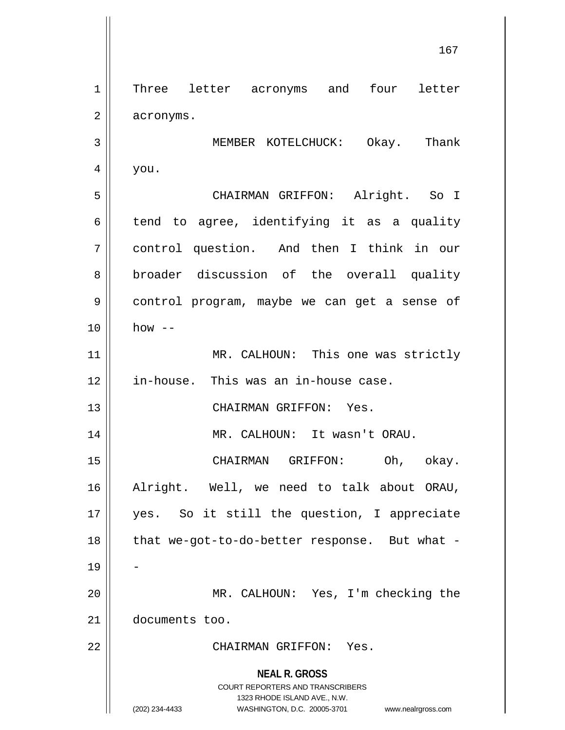**NEAL R. GROSS** COURT REPORTERS AND TRANSCRIBERS 1323 RHODE ISLAND AVE., N.W. (202) 234-4433 WASHINGTON, D.C. 20005-3701 www.nealrgross.com 1 || Three letter acronyms and four letter  $2 \parallel$  acronyms. 3 MEMBER KOTELCHUCK: Okay. Thank  $4 \parallel$  you. 5 CHAIRMAN GRIFFON: Alright. So I  $6$  tend to agree, identifying it as a quality 7 control question. And then I think in our 8 broader discussion of the overall quality 9 control program, maybe we can get a sense of  $10 \parallel$  how  $-$ 11 || MR. CALHOUN: This one was strictly 12 | in-house. This was an in-house case. 13 || CHAIRMAN GRIFFON: Yes. 14 MR. CALHOUN: It wasn't ORAU. 15 CHAIRMAN GRIFFON: Oh, okay. 16 Alright. Well, we need to talk about ORAU, 17 yes. So it still the question, I appreciate 18 || that we-got-to-do-better response. But what -19 20 MR. CALHOUN: Yes, I'm checking the 21 documents too. 22 CHAIRMAN GRIFFON: Yes.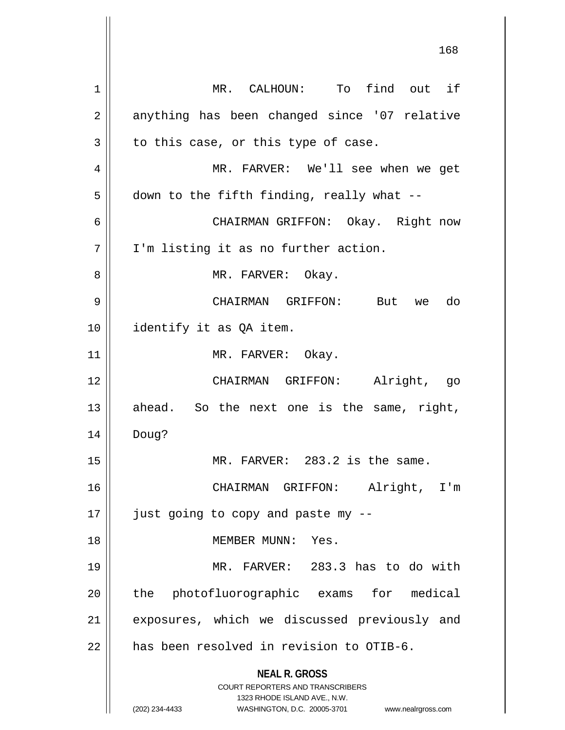**NEAL R. GROSS** COURT REPORTERS AND TRANSCRIBERS 1323 RHODE ISLAND AVE., N.W. (202) 234-4433 WASHINGTON, D.C. 20005-3701 www.nealrgross.com 1 || MR. CALHOUN: To find out if 2 || anything has been changed since '07 relative  $3 \parallel$  to this case, or this type of case. 4 MR. FARVER: We'll see when we get  $5 \parallel$  down to the fifth finding, really what --6 CHAIRMAN GRIFFON: Okay. Right now 7 | I'm listing it as no further action. 8 MR. FARVER: Okay. 9 CHAIRMAN GRIFFON: But we do 10 || identify it as QA item. 11 || MR. FARVER: Okay. 12 CHAIRMAN GRIFFON: Alright, go  $13$  ahead. So the next one is the same, right, 14 Doug? 15 MR. FARVER: 283.2 is the same. 16 CHAIRMAN GRIFFON: Alright, I'm  $17$  | just going to copy and paste my  $-$ 18 MEMBER MUNN: Yes. 19 MR. FARVER: 283.3 has to do with 20 || the photofluorographic exams for medical 21 || exposures, which we discussed previously and  $22$   $\parallel$  has been resolved in revision to OTIB-6.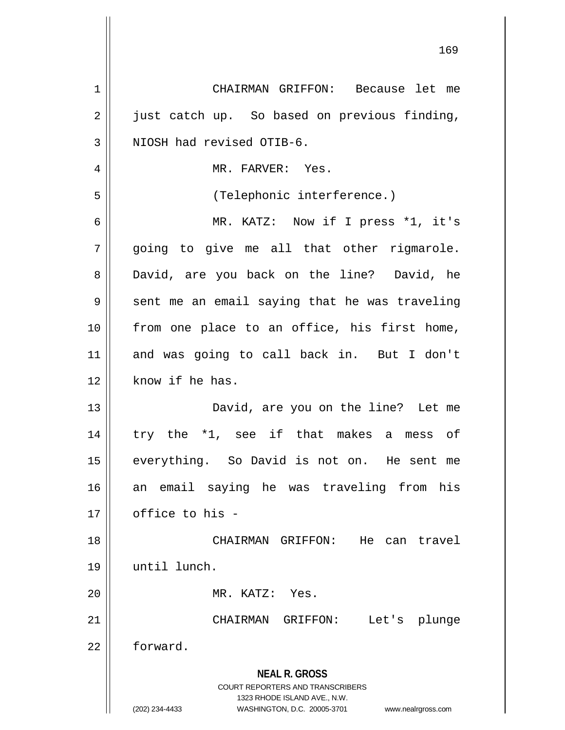| 1  | CHAIRMAN GRIFFON: Because let me                                                                                  |
|----|-------------------------------------------------------------------------------------------------------------------|
| 2  | just catch up. So based on previous finding,                                                                      |
| 3  | NIOSH had revised OTIB-6.                                                                                         |
| 4  | MR. FARVER: Yes.                                                                                                  |
| 5  | (Telephonic interference.)                                                                                        |
| 6  | MR. KATZ: Now if I press *1, it's                                                                                 |
| 7  | going to give me all that other rigmarole.                                                                        |
| 8  | David, are you back on the line? David, he                                                                        |
| 9  | sent me an email saying that he was traveling                                                                     |
| 10 | from one place to an office, his first home,                                                                      |
| 11 | and was going to call back in. But I don't                                                                        |
| 12 | know if he has.                                                                                                   |
| 13 | David, are you on the line? Let me                                                                                |
| 14 | try the *1, see if that makes a mess of                                                                           |
| 15 | everything. So David is not on. He sent me                                                                        |
| 16 | an email saying he was traveling from<br>his                                                                      |
| 17 | office to his -                                                                                                   |
| 18 | CHAIRMAN GRIFFON:<br>He<br>can travel                                                                             |
| 19 | until lunch.                                                                                                      |
| 20 | MR. KATZ: Yes.                                                                                                    |
| 21 | CHAIRMAN GRIFFON:<br>Let's plunge                                                                                 |
| 22 | forward.                                                                                                          |
|    | <b>NEAL R. GROSS</b><br><b>COURT REPORTERS AND TRANSCRIBERS</b><br>1323 RHODE ISLAND AVE., N.W.<br>(202) 234-4433 |
|    | WASHINGTON, D.C. 20005-3701<br>www.nealrgross.com                                                                 |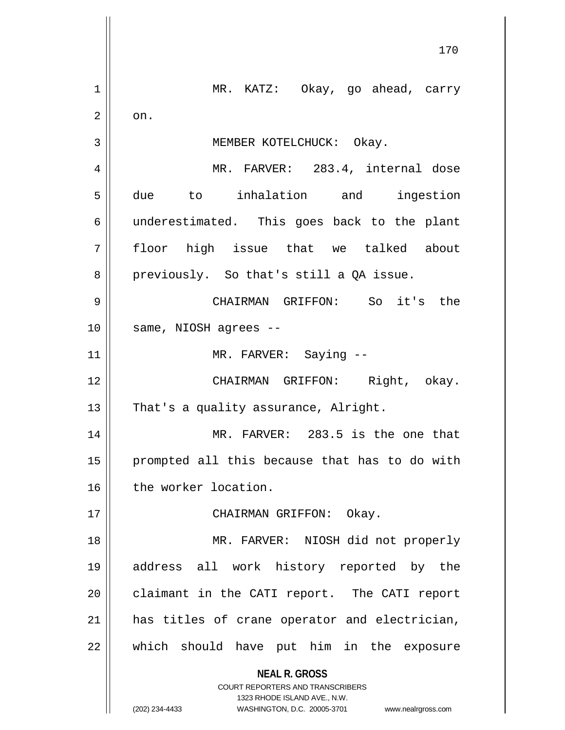**NEAL R. GROSS** COURT REPORTERS AND TRANSCRIBERS 1323 RHODE ISLAND AVE., N.W. (202) 234-4433 WASHINGTON, D.C. 20005-3701 www.nealrgross.com MR. KATZ: Okay, go ahead, carry  $2 \parallel \circ \circ n.$  MEMBER KOTELCHUCK: Okay. MR. FARVER: 283.4, internal dose due to inhalation and ingestion underestimated. This goes back to the plant floor high issue that we talked about  $8 \parallel$  previously. So that's still a QA issue. CHAIRMAN GRIFFON: So it's the 10 || same, NIOSH agrees --11 || MR. FARVER: Saying -- CHAIRMAN GRIFFON: Right, okay.  $\parallel$  That's a quality assurance, Alright. MR. FARVER: 283.5 is the one that prompted all this because that has to do with 16 | the worker location. CHAIRMAN GRIFFON: Okay. MR. FARVER: NIOSH did not properly address all work history reported by the 20 | claimant in the CATI report. The CATI report has titles of crane operator and electrician, which should have put him in the exposure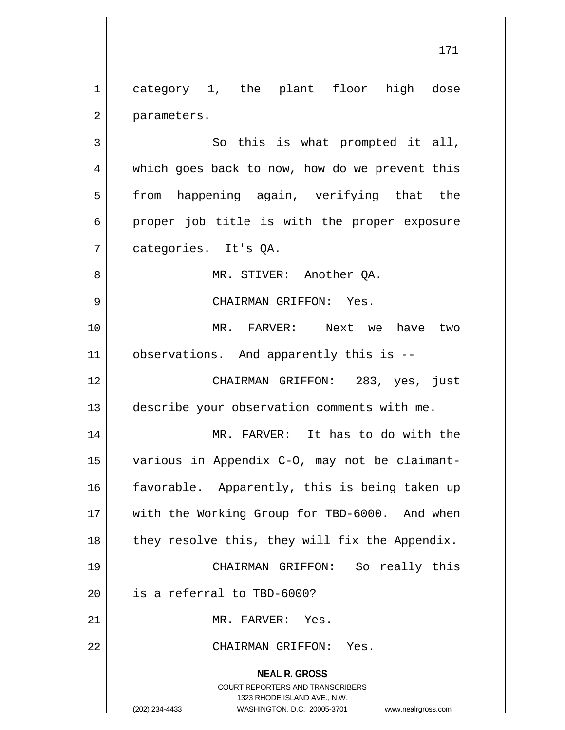1 category 1, the plant floor high dose 2 | parameters.

 $3 \parallel$  So this is what prompted it all, 4 which goes back to now, how do we prevent this 5 || from happening again, verifying that the  $6 \parallel$  proper job title is with the proper exposure 7 categories. It's QA.

8 || MR. STIVER: Another QA.

9 CHAIRMAN GRIFFON: Yes.

10 MR. FARVER: Next we have two 11 | observations. And apparently this is --

12 CHAIRMAN GRIFFON: 283, yes, just 13 describe your observation comments with me.

14 MR. FARVER: It has to do with the 15 various in Appendix C-O, may not be claimant-16 || favorable. Apparently, this is being taken up 17 || with the Working Group for TBD-6000. And when  $18$  | they resolve this, they will fix the Appendix.

19 CHAIRMAN GRIFFON: So really this 20  $\parallel$  is a referral to TBD-6000?

21 || MR. FARVER: Yes.

22 CHAIRMAN GRIFFON: Yes.

**NEAL R. GROSS**

COURT REPORTERS AND TRANSCRIBERS 1323 RHODE ISLAND AVE., N.W. (202) 234-4433 WASHINGTON, D.C. 20005-3701 www.nealrgross.com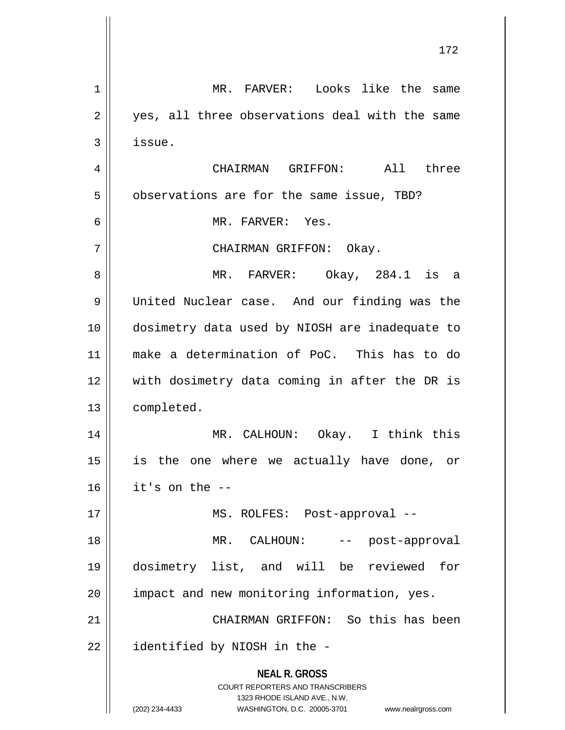| $\mathbf 1$    | MR. FARVER: Looks like the<br>same                                      |
|----------------|-------------------------------------------------------------------------|
| $\overline{2}$ | yes, all three observations deal with the same                          |
| 3              | issue.                                                                  |
| 4              | All three<br>CHAIRMAN GRIFFON:                                          |
| 5              | observations are for the same issue, TBD?                               |
| 6              | MR. FARVER: Yes.                                                        |
| 7              | CHAIRMAN GRIFFON: Okay.                                                 |
| 8              | MR. FARVER: Okay, 284.1 is a                                            |
| 9              | United Nuclear case. And our finding was the                            |
| 10             | dosimetry data used by NIOSH are inadequate to                          |
| 11             | make a determination of PoC. This has to do                             |
| 12             | with dosimetry data coming in after the DR is                           |
| 13             | completed.                                                              |
| 14             | MR. CALHOUN: Okay. I think this                                         |
| 15             | is the one where we actually have done, or                              |
| 16             | it's on the --                                                          |
| 17             | MS. ROLFES: Post-approval --                                            |
| 18             | MR. CALHOUN:<br>-- post-approval                                        |
| 19             | dosimetry list, and will be reviewed for                                |
| 20             | impact and new monitoring information, yes.                             |
| 21             | CHAIRMAN GRIFFON: So this has been                                      |
| 22             | identified by NIOSH in the -                                            |
|                | <b>NEAL R. GROSS</b>                                                    |
|                | <b>COURT REPORTERS AND TRANSCRIBERS</b><br>1323 RHODE ISLAND AVE., N.W. |
|                | WASHINGTON, D.C. 20005-3701<br>(202) 234-4433<br>www.nealrgross.com     |

 $\mathsf{I}$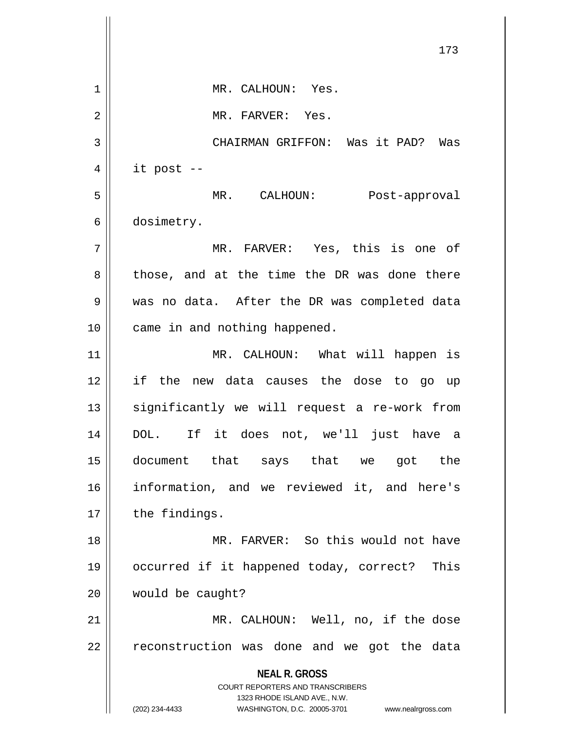**NEAL R. GROSS** COURT REPORTERS AND TRANSCRIBERS 1323 RHODE ISLAND AVE., N.W. (202) 234-4433 WASHINGTON, D.C. 20005-3701 www.nealrgross.com 173 1 || MR. CALHOUN: Yes. 2 || MR. FARVER: Yes. 3 CHAIRMAN GRIFFON: Was it PAD? Was  $4 \parallel$  it post --5 MR. CALHOUN: Post-approval 6 | dosimetry. 7 MR. FARVER: Yes, this is one of 8 those, and at the time the DR was done there 9 was no data. After the DR was completed data 10 || came in and nothing happened. 11 || MR. CALHOUN: What will happen is 12 if the new data causes the dose to go up  $13$  significantly we will request a re-work from 14 DOL. If it does not, we'll just have a 15 document that says that we got the 16 information, and we reviewed it, and here's 17 | the findings. 18 MR. FARVER: So this would not have 19 occurred if it happened today, correct? This 20 | would be caught? 21 || MR. CALHOUN: Well, no, if the dose  $22$   $\parallel$  reconstruction was done and we got the data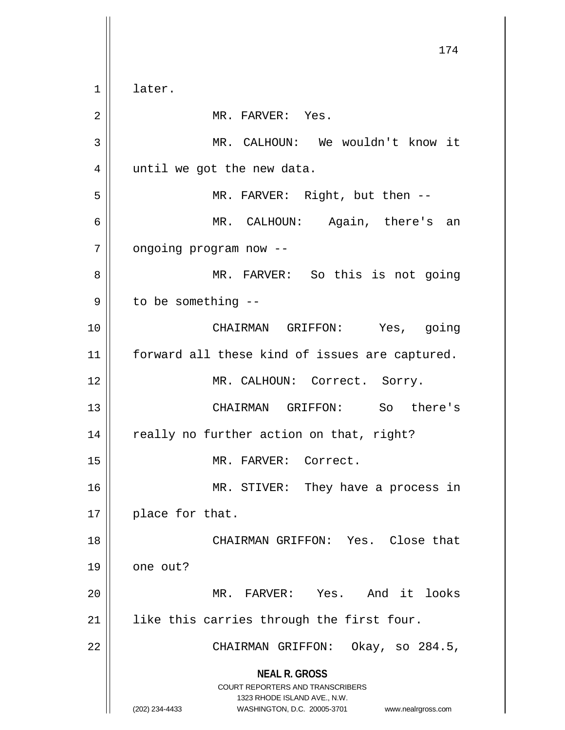**NEAL R. GROSS** COURT REPORTERS AND TRANSCRIBERS 1323 RHODE ISLAND AVE., N.W. (202) 234-4433 WASHINGTON, D.C. 20005-3701 www.nealrgross.com 174 1 | later. 2 || MR. FARVER: Yes. 3 MR. CALHOUN: We wouldn't know it 4 || until we got the new data. 5 MR. FARVER: Right, but then -- 6 MR. CALHOUN: Again, there's an 7 | ongoing program now --8 MR. FARVER: So this is not going  $9 \parallel$  to be something --10 CHAIRMAN GRIFFON: Yes, going 11 || forward all these kind of issues are captured. 12 || MR. CALHOUN: Correct. Sorry. 13 CHAIRMAN GRIFFON: So there's 14 || really no further action on that, right? 15 || MR. FARVER: Correct. 16 || MR. STIVER: They have a process in 17 || place for that. 18 || CHAIRMAN GRIFFON: Yes. Close that 19 one out? 20 MR. FARVER: Yes. And it looks 21 || like this carries through the first four. 22 || CHAIRMAN GRIFFON: Okay, so 284.5,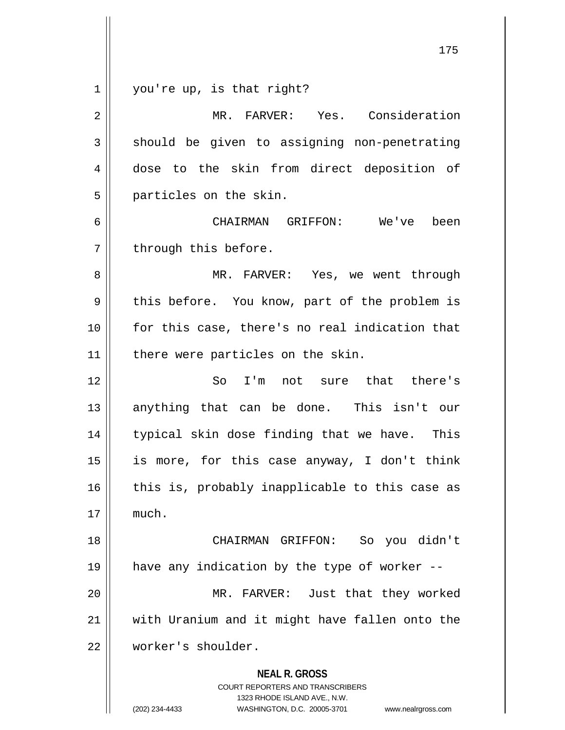$1 \parallel$  you're up, is that right?

| $\mathbf 2$ | MR. FARVER: Yes. Consideration                                                                                                                                         |
|-------------|------------------------------------------------------------------------------------------------------------------------------------------------------------------------|
| 3           | should be given to assigning non-penetrating                                                                                                                           |
| 4           | dose to the skin from direct deposition of                                                                                                                             |
| 5           | particles on the skin.                                                                                                                                                 |
| 6           | CHAIRMAN GRIFFON: We've been                                                                                                                                           |
| 7           | through this before.                                                                                                                                                   |
| 8           | MR. FARVER: Yes, we went through                                                                                                                                       |
| $\mathsf 9$ | this before. You know, part of the problem is                                                                                                                          |
| 10          | for this case, there's no real indication that                                                                                                                         |
| 11          | there were particles on the skin.                                                                                                                                      |
| 12          | So I'm not sure that there's                                                                                                                                           |
| 13          | anything that can be done. This isn't our                                                                                                                              |
| 14          | typical skin dose finding that we have. This                                                                                                                           |
| 15          | is more, for this case anyway, I don't think                                                                                                                           |
| 16          | this is, probably inapplicable to this case as                                                                                                                         |
| 17          | much.                                                                                                                                                                  |
| 18          | So you didn't<br>CHAIRMAN GRIFFON:                                                                                                                                     |
| 19          | have any indication by the type of worker --                                                                                                                           |
| 20          | MR. FARVER: Just that they worked                                                                                                                                      |
| 21          | with Uranium and it might have fallen onto the                                                                                                                         |
| 22          | worker's shoulder.                                                                                                                                                     |
|             | <b>NEAL R. GROSS</b><br><b>COURT REPORTERS AND TRANSCRIBERS</b><br>1323 RHODE ISLAND AVE., N.W.<br>(202) 234-4433<br>WASHINGTON, D.C. 20005-3701<br>www.nealrgross.com |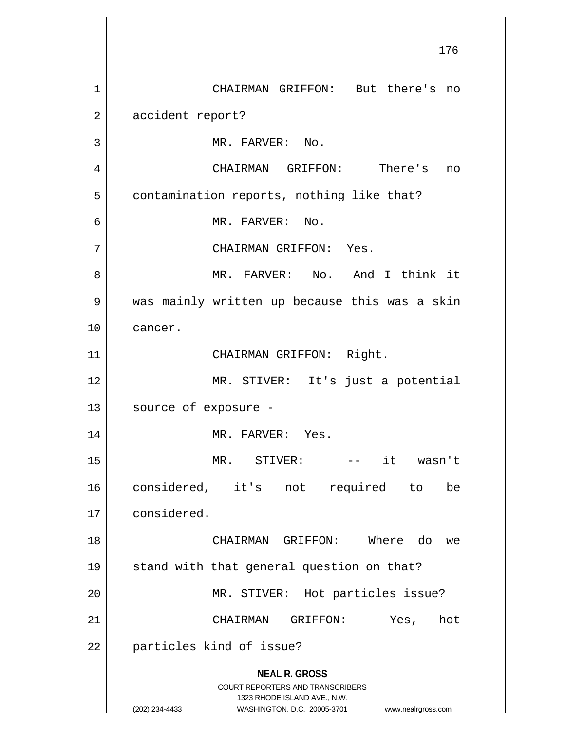**NEAL R. GROSS** COURT REPORTERS AND TRANSCRIBERS 1323 RHODE ISLAND AVE., N.W. (202) 234-4433 WASHINGTON, D.C. 20005-3701 www.nealrgross.com 1 CHAIRMAN GRIFFON: But there's no 2 accident report? 3 || MR. FARVER: No. 4 CHAIRMAN GRIFFON: There's no  $5 \parallel$  contamination reports, nothing like that? 6 MR. FARVER: No. 7 | CHAIRMAN GRIFFON: Yes. 8 MR. FARVER: No. And I think it 9 | was mainly written up because this was a skin 10 cancer. 11 || CHAIRMAN GRIFFON: Right. 12 MR. STIVER: It's just a potential 13 | source of exposure -14 || MR. FARVER: Yes. 15 MR. STIVER: -- it wasn't 16 considered, it's not required to be 17 considered. 18 CHAIRMAN GRIFFON: Where do we 19 || stand with that general question on that? 20 || MR. STIVER: Hot particles issue? 21 CHAIRMAN GRIFFON: Yes, hot 22 | particles kind of issue?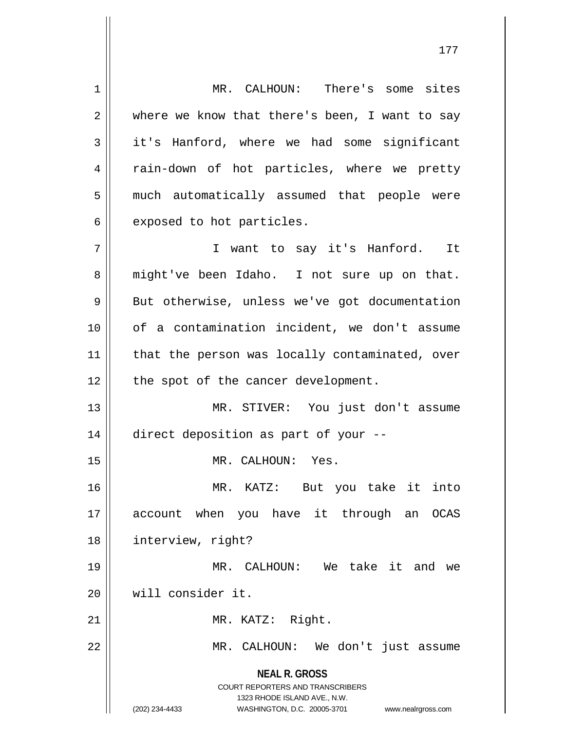**NEAL R. GROSS** COURT REPORTERS AND TRANSCRIBERS 1323 RHODE ISLAND AVE., N.W. (202) 234-4433 WASHINGTON, D.C. 20005-3701 www.nealrgross.com 1 MR. CALHOUN: There's some sites  $2 \parallel$  where we know that there's been, I want to say  $3 \parallel$  it's Hanford, where we had some significant 4 || rain-down of hot particles, where we pretty 5 || much automatically assumed that people were  $6 \parallel$  exposed to hot particles. 7 || T want to say it's Hanford. It 8 || might've been Idaho. I not sure up on that. 9 || But otherwise, unless we've got documentation 10 of a contamination incident, we don't assume 11 || that the person was locally contaminated, over  $12$  | the spot of the cancer development. 13 || MR. STIVER: You just don't assume 14 direct deposition as part of your -- 15 || MR. CALHOUN: Yes. 16 MR. KATZ: But you take it into 17 account when you have it through an OCAS 18 interview, right? 19 MR. CALHOUN: We take it and we 20 will consider it. 21 || MR. KATZ: Right. 22 MR. CALHOUN: We don't just assume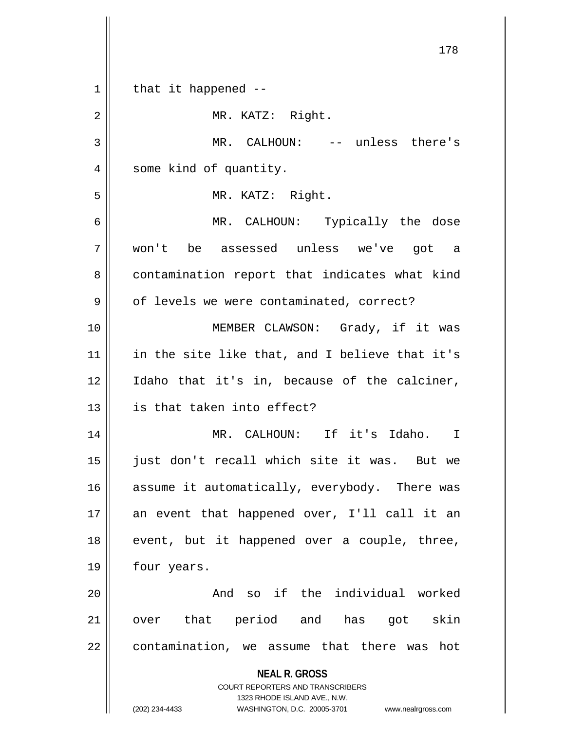| $\mathbf 1$ | that it happened $-$ -                                                                           |
|-------------|--------------------------------------------------------------------------------------------------|
| 2           | MR. KATZ: Right.                                                                                 |
| 3           | MR. CALHOUN: -- unless there's                                                                   |
| 4           | some kind of quantity.                                                                           |
| 5           | MR. KATZ: Right.                                                                                 |
| 6           | MR. CALHOUN: Typically the dose                                                                  |
| 7           | won't be assessed unless we've got a                                                             |
| 8           | contamination report that indicates what kind                                                    |
| 9           | of levels we were contaminated, correct?                                                         |
| 10          | MEMBER CLAWSON: Grady, if it was                                                                 |
| 11          | in the site like that, and I believe that it's                                                   |
| 12          | Idaho that it's in, because of the calciner,                                                     |
| 13          | is that taken into effect?                                                                       |
| 14          | MR. CALHOUN: If it's Idaho. I                                                                    |
| 15          | just don't recall which site it was. But we                                                      |
| 16          | assume it automatically, everybody. There was                                                    |
| 17          | an event that happened over, I'll call it an                                                     |
| 18          | event, but it happened over a couple, three,                                                     |
| 19          | four years.                                                                                      |
| 20          | And so if the individual worked                                                                  |
| 21          | over that period and has got skin                                                                |
| 22          | contamination, we assume that there was hot                                                      |
|             | <b>NEAL R. GROSS</b>                                                                             |
|             | COURT REPORTERS AND TRANSCRIBERS                                                                 |
|             | 1323 RHODE ISLAND AVE., N.W.<br>(202) 234-4433<br>WASHINGTON, D.C. 20005-3701 www.nealrgross.com |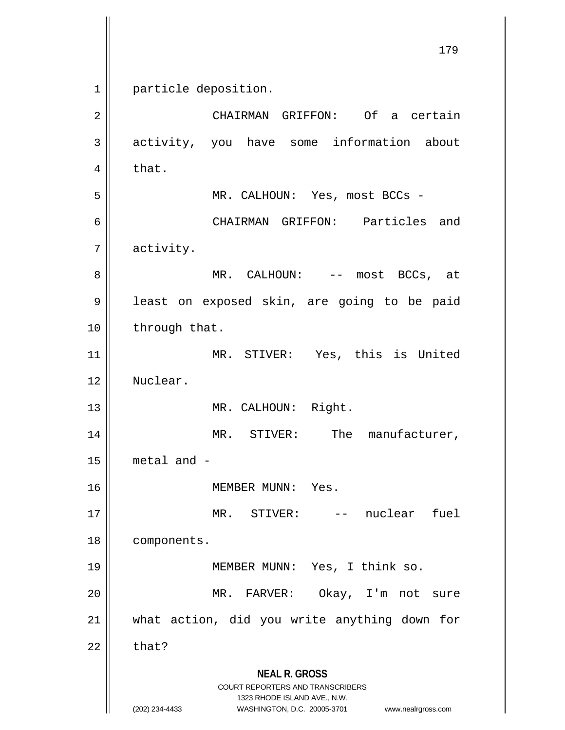**NEAL R. GROSS** COURT REPORTERS AND TRANSCRIBERS 1323 RHODE ISLAND AVE., N.W. (202) 234-4433 WASHINGTON, D.C. 20005-3701 www.nealrgross.com 1 || particle deposition. 2 CHAIRMAN GRIFFON: Of a certain 3 activity, you have some information about  $4 \parallel$  that. 5 MR. CALHOUN: Yes, most BCCs - 6 CHAIRMAN GRIFFON: Particles and 7 activity. 8 MR. CALHOUN: -- most BCCs, at 9 | least on exposed skin, are going to be paid  $10$  || through that. 11 MR. STIVER: Yes, this is United 12 Nuclear. 13 || MR. CALHOUN: Right. 14 || MR. STIVER: The manufacturer,  $15$  | metal and -16 MEMBER MUNN: Yes. 17 MR. STIVER: -- nuclear fuel 18 | components. 19 MEMBER MUNN: Yes, I think so. 20 MR. FARVER: Okay, I'm not sure 21 what action, did you write anything down for  $22$  | that?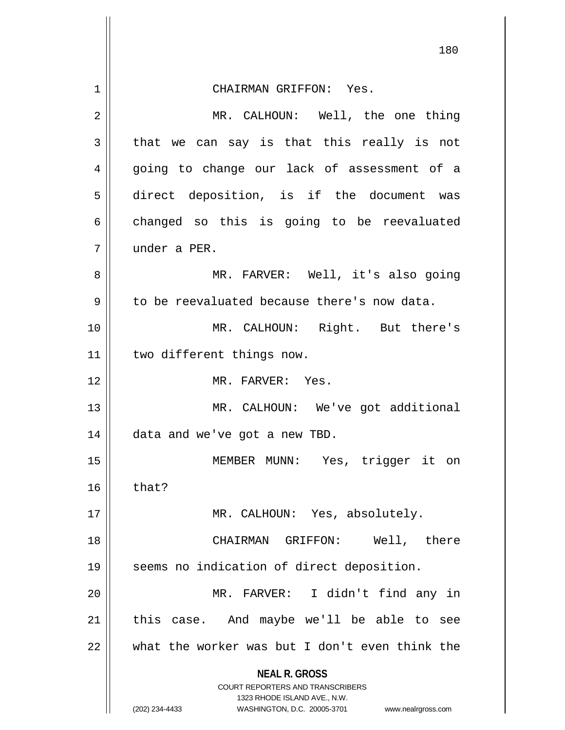| 1  | CHAIRMAN GRIFFON: Yes.                                                                              |
|----|-----------------------------------------------------------------------------------------------------|
| 2  | MR. CALHOUN: Well, the one thing                                                                    |
|    |                                                                                                     |
| 3  | that we can say is that this really is not                                                          |
| 4  | going to change our lack of assessment of a                                                         |
| 5  | direct deposition, is if the document was                                                           |
| 6  | changed so this is going to be reevaluated                                                          |
| 7  | under a PER.                                                                                        |
| 8  | MR. FARVER: Well, it's also going                                                                   |
| 9  | to be reevaluated because there's now data.                                                         |
| 10 | MR. CALHOUN: Right. But there's                                                                     |
| 11 | two different things now.                                                                           |
| 12 | MR. FARVER: Yes.                                                                                    |
| 13 | MR. CALHOUN: We've got additional                                                                   |
| 14 | data and we've got a new TBD.                                                                       |
| 15 | Yes, trigger it on<br>MEMBER MUNN:                                                                  |
| 16 | that?                                                                                               |
| 17 | MR. CALHOUN: Yes, absolutely.                                                                       |
| 18 | Well, there<br>GRIFFON:<br>CHAIRMAN                                                                 |
| 19 | seems no indication of direct deposition.                                                           |
| 20 | I didn't find any in<br>MR. FARVER:                                                                 |
| 21 | this case. And maybe we'll be able to see                                                           |
| 22 | what the worker was but I don't even think the                                                      |
|    | <b>NEAL R. GROSS</b>                                                                                |
|    | <b>COURT REPORTERS AND TRANSCRIBERS</b>                                                             |
|    | 1323 RHODE ISLAND AVE., N.W.<br>(202) 234-4433<br>WASHINGTON, D.C. 20005-3701<br>www.nealrgross.com |

 $\mathsf{I}$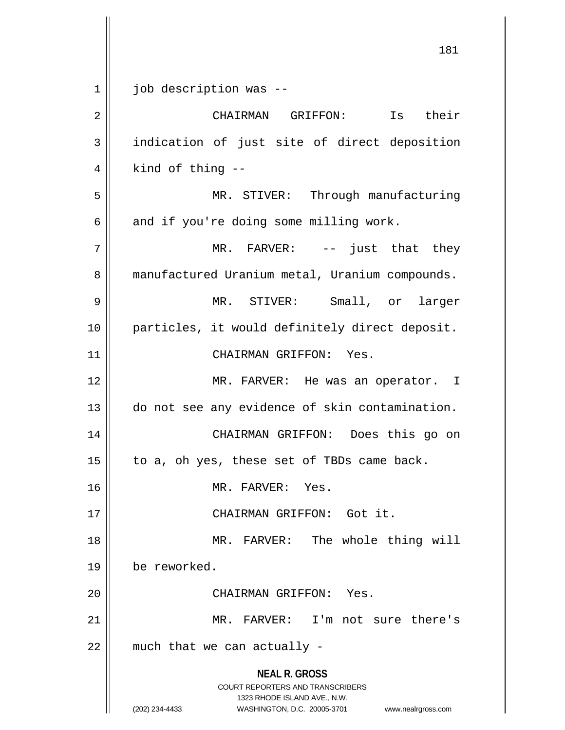**NEAL R. GROSS** COURT REPORTERS AND TRANSCRIBERS 1323 RHODE ISLAND AVE., N.W. (202) 234-4433 WASHINGTON, D.C. 20005-3701 www.nealrgross.com 1 | job description was --2 CHAIRMAN GRIFFON: Is their 3 || indication of just site of direct deposition  $4 \parallel$  kind of thing --5 MR. STIVER: Through manufacturing  $6 \parallel$  and if you're doing some milling work. 7 MR. FARVER: -- just that they 8 | manufactured Uranium metal, Uranium compounds. 9 MR. STIVER: Small, or larger 10 || particles, it would definitely direct deposit. 11 || CHAIRMAN GRIFFON: Yes. 12 MR. FARVER: He was an operator. I 13 | do not see any evidence of skin contamination. 14 CHAIRMAN GRIFFON: Does this go on  $15$  | to a, oh yes, these set of TBDs came back. 16 MR. FARVER: Yes. 17 || CHAIRMAN GRIFFON: Got it. 18 || MR. FARVER: The whole thing will 19 be reworked. 20 CHAIRMAN GRIFFON: Yes. 21 MR. FARVER: I'm not sure there's  $22$  | much that we can actually -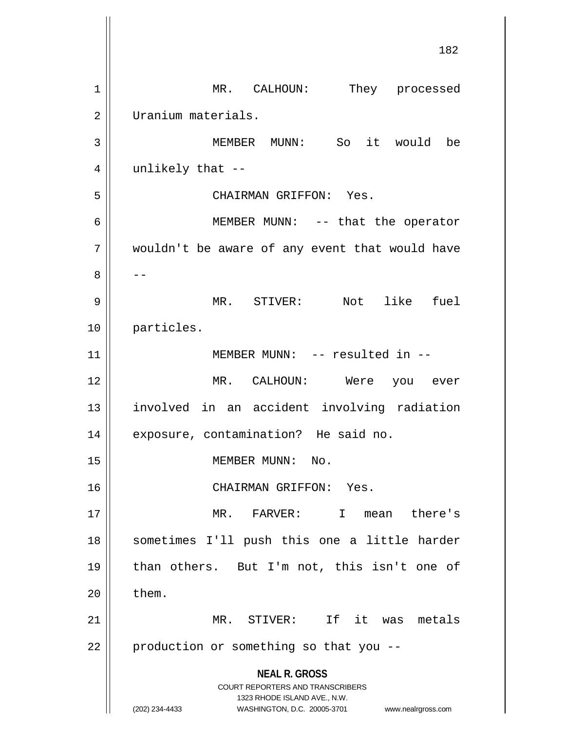**NEAL R. GROSS** COURT REPORTERS AND TRANSCRIBERS 1323 RHODE ISLAND AVE., N.W. (202) 234-4433 WASHINGTON, D.C. 20005-3701 www.nealrgross.com 182 1 || MR. CALHOUN: They processed 2 | Uranium materials. 3 MEMBER MUNN: So it would be  $4 \parallel$  unlikely that --5 CHAIRMAN GRIFFON: Yes. 6 || MEMBER MUNN: -- that the operator 7 wouldn't be aware of any event that would have 8 | --9 MR. STIVER: Not like fuel 10 particles. 11 || MEMBER MUNN: -- resulted in --12 MR. CALHOUN: Were you ever 13 involved in an accident involving radiation 14 | exposure, contamination? He said no. 15 | MEMBER MUNN: No. 16 CHAIRMAN GRIFFON: Yes. 17 MR. FARVER: I mean there's 18 || sometimes I'll push this one a little harder 19 than others. But I'm not, this isn't one of  $20$   $\parallel$  them. 21 MR. STIVER: If it was metals  $22$  | production or something so that you --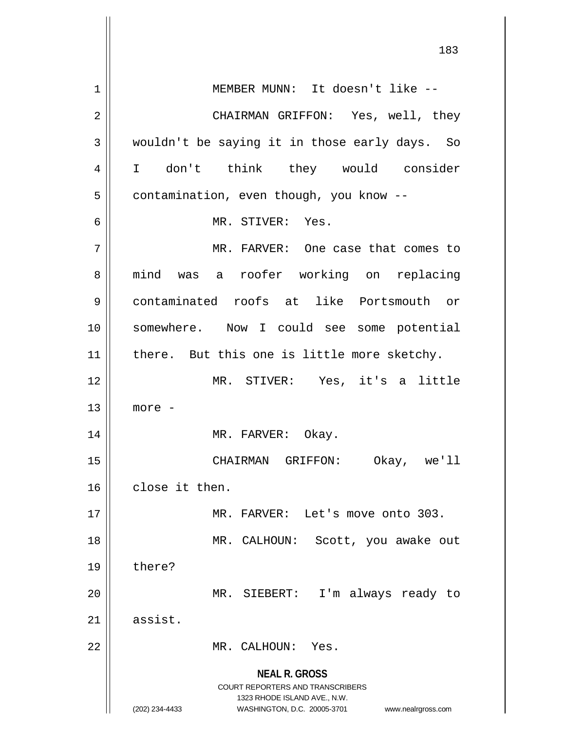**NEAL R. GROSS** COURT REPORTERS AND TRANSCRIBERS 1323 RHODE ISLAND AVE., N.W. (202) 234-4433 WASHINGTON, D.C. 20005-3701 www.nealrgross.com 1 || MEMBER MUNN: It doesn't like --2 CHAIRMAN GRIFFON: Yes, well, they  $3 \parallel$  wouldn't be saying it in those early days. So 4 I don't think they would consider 5 | contamination, even though, you know --6 MR. STIVER: Yes. 7 MR. FARVER: One case that comes to 8 || mind was a roofer working on replacing 9 contaminated roofs at like Portsmouth or 10 somewhere. Now I could see some potential 11 || there. But this one is little more sketchy. 12 MR. STIVER: Yes, it's a little  $13$  | more -14 MR. FARVER: Okay. 15 CHAIRMAN GRIFFON: Okay, we'll 16 close it then. 17 || MR. FARVER: Let's move onto 303. 18 MR. CALHOUN: Scott, you awake out 19 | there? 20 MR. SIEBERT: I'm always ready to  $21$  assist. 22 MR. CALHOUN: Yes.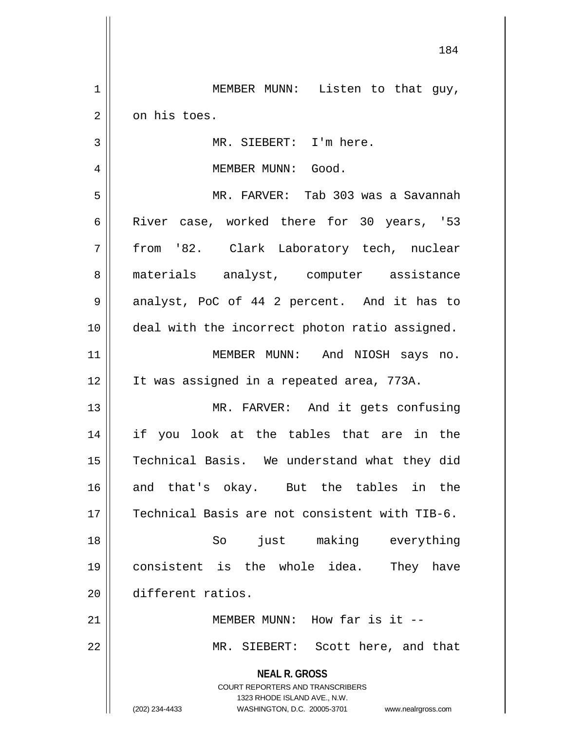**NEAL R. GROSS** COURT REPORTERS AND TRANSCRIBERS 1323 RHODE ISLAND AVE., N.W. (202) 234-4433 WASHINGTON, D.C. 20005-3701 www.nealrgross.com 1 || MEMBER MUNN: Listen to that guy,  $2 \parallel$  on his toes. 3 || MR. SIEBERT: I'm here. 4 MEMBER MUNN: Good. 5 MR. FARVER: Tab 303 was a Savannah 6 River case, worked there for 30 years, '53 7 from '82. Clark Laboratory tech, nuclear 8 || materials analyst, computer assistance 9 || analyst, PoC of 44 2 percent. And it has to 10 deal with the incorrect photon ratio assigned. 11 MEMBER MUNN: And NIOSH says no. 12 It was assigned in a repeated area, 773A. 13 || MR. FARVER: And it gets confusing 14 if you look at the tables that are in the 15 || Technical Basis. We understand what they did 16 and that's okay. But the tables in the 17 Technical Basis are not consistent with TIB-6. 18 So just making everything 19 consistent is the whole idea. They have 20 different ratios. 21 || MEMBER MUNN: How far is it --22 MR. SIEBERT: Scott here, and that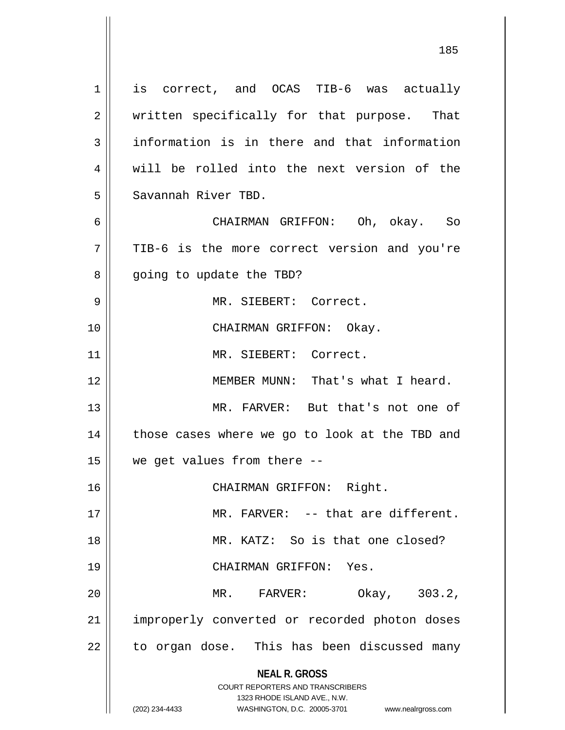**NEAL R. GROSS** COURT REPORTERS AND TRANSCRIBERS 1323 RHODE ISLAND AVE., N.W. (202) 234-4433 WASHINGTON, D.C. 20005-3701 www.nealrgross.com 1 || is correct, and OCAS TIB-6 was actually 2 || written specifically for that purpose. That  $3 \parallel$  information is in there and that information  $4 \parallel$  will be rolled into the next version of the 5 Savannah River TBD. 6 CHAIRMAN GRIFFON: Oh, okay. So 7 TIB-6 is the more correct version and you're 8 || going to update the TBD? 9 MR. SIEBERT: Correct. 10 CHAIRMAN GRIFFON: Okay. 11 MR. SIEBERT: Correct. 12 || MEMBER MUNN: That's what I heard. 13 MR. FARVER: But that's not one of  $14$  | those cases where we go to look at the TBD and 15  $\parallel$  we get values from there --16 || CHAIRMAN GRIFFON: Right. 17 MR. FARVER: -- that are different. 18 MR. KATZ: So is that one closed? 19 CHAIRMAN GRIFFON: Yes. 20 MR. FARVER: Okay, 303.2, 21 || improperly converted or recorded photon doses 22 || to organ dose. This has been discussed many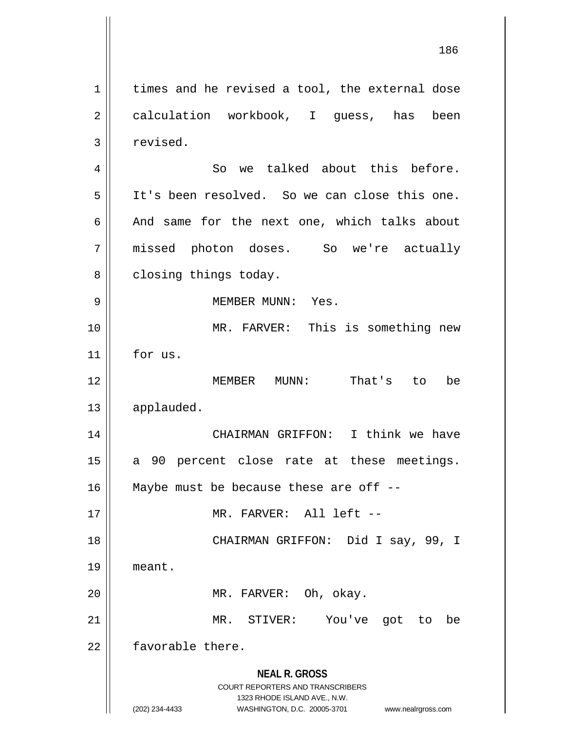**NEAL R. GROSS** COURT REPORTERS AND TRANSCRIBERS 1323 RHODE ISLAND AVE., N.W. (202) 234-4433 WASHINGTON, D.C. 20005-3701 www.nealrgross.com  $1 \parallel$  times and he revised a tool, the external dose 2 | calculation workbook, I guess, has been 3 | revised. 4 || So we talked about this before. 5 It's been resolved. So we can close this one. 6  $\parallel$  And same for the next one, which talks about 7 missed photon doses. So we're actually 8 | closing things today. 9 MEMBER MUNN: Yes. 10 || MR. FARVER: This is something new 11 for us. 12 MEMBER MUNN: That's to be 13 | applauded. 14 CHAIRMAN GRIFFON: I think we have 15 || a 90 percent close rate at these meetings. 16  $\parallel$  Maybe must be because these are off --17 MR. FARVER: All left -- 18 CHAIRMAN GRIFFON: Did I say, 99, I 19 meant. 20 || MR. FARVER: Oh, okay. 21 MR. STIVER: You've got to be 22 **favorable** there.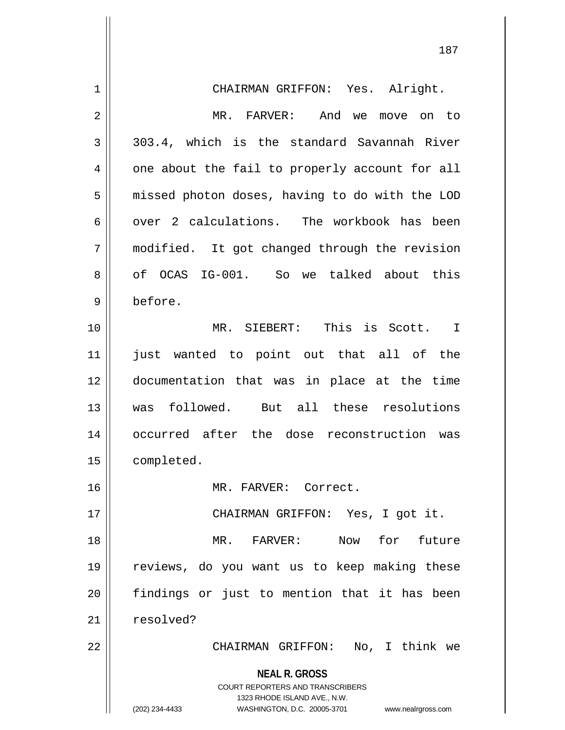| $\mathbf 1$ | CHAIRMAN GRIFFON: Yes. Alright.                                                                 |
|-------------|-------------------------------------------------------------------------------------------------|
| 2           | MR. FARVER: And we<br>move on to                                                                |
| 3           | 303.4, which is the standard Savannah River                                                     |
| 4           | one about the fail to properly account for all                                                  |
| 5           | missed photon doses, having to do with the LOD                                                  |
| 6           | over 2 calculations. The workbook has been                                                      |
| 7           | modified. It got changed through the revision                                                   |
| 8           | of OCAS IG-001. So we talked about this                                                         |
| 9           | before.                                                                                         |
| 10          | MR. SIEBERT: This is Scott. I                                                                   |
| 11          | wanted to point out that all of the<br>just                                                     |
| 12          | documentation that was in place at the time                                                     |
| 13          | was followed. But all these resolutions                                                         |
| 14          | occurred after the dose reconstruction was                                                      |
| 15          | completed.                                                                                      |
| 16          | MR. FARVER: Correct.                                                                            |
| 17          | CHAIRMAN GRIFFON: Yes, I got it.                                                                |
| 18          | Now for future<br>MR. FARVER:                                                                   |
| 19          | reviews, do you want us to keep making these                                                    |
| 20          | findings or just to mention that it has been                                                    |
| 21          | resolved?                                                                                       |
| 22          | CHAIRMAN GRIFFON: No, I think we                                                                |
|             | <b>NEAL R. GROSS</b><br><b>COURT REPORTERS AND TRANSCRIBERS</b><br>1323 RHODE ISLAND AVE., N.W. |
|             | (202) 234-4433<br>WASHINGTON, D.C. 20005-3701<br>www.nealrgross.com                             |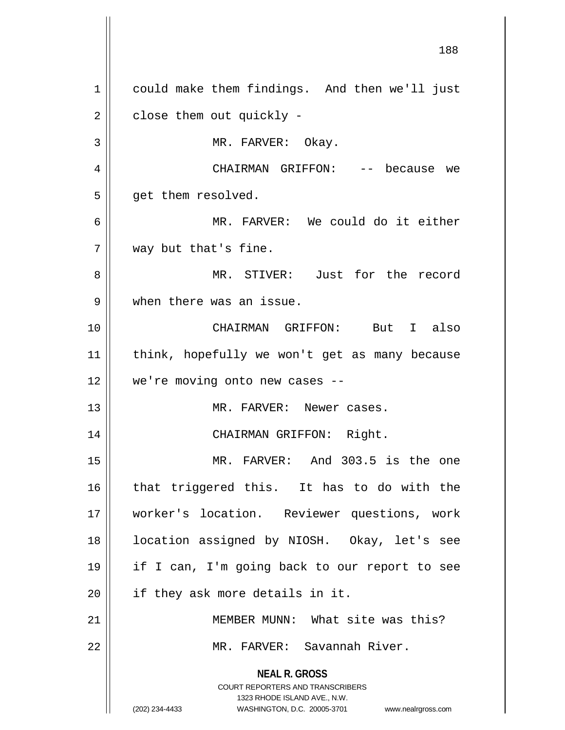**NEAL R. GROSS** COURT REPORTERS AND TRANSCRIBERS 1323 RHODE ISLAND AVE., N.W. (202) 234-4433 WASHINGTON, D.C. 20005-3701 www.nealrgross.com 1 || could make them findings. And then we'll just  $2 \parallel$  close them out quickly -3 || MR. FARVER: Okay. 4 CHAIRMAN GRIFFON: -- because we  $5 \parallel$  get them resolved. 6 MR. FARVER: We could do it either 7 || way but that's fine. 8 MR. STIVER: Just for the record 9 When there was an issue. 10 CHAIRMAN GRIFFON: But I also 11 || think, hopefully we won't get as many because 12 we're moving onto new cases -- 13 MR. FARVER: Newer cases. 14 CHAIRMAN GRIFFON: Right. 15 MR. FARVER: And 303.5 is the one 16 || that triggered this. It has to do with the 17 worker's location. Reviewer questions, work 18 location assigned by NIOSH. Okay, let's see 19 if I can, I'm going back to our report to see  $20$  | if they ask more details in it. 21 || MEMBER MUNN: What site was this? 22 || MR. FARVER: Savannah River.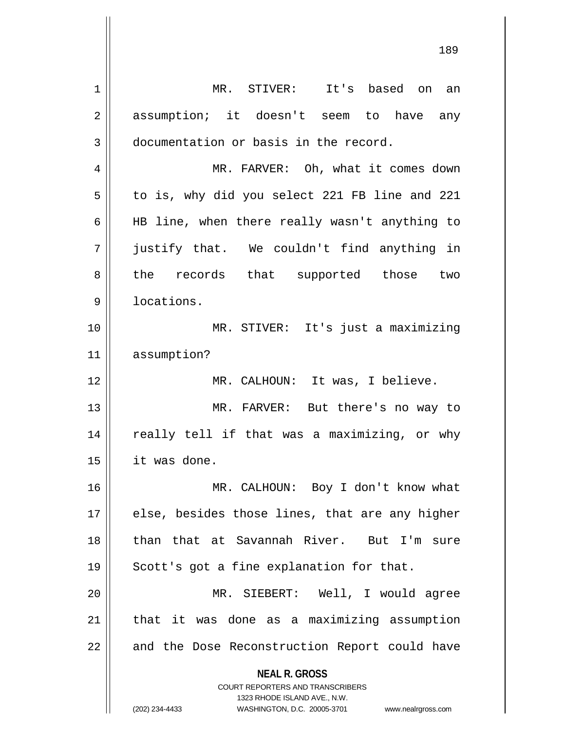**NEAL R. GROSS** COURT REPORTERS AND TRANSCRIBERS 1323 RHODE ISLAND AVE., N.W. (202) 234-4433 WASHINGTON, D.C. 20005-3701 www.nealrgross.com 1 MR. STIVER: It's based on an 2 assumption; it doesn't seem to have any 3 | documentation or basis in the record. 4 | MR. FARVER: Oh, what it comes down 5 | to is, why did you select 221 FB line and 221 6  $\parallel$  HB line, when there really wasn't anything to 7 justify that. We couldn't find anything in 8 the records that supported those two 9 | locations. 10 MR. STIVER: It's just a maximizing 11 assumption? 12 || MR. CALHOUN: It was, I believe. 13 MR. FARVER: But there's no way to 14 || really tell if that was a maximizing, or why 15 it was done. 16 MR. CALHOUN: Boy I don't know what  $17$  || else, besides those lines, that are any higher 18 than that at Savannah River. But I'm sure 19 || Scott's got a fine explanation for that. 20 MR. SIEBERT: Well, I would agree 21 || that it was done as a maximizing assumption 22 || and the Dose Reconstruction Report could have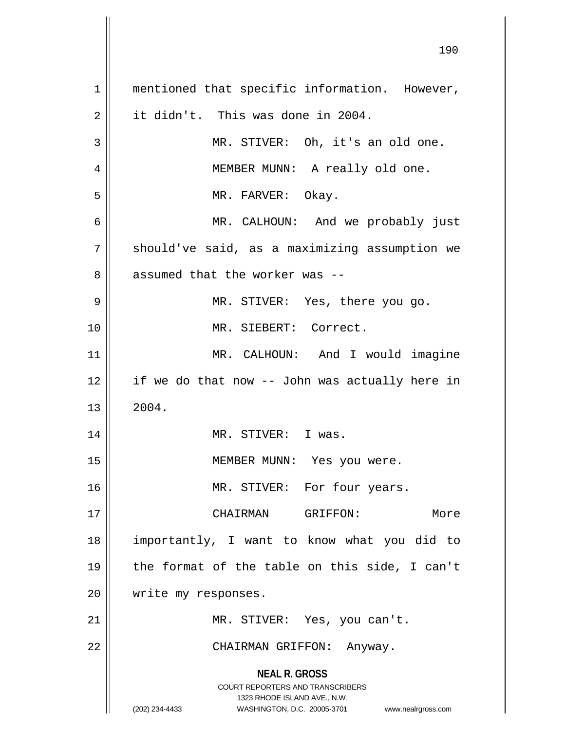**NEAL R. GROSS** COURT REPORTERS AND TRANSCRIBERS 1323 RHODE ISLAND AVE., N.W. (202) 234-4433 WASHINGTON, D.C. 20005-3701 www.nealrgross.com 1 || mentioned that specific information. However, 2 it didn't. This was done in 2004. 3 || MR. STIVER: Oh, it's an old one. 4 || MEMBER MUNN: A really old one. 5 MR. FARVER: Okay. 6 MR. CALHOUN: And we probably just 7 | should've said, as a maximizing assumption we 8 || assumed that the worker was --9 MR. STIVER: Yes, there you go. 10 MR. SIEBERT: Correct. 11 || MR. CALHOUN: And I would imagine 12 if we do that now -- John was actually here in  $13 \parallel 2004.$ 14 MR. STIVER: I was. 15 || MEMBER MUNN: Yes you were. 16 || MR. STIVER: For four years. 17 CHAIRMAN GRIFFON: More 18 importantly, I want to know what you did to 19  $\parallel$  the format of the table on this side, I can't 20 | write my responses. 21 || MR. STIVER: Yes, you can't. 22 || CHAIRMAN GRIFFON: Anyway.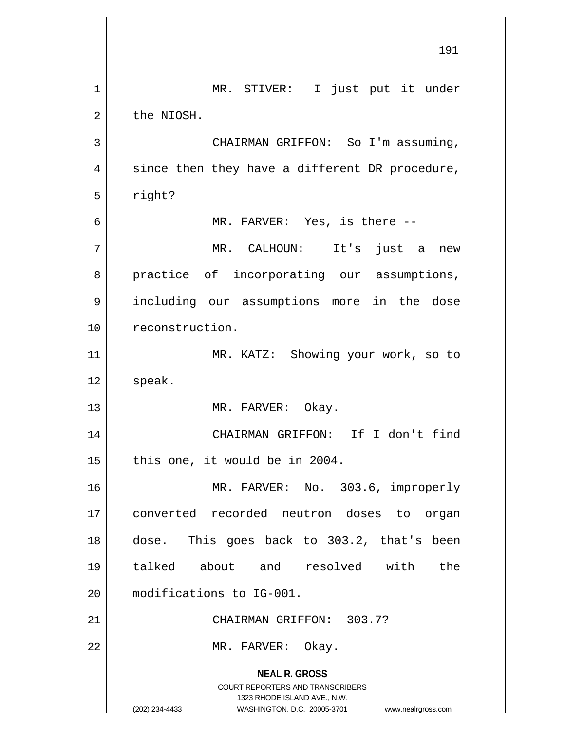**NEAL R. GROSS** COURT REPORTERS AND TRANSCRIBERS 1323 RHODE ISLAND AVE., N.W. (202) 234-4433 WASHINGTON, D.C. 20005-3701 www.nealrgross.com 1 || MR. STIVER: I just put it under  $2 \parallel$  the NIOSH. 3 | CHAIRMAN GRIFFON: So I'm assuming,  $4 \parallel$  since then they have a different DR procedure,  $5 \parallel$  right? 6 || MR. FARVER: Yes, is there --7 MR. CALHOUN: It's just a new 8 practice of incorporating our assumptions, 9 including our assumptions more in the dose 10 | reconstruction. 11 || MR. KATZ: Showing your work, so to  $12 \parallel$  speak. 13 || MR. FARVER: Okay. 14 CHAIRMAN GRIFFON: If I don't find  $15$  | this one, it would be in 2004. 16 MR. FARVER: No. 303.6, improperly 17 converted recorded neutron doses to organ 18 dose. This goes back to 303.2, that's been 19 talked about and resolved with the 20 modifications to IG-001. 21 || CHAIRMAN GRIFFON: 303.7? 22 || MR. FARVER: Okay.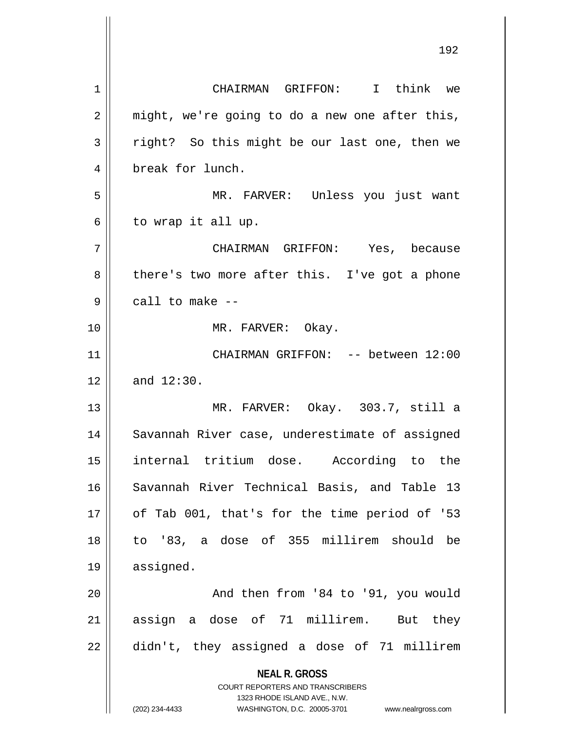**NEAL R. GROSS** COURT REPORTERS AND TRANSCRIBERS 1323 RHODE ISLAND AVE., N.W. (202) 234-4433 WASHINGTON, D.C. 20005-3701 www.nealrgross.com 1 CHAIRMAN GRIFFON: I think we  $2 \parallel$  might, we're going to do a new one after this,  $3 \parallel$  right? So this might be our last one, then we 4 || break for lunch. 5 MR. FARVER: Unless you just want  $6 \parallel$  to wrap it all up. 7 CHAIRMAN GRIFFON: Yes, because 8 || there's two more after this. I've got a phone  $9 \parallel$  call to make  $-$ 10 || MR. FARVER: Okay. 11 CHAIRMAN GRIFFON: -- between 12:00  $12 \parallel$  and  $12:30$ . 13 MR. FARVER: Okay. 303.7, still a 14 || Savannah River case, underestimate of assigned 15 internal tritium dose. According to the 16 Savannah River Technical Basis, and Table 13 17 || of Tab 001, that's for the time period of '53 18 to '83, a dose of 355 millirem should be 19 assigned. 20 || And then from '84 to '91, you would 21 || assign a dose of 71 millirem. But they  $22 \parallel$  didn't, they assigned a dose of 71 millirem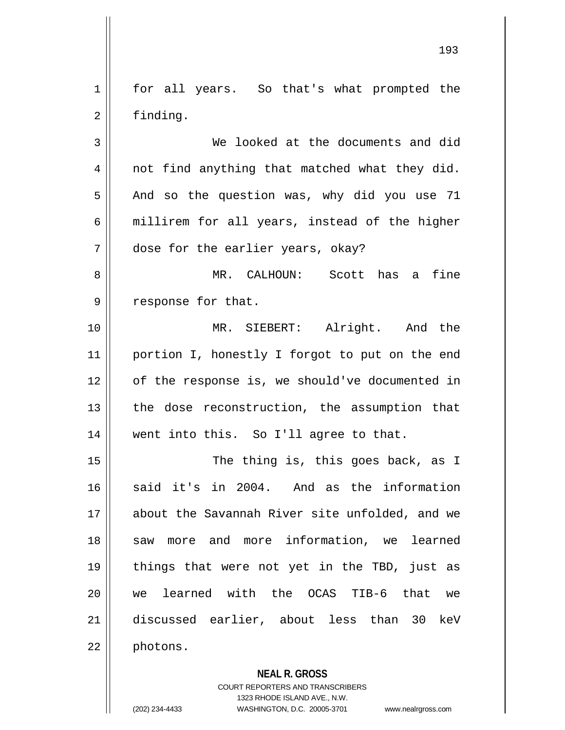1 || for all years. So that's what prompted the 2 | finding.

3 We looked at the documents and did 4 || not find anything that matched what they did.  $5 \parallel$  And so the question was, why did you use 71  $6 \parallel$  millirem for all years, instead of the higher 7 dose for the earlier years, okay?

8 MR. CALHOUN: Scott has a fine 9 || response for that.

10 MR. SIEBERT: Alright. And the 11 || portion I, honestly I forgot to put on the end 12 || of the response is, we should've documented in 13  $\parallel$  the dose reconstruction, the assumption that 14 || went into this. So I'll agree to that.

15 || The thing is, this goes back, as I 16 said it's in 2004. And as the information 17 about the Savannah River site unfolded, and we 18 || saw more and more information, we learned 19 things that were not yet in the TBD, just as 20 we learned with the OCAS TIB-6 that we 21 discussed earlier, about less than 30 keV 22 | photons.

**NEAL R. GROSS**

COURT REPORTERS AND TRANSCRIBERS 1323 RHODE ISLAND AVE., N.W. (202) 234-4433 WASHINGTON, D.C. 20005-3701 www.nealrgross.com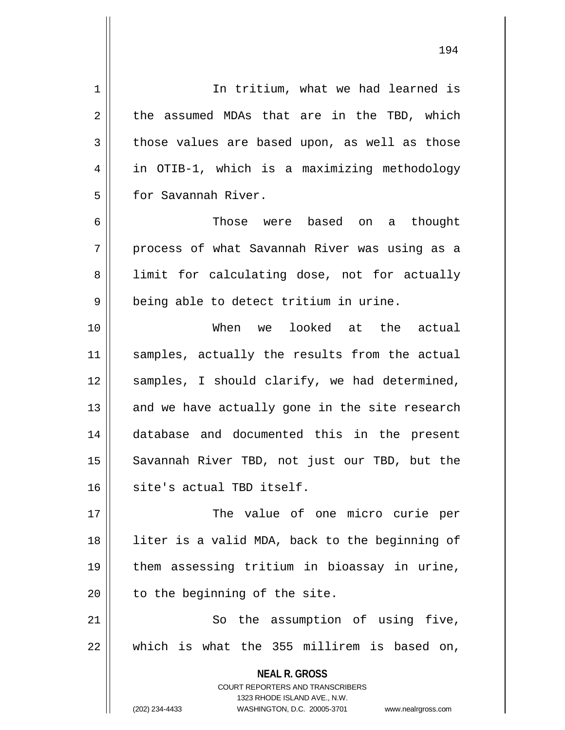**NEAL R. GROSS** COURT REPORTERS AND TRANSCRIBERS 1323 RHODE ISLAND AVE., N.W. (202) 234-4433 WASHINGTON, D.C. 20005-3701 www.nealrgross.com 1 | In tritium, what we had learned is  $2 \parallel$  the assumed MDAs that are in the TBD, which  $3 \parallel$  those values are based upon, as well as those 4 in OTIB-1, which is a maximizing methodology 5 **for Savannah River.** 6 Those were based on a thought 7 process of what Savannah River was using as a 8 | limit for calculating dose, not for actually  $9 \parallel$  being able to detect tritium in urine. 10 When we looked at the actual 11 || samples, actually the results from the actual 12 || samples, I should clarify, we had determined,  $13$  and we have actually gone in the site research 14 database and documented this in the present 15 || Savannah River TBD, not just our TBD, but the 16 site's actual TBD itself. 17 The value of one micro curie per 18 || liter is a valid MDA, back to the beginning of 19 them assessing tritium in bioassay in urine,  $20$  | to the beginning of the site. 21 || So the assumption of using five, 22 which is what the 355 millirem is based on,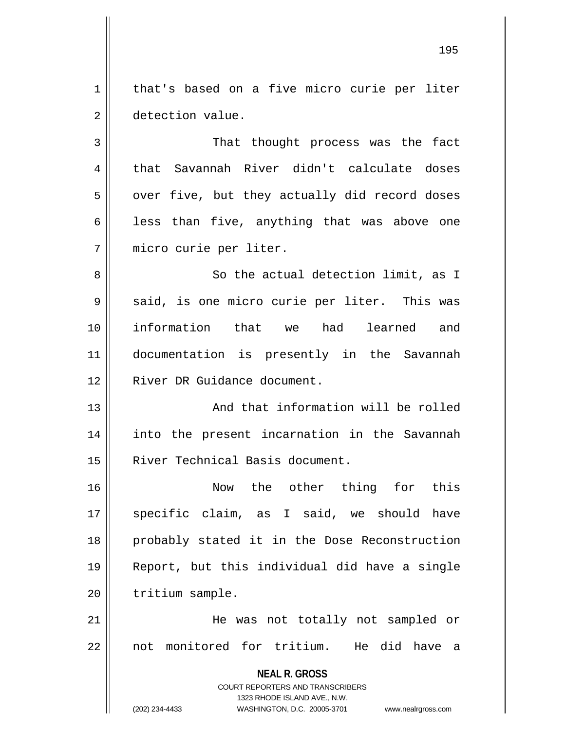1 | that's based on a five micro curie per liter 2 | detection value.

 That thought process was the fact that Savannah River didn't calculate doses  $5 \parallel$  over five, but they actually did record doses  $\parallel$  less than five, anything that was above one micro curie per liter.

8 || So the actual detection limit, as I  $9 \parallel$  said, is one micro curie per liter. This was 10 information that we had learned and 11 documentation is presently in the Savannah 12 || River DR Guidance document.

13 || And that information will be rolled 14 into the present incarnation in the Savannah 15 River Technical Basis document.

16 Now the other thing for this 17 || specific claim, as I said, we should have 18 probably stated it in the Dose Reconstruction 19 Report, but this individual did have a single 20 | tritium sample.

21 He was not totally not sampled or 22 || not monitored for tritium. He did have a

**NEAL R. GROSS**

COURT REPORTERS AND TRANSCRIBERS 1323 RHODE ISLAND AVE., N.W.

(202) 234-4433 WASHINGTON, D.C. 20005-3701 www.nealrgross.com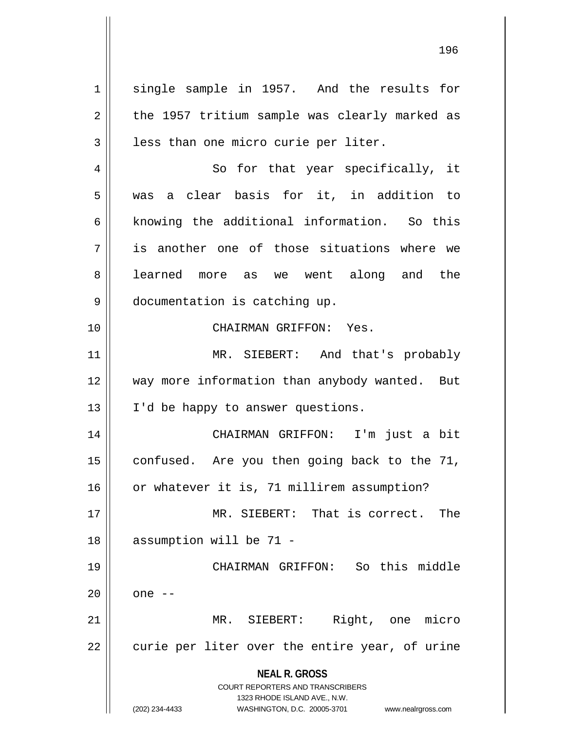**NEAL R. GROSS** COURT REPORTERS AND TRANSCRIBERS 1323 RHODE ISLAND AVE., N.W. 1 single sample in 1957. And the results for  $2 \parallel$  the 1957 tritium sample was clearly marked as  $3 \parallel$  less than one micro curie per liter. 4 || So for that year specifically, it 5 was a clear basis for it, in addition to 6  $\parallel$  knowing the additional information. So this  $7$  || is another one of those situations where we 8 aarned more as we went along and the 9 documentation is catching up. 10 CHAIRMAN GRIFFON: Yes. 11 || MR. SIEBERT: And that's probably 12 || way more information than anybody wanted. But 13 || I'd be happy to answer questions. 14 CHAIRMAN GRIFFON: I'm just a bit 15  $\parallel$  confused. Are you then going back to the 71, 16 | or whatever it is, 71 millirem assumption? 17 MR. SIEBERT: That is correct. The 18 || assumption will be 71 -19 CHAIRMAN GRIFFON: So this middle  $20 \parallel$  one  $-$ 21 MR. SIEBERT: Right, one micro  $22 \parallel$  curie per liter over the entire year, of urine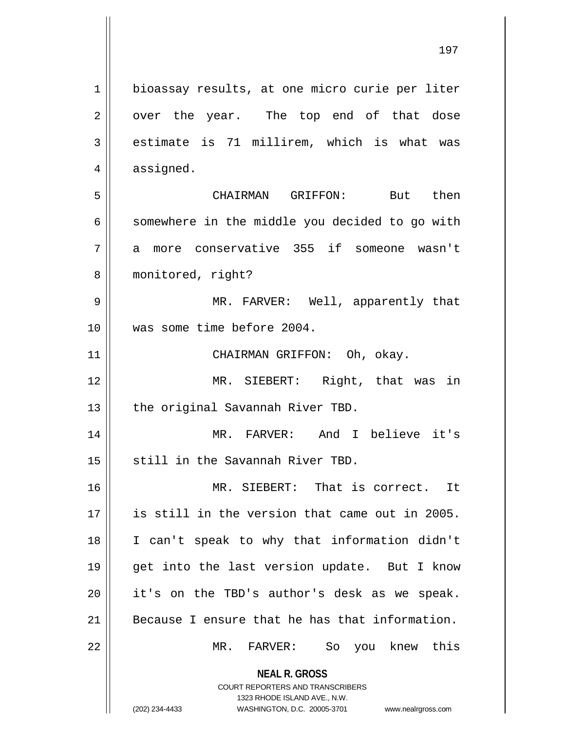**NEAL R. GROSS** COURT REPORTERS AND TRANSCRIBERS 1323 RHODE ISLAND AVE., N.W. (202) 234-4433 WASHINGTON, D.C. 20005-3701 www.nealrgross.com 1 | bioassay results, at one micro curie per liter  $2 \parallel$  over the year. The top end of that dose  $3 \parallel$  estimate is 71 millirem, which is what was  $4 \parallel$  assigned. 5 CHAIRMAN GRIFFON: But then 6 | somewhere in the middle you decided to go with 7 a more conservative 355 if someone wasn't 8 | monitored, right? 9 MR. FARVER: Well, apparently that 10 was some time before 2004. 11 | CHAIRMAN GRIFFON: Oh, okay. 12 MR. SIEBERT: Right, that was in 13 || the original Savannah River TBD. 14 MR. FARVER: And I believe it's 15 || still in the Savannah River TBD. 16 || MR. SIEBERT: That is correct. It 17 is still in the version that came out in 2005. 18 I can't speak to why that information didn't 19 get into the last version update. But I know 20 it's on the TBD's author's desk as we speak. 21 || Because I ensure that he has that information. 22 MR. FARVER: So you knew this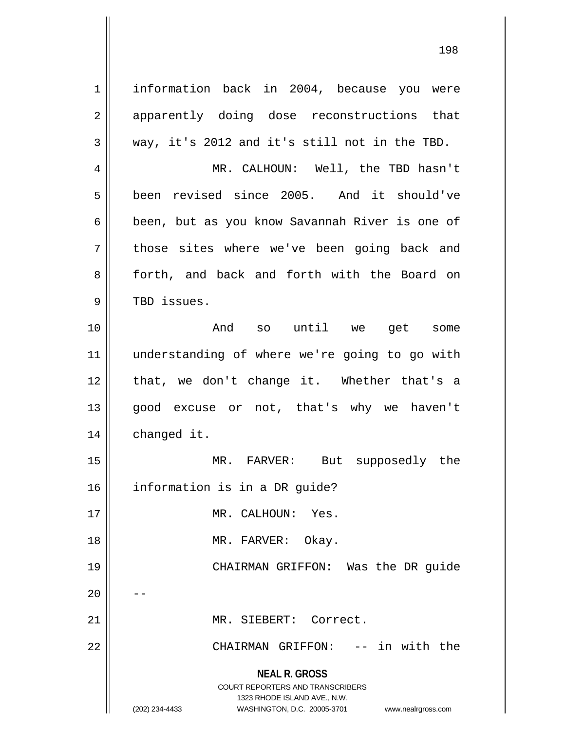**NEAL R. GROSS** COURT REPORTERS AND TRANSCRIBERS 1323 RHODE ISLAND AVE., N.W. (202) 234-4433 WASHINGTON, D.C. 20005-3701 www.nealrgross.com 1 | information back in 2004, because you were 2 || apparently doing dose reconstructions that  $3 \parallel$  way, it's 2012 and it's still not in the TBD. 4 MR. CALHOUN: Well, the TBD hasn't 5 been revised since 2005. And it should've 6 | been, but as you know Savannah River is one of 7 || those sites where we've been going back and 8 || forth, and back and forth with the Board on 9 || TBD issues. 10 And so until we get some 11 understanding of where we're going to go with 12 || that, we don't change it. Whether that's a 13 good excuse or not, that's why we haven't 14 | changed it. 15 MR. FARVER: But supposedly the 16 information is in a DR guide? 17 MR. CALHOUN: Yes. 18 || MR. FARVER: Okay. 19 CHAIRMAN GRIFFON: Was the DR guide  $20$ 21 MR. SIEBERT: Correct. 22 CHAIRMAN GRIFFON: -- in with the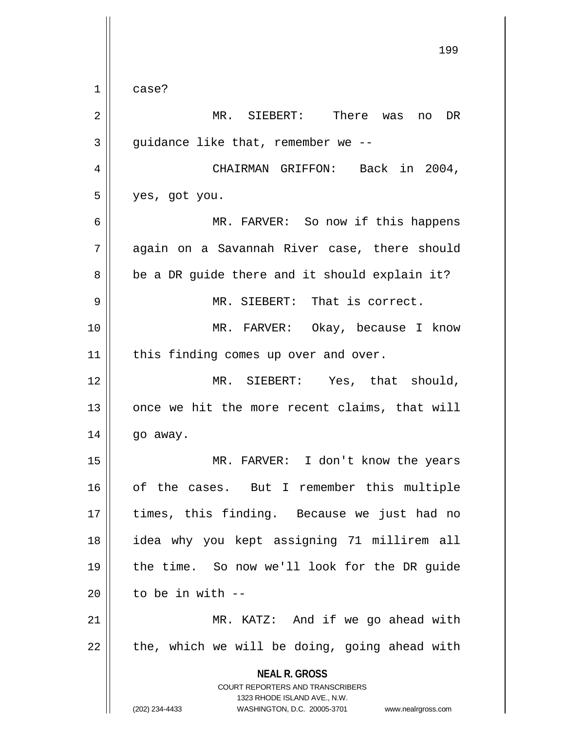**NEAL R. GROSS** COURT REPORTERS AND TRANSCRIBERS 1323 RHODE ISLAND AVE., N.W. (202) 234-4433 WASHINGTON, D.C. 20005-3701 www.nealrgross.com 199  $1 \parallel$  case? 2 MR. SIEBERT: There was no DR  $3 \parallel$  quidance like that, remember we --4 | CHAIRMAN GRIFFON: Back in 2004,  $5 \parallel$  yes, got you. 6 MR. FARVER: So now if this happens 7 again on a Savannah River case, there should  $8 \parallel$  be a DR guide there and it should explain it? 9 MR. SIEBERT: That is correct. 10 MR. FARVER: Okay, because I know 11 || this finding comes up over and over. 12 MR. SIEBERT: Yes, that should, 13 || once we hit the more recent claims, that will  $14$  | go away. 15 MR. FARVER: I don't know the years 16 || of the cases. But I remember this multiple 17 || times, this finding. Because we just had no 18 idea why you kept assigning 71 millirem all 19 the time. So now we'll look for the DR guide  $20$   $\parallel$  to be in with  $-$ 21 || MR. KATZ: And if we go ahead with  $22 \parallel$  the, which we will be doing, going ahead with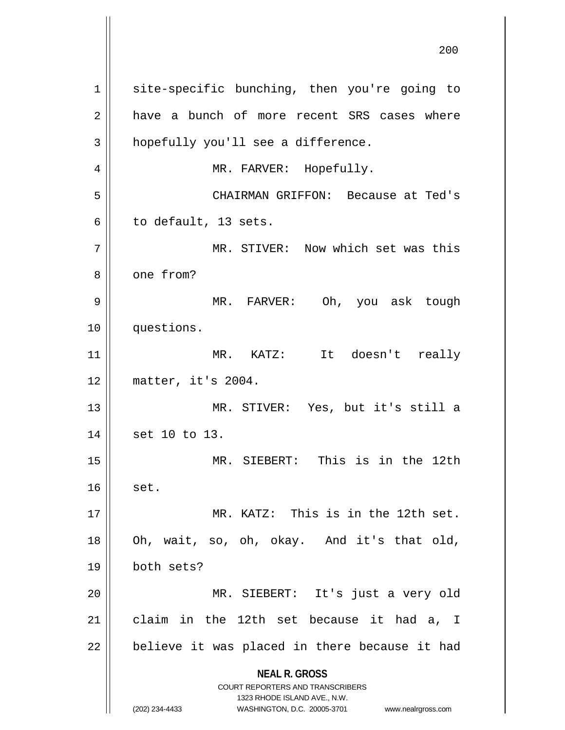**NEAL R. GROSS** COURT REPORTERS AND TRANSCRIBERS 1323 RHODE ISLAND AVE., N.W. (202) 234-4433 WASHINGTON, D.C. 20005-3701 www.nealrgross.com 1 || site-specific bunching, then you're going to 2 a have a bunch of more recent SRS cases where  $3 \parallel$  hopefully you'll see a difference. 4 || MR. FARVER: Hopefully. 5 CHAIRMAN GRIFFON: Because at Ted's  $6 \parallel$  to default, 13 sets. 7 MR. STIVER: Now which set was this 8 l one from? 9 MR. FARVER: Oh, you ask tough 10 questions. 11 MR. KATZ: It doesn't really 12 matter, it's 2004. 13 MR. STIVER: Yes, but it's still a 14 || set 10 to 13. 15 MR. SIEBERT: This is in the 12th  $16$  set. 17 MR. KATZ: This is in the 12th set. 18 Oh, wait, so, oh, okay. And it's that old, 19 both sets? 20 MR. SIEBERT: It's just a very old  $21$  claim in the 12th set because it had a, I  $22$  | believe it was placed in there because it had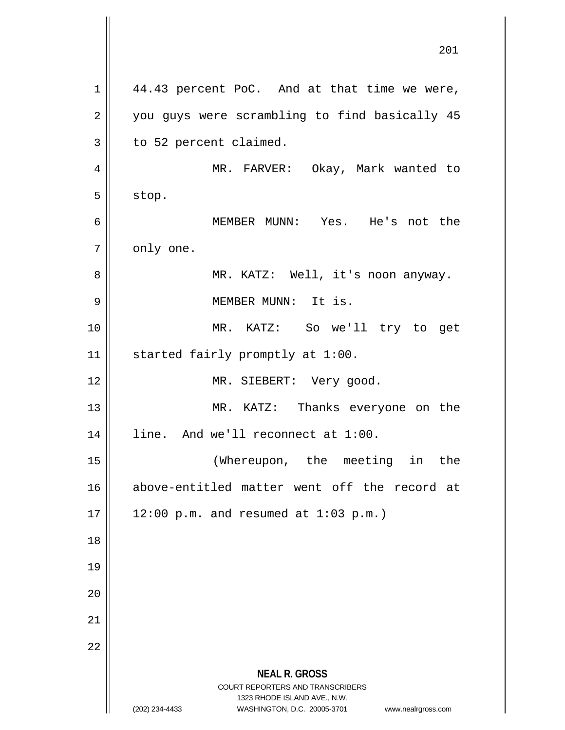**NEAL R. GROSS** COURT REPORTERS AND TRANSCRIBERS 1323 RHODE ISLAND AVE., N.W. (202) 234-4433 WASHINGTON, D.C. 20005-3701 www.nealrgross.com  $1 \parallel$  44.43 percent PoC. And at that time we were, 2 || you guys were scrambling to find basically 45  $3 \parallel$  to 52 percent claimed. 4 MR. FARVER: Okay, Mark wanted to  $5 \parallel$  stop. 6 MEMBER MUNN: Yes. He's not the  $7 \parallel$  only one. 8 MR. KATZ: Well, it's noon anyway. 9 MEMBER MUNN: It is. 10 MR. KATZ: So we'll try to get 11 | started fairly promptly at 1:00. 12 || MR. SIEBERT: Very good. 13 || MR. KATZ: Thanks everyone on the 14 | line. And we'll reconnect at 1:00. 15 (Whereupon, the meeting in the 16 above-entitled matter went off the record at  $17 || 12:00 p.m.$  and resumed at  $1:03 p.m.$ 18 19 20 21 22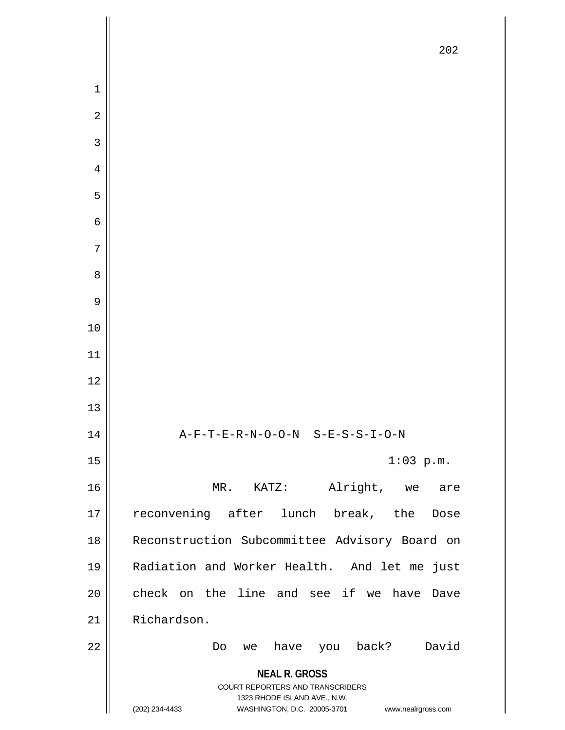|                | 202                                                                                                                                                             |
|----------------|-----------------------------------------------------------------------------------------------------------------------------------------------------------------|
| $\mathbf{1}$   |                                                                                                                                                                 |
| $\overline{a}$ |                                                                                                                                                                 |
| $\mathfrak{Z}$ |                                                                                                                                                                 |
| $\overline{4}$ |                                                                                                                                                                 |
| 5              |                                                                                                                                                                 |
| $\epsilon$     |                                                                                                                                                                 |
| $\sqrt{ }$     |                                                                                                                                                                 |
| 8              |                                                                                                                                                                 |
| 9              |                                                                                                                                                                 |
| $10$           |                                                                                                                                                                 |
|                |                                                                                                                                                                 |
| $11\,$         |                                                                                                                                                                 |
| 12             |                                                                                                                                                                 |
| 13             |                                                                                                                                                                 |
| 14             | A-F-T-E-R-N-O-O-N S-E-S-S-I-O-N                                                                                                                                 |
| 15             | $1:03$ p.m.                                                                                                                                                     |
| 16             | Alright, we are<br>$KATZ$ :<br>$MR$ .                                                                                                                           |
| 17             | reconvening after lunch break, the<br>Dose                                                                                                                      |
| 18             | Reconstruction Subcommittee Advisory Board on                                                                                                                   |
| 19             | Radiation and Worker Health. And let me just                                                                                                                    |
| 20             | check on the line and see if we have<br>Dave                                                                                                                    |
| 21             | Richardson.                                                                                                                                                     |
| 22             | have you back?<br>David<br>Do<br>we                                                                                                                             |
|                | <b>NEAL R. GROSS</b><br>COURT REPORTERS AND TRANSCRIBERS<br>1323 RHODE ISLAND AVE., N.W.<br>(202) 234-4433<br>WASHINGTON, D.C. 20005-3701<br>www.nealrgross.com |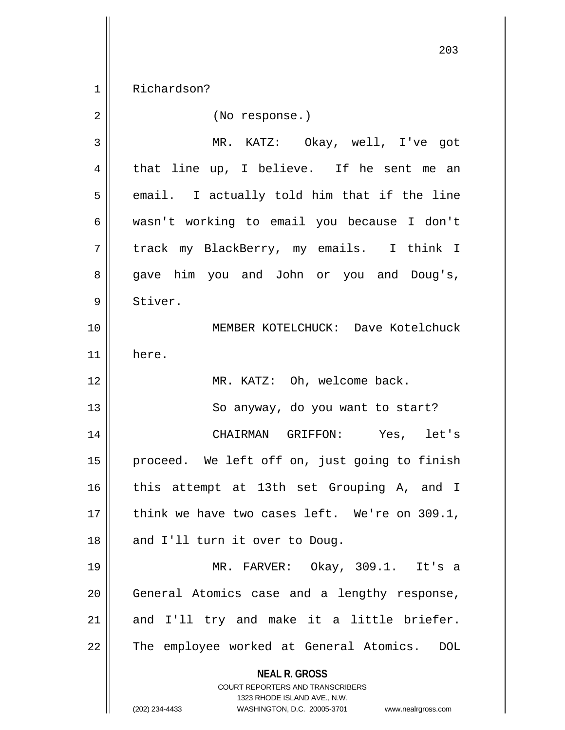1 Richardson?

| $\overline{2}$ | (No response.)                                                                                                                                                         |
|----------------|------------------------------------------------------------------------------------------------------------------------------------------------------------------------|
| 3              | MR. KATZ: Okay, well, I've got                                                                                                                                         |
| 4              | that line up, I believe. If he sent me an                                                                                                                              |
| 5              | email. I actually told him that if the line                                                                                                                            |
| 6              | wasn't working to email you because I don't                                                                                                                            |
| 7              | track my BlackBerry, my emails. I think I                                                                                                                              |
| 8              | gave him you and John or you and Doug's,                                                                                                                               |
| 9              | Stiver.                                                                                                                                                                |
| 10             | MEMBER KOTELCHUCK: Dave Kotelchuck                                                                                                                                     |
| 11             | here.                                                                                                                                                                  |
| 12             | MR. KATZ: Oh, welcome back.                                                                                                                                            |
| 13             | So anyway, do you want to start?                                                                                                                                       |
| 14             | CHAIRMAN GRIFFON: Yes, let's                                                                                                                                           |
| 15             | proceed. We left off on, just going to finish                                                                                                                          |
| 16             | this attempt at 13th set Grouping A, and I                                                                                                                             |
| 17             | think we have two cases left. We're on 309.1,                                                                                                                          |
| 18             | and I'll turn it over to Doug.                                                                                                                                         |
| 19             | MR. FARVER: Okay, 309.1. It's a                                                                                                                                        |
| 20             | General Atomics case and a lengthy response,                                                                                                                           |
| 21             | and I'll try and make it a little briefer.                                                                                                                             |
| 22             | The employee worked at General Atomics.<br><b>DOL</b>                                                                                                                  |
|                | <b>NEAL R. GROSS</b><br><b>COURT REPORTERS AND TRANSCRIBERS</b><br>1323 RHODE ISLAND AVE., N.W.<br>(202) 234-4433<br>WASHINGTON, D.C. 20005-3701<br>www.nealrgross.com |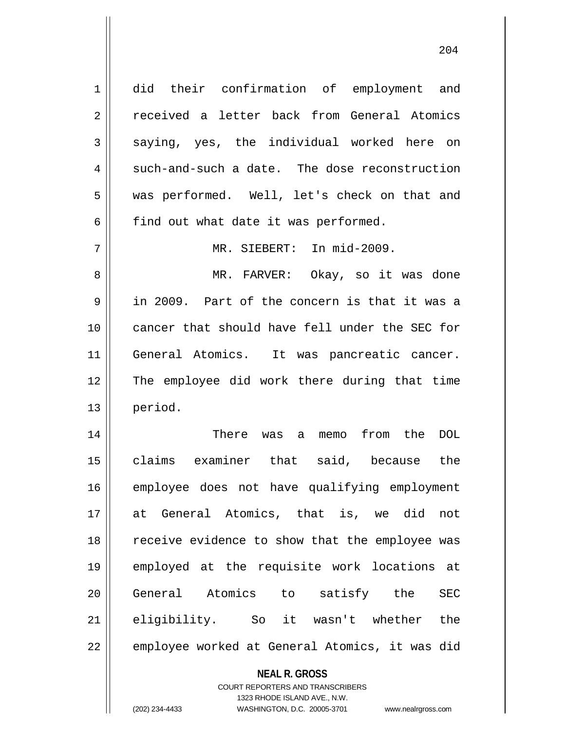did their confirmation of employment and 2 | received a letter back from General Atomics  $3 \parallel$  saying, yes, the individual worked here on  $4 \parallel$  such-and-such a date. The dose reconstruction was performed. Well, let's check on that and  $6 \parallel$  find out what date it was performed. MR. SIEBERT: In mid-2009. MR. FARVER: Okay, so it was done in 2009. Part of the concern is that it was a cancer that should have fell under the SEC for General Atomics. It was pancreatic cancer. The employee did work there during that time 13 || period. There was a memo from the DOL

15 claims examiner that said, because the 16 employee does not have qualifying employment 17 at General Atomics, that is, we did not 18 || receive evidence to show that the employee was 19 employed at the requisite work locations at 20 General Atomics to satisfy the SEC 21 eligibility. So it wasn't whether the 22 | employee worked at General Atomics, it was did

## **NEAL R. GROSS** COURT REPORTERS AND TRANSCRIBERS 1323 RHODE ISLAND AVE., N.W.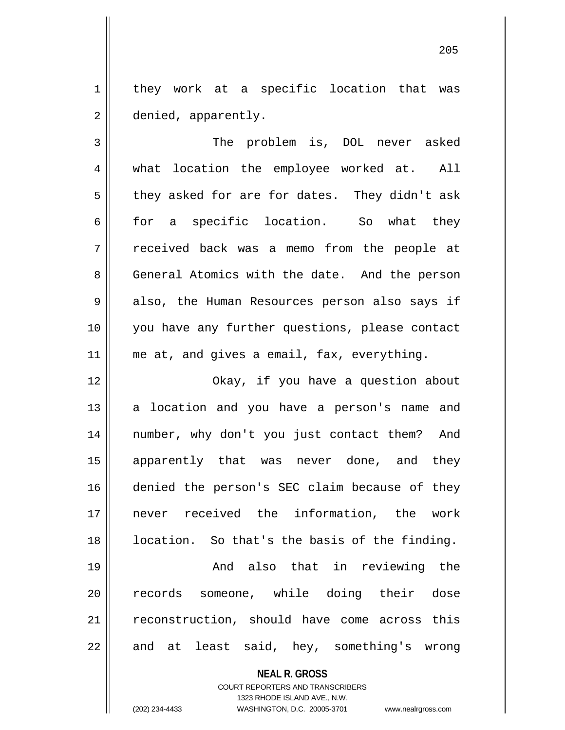1 | they work at a specific location that was 2 | denied, apparently.

3 The problem is, DOL never asked 4 | what location the employee worked at. All  $5 \parallel$  they asked for are for dates. They didn't ask 6 for a specific location. So what they 7 received back was a memo from the people at 8 General Atomics with the date. And the person 9 also, the Human Resources person also says if 10 || you have any further questions, please contact 11 || me at, and gives a email, fax, everything.

 Okay, if you have a question about a location and you have a person's name and number, why don't you just contact them? And 15 || apparently that was never done, and they denied the person's SEC claim because of they never received the information, the work 18 || location. So that's the basis of the finding.

19 And also that in reviewing the 20 || records someone, while doing their dose 21 || reconstruction, should have come across this  $22$  || and at least said, hey, something's wrong

## **NEAL R. GROSS**

COURT REPORTERS AND TRANSCRIBERS 1323 RHODE ISLAND AVE., N.W. (202) 234-4433 WASHINGTON, D.C. 20005-3701 www.nealrgross.com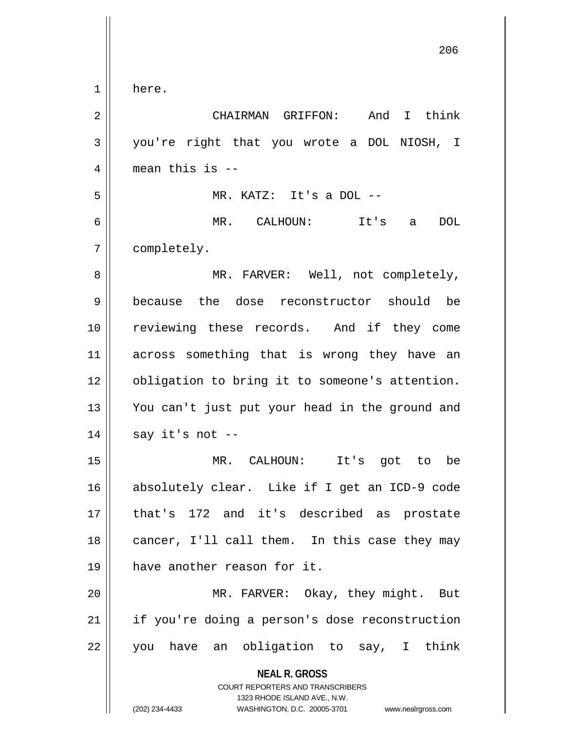**NEAL R. GROSS** COURT REPORTERS AND TRANSCRIBERS 1323 RHODE ISLAND AVE., N.W. here. CHAIRMAN GRIFFON: And I think you're right that you wrote a DOL NIOSH, I  $4 \parallel$  mean this is -- MR. KATZ: It's a DOL -- MR. CALHOUN: It's a DOL completely. MR. FARVER: Well, not completely, because the dose reconstructor should be reviewing these records. And if they come across something that is wrong they have an 12 | obligation to bring it to someone's attention. You can't just put your head in the ground and || say it's not -- MR. CALHOUN: It's got to be absolutely clear. Like if I get an ICD-9 code that's 172 and it's described as prostate 18 || cancer, I'll call them. In this case they may have another reason for it. 20 || MR. FARVER: Okay, they might. But 21 || if you're doing a person's dose reconstruction you have an obligation to say, I think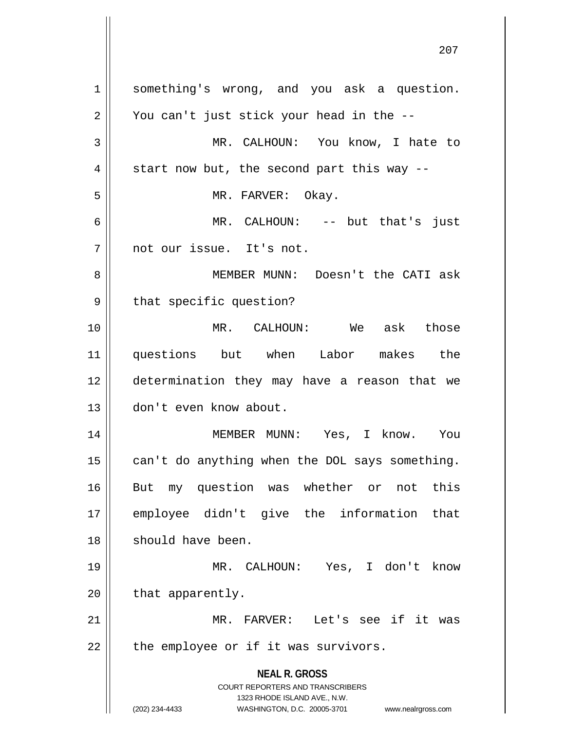**NEAL R. GROSS** COURT REPORTERS AND TRANSCRIBERS 1323 RHODE ISLAND AVE., N.W. (202) 234-4433 WASHINGTON, D.C. 20005-3701 www.nealrgross.com 1 something's wrong, and you ask a question.  $2 \parallel$  You can't just stick your head in the --3 MR. CALHOUN: You know, I hate to  $4 \parallel$  start now but, the second part this way --5 || MR. FARVER: Okay. 6 MR. CALHOUN: -- but that's just 7 not our issue. It's not. 8 MEMBER MUNN: Doesn't the CATI ask 9 | that specific question? 10 MR. CALHOUN: We ask those 11 questions but when Labor makes the 12 determination they may have a reason that we 13 don't even know about. 14 MEMBER MUNN: Yes, I know. You  $15$  | can't do anything when the DOL says something. 16 || But my question was whether or not this 17 employee didn't give the information that 18 || should have been. 19 MR. CALHOUN: Yes, I don't know  $20$  | that apparently. 21 MR. FARVER: Let's see if it was  $22$  | the employee or if it was survivors.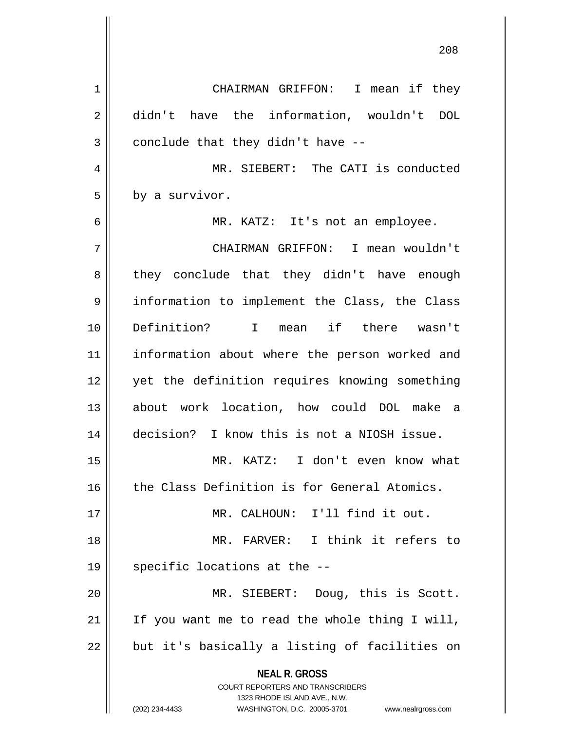**NEAL R. GROSS** COURT REPORTERS AND TRANSCRIBERS 1323 RHODE ISLAND AVE., N.W. (202) 234-4433 WASHINGTON, D.C. 20005-3701 www.nealrgross.com 1 | CHAIRMAN GRIFFON: I mean if they 2 didn't have the information, wouldn't DOL  $3 \parallel$  conclude that they didn't have --4 MR. SIEBERT: The CATI is conducted  $5 \parallel$  by a survivor. 6 MR. KATZ: It's not an employee. 7 CHAIRMAN GRIFFON: I mean wouldn't 8 || they conclude that they didn't have enough 9 || information to implement the Class, the Class 10 Definition? I mean if there wasn't 11 || information about where the person worked and 12 || yet the definition requires knowing something 13 about work location, how could DOL make a 14 decision? I know this is not a NIOSH issue. 15 MR. KATZ: I don't even know what 16 || the Class Definition is for General Atomics. 17 MR. CALHOUN: I'll find it out. 18 MR. FARVER: I think it refers to 19  $\parallel$  specific locations at the  $-$ 20 MR. SIEBERT: Doug, this is Scott.  $21$  | If you want me to read the whole thing I will,  $22$  || but it's basically a listing of facilities on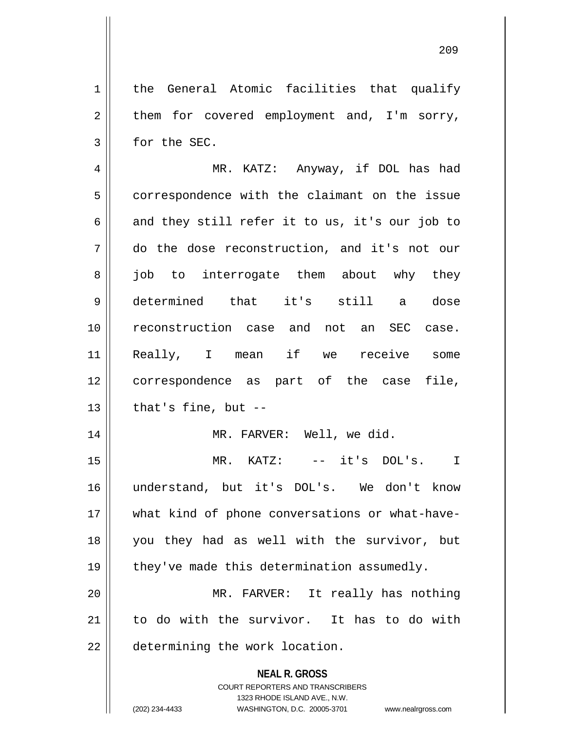**NEAL R. GROSS** COURT REPORTERS AND TRANSCRIBERS 1 | the General Atomic facilities that qualify  $2 \parallel$  them for covered employment and, I'm sorry, 3 | for the SEC. 4 MR. KATZ: Anyway, if DOL has had 5 correspondence with the claimant on the issue 6 and they still refer it to us, it's our job to 7 do the dose reconstruction, and it's not our 8 || job to interrogate them about why they 9 determined that it's still a dose 10 reconstruction case and not an SEC case. 11 Really, I mean if we receive some 12 correspondence as part of the case file,  $13$  | that's fine, but  $-$ 14 || MR. FARVER: Well, we did. 15 MR. KATZ: -- it's DOL's. I 16 understand, but it's DOL's. We don't know 17 what kind of phone conversations or what-have-18 you they had as well with the survivor, but 19  $\parallel$  they've made this determination assumedly. 20 MR. FARVER: It really has nothing 21 to do with the survivor. It has to do with 22 | determining the work location.

1323 RHODE ISLAND AVE., N.W.

209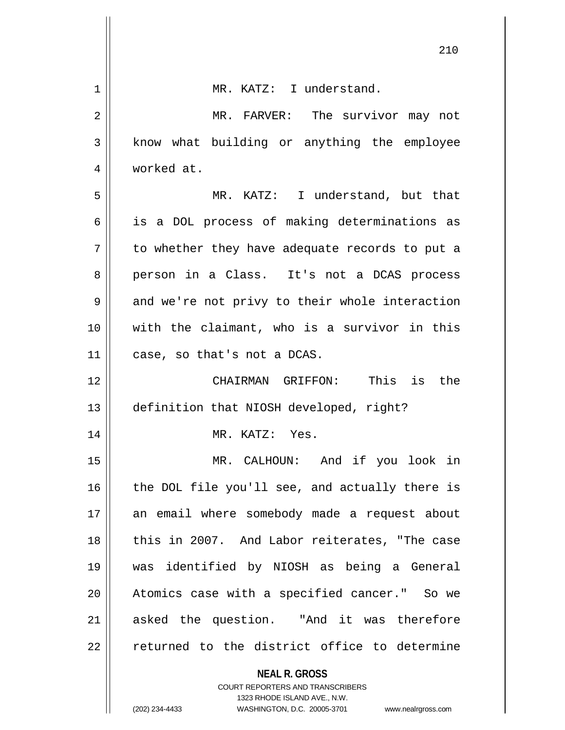|    | 210                                                                 |
|----|---------------------------------------------------------------------|
| 1  | MR. KATZ: I understand.                                             |
| 2  | MR. FARVER: The survivor may not                                    |
| 3  | know what building or anything the employee                         |
| 4  | worked at.                                                          |
| 5  | MR. KATZ: I understand, but that                                    |
| 6  | is a DOL process of making determinations as                        |
| 7  | to whether they have adequate records to put a                      |
| 8  | person in a Class. It's not a DCAS process                          |
| 9  | and we're not privy to their whole interaction                      |
| 10 | with the claimant, who is a survivor in this                        |
| 11 | case, so that's not a DCAS.                                         |
| 12 | CHAIRMAN GRIFFON: This is<br>the                                    |
| 13 | definition that NIOSH developed, right?                             |
| 14 | MR. KATZ: Yes.                                                      |
| 15 | MR. CALHOUN: And if you look in                                     |
| 16 | the DOL file you'll see, and actually there is                      |
| 17 | an email where somebody made a request about                        |
| 18 | this in 2007. And Labor reiterates, "The case                       |
| 19 | was identified by NIOSH as being a General                          |
| 20 | Atomics case with a specified cancer." So we                        |
| 21 | asked the question. "And it was therefore                           |
| 22 | returned to the district office to determine                        |
|    | <b>NEAL R. GROSS</b><br>COURT REPORTERS AND TRANSCRIBERS            |
|    | 1323 RHODE ISLAND AVE., N.W.                                        |
|    | (202) 234-4433<br>WASHINGTON, D.C. 20005-3701<br>www.nealrgross.com |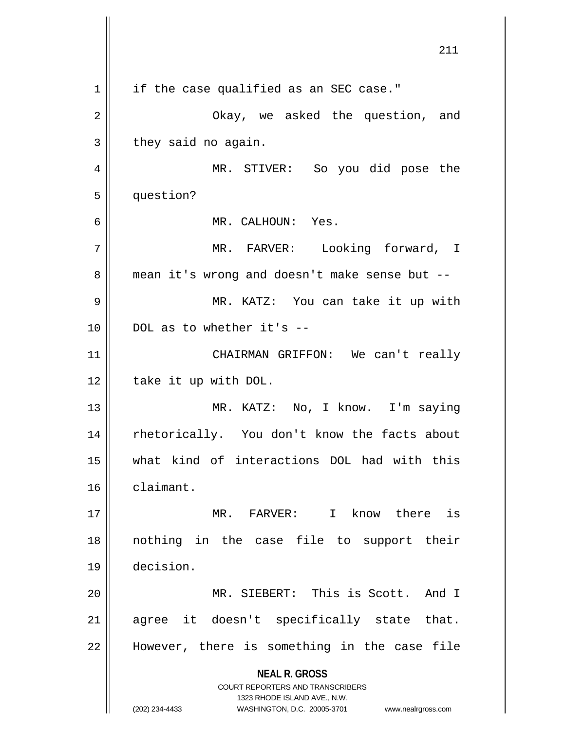**NEAL R. GROSS** COURT REPORTERS AND TRANSCRIBERS 1323 RHODE ISLAND AVE., N.W. (202) 234-4433 WASHINGTON, D.C. 20005-3701 www.nealrgross.com 211  $1 \parallel$  if the case qualified as an SEC case." 2 Okay, we asked the question, and  $3 \parallel$  they said no again. 4 MR. STIVER: So you did pose the 5 | question? 6 MR. CALHOUN: Yes. 7 MR. FARVER: Looking forward, I 8 | mean it's wrong and doesn't make sense but --9 MR. KATZ: You can take it up with  $10 \parallel$  DOL as to whether it's --11 CHAIRMAN GRIFFON: We can't really  $12$  | take it up with DOL. 13 || MR. KATZ: No, I know. I'm saying 14 || rhetorically. You don't know the facts about 15 what kind of interactions DOL had with this 16 claimant. 17 MR. FARVER: I know there is 18 nothing in the case file to support their 19 decision. 20 MR. SIEBERT: This is Scott. And I 21 || agree it doesn't specifically state that. 22 || However, there is something in the case file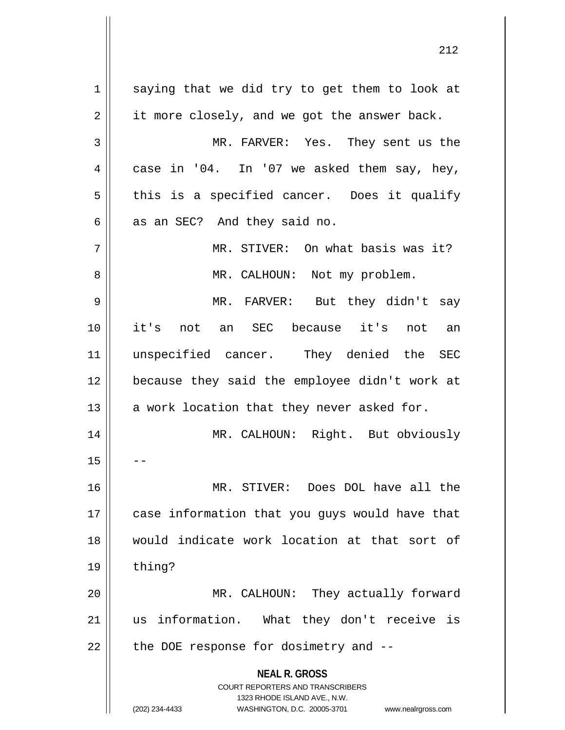**NEAL R. GROSS** COURT REPORTERS AND TRANSCRIBERS 1323 RHODE ISLAND AVE., N.W. (202) 234-4433 WASHINGTON, D.C. 20005-3701 www.nealrgross.com  $1 \parallel$  saying that we did try to get them to look at  $2 \parallel$  it more closely, and we got the answer back. 3 MR. FARVER: Yes. They sent us the  $4 \parallel$  case in '04. In '07 we asked them say, hey,  $5 \parallel$  this is a specified cancer. Does it qualify  $6 \parallel$  as an SEC? And they said no. 7 || MR. STIVER: On what basis was it? 8 || MR. CALHOUN: Not my problem. 9 MR. FARVER: But they didn't say 10 it's not an SEC because it's not an 11 unspecified cancer. They denied the SEC 12 because they said the employee didn't work at 13  $\parallel$  a work location that they never asked for. 14 || MR. CALHOUN: Right. But obviously  $15$ 16 MR. STIVER: Does DOL have all the 17 || case information that you guys would have that 18 would indicate work location at that sort of  $19$  | thing? 20 || MR. CALHOUN: They actually forward 21 us information. What they don't receive is  $22$  || the DOE response for dosimetry and  $-$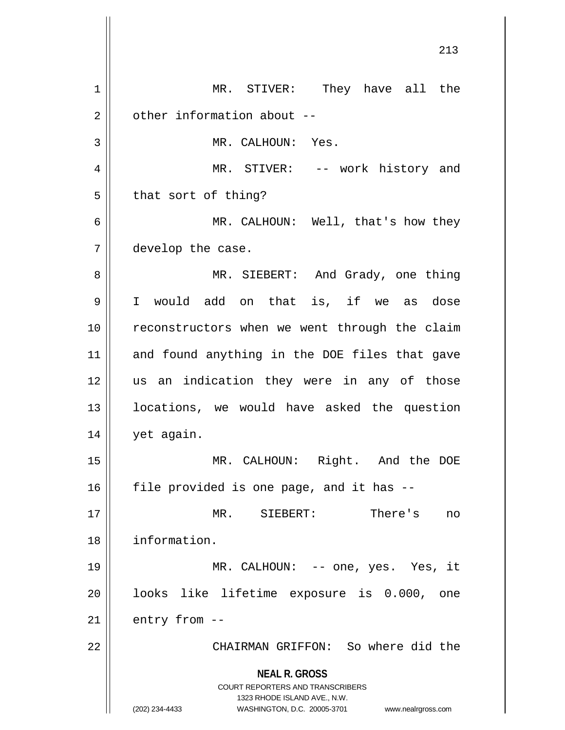**NEAL R. GROSS** COURT REPORTERS AND TRANSCRIBERS 1323 RHODE ISLAND AVE., N.W. (202) 234-4433 WASHINGTON, D.C. 20005-3701 www.nealrgross.com 1 || MR. STIVER: They have all the  $2 \parallel$  other information about --3 || MR. CALHOUN: Yes. 4 MR. STIVER: -- work history and  $5 \parallel$  that sort of thing? 6 MR. CALHOUN: Well, that's how they 7 develop the case. 8 MR. SIEBERT: And Grady, one thing 9 I would add on that is, if we as dose 10 reconstructors when we went through the claim 11 and found anything in the DOE files that gave 12 || us an indication they were in any of those 13 locations, we would have asked the question 14 | yet again. 15 MR. CALHOUN: Right. And the DOE  $16$  | file provided is one page, and it has  $-$ 17 MR. SIEBERT: There's no 18 information. 19 MR. CALHOUN: -- one, yes. Yes, it 20 || looks like lifetime exposure is 0.000, one  $21$  | entry from  $-$ 22 CHAIRMAN GRIFFON: So where did the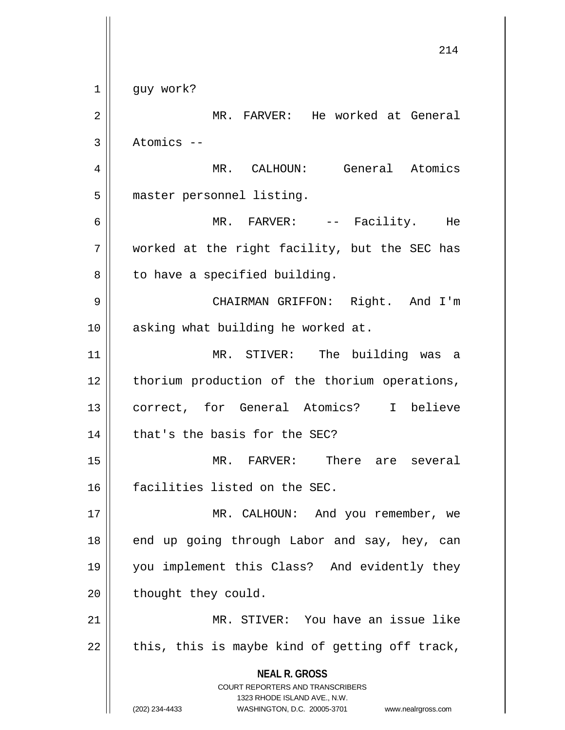**NEAL R. GROSS** COURT REPORTERS AND TRANSCRIBERS 1323 RHODE ISLAND AVE., N.W. (202) 234-4433 WASHINGTON, D.C. 20005-3701 www.nealrgross.com 214 1 || guy work? 2 | MR. FARVER: He worked at General  $3 \parallel$  Atomics --4 MR. CALHOUN: General Atomics 5 || master personnel listing. 6 MR. FARVER: -- Facility. He  $7$  | worked at the right facility, but the SEC has  $8 \parallel$  to have a specified building. 9 CHAIRMAN GRIFFON: Right. And I'm 10 || asking what building he worked at. 11 MR. STIVER: The building was a 12 || thorium production of the thorium operations, 13 correct, for General Atomics? I believe  $14$  | that's the basis for the SEC? 15 MR. FARVER: There are several 16 facilities listed on the SEC. 17 || MR. CALHOUN: And you remember, we 18 || end up going through Labor and say, hey, can 19 you implement this Class? And evidently they  $20$  | thought they could. 21 || MR. STIVER: You have an issue like  $22 \parallel$  this, this is maybe kind of getting off track,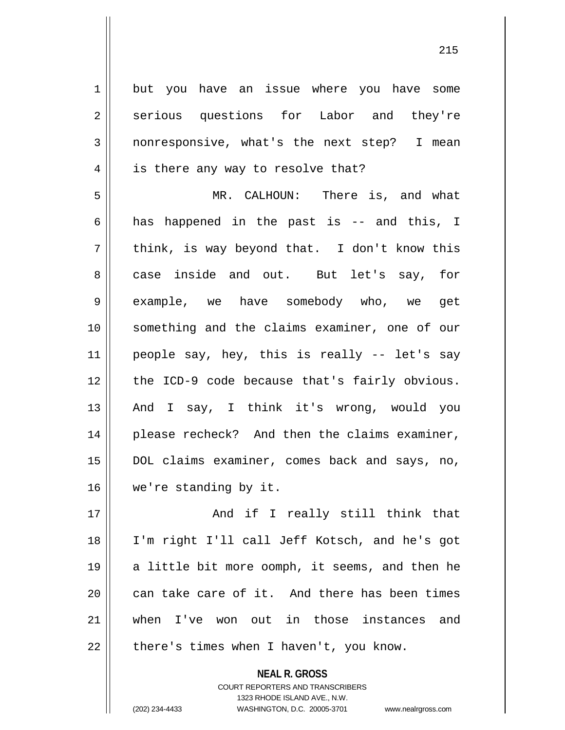1 but you have an issue where you have some 2 serious questions for Labor and they're 3 nonresponsive, what's the next step? I mean  $4 \parallel$  is there any way to resolve that? 5 MR. CALHOUN: There is, and what 6 || has happened in the past is -- and this, I  $7 \parallel$  think, is way beyond that. I don't know this 8 case inside and out. But let's say, for 9 example, we have somebody who, we get 10 something and the claims examiner, one of our  $11$  people say, hey, this is really -- let's say 12 || the ICD-9 code because that's fairly obvious. 13 || And I say, I think it's wrong, would you 14 || please recheck? And then the claims examiner, 15 DOL claims examiner, comes back and says, no, 16 we're standing by it.

 And if I really still think that I'm right I'll call Jeff Kotsch, and he's got  $\parallel$  a little bit more oomph, it seems, and then he | can take care of it. And there has been times when I've won out in those instances and | there's times when I haven't, you know.

> **NEAL R. GROSS** COURT REPORTERS AND TRANSCRIBERS

> > 1323 RHODE ISLAND AVE., N.W.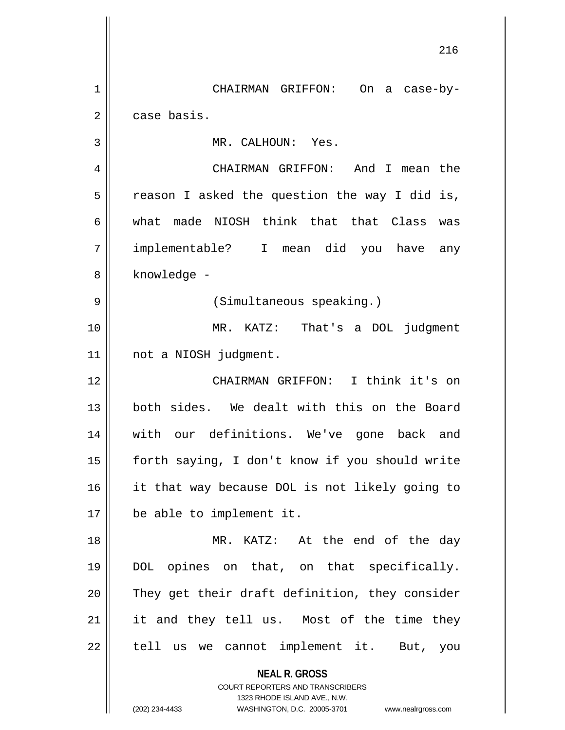**NEAL R. GROSS** COURT REPORTERS AND TRANSCRIBERS 216 1 CHAIRMAN GRIFFON: On a case-by-2 | case basis. 3 || MR. CALHOUN: Yes. 4 CHAIRMAN GRIFFON: And I mean the  $5 \parallel$  reason I asked the question the way I did is, 6 what made NIOSH think that that Class was 7 implementable? I mean did you have any 8 | knowledge -9 || (Simultaneous speaking.) 10 MR. KATZ: That's a DOL judgment 11 not a NIOSH judgment. 12 CHAIRMAN GRIFFON: I think it's on 13 both sides. We dealt with this on the Board 14 with our definitions. We've gone back and 15 forth saying, I don't know if you should write 16 it that way because DOL is not likely going to 17 be able to implement it. 18 MR. KATZ: At the end of the day 19 DOL opines on that, on that specifically. 20 They get their draft definition, they consider 21 || it and they tell us. Most of the time they  $22$  || tell us we cannot implement it. But, you

1323 RHODE ISLAND AVE., N.W.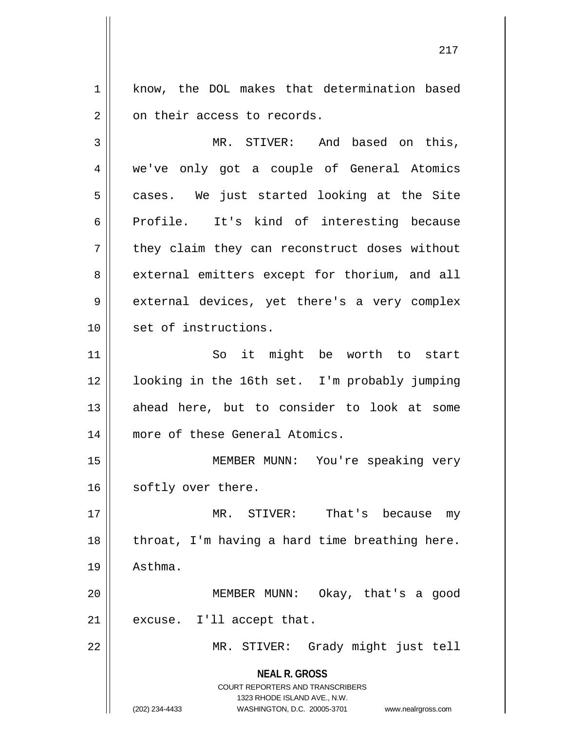1 | know, the DOL makes that determination based 2 | on their access to records.

3 MR. STIVER: And based on this, 4 we've only got a couple of General Atomics  $5 \parallel$  cases. We just started looking at the Site 6 Profile. It's kind of interesting because 7 || they claim they can reconstruct doses without 8 external emitters except for thorium, and all 9 | external devices, yet there's a very complex 10 || set of instructions.

11 || So it might be worth to start 12 looking in the 16th set. I'm probably jumping 13 || ahead here, but to consider to look at some 14 || more of these General Atomics.

15 || MEMBER MUNN: You're speaking very 16 | softly over there.

17 MR. STIVER: That's because my  $18$  || throat, I'm having a hard time breathing here. 19 Asthma.

20 MEMBER MUNN: Okay, that's a good  $21$  | excuse. I'll accept that.

22 MR. STIVER: Grady might just tell

**NEAL R. GROSS** COURT REPORTERS AND TRANSCRIBERS

1323 RHODE ISLAND AVE., N.W.

(202) 234-4433 WASHINGTON, D.C. 20005-3701 www.nealrgross.com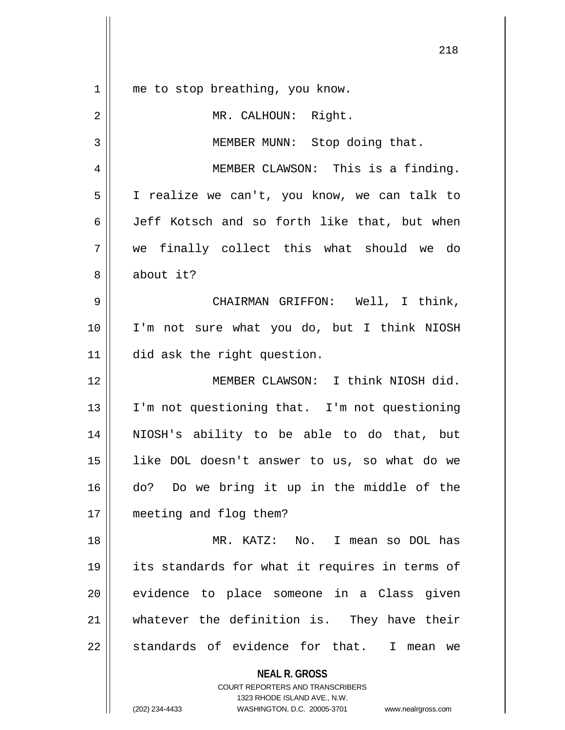| 1  | me to stop breathing, you know.                          |
|----|----------------------------------------------------------|
| 2  | MR. CALHOUN: Right.                                      |
| 3  | MEMBER MUNN: Stop doing that.                            |
| 4  | MEMBER CLAWSON: This is a finding.                       |
| 5  | I realize we can't, you know, we can talk to             |
| 6  | Jeff Kotsch and so forth like that, but when             |
| 7  | we finally collect this what should we do                |
| 8  | about it?                                                |
| 9  | CHAIRMAN GRIFFON: Well, I think,                         |
| 10 | I'm not sure what you do, but I think NIOSH              |
| 11 | did ask the right question.                              |
| 12 | MEMBER CLAWSON: I think NIOSH did.                       |
| 13 | I'm not questioning that. I'm not questioning            |
| 14 | NIOSH's ability to be able to do that, but               |
| 15 | like DOL doesn't answer to us, so what do we             |
| 16 | do? Do we bring it up in the middle of the               |
| 17 | meeting and flog them?                                   |
| 18 | MR. KATZ: No. I mean so DOL has                          |
| 19 | its standards for what it requires in terms of           |
| 20 | evidence to place someone in a Class given               |
| 21 | whatever the definition is. They have their              |
| 22 | standards of evidence for that. I mean we                |
|    | <b>NEAL R. GROSS</b><br>COURT REPORTERS AND TRANSCRIBERS |

1323 RHODE ISLAND AVE., N.W.

 $\mathsf{II}$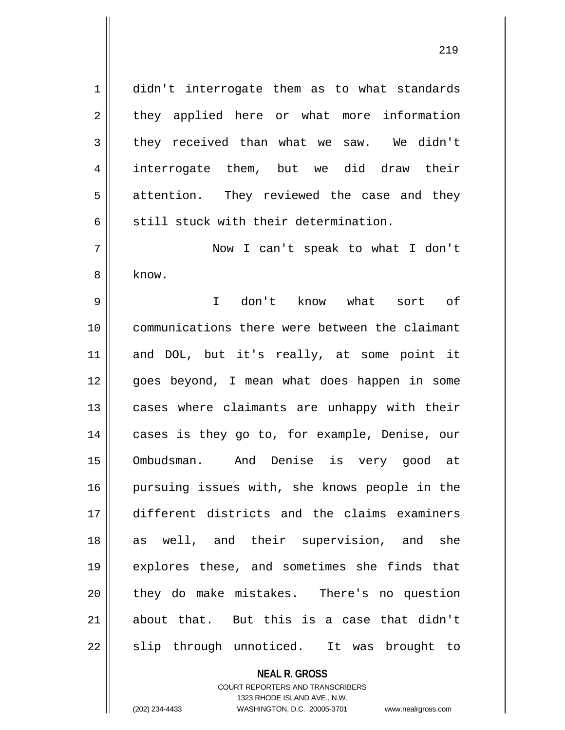1 didn't interrogate them as to what standards 2 || they applied here or what more information  $3 \parallel$  they received than what we saw. We didn't 4 interrogate them, but we did draw their 5 || attention. They reviewed the case and they 6  $\parallel$  still stuck with their determination.

7 Now I can't speak to what I don't 8 know.

 I don't know what sort of communications there were between the claimant and DOL, but it's really, at some point it 12 || qoes beyond, I mean what does happen in some 13 || cases where claimants are unhappy with their 14 || cases is they go to, for example, Denise, our Ombudsman. And Denise is very good at pursuing issues with, she knows people in the different districts and the claims examiners 18 as well, and their supervision, and she explores these, and sometimes she finds that 20 they do make mistakes. There's no question about that. But this is a case that didn't  $\parallel$  slip through unnoticed. It was brought to

## **NEAL R. GROSS**

COURT REPORTERS AND TRANSCRIBERS 1323 RHODE ISLAND AVE., N.W. (202) 234-4433 WASHINGTON, D.C. 20005-3701 www.nealrgross.com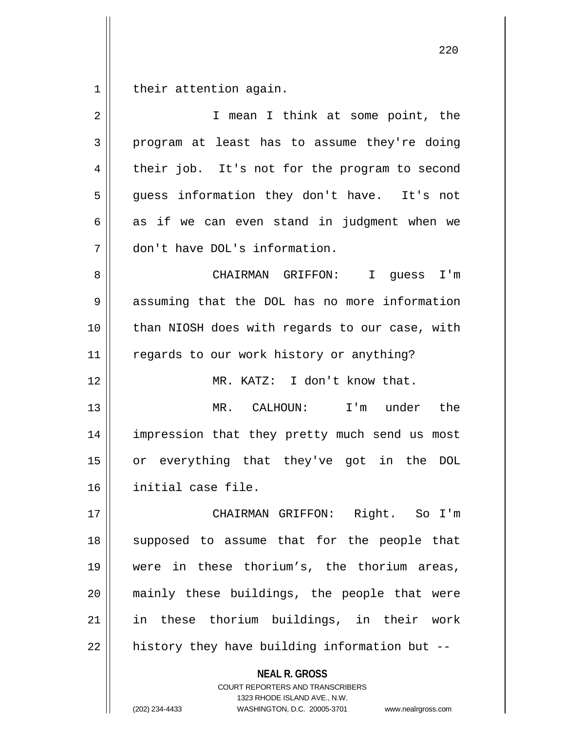their attention again.

| $\overline{2}$ | I mean I think at some point, the              |
|----------------|------------------------------------------------|
| 3              | program at least has to assume they're doing   |
| 4              | their job. It's not for the program to second  |
| 5              | guess information they don't have. It's not    |
| 6              | as if we can even stand in judgment when we    |
| 7              | don't have DOL's information.                  |
| 8              | CHAIRMAN GRIFFON: I<br>guess I'm               |
| 9              | assuming that the DOL has no more information  |
| 10             | than NIOSH does with regards to our case, with |
| 11             | regards to our work history or anything?       |
| 12             | MR. KATZ: I don't know that.                   |
| 13             | MR. CALHOUN: I'm under the                     |
| 14             | impression that they pretty much send us most  |
| 15             | or everything that they've got in the DOL      |
| 16             | initial case file.                             |
| 17             | CHAIRMAN GRIFFON: Right. So I'm                |
| 18             | supposed to assume that for the people that    |
| 19             | were in these thorium's, the thorium areas,    |
| 20             | mainly these buildings, the people that were   |
| 21             | in these thorium buildings, in their work      |
| 22             | history they have building information but --  |
|                | <b>NEAL R. GROSS</b>                           |

COURT REPORTERS AND TRANSCRIBERS 1323 RHODE ISLAND AVE., N.W.

(202) 234-4433 WASHINGTON, D.C. 20005-3701 www.nealrgross.com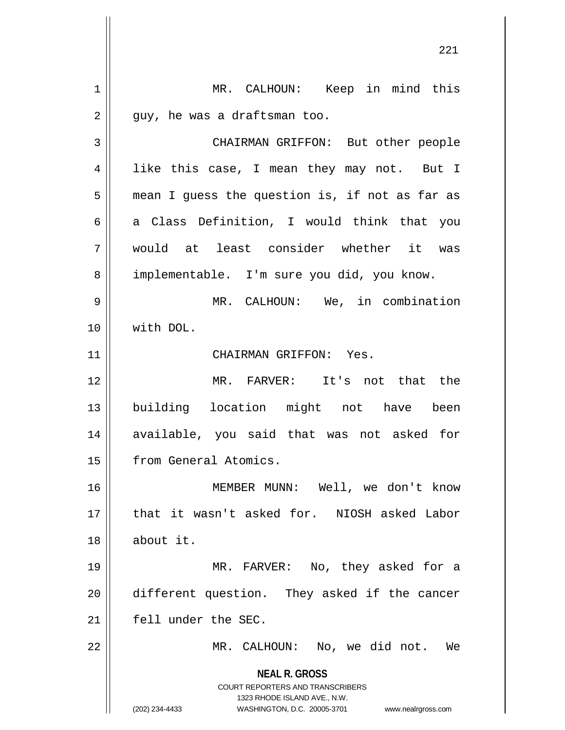**NEAL R. GROSS** COURT REPORTERS AND TRANSCRIBERS 1323 RHODE ISLAND AVE., N.W. (202) 234-4433 WASHINGTON, D.C. 20005-3701 www.nealrgross.com 1 | MR. CALHOUN: Keep in mind this  $2 \parallel$  guy, he was a draftsman too. 3 CHAIRMAN GRIFFON: But other people 4 || like this case, I mean they may not. But I  $5 \parallel$  mean I guess the question is, if not as far as  $6 \parallel$  a Class Definition, I would think that you 7 would at least consider whether it was 8 | implementable. I'm sure you did, you know. 9 MR. CALHOUN: We, in combination 10 with DOL. 11 || CHAIRMAN GRIFFON: Yes. 12 MR. FARVER: It's not that the 13 building location might not have been 14 || available, you said that was not asked for 15 from General Atomics. 16 MEMBER MUNN: Well, we don't know 17 || that it wasn't asked for. NIOSH asked Labor 18 about it. 19 MR. FARVER: No, they asked for a 20 different question. They asked if the cancer 21 fell under the SEC. 22 || MR. CALHOUN: No, we did not. We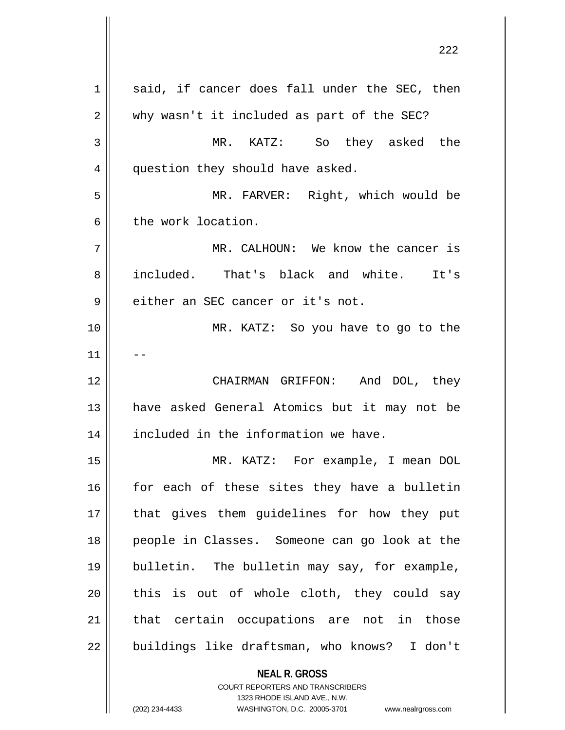**NEAL R. GROSS** COURT REPORTERS AND TRANSCRIBERS  $1 \parallel$  said, if cancer does fall under the SEC, then 2 || why wasn't it included as part of the SEC? 3 MR. KATZ: So they asked the 4 | question they should have asked. 5 MR. FARVER: Right, which would be 6 the work location. 7 MR. CALHOUN: We know the cancer is 8 included. That's black and white. It's 9 | either an SEC cancer or it's not. 10 MR. KATZ: So you have to go to the  $11$ 12 CHAIRMAN GRIFFON: And DOL, they 13 have asked General Atomics but it may not be 14 | included in the information we have. 15 MR. KATZ: For example, I mean DOL  $16$  for each of these sites they have a bulletin 17 || that gives them guidelines for how they put 18 people in Classes. Someone can go look at the 19 bulletin. The bulletin may say, for example, 20 || this is out of whole cloth, they could say 21 || that certain occupations are not in those 22 || buildings like draftsman, who knows? I don't

1323 RHODE ISLAND AVE., N.W.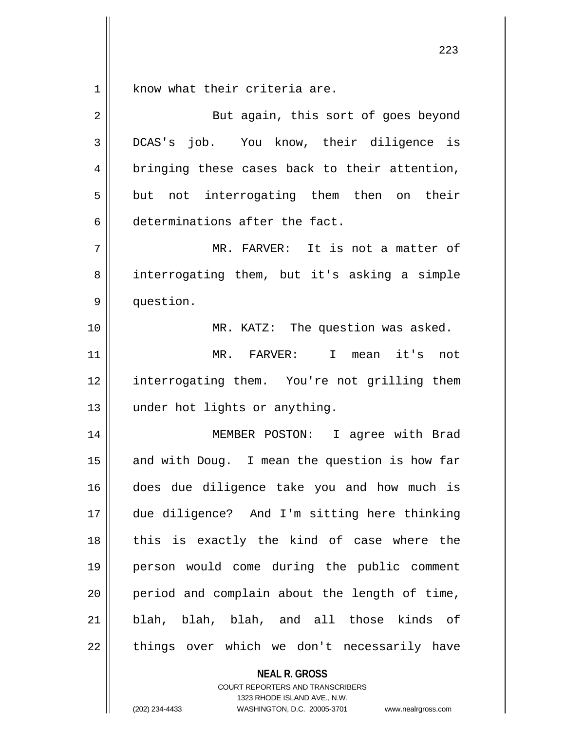$1 \parallel$  know what their criteria are.

| 2  | But again, this sort of goes beyond             |
|----|-------------------------------------------------|
| 3  | DCAS's job. You know, their diligence is        |
| 4  | bringing these cases back to their attention,   |
| 5  | but not interrogating them then on their        |
| 6  | determinations after the fact.                  |
| 7  | MR. FARVER: It is not a matter of               |
| 8  | interrogating them, but it's asking a simple    |
| 9  | question.                                       |
| 10 | MR. KATZ: The question was asked.               |
| 11 | MR. FARVER:<br>mean it's<br>$\mathbf{I}$<br>not |
| 12 | interrogating them. You're not grilling them    |
| 13 | under hot lights or anything.                   |
| 14 | MEMBER POSTON: I agree with Brad                |
| 15 | and with Doug. I mean the question is how far   |
| 16 | does due diligence take you and how much is     |
| 17 | due diligence? And I'm sitting here thinking    |
| 18 | this is exactly the kind of case where the      |
| 19 | person would come during the public comment     |
| 20 | period and complain about the length of time,   |
| 21 | blah, blah, blah, and all those kinds of        |
| 22 | things over which we don't necessarily have     |

**NEAL R. GROSS** COURT REPORTERS AND TRANSCRIBERS

1323 RHODE ISLAND AVE., N.W.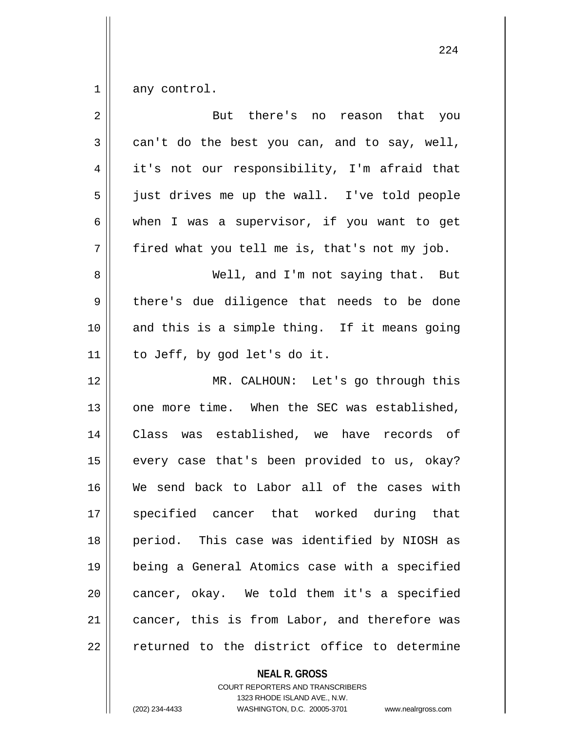$1 \parallel$  any control.

| $\overline{2}$ | But there's no reason that you                |
|----------------|-----------------------------------------------|
| 3              | can't do the best you can, and to say, well,  |
| 4              | it's not our responsibility, I'm afraid that  |
| 5              | just drives me up the wall. I've told people  |
| 6              | when I was a supervisor, if you want to get   |
| 7              | fired what you tell me is, that's not my job. |
| 8              | Well, and I'm not saying that. But            |
| $\mathsf 9$    | there's due diligence that needs to be done   |
| 10             | and this is a simple thing. If it means going |
| 11             | to Jeff, by god let's do it.                  |
| 12             | MR. CALHOUN: Let's go through this            |
| 13             | one more time. When the SEC was established,  |
| 14             | Class was established, we have records of     |
| 15             | every case that's been provided to us, okay?  |
| 16             | We send back to Labor all of the cases with   |
| 17             | specified cancer that worked during that      |
| 18             | period. This case was identified by NIOSH as  |
| 19             | being a General Atomics case with a specified |
| 20             | cancer, okay. We told them it's a specified   |
| 21             | cancer, this is from Labor, and therefore was |
| 22             | returned to the district office to determine  |

**NEAL R. GROSS**

COURT REPORTERS AND TRANSCRIBERS 1323 RHODE ISLAND AVE., N.W. (202) 234-4433 WASHINGTON, D.C. 20005-3701 www.nealrgross.com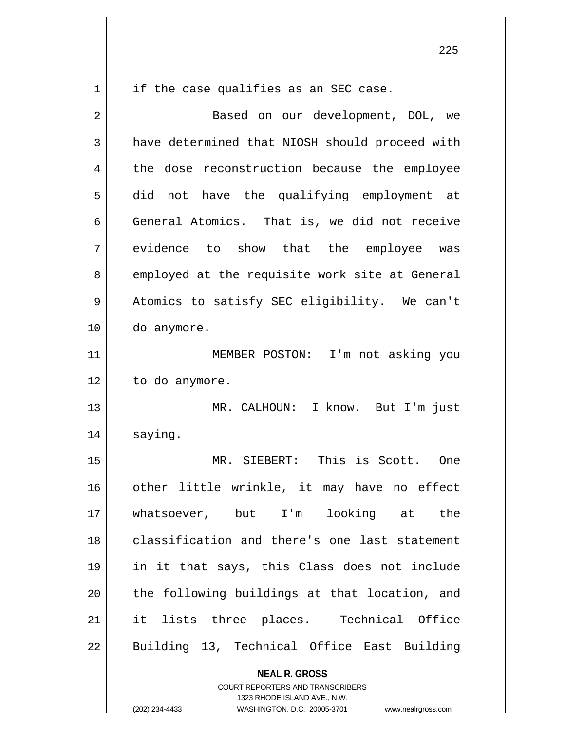$1 \parallel$  if the case qualifies as an SEC case.

**NEAL R. GROSS** COURT REPORTERS AND TRANSCRIBERS 2 || Based on our development, DOL, we 3 a have determined that NIOSH should proceed with 4 || the dose reconstruction because the employee 5 did not have the qualifying employment at 6 General Atomics. That is, we did not receive 7 || evidence to show that the employee was 8 employed at the requisite work site at General 9 || Atomics to satisfy SEC eligibility. We can't 10 do anymore. 11 || MEMBER POSTON: I'm not asking you 12 | to do anymore. 13 MR. CALHOUN: I know. But I'm just 14 | saying. 15 MR. SIEBERT: This is Scott. One 16 || other little wrinkle, it may have no effect 17 whatsoever, but I'm looking at the 18 classification and there's one last statement 19 in it that says, this Class does not include  $20$  || the following buildings at that location, and 21 it lists three places. Technical Office 22 || Building 13, Technical Office East Building

1323 RHODE ISLAND AVE., N.W.

(202) 234-4433 WASHINGTON, D.C. 20005-3701 www.nealrgross.com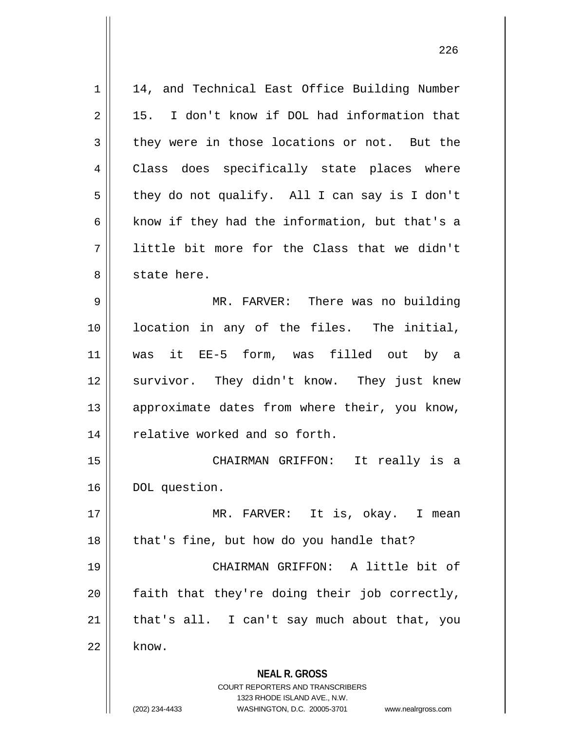| $\mathbf 1$    | 14, and Technical East Office Building Number                                                       |
|----------------|-----------------------------------------------------------------------------------------------------|
| $\overline{2}$ | 15. I don't know if DOL had information that                                                        |
| 3              | they were in those locations or not. But the                                                        |
| 4              | Class does specifically state places where                                                          |
| 5              | they do not qualify. All I can say is I don't                                                       |
| 6              | know if they had the information, but that's a                                                      |
| 7              | little bit more for the Class that we didn't                                                        |
| 8              | state here.                                                                                         |
| 9              | MR. FARVER: There was no building                                                                   |
| 10             | location in any of the files. The initial,                                                          |
| 11             | was it EE-5 form, was filled out by a                                                               |
| 12             | survivor. They didn't know. They just knew                                                          |
| 13             | approximate dates from where their, you know,                                                       |
| 14             | relative worked and so forth.                                                                       |
| 15             | CHAIRMAN GRIFFON: It really is a                                                                    |
| 16             | DOL question.                                                                                       |
| 17             | MR. FARVER: It is, okay. I mean                                                                     |
| 18             | that's fine, but how do you handle that?                                                            |
| 19             | CHAIRMAN GRIFFON: A little bit of                                                                   |
| 20             | faith that they're doing their job correctly,                                                       |
|                |                                                                                                     |
| 21             | that's all. I can't say much about that, you                                                        |
| 22             | know.                                                                                               |
|                | <b>NEAL R. GROSS</b>                                                                                |
|                | COURT REPORTERS AND TRANSCRIBERS                                                                    |
|                | 1323 RHODE ISLAND AVE., N.W.<br>(202) 234-4433<br>WASHINGTON, D.C. 20005-3701<br>www.nealrgross.com |
|                |                                                                                                     |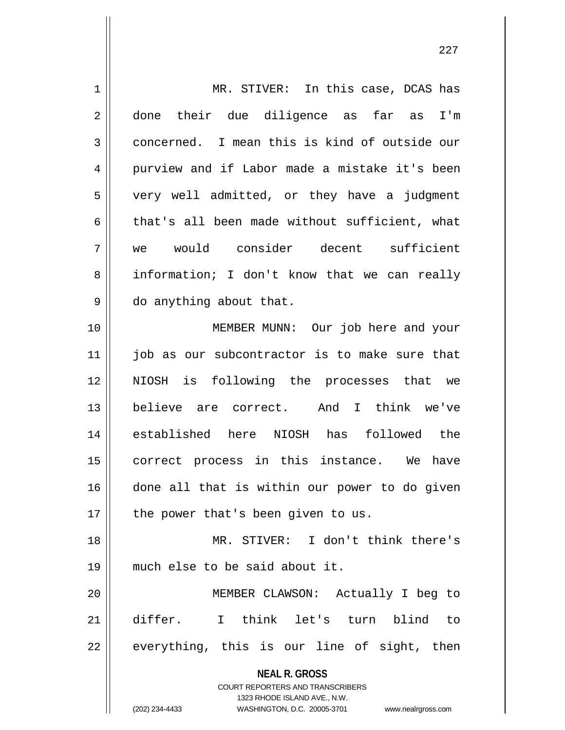| $\mathbf 1$ | MR. STIVER: In this case, DCAS has                                                                                                                                     |
|-------------|------------------------------------------------------------------------------------------------------------------------------------------------------------------------|
| 2           | their due diligence as far as<br>I'm<br>done                                                                                                                           |
| 3           | concerned. I mean this is kind of outside our                                                                                                                          |
| 4           | purview and if Labor made a mistake it's been                                                                                                                          |
| 5           | very well admitted, or they have a judgment                                                                                                                            |
| 6           | that's all been made without sufficient, what                                                                                                                          |
| 7           | we would consider decent sufficient                                                                                                                                    |
| 8           | information; I don't know that we can really                                                                                                                           |
| 9           | do anything about that.                                                                                                                                                |
| 10          | MEMBER MUNN: Our job here and your                                                                                                                                     |
| 11          | job as our subcontractor is to make sure that                                                                                                                          |
| 12          | NIOSH is following the processes that we                                                                                                                               |
| 13          | believe are correct. And I think we've                                                                                                                                 |
| 14          | established here NIOSH has followed the                                                                                                                                |
| 15          | correct process in this instance. We have                                                                                                                              |
| 16          | done all that is within our power to do given                                                                                                                          |
| 17          | the power that's been given to us.                                                                                                                                     |
| 18          | MR. STIVER: I don't think there's                                                                                                                                      |
| 19          | much else to be said about it.                                                                                                                                         |
| 20          | MEMBER CLAWSON: Actually I beg to                                                                                                                                      |
| 21          | differ.<br>I think let's turn blind to                                                                                                                                 |
| 22          | everything, this is our line of sight, then                                                                                                                            |
|             | <b>NEAL R. GROSS</b><br><b>COURT REPORTERS AND TRANSCRIBERS</b><br>1323 RHODE ISLAND AVE., N.W.<br>(202) 234-4433<br>WASHINGTON, D.C. 20005-3701<br>www.nealrgross.com |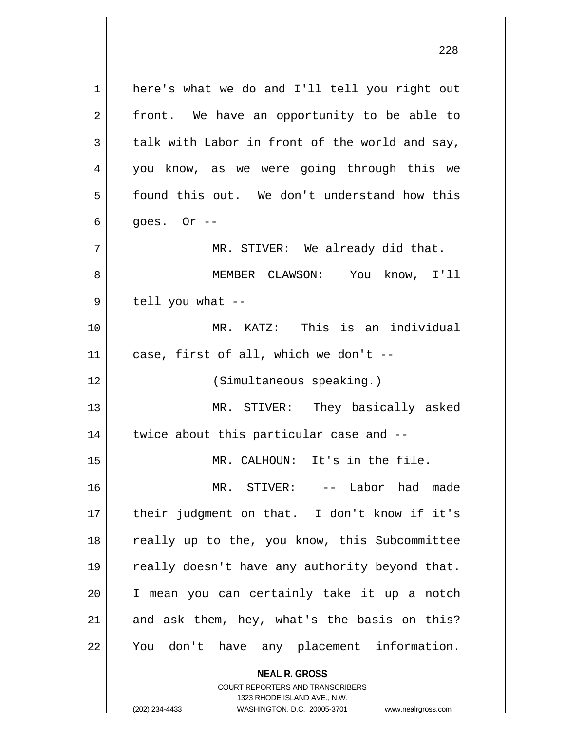**NEAL R. GROSS** 1 here's what we do and I'll tell you right out  $2 \parallel$  front. We have an opportunity to be able to  $3 \parallel$  talk with Labor in front of the world and say, 4 || you know, as we were going through this we 5 | found this out. We don't understand how this  $6 \parallel$  goes. Or  $-$ 7 MR. STIVER: We already did that. 8 MEMBER CLAWSON: You know, I'll  $9 \parallel$  tell you what --10 MR. KATZ: This is an individual  $11$  | case, first of all, which we don't --12 (Simultaneous speaking.) 13 MR. STIVER: They basically asked  $14$  | twice about this particular case and  $-$ 15 MR. CALHOUN: It's in the file. 16 MR. STIVER: -- Labor had made 17 their judgment on that. I don't know if it's 18 || really up to the, you know, this Subcommittee 19 || really doesn't have any authority beyond that. 20 I mean you can certainly take it up a notch  $21$  and ask them, hey, what's the basis on this? 22 || You don't have any placement information.

> COURT REPORTERS AND TRANSCRIBERS 1323 RHODE ISLAND AVE., N.W.

(202) 234-4433 WASHINGTON, D.C. 20005-3701 www.nealrgross.com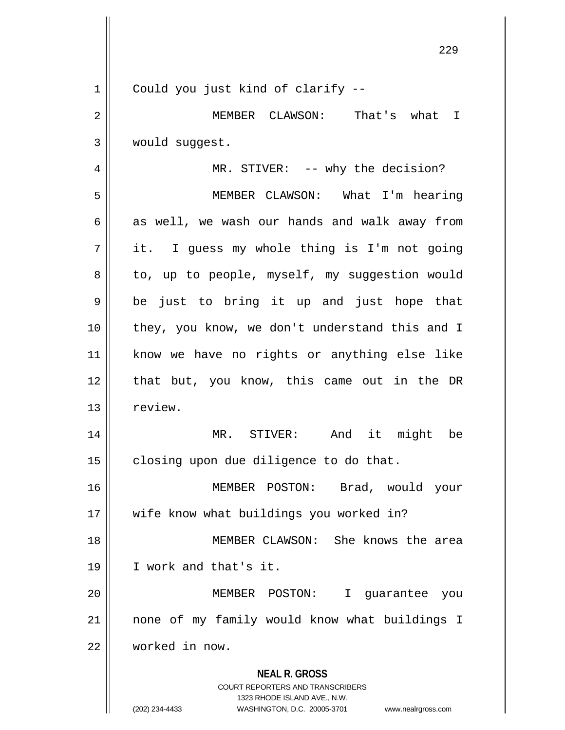| $\mathbf 1$ | Could you just kind of clarify --                                                                                                                                      |
|-------------|------------------------------------------------------------------------------------------------------------------------------------------------------------------------|
| $\mathbf 2$ | MEMBER CLAWSON: That's what I                                                                                                                                          |
| 3           | would suggest.                                                                                                                                                         |
| 4           | MR. STIVER: -- why the decision?                                                                                                                                       |
| 5           | MEMBER CLAWSON: What I'm hearing                                                                                                                                       |
| 6           | as well, we wash our hands and walk away from                                                                                                                          |
| 7           | it. I guess my whole thing is I'm not going                                                                                                                            |
| 8           | to, up to people, myself, my suggestion would                                                                                                                          |
| 9           | be just to bring it up and just hope that                                                                                                                              |
| 10          | they, you know, we don't understand this and I                                                                                                                         |
| 11          | know we have no rights or anything else like                                                                                                                           |
| 12          | that but, you know, this came out in the DR                                                                                                                            |
| 13          | review.                                                                                                                                                                |
| 14          | MR. STIVER: And it might be                                                                                                                                            |
| 15          | closing upon due diligence to do that.                                                                                                                                 |
| 16          | MEMBER POSTON: Brad, would your                                                                                                                                        |
| 17          | wife know what buildings you worked in?                                                                                                                                |
| 18          | MEMBER CLAWSON: She knows the area                                                                                                                                     |
| 19          | I work and that's it.                                                                                                                                                  |
| 20          | MEMBER POSTON:<br>I.<br>guarantee you                                                                                                                                  |
| 21          | none of my family would know what buildings I                                                                                                                          |
| 22          | worked in now.                                                                                                                                                         |
|             | <b>NEAL R. GROSS</b><br><b>COURT REPORTERS AND TRANSCRIBERS</b><br>1323 RHODE ISLAND AVE., N.W.<br>(202) 234-4433<br>WASHINGTON, D.C. 20005-3701<br>www.nealrgross.com |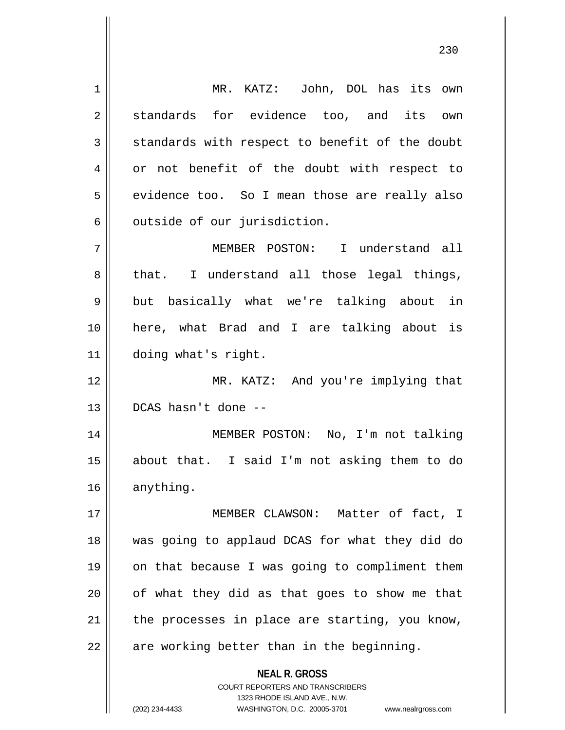**NEAL R. GROSS** COURT REPORTERS AND TRANSCRIBERS 1323 RHODE ISLAND AVE., N.W. 1 MR. KATZ: John, DOL has its own 2 standards for evidence too, and its own  $3 \parallel$  standards with respect to benefit of the doubt 4 | or not benefit of the doubt with respect to  $5 \parallel$  evidence too. So I mean those are really also 6 | outside of our jurisdiction. 7 MEMBER POSTON: I understand all  $8 \parallel$  that. I understand all those legal things, 9 || but basically what we're talking about in 10 here, what Brad and I are talking about is 11 doing what's right. 12 MR. KATZ: And you're implying that 13 DCAS hasn't done -- 14 || MEMBER POSTON: No, I'm not talking 15 about that. I said I'm not asking them to do 16 anything. 17 || MEMBER CLAWSON: Matter of fact, I 18 was going to applaud DCAS for what they did do 19 || on that because I was going to compliment them  $20$  | of what they did as that goes to show me that  $21$  | the processes in place are starting, you know,  $22$  || are working better than in the beginning.

(202) 234-4433 WASHINGTON, D.C. 20005-3701 www.nealrgross.com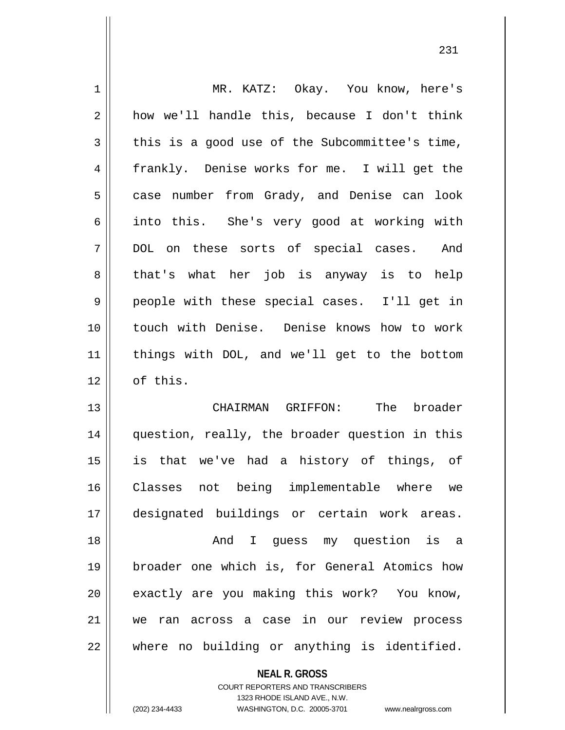| $\mathbf 1$    | MR. KATZ: Okay. You know, here's               |
|----------------|------------------------------------------------|
| $\overline{2}$ | how we'll handle this, because I don't think   |
| 3              | this is a good use of the Subcommittee's time, |
| 4              | frankly. Denise works for me. I will get the   |
| 5              | case number from Grady, and Denise can look    |
| 6              | into this. She's very good at working with     |
| 7              | DOL on these sorts of special cases. And       |
| 8              | that's what her job is anyway is to help       |
| 9              | people with these special cases. I'll get in   |
| 10             | touch with Denise. Denise knows how to work    |
| 11             | things with DOL, and we'll get to the bottom   |
| 12             | of this.                                       |
| 13             | The<br>broader<br>CHAIRMAN GRIFFON:            |
| 14             | question, really, the broader question in this |
| 15             | is that we've had a history of things, of      |
| 16             | Classes not being implementable where we       |
| 17             | designated buildings or certain work areas.    |
| 18             | And I quess my question is a                   |
| 19             | broader one which is, for General Atomics how  |
| 20             | exactly are you making this work? You know,    |
| 21             | ran across a case in our review process<br>we  |
| 22             | where no building or anything is identified.   |

**NEAL R. GROSS**

COURT REPORTERS AND TRANSCRIBERS 1323 RHODE ISLAND AVE., N.W. (202) 234-4433 WASHINGTON, D.C. 20005-3701 www.nealrgross.com

 $\mathbf{I}$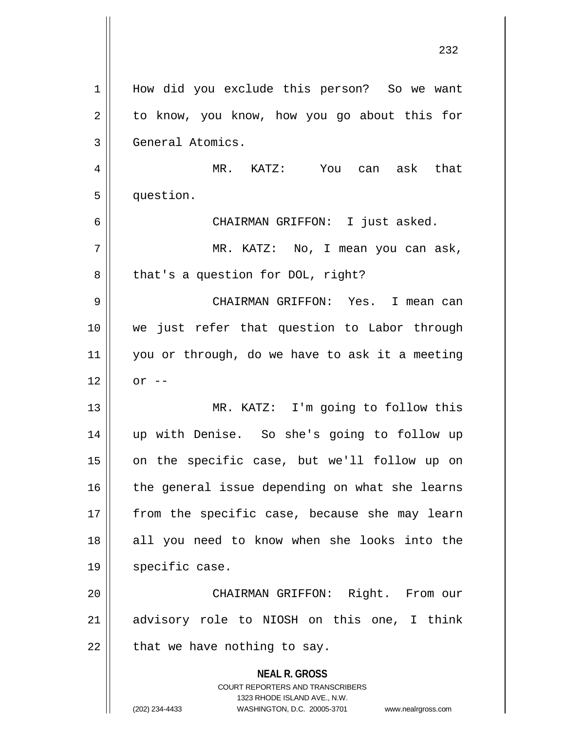|              | 232                                                                                                                                                                 |
|--------------|---------------------------------------------------------------------------------------------------------------------------------------------------------------------|
| $\mathbf{1}$ | How did you exclude this person? So we want                                                                                                                         |
| 2            | to know, you know, how you go about this for                                                                                                                        |
| 3            | General Atomics.                                                                                                                                                    |
| 4            | MR. KATZ: You can ask that                                                                                                                                          |
| 5            | question.                                                                                                                                                           |
| 6            | CHAIRMAN GRIFFON: I just asked.                                                                                                                                     |
| 7            | MR. KATZ: No, I mean you can ask,                                                                                                                                   |
| 8            | that's a question for DOL, right?                                                                                                                                   |
| 9            | CHAIRMAN GRIFFON: Yes. I mean can                                                                                                                                   |
| 10           | we just refer that question to Labor through                                                                                                                        |
| 11           | you or through, do we have to ask it a meeting                                                                                                                      |
| 12           | $or --$                                                                                                                                                             |
| 13           | MR. KATZ: I'm going to follow this                                                                                                                                  |
| 14           | up with Denise. So she's going to follow up                                                                                                                         |
| 15           | on the specific case, but we'll follow up on                                                                                                                        |
| 16           | the general issue depending on what she learns                                                                                                                      |
| 17           | from the specific case, because she may learn                                                                                                                       |
| 18           | all you need to know when she looks into the                                                                                                                        |
| 19           | specific case.                                                                                                                                                      |
| 20           | CHAIRMAN GRIFFON: Right. From our                                                                                                                                   |
| 21           | advisory role to NIOSH on this one, I think                                                                                                                         |
| 22           | that we have nothing to say.                                                                                                                                        |
|              | <b>NEAL R. GROSS</b><br><b>COURT REPORTERS AND TRANSCRIBERS</b><br>1323 RHODE ISLAND AVE., N.W.<br>(202) 234-4433<br>WASHINGTON, D.C. 20005-3701 www.nealrgross.com |

 $\overline{\phantom{a}}$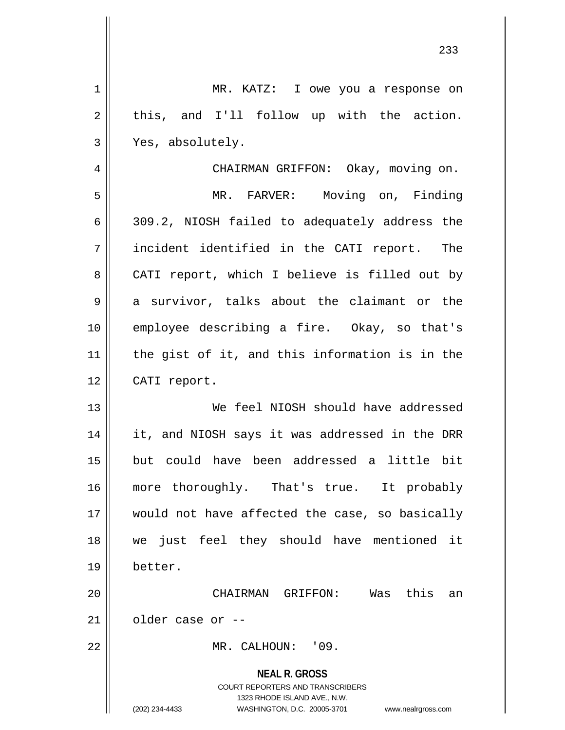| MR. KATZ: I owe you a response on                                                                   |
|-----------------------------------------------------------------------------------------------------|
| this, and I'll follow up with the action.                                                           |
| Yes, absolutely.                                                                                    |
| CHAIRMAN GRIFFON: Okay, moving on.                                                                  |
| MR. FARVER: Moving on, Finding                                                                      |
| 309.2, NIOSH failed to adequately address the                                                       |
| incident identified in the CATI report. The                                                         |
| CATI report, which I believe is filled out by                                                       |
| a survivor, talks about the claimant or the                                                         |
| employee describing a fire. Okay, so that's                                                         |
| the gist of it, and this information is in the                                                      |
| CATI report.                                                                                        |
| We feel NIOSH should have addressed                                                                 |
| it, and NIOSH says it was addressed in the DRR                                                      |
| but could have been addressed a little bit                                                          |
| more thoroughly. That's true. It probably                                                           |
| would not have affected the case, so basically                                                      |
| just feel they should have mentioned it<br>we                                                       |
| better.                                                                                             |
| this<br>CHAIRMAN GRIFFON: Was<br>an                                                                 |
| older case or --                                                                                    |
| MR. CALHOUN: '09.                                                                                   |
| <b>NEAL R. GROSS</b>                                                                                |
| <b>COURT REPORTERS AND TRANSCRIBERS</b>                                                             |
| 1323 RHODE ISLAND AVE., N.W.<br>(202) 234-4433<br>WASHINGTON, D.C. 20005-3701<br>www.nealrgross.com |
|                                                                                                     |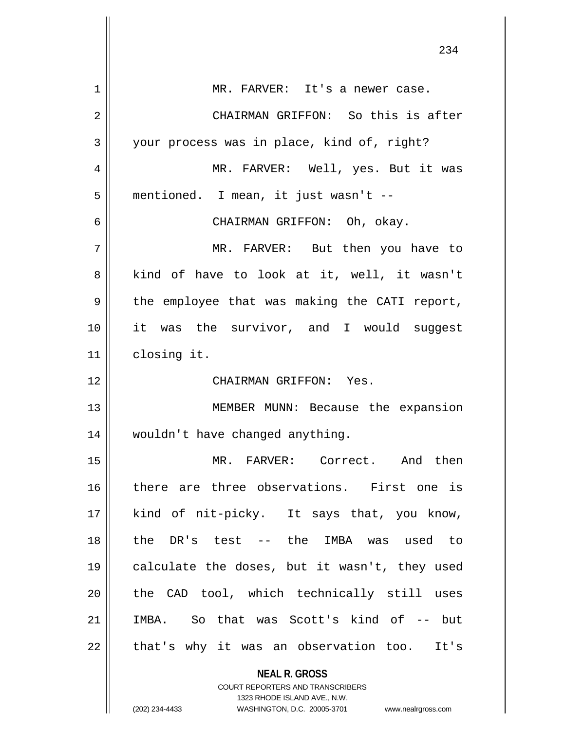|             | 234                                           |
|-------------|-----------------------------------------------|
| $\mathbf 1$ | MR. FARVER: It's a newer case.                |
| 2           | CHAIRMAN GRIFFON: So this is after            |
| 3           | your process was in place, kind of, right?    |
| 4           | MR. FARVER: Well, yes. But it was             |
| 5           | mentioned. I mean, it just wasn't --          |
| 6           | CHAIRMAN GRIFFON: Oh, okay.                   |
| 7           | MR. FARVER: But then you have to              |
| 8           | kind of have to look at it, well, it wasn't   |
| 9           | the employee that was making the CATI report, |
| 10          | it was the survivor, and I would suggest      |
| 11          | closing it.                                   |
| 12          | CHAIRMAN GRIFFON: Yes.                        |
| 13          | MEMBER MUNN: Because the expansion            |
| 14          | wouldn't have changed anything.               |
| 15          | MR. FARVER: Correct. And then                 |
| 16          | there are three observations. First one is    |
| 17          | kind of nit-picky. It says that, you know,    |
| 18          | the DR's test -- the IMBA was used to         |
| 19          | calculate the doses, but it wasn't, they used |
| 20          | the CAD tool, which technically still uses    |
| 21          | IMBA. So that was Scott's kind of -- but      |
| 22          | that's why it was an observation too. It's    |
|             | <b>NEAL R. GROSS</b>                          |

COURT REPORTERS AND TRANSCRIBERS 1323 RHODE ISLAND AVE., N.W.

 $\mathsf{II}$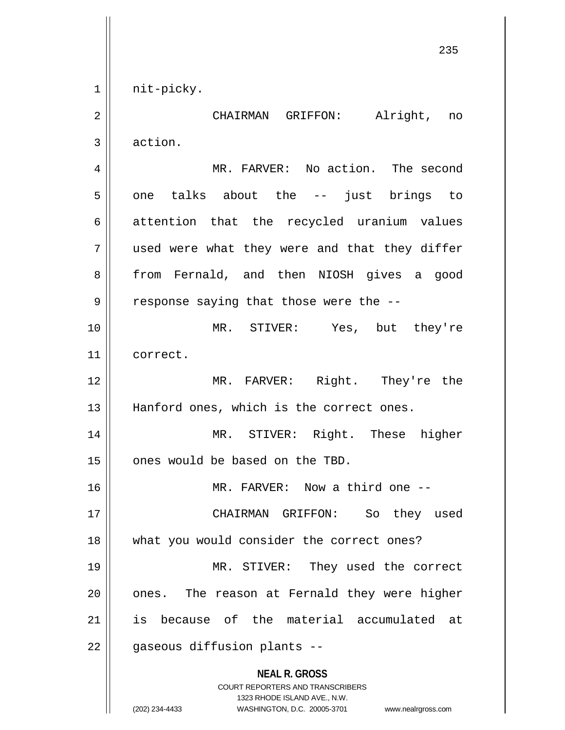1 || nit-picky.

**NEAL R. GROSS** COURT REPORTERS AND TRANSCRIBERS 1323 RHODE ISLAND AVE., N.W. (202) 234-4433 WASHINGTON, D.C. 20005-3701 www.nealrgross.com 2 CHAIRMAN GRIFFON: Alright, no 3 action. 4 | MR. FARVER: No action. The second  $5 \parallel$  one talks about the -- just brings to 6 attention that the recycled uranium values 7 || used were what they were and that they differ 8 || from Fernald, and then NIOSH gives a good  $9 \parallel$  response saying that those were the --10 MR. STIVER: Yes, but they're 11 correct. 12 MR. FARVER: Right. They're the 13 || Hanford ones, which is the correct ones. 14 MR. STIVER: Right. These higher 15 | ones would be based on the TBD. 16 || MR. FARVER: Now a third one --17 CHAIRMAN GRIFFON: So they used 18 || what you would consider the correct ones? 19 MR. STIVER: They used the correct  $20$  | ones. The reason at Fernald they were higher 21 is because of the material accumulated at 22 || gaseous diffusion plants --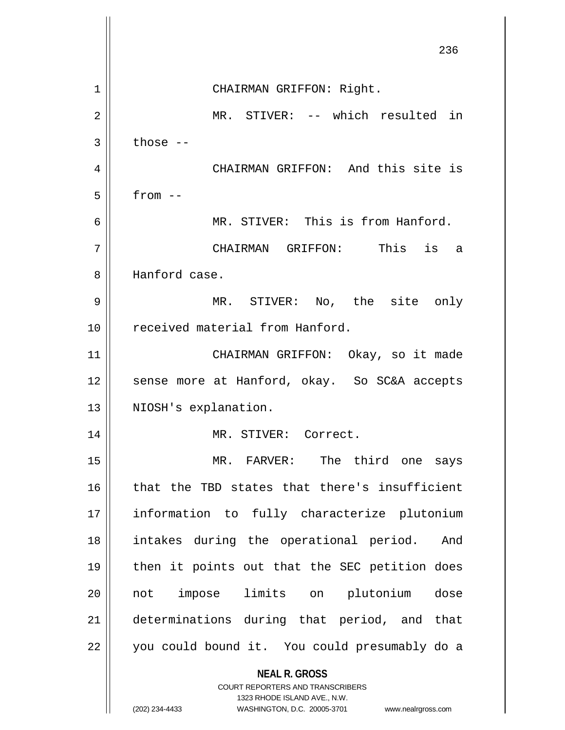|                | 236                                                                                                 |
|----------------|-----------------------------------------------------------------------------------------------------|
| 1              | CHAIRMAN GRIFFON: Right.                                                                            |
| $\overline{2}$ | MR. STIVER: -- which resulted in                                                                    |
| 3              | those $--$                                                                                          |
| 4              | CHAIRMAN GRIFFON: And this site is                                                                  |
| 5              | $from --$                                                                                           |
| 6              | MR. STIVER: This is from Hanford.                                                                   |
| 7              | CHAIRMAN GRIFFON: This is<br>a                                                                      |
| 8              | Hanford case.                                                                                       |
| 9              | MR. STIVER: No, the site only                                                                       |
| 10             | received material from Hanford.                                                                     |
| 11             | CHAIRMAN GRIFFON: Okay, so it made                                                                  |
| 12             | sense more at Hanford, okay. So SC&A accepts                                                        |
| 13             | NIOSH's explanation.                                                                                |
| 14             | MR. STIVER: Correct.                                                                                |
| 15             | MR. FARVER: The third one<br>says                                                                   |
| 16             | that the TBD states that there's insufficient                                                       |
| 17             | information to fully characterize plutonium                                                         |
| 18             | intakes during the operational period.<br>And                                                       |
| 19             | then it points out that the SEC petition does                                                       |
| 20             | impose limits on plutonium<br>dose<br>not                                                           |
| 21             | determinations during that period, and that                                                         |
| 22             | you could bound it. You could presumably do a                                                       |
|                | <b>NEAL R. GROSS</b><br><b>COURT REPORTERS AND TRANSCRIBERS</b>                                     |
|                | 1323 RHODE ISLAND AVE., N.W.<br>WASHINGTON, D.C. 20005-3701<br>(202) 234-4433<br>www.nealrgross.com |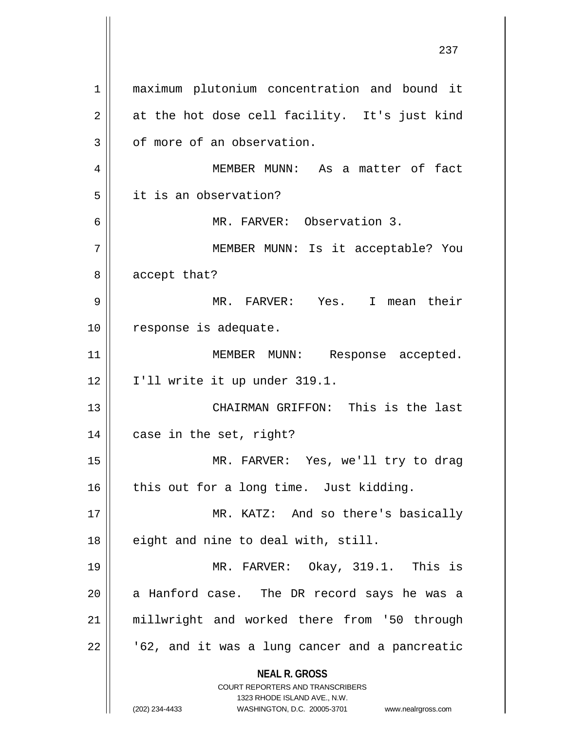**NEAL R. GROSS** COURT REPORTERS AND TRANSCRIBERS 1323 RHODE ISLAND AVE., N.W. (202) 234-4433 WASHINGTON, D.C. 20005-3701 www.nealrgross.com 1 || maximum plutonium concentration and bound it  $2 \parallel$  at the hot dose cell facility. It's just kind  $3 \parallel$  of more of an observation. 4 MEMBER MUNN: As a matter of fact 5 it is an observation? 6 MR. FARVER: Observation 3. 7 || MEMBER MUNN: Is it acceptable? You 8 | accept that? 9 MR. FARVER: Yes. I mean their 10 | response is adequate. 11 || MEMBER MUNN: Response accepted.  $12 \parallel$  I'll write it up under 319.1. 13 || CHAIRMAN GRIFFON: This is the last 14 || case in the set, right? 15 MR. FARVER: Yes, we'll try to drag  $16$  | this out for a long time. Just kidding. 17 MR. KATZ: And so there's basically  $18$  || eight and nine to deal with, still. 19 MR. FARVER: Okay, 319.1. This is  $20$  || a Hanford case. The DR record says he was a 21 || millwright and worked there from '50 through  $22$  |  $\sqrt{62}$ , and it was a lung cancer and a pancreatic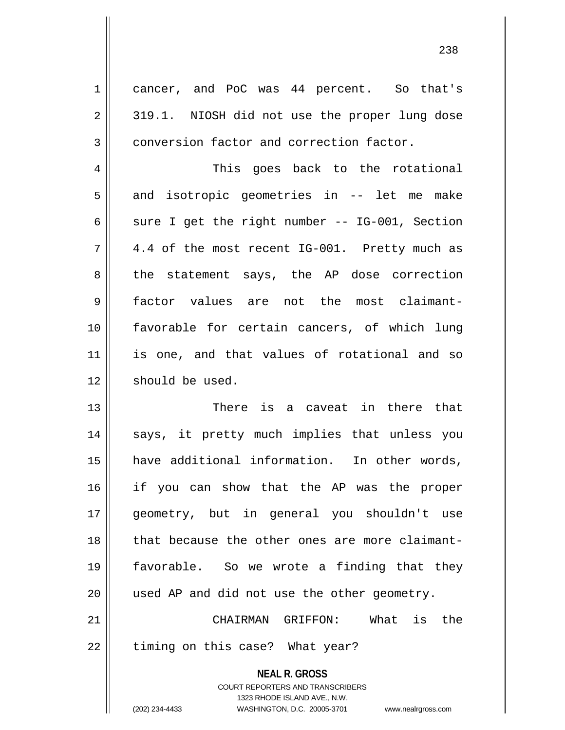1 cancer, and PoC was 44 percent. So that's  $2 \parallel 319.1$ . NIOSH did not use the proper lung dose 3 conversion factor and correction factor. 4 This goes back to the rotational  $5 \parallel$  and isotropic geometries in -- let me make 6  $\parallel$  sure I get the right number -- IG-001, Section  $7 \parallel 4.4$  of the most recent IG-001. Pretty much as 8 the statement says, the AP dose correction 9 factor values are not the most claimant-10 || favorable for certain cancers, of which lung 11 || is one, and that values of rotational and so 12 | should be used. 13 There is a caveat in there that 14 || says, it pretty much implies that unless you 15 have additional information. In other words, 16 if you can show that the AP was the proper 17 geometry, but in general you shouldn't use 18 that because the other ones are more claimant-19 favorable. So we wrote a finding that they 20 || used AP and did not use the other geometry.

21 CHAIRMAN GRIFFON: What is the 22 || timing on this case? What year?

> **NEAL R. GROSS** COURT REPORTERS AND TRANSCRIBERS 1323 RHODE ISLAND AVE., N.W. (202) 234-4433 WASHINGTON, D.C. 20005-3701 www.nealrgross.com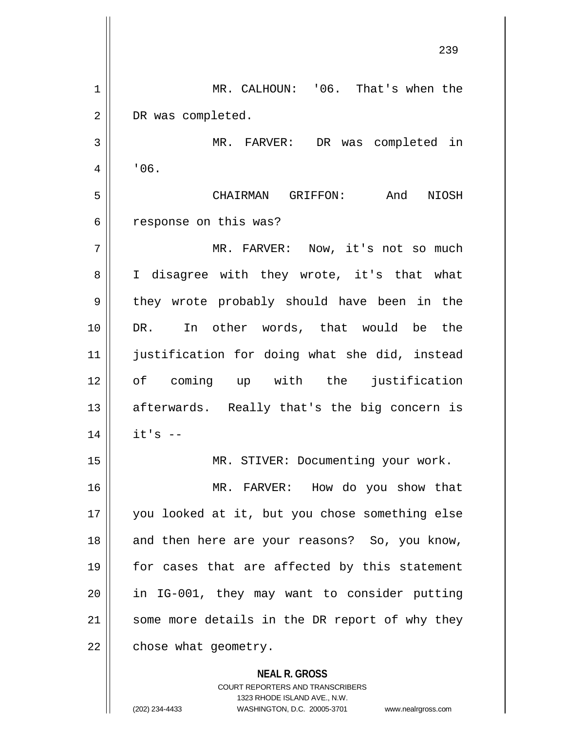**NEAL R. GROSS** COURT REPORTERS AND TRANSCRIBERS 239 1 || MR. CALHOUN: '06. That's when the 2 DR was completed. 3 MR. FARVER: DR was completed in  $4 \mid \cdot 06.$ 5 CHAIRMAN GRIFFON: And NIOSH 6 | response on this was? 7 MR. FARVER: Now, it's not so much 8 || I disagree with they wrote, it's that what 9 || they wrote probably should have been in the 10 DR. In other words, that would be the 11 justification for doing what she did, instead 12 of coming up with the justification  $13$  || afterwards. Really that's the big concern is  $14$  | it's  $-$ 15 || MR. STIVER: Documenting your work. 16 MR. FARVER: How do you show that 17 you looked at it, but you chose something else 18 || and then here are your reasons? So, you know, 19 || for cases that are affected by this statement 20 || in IG-001, they may want to consider putting  $21$  some more details in the DR report of why they  $22$  | chose what geometry.

1323 RHODE ISLAND AVE., N.W.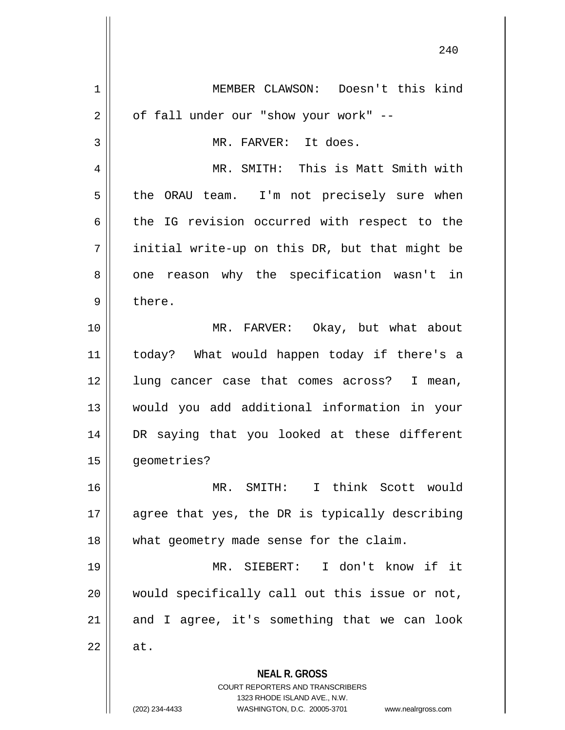**NEAL R. GROSS** COURT REPORTERS AND TRANSCRIBERS 1323 RHODE ISLAND AVE., N.W. (202) 234-4433 WASHINGTON, D.C. 20005-3701 www.nealrgross.com 1 MEMBER CLAWSON: Doesn't this kind  $2 \parallel$  of fall under our "show your work" --3 | MR. FARVER: It does. 4 MR. SMITH: This is Matt Smith with  $5 \parallel$  the ORAU team. I'm not precisely sure when 6 the IG revision occurred with respect to the  $7 \parallel$  initial write-up on this DR, but that might be 8 || one reason why the specification wasn't in  $9 \parallel$  there. 10 MR. FARVER: Okay, but what about 11 today? What would happen today if there's a 12 || lung cancer case that comes across? I mean, 13 would you add additional information in your 14 DR saying that you looked at these different 15 | qeometries? 16 MR. SMITH: I think Scott would 17 || agree that yes, the DR is typically describing 18 || what geometry made sense for the claim. 19 MR. SIEBERT: I don't know if it 20 would specifically call out this issue or not,  $21$  and I agree, it's something that we can look  $22 \parallel$  at.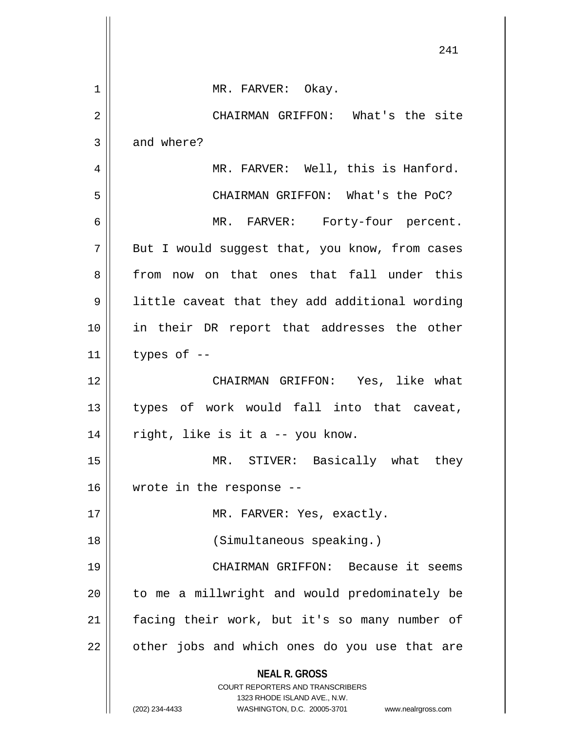|                | 241                                                                                                                                                             |
|----------------|-----------------------------------------------------------------------------------------------------------------------------------------------------------------|
| 1              | MR. FARVER: Okay.                                                                                                                                               |
| $\overline{2}$ | CHAIRMAN GRIFFON: What's the site                                                                                                                               |
| 3              | and where?                                                                                                                                                      |
| $\overline{4}$ | MR. FARVER: Well, this is Hanford.                                                                                                                              |
| 5              | CHAIRMAN GRIFFON: What's the PoC?                                                                                                                               |
| б              | MR. FARVER: Forty-four percent.                                                                                                                                 |
| 7              | But I would suggest that, you know, from cases                                                                                                                  |
| 8              | from now on that ones that fall under this                                                                                                                      |
| 9              | little caveat that they add additional wording                                                                                                                  |
| 10             | in their DR report that addresses the other                                                                                                                     |
| 11             | types of $-$                                                                                                                                                    |
| 12             | CHAIRMAN GRIFFON: Yes, like what                                                                                                                                |
| 13             | types of work would fall into that caveat,                                                                                                                      |
| 14             | right, like is it a -- you know.                                                                                                                                |
| 15             | MR. STIVER: Basically what they                                                                                                                                 |
| 16             | wrote in the response --                                                                                                                                        |
| 17             | MR. FARVER: Yes, exactly.                                                                                                                                       |
| 18             | (Simultaneous speaking.)                                                                                                                                        |
| 19             | CHAIRMAN GRIFFON: Because it seems                                                                                                                              |
| 20             | to me a millwright and would predominately be                                                                                                                   |
| 21             | facing their work, but it's so many number of                                                                                                                   |
| 22             | other jobs and which ones do you use that are                                                                                                                   |
|                | <b>NEAL R. GROSS</b><br>COURT REPORTERS AND TRANSCRIBERS<br>1323 RHODE ISLAND AVE., N.W.<br>WASHINGTON, D.C. 20005-3701<br>(202) 234-4433<br>www.nealrgross.com |

 $\mathbb{I}$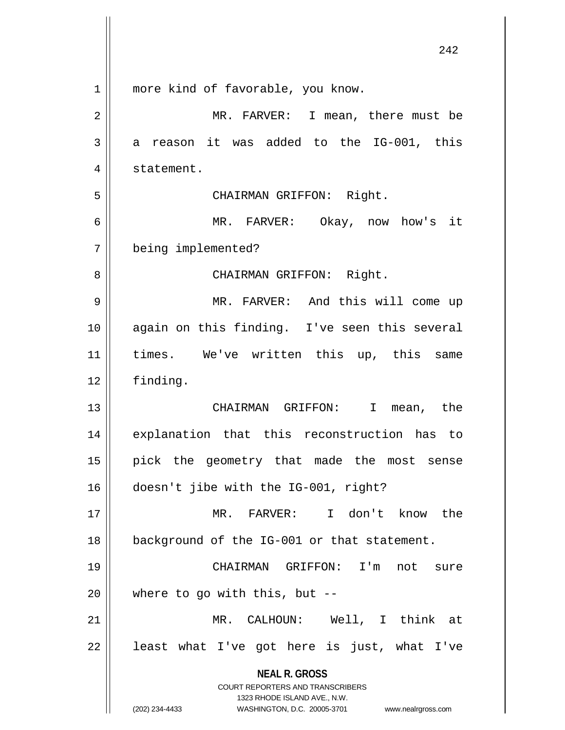|    | 242                                                                                              |
|----|--------------------------------------------------------------------------------------------------|
| 1  | more kind of favorable, you know.                                                                |
| 2  | MR. FARVER: I mean, there must be                                                                |
| 3  | reason it was added to the IG-001, this<br>a                                                     |
| 4  | statement.                                                                                       |
| 5  | CHAIRMAN GRIFFON: Right.                                                                         |
| 6  | MR. FARVER: Okay, now how's it                                                                   |
| 7  | being implemented?                                                                               |
| 8  | CHAIRMAN GRIFFON: Right.                                                                         |
| 9  | MR. FARVER: And this will come up                                                                |
| 10 | again on this finding. I've seen this several                                                    |
| 11 | times. We've written this up, this<br>same                                                       |
| 12 | finding.                                                                                         |
| 13 | CHAIRMAN GRIFFON: I<br>mean, the                                                                 |
| 14 | explanation that this reconstruction has to                                                      |
| 15 | pick the geometry that made the most sense                                                       |
| 16 | doesn't jibe with the IG-001, right?                                                             |
| 17 | MR. FARVER: I don't know the                                                                     |
| 18 | background of the IG-001 or that statement.                                                      |
| 19 | CHAIRMAN GRIFFON: I'm<br>not sure                                                                |
| 20 | where to go with this, but $-$ -                                                                 |
| 21 | MR. CALHOUN: Well, I think at                                                                    |
| 22 | least what I've got here is just, what I've                                                      |
|    | <b>NEAL R. GROSS</b>                                                                             |
|    | <b>COURT REPORTERS AND TRANSCRIBERS</b>                                                          |
|    | 1323 RHODE ISLAND AVE., N.W.<br>(202) 234-4433<br>WASHINGTON, D.C. 20005-3701 www.nealrgross.com |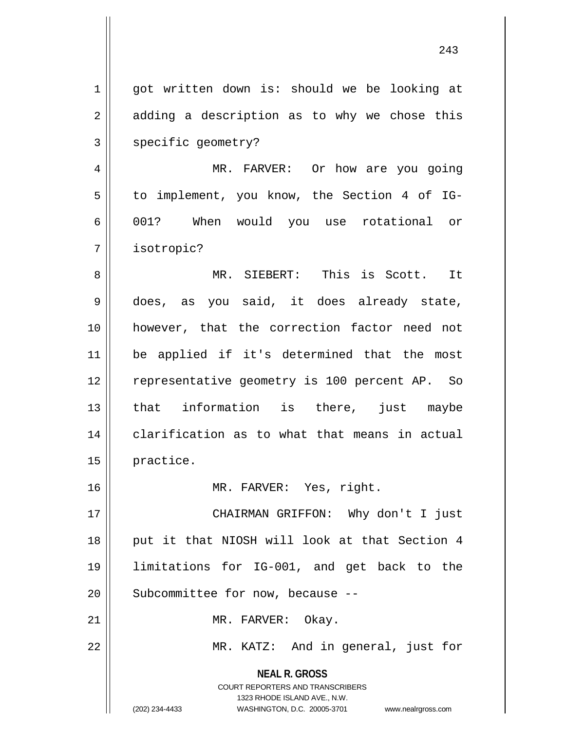**NEAL R. GROSS** COURT REPORTERS AND TRANSCRIBERS 1 || got written down is: should we be looking at  $2 \parallel$  adding a description as to why we chose this 3 | specific geometry? 4 MR. FARVER: Or how are you going 5 | to implement, you know, the Section 4 of IG-6 001? When would you use rotational or 7 isotropic? 8 MR. SIEBERT: This is Scott. It 9 || does, as you said, it does already state, 10 however, that the correction factor need not 11 be applied if it's determined that the most 12 || representative geometry is 100 percent AP. So 13 || that information is there, just maybe 14 || clarification as to what that means in actual 15 practice. 16 MR. FARVER: Yes, right. 17 CHAIRMAN GRIFFON: Why don't I just 18 || put it that NIOSH will look at that Section 4 19 limitations for IG-001, and get back to the  $20$  | Subcommittee for now, because  $-$ 21 | MR. FARVER: Okay. 22 || MR. KATZ: And in general, just for

1323 RHODE ISLAND AVE., N.W.

(202) 234-4433 WASHINGTON, D.C. 20005-3701 www.nealrgross.com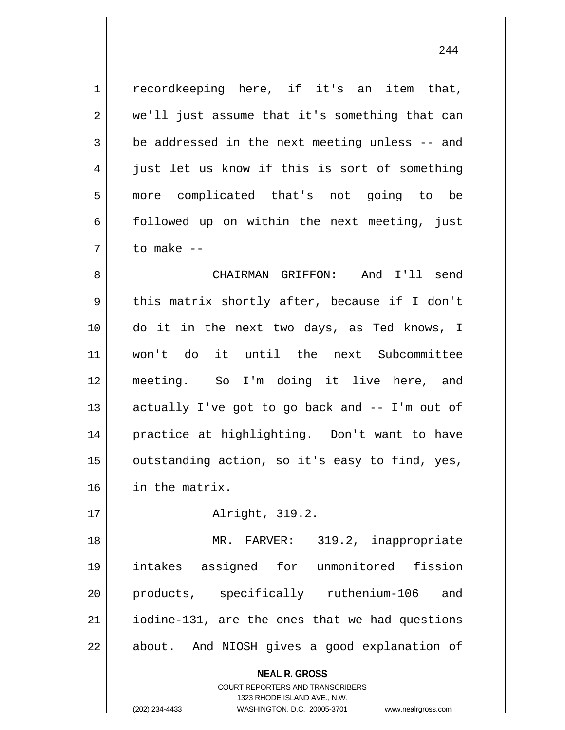1 || recordkeeping here, if it's an item that, 2 || we'll just assume that it's something that can  $3 \parallel$  be addressed in the next meeting unless -- and 4 || just let us know if this is sort of something 5 more complicated that's not going to be  $6 \parallel$  followed up on within the next meeting, just 7 to make --

 CHAIRMAN GRIFFON: And I'll send 9 || this matrix shortly after, because if I don't do it in the next two days, as Ted knows, I won't do it until the next Subcommittee meeting. So I'm doing it live here, and  $\parallel$  actually I've got to go back and -- I'm out of practice at highlighting. Don't want to have | outstanding action, so it's easy to find, yes, in the matrix.

17 || **Alright, 319.2.** 

18 || MR. FARVER: 319.2, inappropriate 19 intakes assigned for unmonitored fission 20 products, specifically ruthenium-106 and 21 | iodine-131, are the ones that we had questions 22 || about. And NIOSH gives a good explanation of

**NEAL R. GROSS**

COURT REPORTERS AND TRANSCRIBERS 1323 RHODE ISLAND AVE., N.W. (202) 234-4433 WASHINGTON, D.C. 20005-3701 www.nealrgross.com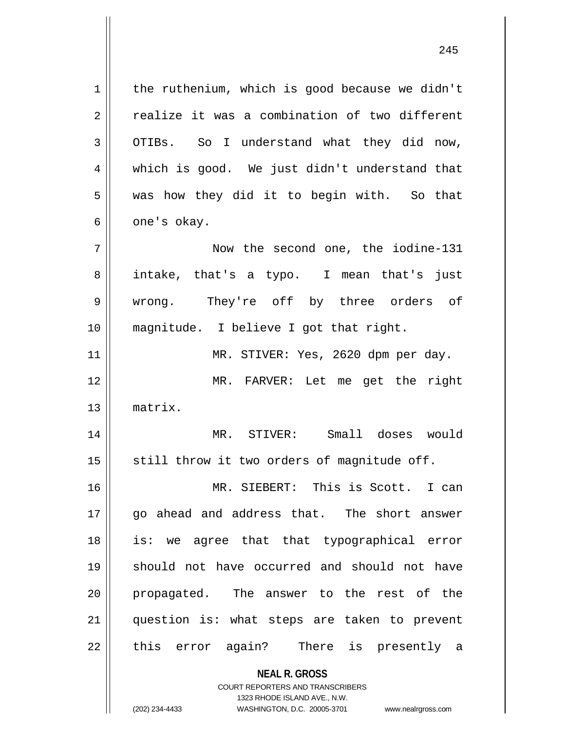1 | the ruthenium, which is good because we didn't 2 Fealize it was a combination of two different 3 OTIBs. So I understand what they did now, 4 which is good. We just didn't understand that  $5 \parallel$  was how they did it to begin with. So that  $6 \parallel$  one's okay. 7 || Now the second one, the iodine-131 8 intake, that's a typo. I mean that's just 9 wrong. They're off by three orders of 10 magnitude. I believe I got that right. 11 || MR. STIVER: Yes, 2620 dpm per day. 12 MR. FARVER: Let me get the right 13 matrix. 14 MR. STIVER: Small doses would  $15$  | still throw it two orders of magnitude off. 16 MR. SIEBERT: This is Scott. I can 17 || qo ahead and address that. The short answer 18 is: we agree that that typographical error 19 should not have occurred and should not have 20 || propagated. The answer to the rest of the 21 question is: what steps are taken to prevent 22 || this error again? There is presently a

> **NEAL R. GROSS** COURT REPORTERS AND TRANSCRIBERS 1323 RHODE ISLAND AVE., N.W.

(202) 234-4433 WASHINGTON, D.C. 20005-3701 www.nealrgross.com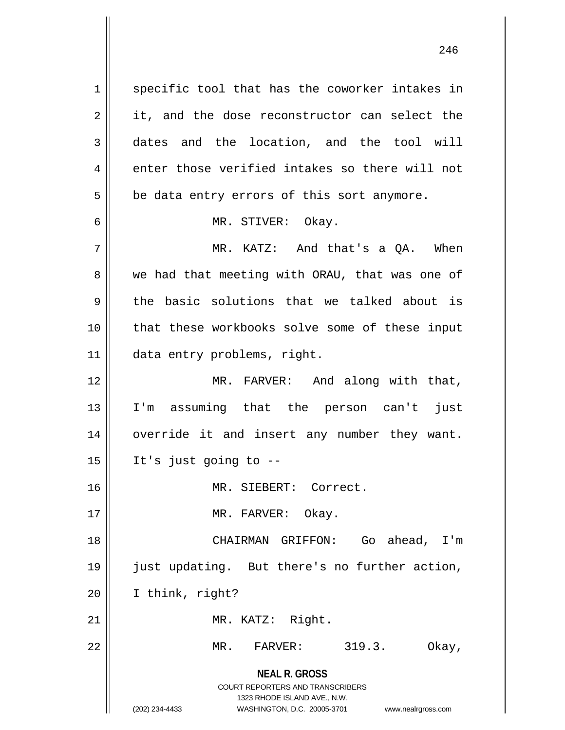**NEAL R. GROSS** COURT REPORTERS AND TRANSCRIBERS 1323 RHODE ISLAND AVE., N.W. (202) 234-4433 WASHINGTON, D.C. 20005-3701 www.nealrgross.com  $1 \parallel$  specific tool that has the coworker intakes in  $2 \parallel$  it, and the dose reconstructor can select the 3 dates and the location, and the tool will  $4 \parallel$  enter those verified intakes so there will not  $5 \parallel$  be data entry errors of this sort anymore. 6 MR. STIVER: Okay.  $7 \parallel$  MR. KATZ: And that's a QA. When 8 we had that meeting with ORAU, that was one of  $9 \parallel$  the basic solutions that we talked about is 10 || that these workbooks solve some of these input 11 | data entry problems, right. 12 || MR. FARVER: And along with that, 13 I'm assuming that the person can't just 14 || override it and insert any number they want.  $15$  | It's just going to  $-$ 16 MR. SIEBERT: Correct. 17 || MR. FARVER: Okay. 18 CHAIRMAN GRIFFON: Go ahead, I'm 19 just updating. But there's no further action, 20 I think, right? 21 || MR. KATZ: Right. 22 MR. FARVER: 319.3. Okay,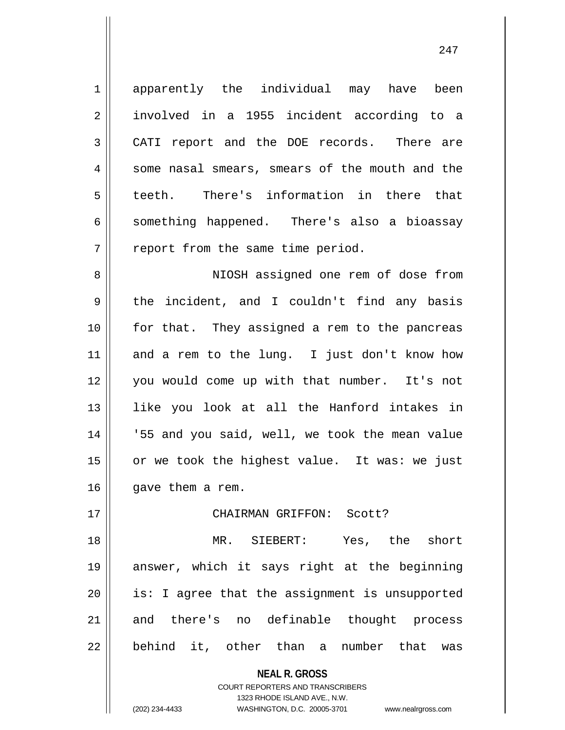1 apparently the individual may have been 2 involved in a 1955 incident according to a 3 CATI report and the DOE records. There are 4 || some nasal smears, smears of the mouth and the 5 teeth. There's information in there that  $6 \parallel$  something happened. There's also a bioassay  $7$  | report from the same time period. 8 NIOSH assigned one rem of dose from  $9 \parallel$  the incident, and I couldn't find any basis 10 for that. They assigned a rem to the pancreas 11 || and a rem to the lung. I just don't know how 12 you would come up with that number. It's not 13 like you look at all the Hanford intakes in 14 || 55 and you said, well, we took the mean value 15  $\parallel$  or we took the highest value. It was: we just

 $16$  | qave them a rem.

## 17 CHAIRMAN GRIFFON: Scott?

18 MR. SIEBERT: Yes, the short 19 answer, which it says right at the beginning 20 || is: I agree that the assignment is unsupported 21 and there's no definable thought process 22 || behind it, other than a number that was

1323 RHODE ISLAND AVE., N.W.

**NEAL R. GROSS** COURT REPORTERS AND TRANSCRIBERS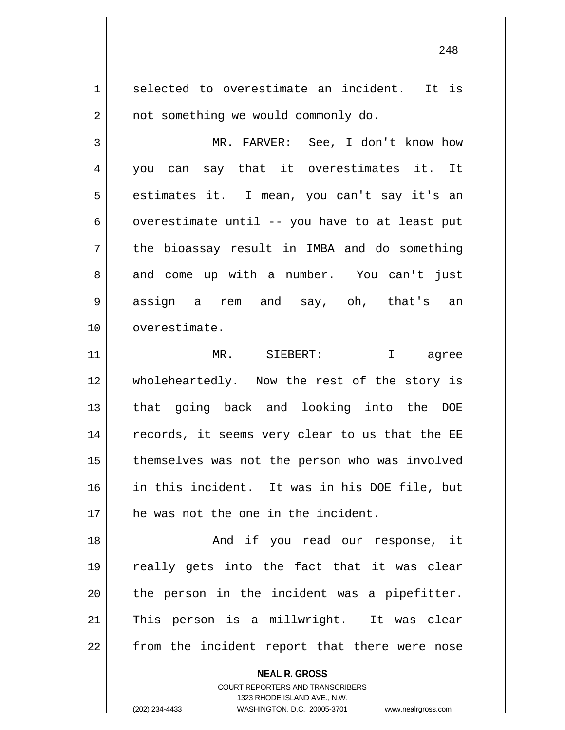1 selected to overestimate an incident. It is  $2 \parallel$  not something we would commonly do.

3 MR. FARVER: See, I don't know how 4 || you can say that it overestimates it. It 5 estimates it. I mean, you can't say it's an 6 | overestimate until -- you have to at least put  $7 \parallel$  the bioassay result in IMBA and do something 8 and come up with a number. You can't just 9 assign a rem and say, oh, that's an 10 overestimate.

11 MR. SIEBERT: I agree 12 wholeheartedly. Now the rest of the story is 13 || that going back and looking into the DOE 14 || records, it seems very clear to us that the EE 15 | themselves was not the person who was involved 16 in this incident. It was in his DOE file, but 17 || he was not the one in the incident.

18 And if you read our response, it 19 really gets into the fact that it was clear  $20$  || the person in the incident was a pipefitter. 21 || This person is a millwright. It was clear 22 || from the incident report that there were nose

**NEAL R. GROSS**

COURT REPORTERS AND TRANSCRIBERS 1323 RHODE ISLAND AVE., N.W. (202) 234-4433 WASHINGTON, D.C. 20005-3701 www.nealrgross.com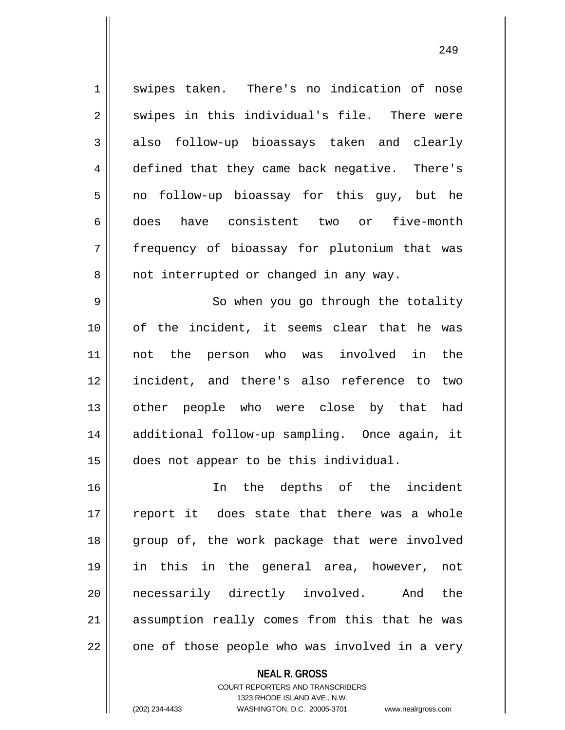1 swipes taken. There's no indication of nose  $2 \parallel$  swipes in this individual's file. There were 3 also follow-up bioassays taken and clearly 4 defined that they came back negative. There's  $5 \parallel$  no follow-up bioassay for this guy, but he 6 does have consistent two or five-month 7 frequency of bioassay for plutonium that was 8 || not interrupted or changed in any way. 9 || So when you go through the totality 10 of the incident, it seems clear that he was 11 not the person who was involved in the 12 incident, and there's also reference to two 13 || other people who were close by that had 14 || additional follow-up sampling. Once again, it 15 does not appear to be this individual. 16 In the depths of the incident  $17$  report it does state that there was a whole 18 group of, the work package that were involved 19 in this in the general area, however, not 20 || necessarily directly involved. And the 21 || assumption really comes from this that he was  $22$  |  $\degree$  one of those people who was involved in a very

**NEAL R. GROSS**

COURT REPORTERS AND TRANSCRIBERS 1323 RHODE ISLAND AVE., N.W. (202) 234-4433 WASHINGTON, D.C. 20005-3701 www.nealrgross.com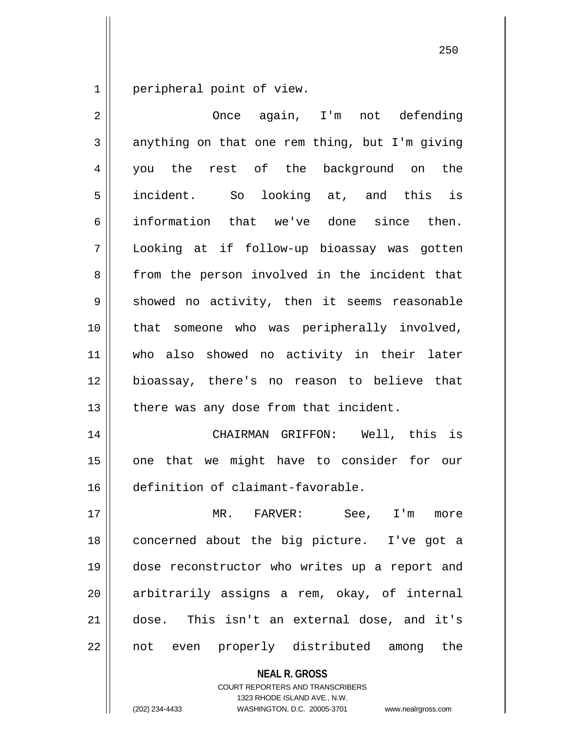1 peripheral point of view.

| $\overline{2}$ | Once again, I'm not defending                  |
|----------------|------------------------------------------------|
| 3              | anything on that one rem thing, but I'm giving |
| $\overline{4}$ | you the rest of the background on the          |
| 5              | incident. So looking at, and this is           |
| 6              | information that we've done since then.        |
| 7              | Looking at if follow-up bioassay was gotten    |
| 8              | from the person involved in the incident that  |
| 9              | showed no activity, then it seems reasonable   |
| 10             | that someone who was peripherally involved,    |
| 11             | who also showed no activity in their later     |
| 12             | bioassay, there's no reason to believe that    |
| 13             | there was any dose from that incident.         |
| 14             | CHAIRMAN GRIFFON: Well, this is                |
| 15             | one that we might have to consider for our     |
| 16             | definition of claimant-favorable.              |
| 17             | MR. FARVER: See, I'm<br>more                   |
| 18             | concerned about the big picture. I've got a    |
| 19             | dose reconstructor who writes up a report and  |
| 20             | arbitrarily assigns a rem, okay, of internal   |
| 21             | dose. This isn't an external dose, and it's    |
| 22             | not even properly distributed among the        |
|                | <b>NEAL R. GROSS</b>                           |

COURT REPORTERS AND TRANSCRIBERS 1323 RHODE ISLAND AVE., N.W.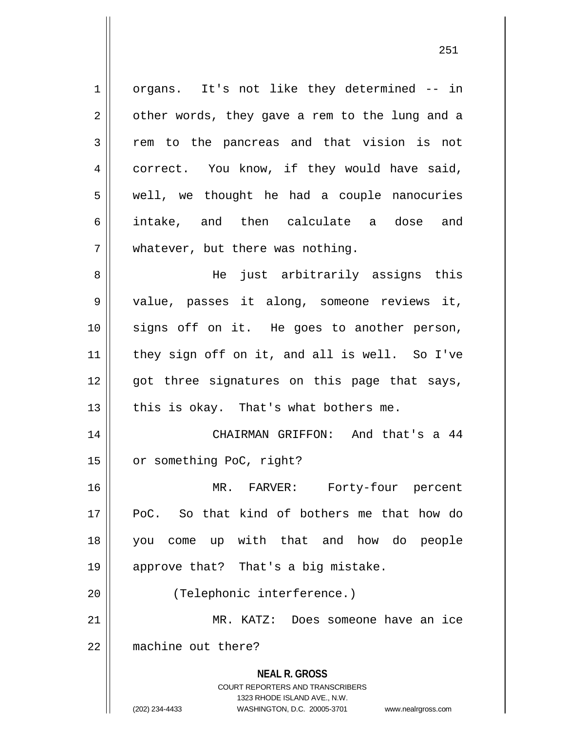**NEAL R. GROSS** COURT REPORTERS AND TRANSCRIBERS 1323 RHODE ISLAND AVE., N.W. (202) 234-4433 WASHINGTON, D.C. 20005-3701 www.nealrgross.com 1 || organs. It's not like they determined -- in  $2 \parallel$  other words, they gave a rem to the lung and a 3 Trem to the pancreas and that vision is not 4 correct. You know, if they would have said, 5 || well, we thought he had a couple nanocuries 6 intake, and then calculate a dose and  $7$  | whatever, but there was nothing. 8 He just arbitrarily assigns this 9 || value, passes it along, someone reviews it, 10 signs off on it. He goes to another person, 11 they sign off on it, and all is well. So I've 12 || got three signatures on this page that says,  $13$  | this is okay. That's what bothers me. 14 || CHAIRMAN GRIFFON: And that's a 44 15 | or something PoC, right? 16 MR. FARVER: Forty-four percent 17 PoC. So that kind of bothers me that how do 18 you come up with that and how do people 19 || approve that? That's a big mistake. 20 || (Telephonic interference.) 21 MR. KATZ: Does someone have an ice 22 machine out there?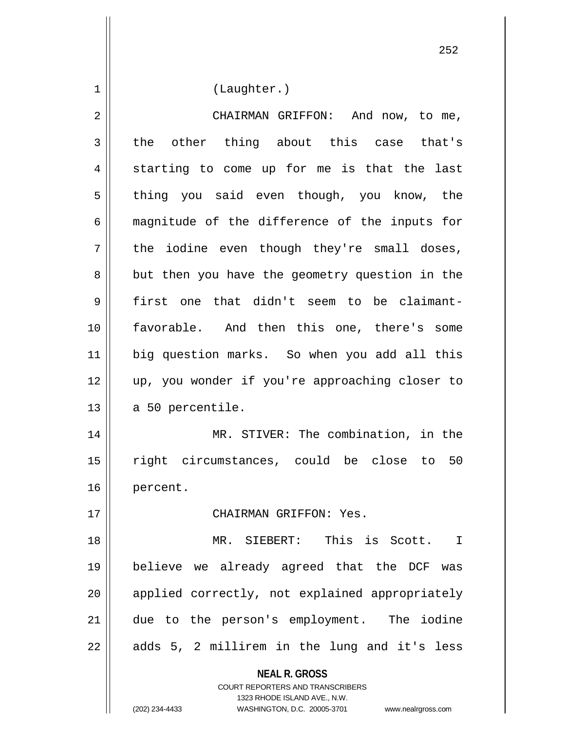**NEAL R. GROSS** 1 | (Laughter.) 2 | CHAIRMAN GRIFFON: And now, to me,  $3 \parallel$  the other thing about this case that's 4 || starting to come up for me is that the last 5 || thing you said even though, you know, the 6 magnitude of the difference of the inputs for  $7 \parallel$  the iodine even though they're small doses, 8 || but then you have the geometry question in the 9 first one that didn't seem to be claimant-10 favorable. And then this one, there's some 11 big question marks. So when you add all this 12 up, you wonder if you're approaching closer to  $13 \parallel$  a 50 percentile. 14 MR. STIVER: The combination, in the 15 right circumstances, could be close to 50 16 percent. 17 CHAIRMAN GRIFFON: Yes. 18 MR. SIEBERT: This is Scott. I 19 believe we already agreed that the DCF was 20 || applied correctly, not explained appropriately 21 due to the person's employment. The iodine  $22 \parallel$  adds 5, 2 millirem in the lung and it's less

> COURT REPORTERS AND TRANSCRIBERS 1323 RHODE ISLAND AVE., N.W.

(202) 234-4433 WASHINGTON, D.C. 20005-3701 www.nealrgross.com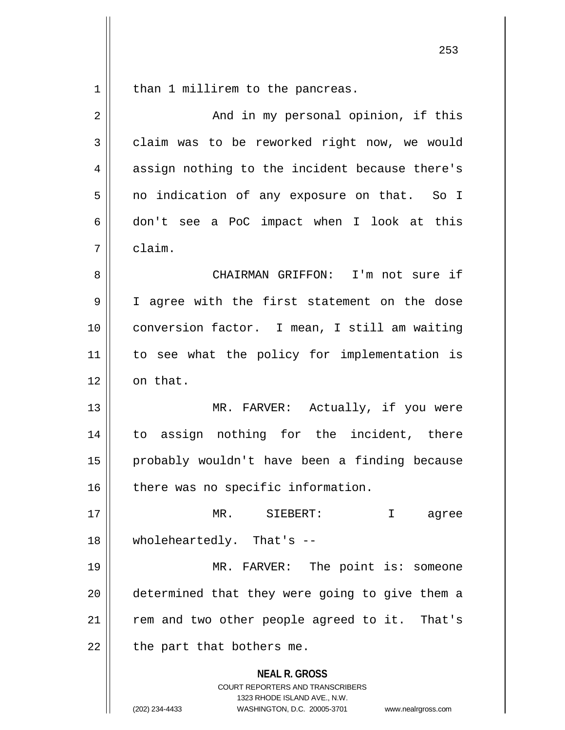than 1 millirem to the pancreas.

| $\overline{2}$ | And in my personal opinion, if this                                                                                                                             |
|----------------|-----------------------------------------------------------------------------------------------------------------------------------------------------------------|
| 3              | claim was to be reworked right now, we would                                                                                                                    |
| 4              | assign nothing to the incident because there's                                                                                                                  |
| 5              | no indication of any exposure on that. So I                                                                                                                     |
| 6              | don't see a PoC impact when I look at this                                                                                                                      |
| 7              | claim.                                                                                                                                                          |
| 8              | CHAIRMAN GRIFFON: I'm not sure if                                                                                                                               |
| 9              | I agree with the first statement on the dose                                                                                                                    |
| 10             | conversion factor. I mean, I still am waiting                                                                                                                   |
| 11             | to see what the policy for implementation is                                                                                                                    |
| 12             | on that.                                                                                                                                                        |
| 13             | MR. FARVER: Actually, if you were                                                                                                                               |
| 14             | to assign nothing for the incident, there                                                                                                                       |
| 15             | probably wouldn't have been a finding because                                                                                                                   |
| 16             | there was no specific information.                                                                                                                              |
| 17             | SIEBERT:<br>MR.<br>agree                                                                                                                                        |
| 18             | wholeheartedly. That's --                                                                                                                                       |
| 19             | MR. FARVER: The point is: someone                                                                                                                               |
| 20             | determined that they were going to give them a                                                                                                                  |
| 21             | rem and two other people agreed to it. That's                                                                                                                   |
| 22             | the part that bothers me.                                                                                                                                       |
|                | <b>NEAL R. GROSS</b><br>COURT REPORTERS AND TRANSCRIBERS<br>1323 RHODE ISLAND AVE., N.W.<br>(202) 234-4433<br>WASHINGTON, D.C. 20005-3701<br>www.nealrgross.com |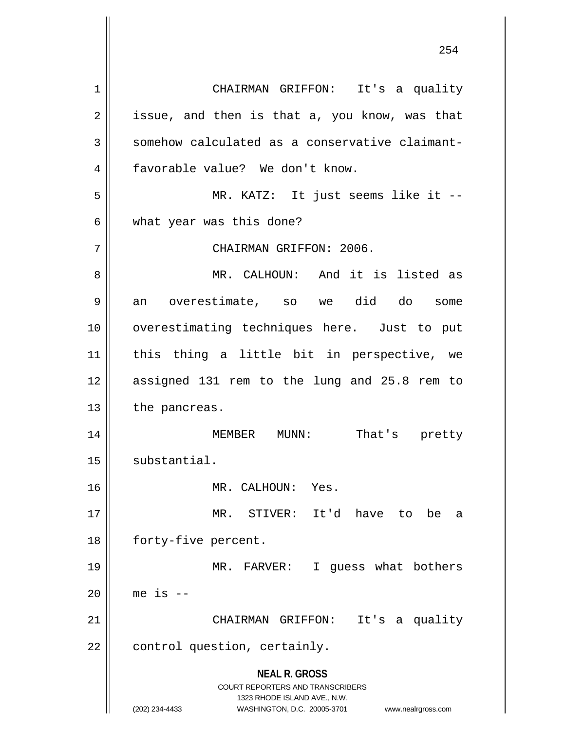**NEAL R. GROSS** COURT REPORTERS AND TRANSCRIBERS 1323 RHODE ISLAND AVE., N.W. (202) 234-4433 WASHINGTON, D.C. 20005-3701 www.nealrgross.com 1 CHAIRMAN GRIFFON: It's a quality  $2 \parallel$  issue, and then is that a, you know, was that 3 Somehow calculated as a conservative claimant-4 | favorable value? We don't know. 5 MR. KATZ: It just seems like it --  $6 \parallel$  what year was this done? 7 | CHAIRMAN GRIFFON: 2006. 8 MR. CALHOUN: And it is listed as 9 an overestimate, so we did do some 10 || overestimating techniques here. Just to put 11 this thing a little bit in perspective, we 12 assigned 131 rem to the lung and 25.8 rem to  $13$  | the pancreas. 14 MEMBER MUNN: That's pretty 15 | substantial. 16 || MR. CALHOUN: Yes. 17 MR. STIVER: It'd have to be a 18 | forty-five percent. 19 MR. FARVER: I guess what bothers 20  $\parallel$  me is  $-$ 21 CHAIRMAN GRIFFON: It's a quality  $22$  | control question, certainly.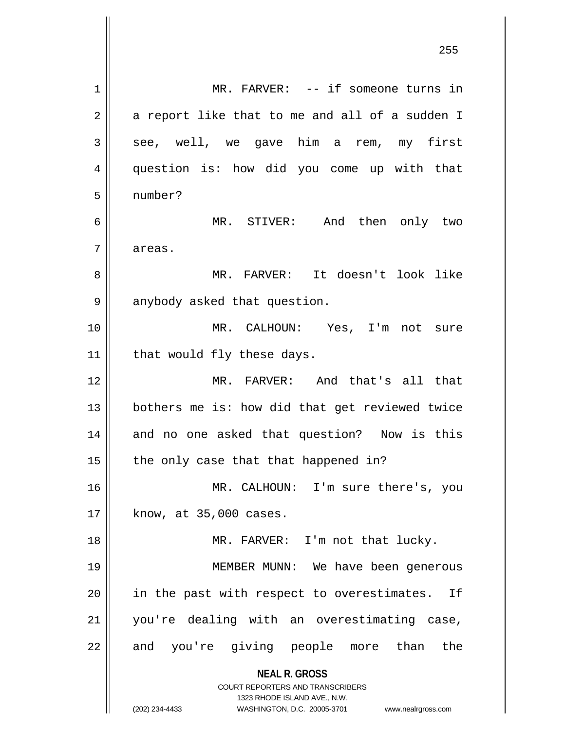**NEAL R. GROSS** COURT REPORTERS AND TRANSCRIBERS 1323 RHODE ISLAND AVE., N.W. (202) 234-4433 WASHINGTON, D.C. 20005-3701 www.nealrgross.com 1 || MR. FARVER: -- if someone turns in  $2 \parallel$  a report like that to me and all of a sudden I  $3 \parallel$  see, well, we gave him a rem, my first 4 question is: how did you come up with that 5 number? 6 MR. STIVER: And then only two 7 | areas. 8 MR. FARVER: It doesn't look like 9 || anybody asked that question. 10 MR. CALHOUN: Yes, I'm not sure  $11$  | that would fly these days. 12 MR. FARVER: And that's all that 13 bothers me is: how did that get reviewed twice 14 || and no one asked that question? Now is this  $15$  | the only case that that happened in? 16 MR. CALHOUN: I'm sure there's, you  $17$  | know, at 35,000 cases. 18 || MR. FARVER: I'm not that lucky. 19 MEMBER MUNN: We have been generous 20 || in the past with respect to overestimates. If 21 you're dealing with an overestimating case, 22 || and you're giving people more than the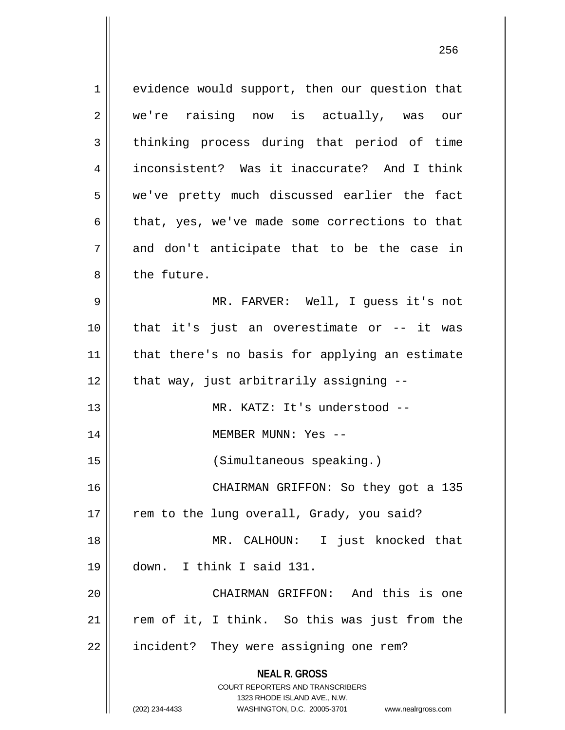**NEAL R. GROSS** COURT REPORTERS AND TRANSCRIBERS 1323 RHODE ISLAND AVE., N.W. 1 | evidence would support, then our question that 2 we're raising now is actually, was our 3 thinking process during that period of time 4 inconsistent? Was it inaccurate? And I think 5 we've pretty much discussed earlier the fact  $6 \parallel$  that, yes, we've made some corrections to that  $7 \parallel$  and don't anticipate that to be the case in 8 l the future. 9 MR. FARVER: Well, I guess it's not 10 that it's just an overestimate or -- it was 11 || that there's no basis for applying an estimate  $12$  | that way, just arbitrarily assigning  $-$ -13 MR. KATZ: It's understood -- 14 MEMBER MUNN: Yes -- 15 (Simultaneous speaking.) 16 CHAIRMAN GRIFFON: So they got a 135 17 || rem to the lung overall, Grady, you said? 18 MR. CALHOUN: I just knocked that 19 down. I think I said 131. 20 CHAIRMAN GRIFFON: And this is one  $21$  rem of it, I think. So this was just from the 22 | incident? They were assigning one rem?

(202) 234-4433 WASHINGTON, D.C. 20005-3701 www.nealrgross.com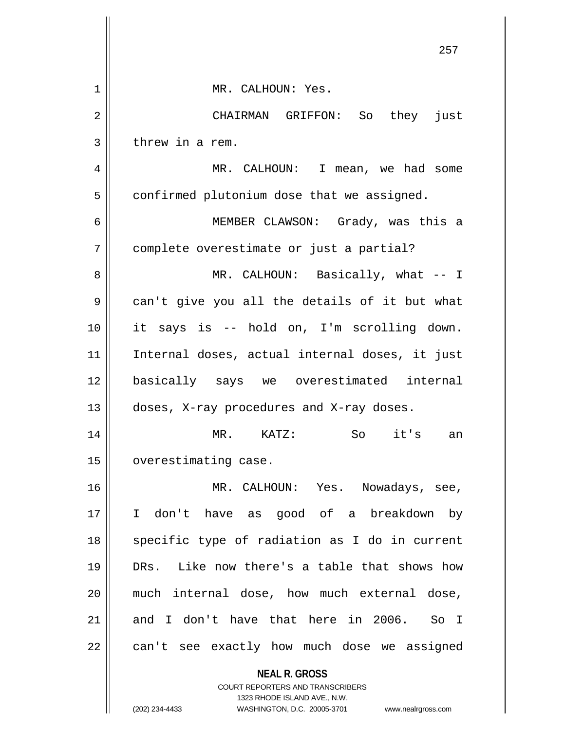|    | 257                                                                                                 |
|----|-----------------------------------------------------------------------------------------------------|
| 1  | MR. CALHOUN: Yes.                                                                                   |
| 2  | CHAIRMAN GRIFFON: So they just                                                                      |
| 3  | threw in a rem.                                                                                     |
| 4  | MR. CALHOUN: I mean, we had some                                                                    |
| 5  | confirmed plutonium dose that we assigned.                                                          |
| 6  | MEMBER CLAWSON: Grady, was this a                                                                   |
| 7  | complete overestimate or just a partial?                                                            |
| 8  | MR. CALHOUN: Basically, what -- I                                                                   |
| 9  | can't give you all the details of it but what                                                       |
| 10 | it says is -- hold on, I'm scrolling down.                                                          |
| 11 | Internal doses, actual internal doses, it just                                                      |
| 12 | basically says we overestimated internal                                                            |
| 13 | doses, X-ray procedures and X-ray doses.                                                            |
| 14 | it's<br>$MR$ .<br>$KATZ$ :<br>So<br>an                                                              |
| 15 | overestimating case.                                                                                |
| 16 | MR. CALHOUN: Yes. Nowadays, see,                                                                    |
| 17 | don't have as good of a breakdown<br>I.<br>by                                                       |
| 18 | specific type of radiation as I do in current                                                       |
| 19 | DRs. Like now there's a table that shows how                                                        |
| 20 | much internal dose, how much external dose,                                                         |
| 21 | and I don't have that here in 2006.<br>So I                                                         |
| 22 | can't see exactly how much dose we assigned                                                         |
|    | <b>NEAL R. GROSS</b><br><b>COURT REPORTERS AND TRANSCRIBERS</b>                                     |
|    | 1323 RHODE ISLAND AVE., N.W.<br>(202) 234-4433<br>WASHINGTON, D.C. 20005-3701<br>www.nealrgross.com |
|    |                                                                                                     |

 $\overline{\phantom{a}}$  $\mathbf{\mathbf{\mathsf{I}}}\mathbf{\mathsf{I}}$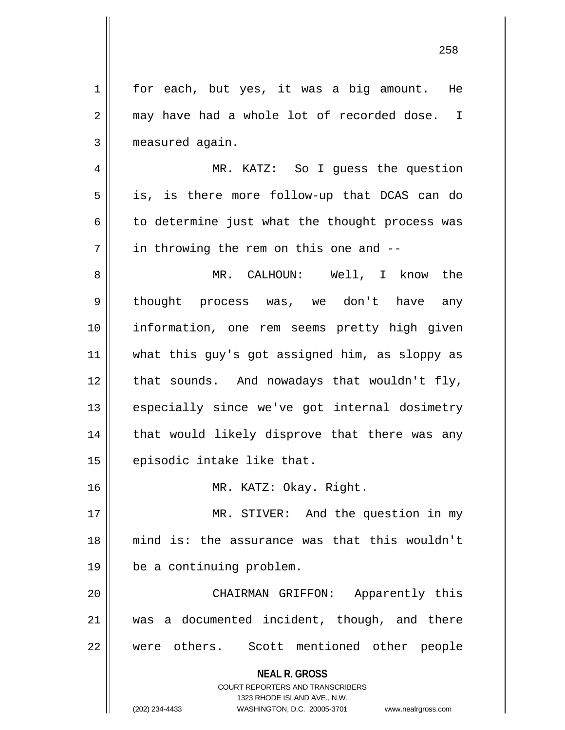**NEAL R. GROSS** COURT REPORTERS AND TRANSCRIBERS 1323 RHODE ISLAND AVE., N.W. 1 || for each, but yes, it was a big amount. He 2 may have had a whole lot of recorded dose. I 3 | measured again. 4 MR. KATZ: So I guess the question  $5 \parallel$  is, is there more follow-up that DCAS can do  $6 \parallel$  to determine just what the thought process was  $7 \parallel$  in throwing the rem on this one and  $-$ 8 MR. CALHOUN: Well, I know the 9 || thought process was, we don't have any 10 information, one rem seems pretty high given 11 what this guy's got assigned him, as sloppy as  $12$  | that sounds. And nowadays that wouldn't fly, 13 || especially since we've got internal dosimetry 14 || that would likely disprove that there was any 15 | episodic intake like that. 16 MR. KATZ: Okay. Right. 17 || MR. STIVER: And the question in my 18 mind is: the assurance was that this wouldn't 19 be a continuing problem. 20 CHAIRMAN GRIFFON: Apparently this 21 was a documented incident, though, and there 22 were others. Scott mentioned other people

(202) 234-4433 WASHINGTON, D.C. 20005-3701 www.nealrgross.com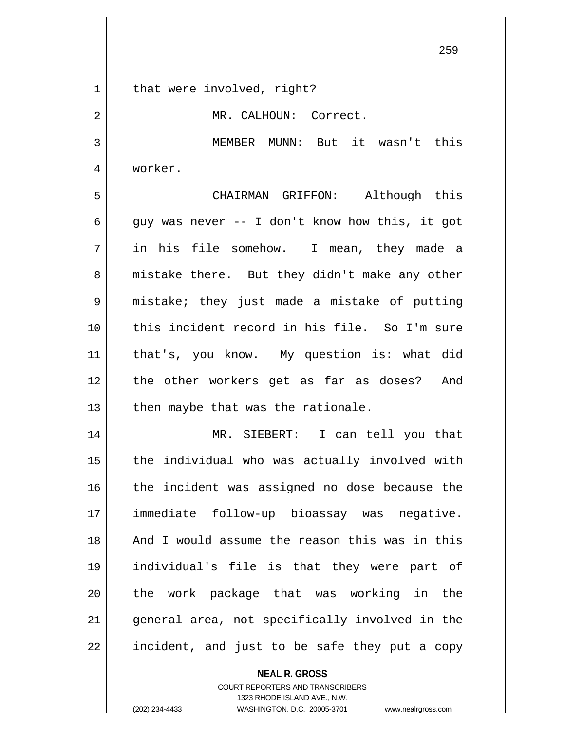| $\mathbf 1$    | that were involved, right?                     |
|----------------|------------------------------------------------|
| $\overline{2}$ | MR. CALHOUN: Correct.                          |
| 3              | MEMBER MUNN: But it wasn't this                |
| 4              | worker.                                        |
| 5              | CHAIRMAN GRIFFON: Although this                |
| 6              | guy was never -- I don't know how this, it got |
| 7              | in his file somehow. I mean, they made a       |
| 8              | mistake there. But they didn't make any other  |
| 9              | mistake; they just made a mistake of putting   |
| 10             | this incident record in his file. So I'm sure  |
| 11             | that's, you know. My question is: what did     |
| 12             | the other workers get as far as doses? And     |
| 13             | then maybe that was the rationale.             |
| 14             | MR. SIEBERT: I can tell you that               |
| 15             | the individual who was actually involved with  |
| 16             | the incident was assigned no dose because the  |
| 17             | immediate follow-up bioassay was negative.     |
| 18             | And I would assume the reason this was in this |
| 19             | individual's file is that they were part of    |
| 20             | the work package that was working in the       |
| 21             | general area, not specifically involved in the |
| 22             | incident, and just to be safe they put a copy  |

**NEAL R. GROSS** COURT REPORTERS AND TRANSCRIBERS 1323 RHODE ISLAND AVE., N.W. (202) 234-4433 WASHINGTON, D.C. 20005-3701 www.nealrgross.com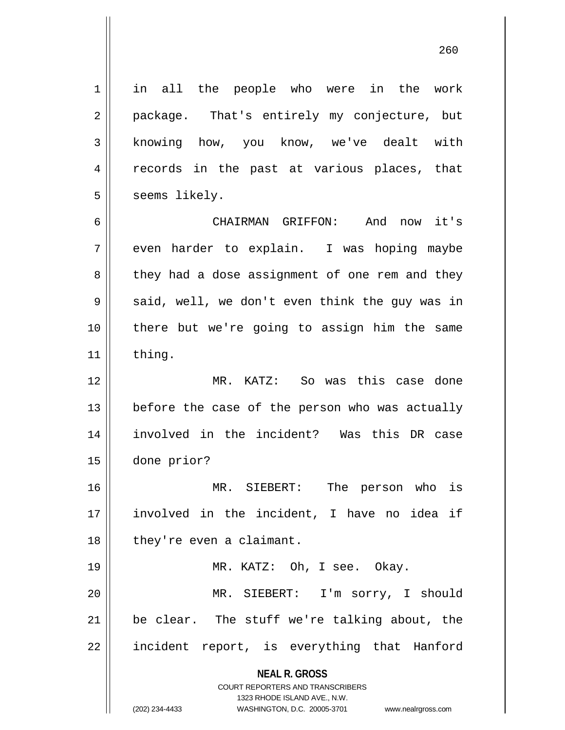1 || in all the people who were in the work 2 || package. That's entirely my conjecture, but 3 knowing how, you know, we've dealt with 4 || records in the past at various places, that  $5 \parallel$  seems likely.

6 CHAIRMAN GRIFFON: And now it's  $7 \parallel$  even harder to explain. I was hoping maybe 8 || they had a dose assignment of one rem and they  $9 \parallel$  said, well, we don't even think the guy was in 10 || there but we're going to assign him the same 11 || thing.

 MR. KATZ: So was this case done | before the case of the person who was actually involved in the incident? Was this DR case done prior?

16 MR. SIEBERT: The person who is 17 involved in the incident, I have no idea if 18 | they're even a claimant.

 MR. KATZ: Oh, I see. Okay. MR. SIEBERT: I'm sorry, I should | be clear. The stuff we're talking about, the 22 || incident report, is everything that Hanford

> **NEAL R. GROSS** COURT REPORTERS AND TRANSCRIBERS

> > 1323 RHODE ISLAND AVE., N.W.

(202) 234-4433 WASHINGTON, D.C. 20005-3701 www.nealrgross.com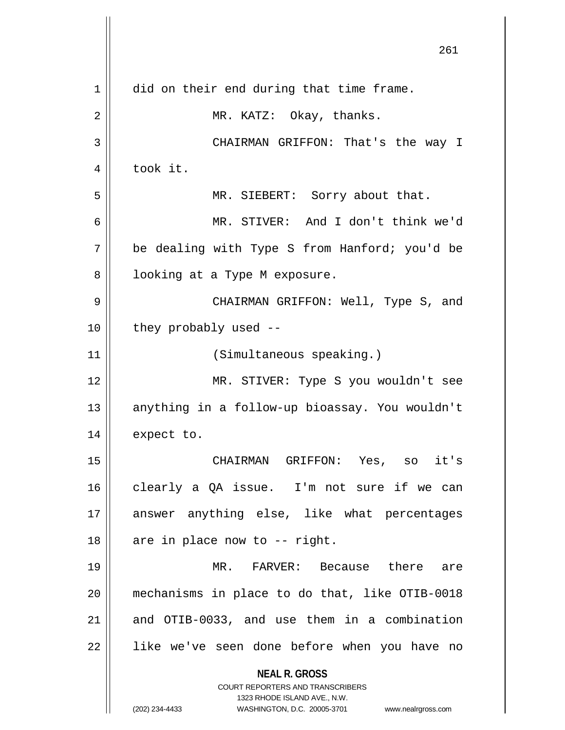|    | 261                                                                                                 |
|----|-----------------------------------------------------------------------------------------------------|
| 1  | did on their end during that time frame.                                                            |
| 2  | MR. KATZ: Okay, thanks.                                                                             |
| 3  | CHAIRMAN GRIFFON: That's the way I                                                                  |
| 4  | took it.                                                                                            |
| 5  | MR. SIEBERT: Sorry about that.                                                                      |
| 6  | MR. STIVER: And I don't think we'd                                                                  |
| 7  | be dealing with Type S from Hanford; you'd be                                                       |
| 8  | looking at a Type M exposure.                                                                       |
| 9  | CHAIRMAN GRIFFON: Well, Type S, and                                                                 |
| 10 | they probably used --                                                                               |
| 11 | (Simultaneous speaking.)                                                                            |
| 12 | MR. STIVER: Type S you wouldn't see                                                                 |
| 13 | anything in a follow-up bioassay. You wouldn't                                                      |
| 14 | expect to.                                                                                          |
| 15 | CHAIRMAN GRIFFON: Yes, so it's                                                                      |
| 16 | clearly a QA issue. I'm not sure if we can                                                          |
| 17 | answer anything else, like what percentages                                                         |
| 18 | are in place now to -- right.                                                                       |
| 19 | MR. FARVER: Because there<br>are                                                                    |
| 20 | mechanisms in place to do that, like OTIB-0018                                                      |
| 21 | and OTIB-0033, and use them in a combination                                                        |
| 22 | like we've seen done before when you have no                                                        |
|    | <b>NEAL R. GROSS</b>                                                                                |
|    | <b>COURT REPORTERS AND TRANSCRIBERS</b>                                                             |
|    | 1323 RHODE ISLAND AVE., N.W.<br>(202) 234-4433<br>WASHINGTON, D.C. 20005-3701<br>www.nealrgross.com |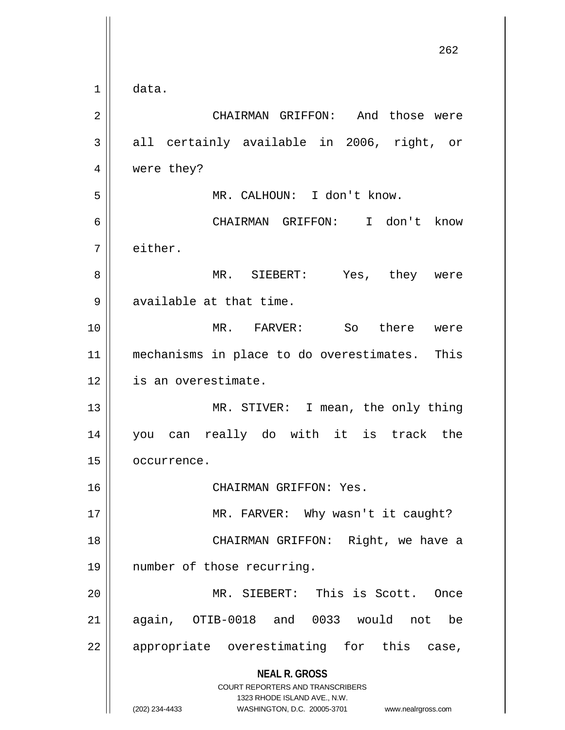**NEAL R. GROSS** COURT REPORTERS AND TRANSCRIBERS 1323 RHODE ISLAND AVE., N.W. (202) 234-4433 WASHINGTON, D.C. 20005-3701 www.nealrgross.com 262 1 data. 2 CHAIRMAN GRIFFON: And those were  $3 \parallel$  all certainly available in 2006, right, or 4 || were they? 5 MR. CALHOUN: I don't know. 6 CHAIRMAN GRIFFON: I don't know 7 either. 8 MR. SIEBERT: Yes, they were 9 || available at that time. 10 MR. FARVER: So there were 11 mechanisms in place to do overestimates. This 12 | is an overestimate. 13 || MR. STIVER: I mean, the only thing 14 you can really do with it is track the 15 | occurrence. 16 CHAIRMAN GRIFFON: Yes. 17 || MR. FARVER: Why wasn't it caught? 18 CHAIRMAN GRIFFON: Right, we have a 19 number of those recurring. 20 || MR. SIEBERT: This is Scott. Once 21 again, OTIB-0018 and 0033 would not be 22 || appropriate overestimating for this case,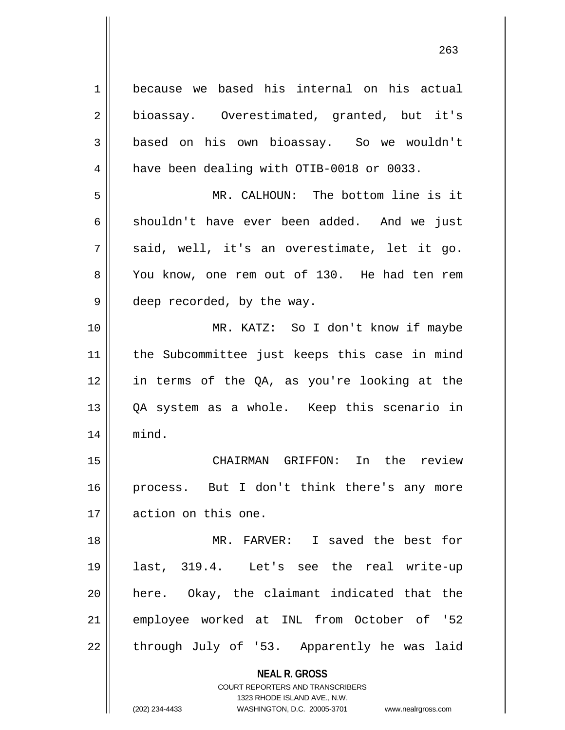**NEAL R. GROSS** COURT REPORTERS AND TRANSCRIBERS 1323 RHODE ISLAND AVE., N.W. 1 because we based his internal on his actual 2 || bioassay. Overestimated, granted, but it's 3 based on his own bioassay. So we wouldn't 4 | have been dealing with OTIB-0018 or 0033. 5 MR. CALHOUN: The bottom line is it 6 shouldn't have ever been added. And we just  $7 \parallel$  said, well, it's an overestimate, let it go. 8 || You know, one rem out of 130. He had ten rem 9 || deep recorded, by the way. 10 MR. KATZ: So I don't know if maybe 11 the Subcommittee just keeps this case in mind 12 in terms of the QA, as you're looking at the 13 QA system as a whole. Keep this scenario in 14 mind. 15 CHAIRMAN GRIFFON: In the review 16 process. But I don't think there's any more 17 action on this one. 18 MR. FARVER: I saved the best for 19 last, 319.4. Let's see the real write-up 20 here. Okay, the claimant indicated that the 21 employee worked at INL from October of '52  $22$  || through July of '53. Apparently he was laid

(202) 234-4433 WASHINGTON, D.C. 20005-3701 www.nealrgross.com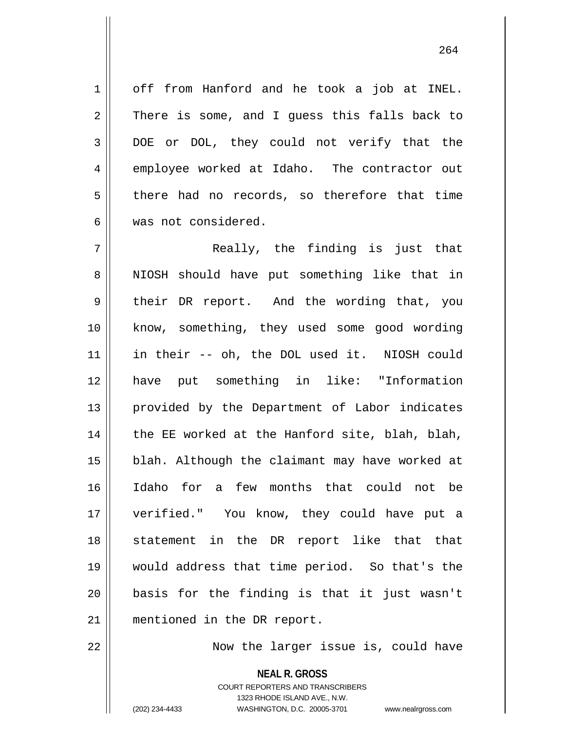1 | off from Hanford and he took a job at INEL.  $2 \parallel$  There is some, and I guess this falls back to 3 DOE or DOL, they could not verify that the 4 employee worked at Idaho. The contractor out  $5 \parallel$  there had no records, so therefore that time 6 was not considered.

 $7 \parallel$  Really, the finding is just that 8 || NIOSH should have put something like that in 9 | their DR report. And the wording that, you 10 || know, something, they used some good wording 11 in their -- oh, the DOL used it. NIOSH could 12 have put something in like: "Information 13 || provided by the Department of Labor indicates  $14$  || the EE worked at the Hanford site, blah, blah, 15 blah. Although the claimant may have worked at 16 Idaho for a few months that could not be 17 verified." You know, they could have put a 18 || statement in the DR report like that that 19 would address that time period. So that's the 20 basis for the finding is that it just wasn't 21 || mentioned in the DR report.

22 || **Now the larger issue is, could have** 

**NEAL R. GROSS** COURT REPORTERS AND TRANSCRIBERS 1323 RHODE ISLAND AVE., N.W. (202) 234-4433 WASHINGTON, D.C. 20005-3701 www.nealrgross.com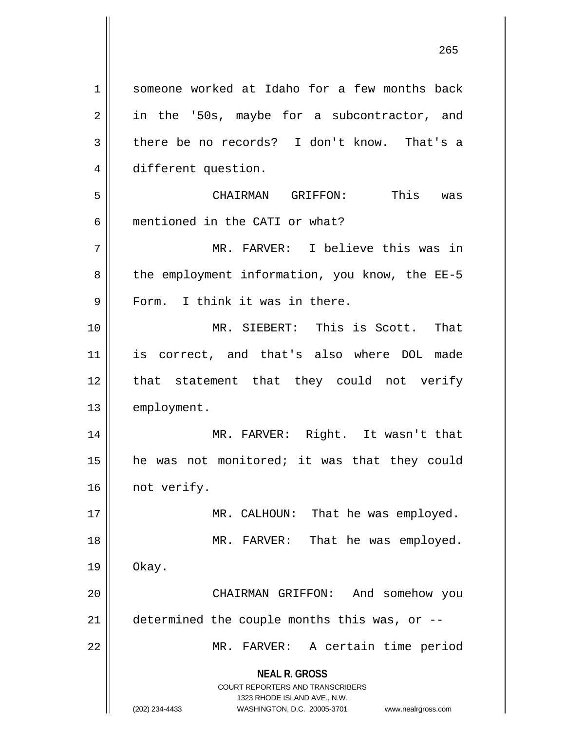**NEAL R. GROSS** COURT REPORTERS AND TRANSCRIBERS 1323 RHODE ISLAND AVE., N.W. (202) 234-4433 WASHINGTON, D.C. 20005-3701 www.nealrgross.com 1 || someone worked at Idaho for a few months back 2 || in the '50s, maybe for a subcontractor, and  $3 \parallel$  there be no records? I don't know. That's a 4 different question. 5 CHAIRMAN GRIFFON: This was 6 mentioned in the CATI or what? 7 MR. FARVER: I believe this was in 8 || the employment information, you know, the EE-5 9 || Form. I think it was in there. 10 MR. SIEBERT: This is Scott. That 11 is correct, and that's also where DOL made 12 || that statement that they could not verify 13 | employment. 14 MR. FARVER: Right. It wasn't that  $15$  | he was not monitored; it was that they could 16 | not verify. 17 || MR. CALHOUN: That he was employed. 18 || MR. FARVER: That he was employed.  $19 \parallel$  Okay. 20 | CHAIRMAN GRIFFON: And somehow you 21  $\parallel$  determined the couple months this was, or --22 || MR. FARVER: A certain time period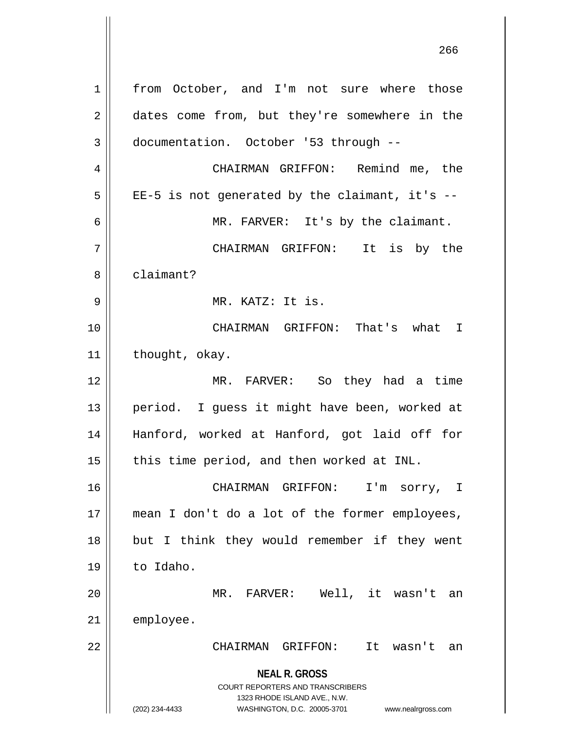**NEAL R. GROSS** COURT REPORTERS AND TRANSCRIBERS 1323 RHODE ISLAND AVE., N.W. (202) 234-4433 WASHINGTON, D.C. 20005-3701 www.nealrgross.com 1 | from October, and I'm not sure where those 2 dates come from, but they're somewhere in the documentation. October '53 through -- CHAIRMAN GRIFFON: Remind me, the | EE-5 is not generated by the claimant, it's -- MR. FARVER: It's by the claimant. CHAIRMAN GRIFFON: It is by the 8 ll claimant? MR. KATZ: It is. CHAIRMAN GRIFFON: That's what I | thought, okay. MR. FARVER: So they had a time 13 || period. I guess it might have been, worked at Hanford, worked at Hanford, got laid off for | this time period, and then worked at INL. CHAIRMAN GRIFFON: I'm sorry, I mean I don't do a lot of the former employees, 18 || but I think they would remember if they went to Idaho. MR. FARVER: Well, it wasn't an 21 | employee. CHAIRMAN GRIFFON: It wasn't an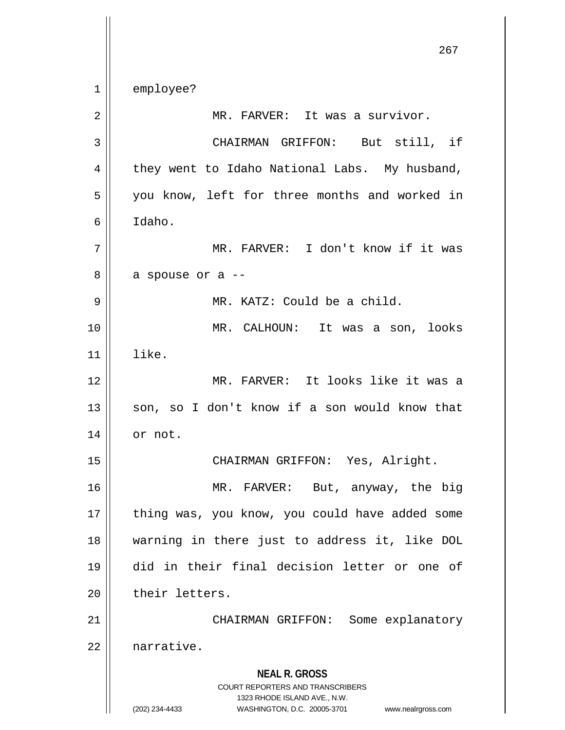1 employee?

| 2              | MR. FARVER: It was a survivor.                                      |
|----------------|---------------------------------------------------------------------|
| $\mathfrak{Z}$ | CHAIRMAN GRIFFON: But still, if                                     |
| 4              | they went to Idaho National Labs. My husband,                       |
| 5              | you know, left for three months and worked in                       |
| 6              | Idaho.                                                              |
| 7              | MR. FARVER: I don't know if it was                                  |
| 8              | a spouse or a --                                                    |
| $\mathsf 9$    | MR. KATZ: Could be a child.                                         |
| 10             | MR. CALHOUN: It was a son, looks                                    |
| 11             | like.                                                               |
| 12             | MR. FARVER: It looks like it was a                                  |
| 13             | son, so I don't know if a son would know that                       |
| 14             | or not.                                                             |
| 15             | CHAIRMAN GRIFFON: Yes, Alright.                                     |
| 16             | MR. FARVER: But, anyway, the big                                    |
| 17             | thing was, you know, you could have added some                      |
| 18             | warning in there just to address it, like DOL                       |
| 19             | did in their final decision letter or one of                        |
| 20             | their letters.                                                      |
| 21             | CHAIRMAN GRIFFON: Some explanatory                                  |
| 22             | narrative.                                                          |
|                | <b>NEAL R. GROSS</b>                                                |
|                | COURT REPORTERS AND TRANSCRIBERS<br>1323 RHODE ISLAND AVE., N.W.    |
|                | (202) 234-4433<br>WASHINGTON, D.C. 20005-3701<br>www.nealrgross.com |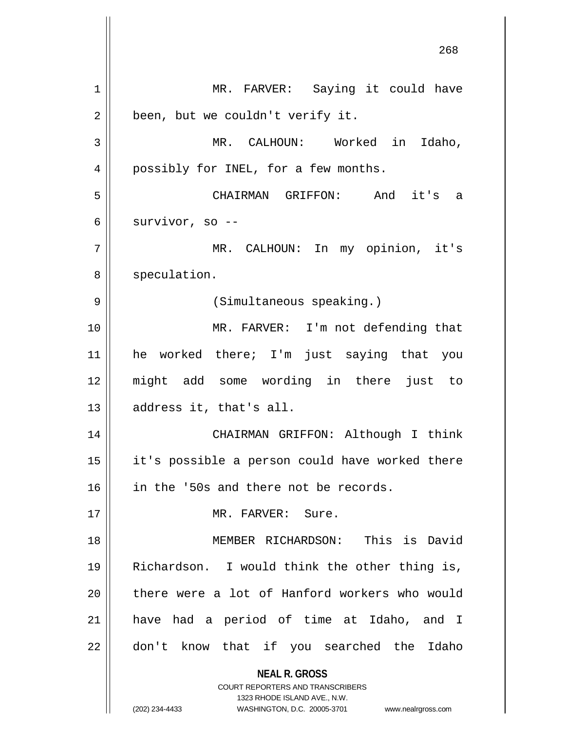**NEAL R. GROSS** COURT REPORTERS AND TRANSCRIBERS 1323 RHODE ISLAND AVE., N.W. (202) 234-4433 WASHINGTON, D.C. 20005-3701 www.nealrgross.com 1 || MR. FARVER: Saying it could have  $2 \parallel$  been, but we couldn't verify it. 3 MR. CALHOUN: Worked in Idaho, 4 || possibly for INEL, for a few months. 5 CHAIRMAN GRIFFON: And it's a  $6 \parallel$  survivor, so --7 MR. CALHOUN: In my opinion, it's 8 | speculation. 9 || (Simultaneous speaking.) 10 || MR. FARVER: I'm not defending that 11 he worked there; I'm just saying that you 12 might add some wording in there just to  $13$  || address it, that's all. 14 CHAIRMAN GRIFFON: Although I think 15 it's possible a person could have worked there 16 | in the '50s and there not be records. 17 MR. FARVER: Sure. 18 MEMBER RICHARDSON: This is David 19 Richardson. I would think the other thing is,  $20$  || there were a lot of Hanford workers who would 21 have had a period of time at Idaho, and I 22 || don't know that if you searched the Idaho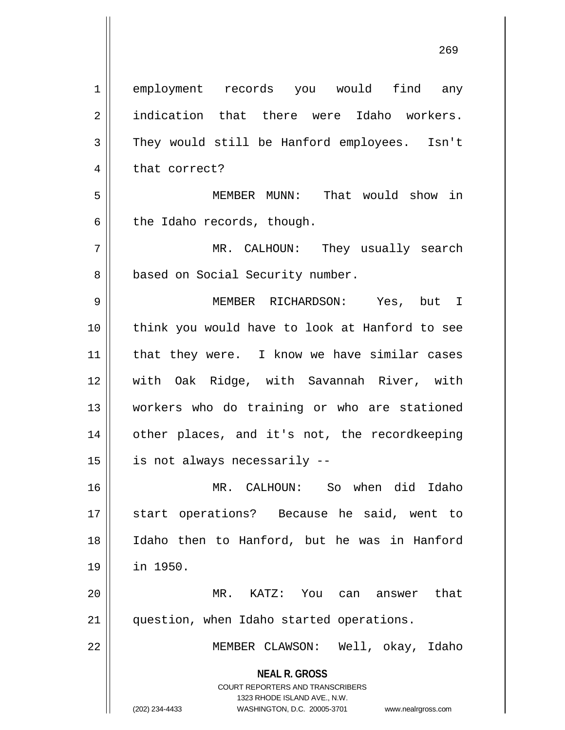**NEAL R. GROSS** COURT REPORTERS AND TRANSCRIBERS 1323 RHODE ISLAND AVE., N.W. (202) 234-4433 WASHINGTON, D.C. 20005-3701 www.nealrgross.com 1 employment records you would find any 2 || indication that there were Idaho workers. 3 They would still be Hanford employees. Isn't 4 || that correct? 5 MEMBER MUNN: That would show in  $6 \parallel$  the Idaho records, though. 7 MR. CALHOUN: They usually search 8 | based on Social Security number. 9 MEMBER RICHARDSON: Yes, but I 10 think you would have to look at Hanford to see 11 || that they were. I know we have similar cases 12 with Oak Ridge, with Savannah River, with 13 workers who do training or who are stationed 14 other places, and it's not, the recordkeeping  $15$  | is not always necessarily  $-$ 16 MR. CALHOUN: So when did Idaho 17 || start operations? Because he said, went to 18 Idaho then to Hanford, but he was in Hanford 19 in 1950. 20 MR. KATZ: You can answer that 21 question, when Idaho started operations. 22 || MEMBER CLAWSON: Well, okay, Idaho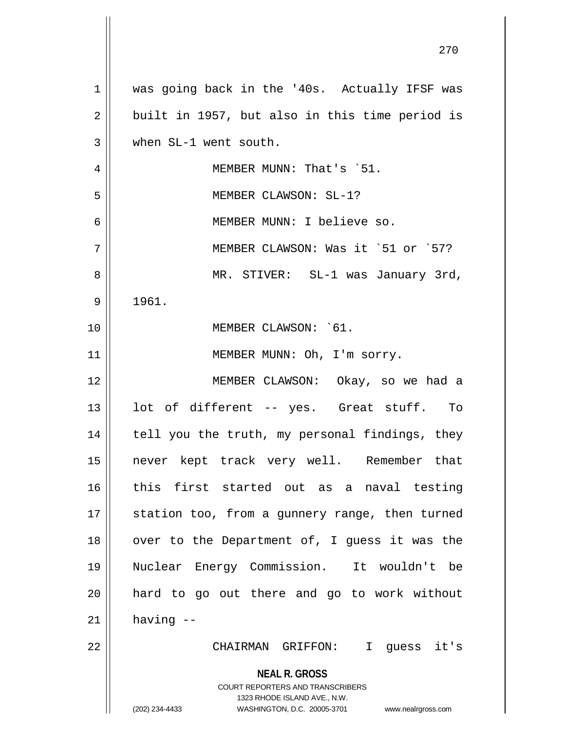**NEAL R. GROSS** COURT REPORTERS AND TRANSCRIBERS 1323 RHODE ISLAND AVE., N.W. (202) 234-4433 WASHINGTON, D.C. 20005-3701 www.nealrgross.com 1 || was going back in the '40s. Actually IFSF was  $2 \parallel$  built in 1957, but also in this time period is 3 when SL-1 went south. 4 | MEMBER MUNN: That's `51. 5 MEMBER CLAWSON: SL-1? 6 MEMBER MUNN: I believe so. 7 MEMBER CLAWSON: Was it `51 or `57? 8 || MR. STIVER: SL-1 was January 3rd,  $9 \parallel 1961.$ 10 MEMBER CLAWSON: `61. 11 || MEMBER MUNN: Oh, I'm sorry. 12 MEMBER CLAWSON: Okay, so we had a 13 || lot of different -- yes. Great stuff. To 14 || tell you the truth, my personal findings, they 15 never kept track very well. Remember that 16 this first started out as a naval testing 17 || station too, from a gunnery range, then turned  $18$  | over to the Department of, I guess it was the 19 Nuclear Energy Commission. It wouldn't be 20 hard to go out there and go to work without  $21$  having  $-$ 22 CHAIRMAN GRIFFON: I guess it's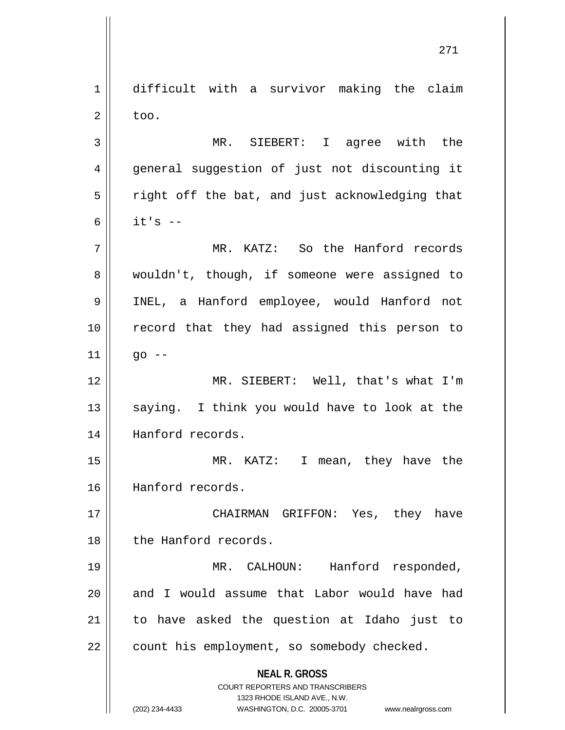**NEAL R. GROSS** COURT REPORTERS AND TRANSCRIBERS 1323 RHODE ISLAND AVE., N.W. 1 difficult with a survivor making the claim  $2 \parallel$  too. 3 MR. SIEBERT: I agree with the 4 general suggestion of just not discounting it  $5 \parallel$  right off the bat, and just acknowledging that 6  $\parallel$  it's  $-$ 7 MR. KATZ: So the Hanford records 8 || wouldn't, though, if someone were assigned to 9 INEL, a Hanford employee, would Hanford not 10 || record that they had assigned this person to  $11$  ||  $q_0$  --12 MR. SIEBERT: Well, that's what I'm  $13$  saying. I think you would have to look at the 14 || Hanford records. 15 MR. KATZ: I mean, they have the 16 Hanford records. 17 CHAIRMAN GRIFFON: Yes, they have 18 || the Hanford records. 19 MR. CALHOUN: Hanford responded,  $20$  || and I would assume that Labor would have had 21 to have asked the question at Idaho just to  $22$  | count his employment, so somebody checked.

<sup>(202) 234-4433</sup> WASHINGTON, D.C. 20005-3701 www.nealrgross.com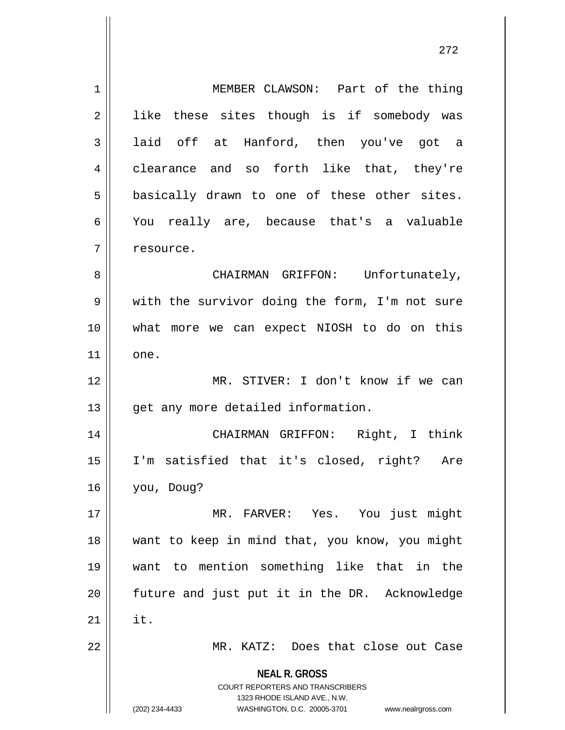**NEAL R. GROSS** COURT REPORTERS AND TRANSCRIBERS 1323 RHODE ISLAND AVE., N.W. (202) 234-4433 WASHINGTON, D.C. 20005-3701 www.nealrgross.com 1 || MEMBER CLAWSON: Part of the thing 2 || like these sites though is if somebody was 3 || laid off at Hanford, then you've got a 4 clearance and so forth like that, they're  $5 \parallel$  basically drawn to one of these other sites. 6 You really are, because that's a valuable 7 | resource. 8 | CHAIRMAN GRIFFON: Unfortunately, 9 || with the survivor doing the form, I'm not sure 10 what more we can expect NIOSH to do on this 11 || one. 12 MR. STIVER: I don't know if we can 13 || get any more detailed information. 14 CHAIRMAN GRIFFON: Right, I think 15 I'm satisfied that it's closed, right? Are 16 you, Doug? 17 MR. FARVER: Yes. You just might 18 want to keep in mind that, you know, you might 19 want to mention something like that in the 20 || future and just put it in the DR. Acknowledge  $21$   $\parallel$  it. 22 || MR. KATZ: Does that close out Case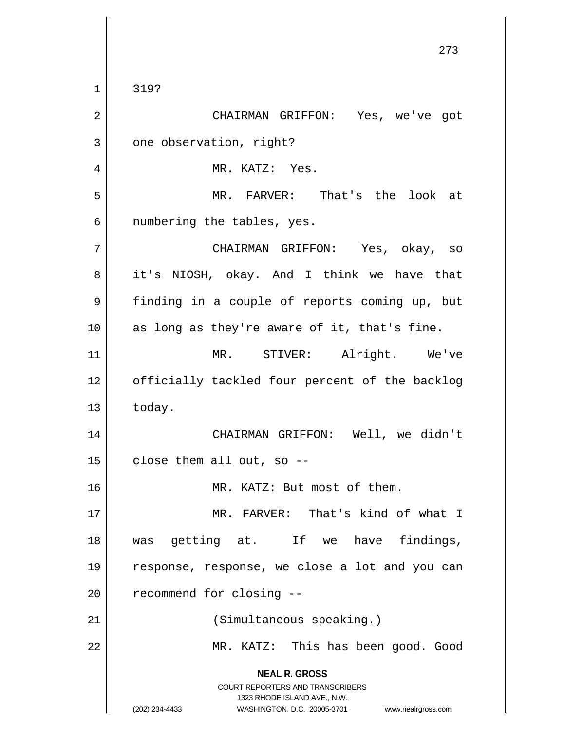**NEAL R. GROSS** COURT REPORTERS AND TRANSCRIBERS 1323 RHODE ISLAND AVE., N.W. (202) 234-4433 WASHINGTON, D.C. 20005-3701 www.nealrgross.com 1 319? 2 CHAIRMAN GRIFFON: Yes, we've got  $3 \parallel$  one observation, right? 4 || MR. KATZ: Yes. 5 MR. FARVER: That's the look at  $6 \parallel$  numbering the tables, yes. 7 CHAIRMAN GRIFFON: Yes, okay, so 8 || it's NIOSH, okay. And I think we have that 9 | finding in a couple of reports coming up, but 10 || as long as they're aware of it, that's fine. 11 || MR. STIVER: Alright. We've 12 || officially tackled four percent of the backlog  $13$   $\parallel$  today. 14 CHAIRMAN GRIFFON: Well, we didn't  $15$  | close them all out, so --16 || MR. KATZ: But most of them. 17 MR. FARVER: That's kind of what I 18 was getting at. If we have findings, 19 response, response, we close a lot and you can  $20$  || recommend for closing  $-$ 21 | (Simultaneous speaking.) 22 || MR. KATZ: This has been good. Good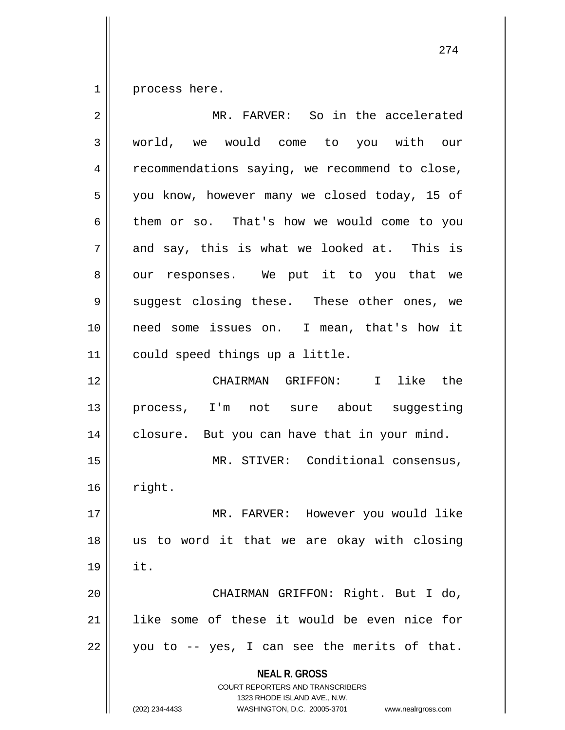$1 \parallel$  process here.

| $\overline{2}$ | MR. FARVER: So in the accelerated                                                                                                                                      |
|----------------|------------------------------------------------------------------------------------------------------------------------------------------------------------------------|
| 3              | world, we would come to you with our                                                                                                                                   |
| 4              | recommendations saying, we recommend to close,                                                                                                                         |
| 5              | you know, however many we closed today, 15 of                                                                                                                          |
| 6              | them or so. That's how we would come to you                                                                                                                            |
| 7              | and say, this is what we looked at. This is                                                                                                                            |
| 8              | our responses. We put it to you that we                                                                                                                                |
| 9              | suggest closing these. These other ones, we                                                                                                                            |
| 10             | need some issues on. I mean, that's how it                                                                                                                             |
| 11             | could speed things up a little.                                                                                                                                        |
| 12             | like the<br>CHAIRMAN GRIFFON: I                                                                                                                                        |
| 13             | process, I'm not sure about suggesting                                                                                                                                 |
| 14             | closure. But you can have that in your mind.                                                                                                                           |
| 15             | MR. STIVER: Conditional consensus,                                                                                                                                     |
| 16             | right.                                                                                                                                                                 |
| 17             | MR. FARVER: However you would like                                                                                                                                     |
| 18             | us to word it that we are okay with closing                                                                                                                            |
| 19             | it.                                                                                                                                                                    |
| 20             | CHAIRMAN GRIFFON: Right. But I do,                                                                                                                                     |
| 21             | like some of these it would be even nice for                                                                                                                           |
| 22             | you to -- yes, I can see the merits of that.                                                                                                                           |
|                | <b>NEAL R. GROSS</b><br><b>COURT REPORTERS AND TRANSCRIBERS</b><br>1323 RHODE ISLAND AVE., N.W.<br>(202) 234-4433<br>WASHINGTON, D.C. 20005-3701<br>www.nealrgross.com |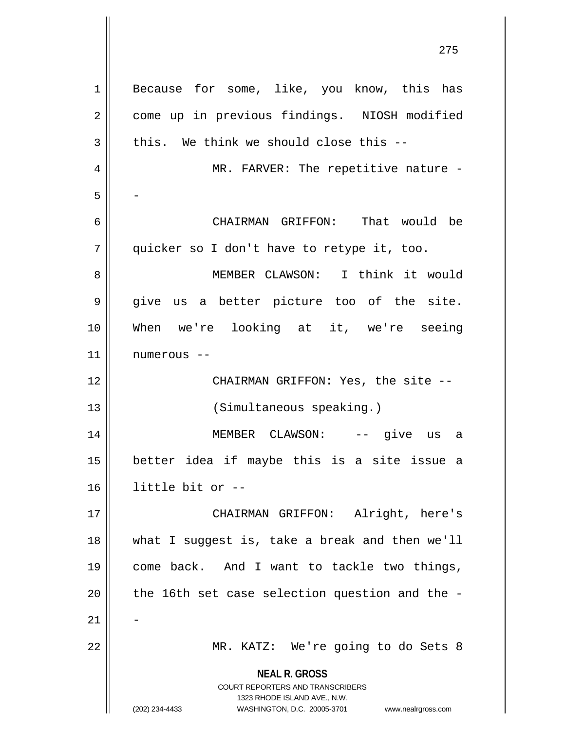| $\mathbf{1}$   | Because for some, like, you know, this has                                                      |
|----------------|-------------------------------------------------------------------------------------------------|
| $\overline{2}$ | come up in previous findings. NIOSH modified                                                    |
| 3              | this. We think we should close this --                                                          |
| $\overline{4}$ | MR. FARVER: The repetitive nature -                                                             |
| 5              |                                                                                                 |
| 6              | CHAIRMAN GRIFFON: That would be                                                                 |
| 7              | quicker so I don't have to retype it, too.                                                      |
| 8              | MEMBER CLAWSON: I think it would                                                                |
| $\mathsf 9$    | give us a better picture too of the site.                                                       |
| 10             | When we're looking at it, we're seeing                                                          |
| 11             | numerous --                                                                                     |
| 12             | CHAIRMAN GRIFFON: Yes, the site --                                                              |
| 13             | (Simultaneous speaking.)                                                                        |
| 14             | MEMBER CLAWSON: -- give us<br>a                                                                 |
| 15             | better idea if maybe this is a site issue a                                                     |
| 16             | little bit or --                                                                                |
| 17             | CHAIRMAN GRIFFON: Alright, here's                                                               |
| 18             | what I suggest is, take a break and then we'll                                                  |
| 19             | come back. And I want to tackle two things,                                                     |
| 20             | the 16th set case selection question and the -                                                  |
| 21             |                                                                                                 |
| 22             | MR. KATZ: We're going to do Sets 8                                                              |
|                | <b>NEAL R. GROSS</b><br><b>COURT REPORTERS AND TRANSCRIBERS</b><br>1323 RHODE ISLAND AVE., N.W. |
|                | (202) 234-4433<br>WASHINGTON, D.C. 20005-3701<br>www.nealrgross.com                             |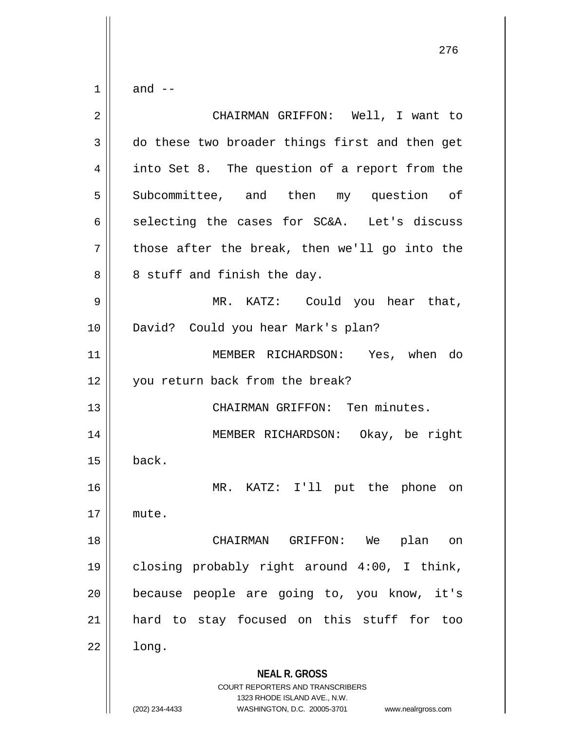$1 \parallel$  and  $-$ 

| $\mathbf 2$ | CHAIRMAN GRIFFON: Well, I want to                                                                   |
|-------------|-----------------------------------------------------------------------------------------------------|
| 3           | do these two broader things first and then get                                                      |
| 4           | into Set 8. The question of a report from the                                                       |
| 5           | Subcommittee, and then my question of                                                               |
| 6           | selecting the cases for SC&A. Let's discuss                                                         |
| 7           | those after the break, then we'll go into the                                                       |
| 8           | 8 stuff and finish the day.                                                                         |
| 9           | MR. KATZ: Could you hear that,                                                                      |
| 10          | David? Could you hear Mark's plan?                                                                  |
| 11          | MEMBER RICHARDSON: Yes, when do                                                                     |
| 12          | you return back from the break?                                                                     |
| 13          | CHAIRMAN GRIFFON: Ten minutes.                                                                      |
| 14          | MEMBER RICHARDSON: Okay, be right                                                                   |
| 15          | back.                                                                                               |
| 16          | MR. KATZ: I'll put the phone on                                                                     |
| 17          | mute.                                                                                               |
| 18          | CHAIRMAN GRIFFON: We<br>plan<br><b>on</b>                                                           |
| 19          | closing probably right around 4:00, I think,                                                        |
| 20          | because people are going to, you know, it's                                                         |
| 21          | hard to stay focused on this stuff for too                                                          |
| 22          | long.                                                                                               |
|             |                                                                                                     |
|             | <b>NEAL R. GROSS</b>                                                                                |
|             | COURT REPORTERS AND TRANSCRIBERS                                                                    |
|             | 1323 RHODE ISLAND AVE., N.W.<br>(202) 234-4433<br>WASHINGTON, D.C. 20005-3701<br>www.nealrgross.com |
|             |                                                                                                     |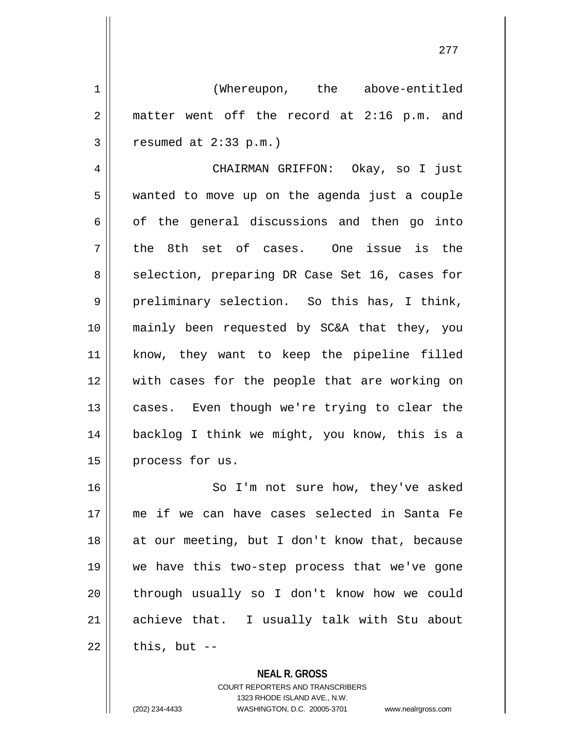277

1 (Whereupon, the above-entitled  $2 \parallel$  matter went off the record at 2:16 p.m. and  $3 \parallel$  resumed at 2:33 p.m.)

4 CHAIRMAN GRIFFON: Okay, so I just 5 wanted to move up on the agenda just a couple  $6 \parallel$  of the general discussions and then go into  $7 \parallel$  the 8th set of cases. One issue is the 8 || selection, preparing DR Case Set 16, cases for  $9 \parallel$  preliminary selection. So this has, I think, 10 mainly been requested by SC&A that they, you 11 know, they want to keep the pipeline filled 12 with cases for the people that are working on 13 || cases. Even though we're trying to clear the 14 backlog I think we might, you know, this is a 15 | process for us.

16 || So I'm not sure how, they've asked 17 me if we can have cases selected in Santa Fe 18 || at our meeting, but I don't know that, because 19 we have this two-step process that we've gone 20 through usually so I don't know how we could 21 achieve that. I usually talk with Stu about  $22$  | this, but  $-$ 

> **NEAL R. GROSS** COURT REPORTERS AND TRANSCRIBERS 1323 RHODE ISLAND AVE., N.W. (202) 234-4433 WASHINGTON, D.C. 20005-3701 www.nealrgross.com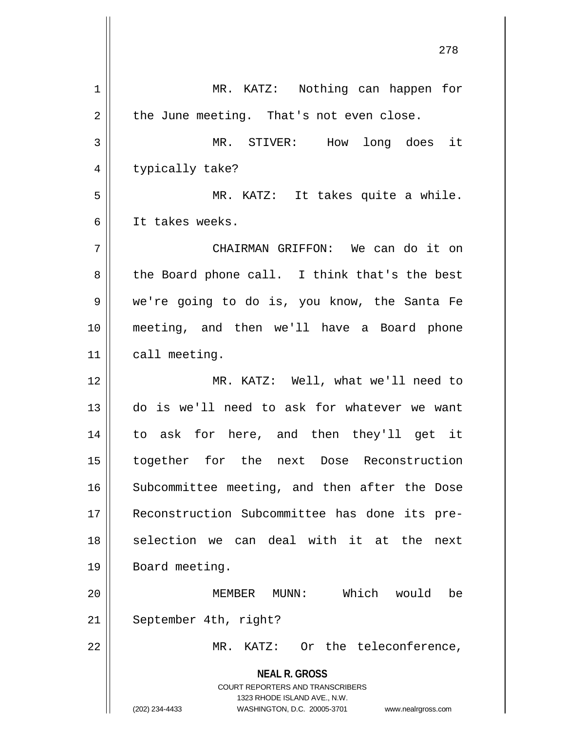| 1  | MR. KATZ: Nothing can happen for                                        |
|----|-------------------------------------------------------------------------|
| 2  | the June meeting. That's not even close.                                |
| 3  | MR. STIVER:<br>How<br>long does it                                      |
| 4  | typically take?                                                         |
| 5  | MR. KATZ: It takes quite a while.                                       |
| 6  | It takes weeks.                                                         |
| 7  | CHAIRMAN GRIFFON: We can do it on                                       |
| 8  | the Board phone call. I think that's the best                           |
| 9  | we're going to do is, you know, the Santa Fe                            |
| 10 | meeting, and then we'll have a Board phone                              |
| 11 | call meeting.                                                           |
| 12 | MR. KATZ: Well, what we'll need to                                      |
| 13 | do is we'll need to ask for whatever we want                            |
| 14 | to ask for here, and then they'll get it                                |
| 15 | together for the next Dose Reconstruction                               |
| 16 | Subcommittee meeting, and then after the Dose                           |
| 17 | Reconstruction Subcommittee has done its pre-                           |
| 18 | selection we can deal with it at the<br>next                            |
| 19 | Board meeting.                                                          |
| 20 | Which would<br>MEMBER MUNN:<br>be                                       |
| 21 | September 4th, right?                                                   |
| 22 | MR. KATZ: Or the teleconference,                                        |
|    | <b>NEAL R. GROSS</b>                                                    |
|    | <b>COURT REPORTERS AND TRANSCRIBERS</b><br>1323 RHODE ISLAND AVE., N.W. |
|    | (202) 234-4433<br>WASHINGTON, D.C. 20005-3701<br>www.nealrgross.com     |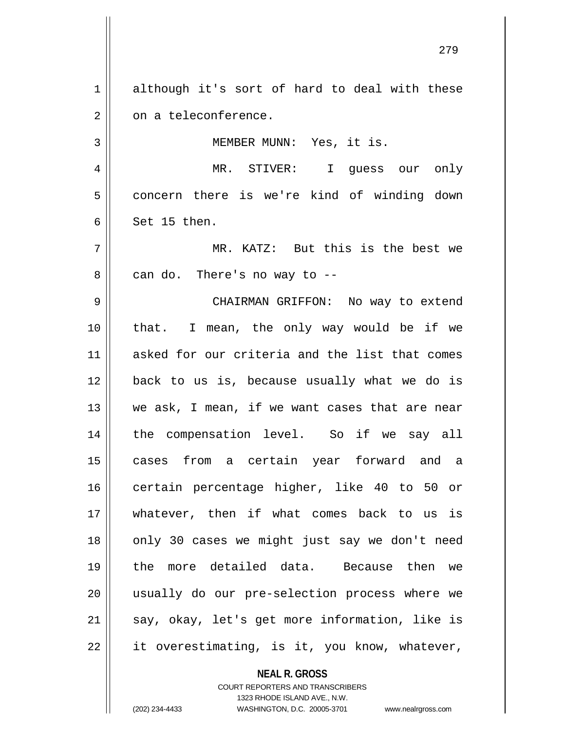**NEAL R. GROSS** COURT REPORTERS AND TRANSCRIBERS 1 although it's sort of hard to deal with these  $2 \parallel$  on a teleconference. 3 || MEMBER MUNN: Yes, it is. 4 MR. STIVER: I guess our only 5 concern there is we're kind of winding down  $6 \parallel$  Set 15 then. 7 MR. KATZ: But this is the best we  $8 \parallel$  can do. There's no way to  $-$ 9 CHAIRMAN GRIFFON: No way to extend 10 that. I mean, the only way would be if we 11 asked for our criteria and the list that comes 12 back to us is, because usually what we do is 13 || we ask, I mean, if we want cases that are near 14 the compensation level. So if we say all 15 cases from a certain year forward and a 16 certain percentage higher, like 40 to 50 or 17 whatever, then if what comes back to us is 18 || only 30 cases we might just say we don't need 19 the more detailed data. Because then we 20 usually do our pre-selection process where we  $21$  say, okay, let's get more information, like is  $22 \parallel$  it overestimating, is it, you know, whatever,

1323 RHODE ISLAND AVE., N.W.

279

(202) 234-4433 WASHINGTON, D.C. 20005-3701 www.nealrgross.com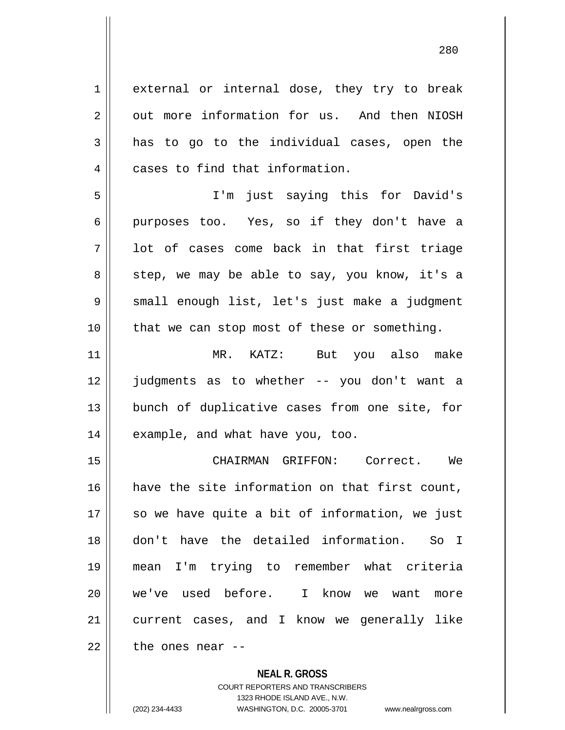1 external or internal dose, they try to break 2 | out more information for us. And then NIOSH  $3 \parallel$  has to go to the individual cases, open the 4 | cases to find that information.

5 I'm just saying this for David's 6 || purposes too. Yes, so if they don't have a  $7 \parallel$  lot of cases come back in that first triage  $8 \parallel$  step, we may be able to say, you know, it's a 9 || small enough list, let's just make a judgment 10 that we can stop most of these or something.

11 MR. KATZ: But you also make 12 judgments as to whether -- you don't want a 13 || bunch of duplicative cases from one site, for 14 || example, and what have you, too.

 CHAIRMAN GRIFFON: Correct. We have the site information on that first count, || so we have quite a bit of information, we just don't have the detailed information. So I mean I'm trying to remember what criteria we've used before. I know we want more current cases, and I know we generally like  $\parallel$  the ones near --

> **NEAL R. GROSS** COURT REPORTERS AND TRANSCRIBERS 1323 RHODE ISLAND AVE., N.W.

(202) 234-4433 WASHINGTON, D.C. 20005-3701 www.nealrgross.com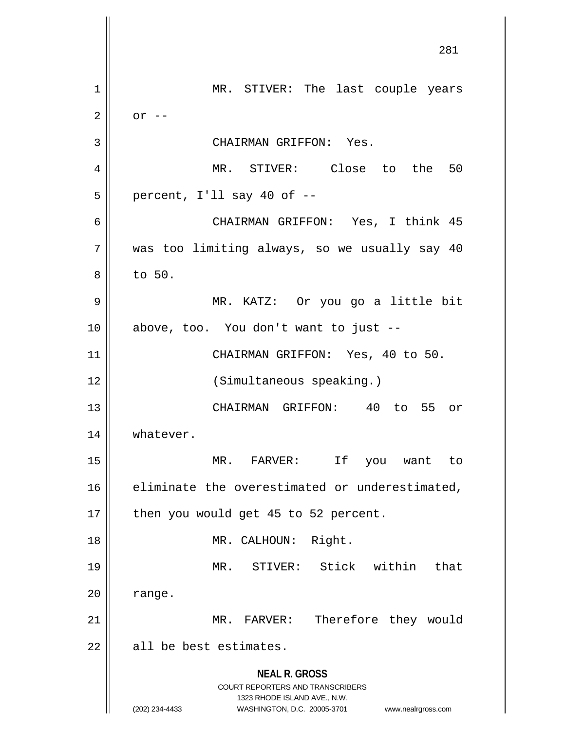**NEAL R. GROSS** COURT REPORTERS AND TRANSCRIBERS 1323 RHODE ISLAND AVE., N.W. (202) 234-4433 WASHINGTON, D.C. 20005-3701 www.nealrgross.com 281 1 || MR. STIVER: The last couple years  $2 \parallel$  or  $-$ 3 | CHAIRMAN GRIFFON: Yes. 4 MR. STIVER: Close to the 50  $5 \parallel$  percent, I'll say 40 of  $-$ 6 CHAIRMAN GRIFFON: Yes, I think 45 7 was too limiting always, so we usually say 40  $8 \parallel$  to 50. 9 MR. KATZ: Or you go a little bit 10 above, too. You don't want to just -- 11 || CHAIRMAN GRIFFON: Yes, 40 to 50. 12 || (Simultaneous speaking.) 13 CHAIRMAN GRIFFON: 40 to 55 or 14 || whatever. 15 MR. FARVER: If you want to 16 eliminate the overestimated or underestimated,  $17$  | then you would get 45 to 52 percent. 18 || MR. CALHOUN: Right. 19 MR. STIVER: Stick within that  $20$  | range. 21 || MR. FARVER: Therefore they would  $22$   $\parallel$  all be best estimates.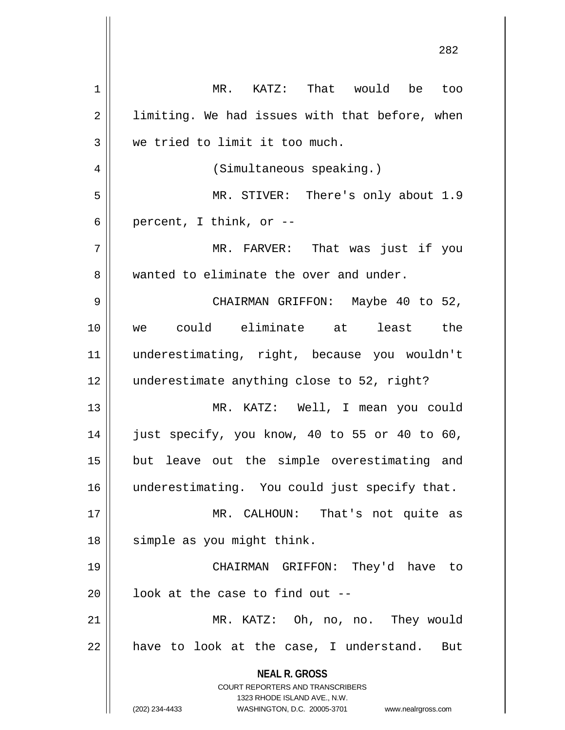**NEAL R. GROSS** COURT REPORTERS AND TRANSCRIBERS 1323 RHODE ISLAND AVE., N.W. (202) 234-4433 WASHINGTON, D.C. 20005-3701 www.nealrgross.com 1 MR. KATZ: That would be too  $2 \parallel$  limiting. We had issues with that before, when 3 We tried to limit it too much. 4 | (Simultaneous speaking.) 5 MR. STIVER: There's only about 1.9 6 || percent, I think, or  $-$ 7 MR. FARVER: That was just if you 8 We wanted to eliminate the over and under. 9 CHAIRMAN GRIFFON: Maybe 40 to 52, 10 we could eliminate at least the 11 underestimating, right, because you wouldn't 12 underestimate anything close to 52, right? 13 MR. KATZ: Well, I mean you could  $14$  || just specify, you know, 40 to 55 or 40 to 60, 15 || but leave out the simple overestimating and 16 || underestimating. You could just specify that. 17 MR. CALHOUN: That's not quite as 18 || simple as you might think. 19 CHAIRMAN GRIFFON: They'd have to  $20$  |  $100k$  at the case to find out --21 MR. KATZ: Oh, no, no. They would  $22$  || have to look at the case, I understand. But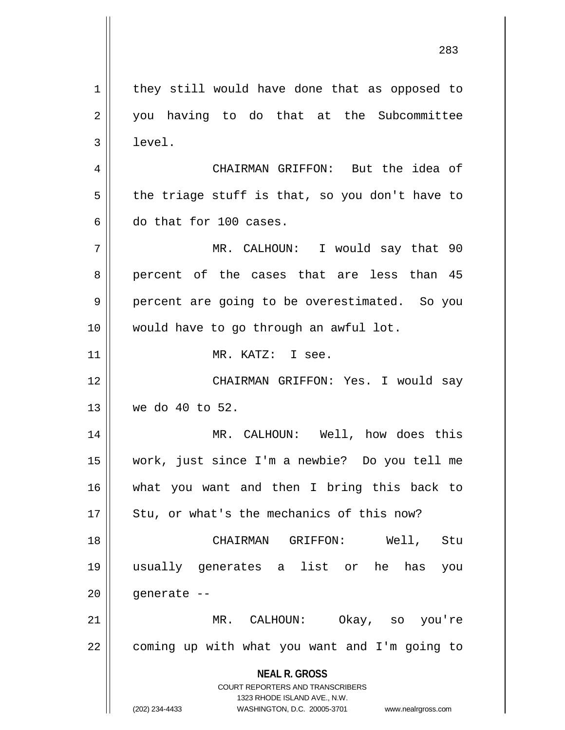**NEAL R. GROSS** COURT REPORTERS AND TRANSCRIBERS 1323 RHODE ISLAND AVE., N.W. (202) 234-4433 WASHINGTON, D.C. 20005-3701 www.nealrgross.com they still would have done that as opposed to 2 || you having to do that at the Subcommittee  $3 \parallel$  level. CHAIRMAN GRIFFON: But the idea of  $5 \parallel$  the triage stuff is that, so you don't have to do that for 100 cases. MR. CALHOUN: I would say that 90 8 percent of the cases that are less than 45 9 || percent are going to be overestimated. So you would have to go through an awful lot. MR. KATZ: I see. CHAIRMAN GRIFFON: Yes. I would say we do 40 to 52. MR. CALHOUN: Well, how does this work, just since I'm a newbie? Do you tell me what you want and then I bring this back to | Stu, or what's the mechanics of this now? CHAIRMAN GRIFFON: Well, Stu usually generates a list or he has you | qenerate -- MR. CALHOUN: Okay, so you're 22 || coming up with what you want and I'm going to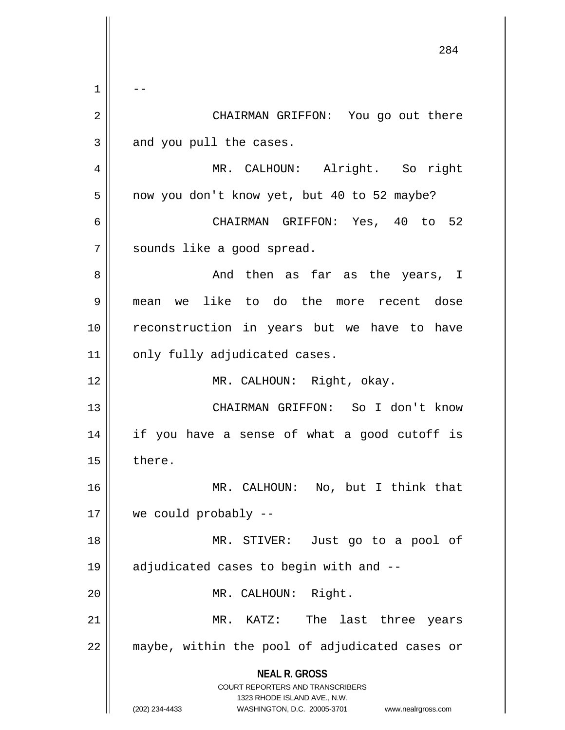**NEAL R. GROSS** COURT REPORTERS AND TRANSCRIBERS 1323 RHODE ISLAND AVE., N.W. (202) 234-4433 WASHINGTON, D.C. 20005-3701 www.nealrgross.com  $1 \parallel - -$  CHAIRMAN GRIFFON: You go out there | and you pull the cases. MR. CALHOUN: Alright. So right 5 | now you don't know yet, but 40 to 52 maybe? CHAIRMAN GRIFFON: Yes, 40 to 52 7 || sounds like a good spread. And then as far as the years, I mean we like to do the more recent dose reconstruction in years but we have to have | only fully adjudicated cases. 12 || MR. CALHOUN: Right, okay. CHAIRMAN GRIFFON: So I don't know if you have a sense of what a good cutoff is | there. MR. CALHOUN: No, but I think that we could probably -- MR. STIVER: Just go to a pool of adjudicated cases to begin with and -- 20 || MR. CALHOUN: Right. MR. KATZ: The last three years 22 || maybe, within the pool of adjudicated cases or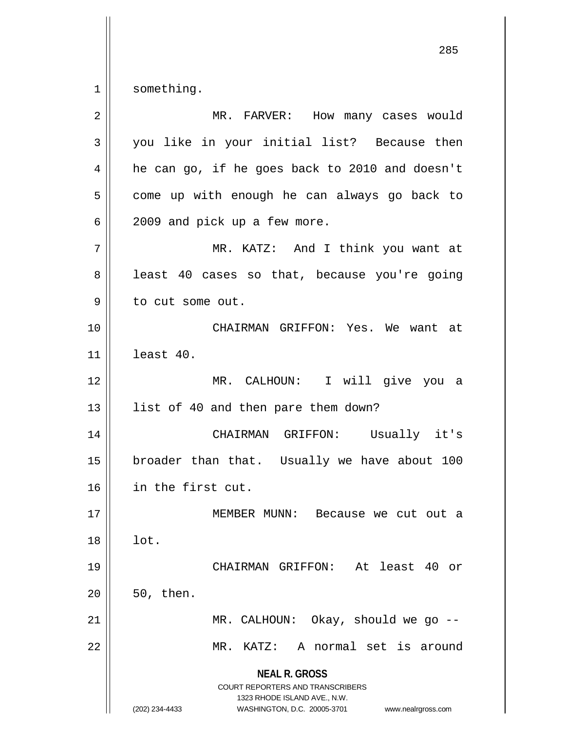$1 \parallel$  something.

| $\overline{2}$ | MR. FARVER: How many cases would                                                                                                                                       |
|----------------|------------------------------------------------------------------------------------------------------------------------------------------------------------------------|
| 3              | you like in your initial list? Because then                                                                                                                            |
| 4              | he can go, if he goes back to 2010 and doesn't                                                                                                                         |
| 5              | come up with enough he can always go back to                                                                                                                           |
| 6              | 2009 and pick up a few more.                                                                                                                                           |
| 7              | MR. KATZ: And I think you want at                                                                                                                                      |
| 8              | least 40 cases so that, because you're going                                                                                                                           |
| 9              | to cut some out.                                                                                                                                                       |
| 10             | CHAIRMAN GRIFFON: Yes. We want at                                                                                                                                      |
| 11             | least 40.                                                                                                                                                              |
| 12             | MR. CALHOUN: I will give you a                                                                                                                                         |
| 13             | list of 40 and then pare them down?                                                                                                                                    |
| 14             | CHAIRMAN GRIFFON: Usually it's                                                                                                                                         |
| 15             | broader than that. Usually we have about 100                                                                                                                           |
| 16             | in the first cut.                                                                                                                                                      |
| $17$           | MEMBER MUNN:<br>Because we cut out a                                                                                                                                   |
| 18             | lot.                                                                                                                                                                   |
| 19             | CHAIRMAN GRIFFON: At least 40 or                                                                                                                                       |
| 20             | 50, then.                                                                                                                                                              |
| 21             | MR. CALHOUN: Okay, should we go --                                                                                                                                     |
| 22             | A normal set is around<br>MR. KATZ:                                                                                                                                    |
|                | <b>NEAL R. GROSS</b><br><b>COURT REPORTERS AND TRANSCRIBERS</b><br>1323 RHODE ISLAND AVE., N.W.<br>(202) 234-4433<br>WASHINGTON, D.C. 20005-3701<br>www.nealrgross.com |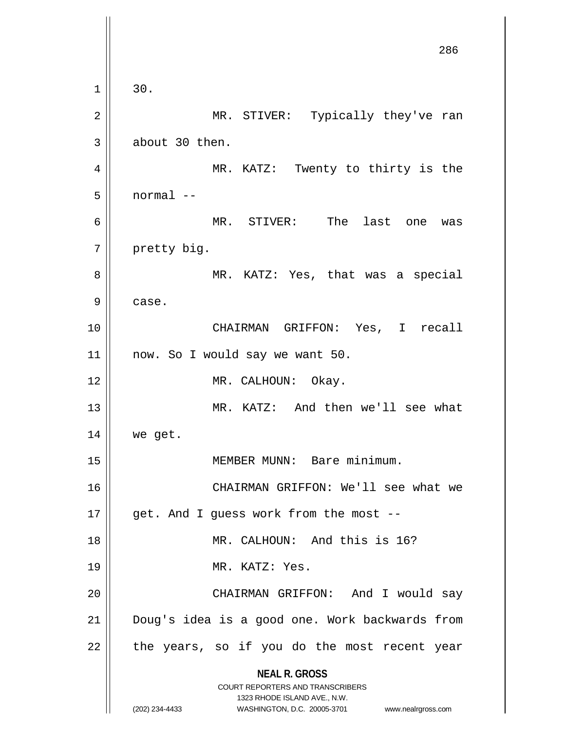**NEAL R. GROSS** COURT REPORTERS AND TRANSCRIBERS 1323 RHODE ISLAND AVE., N.W. (202) 234-4433 WASHINGTON, D.C. 20005-3701 www.nealrgross.com 286  $1 \parallel 30.$ 2 MR. STIVER: Typically they've ran  $3 \parallel$  about 30 then. 4 MR. KATZ: Twenty to thirty is the 5 normal -- 6 MR. STIVER: The last one was 7 | pretty big. 8 MR. KATZ: Yes, that was a special 9 case. 10 CHAIRMAN GRIFFON: Yes, I recall 11 now. So I would say we want 50. 12 || MR. CALHOUN: Okay. 13 || MR. KATZ: And then we'll see what  $14$  we get. 15 || MEMBER MUNN: Bare minimum. 16 CHAIRMAN GRIFFON: We'll see what we  $17$  || get. And I guess work from the most --18 || MR. CALHOUN: And this is 16? 19 || MR. KATZ: Yes. 20 CHAIRMAN GRIFFON: And I would say 21 || Doug's idea is a good one. Work backwards from  $22$  || the years, so if you do the most recent year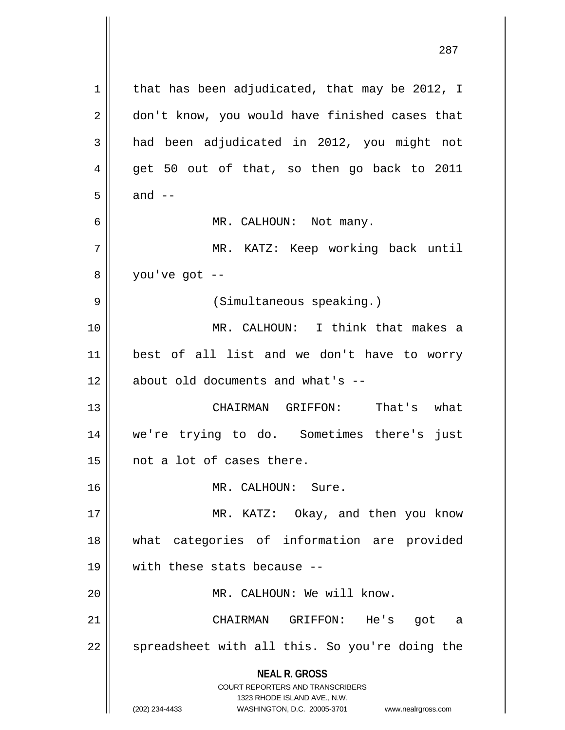**NEAL R. GROSS** COURT REPORTERS AND TRANSCRIBERS 1323 RHODE ISLAND AVE., N.W. (202) 234-4433 WASHINGTON, D.C. 20005-3701 www.nealrgross.com 1 | that has been adjudicated, that may be 2012, I 2 don't know, you would have finished cases that  $3 \parallel$  had been adjudicated in 2012, you might not  $4 \parallel$  get 50 out of that, so then go back to 2011  $5 \parallel$  and  $-$ 6 MR. CALHOUN: Not many. 7 MR. KATZ: Keep working back until  $8 \parallel$  you've got --9 || (Simultaneous speaking.) 10 MR. CALHOUN: I think that makes a 11 best of all list and we don't have to worry 12 || about old documents and what's --13 CHAIRMAN GRIFFON: That's what 14 we're trying to do. Sometimes there's just 15 | not a lot of cases there. 16 || MR. CALHOUN: Sure. 17 || MR. KATZ: Okay, and then you know 18 what categories of information are provided 19 with these stats because -- 20 || MR. CALHOUN: We will know. 21 CHAIRMAN GRIFFON: He's got a  $22$   $\parallel$  spreadsheet with all this. So you're doing the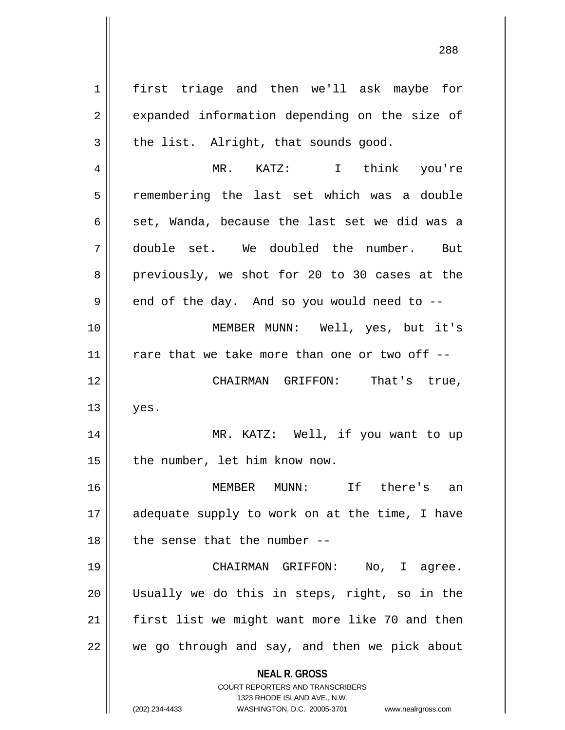**NEAL R. GROSS** COURT REPORTERS AND TRANSCRIBERS 1 | first triage and then we'll ask maybe for 2 || expanded information depending on the size of  $3 \parallel$  the list. Alright, that sounds good. 4 MR. KATZ: I think you're 5 | remembering the last set which was a double 6  $\parallel$  set, Wanda, because the last set we did was a 7 double set. We doubled the number. But 8 previously, we shot for 20 to 30 cases at the  $9 \parallel$  end of the day. And so you would need to --10 MEMBER MUNN: Well, yes, but it's  $11$   $\parallel$  rare that we take more than one or two off --12 CHAIRMAN GRIFFON: That's true,  $13 \parallel$  yes. 14 || MR. KATZ: Well, if you want to up  $15$  | the number, let him know now. 16 MEMBER MUNN: If there's an 17 || adequate supply to work on at the time, I have  $18$  || the sense that the number --19 CHAIRMAN GRIFFON: No, I agree. 20 Usually we do this in steps, right, so in the  $21$  | first list we might want more like 70 and then  $22$   $\parallel$  we go through and say, and then we pick about

1323 RHODE ISLAND AVE., N.W.

(202) 234-4433 WASHINGTON, D.C. 20005-3701 www.nealrgross.com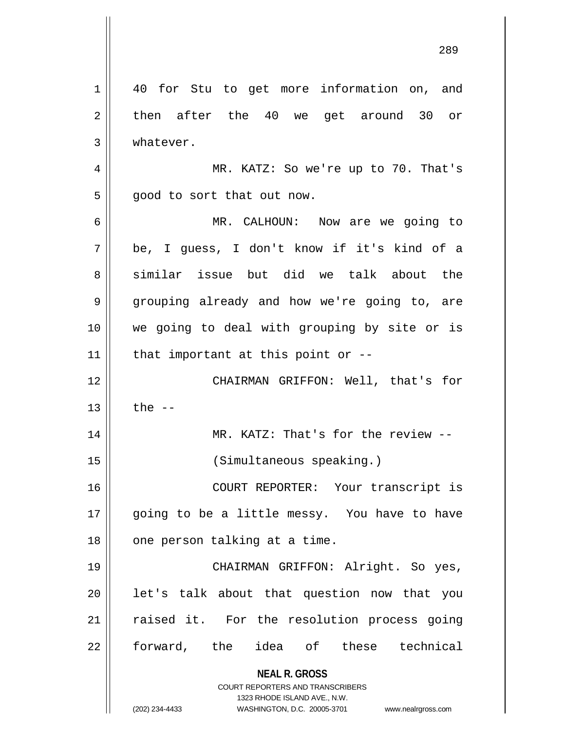**NEAL R. GROSS** COURT REPORTERS AND TRANSCRIBERS 1323 RHODE ISLAND AVE., N.W. (202) 234-4433 WASHINGTON, D.C. 20005-3701 www.nealrgross.com 1 || 40 for Stu to get more information on, and  $2 \parallel$  then after the 40 we get around 30 or 3 | whatever. 4 MR. KATZ: So we're up to 70. That's  $5 \parallel$  good to sort that out now. 6 MR. CALHOUN: Now are we going to 7 be, I guess, I don't know if it's kind of a 8 similar issue but did we talk about the 9 grouping already and how we're going to, are 10 we going to deal with grouping by site or is 11  $\parallel$  that important at this point or --12 CHAIRMAN GRIFFON: Well, that's for  $13 \parallel$  the  $-$ 14 || MR. KATZ: That's for the review --15 (Simultaneous speaking.) 16 COURT REPORTER: Your transcript is 17 || going to be a little messy. You have to have  $18$  | one person talking at a time. 19 CHAIRMAN GRIFFON: Alright. So yes,  $20$  || let's talk about that question now that you 21 || raised it. For the resolution process going 22 forward, the idea of these technical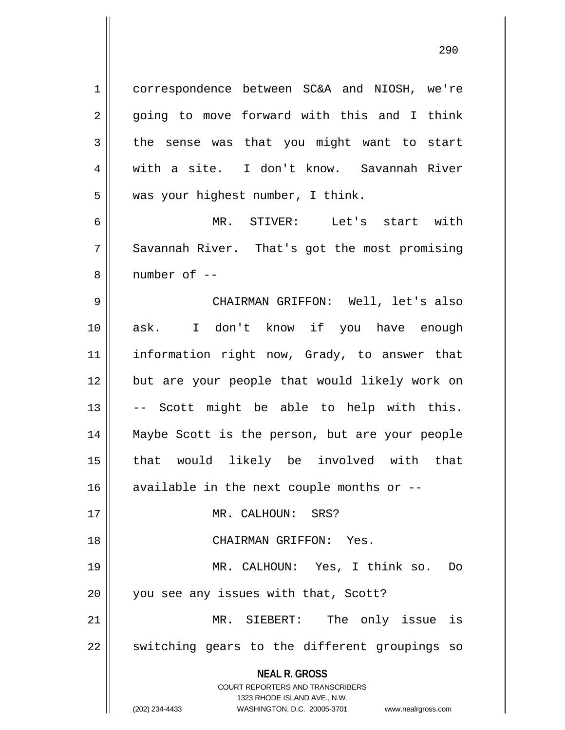**NEAL R. GROSS** COURT REPORTERS AND TRANSCRIBERS 1323 RHODE ISLAND AVE., N.W. 1 correspondence between SC&A and NIOSH, we're 2 || going to move forward with this and I think  $3 \parallel$  the sense was that you might want to start 4 with a site. I don't know. Savannah River  $5 \parallel$  was your highest number, I think. 6 MR. STIVER: Let's start with 7 Savannah River. That's got the most promising 8 ll number of --9 CHAIRMAN GRIFFON: Well, let's also 10 ask. I don't know if you have enough 11 information right now, Grady, to answer that 12 || but are your people that would likely work on  $13 \parallel$  -- Scott might be able to help with this. 14 Maybe Scott is the person, but are your people 15 that would likely be involved with that  $16$  available in the next couple months or  $-$ 17 || MR. CALHOUN: SRS? 18 CHAIRMAN GRIFFON: Yes. 19 MR. CALHOUN: Yes, I think so. Do 20 || you see any issues with that, Scott? 21 MR. SIEBERT: The only issue is 22 || switching gears to the different groupings so

<sup>(202) 234-4433</sup> WASHINGTON, D.C. 20005-3701 www.nealrgross.com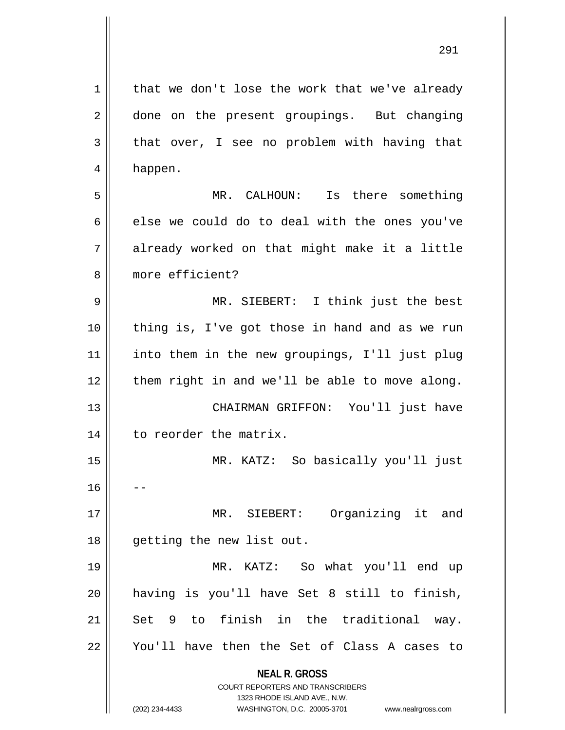**NEAL R. GROSS** COURT REPORTERS AND TRANSCRIBERS 1323 RHODE ISLAND AVE., N.W. (202) 234-4433 WASHINGTON, D.C. 20005-3701 www.nealrgross.com  $1 \parallel$  that we don't lose the work that we've already 2 done on the present groupings. But changing  $3 \parallel$  that over, I see no problem with having that 4 happen. 5 MR. CALHOUN: Is there something  $6 \parallel$  else we could do to deal with the ones you've  $7 \parallel$  already worked on that might make it a little 8 more efficient? 9 MR. SIEBERT: I think just the best 10 thing is, I've got those in hand and as we run 11 into them in the new groupings, I'll just plug  $12$  | them right in and we'll be able to move along. 13 CHAIRMAN GRIFFON: You'll just have 14 | to reorder the matrix. 15 MR. KATZ: So basically you'll just  $16$ 17 || MR. SIEBERT: Organizing it and 18 getting the new list out. 19 MR. KATZ: So what you'll end up 20 having is you'll have Set 8 still to finish, 21 || Set 9 to finish in the traditional way. 22 || You'll have then the Set of Class A cases to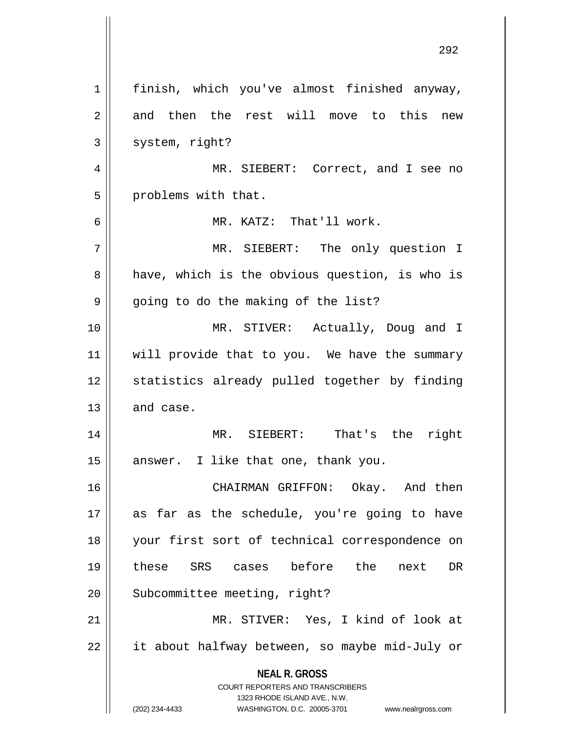|                | 2 J 4                                                                                            |
|----------------|--------------------------------------------------------------------------------------------------|
| 1              | finish, which you've almost finished anyway,                                                     |
| $\overline{2}$ | and then the rest will move to this new                                                          |
| 3              | system, right?                                                                                   |
| 4              | MR. SIEBERT: Correct, and I see no                                                               |
| 5              | problems with that.                                                                              |
| 6              | MR. KATZ: That'll work.                                                                          |
| 7              | MR. SIEBERT: The only question I                                                                 |
| 8              | have, which is the obvious question, is who is                                                   |
| 9              | going to do the making of the list?                                                              |
| 10             | MR. STIVER: Actually, Doug and I                                                                 |
| 11             | will provide that to you. We have the summary                                                    |
| 12             | statistics already pulled together by finding                                                    |
| 13             | and case.                                                                                        |
| 14             | MR. SIEBERT: That's the right                                                                    |
| 15             | I like that one, thank you.<br>answer.                                                           |
| 16             | CHAIRMAN GRIFFON: Okay. And then                                                                 |
| 17             | as far as the schedule, you're going to have                                                     |
| 18             | your first sort of technical correspondence on                                                   |
| 19             | these SRS cases before the<br><b>DR</b><br>next                                                  |
| 20             | Subcommittee meeting, right?                                                                     |
| 21             | MR. STIVER: Yes, I kind of look at                                                               |
| 22             | it about halfway between, so maybe mid-July or                                                   |
|                | <b>NEAL R. GROSS</b>                                                                             |
|                | <b>COURT REPORTERS AND TRANSCRIBERS</b>                                                          |
|                | 1323 RHODE ISLAND AVE., N.W.<br>(202) 234-4433<br>WASHINGTON, D.C. 20005-3701 www.nealrgross.com |

 $\mathsf{I}$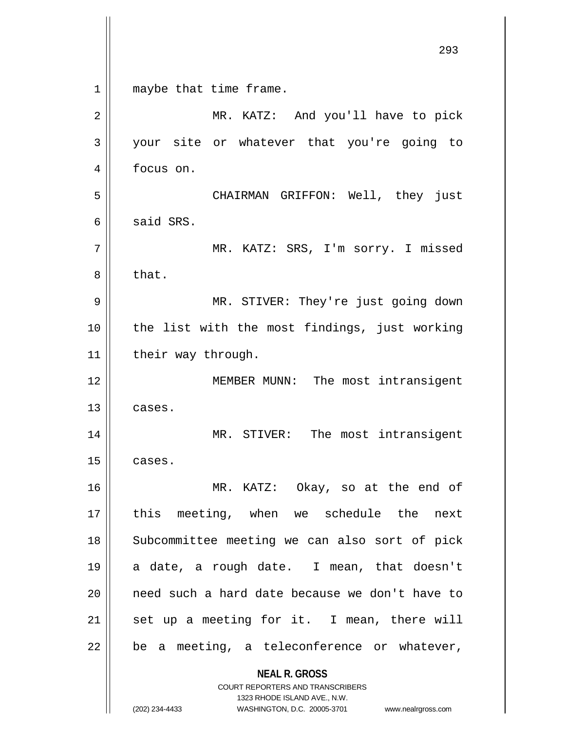**NEAL R. GROSS** COURT REPORTERS AND TRANSCRIBERS 1323 RHODE ISLAND AVE., N.W. (202) 234-4433 WASHINGTON, D.C. 20005-3701 www.nealrgross.com 293 1 || maybe that time frame. 2 || MR. KATZ: And you'll have to pick 3 your site or whatever that you're going to 4 | focus on. 5 CHAIRMAN GRIFFON: Well, they just  $6 \parallel$  said SRS. 7 MR. KATZ: SRS, I'm sorry. I missed  $8 \parallel$  that. 9 MR. STIVER: They're just going down 10 || the list with the most findings, just working 11 | their way through. 12 || MEMBER MUNN: The most intransigent  $13 \parallel$  cases. 14 || MR. STIVER: The most intransigent  $15$  cases. 16 MR. KATZ: Okay, so at the end of 17 || this meeting, when we schedule the next 18 || Subcommittee meeting we can also sort of pick 19 a date, a rough date. I mean, that doesn't 20 || need such a hard date because we don't have to  $21$  set up a meeting for it. I mean, there will  $22$  | be a meeting, a teleconference or whatever,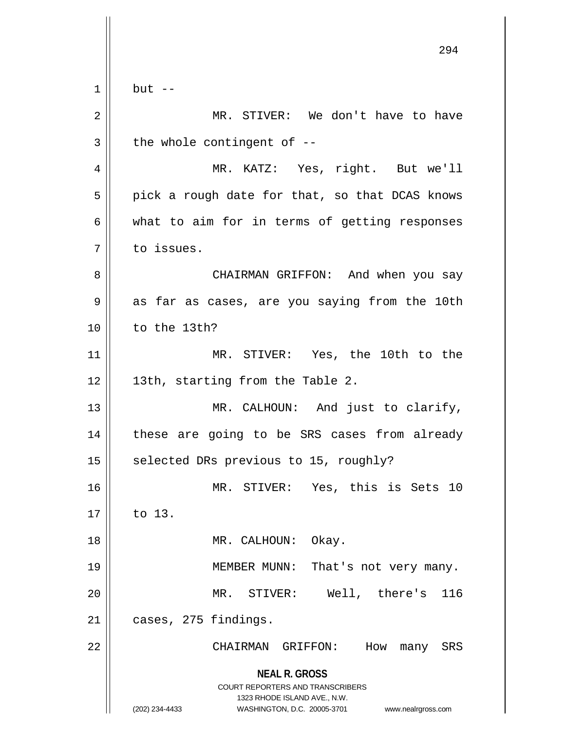|    | 294                                                                                                                                                             |
|----|-----------------------------------------------------------------------------------------------------------------------------------------------------------------|
|    |                                                                                                                                                                 |
| 1  | $but --$                                                                                                                                                        |
| 2  | MR. STIVER: We don't have to have                                                                                                                               |
| 3  | the whole contingent of --                                                                                                                                      |
| 4  | MR. KATZ: Yes, right. But we'll                                                                                                                                 |
| 5  | pick a rough date for that, so that DCAS knows                                                                                                                  |
| 6  | what to aim for in terms of getting responses                                                                                                                   |
| 7  | to issues.                                                                                                                                                      |
| 8  | CHAIRMAN GRIFFON: And when you say                                                                                                                              |
| 9  | as far as cases, are you saying from the 10th                                                                                                                   |
| 10 | to the 13th?                                                                                                                                                    |
| 11 | MR. STIVER: Yes, the 10th to the                                                                                                                                |
| 12 | 13th, starting from the Table 2.                                                                                                                                |
| 13 | MR. CALHOUN: And just to clarify,                                                                                                                               |
| 14 | these are going to be SRS cases from already                                                                                                                    |
| 15 | selected DRs previous to 15, roughly?                                                                                                                           |
| 16 | MR. STIVER: Yes, this is Sets 10                                                                                                                                |
| 17 | to 13.                                                                                                                                                          |
| 18 | MR. CALHOUN: Okay.                                                                                                                                              |
| 19 | MEMBER MUNN: That's not very many.                                                                                                                              |
| 20 | MR. STIVER:<br>Well, there's<br>116                                                                                                                             |
| 21 | cases, 275 findings.                                                                                                                                            |
| 22 | How<br>CHAIRMAN GRIFFON:<br>many<br>SRS                                                                                                                         |
|    | <b>NEAL R. GROSS</b><br>COURT REPORTERS AND TRANSCRIBERS<br>1323 RHODE ISLAND AVE., N.W.<br>(202) 234-4433<br>WASHINGTON, D.C. 20005-3701<br>www.nealrgross.com |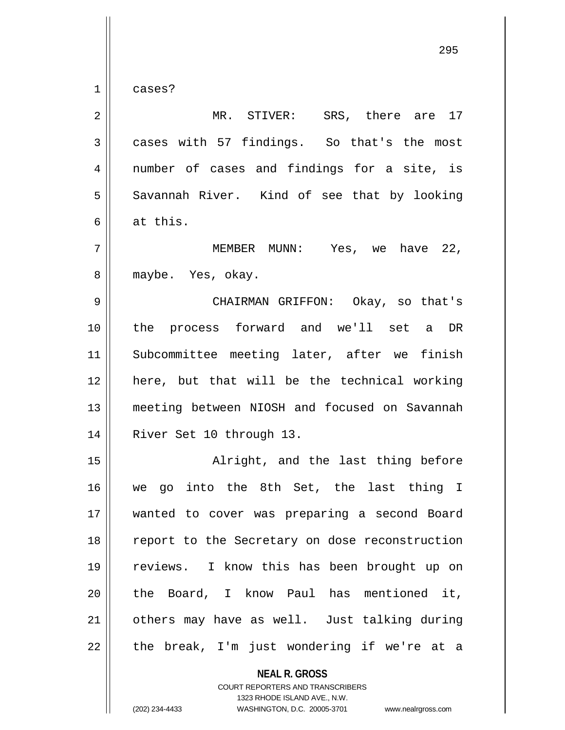$1 \parallel$  cases?

| 2              | MR. STIVER: SRS, there are 17                  |
|----------------|------------------------------------------------|
| $\mathfrak{Z}$ | cases with 57 findings. So that's the most     |
| 4              | number of cases and findings for a site, is    |
| 5              | Savannah River. Kind of see that by looking    |
| 6              | at this.                                       |
| 7              | MEMBER MUNN: Yes, we have 22,                  |
| 8              | maybe. Yes, okay.                              |
| 9              | CHAIRMAN GRIFFON: Okay, so that's              |
| 10             | the process forward and we'll set a DR         |
| 11             | Subcommittee meeting later, after we finish    |
| 12             | here, but that will be the technical working   |
| 13             | meeting between NIOSH and focused on Savannah  |
| 14             | River Set 10 through 13.                       |
| 15             | Alright, and the last thing before             |
| 16             | go into the 8th Set, the last thing I<br>we    |
| 17             | wanted to cover was preparing a second Board   |
| 18             | report to the Secretary on dose reconstruction |
| 19             | reviews. I know this has been brought up on    |
| 20             | the Board, I know Paul has mentioned it,       |
| 21             | others may have as well. Just talking during   |
| 22             | the break, I'm just wondering if we're at a    |
|                | <b>NEAL R. GROSS</b>                           |

COURT REPORTERS AND TRANSCRIBERS 1323 RHODE ISLAND AVE., N.W.

(202) 234-4433 WASHINGTON, D.C. 20005-3701 www.nealrgross.com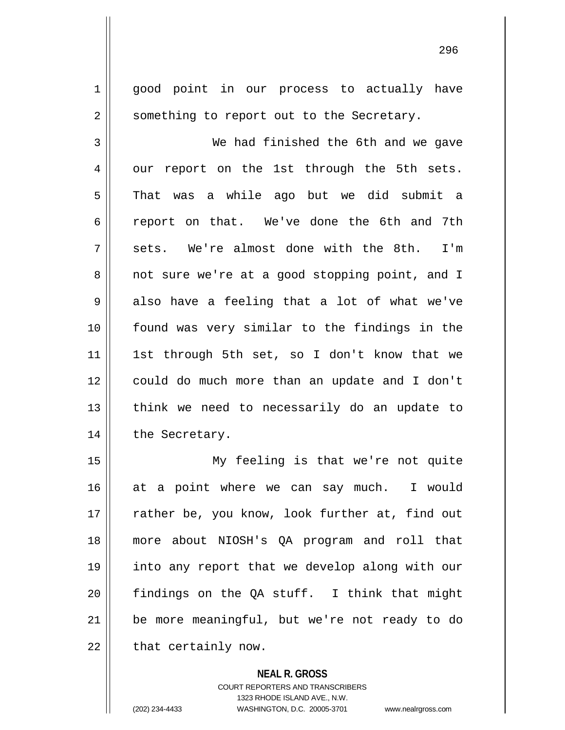1 || good point in our process to actually have 2 || something to report out to the Secretary. 3 We had finished the 6th and we gave  $4 \parallel$  our report on the 1st through the 5th sets. 5 || That was a while ago but we did submit a 6 || report on that. We've done the 6th and 7th  $7 \parallel$  sets. We're almost done with the 8th. I'm 8 || not sure we're at a good stopping point, and I  $9 \parallel$  also have a feeling that a lot of what we've 10 found was very similar to the findings in the 11 || 1st through 5th set, so I don't know that we 12 could do much more than an update and I don't  $13$  || think we need to necessarily do an update to 14 | the Secretary. 15 My feeling is that we're not quite

16 || at a point where we can say much. I would 17 || rather be, you know, look further at, find out 18 more about NIOSH's QA program and roll that 19 into any report that we develop along with our 20 findings on the QA stuff. I think that might 21 || be more meaningful, but we're not ready to do  $22$  | that certainly now.

> **NEAL R. GROSS** COURT REPORTERS AND TRANSCRIBERS 1323 RHODE ISLAND AVE., N.W. (202) 234-4433 WASHINGTON, D.C. 20005-3701 www.nealrgross.com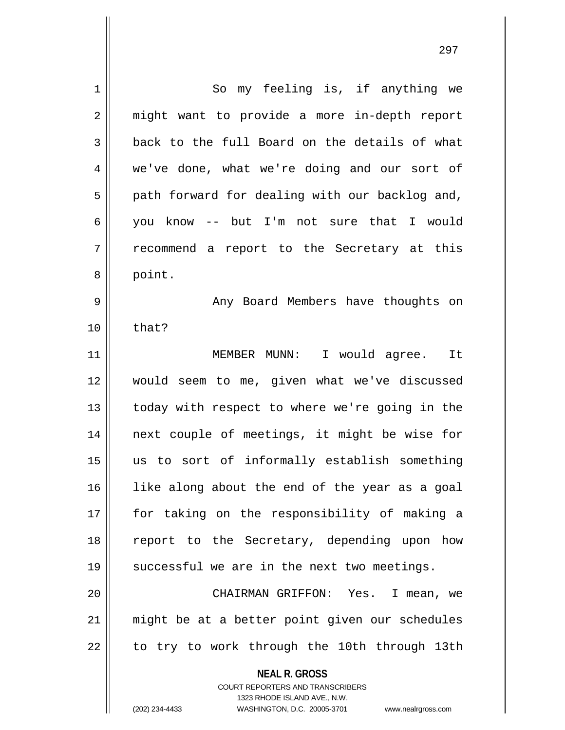**NEAL R. GROSS** COURT REPORTERS AND TRANSCRIBERS 1 || So my feeling is, if anything we 2 || might want to provide a more in-depth report  $3 \parallel$  back to the full Board on the details of what 4 we've done, what we're doing and our sort of  $5 \parallel$  path forward for dealing with our backlog and, 6 you know -- but I'm not sure that I would  $7 \parallel$  recommend a report to the Secretary at this 8 || point. 9 || Any Board Members have thoughts on  $10 \parallel$  that? 11 MEMBER MUNN: I would agree. It 12 would seem to me, given what we've discussed 13 || today with respect to where we're going in the 14 || next couple of meetings, it might be wise for 15 us to sort of informally establish something 16 || like along about the end of the year as a goal 17 for taking on the responsibility of making a 18 || report to the Secretary, depending upon how  $19$  | successful we are in the next two meetings. 20 CHAIRMAN GRIFFON: Yes. I mean, we 21 might be at a better point given our schedules  $22$  | to try to work through the 10th through 13th

1323 RHODE ISLAND AVE., N.W.

(202) 234-4433 WASHINGTON, D.C. 20005-3701 www.nealrgross.com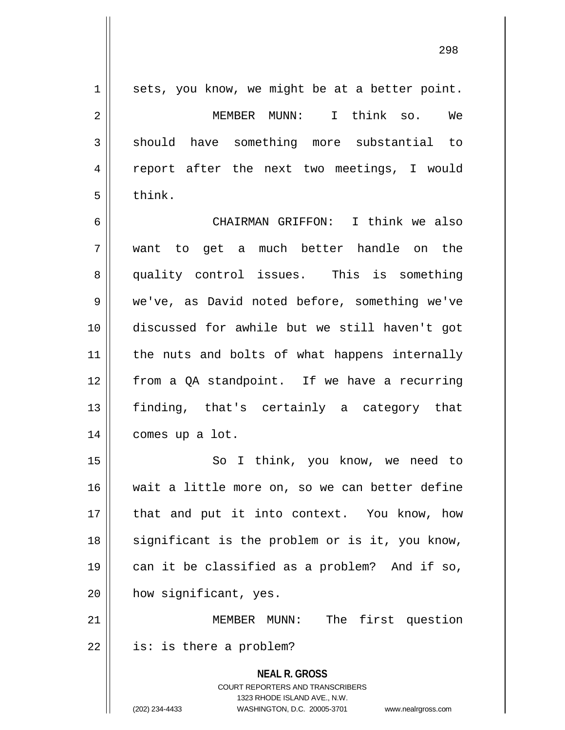**NEAL R. GROSS** COURT REPORTERS AND TRANSCRIBERS  $1 \parallel$  sets, you know, we might be at a better point. 2 MEMBER MUNN: I think so. We 3 || should have something more substantial to 4 || report after the next two meetings, I would  $5 \parallel$  think. 6 CHAIRMAN GRIFFON: I think we also 7 want to get a much better handle on the 8 quality control issues. This is something 9 || we've, as David noted before, something we've 10 discussed for awhile but we still haven't got 11 || the nuts and bolts of what happens internally 12 from a QA standpoint. If we have a recurring 13 finding, that's certainly a category that 14 | comes up a lot. 15 || So I think, you know, we need to 16 wait a little more on, so we can better define 17 || that and put it into context. You know, how 18 || significant is the problem or is it, you know, 19 can it be classified as a problem? And if so, 20 | how significant, yes. 21 MEMBER MUNN: The first question  $22 \parallel$  is: is there a problem?

1323 RHODE ISLAND AVE., N.W.

(202) 234-4433 WASHINGTON, D.C. 20005-3701 www.nealrgross.com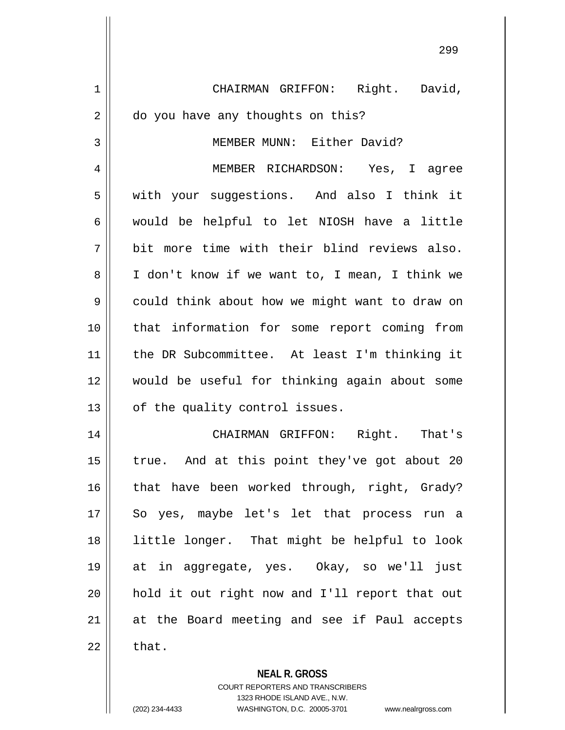1 | CHAIRMAN GRIFFON: Right. David, 2 do you have any thoughts on this? 3 || MEMBER MUNN: Either David? 4 || MEMBER RICHARDSON: Yes, I agree 5 | with your suggestions. And also I think it  $6 \parallel$  would be helpful to let NIOSH have a little  $7 \parallel$  bit more time with their blind reviews also. 8 | I don't know if we want to, I mean, I think we 9 | could think about how we might want to draw on 10 || that information for some report coming from 11 the DR Subcommittee. At least I'm thinking it 12 would be useful for thinking again about some  $13$  | of the quality control issues. 14 CHAIRMAN GRIFFON: Right. That's 15  $\parallel$  true. And at this point they've got about 20 16 || that have been worked through, right, Grady? 17 || So yes, maybe let's let that process run a 18 little longer. That might be helpful to look 19 at in aggregate, yes. Okay, so we'll just 20 || hold it out right now and I'll report that out 21 at the Board meeting and see if Paul accepts  $22 \parallel$  that.

> **NEAL R. GROSS** COURT REPORTERS AND TRANSCRIBERS 1323 RHODE ISLAND AVE., N.W.

(202) 234-4433 WASHINGTON, D.C. 20005-3701 www.nealrgross.com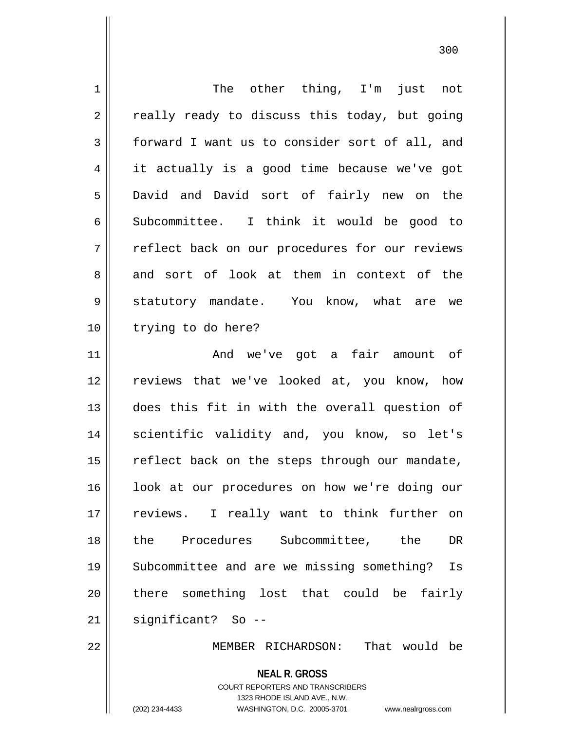| $\mathbf 1$    | The other thing, I'm just not                                                                                                                                          |
|----------------|------------------------------------------------------------------------------------------------------------------------------------------------------------------------|
| $\overline{2}$ | really ready to discuss this today, but going                                                                                                                          |
| $\mathfrak{Z}$ | forward I want us to consider sort of all, and                                                                                                                         |
| 4              | it actually is a good time because we've got                                                                                                                           |
| 5              | David and David sort of fairly new on the                                                                                                                              |
| 6              | Subcommittee. I think it would be good to                                                                                                                              |
| 7              | reflect back on our procedures for our reviews                                                                                                                         |
| 8              | and sort of look at them in context of the                                                                                                                             |
| 9              | statutory mandate. You know, what are we                                                                                                                               |
| 10             | trying to do here?                                                                                                                                                     |
| 11             | And we've got a fair amount of                                                                                                                                         |
| 12             | reviews that we've looked at, you know, how                                                                                                                            |
| 13             | does this fit in with the overall question of                                                                                                                          |
| 14             | scientific validity and, you know, so let's                                                                                                                            |
| 15             | reflect back on the steps through our mandate,                                                                                                                         |
| 16             | look at our procedures on how we're doing our                                                                                                                          |
| 17             | reviews. I really want to think further<br>on                                                                                                                          |
| 18             | Subcommittee, the<br>the Procedures<br>DR                                                                                                                              |
| 19             | Subcommittee and are we missing something?<br>Is                                                                                                                       |
| 20             | there something lost that could be<br>fairly                                                                                                                           |
| 21             | significant? So --                                                                                                                                                     |
| 22             | That would be<br>MEMBER RICHARDSON:                                                                                                                                    |
|                | <b>NEAL R. GROSS</b><br><b>COURT REPORTERS AND TRANSCRIBERS</b><br>1323 RHODE ISLAND AVE., N.W.<br>(202) 234-4433<br>WASHINGTON, D.C. 20005-3701<br>www.nealrgross.com |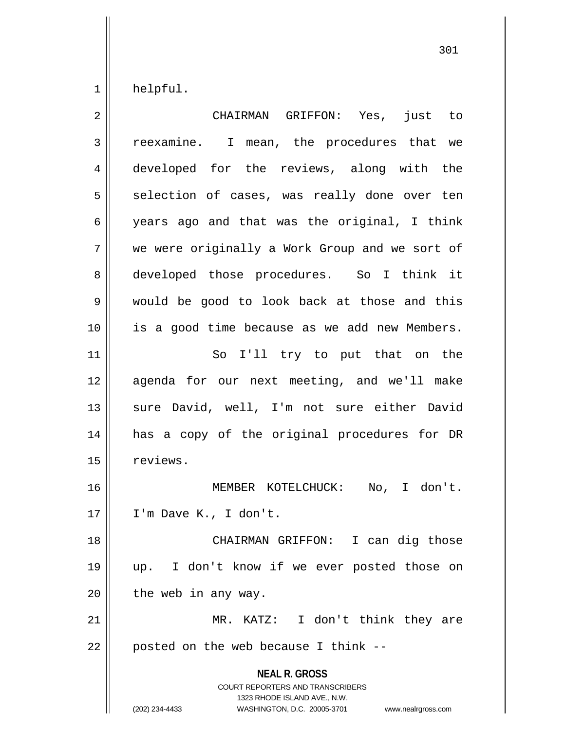$1 \parallel$  helpful.

| 2              | CHAIRMAN GRIFFON: Yes,<br>just to                                                                                                                                      |
|----------------|------------------------------------------------------------------------------------------------------------------------------------------------------------------------|
| $\mathfrak{Z}$ | reexamine. I mean, the procedures that we                                                                                                                              |
| 4              | developed for the reviews, along with the                                                                                                                              |
| 5              | selection of cases, was really done over ten                                                                                                                           |
| 6              | years ago and that was the original, I think                                                                                                                           |
| 7              | we were originally a Work Group and we sort of                                                                                                                         |
| 8              | developed those procedures. So I think it                                                                                                                              |
| 9              | would be good to look back at those and this                                                                                                                           |
| 10             | is a good time because as we add new Members.                                                                                                                          |
| 11             | So I'll try to put that on the                                                                                                                                         |
| 12             | agenda for our next meeting, and we'll make                                                                                                                            |
| 13             | sure David, well, I'm not sure either David                                                                                                                            |
| 14             | has a copy of the original procedures for DR                                                                                                                           |
| 15             | reviews.                                                                                                                                                               |
| 16             | MEMBER KOTELCHUCK: No, I don't.                                                                                                                                        |
| 17             | I'm Dave K., I don't.                                                                                                                                                  |
| 18             | CHAIRMAN GRIFFON: I can dig those                                                                                                                                      |
| 19             | I don't know if we ever posted those on<br>up.                                                                                                                         |
| 20             | the web in any way.                                                                                                                                                    |
| 21             | MR. KATZ: I don't think they are                                                                                                                                       |
| 22             | posted on the web because I think --                                                                                                                                   |
|                | <b>NEAL R. GROSS</b><br><b>COURT REPORTERS AND TRANSCRIBERS</b><br>1323 RHODE ISLAND AVE., N.W.<br>(202) 234-4433<br>WASHINGTON, D.C. 20005-3701<br>www.nealrgross.com |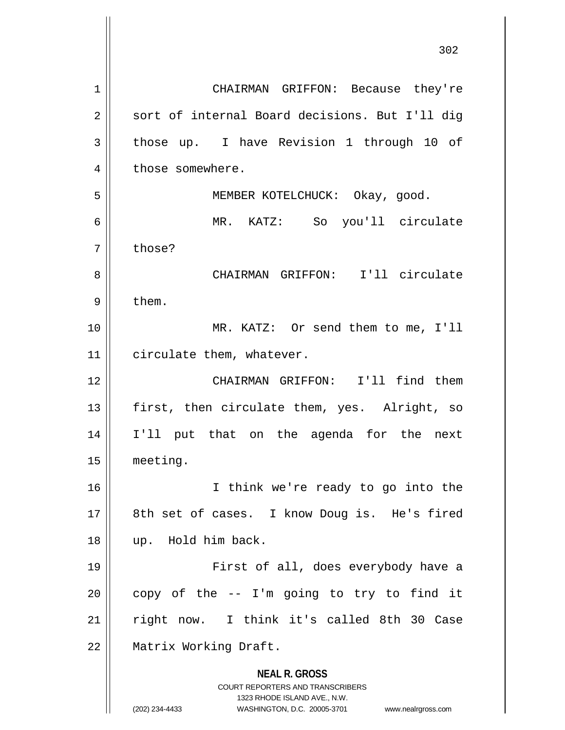**NEAL R. GROSS** COURT REPORTERS AND TRANSCRIBERS 1323 RHODE ISLAND AVE., N.W. (202) 234-4433 WASHINGTON, D.C. 20005-3701 www.nealrgross.com 1 CHAIRMAN GRIFFON: Because they're 2 || sort of internal Board decisions. But I'll dig 3 those up. I have Revision 1 through 10 of 4 | those somewhere. 5 MEMBER KOTELCHUCK: Okay, good. 6 MR. KATZ: So you'll circulate 7 | those? 8 CHAIRMAN GRIFFON: I'll circulate  $9 \parallel$  them. 10 || MR. KATZ: Or send them to me, I'll 11 | circulate them, whatever. 12 CHAIRMAN GRIFFON: I'll find them  $13$  || first, then circulate them, yes. Alright, so 14 I'll put that on the agenda for the next 15 meeting. 16 I think we're ready to go into the 17 || 8th set of cases. I know Doug is. He's fired 18 up. Hold him back. 19 First of all, does everybody have a  $20$  | copy of the  $-$  I'm going to try to find it 21 || right now. I think it's called 8th 30 Case 22 | Matrix Working Draft.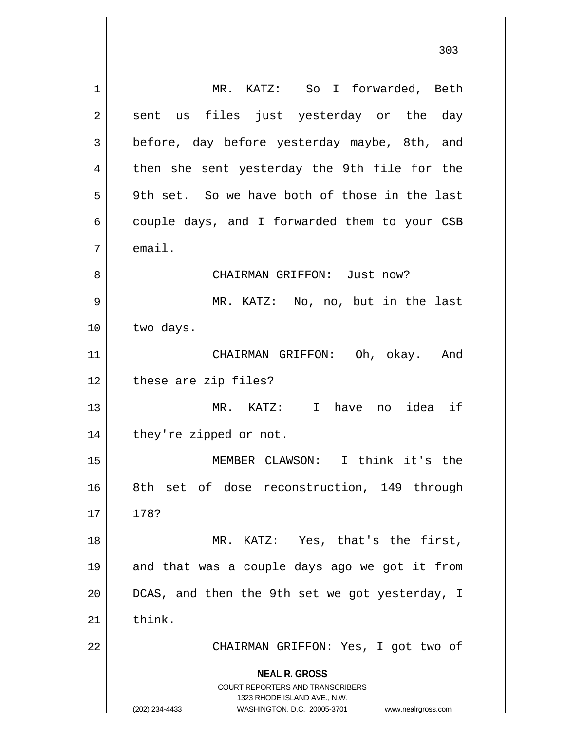| 1  | MR. KATZ: So I forwarded, Beth                                                                      |
|----|-----------------------------------------------------------------------------------------------------|
| 2  | us files just yesterday or the day<br>sent                                                          |
| 3  | before, day before yesterday maybe, 8th, and                                                        |
| 4  | then she sent yesterday the 9th file for the                                                        |
| 5  | 9th set. So we have both of those in the last                                                       |
| 6  | couple days, and I forwarded them to your CSB                                                       |
| 7  | email.                                                                                              |
| 8  | CHAIRMAN GRIFFON: Just now?                                                                         |
| 9  | MR. KATZ: No, no, but in the last                                                                   |
| 10 | two days.                                                                                           |
| 11 | CHAIRMAN GRIFFON: Oh, okay. And                                                                     |
| 12 | these are zip files?                                                                                |
| 13 | MR. KATZ: I have no idea if                                                                         |
| 14 | they're zipped or not.                                                                              |
| 15 | MEMBER CLAWSON: I think it's the                                                                    |
| 16 | 8th set of dose reconstruction, 149 through                                                         |
| 17 | 178?                                                                                                |
| 18 | MR. KATZ: Yes, that's the first,                                                                    |
| 19 | and that was a couple days ago we got it from                                                       |
| 20 | DCAS, and then the 9th set we got yesterday, I                                                      |
| 21 | think.                                                                                              |
| 22 | CHAIRMAN GRIFFON: Yes, I got two of                                                                 |
|    | <b>NEAL R. GROSS</b><br><b>COURT REPORTERS AND TRANSCRIBERS</b>                                     |
|    | 1323 RHODE ISLAND AVE., N.W.<br>WASHINGTON, D.C. 20005-3701<br>(202) 234-4433<br>www.nealrgross.com |

 $\mathbf{I}$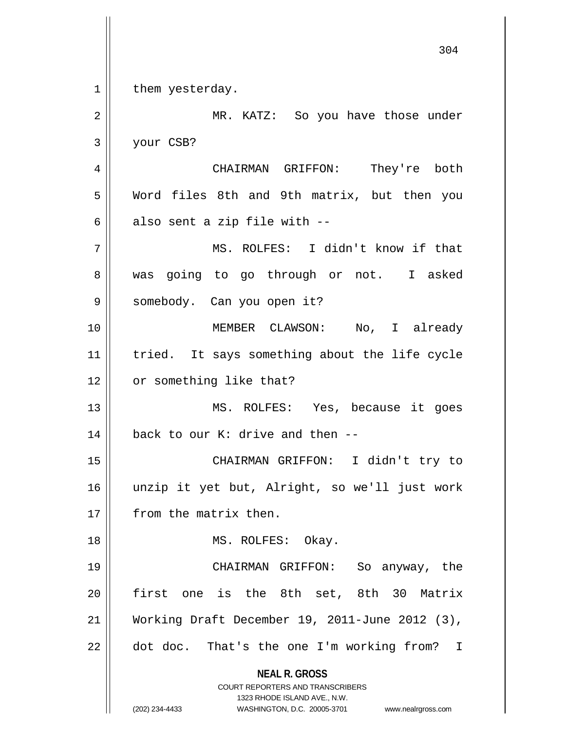**NEAL R. GROSS** COURT REPORTERS AND TRANSCRIBERS 1323 RHODE ISLAND AVE., N.W. (202) 234-4433 WASHINGTON, D.C. 20005-3701 www.nealrgross.com  $1 \parallel$  them yesterday. 2 MR. KATZ: So you have those under 3 your CSB? 4 CHAIRMAN GRIFFON: They're both 5 Word files 8th and 9th matrix, but then you  $6 \parallel$  also sent a zip file with --7 MS. ROLFES: I didn't know if that 8 was going to go through or not. I asked 9 || somebody. Can you open it? 10 MEMBER CLAWSON: No, I already 11 || tried. It says something about the life cycle 12 | or something like that? 13 MS. ROLFES: Yes, because it goes 14  $\parallel$  back to our K: drive and then --15 CHAIRMAN GRIFFON: I didn't try to 16 unzip it yet but, Alright, so we'll just work 17 | from the matrix then. 18 || MS. ROLFES: Okay. 19 CHAIRMAN GRIFFON: So anyway, the 20 first one is the 8th set, 8th 30 Matrix 21 Working Draft December 19, 2011-June 2012 (3),  $22$  | dot doc. That's the one I'm working from? I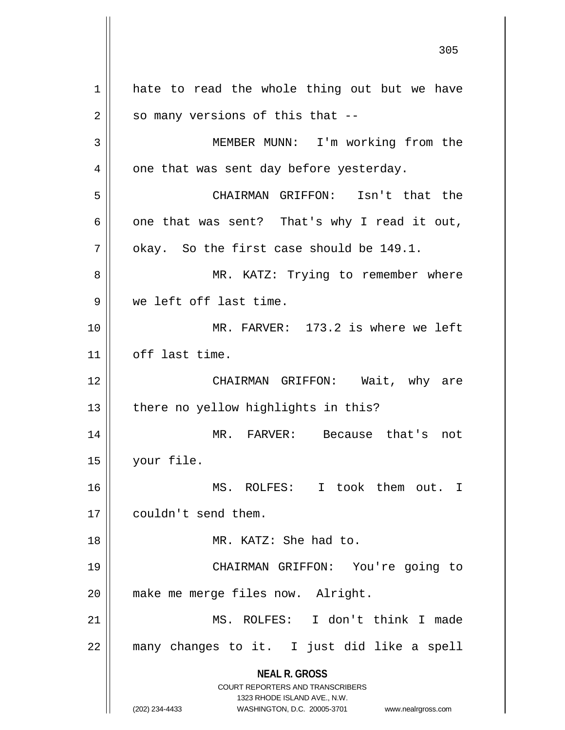**NEAL R. GROSS** COURT REPORTERS AND TRANSCRIBERS 1323 RHODE ISLAND AVE., N.W. (202) 234-4433 WASHINGTON, D.C. 20005-3701 www.nealrgross.com 1 hate to read the whole thing out but we have  $2 \parallel$  so many versions of this that --3 || MEMBER MUNN: I'm working from the  $4 \parallel$  one that was sent day before yesterday. 5 CHAIRMAN GRIFFON: Isn't that the  $6 \parallel$  one that was sent? That's why I read it out,  $7 \parallel$  okay. So the first case should be 149.1. 8 MR. KATZ: Trying to remember where 9 We left off last time. 10 MR. FARVER: 173.2 is where we left 11 || off last time. 12 CHAIRMAN GRIFFON: Wait, why are  $13$  | there no yellow highlights in this? 14 MR. FARVER: Because that's not 15 your file. 16 MS. ROLFES: I took them out. I 17 | couldn't send them. 18 MR. KATZ: She had to. 19 CHAIRMAN GRIFFON: You're going to 20 | make me merge files now. Alright. 21 MS. ROLFES: I don't think I made 22 many changes to it. I just did like a spell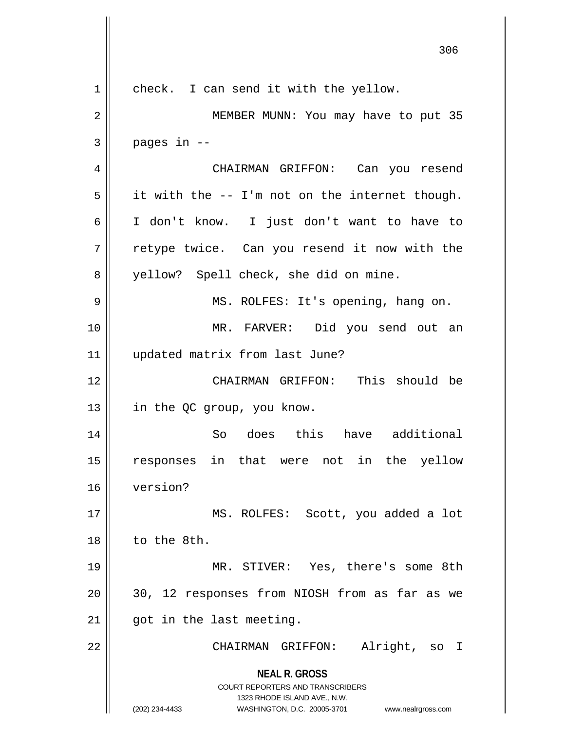**NEAL R. GROSS** COURT REPORTERS AND TRANSCRIBERS 1323 RHODE ISLAND AVE., N.W. (202) 234-4433 WASHINGTON, D.C. 20005-3701 www.nealrgross.com 306 1 | check. I can send it with the yellow. 2 MEMBER MUNN: You may have to put 35  $3 \parallel$  pages in  $-$ 4 CHAIRMAN GRIFFON: Can you resend  $5 \parallel$  it with the -- I'm not on the internet though. 6 I don't know. I just don't want to have to 7 || retype twice. Can you resend it now with the 8 yellow? Spell check, she did on mine. 9 || MS. ROLFES: It's opening, hang on. 10 MR. FARVER: Did you send out an 11 updated matrix from last June? 12 CHAIRMAN GRIFFON: This should be 13 | in the QC group, you know. 14 So does this have additional 15 responses in that were not in the yellow 16 version? 17 || MS. ROLFES: Scott, you added a lot  $18$  | to the 8th. 19 MR. STIVER: Yes, there's some 8th 20 || 30, 12 responses from NIOSH from as far as we  $21$  | got in the last meeting. 22 CHAIRMAN GRIFFON: Alright, so I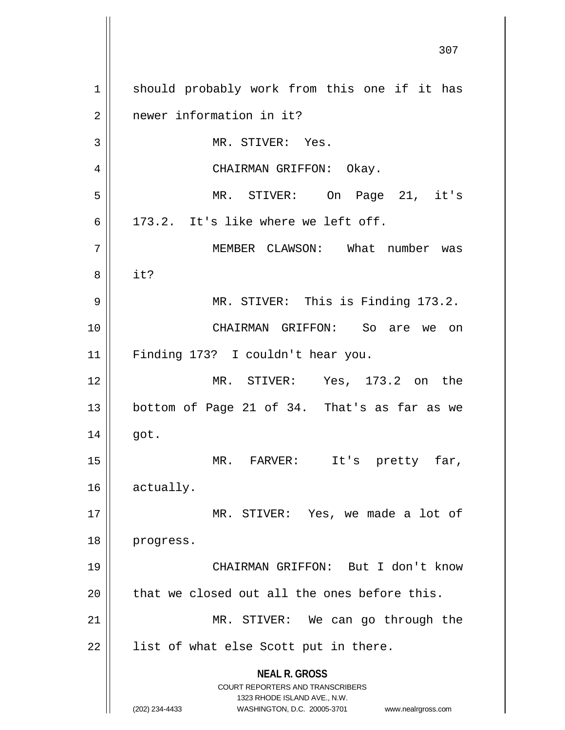**NEAL R. GROSS** COURT REPORTERS AND TRANSCRIBERS 1323 RHODE ISLAND AVE., N.W. (202) 234-4433 WASHINGTON, D.C. 20005-3701 www.nealrgross.com 1 || should probably work from this one if it has 2 | newer information in it? 3 || MR. STIVER: Yes. 4 CHAIRMAN GRIFFON: Okay. 5 MR. STIVER: On Page 21, it's  $6$  || 173.2. It's like where we left off. 7 MEMBER CLAWSON: What number was 8 it? 9 MR. STIVER: This is Finding 173.2. 10 CHAIRMAN GRIFFON: So are we on 11 Finding 173? I couldn't hear you. 12 MR. STIVER: Yes, 173.2 on the  $13$  bottom of Page 21 of 34. That's as far as we  $14 \parallel$  got. 15 MR. FARVER: It's pretty far, 16 actually. 17 || MR. STIVER: Yes, we made a lot of 18 progress. 19 CHAIRMAN GRIFFON: But I don't know  $20$  || that we closed out all the ones before this. 21 || MR. STIVER: We can go through the  $22$  || list of what else Scott put in there.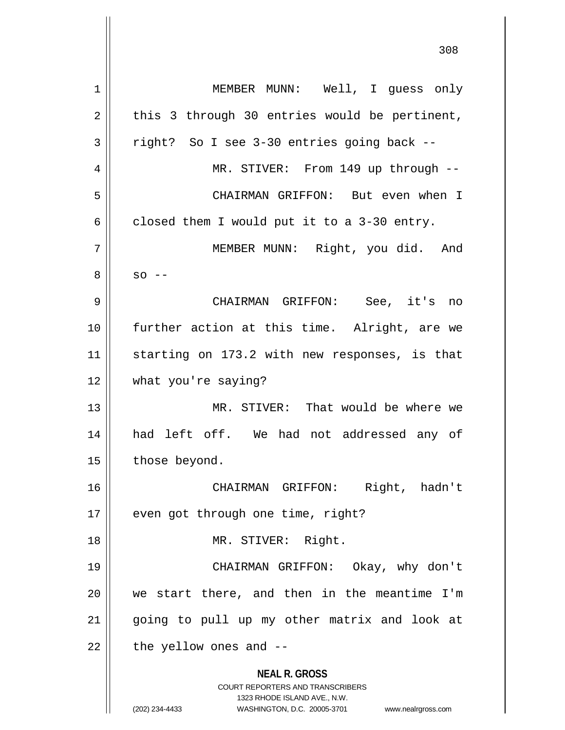**NEAL R. GROSS** COURT REPORTERS AND TRANSCRIBERS 1323 RHODE ISLAND AVE., N.W. (202) 234-4433 WASHINGTON, D.C. 20005-3701 www.nealrgross.com 1 || MEMBER MUNN: Well, I guess only  $2 \parallel$  this 3 through 30 entries would be pertinent,  $3 \parallel$  right? So I see 3-30 entries going back --4 MR. STIVER: From 149 up through -- 5 CHAIRMAN GRIFFON: But even when I  $6 \parallel$  closed them I would put it to a 3-30 entry. 7 MEMBER MUNN: Right, you did. And  $8 \parallel$  so  $-$ 9 CHAIRMAN GRIFFON: See, it's no 10 further action at this time. Alright, are we 11 || starting on 173.2 with new responses, is that 12 what you're saying? 13 MR. STIVER: That would be where we 14 had left off. We had not addressed any of  $15$  | those beyond. 16 CHAIRMAN GRIFFON: Right, hadn't 17 || even got through one time, right? 18 || MR. STIVER: Right. 19 CHAIRMAN GRIFFON: Okay, why don't 20 we start there, and then in the meantime I'm 21 || going to pull up my other matrix and look at  $22$  | the yellow ones and  $-$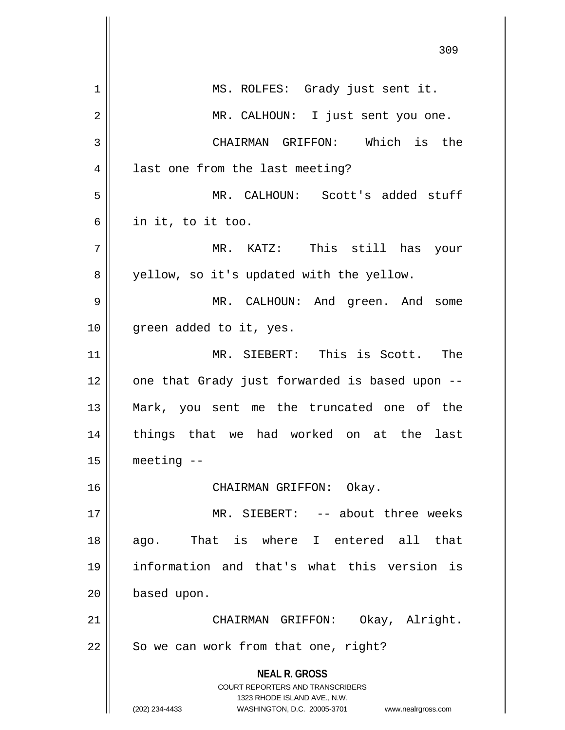**NEAL R. GROSS** COURT REPORTERS AND TRANSCRIBERS 1323 RHODE ISLAND AVE., N.W. (202) 234-4433 WASHINGTON, D.C. 20005-3701 www.nealrgross.com 309 1 || MS. ROLFES: Grady just sent it. 2 || MR. CALHOUN: I just sent you one. 3 CHAIRMAN GRIFFON: Which is the 4 || last one from the last meeting? 5 MR. CALHOUN: Scott's added stuff  $6 \parallel$  in it, to it too. 7 MR. KATZ: This still has your 8 || yellow, so it's updated with the yellow. 9 MR. CALHOUN: And green. And some 10 || green added to it, yes. 11 MR. SIEBERT: This is Scott. The  $12$  | one that Grady just forwarded is based upon  $-$ 13 Mark, you sent me the truncated one of the 14 || things that we had worked on at the last  $15$  | meeting  $-$ 16 CHAIRMAN GRIFFON: Okay. 17 MR. SIEBERT: -- about three weeks 18 || ago. That is where I entered all that 19 information and that's what this version is 20 | based upon. 21 CHAIRMAN GRIFFON: Okay, Alright.  $22$  || So we can work from that one, right?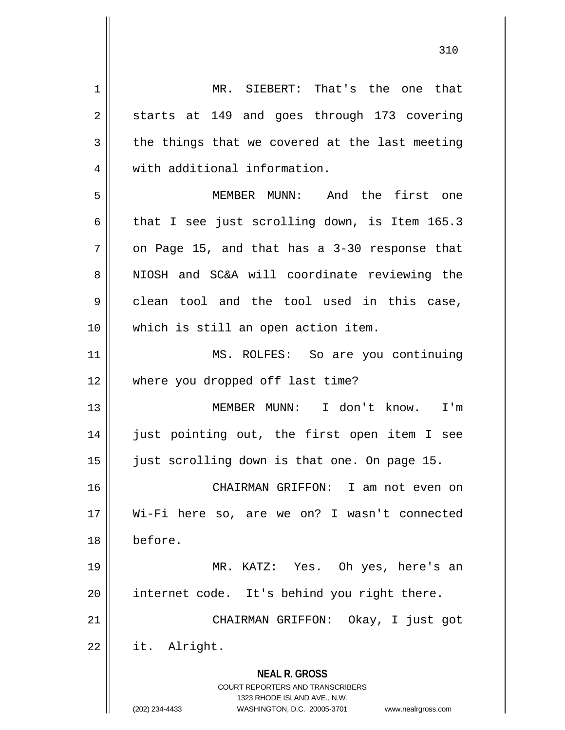**NEAL R. GROSS** COURT REPORTERS AND TRANSCRIBERS 1323 RHODE ISLAND AVE., N.W. (202) 234-4433 WASHINGTON, D.C. 20005-3701 www.nealrgross.com 1 || MR. SIEBERT: That's the one that 2 || starts at 149 and goes through 173 covering  $3 \parallel$  the things that we covered at the last meeting 4 | with additional information. 5 MEMBER MUNN: And the first one 6 that I see just scrolling down, is Item 165.3  $7 \parallel$  on Page 15, and that has a 3-30 response that 8 NIOSH and SC&A will coordinate reviewing the  $9 \parallel$  clean tool and the tool used in this case, 10 which is still an open action item. 11 || MS. ROLFES: So are you continuing 12 where you dropped off last time? 13 MEMBER MUNN: I don't know. I'm 14 || just pointing out, the first open item I see 15 just scrolling down is that one. On page 15. 16 CHAIRMAN GRIFFON: I am not even on 17 Wi-Fi here so, are we on? I wasn't connected 18 before. 19 MR. KATZ: Yes. Oh yes, here's an 20 internet code. It's behind you right there. 21 || CHAIRMAN GRIFFON: Okay, I just got 22 it. Alright.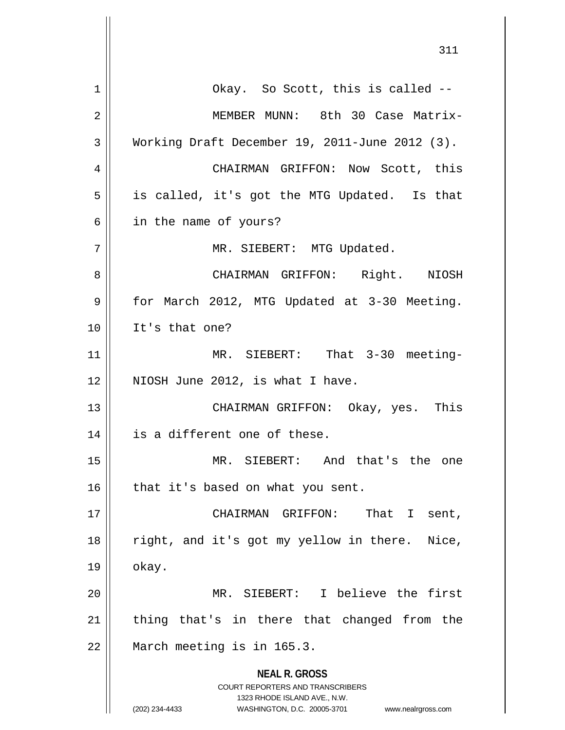| 1  | Okay. So Scott, this is called --                                                                   |
|----|-----------------------------------------------------------------------------------------------------|
| 2  | MEMBER MUNN: 8th 30 Case Matrix-                                                                    |
| 3  | Working Draft December 19, 2011-June 2012 (3).                                                      |
| 4  | CHAIRMAN GRIFFON: Now Scott, this                                                                   |
| 5  | is called, it's got the MTG Updated. Is that                                                        |
| 6  | in the name of yours?                                                                               |
| 7  | MR. SIEBERT: MTG Updated.                                                                           |
| 8  | CHAIRMAN GRIFFON: Right. NIOSH                                                                      |
| 9  | for March 2012, MTG Updated at 3-30 Meeting.                                                        |
| 10 | It's that one?                                                                                      |
| 11 | MR. SIEBERT: That 3-30 meeting-                                                                     |
| 12 | NIOSH June 2012, is what I have.                                                                    |
| 13 | CHAIRMAN GRIFFON: Okay, yes. This                                                                   |
| 14 | is a different one of these.                                                                        |
| 15 | MR. SIEBERT: And that's the one                                                                     |
| 16 | that it's based on what you sent.                                                                   |
| 17 | That I sent,<br>CHAIRMAN GRIFFON:                                                                   |
| 18 | right, and it's got my yellow in there. Nice,                                                       |
| 19 | okay.                                                                                               |
| 20 | MR. SIEBERT: I believe the first                                                                    |
| 21 | thing that's in there that changed from the                                                         |
| 22 | March meeting is in 165.3.                                                                          |
|    | <b>NEAL R. GROSS</b>                                                                                |
|    | <b>COURT REPORTERS AND TRANSCRIBERS</b>                                                             |
|    | 1323 RHODE ISLAND AVE., N.W.<br>WASHINGTON, D.C. 20005-3701<br>(202) 234-4433<br>www.nealrgross.com |

 $\overline{\phantom{a}}$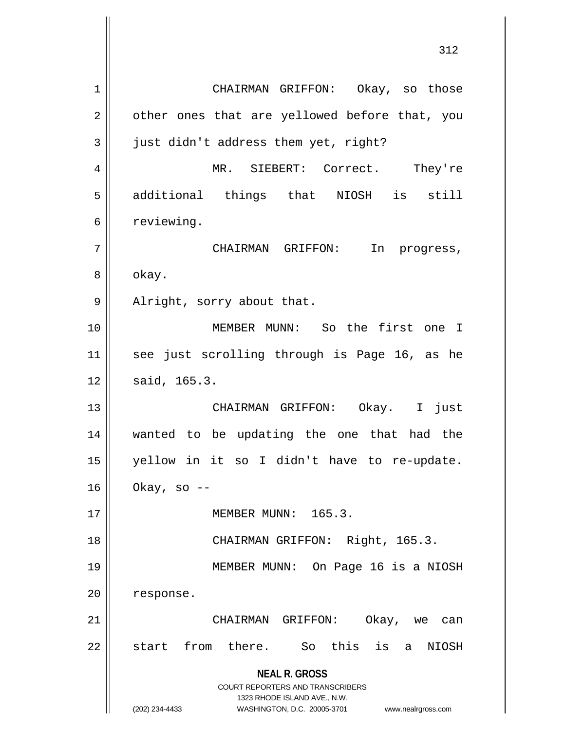**NEAL R. GROSS** COURT REPORTERS AND TRANSCRIBERS 1323 RHODE ISLAND AVE., N.W. (202) 234-4433 WASHINGTON, D.C. 20005-3701 www.nealrgross.com 1 CHAIRMAN GRIFFON: Okay, so those  $2 \parallel$  other ones that are yellowed before that, you 3 | just didn't address them yet, right? 4 MR. SIEBERT: Correct. They're 5 additional things that NIOSH is still  $6 \parallel$  reviewing. 7 CHAIRMAN GRIFFON: In progress, 8 | okay. 9 || Alright, sorry about that. 10 MEMBER MUNN: So the first one I 11 see just scrolling through is Page 16, as he  $12 \parallel$  said, 165.3. 13 CHAIRMAN GRIFFON: Okay. I just 14 wanted to be updating the one that had the 15 yellow in it so I didn't have to re-update.  $16 \parallel$  Okay, so --17 MEMBER MUNN: 165.3. 18 || CHAIRMAN GRIFFON: Right, 165.3. 19 MEMBER MUNN: On Page 16 is a NIOSH 20 response. 21 CHAIRMAN GRIFFON: Okay, we can 22 || start from there. So this is a NIOSH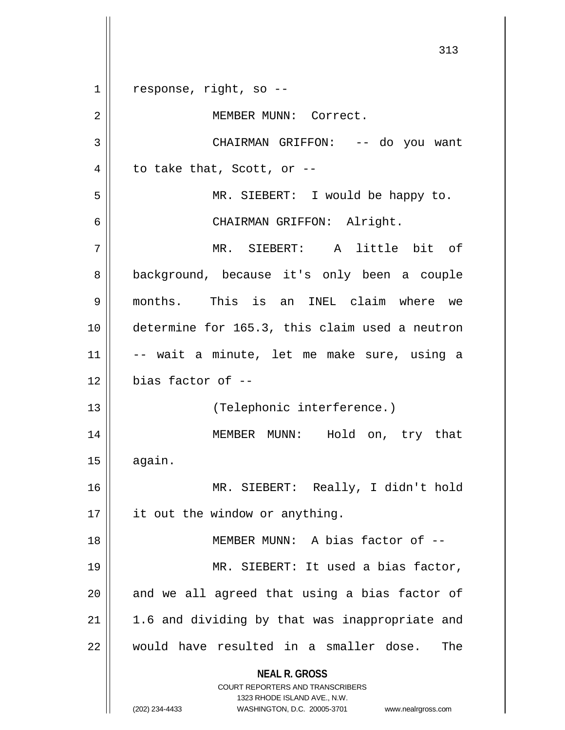**NEAL R. GROSS** COURT REPORTERS AND TRANSCRIBERS 1323 RHODE ISLAND AVE., N.W. (202) 234-4433 WASHINGTON, D.C. 20005-3701 www.nealrgross.com 313  $1 \parallel$  response, right, so --2 | | MEMBER MUNN: Correct. 3 CHAIRMAN GRIFFON: -- do you want  $4 \parallel$  to take that, Scott, or --5 MR. SIEBERT: I would be happy to. 6 CHAIRMAN GRIFFON: Alright. 7 MR. SIEBERT: A little bit of 8 || background, because it's only been a couple 9 months. This is an INEL claim where we 10 determine for 165.3, this claim used a neutron 11 -- wait a minute, let me make sure, using a  $12 \parallel$  bias factor of  $-$ 13 || (Telephonic interference.) 14 MEMBER MUNN: Hold on, try that  $15$   $\parallel$  again. 16 MR. SIEBERT: Really, I didn't hold  $17$  | it out the window or anything. 18 || MEMBER MUNN: A bias factor of --19 || MR. SIEBERT: It used a bias factor,  $20$  || and we all agreed that using a bias factor of  $21$  | 1.6 and dividing by that was inappropriate and 22 would have resulted in a smaller dose. The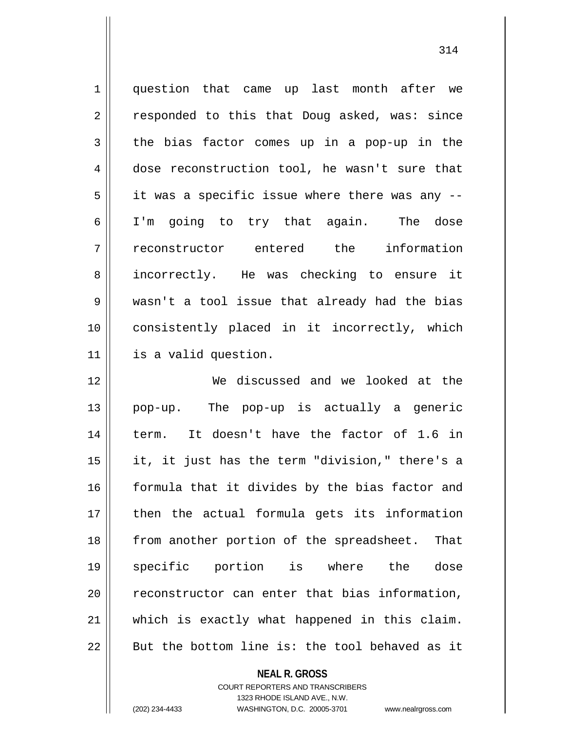1 question that came up last month after we 2 || responded to this that Doug asked, was: since  $3 \parallel$  the bias factor comes up in a pop-up in the 4 dose reconstruction tool, he wasn't sure that  $5 \parallel$  it was a specific issue where there was any --6 I'm going to try that again. The dose 7 reconstructor entered the information 8 incorrectly. He was checking to ensure it 9 wasn't a tool issue that already had the bias 10 consistently placed in it incorrectly, which 11 is a valid question.

 We discussed and we looked at the pop-up. The pop-up is actually a generic term. It doesn't have the factor of 1.6 in || it, it just has the term "division," there's a 16 || formula that it divides by the bias factor and then the actual formula gets its information 18 || from another portion of the spreadsheet. That specific portion is where the dose 20 || reconstructor can enter that bias information, which is exactly what happened in this claim. | But the bottom line is: the tool behaved as it

**NEAL R. GROSS**

COURT REPORTERS AND TRANSCRIBERS 1323 RHODE ISLAND AVE., N.W. (202) 234-4433 WASHINGTON, D.C. 20005-3701 www.nealrgross.com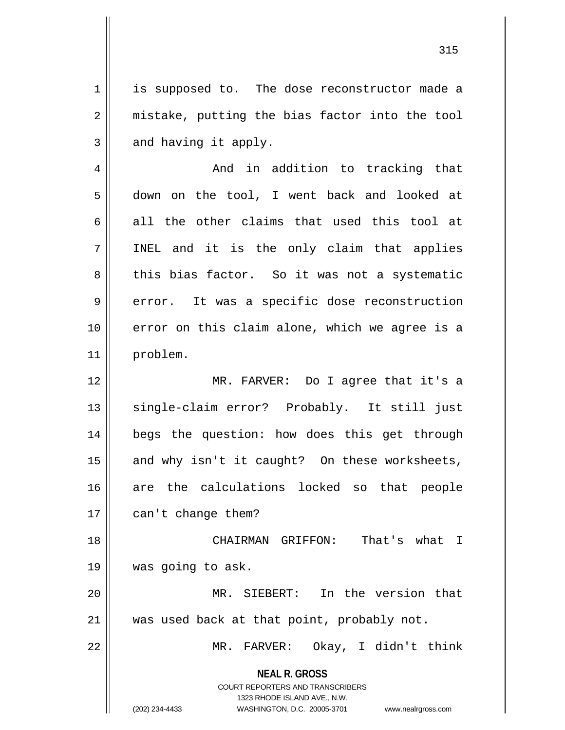1 is supposed to. The dose reconstructor made a 2 || mistake, putting the bias factor into the tool  $3 \parallel$  and having it apply.

4 And in addition to tracking that 5 down on the tool, I went back and looked at  $6 \parallel$  all the other claims that used this tool at  $7$  || INEL and it is the only claim that applies 8 this bias factor. So it was not a systematic  $9 \parallel$  error. It was a specific dose reconstruction 10 || error on this claim alone, which we agree is a 11 problem.

12 MR. FARVER: Do I agree that it's a 13 || single-claim error? Probably. It still just 14 || begs the question: how does this get through  $15$  and why isn't it caught? On these worksheets, 16 are the calculations locked so that people 17 | can't change them?

18 || CHAIRMAN GRIFFON: That's what I 19 was going to ask.

20 MR. SIEBERT: In the version that 21 || was used back at that point, probably not.

22 MR. FARVER: Okay, I didn't think

**NEAL R. GROSS** COURT REPORTERS AND TRANSCRIBERS

1323 RHODE ISLAND AVE., N.W.

(202) 234-4433 WASHINGTON, D.C. 20005-3701 www.nealrgross.com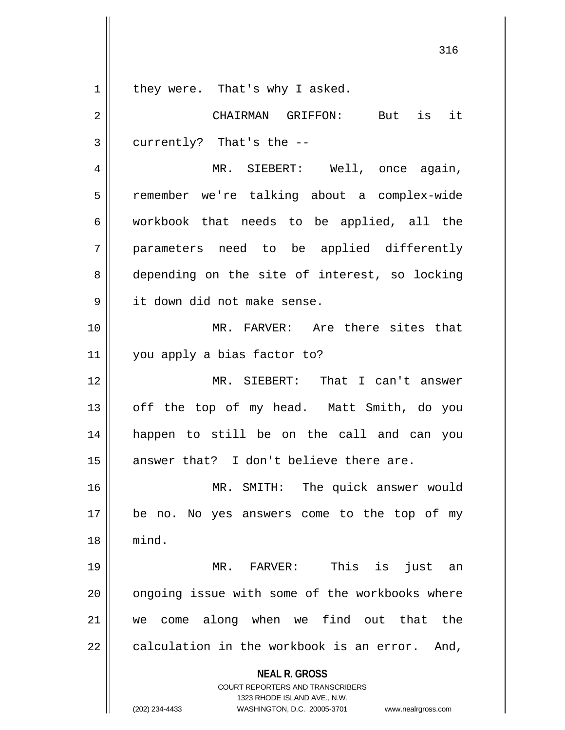$1 \parallel$  they were. That's why I asked.

**NEAL R. GROSS** COURT REPORTERS AND TRANSCRIBERS 1323 RHODE ISLAND AVE., N.W. 2 CHAIRMAN GRIFFON: But is it  $3 \parallel$  currently? That's the --4 MR. SIEBERT: Well, once again, 5 | remember we're talking about a complex-wide  $6 \parallel$  workbook that needs to be applied, all the 7 parameters need to be applied differently 8 depending on the site of interest, so locking 9 | it down did not make sense. 10 MR. FARVER: Are there sites that 11 || you apply a bias factor to? 12 MR. SIEBERT: That I can't answer 13 || off the top of my head. Matt Smith, do you 14 happen to still be on the call and can you  $15$  answer that? I don't believe there are. 16 || MR. SMITH: The quick answer would 17 be no. No yes answers come to the top of my 18 mind. 19 MR. FARVER: This is just an 20 || ongoing issue with some of the workbooks where 21 we come along when we find out that the  $22 \parallel$  calculation in the workbook is an error. And,

(202) 234-4433 WASHINGTON, D.C. 20005-3701 www.nealrgross.com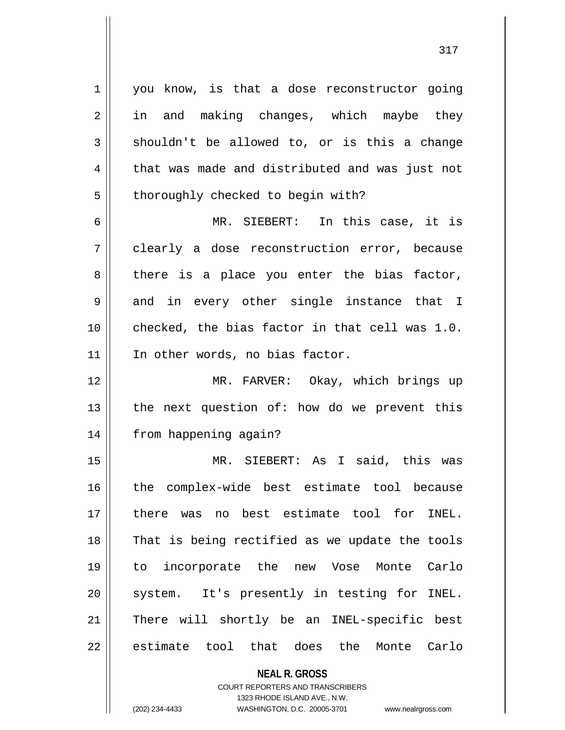$1 \parallel$  you know, is that a dose reconstructor going 2 || in and making changes, which maybe they  $3 \parallel$  shouldn't be allowed to, or is this a change 4 | that was made and distributed and was just not 5 | thoroughly checked to begin with?

6 MR. SIEBERT: In this case, it is 7 clearly a dose reconstruction error, because  $8 \parallel$  there is a place you enter the bias factor, 9 and in every other single instance that I 10 checked, the bias factor in that cell was 1.0. 11 || In other words, no bias factor.

12 MR. FARVER: Okay, which brings up 13  $\parallel$  the next question of: how do we prevent this 14 | from happening again?

15 MR. SIEBERT: As I said, this was 16 the complex-wide best estimate tool because 17 there was no best estimate tool for INEL. 18 || That is being rectified as we update the tools 19 to incorporate the new Vose Monte Carlo 20 || system. It's presently in testing for INEL. 21 || There will shortly be an INEL-specific best 22 estimate tool that does the Monte Carlo

> **NEAL R. GROSS** COURT REPORTERS AND TRANSCRIBERS 1323 RHODE ISLAND AVE., N.W. (202) 234-4433 WASHINGTON, D.C. 20005-3701 www.nealrgross.com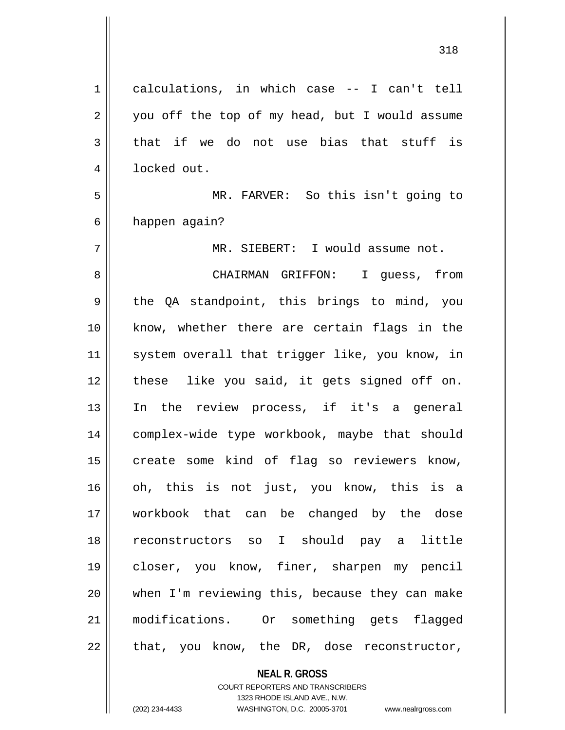$1 \parallel$  calculations, in which case -- I can't tell 2 || you off the top of my head, but I would assume  $3$  that if we do not use bias that stuff is 4 | locked out. 5 MR. FARVER: So this isn't going to 6 | happen again? 7 MR. SIEBERT: I would assume not. 8 CHAIRMAN GRIFFON: I guess, from  $9 \parallel$  the QA standpoint, this brings to mind, you 10 know, whether there are certain flags in the 11 || system overall that trigger like, you know, in 12 || these like you said, it gets signed off on. 13 In the review process, if it's a general 14 || complex-wide type workbook, maybe that should  $15$  create some kind of flag so reviewers know, 16 oh, this is not just, you know, this is a 17 workbook that can be changed by the dose 18 reconstructors so I should pay a little 19 closer, you know, finer, sharpen my pencil 20 when I'm reviewing this, because they can make 21 modifications. Or something gets flagged  $22 \parallel$  that, you know, the DR, dose reconstructor,

**NEAL R. GROSS**

COURT REPORTERS AND TRANSCRIBERS 1323 RHODE ISLAND AVE., N.W. (202) 234-4433 WASHINGTON, D.C. 20005-3701 www.nealrgross.com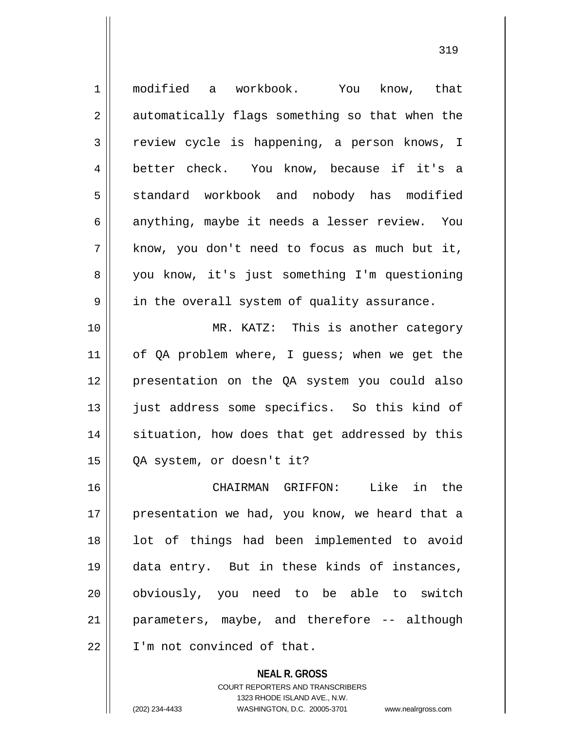1 || modified a workbook. You know, that 2 || automatically flags something so that when the 3 review cycle is happening, a person knows, I 4 better check. You know, because if it's a 5 standard workbook and nobody has modified 6 anything, maybe it needs a lesser review. You  $7 \parallel$  know, you don't need to focus as much but it, 8 || you know, it's just something I'm questioning  $9 \parallel$  in the overall system of quality assurance. 10 MR. KATZ: This is another category 11 || of QA problem where, I guess; when we get the 12 presentation on the QA system you could also 13 || just address some specifics. So this kind of 14 || situation, how does that get addressed by this 15 QA system, or doesn't it? 16 CHAIRMAN GRIFFON: Like in the 17 || presentation we had, you know, we heard that a 18 || lot of things had been implemented to avoid 19 data entry. But in these kinds of instances, 20 || obviously, you need to be able to switch 21 || parameters, maybe, and therefore -- although 22 I'm not convinced of that.

> **NEAL R. GROSS** COURT REPORTERS AND TRANSCRIBERS 1323 RHODE ISLAND AVE., N.W. (202) 234-4433 WASHINGTON, D.C. 20005-3701 www.nealrgross.com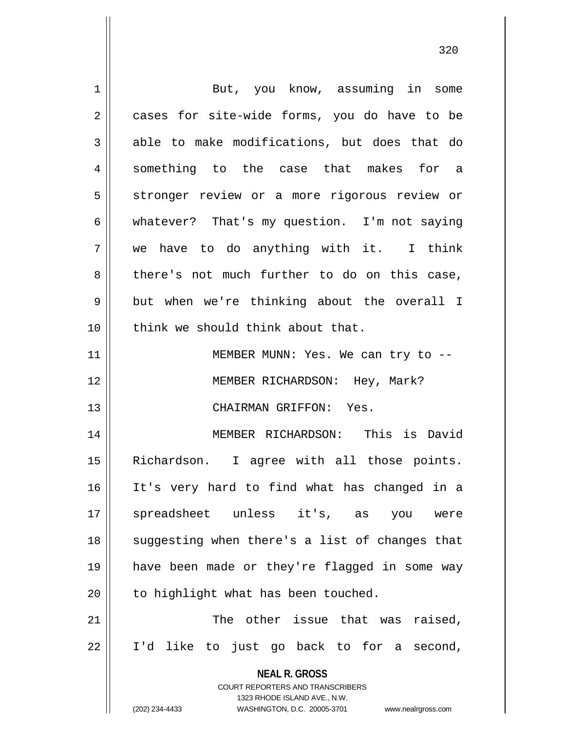| 1  | But, you know, assuming in some                                     |
|----|---------------------------------------------------------------------|
| 2  | cases for site-wide forms, you do have to be                        |
| 3  | able to make modifications, but does that do                        |
| 4  | something to the case that makes for a                              |
| 5  | stronger review or a more rigorous review or                        |
| 6  | whatever? That's my question. I'm not saying                        |
| 7  | we have to do anything with it. I think                             |
| 8  | there's not much further to do on this case,                        |
| 9  | but when we're thinking about the overall I                         |
| 10 | think we should think about that.                                   |
| 11 | MEMBER MUNN: Yes. We can try to --                                  |
| 12 | MEMBER RICHARDSON: Hey, Mark?                                       |
| 13 | CHAIRMAN GRIFFON: Yes.                                              |
| 14 | MEMBER RICHARDSON: This is David                                    |
| 15 | Richardson. I agree with all those points.                          |
| 16 | It's very hard to find what has changed in a                        |
| 17 | spreadsheet unless it's, as<br>you<br>were                          |
| 18 | suggesting when there's a list of changes that                      |
| 19 | have been made or they're flagged in some way                       |
| 20 | to highlight what has been touched.                                 |
| 21 | The other issue that was<br>raised,                                 |
| 22 | I'd like to just go back to for a second,                           |
|    | <b>NEAL R. GROSS</b>                                                |
|    | <b>COURT REPORTERS AND TRANSCRIBERS</b>                             |
|    | 1323 RHODE ISLAND AVE., N.W.                                        |
|    | (202) 234-4433<br>WASHINGTON, D.C. 20005-3701<br>www.nealrgross.com |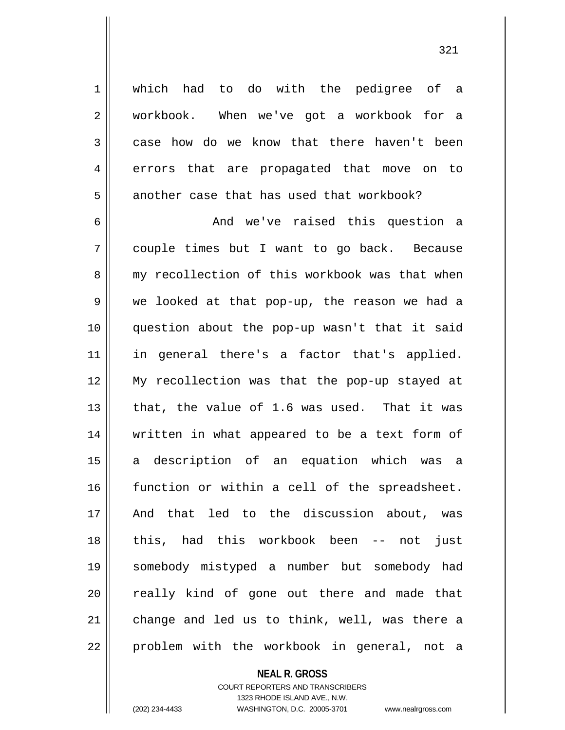1 | which had to do with the pedigree of a 2 || workbook. When we've got a workbook for a 3 case how do we know that there haven't been 4 errors that are propagated that move on to  $5$  || another case that has used that workbook?

 And we've raised this question a couple times but I want to go back. Because 8 my recollection of this workbook was that when we looked at that pop-up, the reason we had a question about the pop-up wasn't that it said in general there's a factor that's applied. My recollection was that the pop-up stayed at 13 || that, the value of 1.6 was used. That it was written in what appeared to be a text form of a description of an equation which was a function or within a cell of the spreadsheet. And that led to the discussion about, was this, had this workbook been -- not just somebody mistyped a number but somebody had 20 || really kind of gone out there and made that 21 || change and led us to think, well, was there a 22 || problem with the workbook in general, not a

## **NEAL R. GROSS**

COURT REPORTERS AND TRANSCRIBERS 1323 RHODE ISLAND AVE., N.W. (202) 234-4433 WASHINGTON, D.C. 20005-3701 www.nealrgross.com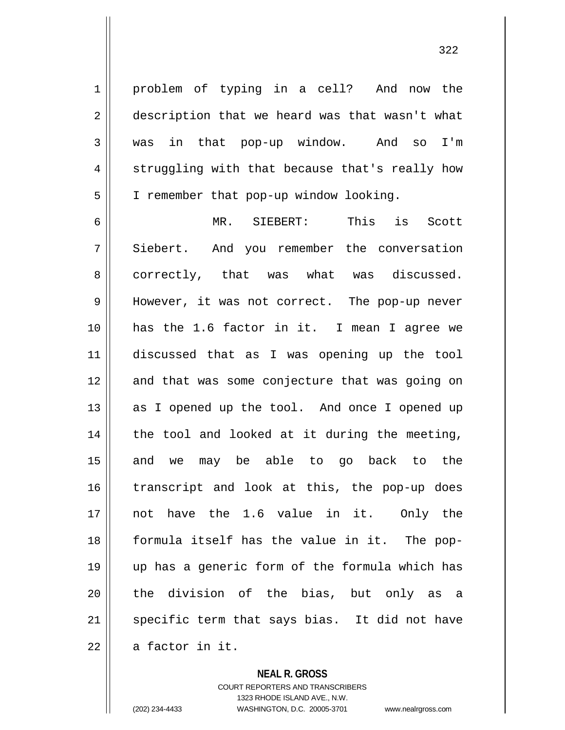1 || problem of typing in a cell? And now the 2 | description that we heard was that wasn't what 3 was in that pop-up window. And so I'm  $4 \parallel$  struggling with that because that's really how 5 | I remember that pop-up window looking.

6 MR. SIEBERT: This is Scott 7 Siebert. And you remember the conversation 8 || correctly, that was what was discussed. 9 || However, it was not correct. The pop-up never 10 has the 1.6 factor in it. I mean I agree we 11 discussed that as I was opening up the tool 12 || and that was some conjecture that was going on 13 || as I opened up the tool. And once I opened up  $14$  | the tool and looked at it during the meeting, 15 || and we may be able to go back to the 16 || transcript and look at this, the pop-up does 17 not have the 1.6 value in it. Only the 18 formula itself has the value in it. The pop-19 up has a generic form of the formula which has 20 || the division of the bias, but only as a 21 || specific term that says bias. It did not have  $22 \parallel$  a factor in it.

## **NEAL R. GROSS**

COURT REPORTERS AND TRANSCRIBERS 1323 RHODE ISLAND AVE., N.W. (202) 234-4433 WASHINGTON, D.C. 20005-3701 www.nealrgross.com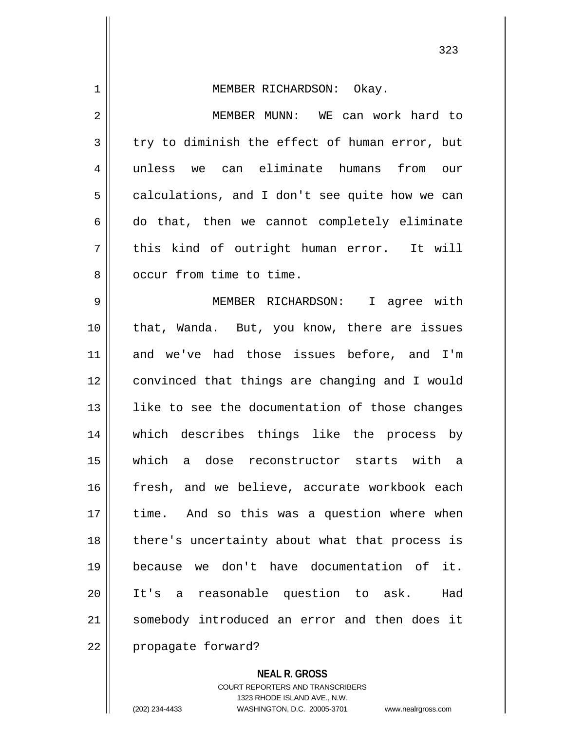| $\mathbf 1$ | MEMBER RICHARDSON: Okay.                       |
|-------------|------------------------------------------------|
| 2           | MEMBER MUNN: WE can work hard to               |
| 3           | try to diminish the effect of human error, but |
| 4           | unless we can eliminate humans from our        |
| 5           | calculations, and I don't see quite how we can |
| 6           | do that, then we cannot completely eliminate   |
| 7           | this kind of outright human error. It will     |
| 8           | occur from time to time.                       |
| 9           | MEMBER RICHARDSON: I agree with                |
| 10          | that, Wanda. But, you know, there are issues   |
| 11          | and we've had those issues before, and I'm     |
| 12          | convinced that things are changing and I would |
| 13          | like to see the documentation of those changes |
| 14          | which describes things like the process by     |
| 15          | which a dose reconstructor starts with a       |
| 16          | fresh, and we believe, accurate workbook each  |
| 17          | time. And so this was a question where when    |
| 18          | there's uncertainty about what that process is |
| 19          | because we don't have documentation of<br>it.  |
| 20          | It's a reasonable question to ask.<br>Had      |
| 21          | somebody introduced an error and then does it  |
| 22          | propagate forward?                             |

**NEAL R. GROSS** COURT REPORTERS AND TRANSCRIBERS

1323 RHODE ISLAND AVE., N.W. (202) 234-4433 WASHINGTON, D.C. 20005-3701 www.nealrgross.com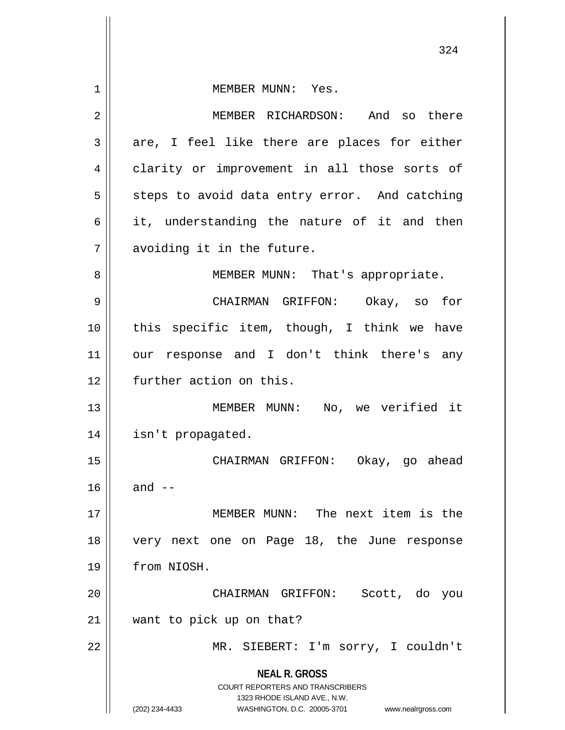**NEAL R. GROSS** COURT REPORTERS AND TRANSCRIBERS 1323 RHODE ISLAND AVE., N.W. (202) 234-4433 WASHINGTON, D.C. 20005-3701 www.nealrgross.com 324 1 || MEMBER MUNN: Yes. 2 MEMBER RICHARDSON: And so there  $3 \parallel$  are, I feel like there are places for either 4 || clarity or improvement in all those sorts of  $5 \parallel$  steps to avoid data entry error. And catching  $6 \parallel$  it, understanding the nature of it and then 7 || avoiding it in the future. 8 || MEMBER MUNN: That's appropriate. 9 CHAIRMAN GRIFFON: Okay, so for 10 || this specific item, though, I think we have 11 || our response and I don't think there's any 12 **further** action on this. 13 MEMBER MUNN: No, we verified it 14 isn't propagated. 15 CHAIRMAN GRIFFON: Okay, go ahead  $16$  || and  $-$ 17 MEMBER MUNN: The next item is the 18 very next one on Page 18, the June response 19 from NIOSH. 20 CHAIRMAN GRIFFON: Scott, do you 21 want to pick up on that? 22 || MR. SIEBERT: I'm sorry, I couldn't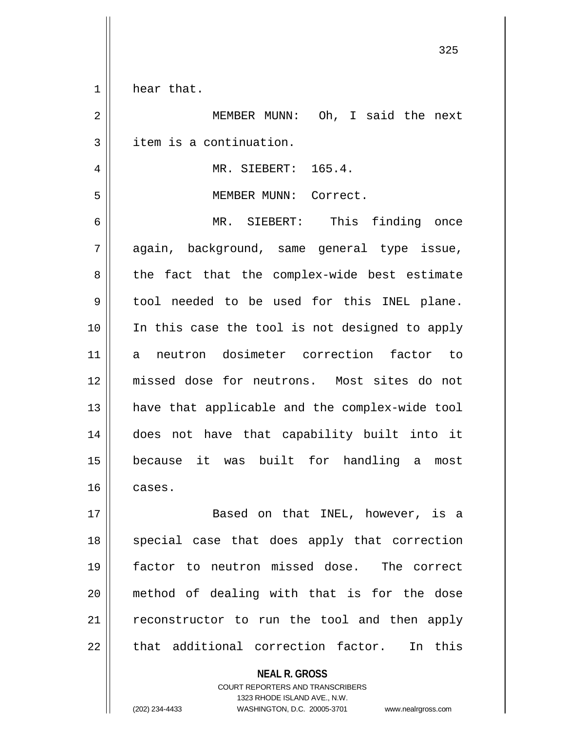1 | hear that.

 MEMBER MUNN: Oh, I said the next | item is a continuation. MR. SIEBERT: 165.4. MEMBER MUNN: Correct. MR. SIEBERT: This finding once again, background, same general type issue,  $8 \parallel$  the fact that the complex-wide best estimate tool needed to be used for this INEL plane. 10 || In this case the tool is not designed to apply a neutron dosimeter correction factor to missed dose for neutrons. Most sites do not have that applicable and the complex-wide tool does not have that capability built into it because it was built for handling a most cases. Based on that INEL, however, is a 18 || special case that does apply that correction factor to neutron missed dose. The correct method of dealing with that is for the dose 21 || reconstructor to run the tool and then apply  $\parallel$  that additional correction factor. In this

> **NEAL R. GROSS** COURT REPORTERS AND TRANSCRIBERS

> > 1323 RHODE ISLAND AVE., N.W.

(202) 234-4433 WASHINGTON, D.C. 20005-3701 www.nealrgross.com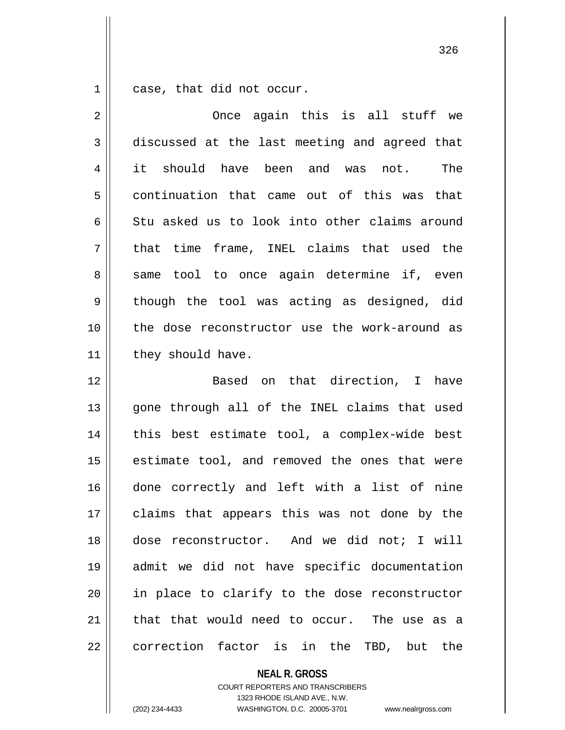$1 \parallel$  case, that did not occur.

| $\overline{2}$ | Once again this is all stuff we               |
|----------------|-----------------------------------------------|
| 3              | discussed at the last meeting and agreed that |
| 4              | it should have been and was not.<br>The       |
| 5              | continuation that came out of this was that   |
| 6              | Stu asked us to look into other claims around |
| 7              | that time frame, INEL claims that used the    |
| 8              | same tool to once again determine if, even    |
| 9              | though the tool was acting as designed, did   |
| 10             | the dose reconstructor use the work-around as |
| 11             | they should have.                             |
| 12             | Based on that direction, I have               |
| 13             | gone through all of the INEL claims that used |
| 14             | this best estimate tool, a complex-wide best  |
| 15             | estimate tool, and removed the ones that were |
| 16             | done correctly and left with a list of nine   |
| 17             | claims that appears this was not done by the  |
| 18             | dose reconstructor. And we did not; I will    |
| 19             | admit we did not have specific documentation  |
| 20             | in place to clarify to the dose reconstructor |
| 21             | that that would need to occur. The use as a   |
| 22             | correction factor is in the TBD, but the      |

**NEAL R. GROSS**

COURT REPORTERS AND TRANSCRIBERS 1323 RHODE ISLAND AVE., N.W. (202) 234-4433 WASHINGTON, D.C. 20005-3701 www.nealrgross.com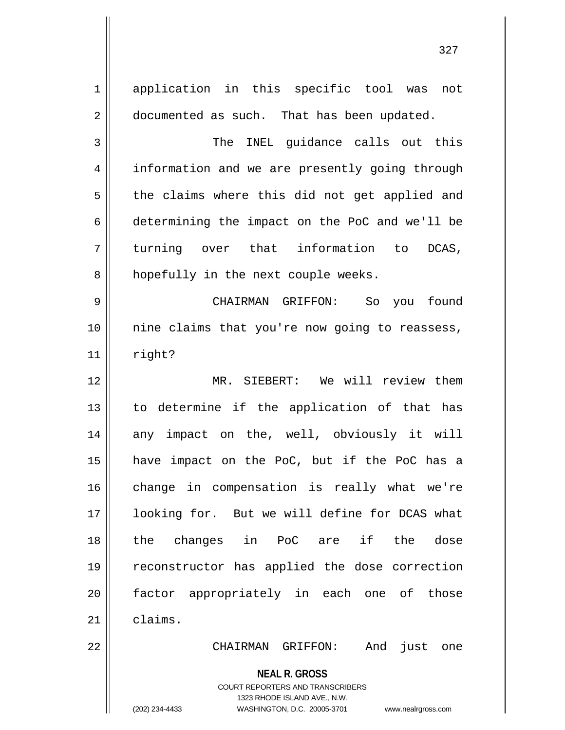**NEAL R. GROSS** COURT REPORTERS AND TRANSCRIBERS 1323 RHODE ISLAND AVE., N.W. (202) 234-4433 WASHINGTON, D.C. 20005-3701 www.nealrgross.com 1 || application in this specific tool was not 2 | documented as such. That has been updated. 3 The INEL guidance calls out this 4 || information and we are presently going through  $5 \parallel$  the claims where this did not get applied and 6 determining the impact on the PoC and we'll be  $7 \parallel$  turning over that information to DCAS,  $8$  | hopefully in the next couple weeks. 9 CHAIRMAN GRIFFON: So you found 10 nine claims that you're now going to reassess,  $11$  right? 12 || MR. SIEBERT: We will review them 13 || to determine if the application of that has 14 any impact on the, well, obviously it will 15 have impact on the PoC, but if the PoC has a 16 change in compensation is really what we're 17 || looking for. But we will define for DCAS what 18 the changes in PoC are if the dose 19 reconstructor has applied the dose correction 20 factor appropriately in each one of those  $21$   $\parallel$  claims. 22 CHAIRMAN GRIFFON: And just one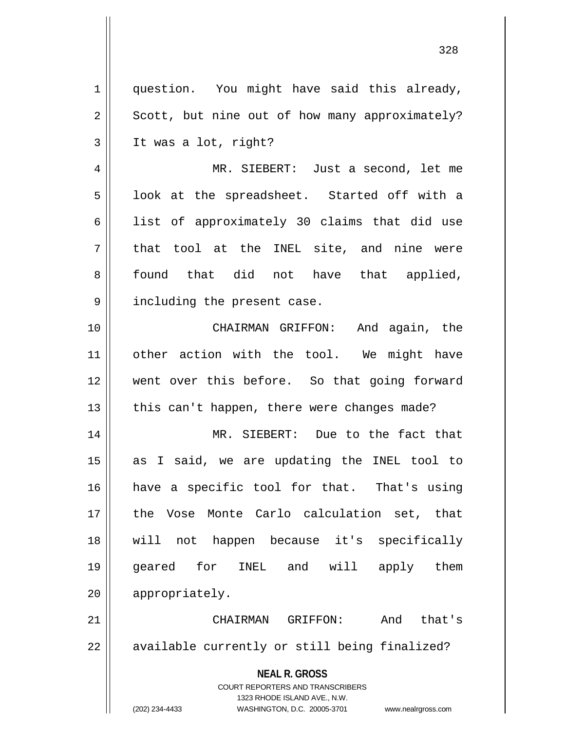**NEAL R. GROSS** COURT REPORTERS AND TRANSCRIBERS 1323 RHODE ISLAND AVE., N.W. 1 || question. You might have said this already,  $2 \parallel$  Scott, but nine out of how many approximately?  $3 \parallel$  It was a lot, right? 4 MR. SIEBERT: Just a second, let me  $5 \parallel$  look at the spreadsheet. Started off with a 6 || list of approximately 30 claims that did use  $7 \parallel$  that tool at the INEL site, and nine were 8 found that did not have that applied, 9 || including the present case. 10 CHAIRMAN GRIFFON: And again, the 11 other action with the tool. We might have 12 went over this before. So that going forward 13  $\parallel$  this can't happen, there were changes made? 14 MR. SIEBERT: Due to the fact that 15 as I said, we are updating the INEL tool to 16 have a specific tool for that. That's using 17 the Vose Monte Carlo calculation set, that 18 will not happen because it's specifically 19 geared for INEL and will apply them 20 | appropriately. 21 CHAIRMAN GRIFFON: And that's  $22$  || available currently or still being finalized?

(202) 234-4433 WASHINGTON, D.C. 20005-3701 www.nealrgross.com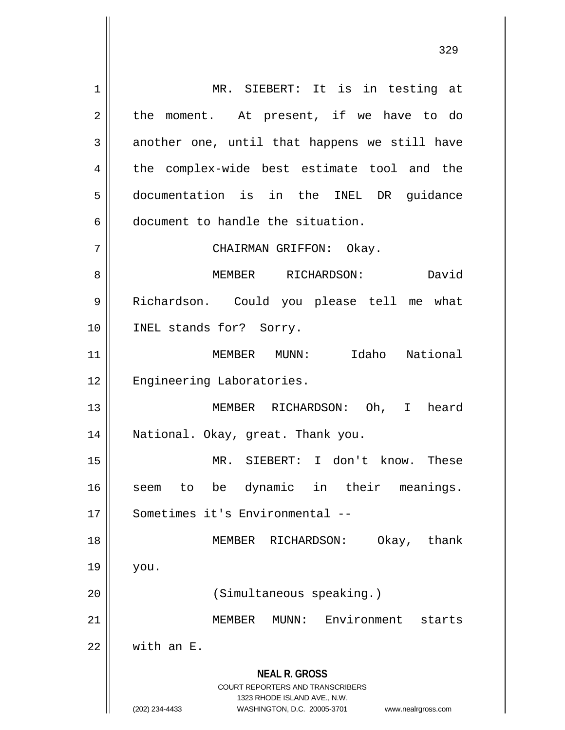**NEAL R. GROSS** COURT REPORTERS AND TRANSCRIBERS 1323 RHODE ISLAND AVE., N.W. (202) 234-4433 WASHINGTON, D.C. 20005-3701 www.nealrgross.com 1 || MR. SIEBERT: It is in testing at  $2 \parallel$  the moment. At present, if we have to do 3 another one, until that happens we still have 4 the complex-wide best estimate tool and the 5 documentation is in the INEL DR guidance 6 document to handle the situation. 7 || CHAIRMAN GRIFFON: Okay. 8 MEMBER RICHARDSON: David 9 Richardson. Could you please tell me what 10 || INEL stands for? Sorry. 11 MEMBER MUNN: Idaho National 12 | Engineering Laboratories. 13 MEMBER RICHARDSON: Oh, I heard 14 National. Okay, great. Thank you. 15 MR. SIEBERT: I don't know. These 16 || seem to be dynamic in their meanings. 17 Sometimes it's Environmental --18 MEMBER RICHARDSON: Okay, thank  $19 \parallel$  you. 20 || (Simultaneous speaking.) 21 MEMBER MUNN: Environment starts  $22$  With an E.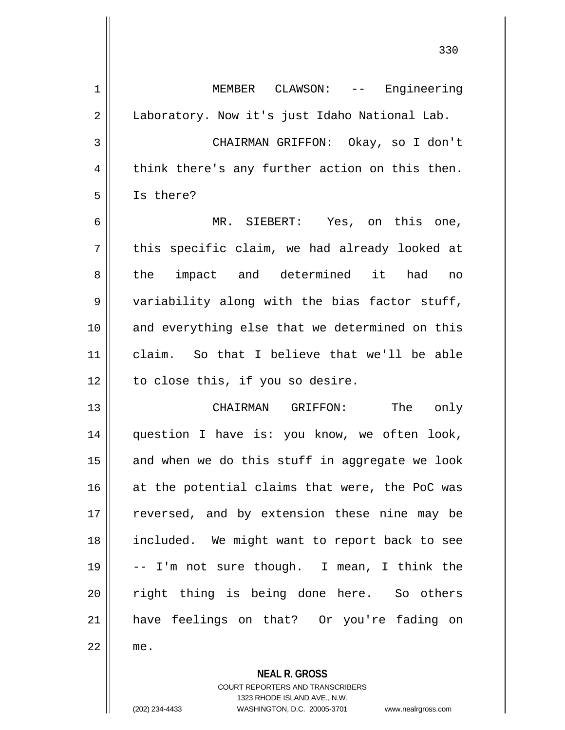| $\mathbf 1$  | MEMBER CLAWSON: -- Engineering                 |
|--------------|------------------------------------------------|
| $\mathbf{2}$ | Laboratory. Now it's just Idaho National Lab.  |
| 3            | CHAIRMAN GRIFFON: Okay, so I don't             |
| 4            | think there's any further action on this then. |
| 5            | Is there?                                      |
| 6            | MR. SIEBERT: Yes, on this one,                 |
| 7            | this specific claim, we had already looked at  |
| 8            | the impact and determined it had<br>no         |
| 9            | variability along with the bias factor stuff,  |
| 10           | and everything else that we determined on this |
| 11           | claim. So that I believe that we'll be able    |
| 12           | to close this, if you so desire.               |
| 13           | CHAIRMAN GRIFFON: The only                     |
| 14           | question I have is: you know, we often look,   |
| 15           | and when we do this stuff in aggregate we look |
| 16           | at the potential claims that were, the PoC was |
| 17           | reversed, and by extension these nine may be   |
| 18           | included. We might want to report back to see  |
| 19           | -- I'm not sure though. I mean, I think the    |
| 20           | right thing is being done here. So others      |
| 21           | have feelings on that? Or you're fading on     |
| 22           | me.                                            |
|              |                                                |

COURT REPORTERS AND TRANSCRIBERS 1323 RHODE ISLAND AVE., N.W.

**NEAL R. GROSS**

 $\mathsf{II}$ 

(202) 234-4433 WASHINGTON, D.C. 20005-3701 www.nealrgross.com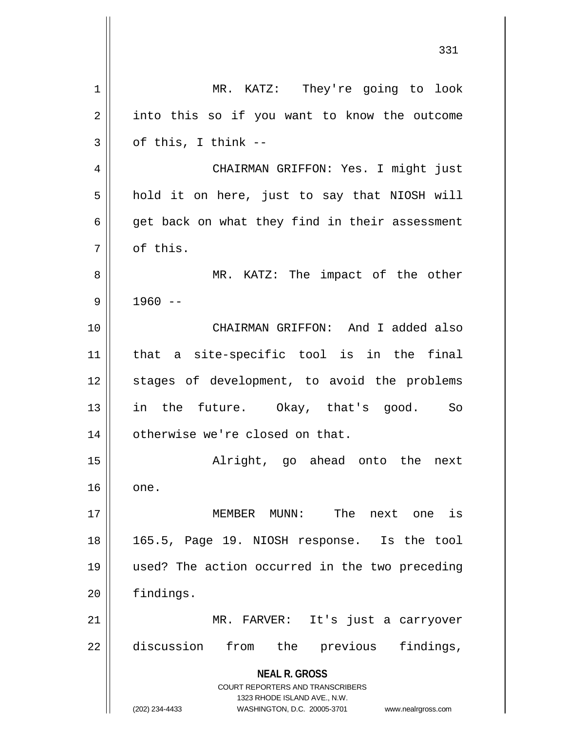**NEAL R. GROSS** COURT REPORTERS AND TRANSCRIBERS 1323 RHODE ISLAND AVE., N.W. (202) 234-4433 WASHINGTON, D.C. 20005-3701 www.nealrgross.com 331 1 || MR. KATZ: They're going to look  $2 \parallel$  into this so if you want to know the outcome  $3 \parallel$  of this, I think --4 CHAIRMAN GRIFFON: Yes. I might just  $5 \parallel$  hold it on here, just to say that NIOSH will  $6 \parallel$  get back on what they find in their assessment 7 l of this. 8 MR. KATZ: The impact of the other  $9 \parallel 1960 -$ 10 CHAIRMAN GRIFFON: And I added also 11 that a site-specific tool is in the final 12 || stages of development, to avoid the problems 13 || in the future. Okay, that's good. So 14 | otherwise we're closed on that. 15 Alright, go ahead onto the next  $16$  | one. 17 MEMBER MUNN: The next one is 18 165.5, Page 19. NIOSH response. Is the tool 19 used? The action occurred in the two preceding 20 findings. 21 MR. FARVER: It's just a carryover 22 discussion from the previous findings,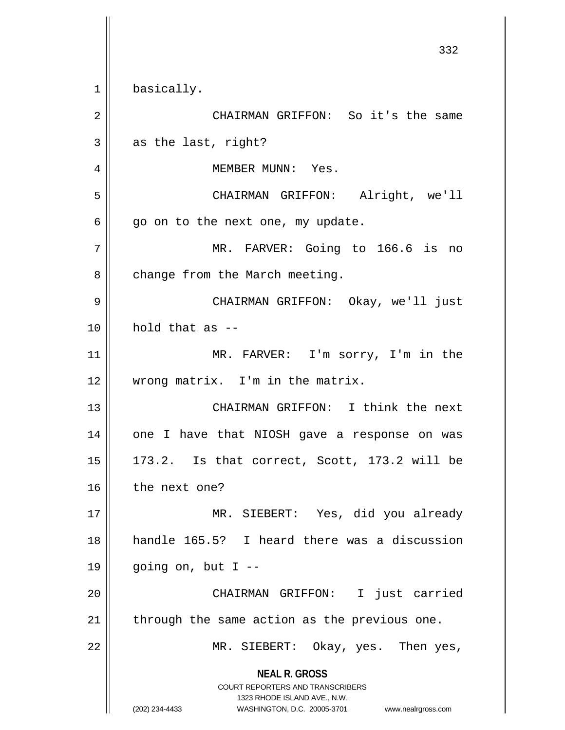**NEAL R. GROSS** COURT REPORTERS AND TRANSCRIBERS 1323 RHODE ISLAND AVE., N.W. (202) 234-4433 WASHINGTON, D.C. 20005-3701 www.nealrgross.com 332 1 basically. 2 CHAIRMAN GRIFFON: So it's the same  $3 \parallel$  as the last, right? 4 || MEMBER MUNN: Yes. 5 CHAIRMAN GRIFFON: Alright, we'll  $6 \parallel$  go on to the next one, my update. 7 MR. FARVER: Going to 166.6 is no  $8$  | change from the March meeting. 9 CHAIRMAN GRIFFON: Okay, we'll just  $10 \parallel$  hold that as  $-$ 11 || MR. FARVER: I'm sorry, I'm in the 12 || wrong matrix. I'm in the matrix. 13 CHAIRMAN GRIFFON: I think the next 14 one I have that NIOSH gave a response on was  $15 \parallel 173.2$ . Is that correct, Scott, 173.2 will be  $16$  | the next one? 17 || MR. SIEBERT: Yes, did you already 18 handle 165.5? I heard there was a discussion  $19 \parallel$  going on, but I --20 || CHAIRMAN GRIFFON: I just carried  $21$  | through the same action as the previous one. 22 MR. SIEBERT: Okay, yes. Then yes,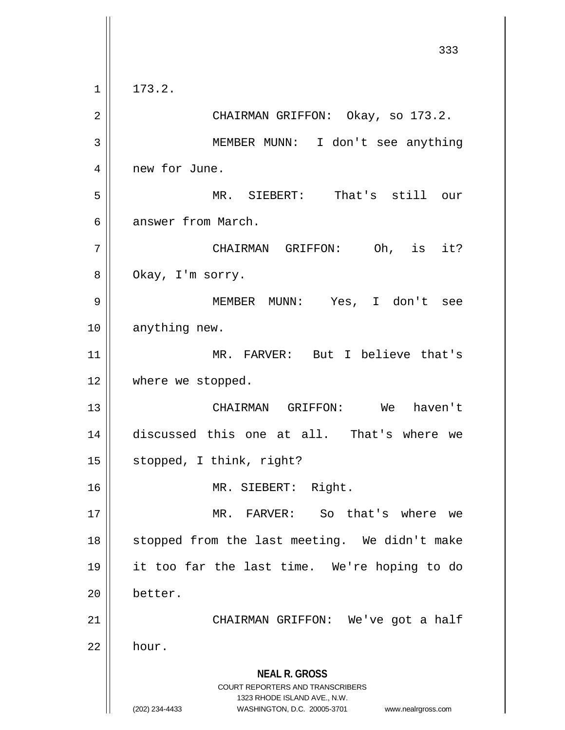**NEAL R. GROSS** COURT REPORTERS AND TRANSCRIBERS 1323 RHODE ISLAND AVE., N.W. (202) 234-4433 WASHINGTON, D.C. 20005-3701 www.nealrgross.com 333  $1 \mid 173.2.$ 2 CHAIRMAN GRIFFON: Okay, so 173.2. 3 MEMBER MUNN: I don't see anything 4 | new for June. 5 MR. SIEBERT: That's still our 6 answer from March. 7 CHAIRMAN GRIFFON: Oh, is it? 8 | Okay, I'm sorry. 9 MEMBER MUNN: Yes, I don't see 10 || anything new. 11 MR. FARVER: But I believe that's 12 where we stopped. 13 CHAIRMAN GRIFFON: We haven't 14 discussed this one at all. That's where we 15 | stopped, I think, right? 16 MR. SIEBERT: Right. 17 MR. FARVER: So that's where we 18 || stopped from the last meeting. We didn't make 19 it too far the last time. We're hoping to do 20 better. 21 CHAIRMAN GRIFFON: We've got a half  $22 \parallel$  hour.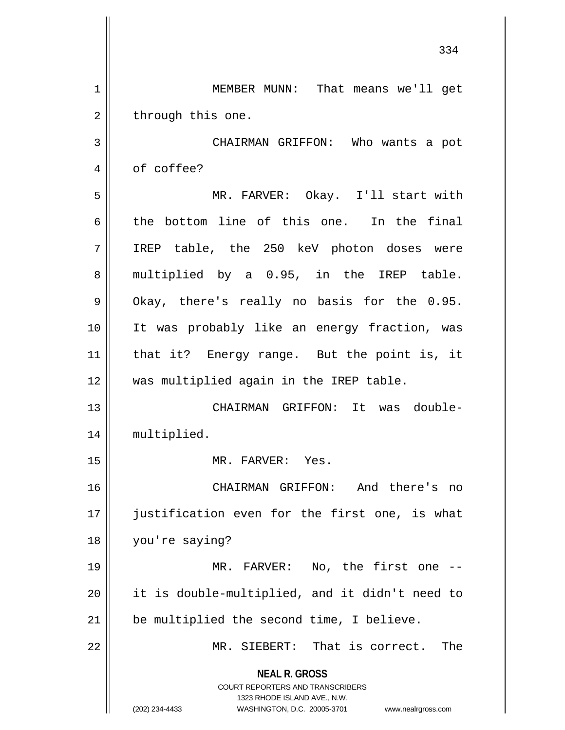**NEAL R. GROSS** COURT REPORTERS AND TRANSCRIBERS 1323 RHODE ISLAND AVE., N.W. (202) 234-4433 WASHINGTON, D.C. 20005-3701 www.nealrgross.com 334 1 || MEMBER MUNN: That means we'll get  $2 \parallel$  through this one. 3 CHAIRMAN GRIFFON: Who wants a pot 4 | of coffee? 5 MR. FARVER: Okay. I'll start with  $6 \parallel$  the bottom line of this one. In the final 7 IREP table, the 250 keV photon doses were 8 || multiplied by a 0.95, in the IREP table.  $9 \parallel$  Okay, there's really no basis for the 0.95. 10 It was probably like an energy fraction, was 11 that it? Energy range. But the point is, it 12 was multiplied again in the IREP table. 13 CHAIRMAN GRIFFON: It was double-14 || multiplied. 15 MR. FARVER: Yes. 16 CHAIRMAN GRIFFON: And there's no 17 || justification even for the first one, is what 18 you're saying? 19 MR. FARVER: No, the first one -- 20 | it is double-multiplied, and it didn't need to 21 | be multiplied the second time, I believe. 22 MR. SIEBERT: That is correct. The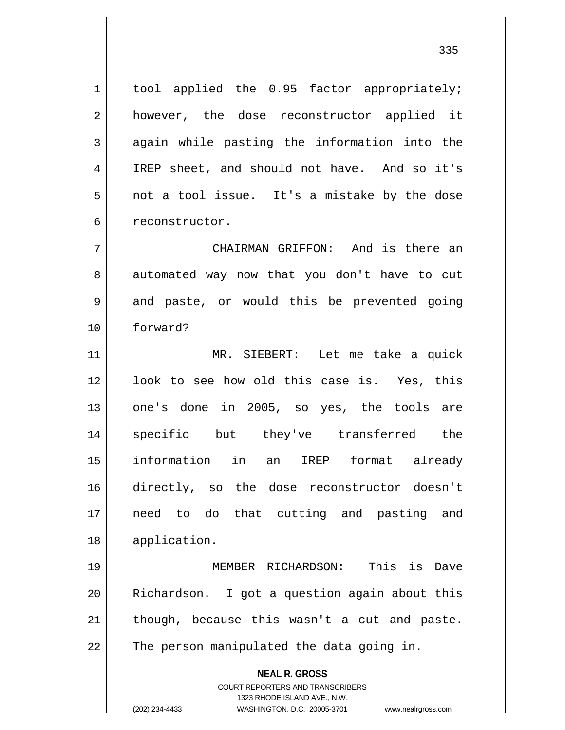1 | tool applied the 0.95 factor appropriately; 2 || however, the dose reconstructor applied it  $3 \parallel$  again while pasting the information into the 4 IREP sheet, and should not have. And so it's  $5 \parallel$  not a tool issue. It's a mistake by the dose 6 | reconstructor.

7 CHAIRMAN GRIFFON: And is there an 8 || automated way now that you don't have to cut  $9 \parallel$  and paste, or would this be prevented going 10 forward?

 MR. SIEBERT: Let me take a quick 12 || look to see how old this case is. Yes, this 13 || one's done in 2005, so yes, the tools are specific but they've transferred the information in an IREP format already directly, so the dose reconstructor doesn't need to do that cutting and pasting and application.

 MEMBER RICHARDSON: This is Dave Richardson. I got a question again about this | though, because this wasn't a cut and paste.  $\parallel$  The person manipulated the data going in.

**NEAL R. GROSS**

COURT REPORTERS AND TRANSCRIBERS 1323 RHODE ISLAND AVE., N.W. (202) 234-4433 WASHINGTON, D.C. 20005-3701 www.nealrgross.com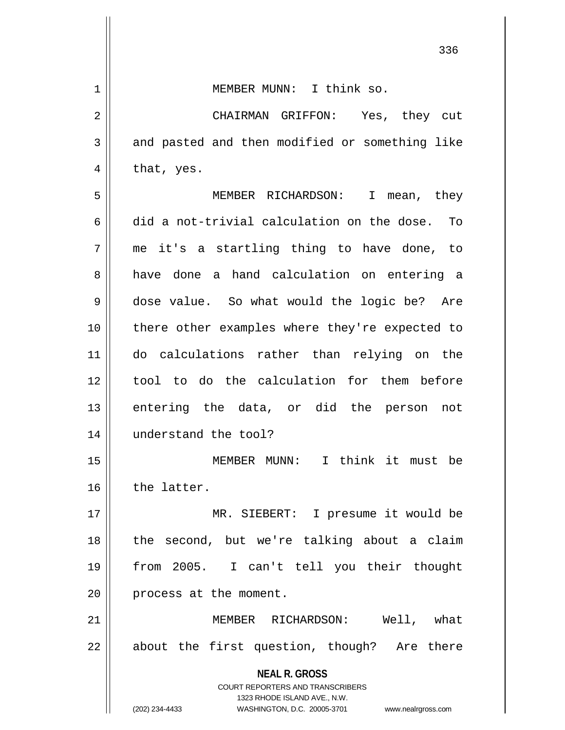| $\mathbf 1$ | MEMBER MUNN: I think so.                                                                                                                                               |
|-------------|------------------------------------------------------------------------------------------------------------------------------------------------------------------------|
| 2           | CHAIRMAN GRIFFON: Yes, they cut                                                                                                                                        |
| 3           | and pasted and then modified or something like                                                                                                                         |
| 4           | that, yes.                                                                                                                                                             |
| 5           | MEMBER RICHARDSON: I<br>mean, they                                                                                                                                     |
| 6           | did a not-trivial calculation on the dose. To                                                                                                                          |
| 7           | me it's a startling thing to have done, to                                                                                                                             |
| 8           | have done a hand calculation on entering a                                                                                                                             |
| 9           | dose value. So what would the logic be? Are                                                                                                                            |
| 10          | there other examples where they're expected to                                                                                                                         |
| 11          | do calculations rather than relying on the                                                                                                                             |
| 12          | tool to do the calculation for them before                                                                                                                             |
| 13          | entering the data, or did the person not                                                                                                                               |
| 14          | understand the tool?                                                                                                                                                   |
| 15          | I think it must<br>MEMBER MUNN:<br>be                                                                                                                                  |
| 16          | the latter.                                                                                                                                                            |
| 17          | MR. SIEBERT: I presume it would be                                                                                                                                     |
| 18          | the second, but we're talking about a claim                                                                                                                            |
| 19          | from 2005. I can't tell you their thought                                                                                                                              |
| 20          | process at the moment.                                                                                                                                                 |
| 21          | Well, what<br>MEMBER RICHARDSON:                                                                                                                                       |
| 22          | about the first question, though? Are there                                                                                                                            |
|             | <b>NEAL R. GROSS</b><br><b>COURT REPORTERS AND TRANSCRIBERS</b><br>1323 RHODE ISLAND AVE., N.W.<br>(202) 234-4433<br>WASHINGTON, D.C. 20005-3701<br>www.nealrgross.com |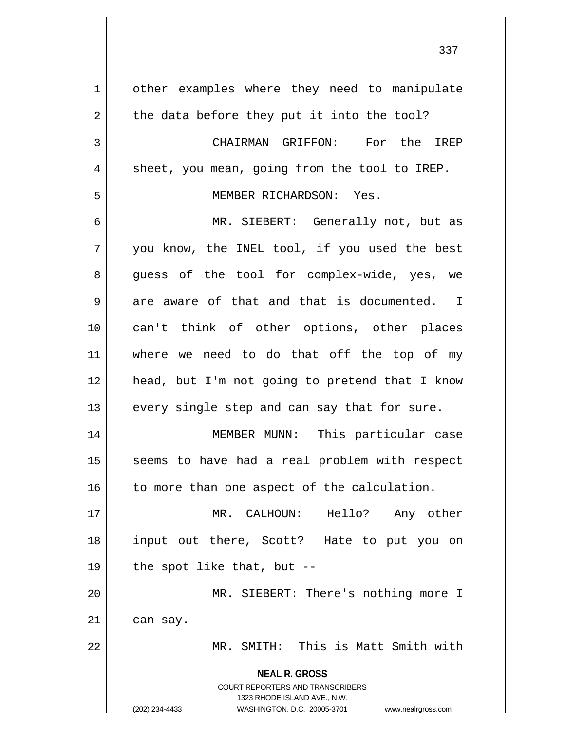**NEAL R. GROSS** COURT REPORTERS AND TRANSCRIBERS 1323 RHODE ISLAND AVE., N.W. (202) 234-4433 WASHINGTON, D.C. 20005-3701 www.nealrgross.com 1 | other examples where they need to manipulate  $2 \parallel$  the data before they put it into the tool? 3 CHAIRMAN GRIFFON: For the IREP  $4 \parallel$  sheet, you mean, going from the tool to IREP. 5 MEMBER RICHARDSON: Yes. 6 MR. SIEBERT: Generally not, but as  $7 \parallel$  you know, the INEL tool, if you used the best 8 guess of the tool for complex-wide, yes, we  $9 \parallel$  are aware of that and that is documented. I 10 can't think of other options, other places 11 where we need to do that off the top of my 12 head, but I'm not going to pretend that I know  $13$  || every single step and can say that for sure. 14 MEMBER MUNN: This particular case 15 || seems to have had a real problem with respect  $16$  to more than one aspect of the calculation. 17 MR. CALHOUN: Hello? Any other 18 input out there, Scott? Hate to put you on 19  $\parallel$  the spot like that, but --20 MR. SIEBERT: There's nothing more I  $21$  | can say. 22 MR. SMITH: This is Matt Smith with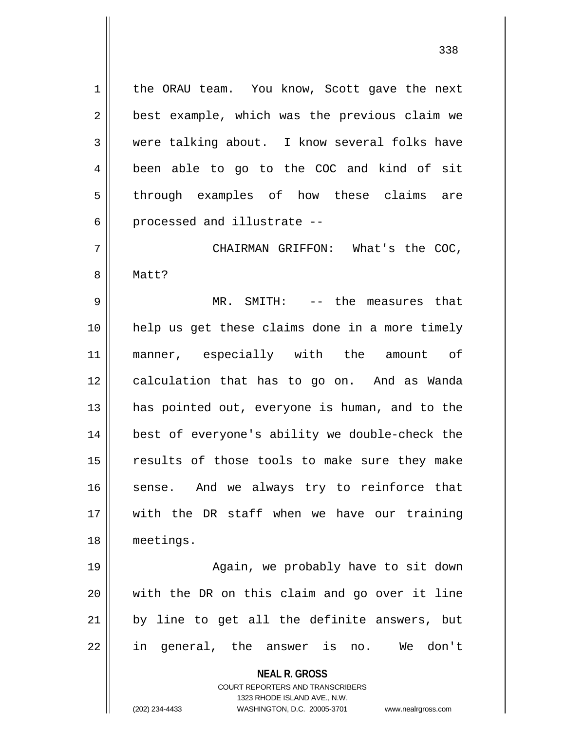1 | the ORAU team. You know, Scott gave the next 2 || best example, which was the previous claim we 3 were talking about. I know several folks have 4 || been able to go to the COC and kind of sit 5 through examples of how these claims are  $6$  || processed and illustrate  $-$ 

7 CHAIRMAN GRIFFON: What's the COC, 8 | Matt?

9 MR. SMITH: -- the measures that 10 help us get these claims done in a more timely 11 || manner, especially with the amount of 12 || calculation that has to go on. And as Wanda 13 || has pointed out, everyone is human, and to the 14 best of everyone's ability we double-check the 15 || results of those tools to make sure they make 16 || sense. And we always try to reinforce that 17 with the DR staff when we have our training 18 meetings.

19 || Again, we probably have to sit down 20 with the DR on this claim and go over it line  $21$  by line to get all the definite answers, but 22 || in general, the answer is no. We don't

**NEAL R. GROSS**

COURT REPORTERS AND TRANSCRIBERS 1323 RHODE ISLAND AVE., N.W. (202) 234-4433 WASHINGTON, D.C. 20005-3701 www.nealrgross.com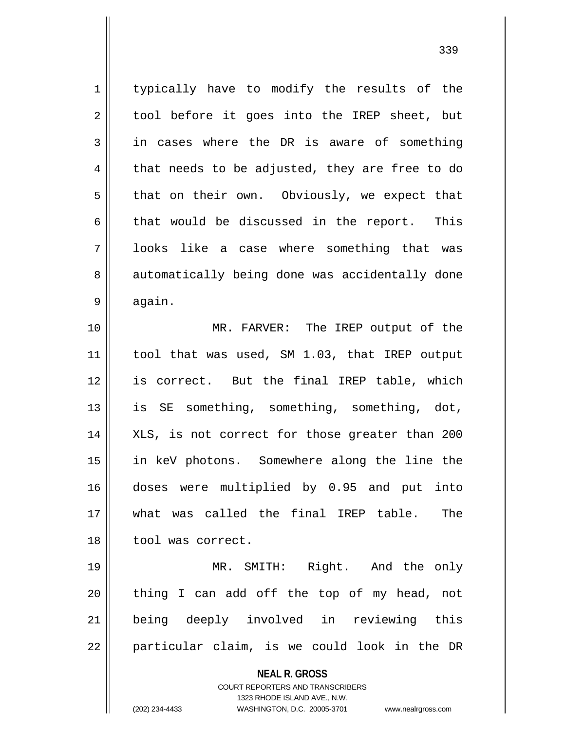**NEAL R. GROSS** COURT REPORTERS AND TRANSCRIBERS 1 | typically have to modify the results of the 2 || tool before it goes into the IREP sheet, but  $3 \parallel$  in cases where the DR is aware of something  $4 \parallel$  that needs to be adjusted, they are free to do  $5 \parallel$  that on their own. Obviously, we expect that  $6 \parallel$  that would be discussed in the report. This 7 looks like a case where something that was 8 || automatically being done was accidentally done  $9 \parallel$  again. 10 MR. FARVER: The IREP output of the 11 || tool that was used, SM 1.03, that IREP output 12 is correct. But the final IREP table, which 13 || is SE something, something, something, dot, 14 || XLS, is not correct for those greater than 200 15 in keV photons. Somewhere along the line the 16 doses were multiplied by 0.95 and put into 17 what was called the final IREP table. The 18 || tool was correct. 19 MR. SMITH: Right. And the only  $20$  || thing I can add off the top of my head, not 21 being deeply involved in reviewing this  $22$  || particular claim, is we could look in the DR

1323 RHODE ISLAND AVE., N.W.

(202) 234-4433 WASHINGTON, D.C. 20005-3701 www.nealrgross.com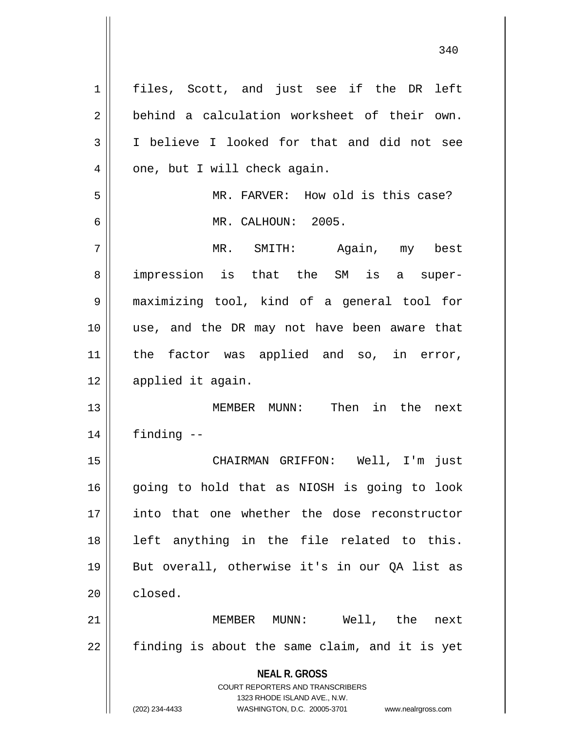**NEAL R. GROSS** COURT REPORTERS AND TRANSCRIBERS 1323 RHODE ISLAND AVE., N.W. (202) 234-4433 WASHINGTON, D.C. 20005-3701 www.nealrgross.com 1 || files, Scott, and just see if the DR left 2 | behind a calculation worksheet of their own. 3 || I believe I looked for that and did not see  $4 \parallel$  one, but I will check again. 5 MR. FARVER: How old is this case? 6 MR. CALHOUN: 2005. 7 || MR. SMITH: Again, my best 8 || impression is that the SM is a super-9 maximizing tool, kind of a general tool for 10 use, and the DR may not have been aware that 11 || the factor was applied and so, in error, 12 || applied it again. 13 MEMBER MUNN: Then in the next  $14$  | finding  $-$ 15 CHAIRMAN GRIFFON: Well, I'm just 16 || going to hold that as NIOSH is going to look 17 into that one whether the dose reconstructor 18 || left anything in the file related to this. 19 || But overall, otherwise it's in our QA list as  $20$  closed. 21 MEMBER MUNN: Well, the next  $22$  | finding is about the same claim, and it is yet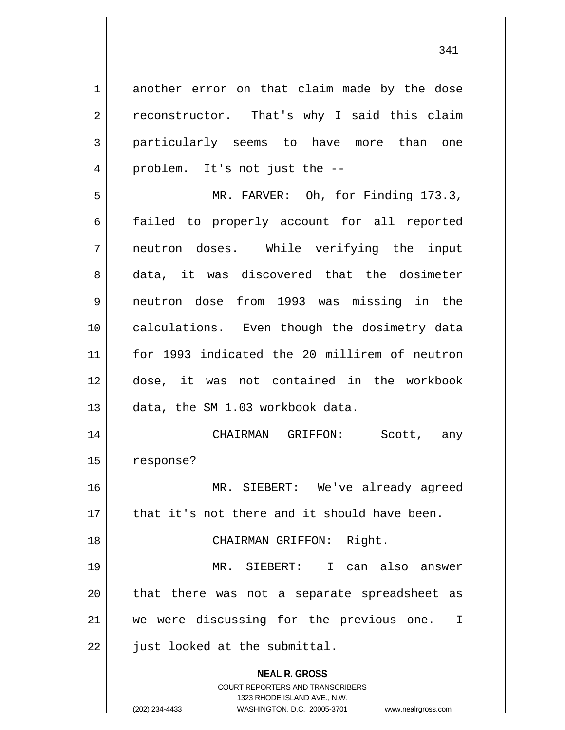**NEAL R. GROSS** COURT REPORTERS AND TRANSCRIBERS 1323 RHODE ISLAND AVE., N.W. 1 another error on that claim made by the dose  $2 \parallel$  reconstructor. That's why I said this claim 3 particularly seems to have more than one 4 || problem. It's not just the --5 || MR. FARVER: Oh, for Finding 173.3, 6 failed to properly account for all reported 7 neutron doses. While verifying the input 8 data, it was discovered that the dosimeter 9 neutron dose from 1993 was missing in the 10 || calculations. Even though the dosimetry data 11 for 1993 indicated the 20 millirem of neutron 12 dose, it was not contained in the workbook 13 data, the SM 1.03 workbook data. 14 CHAIRMAN GRIFFON: Scott, any 15 | response? 16 MR. SIEBERT: We've already agreed  $17$   $\parallel$  that it's not there and it should have been. 18 || CHAIRMAN GRIFFON: Right. 19 MR. SIEBERT: I can also answer 20 || that there was not a separate spreadsheet as 21 || we were discussing for the previous one. I  $22$  | just looked at the submittal.

(202) 234-4433 WASHINGTON, D.C. 20005-3701 www.nealrgross.com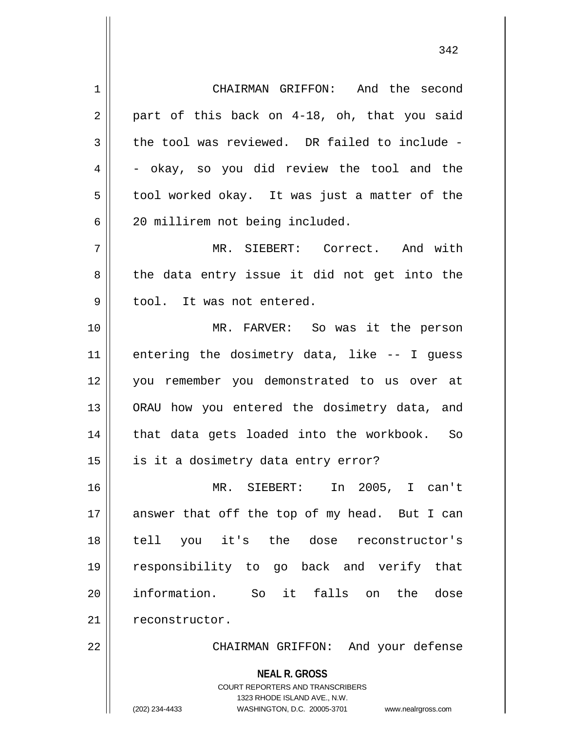**NEAL R. GROSS** COURT REPORTERS AND TRANSCRIBERS 1 CHAIRMAN GRIFFON: And the second  $2 \parallel$  part of this back on 4-18, oh, that you said  $3 \parallel$  the tool was reviewed. DR failed to include - $4 \parallel$  - okay, so you did review the tool and the  $5 \parallel$  tool worked okay. It was just a matter of the 6 20 millirem not being included. 7 MR. SIEBERT: Correct. And with  $8 \parallel$  the data entry issue it did not get into the 9 || tool. It was not entered. 10 MR. FARVER: So was it the person  $11$  entering the dosimetry data, like  $-$ - I guess 12 you remember you demonstrated to us over at 13 || ORAU how you entered the dosimetry data, and 14 || that data gets loaded into the workbook. So 15 || is it a dosimetry data entry error? 16 MR. SIEBERT: In 2005, I can't  $17$  answer that off the top of my head. But I can 18 tell you it's the dose reconstructor's 19 responsibility to go back and verify that 20 information. So it falls on the dose 21 | reconstructor. 22 CHAIRMAN GRIFFON: And your defense

1323 RHODE ISLAND AVE., N.W.

(202) 234-4433 WASHINGTON, D.C. 20005-3701 www.nealrgross.com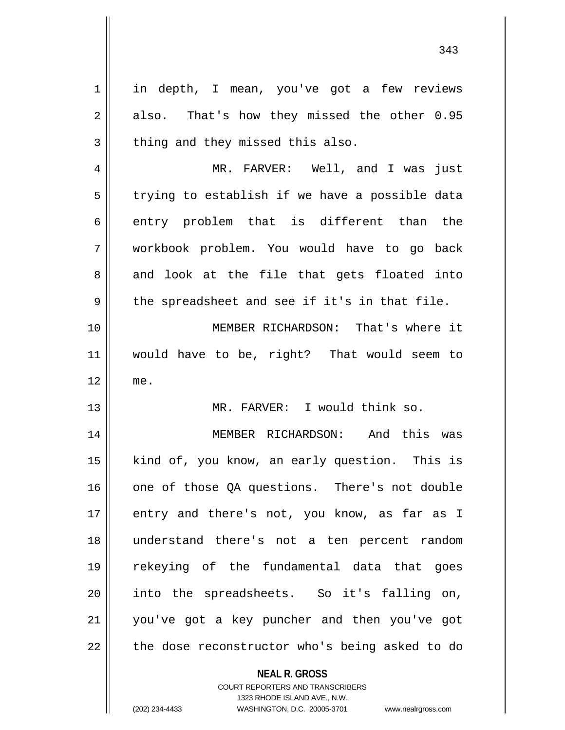**NEAL R. GROSS** 1 || in depth, I mean, you've got a few reviews  $2 \parallel$  also. That's how they missed the other 0.95  $3$  | thing and they missed this also. 4 MR. FARVER: Well, and I was just  $5 \parallel$  trying to establish if we have a possible data  $6$  || entry problem that is different than the 7 workbook problem. You would have to go back 8 and look at the file that gets floated into  $9 \parallel$  the spreadsheet and see if it's in that file. 10 MEMBER RICHARDSON: That's where it 11 would have to be, right? That would seem to 12 me. 13 MR. FARVER: I would think so. 14 || MEMBER RICHARDSON: And this was 15 || kind of, you know, an early question. This is 16 one of those OA questions. There's not double 17 || entry and there's not, you know, as far as I 18 understand there's not a ten percent random 19 rekeying of the fundamental data that goes 20 || into the spreadsheets. So it's falling on, 21 you've got a key puncher and then you've got  $22$  || the dose reconstructor who's being asked to do

> COURT REPORTERS AND TRANSCRIBERS 1323 RHODE ISLAND AVE., N.W.

(202) 234-4433 WASHINGTON, D.C. 20005-3701 www.nealrgross.com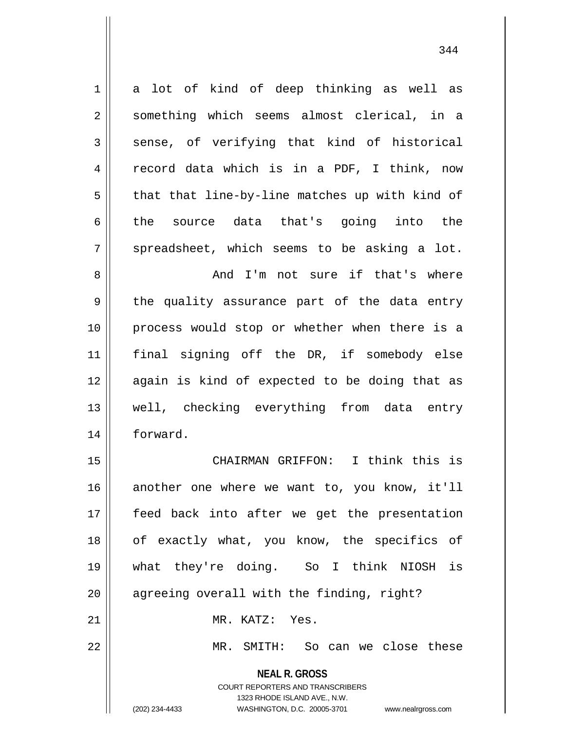**NEAL R. GROSS**  $1 \parallel$  a lot of kind of deep thinking as well as 2 || something which seems almost clerical, in a  $3 \parallel$  sense, of verifying that kind of historical 4 || record data which is in a PDF, I think, now  $5 \parallel$  that that line-by-line matches up with kind of 6  $\parallel$  the source data that's going into the  $7 \parallel$  spreadsheet, which seems to be asking a lot. 8 and I'm not sure if that's where  $9 \parallel$  the quality assurance part of the data entry 10 process would stop or whether when there is a 11 final signing off the DR, if somebody else 12 || again is kind of expected to be doing that as 13 well, checking everything from data entry 14 forward. 15 || CHAIRMAN GRIFFON: I think this is 16 || another one where we want to, you know, it'll 17 feed back into after we get the presentation 18 of exactly what, you know, the specifics of 19 what they're doing. So I think NIOSH is 20 || agreeing overall with the finding, right? 21 MR. KATZ: Yes. 22 || MR. SMITH: So can we close these

> COURT REPORTERS AND TRANSCRIBERS 1323 RHODE ISLAND AVE., N.W.

(202) 234-4433 WASHINGTON, D.C. 20005-3701 www.nealrgross.com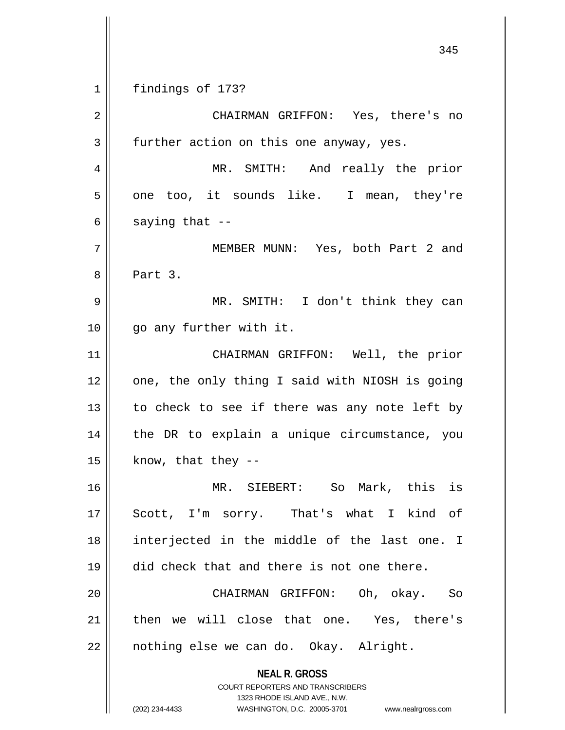1 findings of 173?

**NEAL R. GROSS** COURT REPORTERS AND TRANSCRIBERS 1323 RHODE ISLAND AVE., N.W. (202) 234-4433 WASHINGTON, D.C. 20005-3701 www.nealrgross.com 2 CHAIRMAN GRIFFON: Yes, there's no  $3 \parallel$  further action on this one anyway, yes. 4 MR. SMITH: And really the prior  $5 \parallel$  one too, it sounds like. I mean, they're  $6 \parallel$  saying that --7 MEMBER MUNN: Yes, both Part 2 and 8 || Part 3. 9 MR. SMITH: I don't think they can 10 || go any further with it. 11 || CHAIRMAN GRIFFON: Well, the prior  $12$  | one, the only thing I said with NIOSH is going  $13$  to check to see if there was any note left by 14 || the DR to explain a unique circumstance, you  $15$  | know, that they --16 MR. SIEBERT: So Mark, this is 17 || Scott, I'm sorry. That's what I kind of 18 interjected in the middle of the last one. I 19 did check that and there is not one there. 20 CHAIRMAN GRIFFON: Oh, okay. So 21 || then we will close that one. Yes, there's 22 || nothing else we can do. Okay. Alright.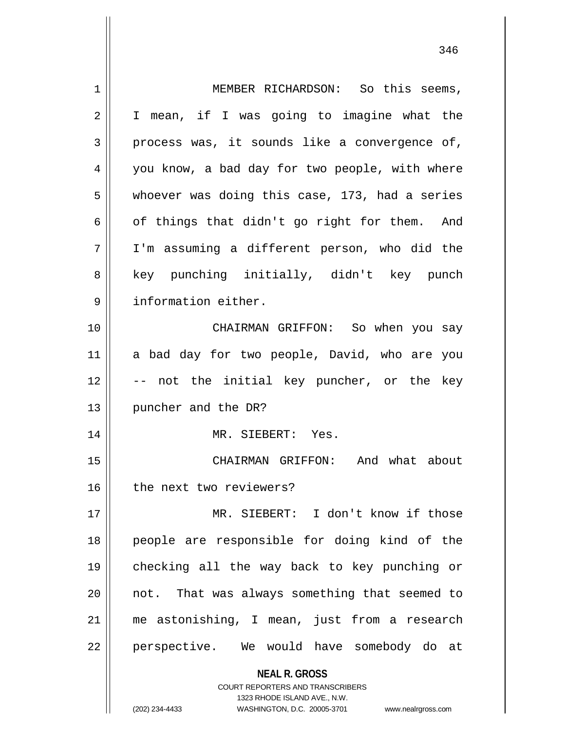| 1  | MEMBER RICHARDSON: So this seems,                                   |
|----|---------------------------------------------------------------------|
| 2  | I mean, if I was going to imagine what the                          |
| 3  | process was, it sounds like a convergence of,                       |
| 4  | you know, a bad day for two people, with where                      |
| 5  | whoever was doing this case, 173, had a series                      |
| 6  | of things that didn't go right for them. And                        |
| 7  | I'm assuming a different person, who did the                        |
| 8  | key punching initially, didn't key punch                            |
| 9  | information either.                                                 |
| 10 | CHAIRMAN GRIFFON: So when you say                                   |
| 11 | a bad day for two people, David, who are you                        |
| 12 | -- not the initial key puncher, or the key                          |
| 13 | puncher and the DR?                                                 |
| 14 | MR. SIEBERT: Yes.                                                   |
| 15 | CHAIRMAN GRIFFON: And what about                                    |
| 16 | the next two reviewers?                                             |
| 17 | MR. SIEBERT: I don't know if those                                  |
| 18 | people are responsible for doing kind of the                        |
| 19 | checking all the way back to key punching or                        |
| 20 | not. That was always something that seemed to                       |
| 21 | me astonishing, I mean, just from a research                        |
| 22 | perspective. We would have somebody do at                           |
|    | <b>NEAL R. GROSS</b>                                                |
|    | <b>COURT REPORTERS AND TRANSCRIBERS</b>                             |
|    | 1323 RHODE ISLAND AVE., N.W.                                        |
|    | (202) 234-4433<br>WASHINGTON, D.C. 20005-3701<br>www.nealrgross.com |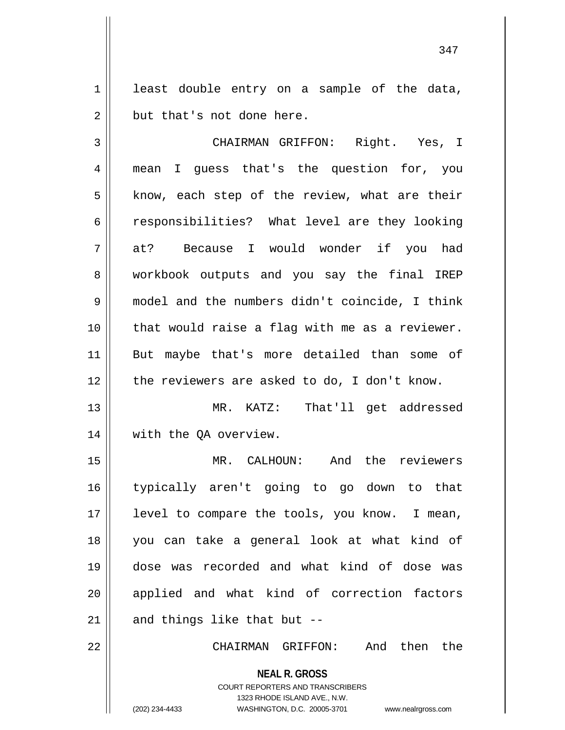$1 \parallel$  least double entry on a sample of the data,  $2 \parallel$  but that's not done here.

3 CHAIRMAN GRIFFON: Right. Yes, I 4 mean I guess that's the question for, you  $5 \parallel$  know, each step of the review, what are their 6 consibilities? What level are they looking 7 at? Because I would wonder if you had 8 workbook outputs and you say the final IREP 9 model and the numbers didn't coincide, I think 10 that would raise a flag with me as a reviewer. 11 But maybe that's more detailed than some of 12 || the reviewers are asked to do, I don't know. 13 MR. KATZ: That'll get addressed

14 || with the QA overview.

 MR. CALHOUN: And the reviewers typically aren't going to go down to that 17 || level to compare the tools, you know. I mean, you can take a general look at what kind of dose was recorded and what kind of dose was 20 || applied and what kind of correction factors | and things like that but --

22 CHAIRMAN GRIFFON: And then the

**NEAL R. GROSS** COURT REPORTERS AND TRANSCRIBERS 1323 RHODE ISLAND AVE., N.W.

(202) 234-4433 WASHINGTON, D.C. 20005-3701 www.nealrgross.com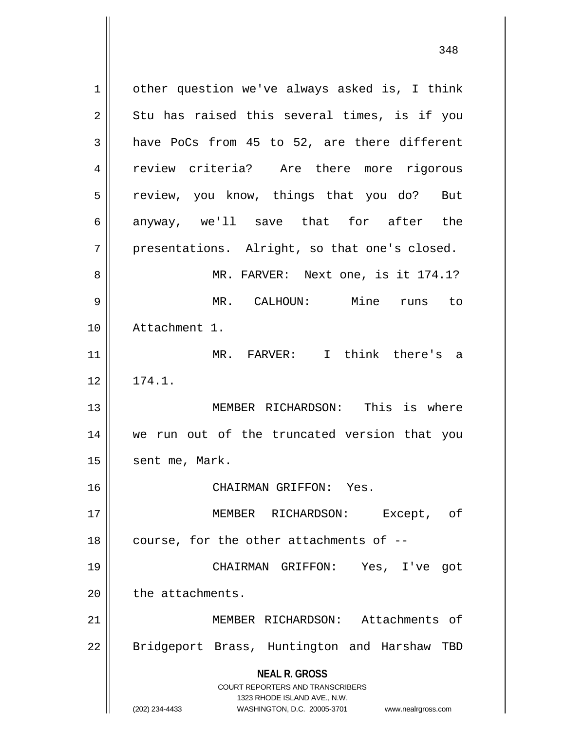**NEAL R. GROSS** COURT REPORTERS AND TRANSCRIBERS 1323 RHODE ISLAND AVE., N.W. 1 | other question we've always asked is, I think  $2 \parallel$  Stu has raised this several times, is if you  $3 \parallel$  have PoCs from 45 to 52, are there different 4 || review criteria? Are there more rigorous 5 || review, you know, things that you do? But 6 anyway, we'll save that for after the  $7 \parallel$  presentations. Alright, so that one's closed. 8 MR. FARVER: Next one, is it 174.1? 9 MR. CALHOUN: Mine runs to 10 Attachment 1. 11 MR. FARVER: I think there's a  $12 \parallel 174.1.$ 13 MEMBER RICHARDSON: This is where 14 we run out of the truncated version that you 15 | sent me, Mark. 16 CHAIRMAN GRIFFON: Yes. 17 MEMBER RICHARDSON: Except, of  $18$  || course, for the other attachments of  $-$ -19 CHAIRMAN GRIFFON: Yes, I've got  $20$  | the attachments. 21 MEMBER RICHARDSON: Attachments of 22 || Bridgeport Brass, Huntington and Harshaw TBD

(202) 234-4433 WASHINGTON, D.C. 20005-3701 www.nealrgross.com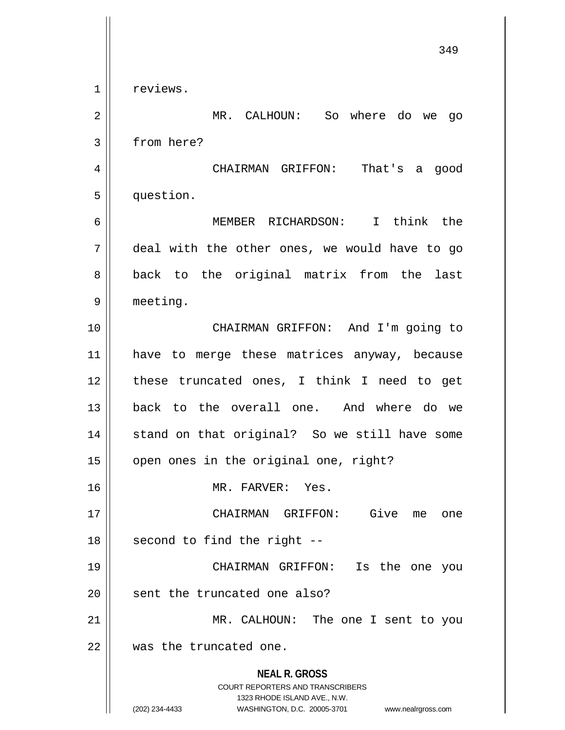**NEAL R. GROSS** COURT REPORTERS AND TRANSCRIBERS 1323 RHODE ISLAND AVE., N.W. (202) 234-4433 WASHINGTON, D.C. 20005-3701 www.nealrgross.com 349 1 | reviews. 2 MR. CALHOUN: So where do we go 3 | from here? 4 CHAIRMAN GRIFFON: That's a good 5 question. 6 MEMBER RICHARDSON: I think the 7 deal with the other ones, we would have to go 8 || back to the original matrix from the last 9 meeting. 10 CHAIRMAN GRIFFON: And I'm going to 11 have to merge these matrices anyway, because 12 these truncated ones, I think I need to get 13 back to the overall one. And where do we 14 || stand on that original? So we still have some  $15$  | open ones in the original one, right? 16 MR. FARVER: Yes. 17 CHAIRMAN GRIFFON: Give me one  $18$  || second to find the right --19 CHAIRMAN GRIFFON: Is the one you 20 || sent the truncated one also? 21 || MR. CALHOUN: The one I sent to you 22 was the truncated one.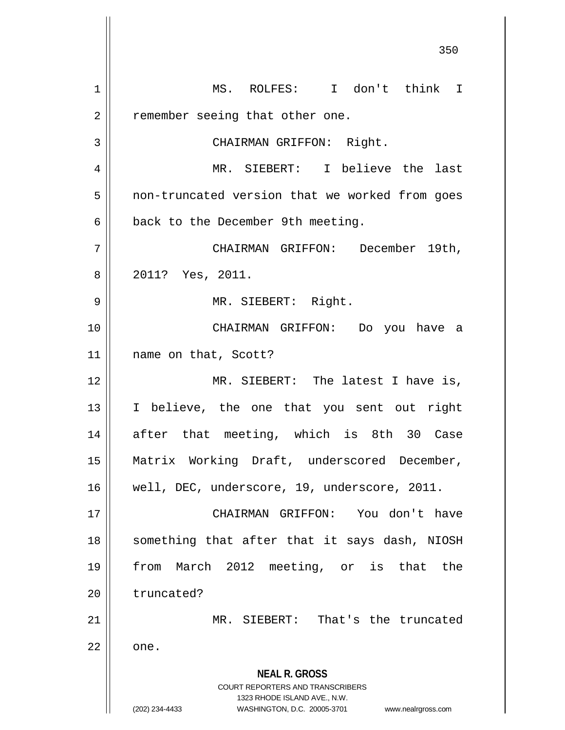**NEAL R. GROSS** COURT REPORTERS AND TRANSCRIBERS 1323 RHODE ISLAND AVE., N.W. (202) 234-4433 WASHINGTON, D.C. 20005-3701 www.nealrgross.com 350 1 MS. ROLFES: I don't think I  $2 \parallel$  remember seeing that other one. 3 || CHAIRMAN GRIFFON: Right. 4 MR. SIEBERT: I believe the last 5 | non-truncated version that we worked from goes  $6 \parallel$  back to the December 9th meeting. 7 CHAIRMAN GRIFFON: December 19th, 8 2011? Yes, 2011. 9 MR. SIEBERT: Right. 10 CHAIRMAN GRIFFON: Do you have a 11 || name on that, Scott? 12 || MR. SIEBERT: The latest I have is, 13 I believe, the one that you sent out right 14 || after that meeting, which is 8th 30 Case 15 Matrix Working Draft, underscored December, 16 well, DEC, underscore, 19, underscore, 2011. 17 CHAIRMAN GRIFFON: You don't have 18 || something that after that it says dash, NIOSH 19 from March 2012 meeting, or is that the 20 l truncated? 21 MR. SIEBERT: That's the truncated  $22 \parallel$  one.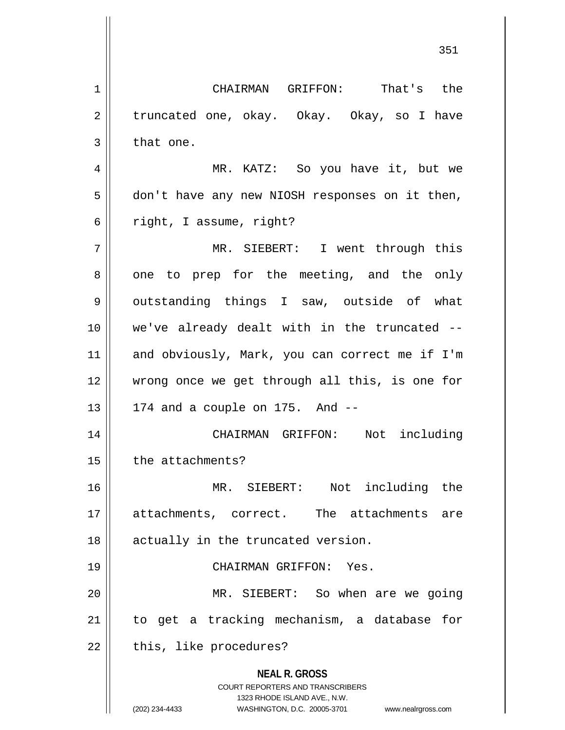**NEAL R. GROSS** COURT REPORTERS AND TRANSCRIBERS 1323 RHODE ISLAND AVE., N.W. (202) 234-4433 WASHINGTON, D.C. 20005-3701 www.nealrgross.com 1 CHAIRMAN GRIFFON: That's the 2 | truncated one, okay. Okay. Okay, so I have  $3 \parallel$  that one. 4 MR. KATZ: So you have it, but we 5 don't have any new NIOSH responses on it then,  $6 \parallel$  right, I assume, right? 7 MR. SIEBERT: I went through this 8 || one to prep for the meeting, and the only 9 || outstanding things I saw, outside of what 10 we've already dealt with in the truncated -- 11 and obviously, Mark, you can correct me if I'm 12 wrong once we get through all this, is one for  $13 \parallel 174$  and a couple on 175. And  $-$ 14 CHAIRMAN GRIFFON: Not including  $15$  | the attachments? 16 MR. SIEBERT: Not including the 17 attachments, correct. The attachments are 18 || actually in the truncated version. 19 CHAIRMAN GRIFFON: Yes. 20 MR. SIEBERT: So when are we going 21 to get a tracking mechanism, a database for  $22$  | this, like procedures?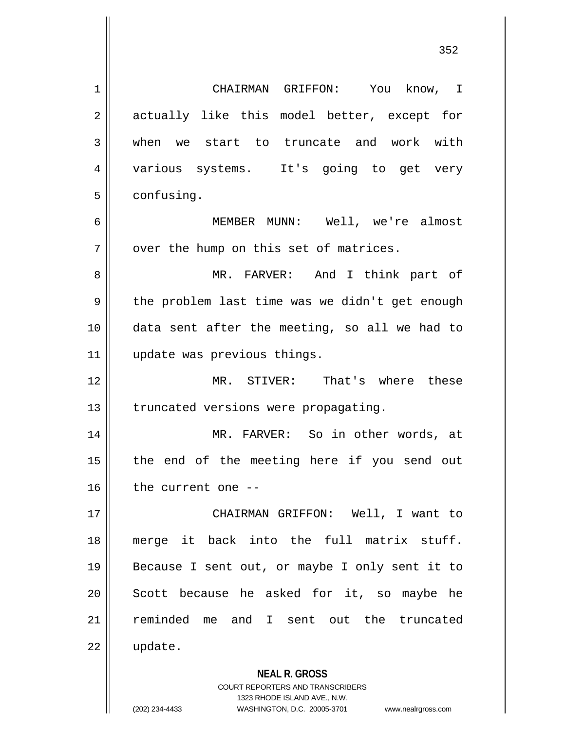**NEAL R. GROSS** 1 CHAIRMAN GRIFFON: You know, I 2 actually like this model better, except for 3 when we start to truncate and work with 4 || various systems. It's going to get very 5 | confusing. 6 MEMBER MUNN: Well, we're almost  $7$  | over the hump on this set of matrices. 8 MR. FARVER: And I think part of 9 || the problem last time was we didn't get enough 10 data sent after the meeting, so all we had to 11 update was previous things. 12 MR. STIVER: That's where these 13 | truncated versions were propagating. 14 MR. FARVER: So in other words, at 15 || the end of the meeting here if you send out  $16$  | the current one --17 CHAIRMAN GRIFFON: Well, I want to 18 merge it back into the full matrix stuff. 19 || Because I sent out, or maybe I only sent it to 20 || Scott because he asked for it, so maybe he 21 reminded me and I sent out the truncated 22 update.

> COURT REPORTERS AND TRANSCRIBERS 1323 RHODE ISLAND AVE., N.W.

(202) 234-4433 WASHINGTON, D.C. 20005-3701 www.nealrgross.com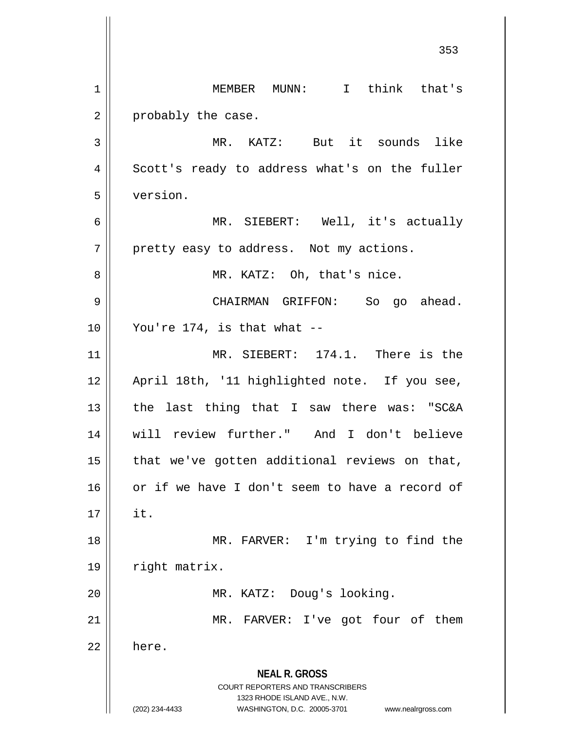**NEAL R. GROSS** COURT REPORTERS AND TRANSCRIBERS 1323 RHODE ISLAND AVE., N.W. (202) 234-4433 WASHINGTON, D.C. 20005-3701 www.nealrgross.com 353 1 MEMBER MUNN: I think that's  $2 \parallel$  probably the case. 3 MR. KATZ: But it sounds like 4 Scott's ready to address what's on the fuller 5 version. 6 MR. SIEBERT: Well, it's actually  $7 \parallel$  pretty easy to address. Not my actions. 8 || MR. KATZ: Oh, that's nice. 9 CHAIRMAN GRIFFON: So go ahead.  $10 \parallel$  You're 174, is that what --11 MR. SIEBERT: 174.1. There is the 12 || April 18th, '11 highlighted note. If you see, 13  $\parallel$  the last thing that I saw there was: "SC&A 14 will review further." And I don't believe  $15$  || that we've gotten additional reviews on that, 16 || or if we have I don't seem to have a record of  $17 \parallel$  it. 18 || MR. FARVER: I'm trying to find the 19 | right matrix. 20 || MR. KATZ: Doug's looking. 21 | MR. FARVER: I've got four of them  $22 \parallel$  here.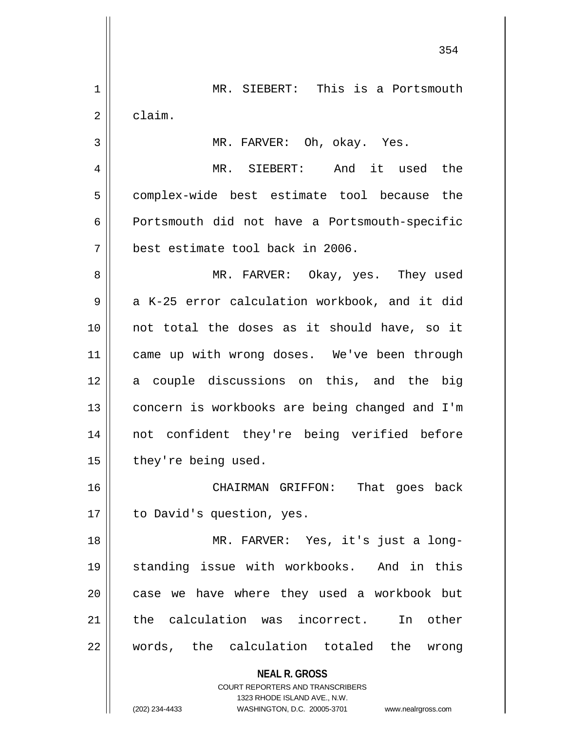|                | 354                                                                 |
|----------------|---------------------------------------------------------------------|
| $\mathbf 1$    | MR. SIEBERT: This is a Portsmouth                                   |
| $\overline{2}$ | claim.                                                              |
| 3              | MR. FARVER: Oh, okay. Yes.                                          |
| 4              | MR. SIEBERT: And it used the                                        |
| 5              | complex-wide best estimate tool because the                         |
| 6              | Portsmouth did not have a Portsmouth-specific                       |
| 7              | best estimate tool back in 2006.                                    |
| 8              | MR. FARVER: Okay, yes. They used                                    |
| 9              | a K-25 error calculation workbook, and it did                       |
| 10             | not total the doses as it should have, so it                        |
| 11             | came up with wrong doses. We've been through                        |
| 12             | a couple discussions on this, and the big                           |
| 13             | concern is workbooks are being changed and I'm                      |
| 14             | not confident they're being verified before                         |
| 15             | they're being used.                                                 |
| 16             | CHAIRMAN GRIFFON: That goes back                                    |
| 17             | to David's question, yes.                                           |
| 18             | MR. FARVER: Yes, it's just a long-                                  |
| 19             | standing issue with workbooks. And in this                          |
| 20             | case we have where they used a workbook but                         |
| 21             | the calculation was incorrect. In other                             |
| 22             | words, the calculation totaled the wrong                            |
|                | <b>NEAL R. GROSS</b>                                                |
|                | COURT REPORTERS AND TRANSCRIBERS<br>1323 RHODE ISLAND AVE., N.W.    |
|                | (202) 234-4433<br>WASHINGTON, D.C. 20005-3701<br>www.nealrgross.com |

 $\mathsf{I}$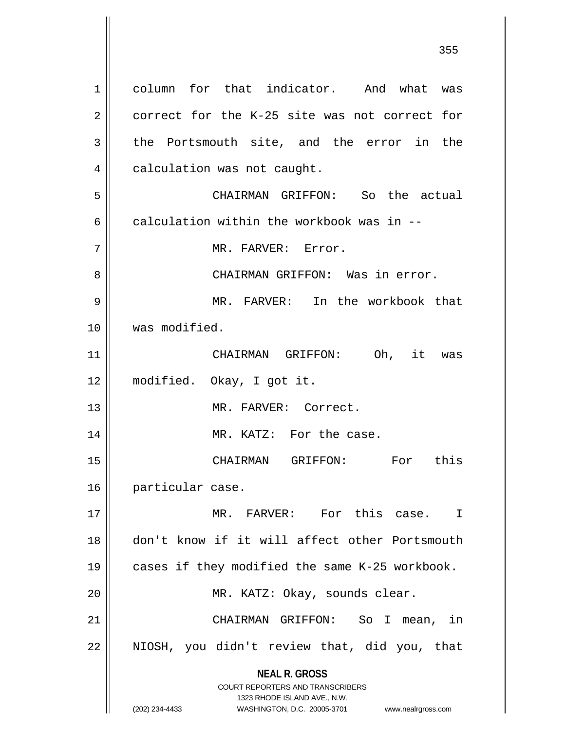**NEAL R. GROSS** COURT REPORTERS AND TRANSCRIBERS 1323 RHODE ISLAND AVE., N.W. (202) 234-4433 WASHINGTON, D.C. 20005-3701 www.nealrgross.com 1 column for that indicator. And what was 2 correct for the K-25 site was not correct for  $3 \parallel$  the Portsmouth site, and the error in the 4 | calculation was not caught. 5 CHAIRMAN GRIFFON: So the actual 6 calculation within the workbook was in  $-$ 7 MR. FARVER: Error. 8 CHAIRMAN GRIFFON: Was in error. 9 MR. FARVER: In the workbook that 10 was modified. 11 CHAIRMAN GRIFFON: Oh, it was 12 modified. Okay, I got it. 13 MR. FARVER: Correct. 14 || MR. KATZ: For the case. 15 CHAIRMAN GRIFFON: For this 16 | particular case. 17 MR. FARVER: For this case. I 18 don't know if it will affect other Portsmouth 19 cases if they modified the same K-25 workbook. 20 MR. KATZ: Okay, sounds clear. 21 CHAIRMAN GRIFFON: So I mean, in 22 NIOSH, you didn't review that, did you, that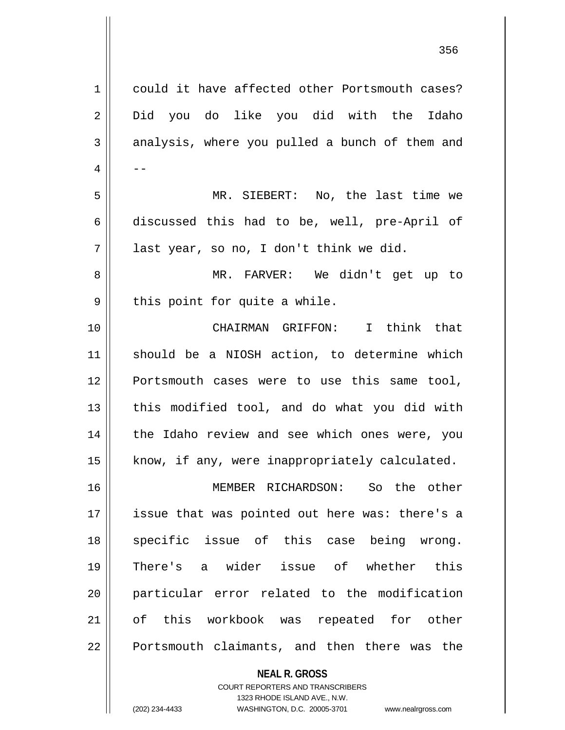| $\mathbf 1$ | could it have affected other Portsmouth cases? |
|-------------|------------------------------------------------|
| 2           | Did you do like you did with the Idaho         |
| 3           | analysis, where you pulled a bunch of them and |
| 4           |                                                |
| 5           | MR. SIEBERT: No, the last time we              |
| 6           | discussed this had to be, well, pre-April of   |
| 7           | last year, so no, I don't think we did.        |
| 8           | MR. FARVER: We didn't get up to                |
| 9           | this point for quite a while.                  |
| 10          | CHAIRMAN GRIFFON: I think that                 |
| 11          | should be a NIOSH action, to determine which   |
| 12          | Portsmouth cases were to use this same tool,   |
| 13          | this modified tool, and do what you did with   |
| 14          | the Idaho review and see which ones were, you  |
| 15          | know, if any, were inappropriately calculated. |
| 16          | MEMBER RICHARDSON: So the other                |
| 17          | issue that was pointed out here was: there's a |
| 18          | specific issue of this case being wrong.       |
| 19          | There's a wider issue of whether this          |
| 20          | particular error related to the modification   |
| 21          | of this workbook was repeated for other        |
| 22          | Portsmouth claimants, and then there was the   |
|             | <b>NEAL R. GROSS</b>                           |

COURT REPORTERS AND TRANSCRIBERS 1323 RHODE ISLAND AVE., N.W.

 $\mathsf{I}$ 

(202) 234-4433 WASHINGTON, D.C. 20005-3701 www.nealrgross.com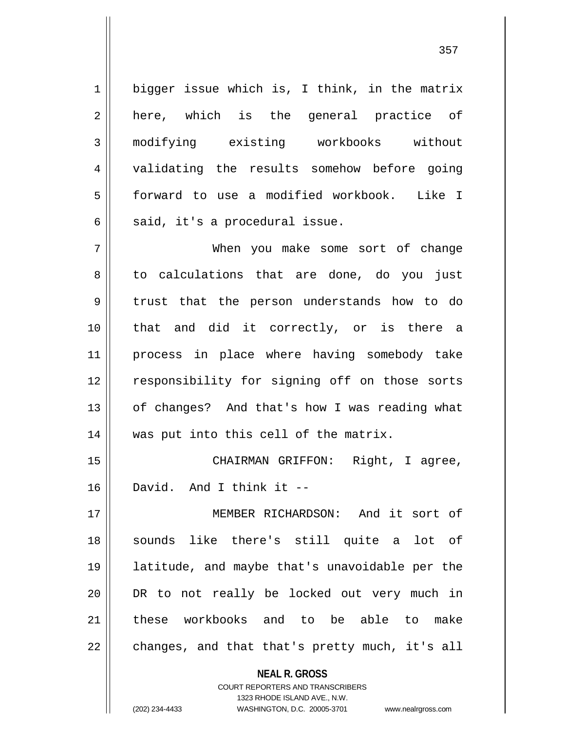$1 \parallel$  bigger issue which is, I think, in the matrix 2 || here, which is the general practice of 3 modifying existing workbooks without 4 || validating the results somehow before going 5 forward to use a modified workbook. Like I  $6 \parallel$  said, it's a procedural issue.

7 When you make some sort of change 8 || to calculations that are done, do you just 9 || trust that the person understands how to do 10 that and did it correctly, or is there a 11 process in place where having somebody take 12 || responsibility for signing off on those sorts 13 || of changes? And that's how I was reading what 14 || was put into this cell of the matrix.

15 || CHAIRMAN GRIFFON: Right, I agree, 16 David. And I think it --

17 MEMBER RICHARDSON: And it sort of 18 sounds like there's still quite a lot of 19 latitude, and maybe that's unavoidable per the 20 || DR to not really be locked out very much in 21 || these workbooks and to be able to make  $22 \parallel$  changes, and that that's pretty much, it's all

**NEAL R. GROSS**

COURT REPORTERS AND TRANSCRIBERS

1323 RHODE ISLAND AVE., N.W. (202) 234-4433 WASHINGTON, D.C. 20005-3701 www.nealrgross.com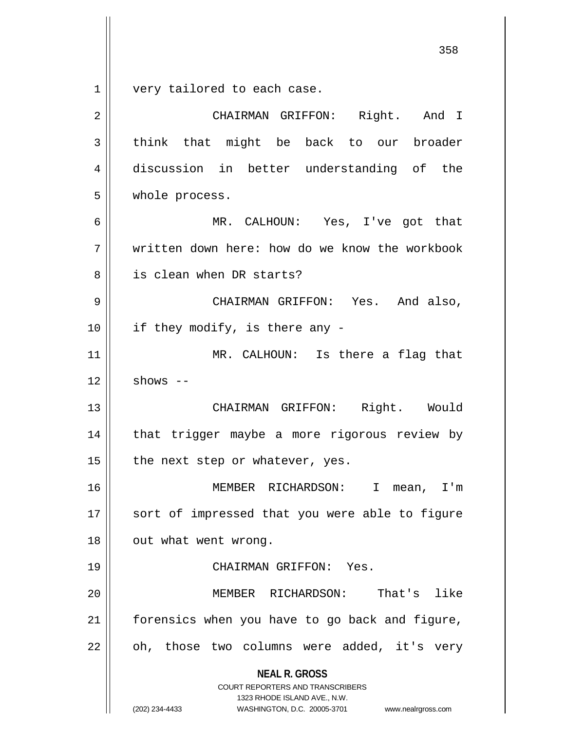very tailored to each case.

| $\overline{2}$ | CHAIRMAN GRIFFON: Right. And I                                                                                                                                         |
|----------------|------------------------------------------------------------------------------------------------------------------------------------------------------------------------|
| 3              | think that might be back to our broader                                                                                                                                |
| 4              | discussion in better understanding of the                                                                                                                              |
| 5              | whole process.                                                                                                                                                         |
| 6              | MR. CALHOUN: Yes, I've got that                                                                                                                                        |
| 7              | written down here: how do we know the workbook                                                                                                                         |
| 8              | is clean when DR starts?                                                                                                                                               |
| 9              | CHAIRMAN GRIFFON: Yes. And also,                                                                                                                                       |
| 10             | if they modify, is there any -                                                                                                                                         |
| 11             | MR. CALHOUN: Is there a flag that                                                                                                                                      |
| 12             | shows $--$                                                                                                                                                             |
| 13             | CHAIRMAN GRIFFON: Right. Would                                                                                                                                         |
| 14             | that trigger maybe a more rigorous review by                                                                                                                           |
| 15             | the next step or whatever, yes.                                                                                                                                        |
| 16             | MEMBER RICHARDSON: I<br>mean, I'm                                                                                                                                      |
| 17             | sort of impressed that you were able to figure                                                                                                                         |
| 18             | out what went wrong.                                                                                                                                                   |
| 19             | CHAIRMAN GRIFFON: Yes.                                                                                                                                                 |
| 20             | That's like<br>MEMBER RICHARDSON:                                                                                                                                      |
| 21             | forensics when you have to go back and figure,                                                                                                                         |
| 22             | oh, those two columns were added, it's very                                                                                                                            |
|                | <b>NEAL R. GROSS</b><br><b>COURT REPORTERS AND TRANSCRIBERS</b><br>1323 RHODE ISLAND AVE., N.W.<br>(202) 234-4433<br>WASHINGTON, D.C. 20005-3701<br>www.nealrgross.com |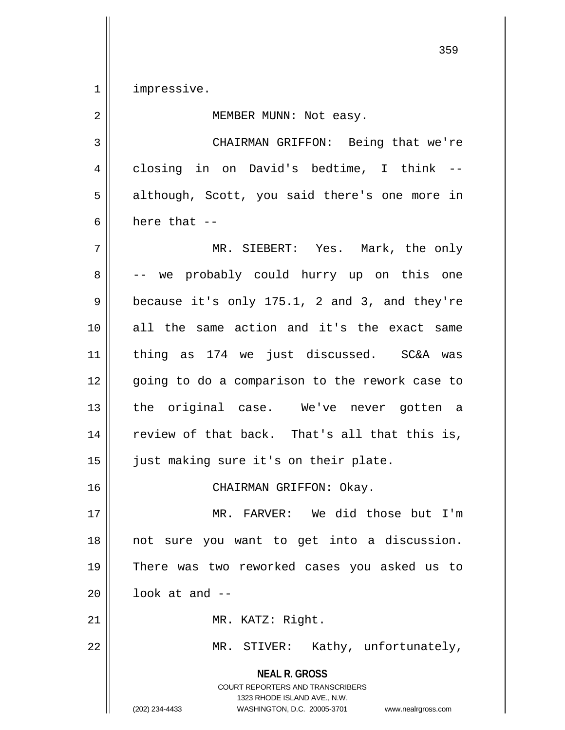1 | impressive.

**NEAL R. GROSS** COURT REPORTERS AND TRANSCRIBERS 1323 RHODE ISLAND AVE., N.W. 2 || MEMBER MUNN: Not easy. 3 CHAIRMAN GRIFFON: Being that we're 4 closing in on David's bedtime, I think --5 || although, Scott, you said there's one more in  $6 \parallel$  here that  $-$ 7 MR. SIEBERT: Yes. Mark, the only 8 || -- we probably could hurry up on this one  $9 \parallel$  because it's only 175.1, 2 and 3, and they're 10 all the same action and it's the exact same 11 thing as 174 we just discussed. SC&A was 12 || going to do a comparison to the rework case to 13 || the original case. We've never gotten a 14 || review of that back. That's all that this is, 15 just making sure it's on their plate. 16 || CHAIRMAN GRIFFON: Okay. 17 MR. FARVER: We did those but I'm 18 || not sure you want to get into a discussion. 19 There was two reworked cases you asked us to  $20$  |  $1$ ook at and  $-$ 21 || MR. KATZ: Right. 22 | MR. STIVER: Kathy, unfortunately,

(202) 234-4433 WASHINGTON, D.C. 20005-3701 www.nealrgross.com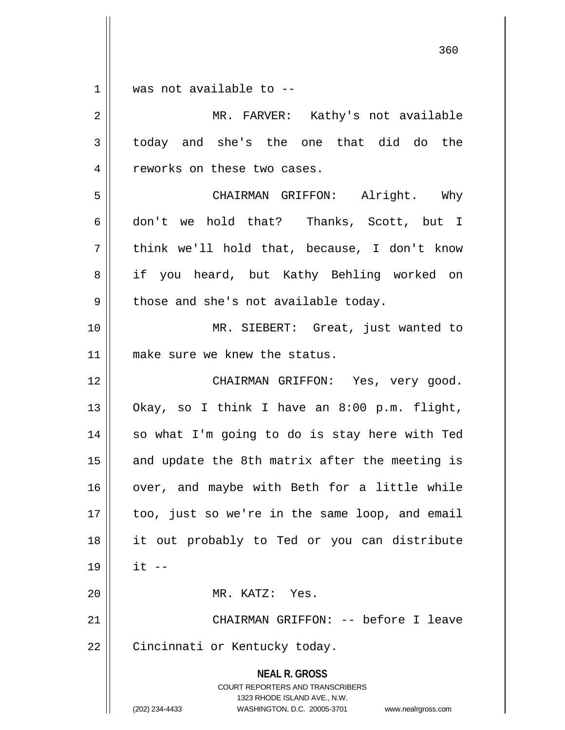$1 \parallel$  was not available to --

| $\overline{a}$ | MR. FARVER: Kathy's not available                                                                                                                                      |
|----------------|------------------------------------------------------------------------------------------------------------------------------------------------------------------------|
| 3              | today and she's the one that did do the                                                                                                                                |
| 4              | reworks on these two cases.                                                                                                                                            |
| 5              | CHAIRMAN GRIFFON: Alright. Why                                                                                                                                         |
| 6              | don't we hold that? Thanks, Scott, but I                                                                                                                               |
| 7              | think we'll hold that, because, I don't know                                                                                                                           |
| 8              | if you heard, but Kathy Behling worked on                                                                                                                              |
| 9              | those and she's not available today.                                                                                                                                   |
| 10             | MR. SIEBERT: Great, just wanted to                                                                                                                                     |
| 11             | make sure we knew the status.                                                                                                                                          |
| 12             | CHAIRMAN GRIFFON: Yes, very good.                                                                                                                                      |
| 13             | Okay, so I think I have an 8:00 p.m. flight,                                                                                                                           |
| 14             | so what I'm going to do is stay here with Ted                                                                                                                          |
| 15             | and update the 8th matrix after the meeting is                                                                                                                         |
| 16             | over, and maybe with Beth for a little while                                                                                                                           |
| 17             | too, just so we're in the same loop, and email                                                                                                                         |
| 18             | it out probably to Ted or you can distribute                                                                                                                           |
| 19             | $it$ $-$                                                                                                                                                               |
| 20             | MR. KATZ: Yes.                                                                                                                                                         |
| 21             | CHAIRMAN GRIFFON: -- before I leave                                                                                                                                    |
| 22             | Cincinnati or Kentucky today.                                                                                                                                          |
|                | <b>NEAL R. GROSS</b><br><b>COURT REPORTERS AND TRANSCRIBERS</b><br>1323 RHODE ISLAND AVE., N.W.<br>(202) 234-4433<br>WASHINGTON, D.C. 20005-3701<br>www.nealrgross.com |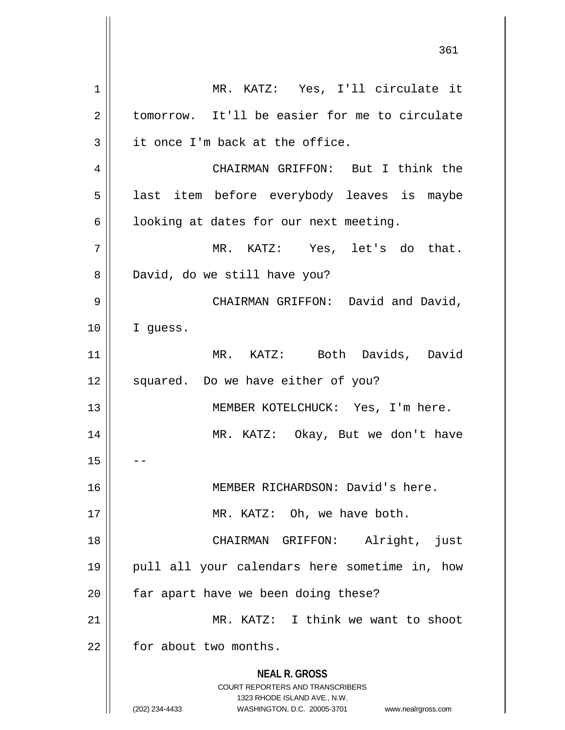**NEAL R. GROSS** COURT REPORTERS AND TRANSCRIBERS 1323 RHODE ISLAND AVE., N.W. (202) 234-4433 WASHINGTON, D.C. 20005-3701 www.nealrgross.com 1 MR. KATZ: Yes, I'll circulate it 2 tomorrow. It'll be easier for me to circulate  $3 \parallel$  it once I'm back at the office. 4 CHAIRMAN GRIFFON: But I think the 5 || last item before everybody leaves is maybe  $6 \parallel$  looking at dates for our next meeting. 7 MR. KATZ: Yes, let's do that. 8 David, do we still have you? 9 CHAIRMAN GRIFFON: David and David, 10 I guess. 11 MR. KATZ: Both Davids, David 12 || squared. Do we have either of you? 13 || MEMBER KOTELCHUCK: Yes, I'm here. 14 MR. KATZ: Okay, But we don't have  $15$ 16 MEMBER RICHARDSON: David's here. 17 || MR. KATZ: Oh, we have both. 18 CHAIRMAN GRIFFON: Alright, just 19 pull all your calendars here sometime in, how  $20$  || far apart have we been doing these? 21 MR. KATZ: I think we want to shoot  $22$  | for about two months.

361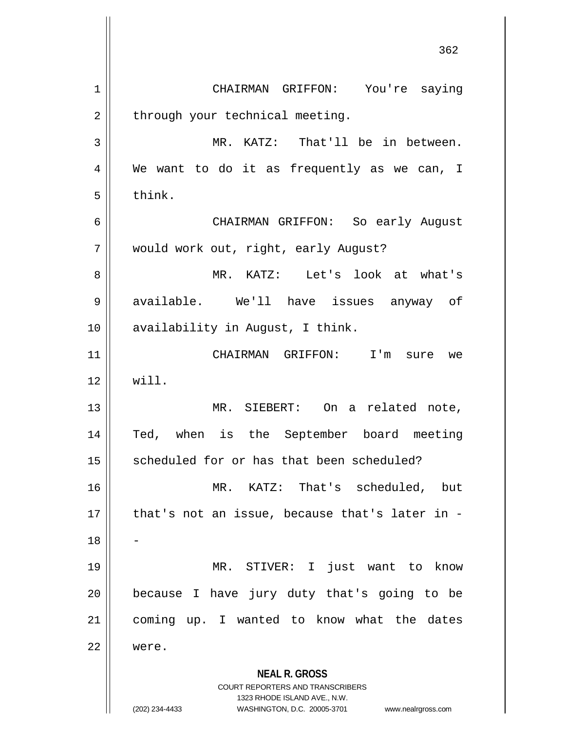**NEAL R. GROSS** COURT REPORTERS AND TRANSCRIBERS 1323 RHODE ISLAND AVE., N.W. (202) 234-4433 WASHINGTON, D.C. 20005-3701 www.nealrgross.com 362 1 CHAIRMAN GRIFFON: You're saying  $2 \parallel$  through your technical meeting. 3 || MR. KATZ: That'll be in between. 4 We want to do it as frequently as we can, I  $5 \parallel$  think. 6 CHAIRMAN GRIFFON: So early August 7 | would work out, right, early August? 8 MR. KATZ: Let's look at what's 9 available. We'll have issues anyway of 10 || availability in August, I think. 11 CHAIRMAN GRIFFON: I'm sure we  $12 \parallel$  will. 13 MR. SIEBERT: On a related note, 14 Ted, when is the September board meeting 15 | scheduled for or has that been scheduled? 16 MR. KATZ: That's scheduled, but 17 || that's not an issue, because that's later in -18 19 MR. STIVER: I just want to know  $20$  | because I have jury duty that's going to be 21 || coming up. I wanted to know what the dates 22 were.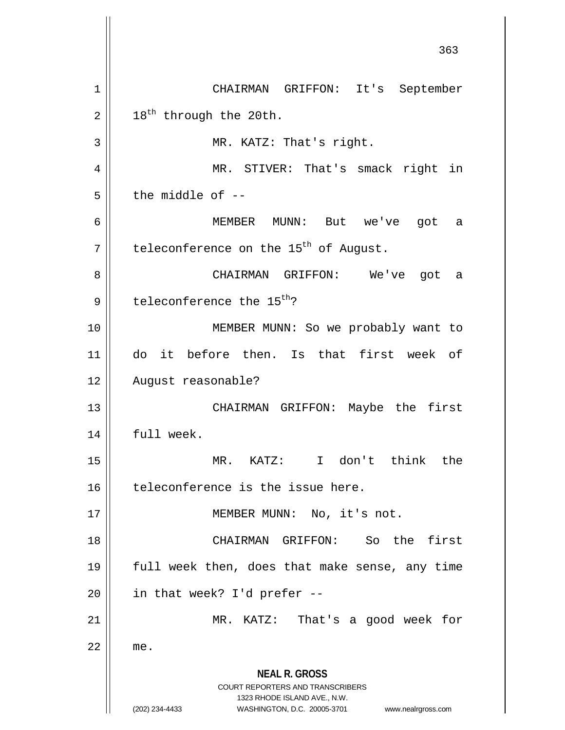**NEAL R. GROSS** COURT REPORTERS AND TRANSCRIBERS 1323 RHODE ISLAND AVE., N.W. (202) 234-4433 WASHINGTON, D.C. 20005-3701 www.nealrgross.com 363 1 CHAIRMAN GRIFFON: It's September  $2 \parallel 18^{th}$  through the 20th. 3 || MR. KATZ: That's right. 4 MR. STIVER: That's smack right in  $5 \parallel$  the middle of  $-$ 6 MEMBER MUNN: But we've got a  $7$  teleconference on the 15<sup>th</sup> of August. 8 CHAIRMAN GRIFFON: We've got a  $9 \parallel$  teleconference the 15<sup>th</sup>? 10 || MEMBER MUNN: So we probably want to 11 do it before then. Is that first week of 12 | August reasonable? 13 CHAIRMAN GRIFFON: Maybe the first 14 | full week. 15 MR. KATZ: I don't think the  $16$  teleconference is the issue here. 17 || MEMBER MUNN: No, it's not. 18 || CHAIRMAN GRIFFON: So the first 19 || full week then, does that make sense, any time  $20$  | in that week? I'd prefer --21 || MR. KATZ: That's a good week for  $22$   $\parallel$  me.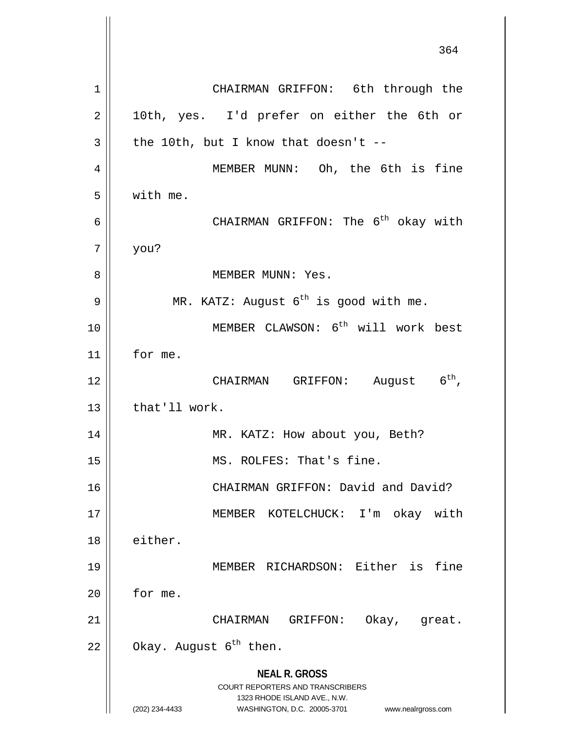**NEAL R. GROSS** COURT REPORTERS AND TRANSCRIBERS 1323 RHODE ISLAND AVE., N.W. (202) 234-4433 WASHINGTON, D.C. 20005-3701 www.nealrgross.com 364 1 | CHAIRMAN GRIFFON: 6th through the 2 || 10th, yes. I'd prefer on either the 6th or  $3 \parallel$  the 10th, but I know that doesn't --4 MEMBER MUNN: Oh, the 6th is fine  $5 \parallel$  with me. 6  $\parallel$  CHAIRMAN GRIFFON: The 6<sup>th</sup> okay with  $7 \parallel$  you? 8 MEMBER MUNN: Yes. 9  $\parallel$  MR. KATZ: August 6<sup>th</sup> is good with me. 10 || MEMBER CLAWSON: 6<sup>th</sup> will work best 11 for me. 12  $\parallel$  CHAIRMAN GRIFFON: August 6<sup>th</sup>,  $13$  | that'll work. 14 || MR. KATZ: How about you, Beth? 15 || MS. ROLFES: That's fine. 16 || CHAIRMAN GRIFFON: David and David? 17 || MEMBER KOTELCHUCK: I'm okay with 18 either. 19 MEMBER RICHARDSON: Either is fine  $20$  | for me. 21 CHAIRMAN GRIFFON: Okay, great. 22  $\parallel$  Okay. August 6<sup>th</sup> then.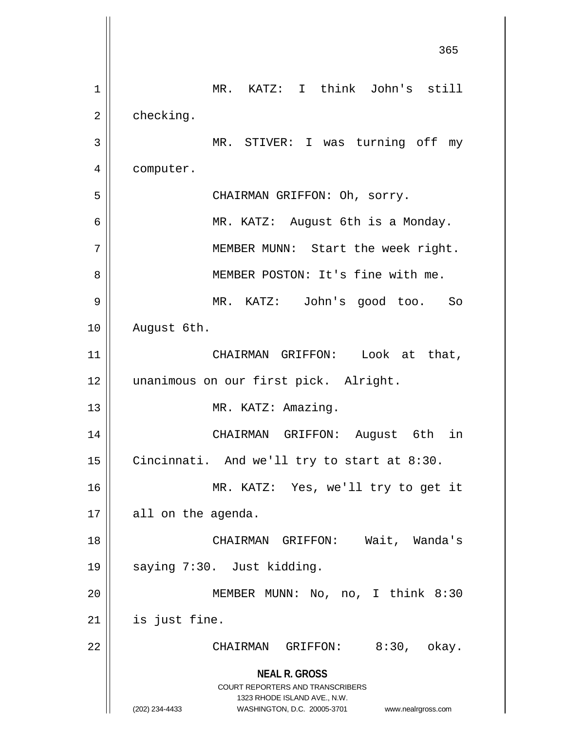**NEAL R. GROSS** COURT REPORTERS AND TRANSCRIBERS 1323 RHODE ISLAND AVE., N.W. (202) 234-4433 WASHINGTON, D.C. 20005-3701 www.nealrgross.com 365 1 || MR. KATZ: I think John's still  $2 \parallel$  checking. 3 || MR. STIVER: I was turning off my 4 | computer. 5 CHAIRMAN GRIFFON: Oh, sorry. 6 MR. KATZ: August 6th is a Monday. 7 || MEMBER MUNN: Start the week right. 8 || MEMBER POSTON: It's fine with me. 9 MR. KATZ: John's good too. So 10 | August 6th. 11 || CHAIRMAN GRIFFON: Look at that, 12 || unanimous on our first pick. Alright. 13 || MR. KATZ: Amazing. 14 CHAIRMAN GRIFFON: August 6th in 15  $\parallel$  Cincinnati. And we'll try to start at 8:30. 16 MR. KATZ: Yes, we'll try to get it  $17 \parallel$  all on the agenda. 18 CHAIRMAN GRIFFON: Wait, Wanda's 19 || saying 7:30. Just kidding. 20 MEMBER MUNN: No, no, I think 8:30  $21$  | is just fine. 22 || CHAIRMAN GRIFFON: 8:30, okay.